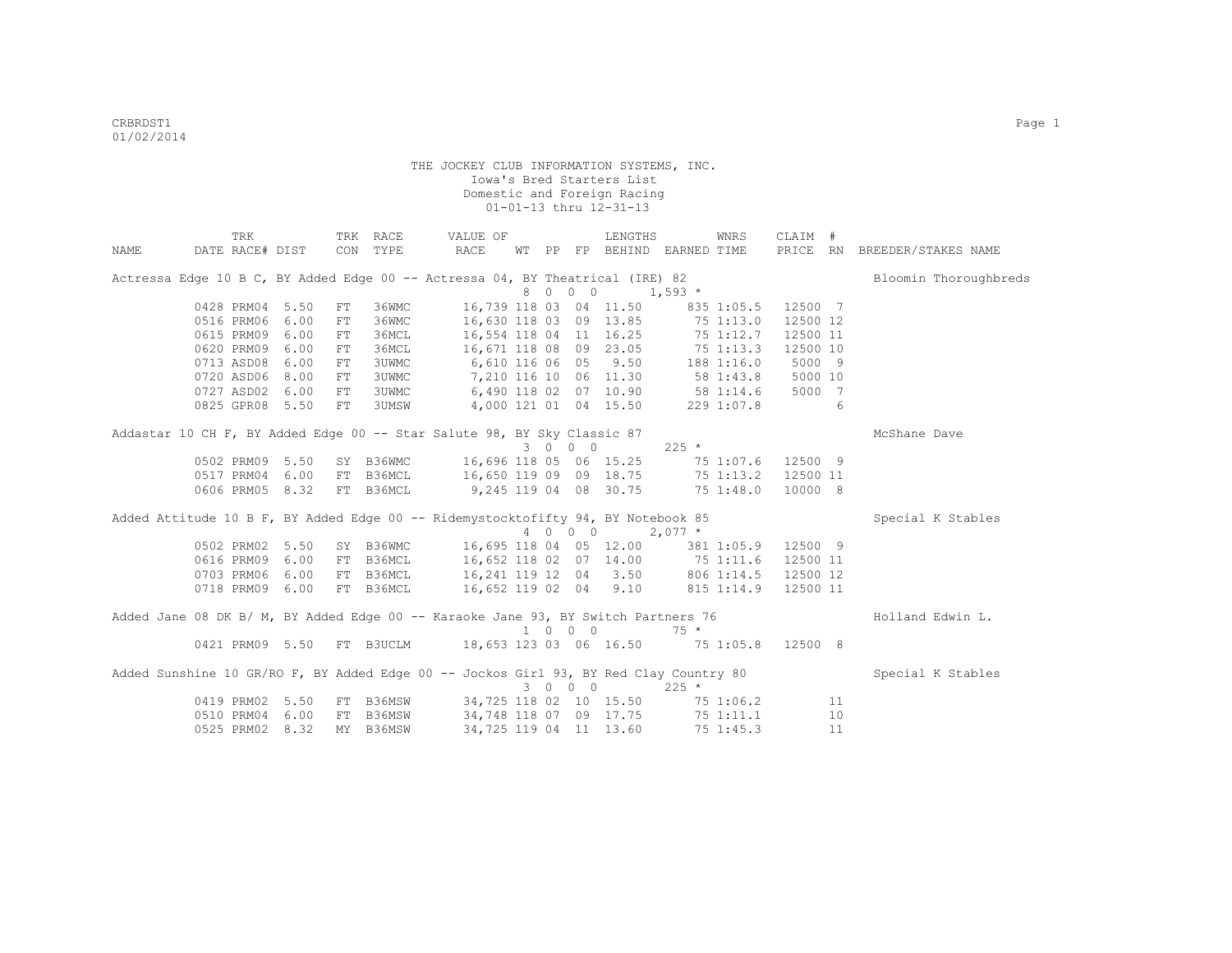|      | TRK                                                                                   |      |    | TRK RACE  | VALUE OF                                                                   |    |    |         | LENGTHS               |           | WNRS       | CLAIM #  |    |                              |
|------|---------------------------------------------------------------------------------------|------|----|-----------|----------------------------------------------------------------------------|----|----|---------|-----------------------|-----------|------------|----------|----|------------------------------|
| NAME | DATE RACE# DIST CON TYPE                                                              |      |    |           | RACE                                                                       | WТ | PP |         | FP BEHIND EARNED TIME |           |            |          |    | PRICE RN BREEDER/STAKES NAME |
|      | Actressa Edge 10 B C, BY Added Edge 00 -- Actressa 04, BY Theatrical (IRE) 82         |      |    |           |                                                                            |    |    |         |                       |           |            |          |    | Bloomin Thoroughbreds        |
|      |                                                                                       |      |    |           |                                                                            |    |    | 8 0 0 0 |                       | $1,593$ * |            |          |    |                              |
|      | 0428 PRM04 5.50                                                                       |      | FT | 36WMC     | 16,739 118 03 04 11.50                                                     |    |    |         |                       |           | 835 1:05.5 | 12500 7  |    |                              |
|      | 0516 PRM06                                                                            | 6.00 | FT | 36WMC     | 16,630 118 03 09 13.85 75 1:13.0                                           |    |    |         |                       |           |            | 12500 12 |    |                              |
|      | 0615 PRM09 6.00                                                                       |      | FT | 36MCL     | 16,554 118 04 11 16.25 75 1:12.7                                           |    |    |         |                       |           |            | 12500 11 |    |                              |
|      | 0620 PRM09 6.00                                                                       |      | FT | 36MCL     | 16,671 118 08 09 23.05 75 1:13.3                                           |    |    |         |                       |           |            | 12500 10 |    |                              |
|      | 0713 ASD08 6.00                                                                       |      | FT | 3UWMC     | 6,610 116 06 05 9.50 188 1:16.0                                            |    |    |         |                       |           |            | 5000 9   |    |                              |
|      | 0720 ASD06 8.00                                                                       |      | FT | 3UWMC     | 7,210 116 10 06 11.30 58 1:43.8 5000 10                                    |    |    |         |                       |           |            |          |    |                              |
|      | 0727 ASD02 6.00                                                                       |      | FT | 3UWMC     | $6,490$ 118 02 07 10.90 58 1:14.6 5000<br>4,000 121 01 04 15.50 229 1:07.8 |    |    |         |                       |           |            | 5000 7   |    |                              |
|      | 0825 GPR08 5.50                                                                       |      | FT | 3UMSW     |                                                                            |    |    |         |                       |           |            |          | 6  |                              |
|      | Addastar 10 CH F, BY Added Edge 00 -- Star Salute 98, BY Sky Classic 87               |      |    |           |                                                                            |    |    |         |                       |           |            |          |    | McShane Dave                 |
|      |                                                                                       |      |    |           |                                                                            |    |    | 3 0 0 0 |                       | $225$ *   |            |          |    |                              |
|      | 0502 PRM09 5.50                                                                       |      |    | SY B36WMC | 16,696 118 05 06 15.25 75 1:07.6 12500 9                                   |    |    |         |                       |           |            |          |    |                              |
|      | 0517 PRM04                                                                            | 6.00 |    | FT B36MCL | 16,650 119 09 09 18.75 75 1:13.2 12500 11                                  |    |    |         |                       |           |            |          |    |                              |
|      | 0606 PRM05 8.32                                                                       |      |    | FT B36MCL | 9,245 119 04 08 30.75 75 1:48.0                                            |    |    |         |                       |           |            | 10000 8  |    |                              |
|      | Added Attitude 10 B F, BY Added Edge 00 -- Ridemystocktofifty 94, BY Notebook 85      |      |    |           |                                                                            |    |    |         |                       |           |            |          |    | Special K Stables            |
|      |                                                                                       |      |    |           |                                                                            |    |    |         | 4 0 0 0               | $2,077$ * |            |          |    |                              |
|      | 0502 PRM02 5.50                                                                       |      |    |           | SY B36WMC 16,695 118 04 05 12.00 381 1:05.9 12500 9                        |    |    |         |                       |           |            |          |    |                              |
|      | 0616 PRM09 6.00                                                                       |      |    | FT B36MCL | 16,652 118 02 07 14.00 75 1:11.6 12500 11                                  |    |    |         |                       |           |            |          |    |                              |
|      | 0703 PRM06 6.00                                                                       |      |    | FT B36MCL | 16, 241 119 12 04 3.50 806 1:14.5 12500 12                                 |    |    |         |                       |           |            |          |    |                              |
|      | 0718 PRM09 6.00                                                                       |      |    | FT B36MCL | 16,652 119 02 04 9.10 815 1:14.9 12500 11                                  |    |    |         |                       |           |            |          |    |                              |
|      | Added Jane 08 DK B/ M, BY Added Edge 00 -- Karaoke Jane 93, BY Switch Partners 76     |      |    |           |                                                                            |    |    |         |                       |           |            |          |    | Holland Edwin L.             |
|      |                                                                                       |      |    |           |                                                                            |    |    | 1 0 0 0 |                       | $75 *$    |            |          |    |                              |
|      |                                                                                       |      |    |           | 0421 PRM09 5.50 FT B3UCLM 18,653 123 03 06 16.50 75 1:05.8 12500 8         |    |    |         |                       |           |            |          |    |                              |
|      | Added Sunshine 10 GR/RO F, BY Added Edge 00 -- Jockos Girl 93, BY Red Clay Country 80 |      |    |           |                                                                            |    |    |         |                       |           |            |          |    | Special K Stables            |
|      |                                                                                       |      |    |           |                                                                            |    |    | 3 0 0 0 |                       | $225 *$   |            |          |    |                              |
|      | 0419 PRM02 5.50                                                                       |      |    |           | FT B36MSW 34,725 118 02 10 15.50 75 1:06.2                                 |    |    |         |                       |           |            |          | 11 |                              |
|      | 0510 PRM04                                                                            | 6.00 |    | FT B36MSW | 34,748 118 07 09 17.75 75 1:11.1                                           |    |    |         |                       |           |            |          | 10 |                              |
|      | 0525 PRM02 8.32                                                                       |      |    | MY B36MSW | 34,725 119 04 11 13.60                                                     |    |    |         |                       |           | 75 1:45.3  |          | 11 |                              |
|      |                                                                                       |      |    |           |                                                                            |    |    |         |                       |           |            |          |    |                              |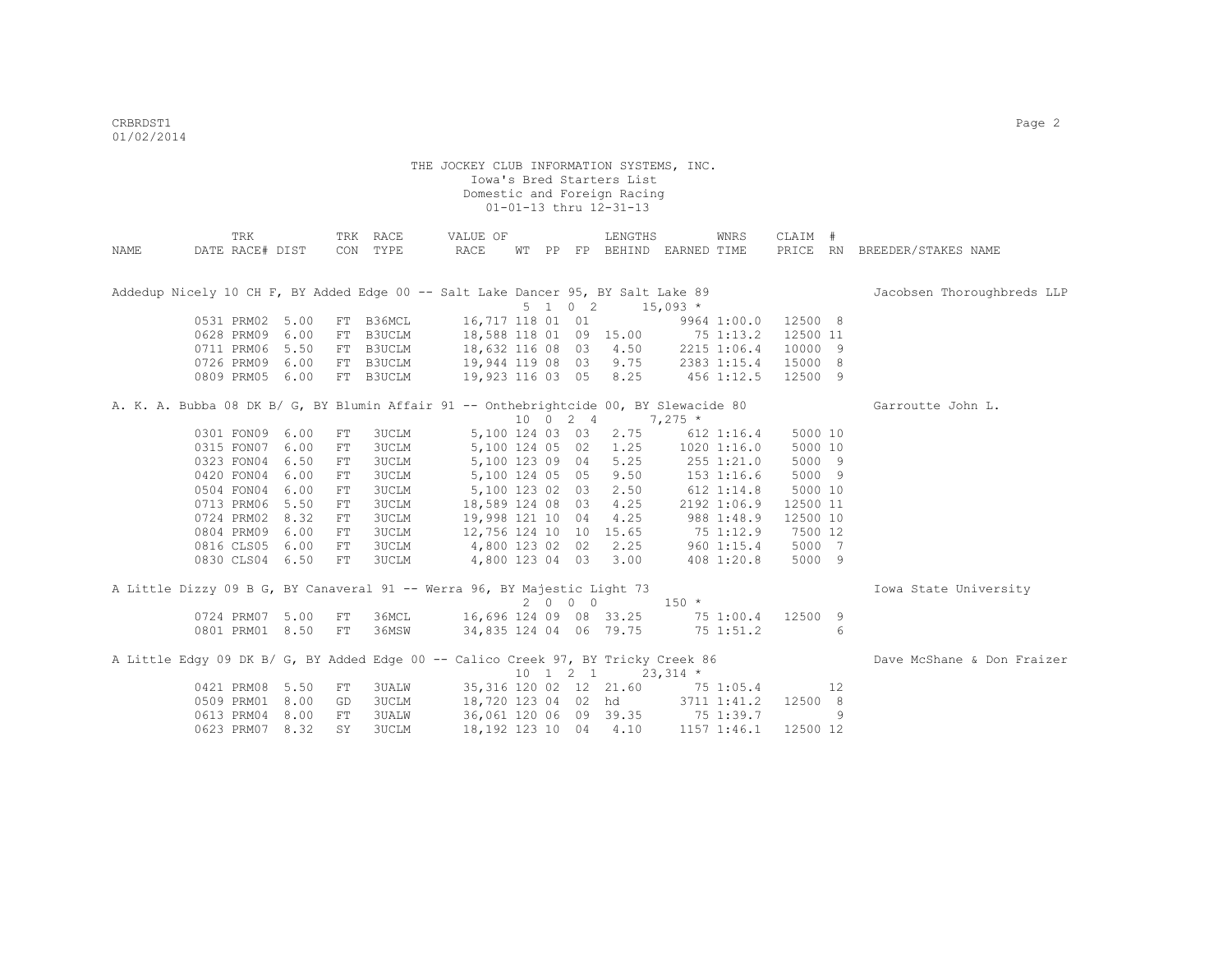|      | TRK                                                                                   |      |            | TRK RACE  | VALUE OF                                                                                   |  |                              | LENGTHS                            |                                                                    | WNRS         | CLAIM #  |    |                              |
|------|---------------------------------------------------------------------------------------|------|------------|-----------|--------------------------------------------------------------------------------------------|--|------------------------------|------------------------------------|--------------------------------------------------------------------|--------------|----------|----|------------------------------|
| NAME | DATE RACE# DIST                                                                       |      |            | CON TYPE  | RACE                                                                                       |  |                              |                                    | WT PP FP BEHIND EARNED TIME                                        |              |          |    | PRICE RN BREEDER/STAKES NAME |
|      |                                                                                       |      |            |           |                                                                                            |  |                              |                                    |                                                                    |              |          |    |                              |
|      | Addedup Nicely 10 CH F, BY Added Edge 00 -- Salt Lake Dancer 95, BY Salt Lake 89      |      |            |           |                                                                                            |  |                              |                                    |                                                                    |              |          |    | Jacobsen Thoroughbreds LLP   |
|      |                                                                                       |      |            |           |                                                                                            |  | 5 1 0 2                      |                                    | $15,093$ *                                                         |              |          |    |                              |
|      | 0531 PRM02 5.00                                                                       |      |            | FT B36MCL | 16,717 118 01 01                                                                           |  |                              |                                    | 9964 1:00.0 12500 8                                                |              |          |    |                              |
|      | 0628 PRM09 6.00                                                                       |      |            |           | FT B3UCLM 18,588 118 01 09 15.00 75 1:13.2                                                 |  |                              |                                    |                                                                    |              | 12500 11 |    |                              |
|      | 0711 PRM06 5.50                                                                       |      |            |           | FT B3UCLM 18,632 116 08 03 4.50 2215 1:06.4<br>FT B3UCLM 19,944 119 08 03 9.75 2383 1:15.4 |  |                              |                                    |                                                                    |              | 10000 9  |    |                              |
|      | 0726 PRM09 6.00                                                                       |      |            |           |                                                                                            |  |                              |                                    |                                                                    |              | 15000 8  |    |                              |
|      | 0809 PRM05 6.00                                                                       |      |            | FT B3UCLM | 19,923 116 03 05 8.25                                                                      |  |                              |                                    | 456 1:12.5                                                         |              | 12500 9  |    |                              |
|      | A. K. A. Bubba 08 DK B/ G, BY Blumin Affair 91 -- Onthebrightcide 00, BY Slewacide 80 |      |            |           |                                                                                            |  |                              |                                    |                                                                    |              |          |    | Garroutte John L.            |
|      |                                                                                       |      |            |           |                                                                                            |  |                              | $10 \t 0 \t 2 \t 4 \t 7,275 \t\t*$ |                                                                    |              |          |    |                              |
|      | 0301 FON09 6.00                                                                       |      | FT         | 3UCLM     |                                                                                            |  |                              | 5,100 124 03 03 2.75               |                                                                    | $612$ 1:16.4 | 5000 10  |    |                              |
|      | 0315 FON07                                                                            | 6.00 | FT         | 3UCLM     |                                                                                            |  |                              |                                    | 5,100 124 05 02 1.25 1020 1:16.0                                   |              | 5000 10  |    |                              |
|      | 0323 FON04                                                                            | 6.50 | FT         | 3UCLM     |                                                                                            |  |                              |                                    | 5,100 123 09 04 5.25 255 1:21.0                                    |              | 5000 9   |    |                              |
|      | 0420 FON04                                                                            | 6.00 | FT         | 3UCLM     |                                                                                            |  |                              | 5,100 124 05 05 9.50               | $153$ $1:16.6$                                                     |              | 5000 9   |    |                              |
|      | 0504 FON04                                                                            | 6.00 | FT         |           | 3UCLM 5,100 123 02 03 2.50                                                                 |  |                              |                                    | $612$ $1:14.8$                                                     |              | 5000 10  |    |                              |
|      | 0713 PRM06                                                                            | 5.50 | FT         | 3UCLM     |                                                                                            |  |                              |                                    | 18,589 124 08 03 4.25 2192 1:06.9                                  |              | 12500 11 |    |                              |
|      | 0724 PRM02                                                                            | 8.32 | FT         | 3UCLM     | 19,998 121 10 04                                                                           |  |                              | 4.25                               | 988 1:48.9                                                         |              | 12500 10 |    |                              |
|      | 0804 PRM09 6.00                                                                       |      | FT         | 3UCLM     | 12,756 124 10 10 15.65 75 1:12.9                                                           |  |                              |                                    |                                                                    |              | 7500 12  |    |                              |
|      | 0816 CLS05 6.00                                                                       |      | FT         | 3UCLM     | $4,800$ 123 02 02                                                                          |  |                              |                                    |                                                                    |              | 5000 7   |    |                              |
|      | 0830 CLS04 6.50                                                                       |      | FT         | 3UCLM     |                                                                                            |  |                              |                                    | 4,800 123 02 02 2.25 960 1:15.4<br>4,800 123 02 02 2.25 960 1:15.4 |              | 5000 9   |    |                              |
|      | A Little Dizzy 09 B G, BY Canaveral 91 -- Werra 96, BY Majestic Light 73              |      |            |           |                                                                                            |  |                              |                                    |                                                                    |              |          |    | Iowa State University        |
|      |                                                                                       |      |            |           |                                                                                            |  | 2000                         |                                    | $150 *$                                                            |              |          |    |                              |
|      | 0724 PRM07 5.00                                                                       |      | FT         | 36MCL     | 16,696 124 09 08 33.25 75 1:00.4                                                           |  |                              |                                    |                                                                    |              | 12500 9  |    |                              |
|      | 0801 PRM01 8.50 FT                                                                    |      |            | 36MSW     | 34,835 124 04 06 79.75 75 1:51.2                                                           |  |                              |                                    |                                                                    |              |          | 6  |                              |
|      | A Little Edgy 09 DK B/ G, BY Added Edge 00 -- Calico Creek 97, BY Tricky Creek 86     |      |            |           |                                                                                            |  |                              |                                    |                                                                    |              |          |    | Dave McShane & Don Fraizer   |
|      |                                                                                       |      |            |           |                                                                                            |  | $10 \quad 1 \quad 2 \quad 1$ |                                    | $23,314$ *                                                         |              |          |    |                              |
|      | 0421 PRM08 5.50                                                                       |      | FT         | 3UALW     |                                                                                            |  |                              |                                    | 35, 316 120 02 12 21.60 75 1:05.4                                  |              |          | 12 |                              |
|      | 0509 PRM01                                                                            | 8.00 | GD         |           | 3UCLM 18,720 123 04 02 hd 3711 1:41.2                                                      |  |                              |                                    |                                                                    |              | 12500 8  |    |                              |
|      | 0613 PRM04                                                                            | 8.00 | ${\rm FT}$ | 3UALW     |                                                                                            |  |                              |                                    | 36,061 120 06 09 39.35 75 1:39.7                                   |              |          | 9  |                              |
|      | 0623 PRM07                                                                            | 8.32 | SY         | 3UCLM     |                                                                                            |  |                              |                                    | 18, 192 123 10 04 4.10 1157 1:46.1                                 |              | 12500 12 |    |                              |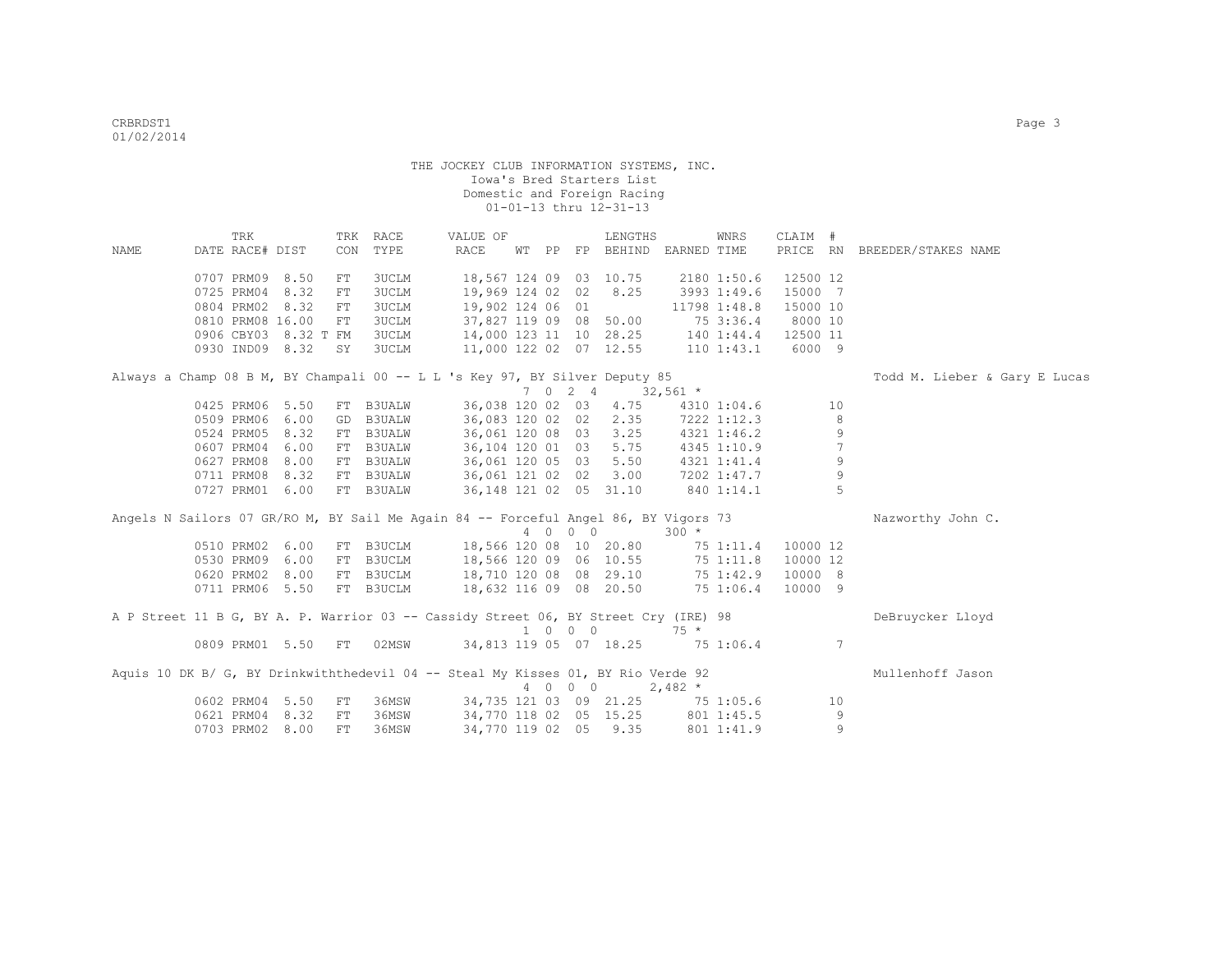|      | TRK                  |              |            | TRK RACE      | VALUE OF                                                                            |       |                             | LENGTHS               |              | WNRS         | CLAIM #  |                |                               |
|------|----------------------|--------------|------------|---------------|-------------------------------------------------------------------------------------|-------|-----------------------------|-----------------------|--------------|--------------|----------|----------------|-------------------------------|
| NAME | DATE RACE# DIST      |              | CON        | TYPE          | RACE                                                                                | WT PP |                             | FP BEHIND EARNED TIME |              |              |          |                | PRICE RN BREEDER/STAKES NAME  |
|      |                      |              |            |               |                                                                                     |       |                             |                       |              |              |          |                |                               |
|      | 0707 PRM09 8.50      |              | FT         | 3UCLM         | 18,567 124 09 03 10.75                                                              |       |                             |                       |              | 2180 1:50.6  | 12500 12 |                |                               |
|      | 0725 PRM04 8.32      |              | FT         | <b>3UCLM</b>  | 19,969 124 02 02                                                                    |       |                             | 8.25                  |              | 3993 1:49.6  | 15000 7  |                |                               |
|      | 0804 PRM02 8.32      |              | FT         | 3UCLM         | 19,902 124 06 01                                                                    |       |                             |                       |              | 11798 1:48.8 | 15000 10 |                |                               |
|      | 0810 PRM08 16.00     |              | FT         | 3UCLM         | 37,827 119 09 08 50.00                                                              |       |                             |                       |              | 75 3:36.4    | 8000 10  |                |                               |
|      | 0906 CBY03 8.32 T FM |              |            | 3UCLM         | 14,000 123 11 10 28.25                                                              |       |                             |                       |              | 140 1:44.4   | 12500 11 |                |                               |
|      | 0930 IND09 8.32      |              | SY         | 3UCLM         | 11,000 122 02 07 12.55                                                              |       |                             |                       |              | 110 1:43.1   | 6000 9   |                |                               |
|      |                      |              |            |               | Always a Champ 08 B M, BY Champali 00 -- L L 's Key 97, BY Silver Deputy 85         |       |                             |                       |              |              |          |                | Todd M. Lieber & Gary E Lucas |
|      |                      |              |            |               |                                                                                     |       | 7 0 2 4                     |                       |              |              |          |                |                               |
|      | 0425 PRM06 5.50      |              |            |               |                                                                                     |       |                             |                       | $32,561$ *   |              |          | 10             |                               |
|      |                      |              |            | FT B3UALW     | 36,038 120 02 03 4.75                                                               |       |                             |                       |              | 4310 1:04.6  |          | 8              |                               |
|      | 0509 PRM06 6.00      |              | GD         | <b>B3UALW</b> | 36,083 120 02 02                                                                    |       |                             | 2.35                  |              | 7222 1:12.3  |          |                |                               |
|      | 0524 PRM05           | 8.32<br>6.00 | FT         | <b>B3UALW</b> | 36,061 120 08 03<br>36,104 120 01 03 5.75                                           |       |                             | 3.25                  |              | 4321 1:46.2  |          | 9<br>7         |                               |
|      | 0607 PRM04           |              | FT         | <b>B3UALW</b> |                                                                                     |       |                             |                       |              | 4345 1:10.9  |          |                |                               |
|      | 0627 PRM08           | 8.00         | FT         | <b>B3UALW</b> | 36,061 120 05 03 5.50                                                               |       |                             |                       |              | 4321 1:41.4  |          | 9              |                               |
|      | 0711 PRM08           | 8.32         | FT         | B3UALW        | 36,061 121 02 02 3.00                                                               |       |                             |                       |              | 7202 1:47.7  |          | 9<br>5         |                               |
|      | 0727 PRM01 6.00      |              |            | FT B3UALW     | 36, 148 121 02 05 31.10                                                             |       |                             |                       |              | 840 1:14.1   |          |                |                               |
|      |                      |              |            |               | Angels N Sailors 07 GR/RO M, BY Sail Me Again 84 -- Forceful Angel 86, BY Vigors 73 |       |                             |                       |              |              |          |                | Nazworthy John C.             |
|      |                      |              |            |               |                                                                                     |       | 4 0 0 0                     |                       | $300 *$      |              |          |                |                               |
|      | 0510 PRM02 6.00      |              |            | FT B3UCLM     | 18,566 120 08 10 20.80                                                              |       |                             |                       |              | 75 1:11.4    | 10000 12 |                |                               |
|      | 0530 PRM09 6.00      |              |            | FT B3UCLM     | 18,566 120 09 06 10.55                                                              |       |                             |                       | 75 1:11.8    |              | 10000 12 |                |                               |
|      | 0620 PRM02 8.00      |              |            | FT B3UCLM     | 18,710 120 08 08 29.10                                                              |       |                             |                       | 75 1:42.9    |              | 10000 8  |                |                               |
|      | 0711 PRM06 5.50      |              |            | FT B3UCLM     | 18,632 116 09 08 20.50                                                              |       |                             |                       | 75 1:06.4    |              | 10000 9  |                |                               |
|      |                      |              |            |               |                                                                                     |       |                             |                       |              |              |          |                |                               |
|      |                      |              |            |               | A P Street 11 B G, BY A. P. Warrior 03 -- Cassidy Street 06, BY Street Cry (IRE) 98 |       |                             |                       |              |              |          |                | DeBruycker Lloyd              |
|      |                      |              |            |               |                                                                                     |       | $1 \quad 0 \quad 0 \quad 0$ |                       | $75 *$       |              |          |                |                               |
|      | 0809 PRM01 5.50 FT   |              |            | 02MSW         | 34,813 119 05 07 18.25                                                              |       |                             |                       | 75 1:06.4    |              |          | $\overline{7}$ |                               |
|      |                      |              |            |               | Aquis 10 DK B/ G, BY Drinkwiththedevil 04 -- Steal My Kisses 01, BY Rio Verde 92    |       |                             |                       |              |              |          |                | Mullenhoff Jason              |
|      |                      |              |            |               |                                                                                     |       | 4 0 0 0                     |                       | $2,482 *$    |              |          |                |                               |
|      | 0602 PRM04 5.50      |              | ${\rm FT}$ | 36MSW         | 34,735 121 03 09 21.25                                                              |       |                             |                       | $75\ 1:05.6$ |              |          | 10             |                               |
|      | 0621 PRM04 8.32      |              | FT         | 36MSW         | 34,770 118 02 05 15.25                                                              |       |                             |                       |              | 801 1:45.5   |          | 9              |                               |
|      | 0703 PRM02 8.00      |              | FT.        | 36MSW         | 34,770 119 02 05 9.35                                                               |       |                             |                       |              | 801 1:41.9   |          | 9              |                               |
|      |                      |              |            |               |                                                                                     |       |                             |                       |              |              |          |                |                               |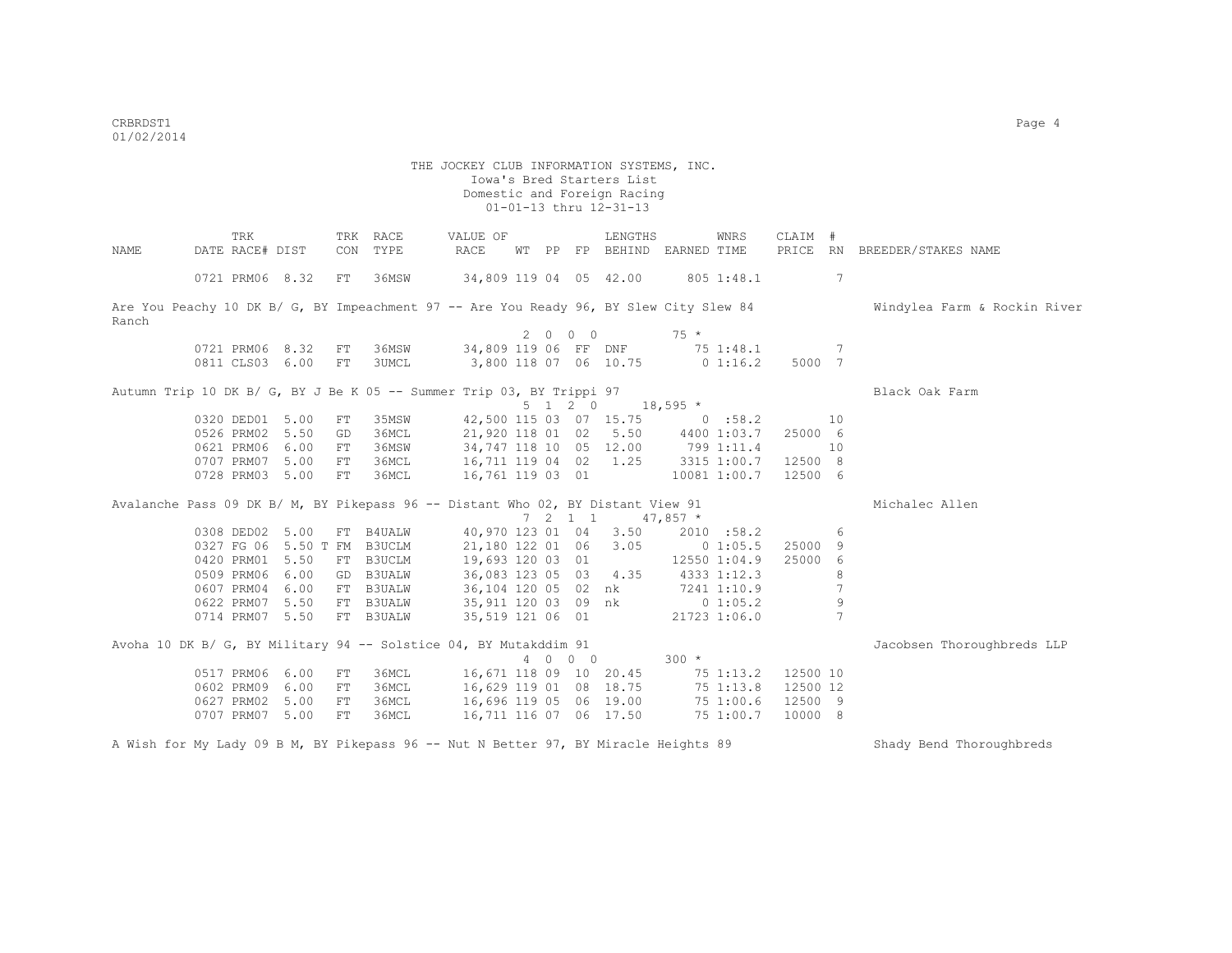|       | TRK                                                                                    |      |          | TRK RACE       | VALUE OF                                                                          |             |                |                 | LENGTHS                        |                            | WNRS         | CLAIM              | #  |                              |
|-------|----------------------------------------------------------------------------------------|------|----------|----------------|-----------------------------------------------------------------------------------|-------------|----------------|-----------------|--------------------------------|----------------------------|--------------|--------------------|----|------------------------------|
| NAME  | DATE RACE# DIST                                                                        |      | CON      | TYPE           | RACE                                                                              | WТ          | PP             |                 | FP BEHIND                      | EARNED TIME                |              | PRICE              |    | RN BREEDER/STAKES NAME       |
|       |                                                                                        |      |          |                |                                                                                   |             |                |                 |                                |                            |              |                    |    |                              |
|       | 0721 PRM06 8.32                                                                        |      | FT       | 36MSW          | 34,809 119 04 05 42.00                                                            |             |                |                 |                                |                            | 805 1:48.1   |                    | 7  |                              |
|       |                                                                                        |      |          |                |                                                                                   |             |                |                 |                                |                            |              |                    |    |                              |
|       | Are You Peachy 10 DK B/ G, BY Impeachment 97 -- Are You Ready 96, BY Slew City Slew 84 |      |          |                |                                                                                   |             |                |                 |                                |                            |              |                    |    | Windylea Farm & Rockin River |
| Ranch |                                                                                        |      |          |                |                                                                                   |             |                |                 |                                |                            |              |                    |    |                              |
|       |                                                                                        |      |          |                |                                                                                   | $2^{\circ}$ | $\overline{0}$ | $0\quad 0$      |                                | $75 *$                     |              |                    |    |                              |
|       | 0721 PRM06 8.32                                                                        |      | FT       | 36MSW          | 34,809 119 06 FF DNF 75 1:48.1                                                    |             |                |                 |                                |                            |              |                    | -7 |                              |
|       | 0811 CLS03 6.00                                                                        |      | FT       | 3UMCL          | 3,800 118 07 06 10.75 0 1:16.2                                                    |             |                |                 |                                |                            |              | 5000 7             |    |                              |
|       |                                                                                        |      |          |                |                                                                                   |             |                |                 |                                |                            |              |                    |    |                              |
|       | Autumn Trip 10 DK B/ G, BY J Be K 05 -- Summer Trip 03, BY Trippi 97                   |      |          |                |                                                                                   |             |                | $5 \t1 \t2 \t0$ |                                |                            |              |                    |    | Black Oak Farm               |
|       |                                                                                        |      |          |                |                                                                                   |             |                |                 |                                | $18,595$ *                 |              |                    |    |                              |
|       | 0320 DED01 5.00<br>0526 PRM02                                                          | 5.50 | FT       | 35MSW<br>36MCL | 21,920 118 01 02                                                                  |             |                |                 | 42,500 115 03 07 15.75<br>5.50 | 0.58.2<br>4400 1:03.7      |              | 25000 6            | 10 |                              |
|       | 0621 PRM06                                                                             | 6.00 | GD       |                |                                                                                   |             |                |                 |                                |                            |              |                    |    |                              |
|       |                                                                                        |      | FT<br>FT | 36MSW          | 34,747 118 10 05 12.00                                                            |             |                |                 |                                | 799 1:11.4                 |              |                    | 10 |                              |
|       | 0707 PRM07 5.00<br>0728 PRM03 5.00                                                     |      | FT       | 36MCL<br>36MCL | 16,711 119 04 02 1.25<br>16,761 119 03 01 10081 1:00.7                            |             |                |                 |                                | 3315 1:00.7                |              | 12500 8<br>12500 6 |    |                              |
|       |                                                                                        |      |          |                |                                                                                   |             |                |                 |                                |                            |              |                    |    |                              |
|       | Avalanche Pass 09 DK B/ M, BY Pikepass 96 -- Distant Who 02, BY Distant View 91        |      |          |                |                                                                                   |             |                |                 |                                |                            |              |                    |    | Michalec Allen               |
|       |                                                                                        |      |          |                |                                                                                   |             |                | $7 \t2 \t1 \t1$ |                                | $47,857$ *                 |              |                    |    |                              |
|       | 0308 DED02 5.00                                                                        |      |          | FT B4UALW      |                                                                                   |             |                |                 | 40,970 123 01 04 3.50          |                            | 2010 :58.2   |                    | 6  |                              |
|       | 0327 FG 06 5.50 T FM                                                                   |      |          | B3UCLM         | 21,180 122 01 06 3.05                                                             |             |                |                 |                                | $0\;1:05.5$                |              | 25000 9            |    |                              |
|       | 0420 PRM01 5.50                                                                        |      | FT       | B3UCLM         | 19,693 120 03 01                                                                  |             |                |                 |                                |                            | 12550 1:04.9 | 25000 6            |    |                              |
|       | 0509 PRM06                                                                             | 6.00 |          | GD B3UALW      | 36,083 123 05 03 4.35                                                             |             |                |                 |                                | 4333 1:12.3                |              |                    | 8  |                              |
|       | 0607 PRM04 6.00                                                                        |      |          | FT B3UALW      | 36,104 120 05 02 nk 7241 1:10.9                                                   |             |                |                 |                                |                            |              |                    | 7  |                              |
|       | 0622 PRM07 5.50                                                                        |      |          | FT B3UALW      |                                                                                   |             |                |                 |                                |                            |              |                    | 9  |                              |
|       | 0714 PRM07 5.50                                                                        |      |          | FT B3UALW      | 35,911 120 03 09 nk 0 1:05.2<br>35,519 121 06 01 21723 1:06.0<br>35,519 121 06 01 |             |                |                 |                                |                            |              |                    | 7  |                              |
|       |                                                                                        |      |          |                |                                                                                   |             |                |                 |                                |                            |              |                    |    |                              |
|       | Avoha 10 DK B/ G, BY Military 94 -- Solstice 04, BY Mutakddim 91                       |      |          |                |                                                                                   |             |                |                 |                                |                            |              |                    |    | Jacobsen Thoroughbreds LLP   |
|       |                                                                                        |      |          |                |                                                                                   |             |                | 4 0 0 0         |                                | $300 *$                    |              |                    |    |                              |
|       | 0517 PRM06                                                                             | 6.00 | FT       | 36MCL          | 16,671 118 09 10 20.45                                                            |             |                |                 |                                | $75$ 1:13.2                |              | 12500 10           |    |                              |
|       | 0602 PRM09 6.00                                                                        |      | FT       | 36MCL          | 16,629 119 01 08 18.75                                                            |             |                |                 |                                |                            |              | 12500 12           |    |                              |
|       | 0627 PRM02 5.00                                                                        |      | FT       | 36MCL          | 16,696 119 05 06 19.00                                                            |             |                |                 |                                | $75$ 1:13.8<br>$75$ 1:00.6 |              | 12500 9            |    |                              |
|       | 0707 PRM07 5.00                                                                        |      | FT       | 36MCL          | 16,711 116 07 06 17.50                                                            |             |                |                 |                                | 75 1:00.7                  |              | 10000 8            |    |                              |
|       |                                                                                        |      |          |                |                                                                                   |             |                |                 |                                |                            |              |                    |    |                              |
|       | A Wish for My Lady 09 B M, BY Pikepass 96 -- Nut N Better 97, BY Miracle Heights 89    |      |          |                |                                                                                   |             |                |                 |                                |                            |              |                    |    | Shady Bend Thoroughbreds     |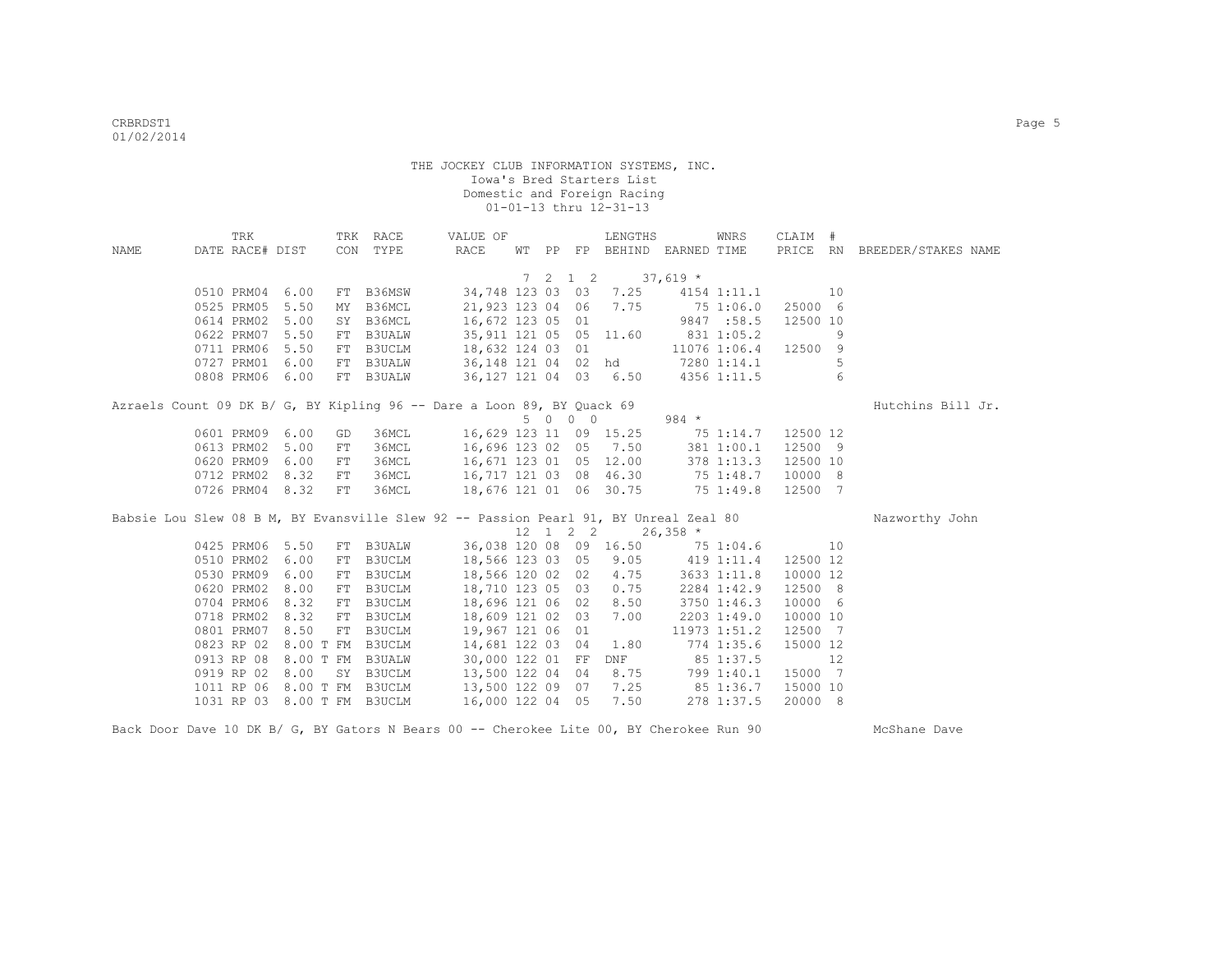|             | TRK                         |                    | TRK RACE      | VALUE OF                                                               |  |         | LENGTHS                                     | WNRS                                                                                 | CLAIM #  |    |                              |
|-------------|-----------------------------|--------------------|---------------|------------------------------------------------------------------------|--|---------|---------------------------------------------|--------------------------------------------------------------------------------------|----------|----|------------------------------|
| <b>NAME</b> | DATE RACE# DIST             |                    | CON TYPE      | RACE                                                                   |  |         |                                             | WT PP FP BEHIND EARNED TIME                                                          |          |    | PRICE RN BREEDER/STAKES NAME |
|             |                             |                    |               |                                                                        |  |         |                                             |                                                                                      |          |    |                              |
|             |                             |                    |               |                                                                        |  |         | 7 2 1 2 37,619 *                            |                                                                                      |          |    |                              |
|             | 0510 PRM04 6.00             |                    | FT B36MSW     |                                                                        |  |         |                                             | 34,748 123 03 03 7.25 4154 1:11.1                                                    | 10       |    |                              |
|             | 0525 PRM05                  | 5.50<br>MY         | B36MCL        |                                                                        |  |         | 21,923 123 04 06 7.75                       | 75 1:06.0                                                                            | 25000 6  |    |                              |
|             | 0614 PRM02                  | 5.00<br>SY         | B36MCL        | 16,672 123 05 01                                                       |  |         |                                             | 9847 : 58.5                                                                          | 12500 10 |    |                              |
|             | 0622 PRM07                  | 5.50<br>FT         | B3UALW        |                                                                        |  |         | 35,911 121 05 05 11.60                      | 831 1:05.2                                                                           |          | 9  |                              |
|             | 0711 PRM06                  | 5.50               |               | FT B3UCLM 18,632 124 03 01<br>FT B3UALW 36,148 121 04 02               |  |         |                                             | 11076 1:06.4                                                                         | 12500 9  |    |                              |
|             | 0727 PRM01 6.00             |                    |               |                                                                        |  |         |                                             | 36,148 121 04 02 hd 7280 1:14.1                                                      |          | 5  |                              |
|             | 0808 PRM06 6.00             |                    | FT B3UALW     |                                                                        |  |         |                                             | 36, 127 121 04 03 6.50 4356 1:11.5                                                   |          | 6  |                              |
|             |                             |                    |               | Azraels Count 09 DK B/ G, BY Kipling 96 -- Dare a Loon 89, BY Quack 69 |  |         |                                             |                                                                                      |          |    | Hutchins Bill Jr.            |
|             |                             |                    |               |                                                                        |  | 5 0 0 0 |                                             | $984$ *                                                                              |          |    |                              |
|             | 0601 PRM09 6.00             | GD                 | 36MCL         |                                                                        |  |         |                                             | 16,629 123 11 09 15.25 75 1:14.7                                                     | 12500 12 |    |                              |
|             | 0613 PRM02 5.00             | FT                 | 36MCL         | 16,696 123 02 05 7.50                                                  |  |         |                                             | 381 1:00.1                                                                           | 12500 9  |    |                              |
|             | 0620 PRM09                  | 6.00<br>FT         | 36MCL         | 16,671 123 01 05 12.00                                                 |  |         |                                             | 378 1:13.3                                                                           | 12500 10 |    |                              |
|             | 0712 PRM02                  | 8.32<br>${\rm FT}$ | 36MCL         | 16,717 121 03 08 46.30                                                 |  |         |                                             | 75 1:48.7                                                                            | 10000 8  |    |                              |
|             | 0726 PRM04 8.32             | ${\rm FT}$         | 36MCL         | 18,676 121 01 06 30.75                                                 |  |         |                                             | 75 1:49.8                                                                            | 12500 7  |    |                              |
|             |                             |                    |               |                                                                        |  |         |                                             |                                                                                      |          |    |                              |
|             |                             |                    |               |                                                                        |  |         |                                             | Babsie Lou Slew 08 B M, BY Evansville Slew 92 -- Passion Pearl 91, BY Unreal Zeal 80 |          |    | Nazworthy John               |
|             |                             |                    |               |                                                                        |  |         | $12 \quad 1 \quad 2 \quad 2 \quad 26,358$ * |                                                                                      |          |    |                              |
|             | 0425 PRM06 5.50             |                    | FT B3UALW     |                                                                        |  |         |                                             | 36,038 120 08 09 16.50 75 1:04.6                                                     | 10       |    |                              |
|             | 0510 PRM02                  | 6.00               | FT B3UCLM     | 18,566 123 03 05 9.05                                                  |  |         |                                             | 419 1:11.4                                                                           | 12500 12 |    |                              |
|             | 0530 PRM09                  | 6.00<br>FT         | B3UCLM        | 18,566 120 02 02                                                       |  |         | 4.75                                        | 3633 1:11.8                                                                          | 10000 12 |    |                              |
|             | 0620 PRM02                  | 8.00<br>FT         | <b>B3UCLM</b> | 18,710 123 05 03                                                       |  |         | 0.75                                        | 2284 1:42.9                                                                          | 12500 8  |    |                              |
|             | 0704 PRM06                  | 8.32               | FT B3UCLM     | 18,696 121 06 02                                                       |  |         | 8.50                                        | 3750 1:46.3                                                                          | 10000 6  |    |                              |
|             | 0718 PRM02 8.32             |                    | FT B3UCLM     | 18,609 121 02 03                                                       |  |         | 7.00                                        | 2203 1:49.0                                                                          | 10000 10 |    |                              |
|             | 0801 PRM07 8.50             |                    | FT B3UCLM     | 19,967 121 06 01                                                       |  |         |                                             | 11973 1:51.2                                                                         | 12500 7  |    |                              |
|             | 0823 RP 02                  | 8.00 T FM B3UCLM   |               | 14,681 122 03 04                                                       |  |         | 1.80                                        | 774 1:35.6                                                                           | 15000 12 |    |                              |
|             | 0913 RP 08                  | 8.00 T FM          | <b>B3UALW</b> | 30,000 122 01 FF                                                       |  |         |                                             | DNF 85 1:37.5                                                                        |          | 12 |                              |
|             | 0919 RP 02                  | 8.00<br>SY         | B3UCLM        | 13,500 122 04 04                                                       |  |         | 8.75                                        | 799 1:40.1                                                                           | 15000 7  |    |                              |
|             | 1011 RP 06                  | 8.00 T FM          | B3UCLM        | 13,500 122 09 07                                                       |  |         | 7.25                                        | 85 1:36.7                                                                            | 15000 10 |    |                              |
|             | 1031 RP 03 8.00 T FM B3UCLM |                    |               | 16,000 122 04 05                                                       |  |         | 7.50                                        | 278 1:37.5                                                                           | 20000 8  |    |                              |

Back Door Dave 10 DK B/ G, BY Gators N Bears 00 -- Cherokee Lite 00, BY Cherokee Run 90 McShane Dave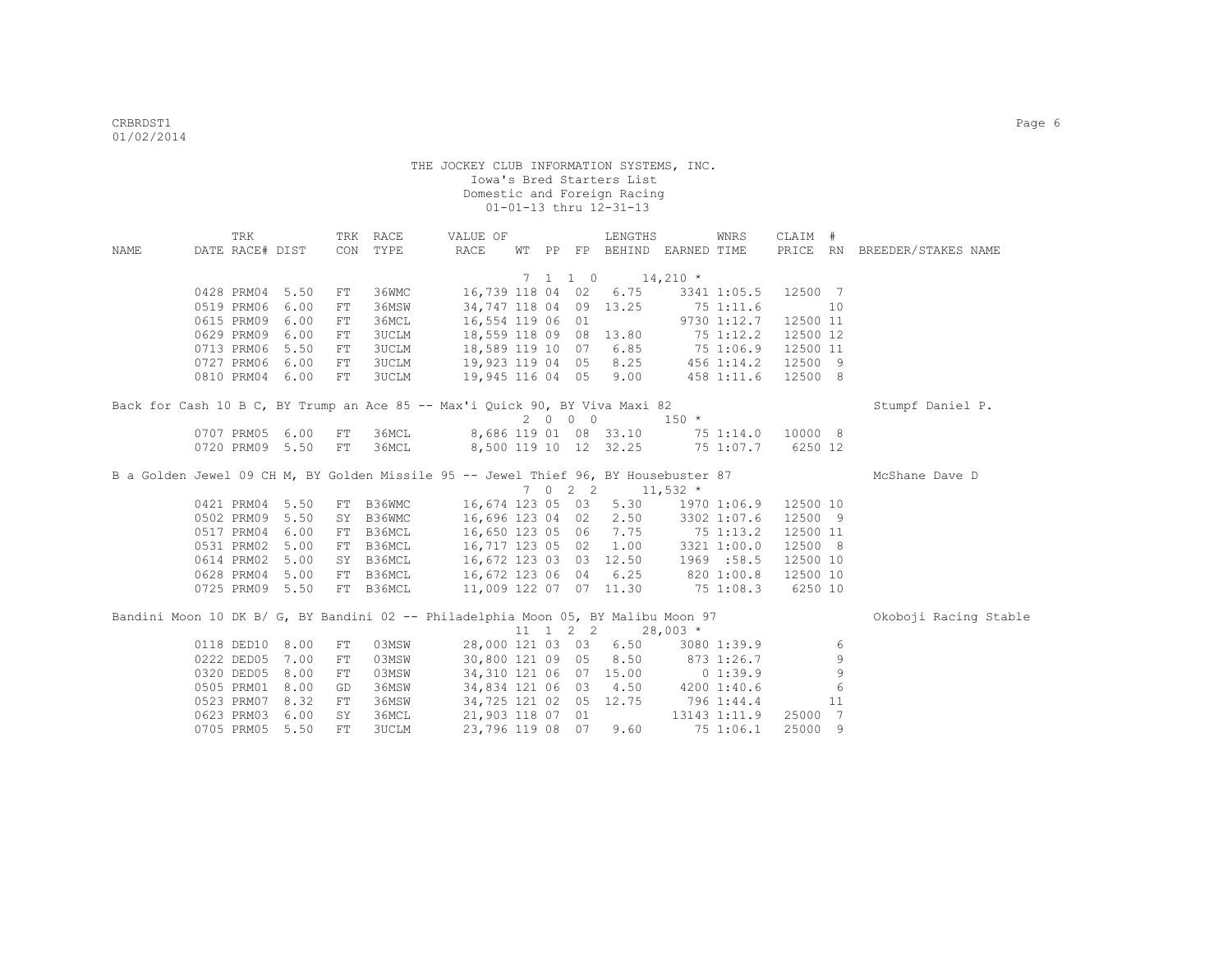| NAME                                                                                | TRK<br>DATE RACE# DIST |                 |     | TRK RACE<br>CON TYPE | VALUE OF<br>RACE |  |          | LENGTHS<br>WT PP FP BEHIND EARNED TIME           |            | WNRS                 | CLAIM #  |    | PRICE RN BREEDER/STAKES NAME |
|-------------------------------------------------------------------------------------|------------------------|-----------------|-----|----------------------|------------------|--|----------|--------------------------------------------------|------------|----------------------|----------|----|------------------------------|
|                                                                                     |                        |                 |     |                      |                  |  |          |                                                  |            |                      |          |    |                              |
|                                                                                     |                        |                 |     |                      |                  |  |          | $7 \quad 1 \quad 1 \quad 0 \quad 14,210 \quad *$ |            |                      |          |    |                              |
|                                                                                     |                        | 0428 PRM04 5.50 | FT  | 36WMC                |                  |  |          | 16,739 118 04 02 6.75                            |            | 3341 1:05.5 12500 7  |          |    |                              |
|                                                                                     | 0519 PRM06             | 6.00            | FT. | 36MSW                |                  |  |          | 34,747 118 04 09 13.25                           |            | 75 1:11.6            |          | 10 |                              |
|                                                                                     | 0615 PRM09             | 6.00            | FT  | 36MCL                | 16,554 119 06 01 |  |          |                                                  |            | 9730 1:12.7 12500 11 |          |    |                              |
|                                                                                     | 0629 PRM09             | 6.00            | FT  | <b>3UCLM</b>         |                  |  |          | 18,559 118 09 08 13.80                           |            | 75 1:12.2            | 12500 12 |    |                              |
|                                                                                     | 0713 PRM06             | 5.50            | FT  | <b>3UCLM</b>         |                  |  |          | 18,589 119 10 07 6.85                            |            | 75 1:06.9            | 12500 11 |    |                              |
|                                                                                     | 0727 PRM06             | 6.00            | FT  | 3UCLM                |                  |  |          | 19,923 119 04 05 8.25 456 1:14.2                 |            |                      | 12500 9  |    |                              |
|                                                                                     | 0810 PRM04             | 6.00            | FT  | <b>3UCLM</b>         |                  |  |          | 19,945 116 04 05 9.00 458 1:11.6                 |            |                      | 12500 8  |    |                              |
| Back for Cash 10 B C, BY Trump an Ace 85 -- Max'i Ouick 90, BY Viva Maxi 82         |                        |                 |     |                      |                  |  |          |                                                  |            |                      |          |    | Stumpf Daniel P.             |
|                                                                                     |                        |                 |     |                      |                  |  |          | 2 0 0 0                                          | $150 *$    |                      |          |    |                              |
|                                                                                     |                        | 0707 PRM05 6.00 | FT  | З6МСЬ                |                  |  |          | 8,686 119 01 08 33.10 75 1:14.0 10000 8          |            |                      |          |    |                              |
|                                                                                     |                        | 0720 PRM09 5.50 | FT  | З6МСЬ                |                  |  |          | 8,500 119 10 12 32.25 75 1:07.7 6250 12          |            |                      |          |    |                              |
| B a Golden Jewel 09 CH M, BY Golden Missile 95 -- Jewel Thief 96, BY Housebuster 87 |                        |                 |     |                      |                  |  |          |                                                  |            |                      |          |    | McShane Dave D               |
|                                                                                     |                        |                 |     |                      |                  |  |          | 7 0 2 2 11,532 $*$                               |            |                      |          |    |                              |
|                                                                                     |                        | 0421 PRM04 5.50 |     |                      |                  |  |          | FT B36WMC 16,674 123 05 03 5.30                  |            | 1970 1:06.9 12500 10 |          |    |                              |
|                                                                                     | 0502 PRM09             | 5.50            |     | SY B36WMC            |                  |  |          | 16,696 123 04 02 2.50                            |            | 3302 1:07.6          | 12500 9  |    |                              |
|                                                                                     | 0517 PRM04             | 6.00            |     | FT B36MCL            |                  |  |          | 16,650 123 05 06 7.75 75 1:13.2                  |            |                      | 12500 11 |    |                              |
|                                                                                     |                        | 0531 PRM02 5.00 |     | FT B36MCL            |                  |  |          | 16,717 123 05 02 1.00 3321 1:00.0                |            |                      | 12500 8  |    |                              |
|                                                                                     | 0614 PRM02             | 5.00            |     | SY B36MCL            |                  |  |          | 16,672 123 03 03 12.50 1969 :58.5                |            |                      | 12500 10 |    |                              |
|                                                                                     | 0628 PRM04             | 5.00            |     | FT B36MCL            |                  |  |          | 16,672 123 06 04 6.25 820 1:00.8                 |            |                      | 12500 10 |    |                              |
|                                                                                     |                        | 0725 PRM09 5.50 |     | FT B36MCL            |                  |  |          | 11,009 122 07 07 11.30 75 1:08.3 6250 10         |            |                      |          |    |                              |
| Bandini Moon 10 DK B/ G, BY Bandini 02 -- Philadelphia Moon 05, BY Malibu Moon 97   |                        |                 |     |                      |                  |  |          |                                                  |            |                      |          |    | Okoboji Racing Stable        |
|                                                                                     |                        |                 |     |                      |                  |  | 11 1 2 2 |                                                  | $28,003$ * |                      |          |    |                              |
|                                                                                     |                        | 0118 DED10 8.00 | FT  | 03MSW                |                  |  |          | 28,000 121 03 03 6.50 3080 1:39.9                |            |                      |          | 6  |                              |
|                                                                                     | 0222 DED05             | 7.00            | FT. | 03MSW                |                  |  |          | 30,800 121 09 05 8.50 873 1:26.7                 |            |                      |          | 9  |                              |
|                                                                                     | 0320 DED05             | 8.00            | FT  | 03MSW                |                  |  |          | 34,310 121 06 07 15.00 0 1:39.9                  |            |                      |          | 9  |                              |
|                                                                                     | 0505 PRM01             | 8.00            | GD  | 36MSW                |                  |  |          | 34,834 121 06 03 4.50 4200 1:40.6                |            |                      |          | 6  |                              |
|                                                                                     | 0523 PRM07             | 8.32            | FT  | 36MSW                |                  |  |          | 34,725 121 02 05 12.75 796 1:44.4                |            |                      |          | 11 |                              |
|                                                                                     | 0623 PRM03             | 6.00            | SY  | 36MCL                |                  |  |          | 21,903 118 07 01                                 |            | 13143 1:11.9 25000 7 |          |    |                              |
|                                                                                     | 0705 PRM05             | 5.50            | FT  | <b>3UCLM</b>         |                  |  |          | 23,796 119 08 07 9.60                            |            | 75 1:06.1            | 25000 9  |    |                              |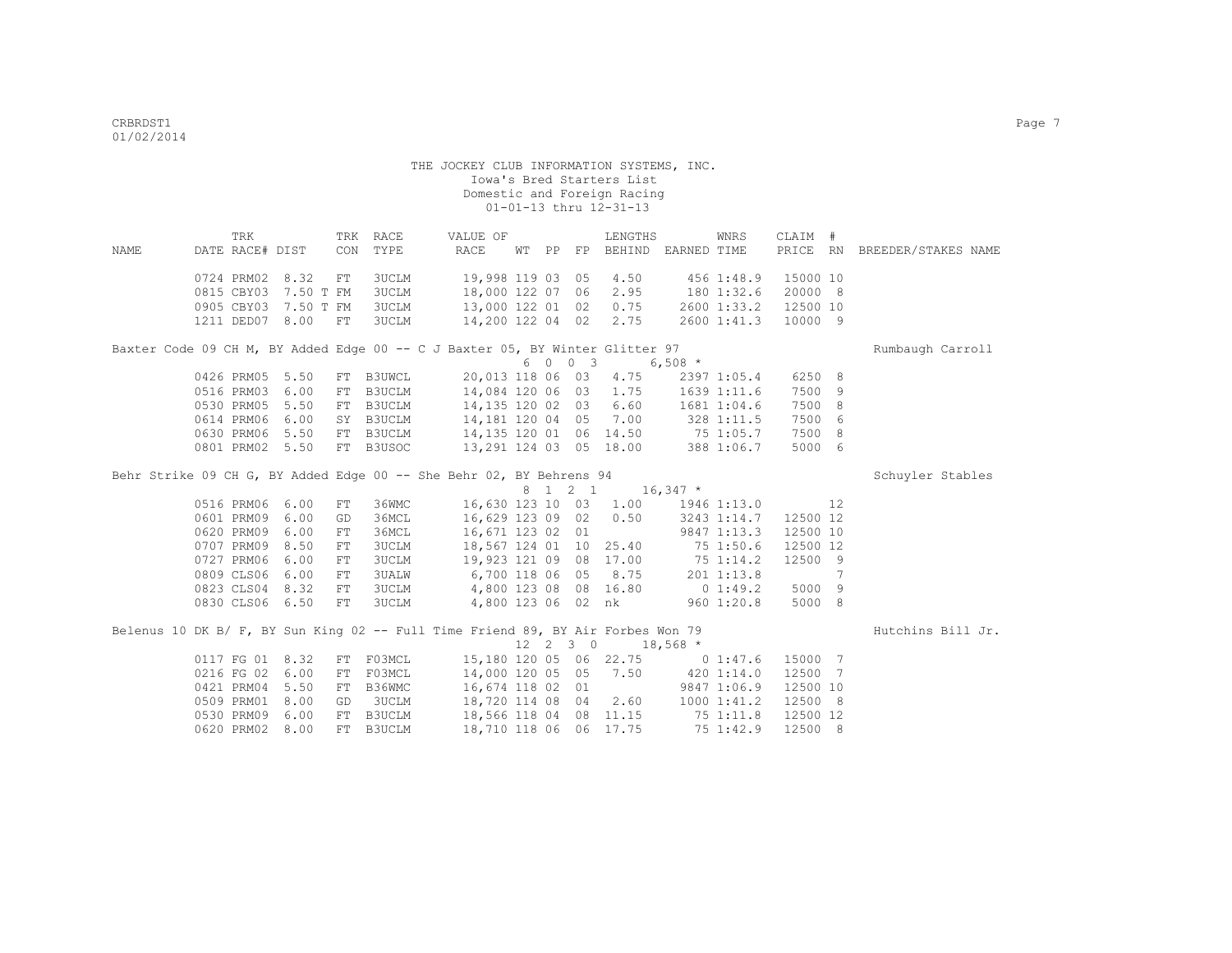| NAME | TRK<br>DATE RACE# DIST                                                          |      | CON        | TRK RACE<br>TYPE | VALUE OF<br>RACE                             |  |                  | LENGTHS<br>WT PP FP BEHIND EARNED TIME |                        | WNRS        | CLAIM #  |   | PRICE RN BREEDER/STAKES NAME |
|------|---------------------------------------------------------------------------------|------|------------|------------------|----------------------------------------------|--|------------------|----------------------------------------|------------------------|-------------|----------|---|------------------------------|
|      |                                                                                 |      |            |                  |                                              |  |                  |                                        |                        |             |          |   |                              |
|      | 0724 PRM02 8.32                                                                 |      | FT         | 3UCLM            | 19,998 119 03 05                             |  |                  | 4.50                                   |                        | 456 1:48.9  | 15000 10 |   |                              |
|      | 0815 CBY03 7.50 T FM                                                            |      |            | <b>3UCLM</b>     | 18,000 122 07 06                             |  |                  | 2.95                                   | 180 1:32.6             |             | 20000 8  |   |                              |
|      | 0905 CBY03 7.50 T FM                                                            |      |            | <b>3UCLM</b>     | 13,000 122 01 02                             |  |                  | 0.75                                   |                        | 2600 1:33.2 | 12500 10 |   |                              |
|      | 1211 DED07 8.00                                                                 |      | FT         | <b>3UCLM</b>     | 14,200 122 04 02                             |  |                  | 2.75                                   |                        | 2600 1:41.3 | 10000 9  |   |                              |
|      | Baxter Code 09 CH M, BY Added Edge 00 -- C J Baxter 05, BY Winter Glitter 97    |      |            |                  |                                              |  |                  |                                        |                        |             |          |   | Rumbaugh Carroll             |
|      |                                                                                 |      |            |                  |                                              |  |                  | $6 \t0 \t0 \t3 \t6.508$ *              |                        |             |          |   |                              |
|      | 0426 PRM05 5.50                                                                 |      |            |                  | FT B3UWCL 20,013 118 06 03                   |  |                  | 4.75                                   |                        | 2397 1:05.4 | 6250 8   |   |                              |
|      | 0516 PRM03 6.00                                                                 |      | FT         | B3UCLM           | 14,084 120 06 03 1.75 1639 1:11.6            |  |                  |                                        |                        |             | 7500 9   |   |                              |
|      | 0530 PRM05                                                                      | 5.50 |            |                  | FT B3UCLM 14,135 120 02 03                   |  |                  |                                        | $6.60$ $1681$ $1:04.6$ |             | 7500 8   |   |                              |
|      | 0614 PRM06                                                                      | 6.00 | SY         | <b>B3UCLM</b>    | 14,181 120 04 05 7.00 328 1:11.5             |  |                  |                                        |                        |             | 7500 6   |   |                              |
|      | 0630 PRM06 5.50                                                                 |      | FT         |                  | B3UCLM 14,135 120 01 06 14.50 75 1:05.7      |  |                  |                                        |                        |             | 7500 8   |   |                              |
|      | 0801 PRM02 5.50                                                                 |      |            |                  | FT B3USOC 13, 291 124 03 05 18.00 388 1:06.7 |  |                  |                                        |                        |             | 5000 6   |   |                              |
|      | Behr Strike 09 CH G, BY Added Edge 00 -- She Behr 02, BY Behrens 94             |      |            |                  |                                              |  |                  |                                        |                        |             |          |   | Schuyler Stables             |
|      |                                                                                 |      |            |                  |                                              |  |                  | 8 1 2 1 16,347 *                       |                        |             |          |   |                              |
|      | 0516 PRM06 6.00                                                                 |      | FT         | 36WMC            |                                              |  |                  | 16,630 123 10 03 1.00 1946 1:13.0      |                        |             | 12       |   |                              |
|      | 0601 PRM09 6.00                                                                 |      | GD         | 36MCL            | 16,629 123 09 02                             |  |                  |                                        | $0.50$ $3243$ $1:14.7$ |             | 12500 12 |   |                              |
|      | 0620 PRM09                                                                      | 6.00 | ${\rm FT}$ | 36MCL            | 16,671 123 02 01                             |  |                  | 9847 1:13.3                            |                        |             | 12500 10 |   |                              |
|      | 0707 PRM09                                                                      | 8.50 | FT         | <b>3UCLM</b>     | 18,567 124 01 10 25.40 75 1:50.6             |  |                  |                                        |                        |             | 12500 12 |   |                              |
|      | 0727 PRM06                                                                      | 6.00 | FT         | <b>3UCLM</b>     | 19,923 121 09 08 17.00 75 1:14.2             |  |                  |                                        |                        |             | 12500 9  |   |                              |
|      | 0809 CLS06                                                                      | 6.00 | ${\rm FT}$ | <b>3UALW</b>     | 6,700 118 06 05                              |  |                  | 8.75                                   | 201 1:13.8             |             |          | 7 |                              |
|      | 0823 CLS04                                                                      | 8.32 | FT         | <b>3UCLM</b>     | 4,800 123 08 08 16.80                        |  |                  |                                        | $0$ 1:49.2             |             | 5000 9   |   |                              |
|      | 0830 CLS06 6.50                                                                 |      | FT         | 3UCLM            | 4,800 123 06 02 nk 960 1:20.8                |  |                  |                                        |                        |             | 5000 8   |   |                              |
|      | Belenus 10 DK B/ F, BY Sun King 02 -- Full Time Friend 89, BY Air Forbes Won 79 |      |            |                  |                                              |  |                  |                                        |                        |             |          |   | Hutchins Bill Jr.            |
|      |                                                                                 |      |            |                  |                                              |  | $12 \t2 \t3 \t0$ |                                        | $18,568$ *             |             |          |   |                              |
|      | 0117 FG 01 8.32                                                                 |      |            |                  | FT F03MCL 15,180 120 05 06 22.75 0 1:47.6    |  |                  |                                        |                        |             | 15000 7  |   |                              |
|      | 0216 FG 02 6.00                                                                 |      | FT         | F03MCL           | 14,000 120 05 05 7.50 420 1:14.0             |  |                  |                                        |                        |             | 12500 7  |   |                              |
|      | 0421 PRM04                                                                      | 5.50 | FT         | B36WMC           | 16,674 118 02 01 9847 1:06.9                 |  |                  |                                        |                        |             | 12500 10 |   |                              |
|      | 0509 PRM01                                                                      | 8.00 | GD         |                  | 3UCLM 18,720 114 08 04                       |  |                  |                                        | $2.60$ $1000$ $1:41.2$ |             | 12500 8  |   |                              |
|      | 0530 PRM09                                                                      | 6.00 | FT         |                  | B3UCLM 18,566 118 04 08 11.15 75 1:11.8      |  |                  |                                        |                        |             | 12500 12 |   |                              |
|      | 0620 PRM02                                                                      | 8.00 |            | FT B3UCLM        |                                              |  |                  | 18,710 118 06 06 17.75                 | 75 1:42.9              |             | 12500 8  |   |                              |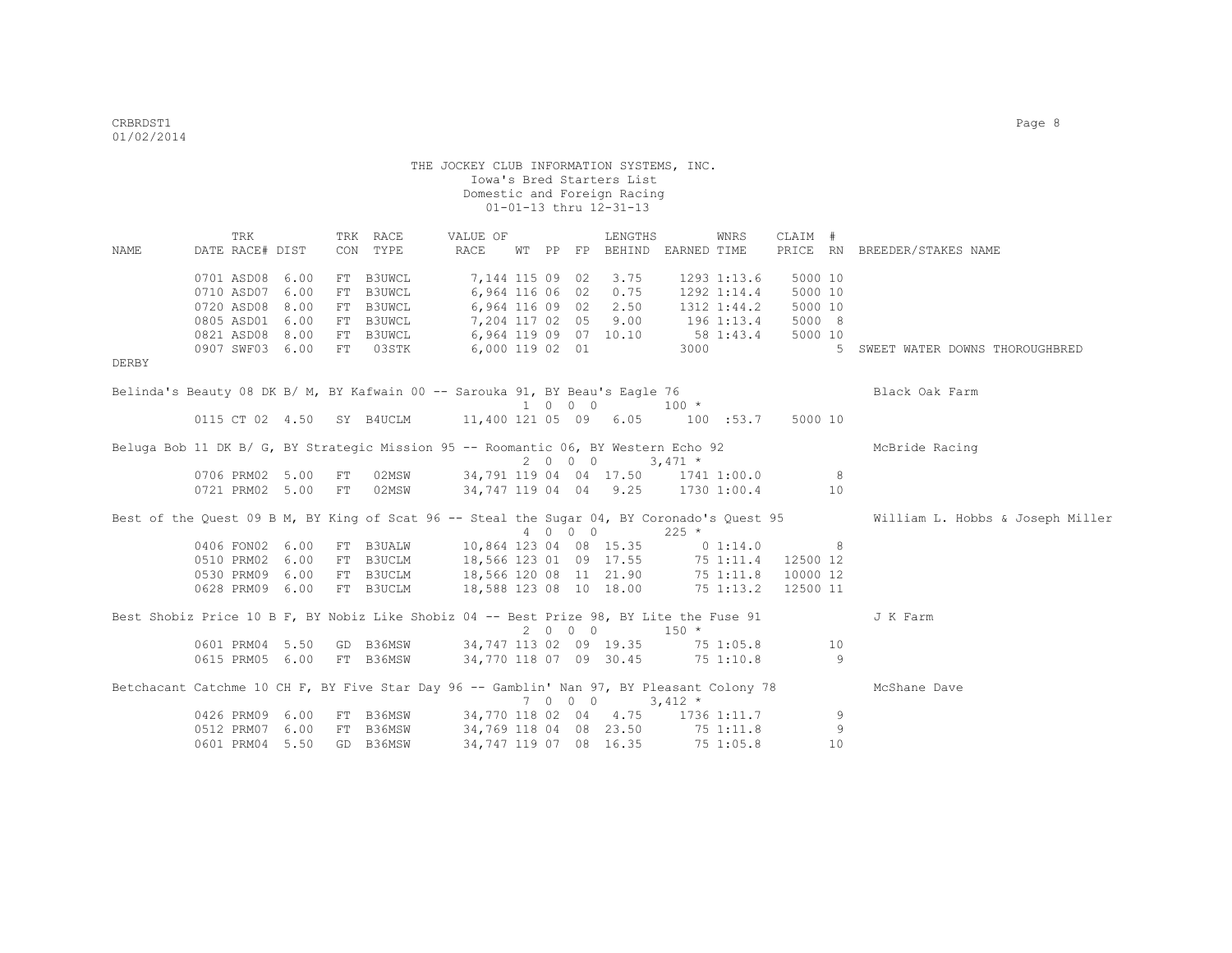|       | TRK                                                                                        |      |    | TRK RACE  | VALUE OF                                                                                 |  |         | LENGTHS                           |           | WNRS         | CLAIM #        |             |                                                                                                        |
|-------|--------------------------------------------------------------------------------------------|------|----|-----------|------------------------------------------------------------------------------------------|--|---------|-----------------------------------|-----------|--------------|----------------|-------------|--------------------------------------------------------------------------------------------------------|
| NAME  | DATE RACE# DIST                                                                            |      |    | CON TYPE  | RACE                                                                                     |  |         | WT PP FP BEHIND EARNED TIME       |           |              | PRICE RN       |             | BREEDER/STAKES NAME                                                                                    |
|       | 0701 ASD08                                                                                 | 6.00 | FT | B3UWCL    | 7,144 115 09 02                                                                          |  |         | 3.75                              |           | 1293 1:13.6  | 5000 10        |             |                                                                                                        |
|       | 0710 ASD07                                                                                 | 6.00 |    | FT B3UWCL | 6,964 116 06 02                                                                          |  |         | 0.75                              |           | 1292 1:14.4  | 5000 10        |             |                                                                                                        |
|       | 0720 ASD08                                                                                 | 8.00 |    | FT B3UWCL | 6,964 116 09 02                                                                          |  |         | 2.50                              |           | 1312 1:44.2  | 5000 10        |             |                                                                                                        |
|       | 0805 ASD01                                                                                 | 6.00 |    | FT B3UWCL | 7,204 117 02 05 9.00                                                                     |  |         |                                   |           | 196 1:13.4   | 5000 8         |             |                                                                                                        |
|       | 0821 ASD08                                                                                 | 8.00 |    | FT B3UWCL | 6,964 119 09 07 10.10                                                                    |  |         |                                   | 58 1:43.4 |              | 5000 10        |             |                                                                                                        |
|       | 0907 SWF03 6.00                                                                            |      |    | FT 03STK  | 6,000 119 02 01                                                                          |  |         |                                   |           | 3000         |                | $5^{\circ}$ | SWEET WATER DOWNS THOROUGHBRED                                                                         |
| DERBY |                                                                                            |      |    |           |                                                                                          |  |         |                                   |           |              |                |             |                                                                                                        |
|       | Belinda's Beauty 08 DK B/ M, BY Kafwain 00 -- Sarouka 91, BY Beau's Eagle 76               |      |    |           |                                                                                          |  |         |                                   |           |              |                |             | Black Oak Farm                                                                                         |
|       |                                                                                            |      |    |           |                                                                                          |  | 1 0 0 0 |                                   |           | $100 \times$ |                |             |                                                                                                        |
|       | 0115 CT 02 4.50 SY B4UCLM 11,400 121 05 09 6.05 100 :53.7                                  |      |    |           |                                                                                          |  |         |                                   |           |              | 5000 10        |             |                                                                                                        |
|       | Beluga Bob 11 DK B/ G, BY Strategic Mission 95 -- Roomantic 06, BY Western Echo 92         |      |    |           |                                                                                          |  |         |                                   |           |              |                |             | McBride Racing                                                                                         |
|       |                                                                                            |      |    |           |                                                                                          |  |         | $2 \t 0 \t 0 \t 0 \t 3,471 \t\t*$ |           |              |                |             |                                                                                                        |
|       | 0706 PRM02 5.00 FT                                                                         |      |    | 02MSW     | 34,791 119 04 04 17.50 1741 1:00.0 8                                                     |  |         |                                   |           |              |                |             |                                                                                                        |
|       | 0721 PRM02 5.00 FT                                                                         |      |    | 02MSW     | 34,747 119 04 04 9.25 1730 1:00.4                                                        |  |         |                                   |           |              |                | 10          |                                                                                                        |
|       | Best of the Quest 09 B M, BY King of Scat 96 -- Steal the Sugar 04, BY Coronado's Quest 95 |      |    |           |                                                                                          |  |         |                                   |           |              |                |             | William L. Hobbs & Joseph Miller                                                                       |
|       |                                                                                            |      |    |           |                                                                                          |  |         | 4 0 0 0                           | $225$ *   |              |                |             |                                                                                                        |
|       | 0406 FON02 6.00                                                                            |      |    |           | FT B3UALW 10,864 123 04 08 15.35 0 1:14.0                                                |  |         |                                   |           |              | 8 <sup>1</sup> |             |                                                                                                        |
|       | 0510 PRM02 6.00                                                                            |      |    |           | FT B3UCLM 18,566 123 01 09 17.55 75 1:11.4 12500 12                                      |  |         |                                   |           |              |                |             |                                                                                                        |
|       | 0530 PRM09 6.00                                                                            |      |    | FT B3UCLM | 18,566 120 08   11   21.90   75   1:11.8<br>18,588   123   08   10   18.00   75   1:11.8 |  |         |                                   |           |              | 10000 12       |             |                                                                                                        |
|       | 0628 PRM09 6.00                                                                            |      |    | FT B3UCLM |                                                                                          |  |         |                                   |           |              | 12500 11       |             |                                                                                                        |
|       | Best Shobiz Price 10 B F, BY Nobiz Like Shobiz 04 -- Best Prize 98, BY Lite the Fuse 91    |      |    |           |                                                                                          |  |         |                                   |           |              |                |             | J K Farm                                                                                               |
|       |                                                                                            |      |    |           |                                                                                          |  |         | $2 \t 0 \t 0 \t 150 \t \star$     |           |              |                |             |                                                                                                        |
|       | 0601 PRM04 5.50                                                                            |      |    |           | GD B36MSW 34,747 113 02 09 19.35 75 1:05.8 10                                            |  |         |                                   |           |              |                |             |                                                                                                        |
|       | 0615 PRM05 6.00 FT B36MSW                                                                  |      |    |           | 34,770 118 07 09 30.45 75 1:10.8                                                         |  |         |                                   |           |              |                | - 9         |                                                                                                        |
|       |                                                                                            |      |    |           |                                                                                          |  |         |                                   |           |              |                |             | Betchacant Catchme 10 CH F, BY Five Star Day 96 -- Gamblin' Nan 97, BY Pleasant Colony 78 McShane Dave |
|       |                                                                                            |      |    |           |                                                                                          |  |         | $7 \t0 \t0 \t0 \t3,412 \t\t*$     |           |              |                |             |                                                                                                        |
|       | 0426 PRM09 6.00                                                                            |      |    |           | FT B36MSW 34,770 118 02 04 4.75 1736 1:11.7                                              |  |         |                                   |           |              |                | 9           |                                                                                                        |
|       | 0512 PRM07 6.00                                                                            |      |    | FT B36MSW | 34,769 118 04 08 23.50 75 1:11.8                                                         |  |         |                                   |           |              |                | 9           |                                                                                                        |
|       | 0601 PRM04 5.50                                                                            |      |    | GD B36MSW |                                                                                          |  |         | 34, 747 119 07 08 16.35           |           | 751:05.8     |                | 10          |                                                                                                        |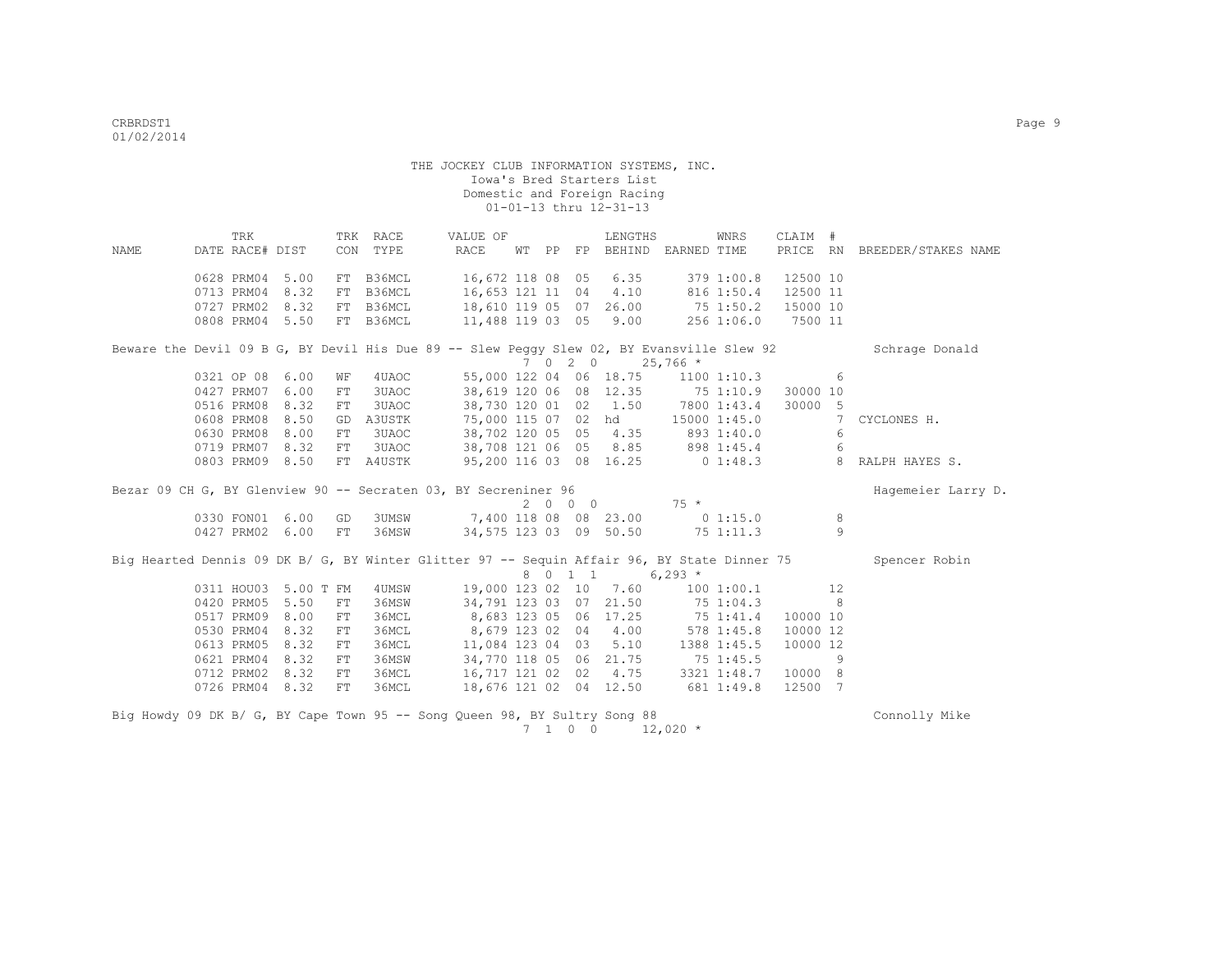|             | TRK                  |      |            | TRK RACE  | VALUE OF                                                                                    |  |                 | LENGTHS                |                                    | WNRS       | CLAIM #  |                |                              |
|-------------|----------------------|------|------------|-----------|---------------------------------------------------------------------------------------------|--|-----------------|------------------------|------------------------------------|------------|----------|----------------|------------------------------|
| <b>NAME</b> | DATE RACE# DIST      |      | CON        | TYPE      | RACE                                                                                        |  |                 |                        | WT PP FP BEHIND EARNED TIME        |            |          |                | PRICE RN BREEDER/STAKES NAME |
|             | 0628 PRM04           | 5.00 |            | FT B36MCL | 16,672 118 08 05                                                                            |  |                 | 6.35                   |                                    | 379 1:00.8 | 12500 10 |                |                              |
|             | 0713 PRM04           | 8.32 |            | FT B36MCL | 16,653 121 11 04                                                                            |  |                 | 4.10                   |                                    | 816 1:50.4 | 12500 11 |                |                              |
|             | 0727 PRM02           | 8.32 |            | FT B36MCL | 18,610 119 05 07                                                                            |  |                 | 26.00                  | 75 1:50.2                          |            | 15000 10 |                |                              |
|             | 0808 PRM04 5.50      |      |            | FT B36MCL | 11,488 119 03 05                                                                            |  |                 | 9.00                   |                                    | 2561:06.0  | 7500 11  |                |                              |
|             |                      |      |            |           | Beware the Devil 09 B G, BY Devil His Due 89 -- Slew Peggy Slew 02, BY Evansville Slew 92   |  |                 |                        |                                    |            |          |                | Schrage Donald               |
|             |                      |      |            |           |                                                                                             |  |                 | 7 0 2 0 25,766 *       |                                    |            |          |                |                              |
|             | 0321 OP 08 6.00      |      | WF         | 4UAOC     |                                                                                             |  |                 |                        | 55,000 122 04 06 18.75 1100 1:10.3 |            |          | 6              |                              |
|             | 0427 PRM07 6.00      |      | ${\rm FT}$ | 3UAOC     |                                                                                             |  |                 | 38,619 120 06 08 12.35 | 75 1:10.9                          |            | 30000 10 |                |                              |
|             | 0516 PRM08 8.32      |      | ${\rm FT}$ | 3UAOC     |                                                                                             |  |                 |                        | 38,730 120 01 02 1.50 7800 1:43.4  |            | 30000 5  |                |                              |
|             | 0608 PRM08           | 8.50 |            | GD A3USTK | 75,000 115 07 02 hd 15000 1:45.0                                                            |  |                 |                        |                                    |            |          | 7              | CYCLONES H.                  |
|             | 0630 PRM08           | 8.00 | ${\rm FT}$ | 3UAOC     | 38,702 120 05 05 4.35                                                                       |  |                 |                        | 893 1:40.0                         |            |          | -6             |                              |
|             | 0719 PRM07 8.32      |      | FT         | 3UAOC     | 38,708 121 06 05 8.85                                                                       |  |                 |                        | 898 1:45.4                         |            |          | 6              |                              |
|             | 0803 PRM09 8.50      |      |            | FT A4USTK | 95,200 116 03 08 16.25                                                                      |  |                 |                        | $0\;1:48.3$                        |            |          | $\overline{8}$ | RALPH HAYES S.               |
|             |                      |      |            |           | Bezar 09 CH G, BY Glenview 90 -- Secraten 03, BY Secreniner 96                              |  |                 |                        |                                    |            |          |                | Hagemeier Larry D.           |
|             |                      |      |            |           |                                                                                             |  | 2000            |                        | $75 *$                             |            |          |                |                              |
|             | 0330 FON01 6.00      |      | GD         |           | 3UMSW 7,400 118 08 08 23.00                                                                 |  |                 |                        | $0\;1:15.0$                        |            |          | 8              |                              |
|             | 0427 PRM02 6.00      |      | FT         | 36MSW     | 34,575 123 03 09 50.50                                                                      |  |                 |                        | $75\ 1:11.3$                       |            |          | $\mathsf{Q}$   |                              |
|             |                      |      |            |           | Big Hearted Dennis 09 DK B/ G, BY Winter Glitter 97 -- Sequin Affair 96, BY State Dinner 75 |  |                 | 8 0 1 1 6,293 *        |                                    |            |          |                | Spencer Robin                |
|             | 0311 HOU03 5.00 T FM |      |            | 4UMSW     |                                                                                             |  |                 | 19,000 123 02 10 7.60  |                                    | 1001:00.1  |          | 12             |                              |
|             | 0420 PRM05           | 5.50 | FT         | 36MSW     |                                                                                             |  |                 | 34,791 123 03 07 21.50 |                                    | 75 1:04.3  |          | - 8            |                              |
|             | 0517 PRM09           | 8.00 | FT         | 36MCL     | 8,683 123 05 06 17.25                                                                       |  |                 |                        | 751:41.4                           |            | 10000 10 |                |                              |
|             | 0530 PRM04           | 8.32 | FT         | 36MCL     | 8,679 123 02 04                                                                             |  |                 | 4.00                   |                                    | 578 1:45.8 | 10000 12 |                |                              |
|             | 0613 PRM05           | 8.32 | ${\rm FT}$ | 36MCL     | 11,084 123 04 03                                                                            |  |                 | 5.10                   | 1388 1:45.5                        |            | 10000 12 |                |                              |
|             | 0621 PRM04           | 8.32 | FT         | 36MSW     | 34,770 118 05 06 21.75                                                                      |  |                 |                        | 75 1:45.5                          |            |          | - 9            |                              |
|             | 0712 PRM02 8.32      |      | FT         | 36MCL     | 16,717 121 02 02 4.75                                                                       |  |                 |                        | 3321 1:48.7                        |            | 10000 8  |                |                              |
|             | 0726 PRM04 8.32      |      | FT         | 36MCL     |                                                                                             |  |                 | 18,676 121 02 04 12.50 | 681 1:49.8                         |            | 12500 7  |                |                              |
|             |                      |      |            |           | Big Howdy 09 DK B/ G, BY Cape Town 95 -- Song Queen 98, BY Sultry Song 88                   |  | $7 \t1 \t0 \t0$ |                        | $12,020$ *                         |            |          |                | Connolly Mike                |
|             |                      |      |            |           |                                                                                             |  |                 |                        |                                    |            |          |                |                              |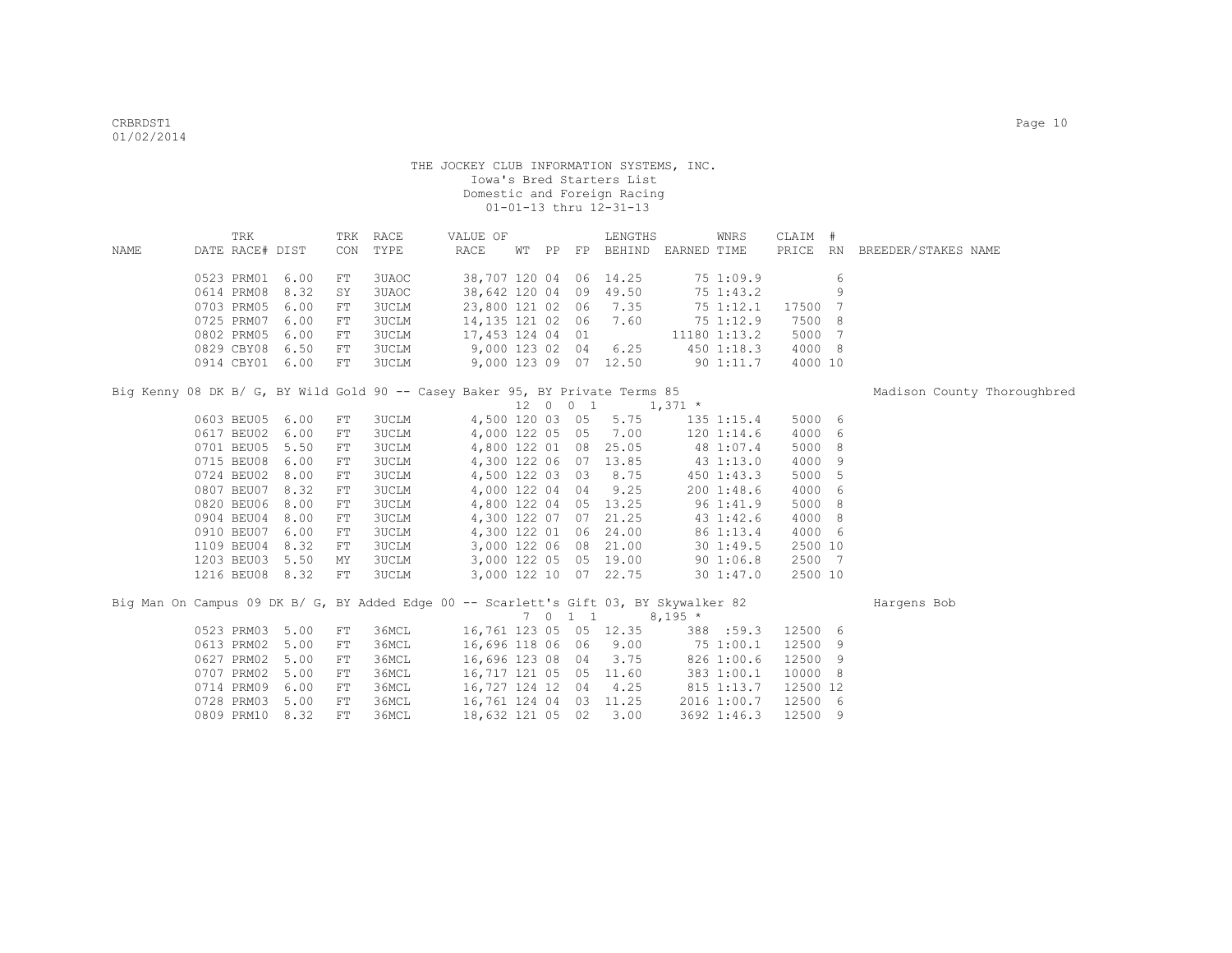|             | TRK                                                                                   |      | TRK        | RACE         | VALUE OF               |  |          | LENGTHS                     |          | WNRS           | CLAIM #  |   |                              |  |
|-------------|---------------------------------------------------------------------------------------|------|------------|--------------|------------------------|--|----------|-----------------------------|----------|----------------|----------|---|------------------------------|--|
| <b>NAME</b> | DATE RACE# DIST                                                                       |      | CON        | TYPE         | RACE                   |  |          | WT PP FP BEHIND EARNED TIME |          |                |          |   | PRICE RN BREEDER/STAKES NAME |  |
|             | 0523 PRM01                                                                            | 6.00 | FT         | 3UAOC        | 38,707 120 04 06 14.25 |  |          |                             |          | 75 1:09.9      |          | 6 |                              |  |
|             | 0614 PRM08                                                                            | 8.32 | SY         | 3UAOC        | 38,642 120 04          |  |          | 09 49.50                    |          | 75 1:43.2      |          | 9 |                              |  |
|             | 0703 PRM05                                                                            | 6.00 | ${\rm FT}$ | 3UCLM        | 23,800 121 02 06       |  |          | 7.35                        |          | 75 1:12.1      | 17500 7  |   |                              |  |
|             | 0725 PRM07                                                                            | 6.00 | FT         | 3UCLM        | 14,135 121 02 06       |  |          | 7.60                        |          | 75 1:12.9      | 7500 8   |   |                              |  |
|             | 0802 PRM05                                                                            | 6.00 | ${\rm FT}$ | 3UCLM        | 17,453 124 04 01       |  |          |                             |          | 11180 1:13.2   | 5000 7   |   |                              |  |
|             | 0829 CBY08                                                                            | 6.50 | FT         | 3UCLM        | 9,000 123 02 04        |  |          | 6.25                        |          | 4501:18.3      | 4000 8   |   |                              |  |
|             | 0914 CBY01 6.00                                                                       |      | FT         | <b>3UCLM</b> |                        |  |          | 9,000 123 09 07 12.50       |          | 901:11.7       | 4000 10  |   |                              |  |
|             | Big Kenny 08 DK B/ G, BY Wild Gold 90 -- Casey Baker 95, BY Private Terms 85          |      |            |              |                        |  |          |                             |          |                |          |   | Madison County Thoroughbred  |  |
|             |                                                                                       |      |            |              |                        |  | 12 0 0 1 | $1,371$ *                   |          |                |          |   |                              |  |
|             | 0603 BEU05 6.00                                                                       |      | FT         | 3UCLM        | 4,500 120 03 05        |  |          | 5.75                        |          | $135$ $1:15.4$ | 5000 6   |   |                              |  |
|             | 0617 BEU02                                                                            | 6.00 | FT         | 3UCLM        | 4,000 122 05 05        |  |          | 7.00                        |          | 120 1:14.6     | 4000 6   |   |                              |  |
|             | 0701 BEU05                                                                            | 5.50 | ${\rm FT}$ | 3UCLM        |                        |  |          | 4,800 122 01 08 25.05       |          | 48 1:07.4      | 5000 8   |   |                              |  |
|             | 0715 BEU08                                                                            | 6.00 | FT         | 3UCLM        |                        |  |          | 4,300 122 06 07 13.85       |          | 43 1:13.0      | 4000 9   |   |                              |  |
|             | 0724 BEU02                                                                            | 8.00 | FT         | <b>3UCLM</b> | 4,500 122 03 03        |  |          | 8.75                        |          | 450 1:43.3     | 5000 5   |   |                              |  |
|             | 0807 BEU07                                                                            | 8.32 | FT         | 3UCLM        | 4,000 122 04           |  | 04       | 9.25                        |          | 2001:48.6      | 4000 6   |   |                              |  |
|             | 0820 BEU06                                                                            | 8.00 | FT         | 3UCLM        | 4,800 122 04           |  |          | 05 13.25                    |          | 96 1:41.9      | 5000 8   |   |                              |  |
|             | 0904 BEU04                                                                            | 8.00 | FT         | 3UCLM        |                        |  |          | 4,300 122 07 07 21.25       |          | 43 1:42.6      | 4000 8   |   |                              |  |
|             | 0910 BEU07                                                                            | 6.00 | FT         | 3UCLM        | 4,300 122 01           |  |          | 06 24.00                    |          | 86 1:13.4      | 4000 6   |   |                              |  |
|             | 1109 BEU04                                                                            | 8.32 | FT         | 3UCLM        | 3,000 122 06           |  |          | 08 21.00                    |          | $30 \t1:49.5$  | 2500 10  |   |                              |  |
|             | 1203 BEU03                                                                            | 5.50 | MΥ         | 3UCLM        |                        |  |          | 3,000 122 05 05 19.00       |          | 90 1:06.8      | 2500 7   |   |                              |  |
|             | 1216 BEU08 8.32                                                                       |      | FT         | 3UCLM        |                        |  |          | 3,000 122 10 07 22.75       |          | $30 \t1:47.0$  | 2500 10  |   |                              |  |
|             | Big Man On Campus 09 DK B/ G, BY Added Edge 00 -- Scarlett's Gift 03, BY Skywalker 82 |      |            |              |                        |  | 7011     |                             | $8,195*$ |                |          |   | Hargens Bob                  |  |
|             | 0523 PRM03 5.00                                                                       |      | FT         | 36MCL        | 16,761 123 05 05 12.35 |  |          |                             |          | 388 :59.3      | 12500 6  |   |                              |  |
|             | 0613 PRM02                                                                            | 5.00 | FT         | 36MCL        | 16,696 118 06 06       |  |          | 9.00                        |          | 75 1:00.1      | 12500 9  |   |                              |  |
|             | 0627 PRM02                                                                            | 5.00 | FT         | 36MCL        | 16,696 123 08 04       |  |          | 3.75                        |          | 826 1:00.6     | 12500 9  |   |                              |  |
|             | 0707 PRM02                                                                            | 5.00 | FT         | 36MCL        | 16,717 121 05 05 11.60 |  |          |                             |          | 383 1:00.1     | 10000 8  |   |                              |  |
|             | 0714 PRM09                                                                            | 6.00 | FT         | 36MCL        | 16,727 124 12 04       |  |          | 4.25                        |          | 815 1:13.7     | 12500 12 |   |                              |  |
|             | 0728 PRM03                                                                            | 5.00 | FT         | 36MCL        | 16,761 124 04 03 11.25 |  |          |                             |          | 2016 1:00.7    | 12500 6  |   |                              |  |
|             | 0809 PRM10                                                                            | 8.32 | FT         | 36MCL        | 18,632 121 05          |  | 02       | 3.00                        |          | 3692 1:46.3    | 12500 9  |   |                              |  |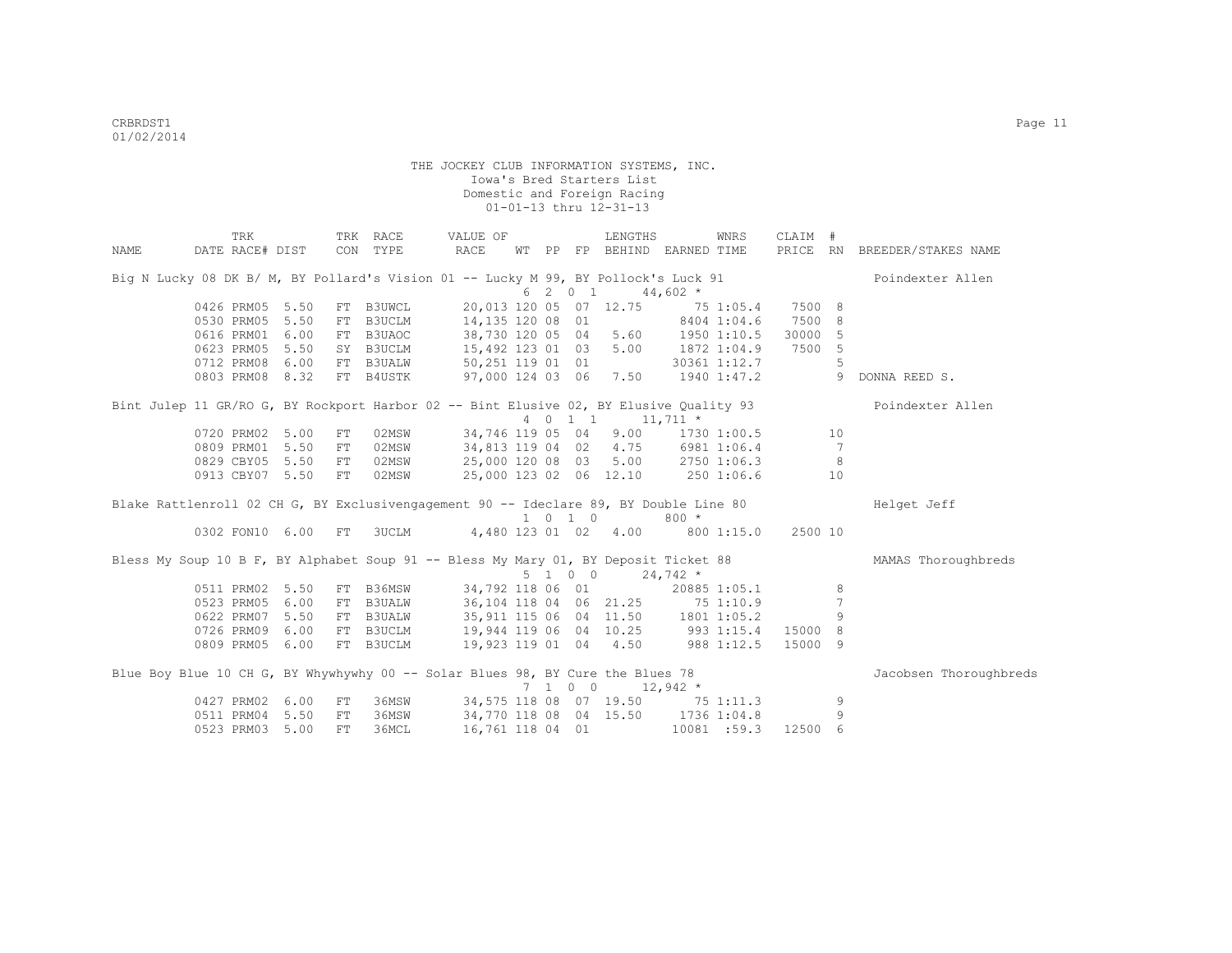|      | TRK                                                                                    |      |            | TRK RACE  | VALUE OF                           |    |          |                    | LENGTHS                           |             | WNRS               | CLAIM # |                |                              |
|------|----------------------------------------------------------------------------------------|------|------------|-----------|------------------------------------|----|----------|--------------------|-----------------------------------|-------------|--------------------|---------|----------------|------------------------------|
| NAME | DATE RACE# DIST                                                                        |      |            | CON TYPE  | RACE                               | WТ | $\rm PP$ |                    | FP BEHIND EARNED TIME             |             |                    |         |                | PRICE RN BREEDER/STAKES NAME |
|      | Big N Lucky 08 DK B/ M, BY Pollard's Vision 01 -- Lucky M 99, BY Pollock's Luck 91     |      |            |           |                                    |    |          |                    |                                   |             |                    |         |                | Poindexter Allen             |
|      |                                                                                        |      |            |           |                                    |    |          | 6 2 0 1            |                                   | $44,602$ *  |                    |         |                |                              |
|      | 0426 PRM05                                                                             | 5.50 |            | FT B3UWCL | 20,013 120 05 07 12.75             |    |          |                    |                                   |             | 75 1:05.4          | 7500 8  |                |                              |
|      | 0530 PRM05                                                                             | 5.50 |            | FT B3UCLM | 14,135 120 08 01                   |    |          |                    |                                   |             | 8404 1:04.6        | 7500 8  |                |                              |
|      | 0616 PRM01                                                                             | 6.00 |            | FT B3UAOC |                                    |    |          |                    | 38,730 120 05 04 5.60 1950 1:10.5 |             |                    | 30000 5 |                |                              |
|      | 0623 PRM05                                                                             | 5.50 |            | SY B3UCLM | 15,492 123 01 03 5.00 1872 1:04.9  |    |          |                    |                                   |             |                    | 7500 5  |                |                              |
|      | 0712 PRM08                                                                             | 6.00 |            | FT B3UALW | 50,251 119 01 01                   |    |          |                    |                                   |             | 30361 1:12.7       |         | 5              |                              |
|      | 0803 PRM08 8.32                                                                        |      |            | FT B4USTK | 97,000 124 03 06 7.50 1940 1:47.2  |    |          |                    |                                   |             |                    |         | 9              | DONNA REED S.                |
|      | Bint Julep 11 GR/RO G, BY Rockport Harbor 02 -- Bint Elusive 02, BY Elusive Quality 93 |      |            |           |                                    |    |          |                    |                                   |             |                    |         |                | Poindexter Allen             |
|      |                                                                                        |      |            |           |                                    |    |          |                    | 4 0 1 1 1,711 *                   |             |                    |         |                |                              |
|      | 0720 PRM02                                                                             | 5.00 | ${\rm FT}$ | 02MSW     | 34,746 119 05 04 9.00              |    |          |                    |                                   |             | 1730 1:00.5        |         | 10             |                              |
|      | 0809 PRM01                                                                             | 5.50 | FT         | 02MSW     | 34,813 119 04 02 4.75              |    |          |                    |                                   |             | 6981 1:06.4        |         | $\overline{7}$ |                              |
|      | 0829 CBY05                                                                             | 5.50 | FT         | 02MSW     | 25,000 120 08 03 5.00 2750 1:06.3  |    |          |                    |                                   |             |                    |         | 8              |                              |
|      | 0913 CBY07 5.50                                                                        |      | FT         | 02MSW     |                                    |    |          |                    | 25,000 123 02 06 12.10 250 1:06.6 |             |                    |         | 10             |                              |
|      | Blake Rattlenroll 02 CH G, BY Exclusivengagement 90 -- Ideclare 89, BY Double Line 80  |      |            |           |                                    |    |          |                    |                                   |             |                    |         |                | Helget Jeff                  |
|      |                                                                                        |      |            |           |                                    |    |          | $1 \t 0 \t 1 \t 0$ |                                   | $800 *$     |                    |         |                |                              |
|      | 0302 FON10 6.00                                                                        |      | FT         |           | 3UCLM 4,480 123 01 02 4.00         |    |          |                    |                                   |             | 800 1:15.0 2500 10 |         |                |                              |
|      | Bless My Soup 10 B F, BY Alphabet Soup 91 -- Bless My Mary 01, BY Deposit Ticket 88    |      |            |           |                                    |    |          |                    |                                   |             |                    |         |                | MAMAS Thoroughbreds          |
|      |                                                                                        |      |            |           |                                    |    |          | 5 1 0 0            | $24,742$ *                        |             |                    |         |                |                              |
|      | 0511 PRM02                                                                             | 5.50 |            | FT B36MSW | 34,792 118 06 01                   |    |          |                    |                                   |             | 20885 1:05.1       |         | 8              |                              |
|      | 0523 PRM05                                                                             | 6.00 |            | FT B3UALW | 36,104 118 04 06 21.25 75 1:10.9   |    |          |                    |                                   |             |                    |         | $\overline{7}$ |                              |
|      | 0622 PRM07                                                                             | 5.50 |            | FT B3UALW | 35,911 115 06 04 11.50 1801 1:05.2 |    |          |                    |                                   |             |                    |         | 9              |                              |
|      | 0726 PRM09                                                                             | 6.00 |            | FT B3UCLM | 19,944 119 06 04 10.25 993 1:15.4  |    |          |                    |                                   |             |                    | 15000 8 |                |                              |
|      | 0809 PRM05 6.00                                                                        |      |            | FT B3UCLM | 19,923 119 01 04 4.50 988 1:12.5   |    |          |                    |                                   |             |                    | 15000 9 |                |                              |
|      | Blue Boy Blue 10 CH G, BY Whywhywhy 00 -- Solar Blues 98, BY Cure the Blues 78         |      |            |           |                                    |    |          |                    |                                   |             |                    |         |                | Jacobsen Thoroughbreds       |
|      |                                                                                        |      |            |           |                                    |    |          | $7 \t1 \t0 \t0$    | $12,942$ *                        |             |                    |         |                |                              |
|      | 0427 PRM02                                                                             | 6.00 | FT         | 36MSW     |                                    |    |          |                    | 34,575 118 08 07 19.50 75 1:11.3  |             |                    |         | 9              |                              |
|      | 0511 PRM04                                                                             | 5.50 | FT         | 36MSW     | 34,770 118 08 04 15.50             |    |          |                    |                                   | 1736 1:04.8 |                    |         | 9              |                              |
|      | 0523 PRM03                                                                             | 5.00 | FT.        | 36MCL     | 16,761 118 04 01                   |    |          |                    |                                   |             | 10081 :59.3        | 12500 6 |                |                              |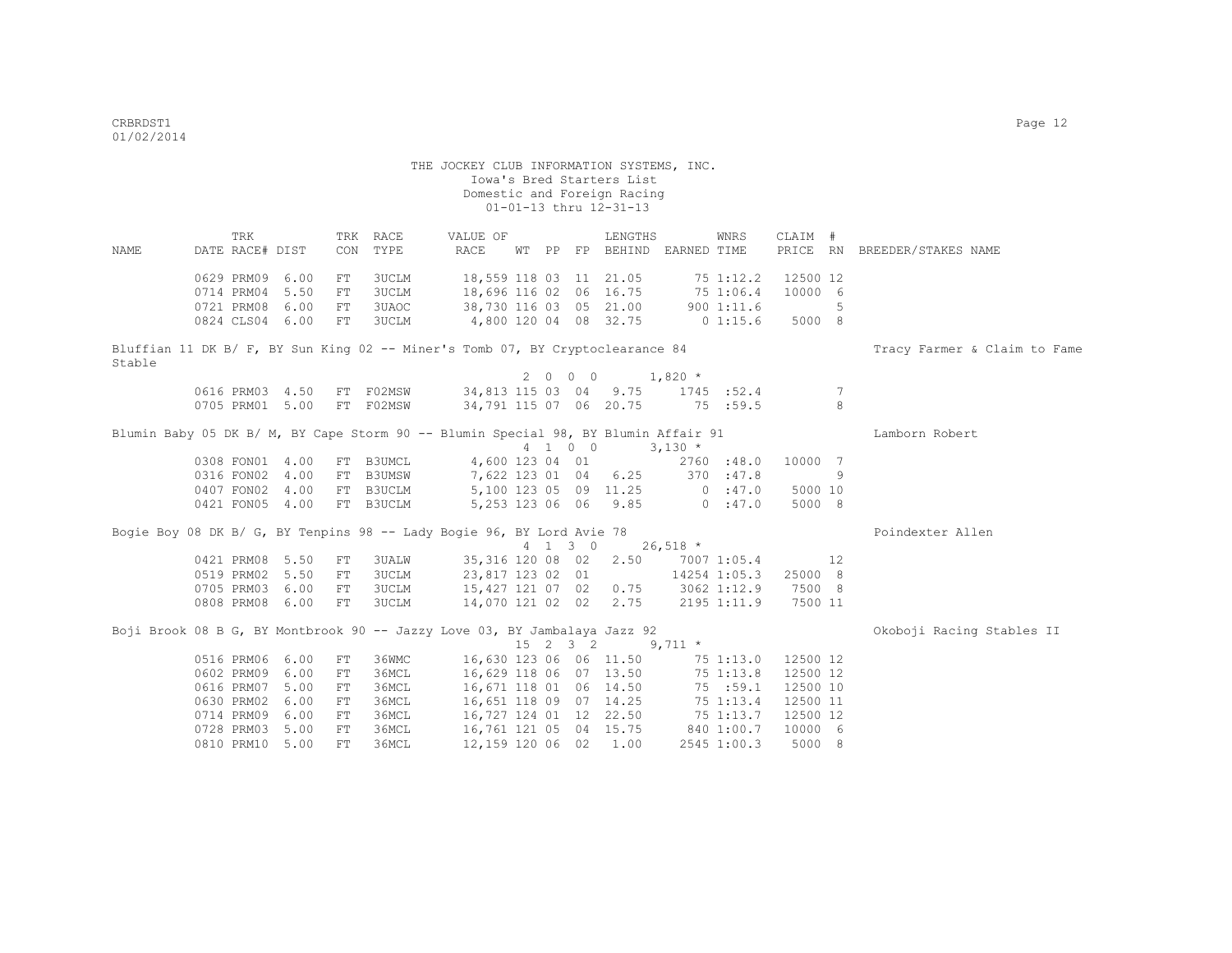|             | <b>TRK</b>                                                                         |      |            | TRK RACE      | VALUE OF                                       |    |    |          | LENGTHS               |            | WNRS         | CLAIM #  |    |                              |
|-------------|------------------------------------------------------------------------------------|------|------------|---------------|------------------------------------------------|----|----|----------|-----------------------|------------|--------------|----------|----|------------------------------|
| <b>NAME</b> | DATE RACE# DIST                                                                    |      | CON        | TYPE          | <b>RACE</b>                                    | WТ | PP |          | FP BEHIND EARNED TIME |            |              |          |    | PRICE RN BREEDER/STAKES NAME |
|             |                                                                                    |      |            |               |                                                |    |    |          |                       |            |              |          |    |                              |
|             | 0629 PRM09                                                                         | 6.00 | FT         | 3UCLM         | 18,559 118 03 11 21.05                         |    |    |          |                       | 751:12.2   |              | 12500 12 |    |                              |
|             | 0714 PRM04                                                                         | 5.50 | FT         | 3UCLM         | 18,696 116 02 06 16.75                         |    |    |          |                       | 75 1:06.4  |              | 10000 6  |    |                              |
|             | 0721 PRM08                                                                         | 6.00 | FT         | 3UAOC         | 38,730 116 03 05 21.00                         |    |    |          |                       |            | 9001:11.6    |          | 5  |                              |
|             | 0824 CLS04 6.00                                                                    |      | FT         | 3UCLM         | 4,800 120 04 08 32.75                          |    |    |          |                       |            | $0\;1:15.6$  | 5000 8   |    |                              |
|             | Bluffian 11 DK B/ F, BY Sun King 02 -- Miner's Tomb 07, BY Cryptoclearance 84      |      |            |               |                                                |    |    |          |                       |            |              |          |    | Tracy Farmer & Claim to Fame |
| Stable      |                                                                                    |      |            |               |                                                |    |    |          |                       |            |              |          |    |                              |
|             |                                                                                    |      |            |               |                                                |    |    | 2000     | $1,820$ *             |            |              |          |    |                              |
|             | 0616 PRM03 4.50                                                                    |      |            | FT FO2MSW     |                                                |    |    |          | 34,813 115 03 04 9.75 |            | 1745 : 52.4  |          | -7 |                              |
|             | 0705 PRM01 5.00                                                                    |      |            | FT F02MSW     | 34,791 115 07 06 20.75                         |    |    |          |                       | 75 :59.5   |              |          | 8  |                              |
|             | Blumin Baby 05 DK B/ M, BY Cape Storm 90 -- Blumin Special 98, BY Blumin Affair 91 |      |            |               |                                                |    |    |          |                       |            |              |          |    | Lamborn Robert               |
|             |                                                                                    |      |            |               |                                                |    |    | 4 1 0 0  |                       | $3,130*$   |              |          |    |                              |
|             | 0308 FON01 4.00                                                                    |      | FT         | B3UMCL        | 4,600 123 04 01                                |    |    |          |                       |            | 2760 :48.0   | 10000 7  |    |                              |
|             | 0316 FON02 4.00                                                                    |      | FT         | <b>B3UMSW</b> |                                                |    |    |          | 7,622 123 01 04 6.25  | 370 : 47.8 |              |          | 9  |                              |
|             | 0407 FON02 4.00                                                                    |      |            | FT B3UCLM     |                                                |    |    |          | 5,100 123 05 09 11.25 |            | 0:47.0       | 5000 10  |    |                              |
|             | 0421 FON05 4.00                                                                    |      |            | FT B3UCLM     |                                                |    |    |          | 5,253 123 06 06 9.85  | 0.147.0    |              | 5000 8   |    |                              |
|             |                                                                                    |      |            |               |                                                |    |    |          |                       |            |              |          |    |                              |
|             | Bogie Boy 08 DK B/ G, BY Tenpins 98 -- Lady Bogie 96, BY Lord Avie 78              |      |            |               |                                                |    |    |          |                       |            |              |          |    | Poindexter Allen             |
|             |                                                                                    |      |            |               |                                                |    |    | 4 1 3 0  |                       | $26,518$ * |              |          |    |                              |
|             | 0421 PRM08 5.50                                                                    |      | ${\rm FT}$ | 3UALW         |                                                |    |    |          | 35,316 120 08 02 2.50 |            | 7007 1:05.4  |          | 12 |                              |
|             | 0519 PRM02 5.50                                                                    |      | FT         | 3UCLM         | 23,817 123 02 01                               |    |    |          |                       |            | 14254 1:05.3 | 25000 8  |    |                              |
|             | 0705 PRM03 6.00                                                                    |      | FT         | 3UCLM         | 15,427 121 07 02 0.75<br>14,070 121 02 02 2.75 |    |    |          |                       |            | 3062 1:12.9  | 7500 8   |    |                              |
|             | 0808 PRM08 6.00                                                                    |      | FT         | 3UCLM         |                                                |    |    |          |                       |            | 2195 1:11.9  | 7500 11  |    |                              |
|             | Boji Brook 08 B G, BY Montbrook 90 -- Jazzy Love 03, BY Jambalaya Jazz 92          |      |            |               |                                                |    |    |          |                       |            |              |          |    | Okoboji Racing Stables II    |
|             |                                                                                    |      |            |               |                                                |    |    | 15 2 3 2 | $9,711$ *             |            |              |          |    |                              |
|             | 0516 PRM06 6.00                                                                    |      | FT         | 36WMC         | 16,630 123 06 06 11.50                         |    |    |          |                       | 75 1:13.0  |              | 12500 12 |    |                              |
|             | 0602 PRM09 6.00                                                                    |      | FT         | 36MCL         | 16,629 118 06 07 13.50                         |    |    |          |                       | 75 1:13.8  |              | 12500 12 |    |                              |
|             | 0616 PRM07 5.00                                                                    |      | FT         | 36MCL         | 16,671 118 01 06 14.50                         |    |    |          |                       |            | 75 :59.1     | 12500 10 |    |                              |
|             | 0630 PRM02 6.00                                                                    |      | FT         | 36MCL         | 16,651 118 09 07 14.25                         |    |    |          |                       | 75 1:13.4  |              | 12500 11 |    |                              |
|             | 0714 PRM09 6.00                                                                    |      | FT         | 36MCL         | 16,727 124 01 12 22.50                         |    |    |          |                       | 75 1:13.7  |              | 12500 12 |    |                              |
|             | 0728 PRM03 5.00                                                                    |      | ${\rm FT}$ | 36MCL         | 16,761 121 05 04 15.75                         |    |    |          |                       |            | 840 1:00.7   | 10000 6  |    |                              |
|             | 0810 PRM10 5.00                                                                    |      | FT         | 36MCL         | 12,159 120 06 02                               |    |    |          | 1.00                  |            | 2545 1:00.3  | 5000 8   |    |                              |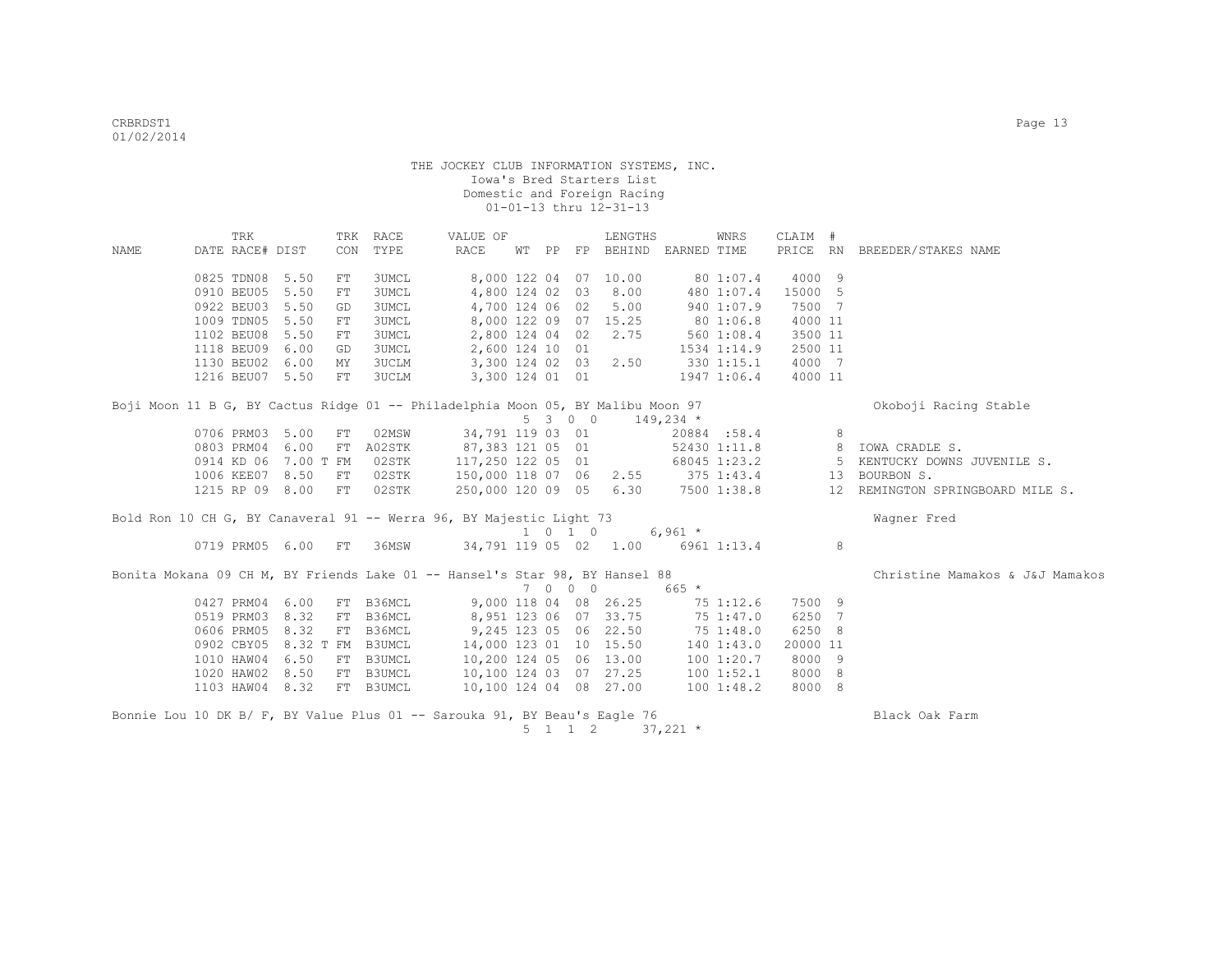|             | TRK                  |      |            | TRK RACE     | VALUE OF                                                                        |  |                    | LENGTHS                     |                       | WNRS         | CLAIM #  |                |                                  |
|-------------|----------------------|------|------------|--------------|---------------------------------------------------------------------------------|--|--------------------|-----------------------------|-----------------------|--------------|----------|----------------|----------------------------------|
| <b>NAME</b> | DATE RACE# DIST      |      | CON        | TYPE         | <b>RACE</b>                                                                     |  |                    | WT PP FP BEHIND EARNED TIME |                       |              |          |                | PRICE RN BREEDER/STAKES NAME     |
|             | 0825 TDN08 5.50      |      | FT         | 3UMCL        | 8,000 122 04                                                                    |  |                    | 07 10.00                    |                       | 80 1:07.4    | 4000 9   |                |                                  |
|             | 0910 BEU05           | 5.50 | ${\rm FT}$ | 3UMCL        | 4,800 124 02                                                                    |  | 03                 | 8.00                        |                       | 480 1:07.4   | 15000 5  |                |                                  |
|             | 0922 BEU03 5.50      |      | GD         | 3UMCL        | 4,700 124 06 02                                                                 |  |                    | 5.00                        |                       | 940 1:07.9   | 7500 7   |                |                                  |
|             | 1009 TDN05           | 5.50 | FT         | 3UMCL        |                                                                                 |  |                    | 8,000 122 09 07 15.25       | 80 1:06.8             |              | 4000 11  |                |                                  |
|             | 1102 BEU08           | 5.50 | FT         | 3UMCL        | 2,800 124 04 02                                                                 |  |                    | 2.75                        |                       | 560 1:08.4   | 3500 11  |                |                                  |
|             | 1118 BEU09           | 6.00 | GD         | 3UMCL        | 2,600 124 10 01                                                                 |  |                    |                             |                       | 1534 1:14.9  | 2500 11  |                |                                  |
|             | 1130 BEU02           | 6.00 | МY         | <b>3UCLM</b> | 3,300 124 02 03                                                                 |  |                    | 2.50                        |                       | 330 1:15.1   | 4000 7   |                |                                  |
|             | 1216 BEU07 5.50      |      | ${\rm FT}$ | 3UCLM        | 3,300 124 01 01                                                                 |  |                    |                             |                       | 1947 1:06.4  | 4000 11  |                |                                  |
|             |                      |      |            |              | Boji Moon 11 B G, BY Cactus Ridge 01 -- Philadelphia Moon 05, BY Malibu Moon 97 |  |                    |                             |                       |              |          |                | Okoboji Racing Stable            |
|             |                      |      |            |              |                                                                                 |  | 5 3 0 0            |                             | $149,234$ *           |              |          |                |                                  |
|             | 0706 PRM03 5.00      |      | ${\rm FT}$ | 02MSW        | 34,791 119 03 01                                                                |  |                    |                             |                       | 20884:58.4   |          | 8              |                                  |
|             | 0803 PRM04 6.00      |      | FT         | A02STK       | 87,383 121 05 01                                                                |  |                    |                             |                       | 52430 1:11.8 |          | 8 <sup>8</sup> | IOWA CRADLE S.                   |
|             | 0914 KD 06 7.00 T FM |      |            | 02STK        | 117,250 122 05 01                                                               |  |                    |                             |                       | 68045 1:23.2 |          | -5             | KENTUCKY DOWNS JUVENILE S.       |
|             | 1006 KEE07 8.50      |      | ${\rm FT}$ | 02STK        | 150,000 118 07 06                                                               |  |                    |                             | $2.55$ $375$ $1:43.4$ |              |          | 13             | BOURBON S.                       |
|             | 1215 RP 09 8.00      |      | FT         | 02STK        |                                                                                 |  |                    | 250,000 120 09 05 6.30      | 7500 1:38.8           |              |          |                | 12 REMINGTON SPRINGBOARD MILE S. |
|             |                      |      |            |              | Bold Ron 10 CH G, BY Canaveral 91 -- Werra 96, BY Majestic Light 73             |  |                    |                             |                       |              |          |                | Wagner Fred                      |
|             |                      |      |            |              |                                                                                 |  | $1 \t 0 \t 1 \t 0$ |                             | $6,961$ *             |              |          |                |                                  |
|             | 0719 PRM05 6.00      |      | FT         | 36MSW        |                                                                                 |  |                    | 34,791 119 05 02 1.00       |                       | 6961 1:13.4  |          | 8              |                                  |
|             |                      |      |            |              | Bonita Mokana 09 CH M, BY Friends Lake 01 -- Hansel's Star 98, BY Hansel 88     |  |                    |                             |                       |              |          |                | Christine Mamakos & J&J Mamakos  |
|             |                      |      |            |              |                                                                                 |  | 7 0 0 0            |                             | 665 *                 |              |          |                |                                  |
|             | 0427 PRM04 6.00      |      |            | FT B36MCL    |                                                                                 |  |                    | 9,000 118 04 08 26.25       |                       | 75 1:12.6    | 7500 9   |                |                                  |
|             | 0519 PRM03           | 8.32 | FT         | B36MCL       |                                                                                 |  |                    | 8,951 123 06 07 33.75       |                       | 75 1:47.0    | 6250 7   |                |                                  |
|             | 0606 PRM05           | 8.32 |            | FT B36MCL    |                                                                                 |  |                    | 9,245 123 05 06 22.50       |                       | 75 1:48.0    | 6250 8   |                |                                  |
|             | 0902 CBY05           |      | 8.32 T FM  | B3UMCL       | 14,000 123 01 10 15.50                                                          |  |                    |                             |                       | 140 1:43.0   | 20000 11 |                |                                  |
|             | 1010 HAW04           | 6.50 |            | FT B3UMCL    | 10,200 124 05 06 13.00                                                          |  |                    |                             |                       | 1001:20.7    | 8000 9   |                |                                  |
|             | 1020 HAW02           | 8.50 |            | FT B3UMCL    | 10,100 124 03 07 27.25                                                          |  |                    |                             |                       | 100 1:52.1   | 8000 8   |                |                                  |
|             | 1103 HAW04 8.32      |      |            | FT B3UMCL    | 10,100 124 04 08 27.00                                                          |  |                    |                             |                       | 1001:48.2    | 8000 8   |                |                                  |
|             |                      |      |            |              | Bonnie Lou 10 DK B/ F, BY Value Plus 01 -- Sarouka 91, BY Beau's Eagle 76       |  |                    |                             |                       |              |          |                | Black Oak Farm                   |
|             |                      |      |            |              |                                                                                 |  | $5 \t1 \t1 \t2$    |                             | $37,221$ *            |              |          |                |                                  |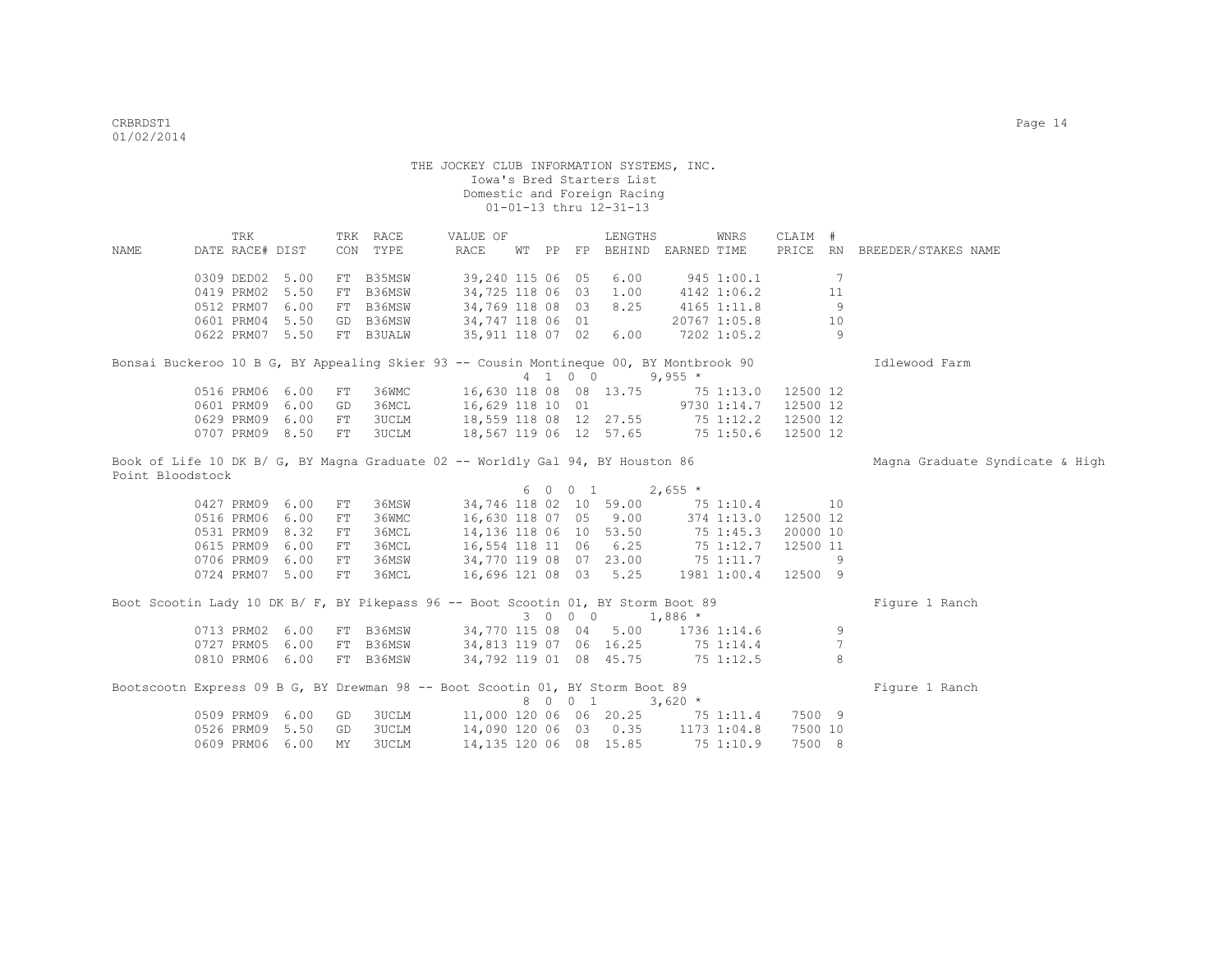TRK TRK RACE VALUE OF LENGTHS WNRS CLAIM # NAME DATE RACE# DIST CON TYPE RACE WT PP FP BEHIND EARNED TIME PRICE RN BREEDER/STAKES NAME 0309 DED02 5.00 FT B35MSW 39,240 115 06 05 6.00 945 1:00.1 7 0419 PRM02 5.50 FT B36MSW 34,725 118 06 03 1.00 4142 1:06.2 11 0512 PRM07 6.00 FT B36MSW 34,769 118 08 03 8.25 4165 1:11.8 9<br>0601 PRM04 5.50 GD B36MSW 34,747 118 06 01 20767 1:05.8 10 0601 PRM04 5.50 GD B36MSW 0622 PRM07 5.50 FT B3UALW 35,911 118 07 02 6.00 7202 1:05.2 9 Bonsai Buckeroo 10 B G, BY Appealing Skier 93 -- Cousin Montineque 00, BY Montbrook 90 Idlewood Farm  $4 \quad 1 \quad 0 \quad 0 \quad 9,955 \star$  0516 PRM06 6.00 FT 36WMC 16,630 118 08 08 13.75 75 1:13.0 12500 12 0601 PRM09 6.00 GD 36MCL 16,629 118 10 01 9730 1:14.7 12500 12<br>0629 PRM09 6.00 FT 3UCLM 18,559 118 08 12 27.55 75 1:12.2 12500 12 0629 PRM09 6.00 FT 3UCLM 18,559 118 08 12 27.55 75 1:12.2 12500 12 0707 PRM09 8.50 FT 3UCLM 18,567 119 06 12 57.65 75 1:50.6 12500 12 Book of Life 10 DK B/ G, BY Magna Graduate 02 -- Worldly Gal 94, BY Houston 86 Magna Graduate Syndicate & High Point Bloodstock 6 0 0 1  $2,655 \star$  0427 PRM09 6.00 FT 36MSW 34,746 118 02 10 59.00 75 1:10.4 10 0516 PRM06 6.00 FT 36WMC 16,630 118 07 05 9.00 374 1:13.0 12500 12<br>0531 PRM09 8.32 FT 36MCL 14,136 118 06 10 53.50 75 1:45.3 20000 10 0531 PRM09 8.32 FT 36MCL 14,136 118 06 10 53.50 75 1:45.3<br>
0615 PRM09 6.00 FT 36MCL 16,554 118 11 06 6.25 75 1:12.7<br>
0706 PRM09 6.00 FT 36MSW 34,770 119 08 07 23.00 75 1:11.7<br>
16 2001 19 08 07 23.00 75 1:11.7 0615 PRM09 6.00 FT 36MCL 16,554 118 11 06 6.25 75 1:12.7 12500 11 0706 PRM09 6.00 FT 36MSW 34,770 119 08 07 23.00 75 1:11.7 9 0724 PRM07 5.00 FT 36MCL 16,696 121 08 03 5.25 1981 1:00.4 12500 9 Boot Scootin Lady 10 DK B/ F, BY Pikepass 96 -- Boot Scootin 01, BY Storm Boot 89 Figure 1 Ranch 3 0 0 0 1,886 \* 0713 PRM02 6.00 FT B36MSW 34,770 115 08 04 5.00 1736 1:14.6 9 0727 PRM05 6.00 FT B36MSW 34,813 119 07 06 16.25 75 1:14.4 7<br>0810 PRM06 6.00 FT B36MSW 34,792 119 01 08 45.75 75 1:12.5 8 0810 PRM06 6.00 FT B36MSW 34,792 119 01 08 45.75 75 1:12.5 8 Bootscootn Express 09 B G, BY Drewman 98 -- Boot Scootin 01, BY Storm Boot 89 Figure 1 Ranch 8 0 0 1 3,620 \* 0509 PRM09 6.00 GD 3UCLM 11,000 120 06 06 20.25 75 1:11.4 7500 9 0526 PRM09 5.50 GD 3UCLM 14,090 120 06 03 0.35 1173 1:04.8 7500 10 0609 PRM06 6.00 MY 3UCLM 14,135 120 06 08 15.85 75 1:10.9 7500 8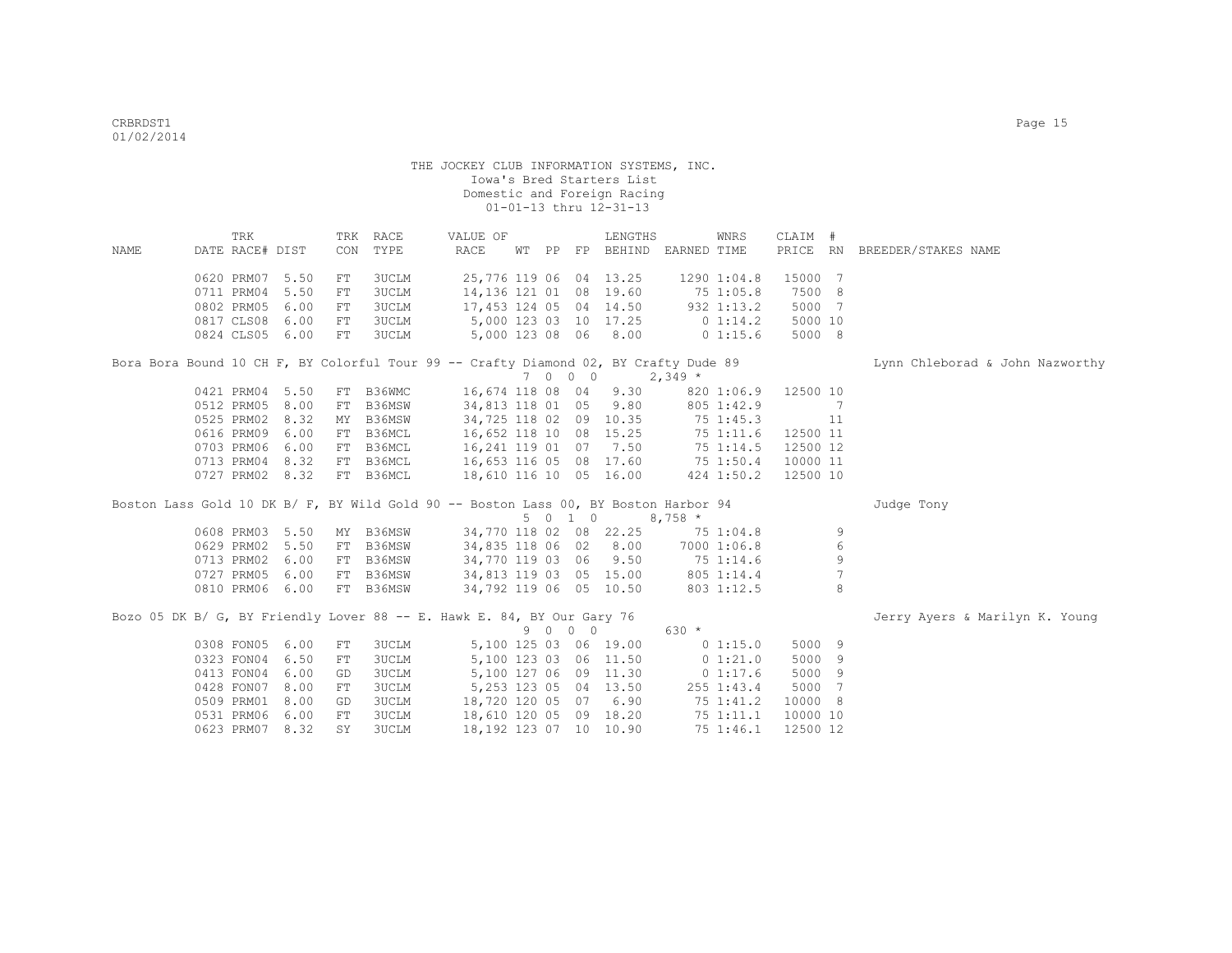| NAME | TRK<br>DATE RACE# DIST |      | CON | TRK RACE<br>TYPE | VALUE OF<br>RACE                                                                     |  |         | LENGTHS                | WT PP FP BEHIND EARNED TIME                                           | WNRS        | CLAIM #  |                 | PRICE RN BREEDER/STAKES NAME    |
|------|------------------------|------|-----|------------------|--------------------------------------------------------------------------------------|--|---------|------------------------|-----------------------------------------------------------------------|-------------|----------|-----------------|---------------------------------|
|      | 0620 PRM07 5.50        |      | FT  | 3UCLM            |                                                                                      |  |         | 25,776 119 06 04 13.25 | 1290 1:04.8                                                           |             | 15000 7  |                 |                                 |
|      | 0711 PRM04 5.50        |      | FT  | 3UCLM            | 14,136 121 01 08 19.60                                                               |  |         |                        | 75 1:05.8                                                             |             | 7500 8   |                 |                                 |
|      | 0802 PRM05             | 6.00 | FT  | 3UCLM            | 17,453 124 05 04 14.50                                                               |  |         |                        |                                                                       | 932 1:13.2  | 5000 7   |                 |                                 |
|      | 0817 CLS08 6.00        |      | FT  | 3UCLM            | 5,000 123 03 10 17.25                                                                |  |         |                        | $0\;1:14.2$                                                           |             | 5000 10  |                 |                                 |
|      | 0824 CLS05 6.00        |      | FT  | 3UCLM            |                                                                                      |  |         | 5,000 123 08 06 8.00   | $0\;1:15.6$                                                           |             | 5000 8   |                 |                                 |
|      |                        |      |     |                  | Bora Bora Bound 10 CH F, BY Colorful Tour 99 -- Crafty Diamond 02, BY Crafty Dude 89 |  |         |                        |                                                                       |             |          |                 | Lynn Chleborad & John Nazworthy |
|      |                        |      |     |                  |                                                                                      |  | 7 0 0 0 | $2,349*$               |                                                                       |             |          |                 |                                 |
|      | 0421 PRM04 5.50        |      |     | FT B36WMC        | 16,674 118 08 04                                                                     |  |         | 9.30                   |                                                                       | 820 1:06.9  | 12500 10 |                 |                                 |
|      | 0512 PRM05 8.00        |      | FT  | B36MSW           | 34,813 118 01 05                                                                     |  |         | 9.80                   |                                                                       | 805 1:42.9  |          | $\overline{7}$  |                                 |
|      | 0525 PRM02 8.32        |      | MY  | B36MSW           |                                                                                      |  |         | 34,725 118 02 09 10.35 |                                                                       | 751:45.3    |          | 11              |                                 |
|      | 0616 PRM09 6.00        |      |     | FT B36MCL        |                                                                                      |  |         | 16,652 118 10 08 15.25 |                                                                       | 751:11.6    | 12500 11 |                 |                                 |
|      | 0703 PRM06 6.00        |      |     | FT B36MCL        |                                                                                      |  |         | 16, 241 119 01 07 7.50 |                                                                       | 75 1:14.5   | 12500 12 |                 |                                 |
|      | 0713 PRM04 8.32        |      |     | FT B36MCL        |                                                                                      |  |         |                        |                                                                       |             | 10000 11 |                 |                                 |
|      | 0727 PRM02 8.32        |      |     | FT B36MCL        |                                                                                      |  |         |                        | 16,653 116 05 08 17.60 75 1:50.4<br>18,610 116 10 05 16.00 424 1:50.2 | 424 1:50.2  | 12500 10 |                 |                                 |
|      |                        |      |     |                  | Boston Lass Gold 10 DK B/ F, BY Wild Gold 90 -- Boston Lass 00, BY Boston Harbor 94  |  |         |                        |                                                                       |             |          |                 | Judge Tony                      |
|      |                        |      |     |                  |                                                                                      |  | 5 0 1 0 |                        | $8,758$ *                                                             |             |          |                 |                                 |
|      | 0608 PRM03 5.50        |      |     | MY B36MSW        | 34,770 118 02 08 22.25                                                               |  |         |                        | 751:04.8                                                              |             |          | 9               |                                 |
|      | 0629 PRM02 5.50        |      |     | FT B36MSW        | 34,835 118 06 02 8.00                                                                |  |         |                        |                                                                       | 7000 1:06.8 |          | 6               |                                 |
|      | 0713 PRM02 6.00        |      |     | FT B36MSW        | 34,770 119 03 06 9.50                                                                |  |         |                        | 75 1:14.6                                                             |             |          | 9               |                                 |
|      | 0727 PRM05             | 6.00 |     | FT B36MSW        | 34,813 119 03 05 15.00                                                               |  |         |                        | 805 1:14.4                                                            |             |          | $7\phantom{.0}$ |                                 |
|      | 0810 PRM06 6.00        |      |     | FT B36MSW        | 34,792 119 06 05 10.50                                                               |  |         |                        |                                                                       | 803 1:12.5  |          | 8               |                                 |
|      |                        |      |     |                  | Bozo 05 DK B/ G, BY Friendly Lover 88 -- E. Hawk E. 84, BY Our Gary 76               |  |         |                        |                                                                       |             |          |                 | Jerry Ayers & Marilyn K. Young  |
|      |                        |      |     |                  |                                                                                      |  | 9 0 0 0 |                        | 630 *                                                                 |             |          |                 |                                 |
|      | 0308 FON05 6.00        |      | FT  | 3UCLM            |                                                                                      |  |         | 5,100 125 03 06 19.00  | 0 1:15.0                                                              |             | 5000 9   |                 |                                 |
|      | 0323 FON04 6.50        |      | FT  | <b>3UCLM</b>     |                                                                                      |  |         | 5,100 123 03 06 11.50  | $0\;1:21.0$                                                           |             | 5000 9   |                 |                                 |
|      | 0413 FON04 6.00        |      | GD  | 3UCLM            |                                                                                      |  |         | 5,100 127 06 09 11.30  |                                                                       | 01:17.6     | 5000 9   |                 |                                 |
|      | 0428 FON07 8.00        |      | FT  | 3UCLM            |                                                                                      |  |         | 5,253 123 05 04 13.50  |                                                                       | 255 1:43.4  | 5000 7   |                 |                                 |
|      | 0509 PRM01             | 8.00 | GD  | 3UCLM            | 18,720 120 05 07 6.90                                                                |  |         |                        |                                                                       | 75 1:41.2   | 10000 8  |                 |                                 |
|      | 0531 PRM06             | 6.00 | FT  | 3UCLM            | 18,610 120 05 09 18.20                                                               |  |         |                        |                                                                       | 75 1:11.1   | 10000 10 |                 |                                 |
|      | 0623 PRM07 8.32        |      | SY  | <b>3UCLM</b>     | 18,192 123 07 10 10.90                                                               |  |         |                        |                                                                       | 75 1:46.1   | 12500 12 |                 |                                 |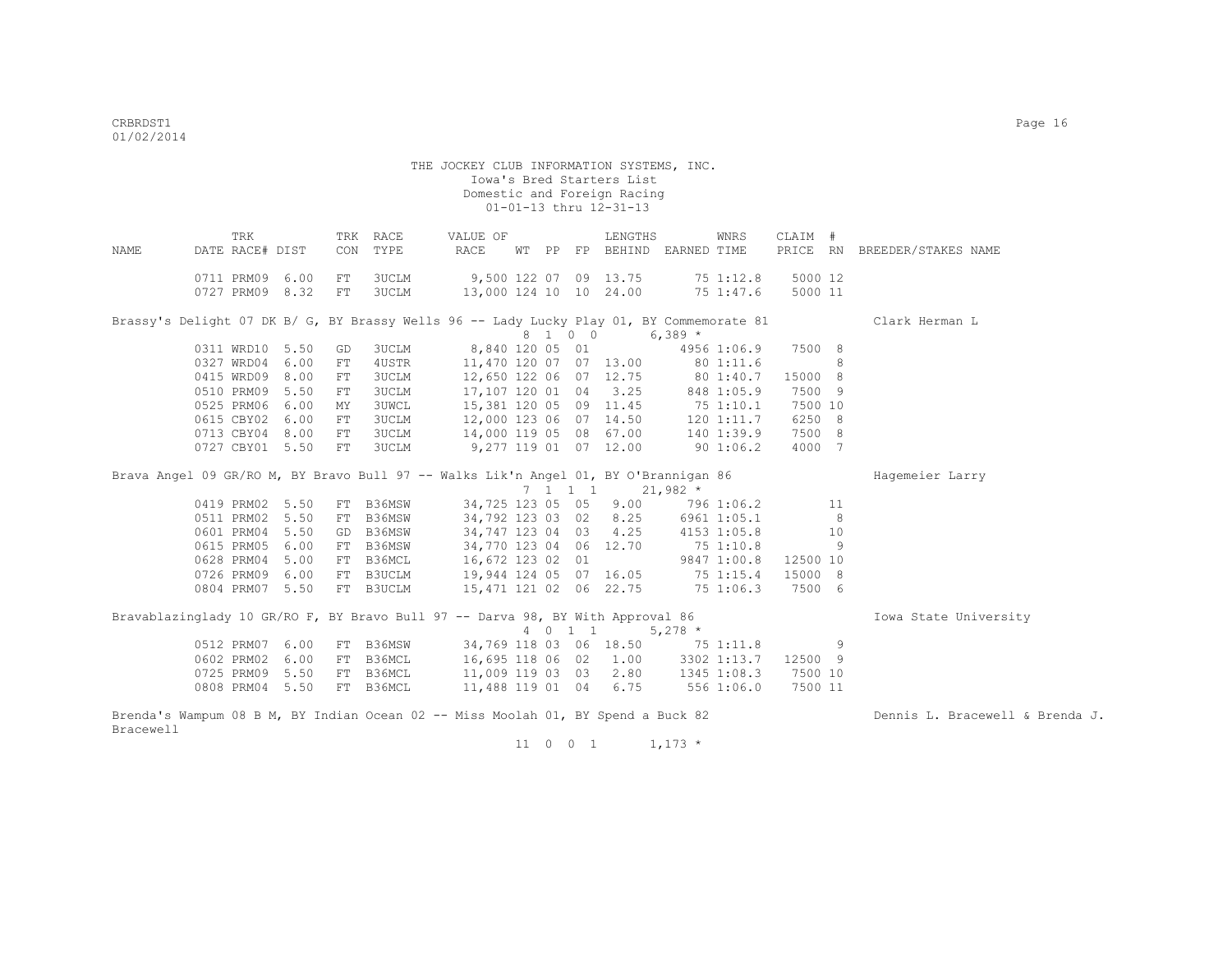| NAME      | TRK<br>DATE RACE# DIST |                           | CON | TRK RACE<br>TYPE                                                                         | VALUE OF<br>RACE                  |  |         | LENGTHS<br>WT PP FP BEHIND EARNED TIME         | WNRS       | CLAIM #  |     | PRICE RN BREEDER/STAKES NAME    |
|-----------|------------------------|---------------------------|-----|------------------------------------------------------------------------------------------|-----------------------------------|--|---------|------------------------------------------------|------------|----------|-----|---------------------------------|
|           |                        |                           |     |                                                                                          |                                   |  |         |                                                |            |          |     |                                 |
|           |                        | 0711 PRM09 6.00           | FT  | 3UCLM                                                                                    | 9,500 122 07 09 13.75 75 1:12.8   |  |         |                                                |            | 5000 12  |     |                                 |
|           |                        | 0727 PRM09 8.32           | FT  | <b>3UCLM</b>                                                                             | 13,000 124 10 10 24.00 75 1:47.6  |  |         |                                                |            | 5000 11  |     |                                 |
|           |                        |                           |     |                                                                                          |                                   |  |         |                                                |            |          |     |                                 |
|           |                        |                           |     | Brassy's Delight 07 DK B/ G, BY Brassy Wells 96 -- Lady Lucky Play 01, BY Commemorate 81 |                                   |  |         |                                                |            |          |     | Clark Herman L                  |
|           |                        |                           |     |                                                                                          |                                   |  | 8 1 0 0 | $6,389$ *                                      |            |          |     |                                 |
|           |                        | 0311 WRD10 5.50           | GD  | 3UCLM                                                                                    | 8,840 120 05 01 4956 1:06.9       |  |         |                                                |            | 7500 8   |     |                                 |
|           |                        | 0327 WRD04 6.00           | FT  | 4USTR                                                                                    | 11,470 120 07 07 13.00 80 1:11.6  |  |         |                                                |            |          | 8   |                                 |
|           |                        | 0415 WRD09 8.00           | FT  | <b>3UCLM</b>                                                                             | 12,650 122 06 07 12.75 80 1:40.7  |  |         |                                                |            | 15000 8  |     |                                 |
|           |                        | 0510 PRM09 5.50           | FT  | <b>3UCLM</b>                                                                             | 17,107 120 01 04 3.25             |  |         |                                                | 848 1:05.9 | 7500 9   |     |                                 |
|           |                        | 0525 PRM06 6.00           | МY  | <b>3UWCL</b>                                                                             | 15,381 120 05 09 11.45 75 1:10.1  |  |         |                                                |            | 7500 10  |     |                                 |
|           |                        | 0615 CBY02 6.00           | FT  | <b>3UCLM</b>                                                                             | 12,000 123 06 07 14.50 120 1:11.7 |  |         |                                                |            | 6250 8   |     |                                 |
|           |                        | 0713 CBY04 8.00           | FT  | <b>3UCLM</b>                                                                             | 14,000 119 05 08 67.00 140 1:39.9 |  |         |                                                |            | 7500 8   |     |                                 |
|           |                        | 0727 CBY01 5.50           | FT  | 3UCLM                                                                                    | 9,277 119 01 07 12.00 90 1:06.2   |  |         |                                                |            | 4000 7   |     |                                 |
|           |                        |                           |     |                                                                                          |                                   |  |         |                                                |            |          |     |                                 |
|           |                        |                           |     | Brava Angel 09 GR/RO M, BY Bravo Bull 97 -- Walks Lik'n Angel 01, BY O'Brannigan 86      |                                   |  |         |                                                |            |          |     | Hagemeier Larry                 |
|           |                        |                           |     |                                                                                          |                                   |  |         | $7 \quad 1 \quad 1 \quad 1 \quad 21,982 \star$ |            |          |     |                                 |
|           |                        | 0419 PRM02 5.50           |     | FT B36MSW                                                                                | 34,725 123 05 05 9.00             |  |         |                                                | 796 1:06.2 |          | 11  |                                 |
|           |                        | 0511 PRM02 5.50           |     | FT B36MSW                                                                                | 34,792 123 03 02 8.25 6961 1:05.1 |  |         |                                                |            |          | - 8 |                                 |
|           |                        | 0601 PRM04 5.50           |     | GD B36MSW                                                                                | 34,747 123 04 03 4.25 4153 1:05.8 |  |         |                                                |            |          | 10  |                                 |
|           | 0615 PRM05             | 6.00                      |     | FT B36MSW                                                                                | 34,770 123 04 06 12.70 75 1:10.8  |  |         |                                                |            |          | 9   |                                 |
|           | 0628 PRM04             | 5.00                      |     | FT B36MCL                                                                                | 16,672 123 02 01                  |  |         | 9847 1:00.8                                    |            | 12500 10 |     |                                 |
|           | 0726 PRM09             | 6.00                      |     | FT B3UCLM                                                                                | 19,944 124 05 07 16.05 75 1:15.4  |  |         |                                                |            | 15000 8  |     |                                 |
|           |                        | 0804 PRM07 5.50           |     | FT B3UCLM                                                                                | 15,471 121 02 06 22.75 75 1:06.3  |  |         |                                                |            | 7500 6   |     |                                 |
|           |                        |                           |     |                                                                                          |                                   |  |         |                                                |            |          |     |                                 |
|           |                        |                           |     | Bravablazinglady 10 GR/RO F, BY Bravo Bull 97 -- Darva 98, BY With Approval 86           |                                   |  |         |                                                |            |          |     | Iowa State University           |
|           |                        |                           |     |                                                                                          |                                   |  |         | 4 0 1 1 5,278 *                                |            |          |     |                                 |
|           |                        | 0512 PRM07 6.00           |     | FT B36MSW 34,769 118 03 06 18.50 75 1:11.8                                               |                                   |  |         |                                                |            | $\sim$ 9 |     |                                 |
|           |                        | 0602 PRM02 6.00           |     | FT B36MCL                                                                                | 16,695 118 06 02 1.00 3302 1:13.7 |  |         |                                                |            | 12500 9  |     |                                 |
|           |                        | 0725 PRM09 5.50 FT B36MCL |     |                                                                                          | 11,009 119 03 03 2.80 1345 1:08.3 |  |         |                                                |            | 7500 10  |     |                                 |
|           |                        | 0808 PRM04 5.50 FT B36MCL |     |                                                                                          | 11,488 119 01 04 6.75 556 1:06.0  |  |         |                                                |            | 7500 11  |     |                                 |
|           |                        |                           |     | Brenda's Wampum 08 B M, BY Indian Ocean 02 -- Miss Moolah 01, BY Spend a Buck 82         |                                   |  |         |                                                |            |          |     | Dennis L. Bracewell & Brenda J. |
| Bracewell |                        |                           |     |                                                                                          |                                   |  |         |                                                |            |          |     |                                 |

 $11 \t 0 \t 0 \t 1 \t 1,173 \t \star$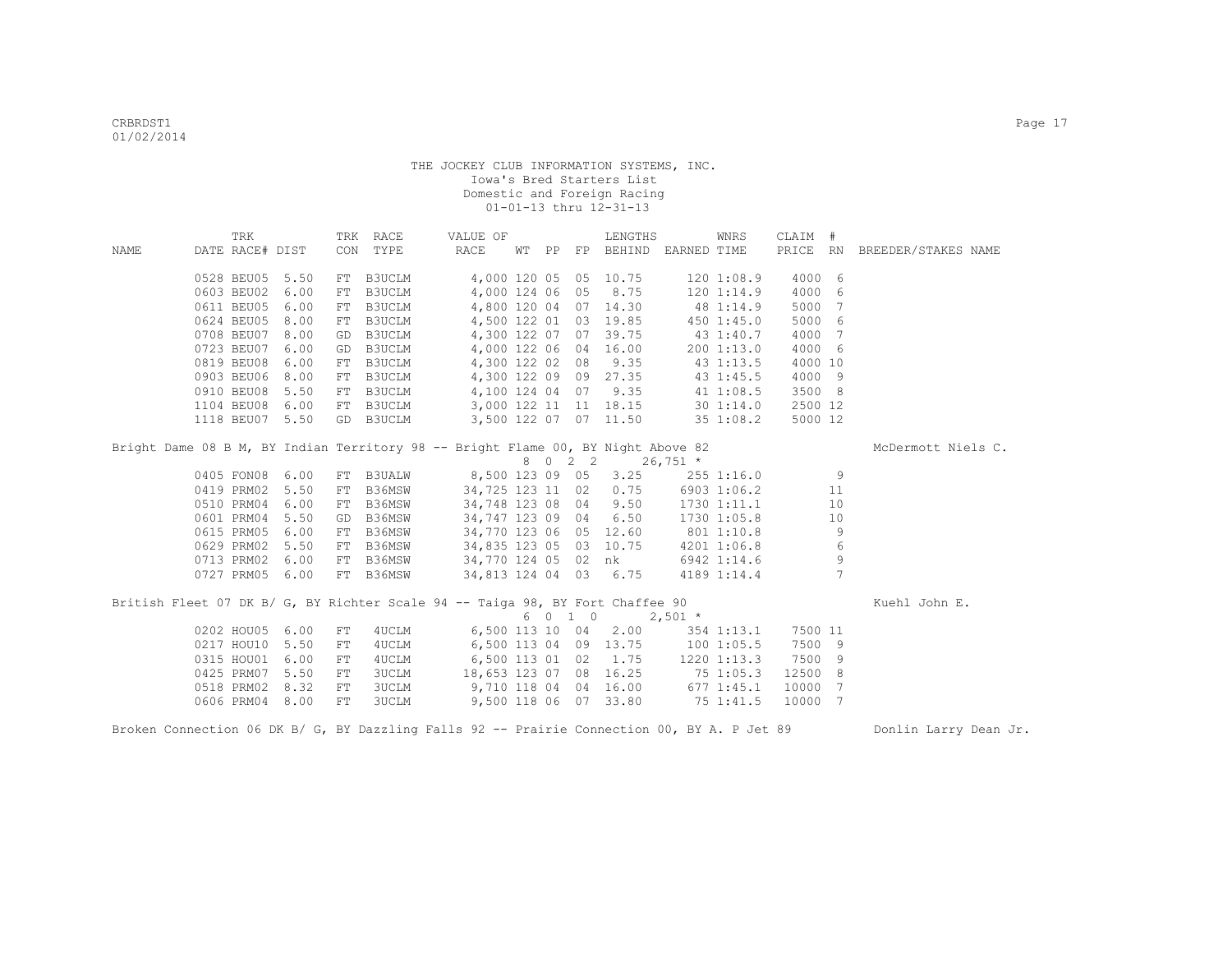|                                                                                             | TRK             |      |     | TRK RACE      | VALUE OF                         |  |         | LENGTHS               |                                 | WNRS        | CLAIM # |                 |                              |
|---------------------------------------------------------------------------------------------|-----------------|------|-----|---------------|----------------------------------|--|---------|-----------------------|---------------------------------|-------------|---------|-----------------|------------------------------|
| NAME                                                                                        | DATE RACE# DIST |      |     | CON TYPE      | RACE                             |  |         |                       | WT PP FP BEHIND EARNED TIME     |             |         |                 | PRICE RN BREEDER/STAKES NAME |
|                                                                                             |                 |      |     |               |                                  |  |         |                       |                                 |             |         |                 |                              |
|                                                                                             | 0528 BEU05 5.50 |      | FT  | B3UCLM        |                                  |  |         | 4,000 120 05 05 10.75 |                                 | 1201:08.9   | 4000 6  |                 |                              |
|                                                                                             | 0603 BEU02      | 6.00 | FT  | <b>B3UCLM</b> |                                  |  |         | 4,000 124 06 05 8.75  | 120 1:14.9                      |             | 4000    | 6               |                              |
|                                                                                             | 0611 BEU05      | 6.00 | FT  | B3UCLM        |                                  |  |         | 4,800 120 04 07 14.30 |                                 | 48 1:14.9   | 5000    | -7              |                              |
|                                                                                             | 0624 BEU05      | 8.00 | FT  | B3UCLM        |                                  |  |         | 4,500 122 01 03 19.85 |                                 | 4501:45.0   | 5000 6  |                 |                              |
|                                                                                             | 0708 BEU07      | 8.00 | GD  | B3UCLM        |                                  |  |         | 4,300 122 07 07 39.75 |                                 | 43 1:40.7   | 4000    | 7               |                              |
|                                                                                             | 0723 BEU07      | 6.00 | GD  | B3UCLM        |                                  |  |         | 4,000 122 06 04 16.00 |                                 | 2001:13.0   | 4000 6  |                 |                              |
|                                                                                             | 0819 BEU08      | 6.00 |     | FT B3UCLM     | 4,300 122 02 08 9.35             |  |         |                       |                                 | 43 1:13.5   | 4000 10 |                 |                              |
|                                                                                             | 0903 BEU06      | 8.00 | FT  | B3UCLM        | 4,300 122 09 09 27.35            |  |         |                       | 43 1:45.5                       |             | 4000 9  |                 |                              |
|                                                                                             | 0910 BEU08      | 5.50 | FT  | B3UCLM        | 4,100 124 04 07 9.35             |  |         |                       |                                 | 41 1:08.5   | 3500 8  |                 |                              |
|                                                                                             | 1104 BEU08      | 6.00 | FT  | B3UCLM        | 3,000 122 11 11 18.15 30 1:14.0  |  |         |                       |                                 |             | 2500 12 |                 |                              |
|                                                                                             | 1118 BEU07      | 5.50 | GD  | B3UCLM        |                                  |  |         | 3,500 122 07 07 11.50 |                                 | 351:08.2    | 5000 12 |                 |                              |
| Bright Dame 08 B M, BY Indian Territory 98 -- Bright Flame 00, BY Night Above 82            |                 |      |     |               |                                  |  |         | 8 0 2 2 26,751 *      |                                 |             |         |                 | McDermott Niels C.           |
|                                                                                             | 0405 FON08 6.00 |      | FT  | <b>B3UALW</b> | 8,500 123 09 05 3.25             |  |         |                       |                                 | 255 1:16.0  |         | 9               |                              |
|                                                                                             | 0419 PRM02 5.50 |      | FT  | B36MSW        | 34,725 123 11 02 0.75            |  |         |                       |                                 | 6903 1:06.2 |         | 11              |                              |
|                                                                                             | 0510 PRM04      | 6.00 | FT  | B36MSW        | 34,748 123 08 04 9.50            |  |         |                       |                                 | 1730 1:11.1 |         | 10              |                              |
|                                                                                             | 0601 PRM04      | 5.50 | GD  | B36MSW        | 34,747 123 09 04 6.50            |  |         |                       |                                 | 1730 1:05.8 |         | 10              |                              |
|                                                                                             | 0615 PRM05      | 6.00 | FT  | B36MSW        | 34,770 123 06 05 12.60           |  |         |                       | 801 1:10.8                      |             |         | 9               |                              |
|                                                                                             | 0629 PRM02      | 5.50 | FT  | B36MSW        | 34,835 123 05 03 10.75           |  |         |                       |                                 | 4201 1:06.8 |         | 6               |                              |
|                                                                                             | 0713 PRM02      | 6.00 | FT  | B36MSW        | 34,770 124 05 02 nk              |  |         |                       |                                 | 6942 1:14.6 |         | 9               |                              |
|                                                                                             | 0727 PRM05 6.00 |      |     | FT B36MSW     | 34,813 124 04 03 6.75            |  |         |                       |                                 | 4189 1:14.4 |         | $7\phantom{.0}$ |                              |
| British Fleet 07 DK B/ G, BY Richter Scale 94 -- Taiga 98, BY Fort Chaffee 90               |                 |      |     |               |                                  |  | 6 0 1 0 |                       | $2,501$ *                       |             |         |                 | Kuehl John E.                |
|                                                                                             | 0202 HOU05 6.00 |      | FT. | 4UCLM         |                                  |  |         |                       | 6,500 113 10 04 2.00 354 1:13.1 |             | 7500 11 |                 |                              |
|                                                                                             | 0217 HOU10 5.50 |      | FT. | 4UCLM         | 6,500 113 04 09 13.75 100 1:05.5 |  |         |                       |                                 |             | 7500 9  |                 |                              |
|                                                                                             | 0315 HOU01      | 6.00 | FT  | 4UCLM         | 6,500 113 01 02 1.75 1220 1:13.3 |  |         |                       |                                 |             | 7500 9  |                 |                              |
|                                                                                             | 0425 PRM07      | 5.50 | FT  | <b>3UCLM</b>  | 18,653 123 07 08 16.25 75 1:05.3 |  |         |                       |                                 |             | 12500 8 |                 |                              |
|                                                                                             | 0518 PRM02 8.32 |      | FT  | 3UCLM         | 9,710 118 04 04 16.00 677 1:45.1 |  |         |                       |                                 |             | 10000 7 |                 |                              |
|                                                                                             | 0606 PRM04 8.00 |      | FT  | 3UCLM         | 9,500 118 06 07 33.80            |  |         |                       | 751:41.5                        |             | 10000 7 |                 |                              |
| Broken Connection 06 DK B/ G, BY Dazzling Falls 92 -- Prairie Connection 00, BY A. P Jet 89 |                 |      |     |               |                                  |  |         |                       |                                 |             |         |                 | Donlin Larry Dean Jr.        |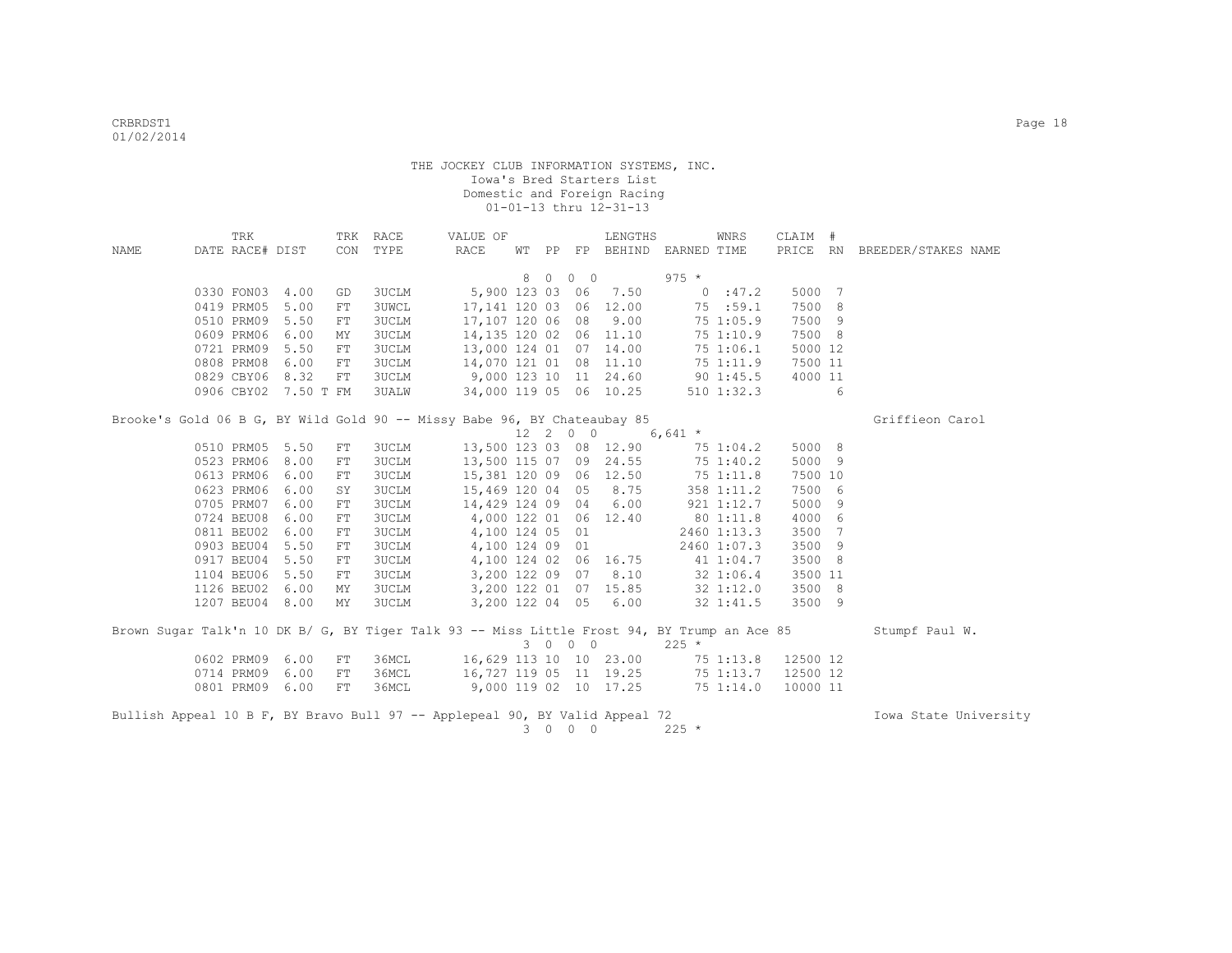|                                                                                                                             |  | TRK             |                      |     | TRK RACE     | VALUE OF                                                                                    |   |         |                  | LENGTHS                |                             | WNRS               | CLAIM #  |     |                              |
|-----------------------------------------------------------------------------------------------------------------------------|--|-----------------|----------------------|-----|--------------|---------------------------------------------------------------------------------------------|---|---------|------------------|------------------------|-----------------------------|--------------------|----------|-----|------------------------------|
| NAME                                                                                                                        |  | DATE RACE# DIST |                      |     | CON TYPE     | RACE                                                                                        |   |         |                  |                        | WT PP FP BEHIND EARNED TIME |                    |          |     | PRICE RN BREEDER/STAKES NAME |
|                                                                                                                             |  |                 |                      |     |              |                                                                                             | 8 | $\circ$ | $0\quad 0$       |                        | $975 *$                     |                    |          |     |                              |
|                                                                                                                             |  | 0330 FON03      | 4.00                 | GD  | 3UCLM        |                                                                                             |   |         |                  | 5,900 123 03 06 7.50   |                             | 0:47.2             | 5000 7   |     |                              |
|                                                                                                                             |  | 0419 PRM05      | 5.00                 | FT  | <b>3UWCL</b> |                                                                                             |   |         |                  | 17,141 120 03 06 12.00 |                             | 75 :59.1           | 7500 8   |     |                              |
|                                                                                                                             |  | 0510 PRM09      | 5.50                 | FT  | 3UCLM        |                                                                                             |   |         |                  | 17,107 120 06 08 9.00  |                             | 75 1:05.9          | 7500 9   |     |                              |
|                                                                                                                             |  | 0609 PRM06      | 6.00                 | MY  | 3UCLM        |                                                                                             |   |         |                  | 14,135 120 02 06 11.10 |                             | 75 1:10.9          | 7500 8   |     |                              |
|                                                                                                                             |  | 0721 PRM09      | 5.50                 | FT  | 3UCLM        | 13,000 124 01 07 14.00                                                                      |   |         |                  |                        |                             | 75 1:06.1          | 5000 12  |     |                              |
|                                                                                                                             |  | 0808 PRM08      | 6.00                 | FT  | 3UCLM        | 14,070 121 01 08 11.10                                                                      |   |         |                  |                        |                             | 75 1:11.9          | 7500 11  |     |                              |
|                                                                                                                             |  | 0829 CBY06      | 8.32                 | FT  | 3UCLM        | 9,000 123 10 11 24.60                                                                       |   |         |                  |                        | $90 \t1:45.5$               |                    | 4000 11  |     |                              |
|                                                                                                                             |  |                 | 0906 CBY02 7.50 T FM |     | <b>3UALW</b> |                                                                                             |   |         |                  | 34,000 119 05 06 10.25 |                             | $510$ $1:32.3$     |          | 6   |                              |
|                                                                                                                             |  |                 |                      |     |              |                                                                                             |   |         |                  |                        |                             |                    |          |     |                              |
|                                                                                                                             |  |                 |                      |     |              | Brooke's Gold 06 B G, BY Wild Gold 90 -- Missy Babe 96, BY Chateaubay 85                    |   |         |                  |                        |                             |                    |          |     | Griffieon Carol              |
|                                                                                                                             |  |                 |                      |     |              |                                                                                             |   |         | $12 \t2 \t0 \t0$ |                        | 6,641 $*$                   |                    |          |     |                              |
|                                                                                                                             |  |                 | 0510 PRM05 5.50      | FT  | <b>3UCLM</b> |                                                                                             |   |         |                  | 13,500 123 03 08 12.90 |                             | 75 1:04.2          | 5000 8   |     |                              |
|                                                                                                                             |  | 0523 PRM06      | 8.00                 | FT  | 3UCLM        | 13,500 115 07 09 24.55 75 1:40.2                                                            |   |         |                  |                        |                             |                    | 5000 9   |     |                              |
|                                                                                                                             |  | 0613 PRM06      | 6.00                 | FT  | 3UCLM        |                                                                                             |   |         |                  | 15,381 120 09 06 12.50 |                             | 75 1:11.8          | 7500 10  |     |                              |
|                                                                                                                             |  | 0623 PRM06      | 6.00                 | SY  | 3UCLM        |                                                                                             |   |         |                  | 15,469 120 04 05 8.75  |                             | 358 1:11.2         | 7500 6   |     |                              |
|                                                                                                                             |  | 0705 PRM07      | 6.00                 | FT  | 3UCLM        |                                                                                             |   |         |                  | 14,429 124 09 04 6.00  |                             | 921 1:12.7         | 5000     | - 9 |                              |
|                                                                                                                             |  | 0724 BEU08      | 6.00                 | FT  | 3UCLM        | 4,000 122 01 06 12.40                                                                       |   |         |                  |                        |                             | 80 1:11.8          | 4000 6   |     |                              |
|                                                                                                                             |  | 0811 BEU02      | 6.00                 | FT  | 3UCLM        | 4,100 124 05 01                                                                             |   |         |                  |                        |                             | 2460 1:13.3        | 3500     | 7   |                              |
|                                                                                                                             |  | 0903 BEU04      | 5.50                 | FT. | 3UCLM        | 4,100 124 09 01                                                                             |   |         |                  |                        |                             | 2460 1:07.3        | 3500     | - 9 |                              |
|                                                                                                                             |  | 0917 BEU04      | 5.50                 | FT  | 3UCLM        |                                                                                             |   |         |                  | 4,100 124 02 06 16.75  |                             | 41 1:04.7          | 3500 8   |     |                              |
|                                                                                                                             |  | 1104 BEU06      | 5.50                 | FT  | 3UCLM        |                                                                                             |   |         |                  | 3,200 122 09 07 8.10   |                             | 32 1:06.4          | 3500 11  |     |                              |
|                                                                                                                             |  | 1126 BEU02      | 6.00                 | MY  | 3UCLM        |                                                                                             |   |         |                  | 3,200 122 01 07 15.85  |                             | 32 1:12.0          | 3500     | - 8 |                              |
|                                                                                                                             |  |                 | 1207 BEU04 8.00      | MY  | 3UCLM        | 3,200 122 04 05                                                                             |   |         |                  | 6.00                   |                             | 32 1:41.5          | 3500 9   |     |                              |
|                                                                                                                             |  |                 |                      |     |              | Brown Sugar Talk'n 10 DK B/ G, BY Tiger Talk 93 -- Miss Little Frost 94, BY Trump an Ace 85 |   |         |                  |                        |                             |                    |          |     | Stumpf Paul W.               |
|                                                                                                                             |  |                 |                      |     |              |                                                                                             |   |         | 3 0 0 0          |                        | $225 *$                     |                    |          |     |                              |
|                                                                                                                             |  | 0602 PRM09      | 6.00                 | FT  | 36MCL        | 16,629 113 10 10 23.00                                                                      |   |         |                  |                        |                             | 75 1:13.8          | 12500 12 |     |                              |
|                                                                                                                             |  | 0714 PRM09      | 6.00                 | FT  | 36MCL        | 16,727 119 05 11 19.25                                                                      |   |         |                  |                        |                             | 75 1:13.7 12500 12 |          |     |                              |
|                                                                                                                             |  |                 | 0801 PRM09 6.00      | FT  | 36MCL        | 9,000 119 02 10 17.25                                                                       |   |         |                  |                        |                             | 75 1:14.0          | 10000 11 |     |                              |
|                                                                                                                             |  |                 |                      |     |              |                                                                                             |   |         |                  |                        |                             |                    |          |     | Iowa State University        |
| Bullish Appeal 10 B F, BY Bravo Bull 97 -- Applepeal 90, BY Valid Appeal 72<br>$0\quad 0$<br>$225 *$<br>3<br>$\overline{0}$ |  |                 |                      |     |              |                                                                                             |   |         |                  |                        |                             |                    |          |     |                              |
|                                                                                                                             |  |                 |                      |     |              |                                                                                             |   |         |                  |                        |                             |                    |          |     |                              |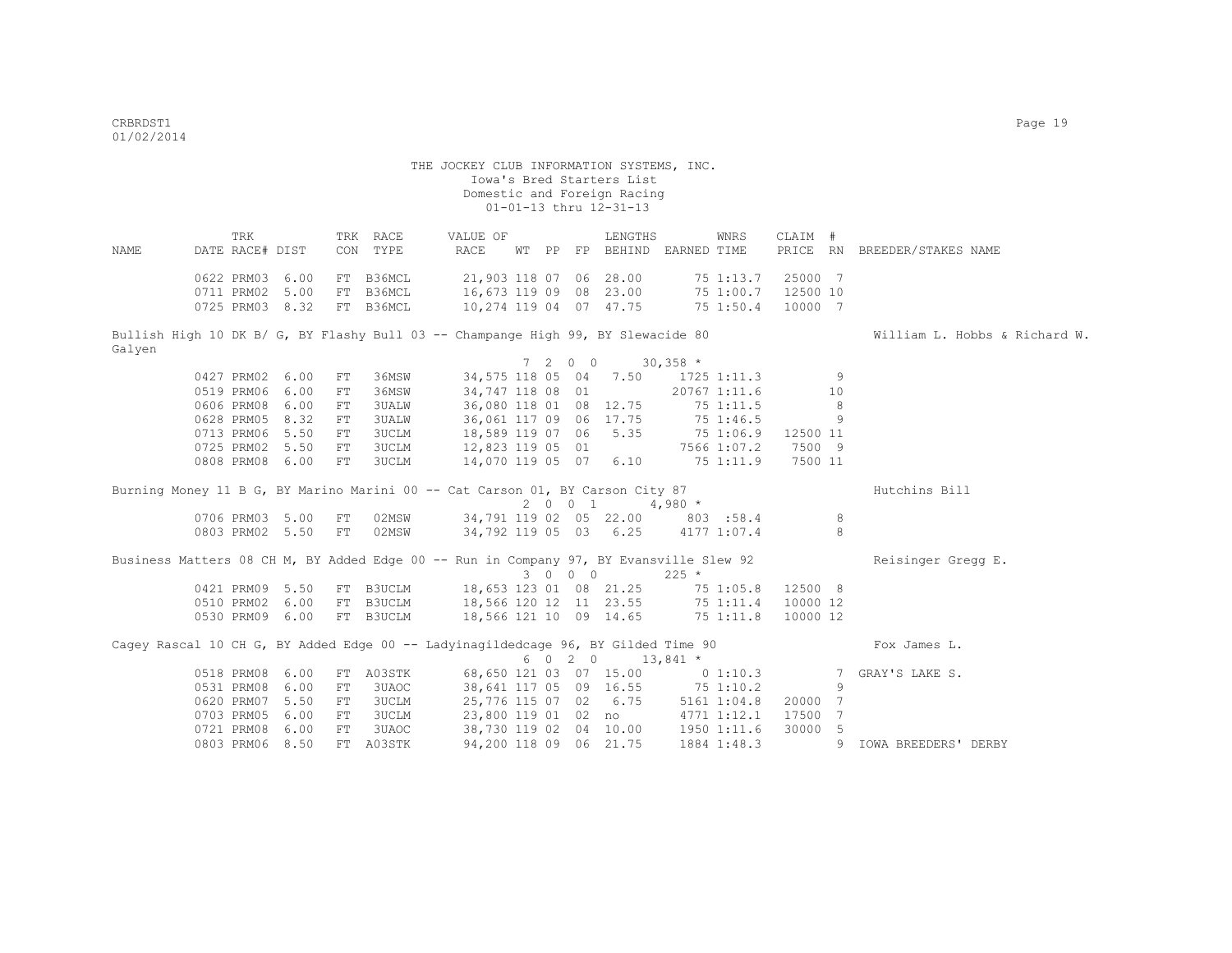TRK TRK RACE VALUE OF LENGTHS WNRS CLAIM # NAME DATE RACE# DIST CON TYPE RACE WT PP FP BEHIND EARNED TIME PRICE RN BREEDER/STAKES NAME 0622 PRM03 6.00 FT B36MCL 21,903 118 07 06 28.00 75 1:13.7 25000 7 0711 PRM02 5.00 FT B36MCL 16,673 119 09 08 23.00 75 1:00.7 12500 10 0725 PRM03 8.32 FT B36MCL 10,274 119 04 07 47.75 75 1:50.4 10000 7 Bullish High 10 DK B/ G, BY Flashy Bull 03 -- Champange High 99, BY Slewacide 80 William L. Hobbs & Richard W. Galyen  $7 \t2 \t0 \t0 \t30.358$ \* 0427 PRM02 6.00 FT 36MSW 34,575 118 05 04 7.50 1725 1:11.3 9

0519 PRM06 6.00 FT 36MSW 34,747 118 08 01 20767 1:11.6 10 0606 PRM08 6.00 FT 3UALW 36,080 118 01 08 12.75 75 1:11.5 8 0628 PRM05 8.32 FT 3UALW 36,061 117 09 06 17.75 75 1:46.5 9 0713 PRM06 5.50 FT 3UCLM 18,589 119 07 06 5.35 75 1:06.9 12500 11 0725 PRM02 5.50 FT 3UCLM 12,823 119 05 01 7566 1:07.2 7500 9 0808 PRM08 6.00 FT 3UCLM 14,070 119 05 07 6.10 75 1:11.9 7500 11 Burning Money 11 B G, BY Marino Marini 00 -- Cat Carson 01, BY Carson City 87 Hutchins Bill  $2$  0 0 1 4,980  $*$ <br>34,791 119 02 05 22.00 803 0706 PRM03 5.00 FT 02MSW 34,791 119 02 05 22.00 803 :58.4 8<br>0803 PRM02 5.50 FT 02MSW 34.792 119 05 03 6.25 4177 1:07.4 8 34,792 119 05 03 6.25 4177 1:07.4 Business Matters 08 CH M, BY Added Edge 00 -- Run in Company 97, BY Evansville Slew 92 Reisinger Gregg E. 3 0 0 0 225 \* 0421 PRM09 5.50 FT B3UCLM 18,653 123 01 08 21.25 75 1:05.8 12500 8 0510 PRM02 6.00 FT B3UCLM 18,566 120 12 11 23.55 75 1:11.4 10000 12 0530 PRM09 6.00 FT B3UCLM 18,566 121 10 09 14.65 75 1:11.8 10000 12 Cagey Rascal 10 CH G, BY Added Edge 00 -- Ladyinagildedcage 96, BY Gilded Time 90 Fox James L.

|  |                 |                           | cadel wascar to ch al bi udded pade oo - hadithadrinedeade ool bi arraed time oo |  |                        |                                  |                     |  | LUA UQINGO II.               |       |
|--|-----------------|---------------------------|----------------------------------------------------------------------------------|--|------------------------|----------------------------------|---------------------|--|------------------------------|-------|
|  |                 |                           |                                                                                  |  |                        | 6 0 2 0 13,841 *                 |                     |  |                              |       |
|  |                 | 0518 PRM08 6.00 FT A03STK |                                                                                  |  |                        | 68,650 121 03 07 15.00 0 1:10.3  |                     |  | 7 GRAY'S LAKE S.             |       |
|  | 0531 PRM08 6.00 | FT 3UAOC                  |                                                                                  |  |                        | 38,641 117 05 09 16.55 75 1:10.2 |                     |  |                              |       |
|  | 0620 PRM07 5.50 | FT 3UCLM                  | 25,776 115 07 02 6.75                                                            |  |                        |                                  | 5161 1:04.8 20000 7 |  |                              |       |
|  |                 | 0703 PRM05 6.00 FT 3UCLM  |                                                                                  |  | 23,800 119 01  02  no  |                                  | 4771 1:12.1 17500 7 |  |                              |       |
|  | 0721 PRM08 6.00 | FT 3UAOC                  | 38,730 119 02 04 10.00                                                           |  |                        |                                  | 1950 1:11.6 30000 5 |  |                              |       |
|  |                 | 0803 PRM06 8.50 FT A03STK |                                                                                  |  | 94,200 118 09 06 21.75 |                                  |                     |  | 1884 1:48.3 9 IOWA BREEDERS' | DERBY |
|  |                 |                           |                                                                                  |  |                        |                                  |                     |  |                              |       |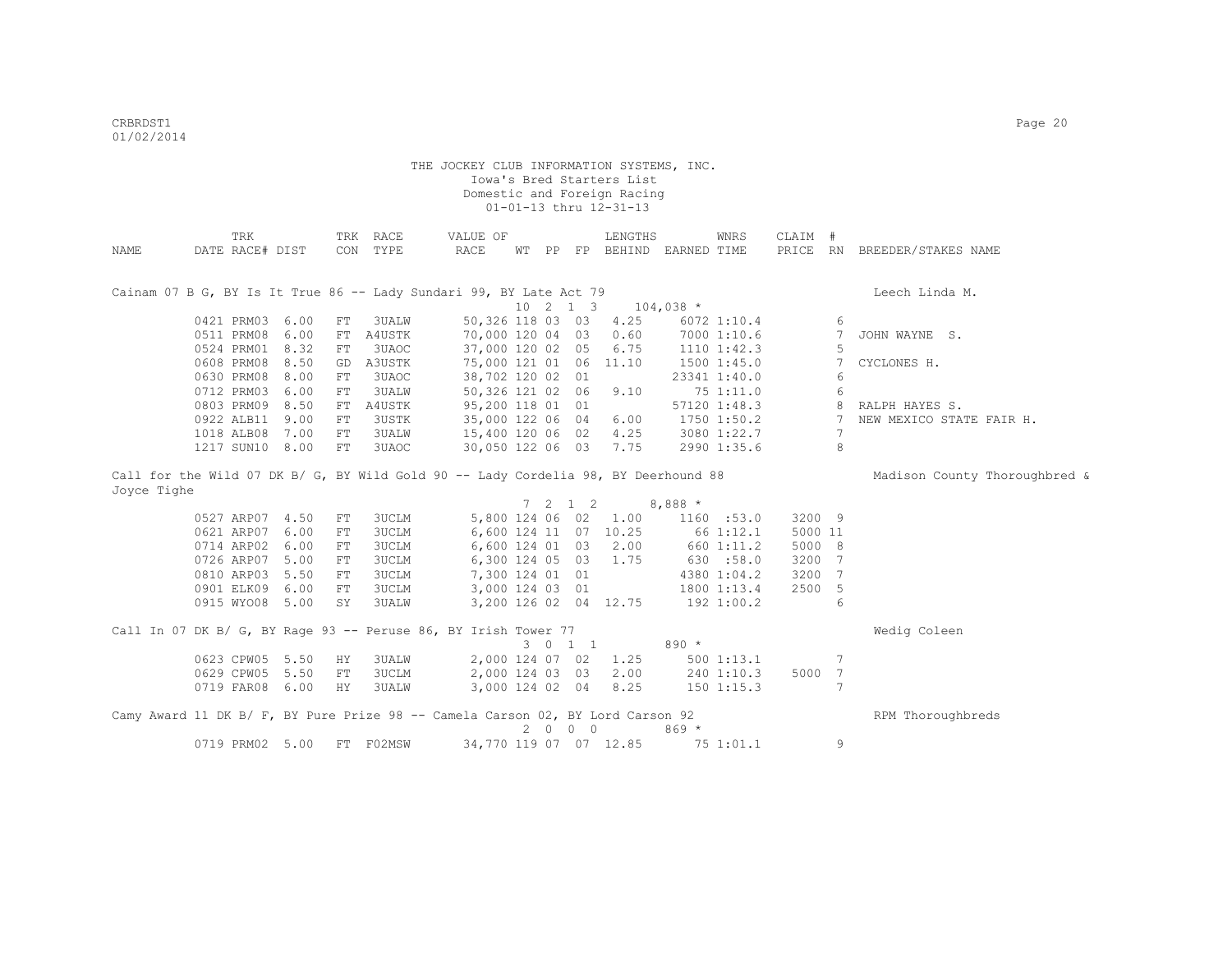|             | TRK             |      |          | TRK RACE                                                                           | VALUE OF         |    |    |                                         | LENGTHS                |             | WNRS            | CLAIM #  |                 |                               |
|-------------|-----------------|------|----------|------------------------------------------------------------------------------------|------------------|----|----|-----------------------------------------|------------------------|-------------|-----------------|----------|-----------------|-------------------------------|
| NAME        | DATE RACE# DIST |      | CON      | TYPE                                                                               | RACE             | WТ | PP |                                         | FP BEHIND EARNED TIME  |             |                 | PRICE RN |                 | BREEDER/STAKES NAME           |
|             |                 |      |          |                                                                                    |                  |    |    |                                         |                        |             |                 |          |                 |                               |
|             |                 |      |          |                                                                                    |                  |    |    |                                         |                        |             |                 |          |                 |                               |
|             |                 |      |          | Cainam 07 B G, BY Is It True 86 -- Lady Sundari 99, BY Late Act 79                 |                  |    |    |                                         |                        |             |                 |          |                 | Leech Linda M.                |
|             |                 |      |          |                                                                                    |                  |    |    | $10 \t2 \t1 \t3$                        |                        | $104,038$ * |                 |          |                 |                               |
|             | 0421 PRM03 6.00 |      | FT       | 3UALW                                                                              | 50,326 118 03 03 |    |    |                                         | 4.25                   |             | 6072 1:10.4     |          | 6               |                               |
|             | 0511 PRM08      | 6.00 | FT       | A4USTK                                                                             | 70,000 120 04 03 |    |    |                                         | 0.60                   |             | 7000 1:10.6     |          | 7               | JOHN WAYNE S.                 |
|             | 0524 PRM01 8.32 |      | FT       | 3UAOC                                                                              | 37,000 120 02 05 |    |    |                                         | 6.75                   |             | $1110$ $1:42.3$ |          | 5               |                               |
|             | 0608 PRM08 8.50 |      | GD       | A3USTK                                                                             | 75,000 121 01 06 |    |    |                                         | 11.10                  |             | 1500 1:45.0     |          | 7               | CYCLONES H.                   |
|             | 0630 PRM08 8.00 |      | FT       | 3UAOC                                                                              | 38,702 120 02 01 |    |    |                                         |                        |             | 23341 1:40.0    |          | 6               |                               |
|             | 0712 PRM03      | 6.00 | FT       | 3UALW                                                                              | 50,326 121 02 06 |    |    |                                         | 9.10                   |             | 75 1:11.0       |          | 6               |                               |
|             | 0803 PRM09 8.50 |      | FT       | A4USTK                                                                             | 95,200 118 01 01 |    |    |                                         |                        |             | 57120 1:48.3    |          | 8               | RALPH HAYES S.                |
|             | 0922 ALB11 9.00 |      | FT       | 3USTK                                                                              | 35,000 122 06 04 |    |    |                                         | 6.00                   |             | 1750 1:50.2     |          | 7               | NEW MEXICO STATE FAIR H.      |
|             | 1018 ALB08 7.00 |      | FT       | 3UALW                                                                              | 15,400 120 06 02 |    |    |                                         | 4.25                   |             | 3080 1:22.7     |          | $7\phantom{.0}$ |                               |
|             | 1217 SUN10 8.00 |      | FT       | 3UAOC                                                                              | 30,050 122 06 03 |    |    |                                         | 7.75                   |             | 2990 1:35.6     |          | 8               |                               |
|             |                 |      |          | Call for the Wild 07 DK B/ G, BY Wild Gold 90 -- Lady Cordelia 98, BY Deerhound 88 |                  |    |    |                                         |                        |             |                 |          |                 |                               |
| Joyce Tighe |                 |      |          |                                                                                    |                  |    |    |                                         |                        |             |                 |          |                 | Madison County Thoroughbred & |
|             |                 |      |          |                                                                                    |                  |    |    | $7 \t2 \t1 \t2$                         |                        | $8,888*$    |                 |          |                 |                               |
|             | 0527 ARP07 4.50 |      | FT       | 3UCLM                                                                              | 5,800 124 06 02  |    |    |                                         | 1.00                   |             | 1160 : 53.0     | 3200 9   |                 |                               |
|             | 0621 ARP07      | 6.00 | FT       | 3UCLM                                                                              |                  |    |    |                                         | 6,600 124 11 07 10.25  |             | 66 1:12.1       | 5000 11  |                 |                               |
|             | 0714 ARP02 6.00 |      |          | 3UCLM                                                                              | 6,600 124 01 03  |    |    |                                         | 2.00                   |             | 660 1:11.2      | 5000 8   |                 |                               |
|             | 0726 ARP07 5.00 |      | FT<br>FT | 3UCLM                                                                              | 6,300 124 05 03  |    |    |                                         | 1.75                   |             | 630 :58.0       | 3200     | $\overline{7}$  |                               |
|             |                 |      |          |                                                                                    |                  |    |    |                                         |                        |             |                 |          |                 |                               |
|             | 0810 ARP03 5.50 |      | FT       | 3UCLM                                                                              | 7,300 124 01 01  |    |    |                                         |                        |             | 4380 1:04.2     | 3200     | -7              |                               |
|             | 0901 ELK09 6.00 |      | FT       | 3UCLM                                                                              | 3,000 124 03 01  |    |    |                                         |                        |             | 1800 1:13.4     | 2500     | -5              |                               |
|             | 0915 WYO08 5.00 |      | SY       | <b>3UALW</b>                                                                       |                  |    |    |                                         | 3,200 126 02 04 12.75  |             | 192 1:00.2      |          | 6               |                               |
|             |                 |      |          | Call In 07 DK B/ G, BY Rage 93 -- Peruse 86, BY Irish Tower 77                     |                  |    |    |                                         |                        |             |                 |          |                 | Wedig Coleen                  |
|             |                 |      |          |                                                                                    |                  |    |    | 3 0 1 1                                 |                        | $890 *$     |                 |          |                 |                               |
|             | 0623 CPW05 5.50 |      | ΗY       | <b>3UALW</b>                                                                       | 2,000 124 07 02  |    |    |                                         | 1.25                   |             | 5001:13.1       |          | 7               |                               |
|             | 0629 CPW05 5.50 |      | FT       | 3UCLM                                                                              | 2,000 124 03 03  |    |    |                                         | 2.00                   |             | 240 1:10.3      | 5000     | 7               |                               |
|             | 0719 FAR08 6.00 |      | HY       | 3UALW                                                                              | 3,000 124 02 04  |    |    |                                         | 8.25                   |             | $150$ $1:15.3$  |          | 7               |                               |
|             |                 |      |          |                                                                                    |                  |    |    |                                         |                        |             |                 |          |                 |                               |
|             |                 |      |          | Camy Award 11 DK B/ F, BY Pure Prize 98 -- Camela Carson 02, BY Lord Carson 92     |                  |    |    |                                         |                        |             |                 |          |                 | RPM Thoroughbreds             |
|             |                 |      |          |                                                                                    |                  | 2  |    | $\begin{matrix} 0 & 0 & 0 \end{matrix}$ |                        | $869*$      |                 |          |                 |                               |
|             | 0719 PRM02 5.00 |      |          | FT F02MSW                                                                          |                  |    |    |                                         | 34,770 119 07 07 12.85 |             | 75 1:01.1       |          | 9               |                               |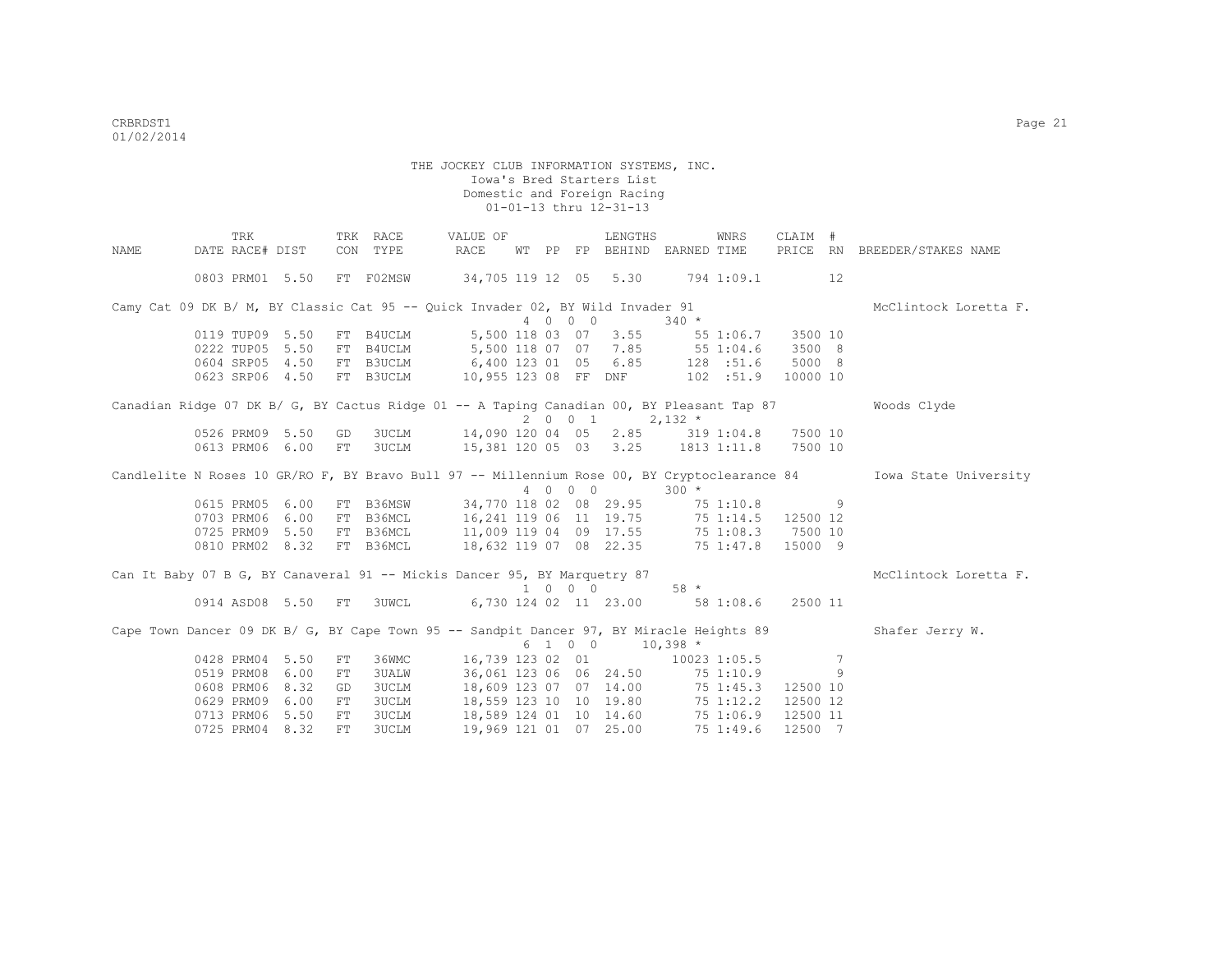|             | TRK                                                                                       |      |    | TRK RACE     | VALUE OF                                      |    |         | LENGTHS                                  |           | WNRS       | CLAIM #  |     |                                                                                                                    |
|-------------|-------------------------------------------------------------------------------------------|------|----|--------------|-----------------------------------------------|----|---------|------------------------------------------|-----------|------------|----------|-----|--------------------------------------------------------------------------------------------------------------------|
| <b>NAME</b> | DATE RACE# DIST                                                                           |      |    | CON TYPE     | RACE                                          | WТ |         | PP FP BEHIND EARNED TIME                 |           |            |          |     | PRICE RN BREEDER/STAKES NAME                                                                                       |
|             | 0803 PRM01 5.50                                                                           |      |    | FT F02MSW    | 34,705 119 12 05 5.30 794 1:09.1              |    |         |                                          |           |            |          | 12  |                                                                                                                    |
|             | Camy Cat 09 DK B/ M, BY Classic Cat 95 -- Quick Invader 02, BY Wild Invader 91            |      |    |              |                                               |    |         |                                          |           |            |          |     | McClintock Loretta F.                                                                                              |
|             |                                                                                           |      |    |              |                                               |    | 4 0 0 0 |                                          | $340 *$   |            |          |     |                                                                                                                    |
|             | 0119 TUP09 5.50                                                                           |      |    | FT B4UCLM    |                                               |    |         | 5,500 118 03 07 3.55                     |           | 55 1:06.7  | 3500 10  |     |                                                                                                                    |
|             | 0222 TUP05                                                                                | 5.50 |    | FT B4UCLM    | 5,500 118 07 07 7.85 55 1:04.6                |    |         |                                          |           |            | 3500 8   |     |                                                                                                                    |
|             | 0604 SRP05 4.50                                                                           |      |    | FT B3UCLM    | 6,400 123 01 05 6.85 128 :51.6                |    |         |                                          |           |            | 5000 8   |     |                                                                                                                    |
|             | 0623 SRP06 4.50                                                                           |      |    |              | FT B3UCLM 10,955 123 08 FF DNF                |    |         |                                          |           | 102 : 51.9 | 10000 10 |     |                                                                                                                    |
|             | Canadian Ridge 07 DK B/ G, BY Cactus Ridge 01 -- A Taping Canadian 00, BY Pleasant Tap 87 |      |    |              |                                               |    |         |                                          |           |            |          |     | Woods Clyde                                                                                                        |
|             |                                                                                           |      |    |              |                                               |    |         | 2 0 0 1                                  | $2,132$ * |            |          |     |                                                                                                                    |
|             | 0526 PRM09                                                                                | 5.50 | GD | <b>3UCLM</b> | 14,090 120 04 05 2.85 319 1:04.8 7500 10      |    |         |                                          |           |            |          |     |                                                                                                                    |
|             | 0613 PRM06                                                                                | 6.00 | FT | 3UCLM        | 15,381 120 05 03 3.25 1813 1:11.8 7500 10     |    |         |                                          |           |            |          |     |                                                                                                                    |
|             |                                                                                           |      |    |              |                                               |    | 4 0 0 0 |                                          | $300 *$   |            |          |     | Candlelite N Roses 10 GR/RO F, BY Bravo Bull 97 -- Millennium Rose 00, BY Cryptoclearance 84 Towa State University |
|             | 0615 PRM05                                                                                | 6.00 |    | FT B36MSW    | 34,770 118 02 08 29.95 75 1:10.8              |    |         |                                          |           |            |          |     |                                                                                                                    |
|             | 0703 PRM06                                                                                | 6.00 |    | FT B36MCL    | 16, 241 119 06 11 19.75 75 1:14.5             |    |         |                                          |           |            | 12500 12 |     |                                                                                                                    |
|             | 0725 PRM09 5.50                                                                           |      |    | FT B36MCL    |                                               |    |         | 11,009 119 04 09 17.55 75 1:08.3         |           |            | 7500 10  |     |                                                                                                                    |
|             | 0810 PRM02 8.32                                                                           |      |    | FT B36MCL    |                                               |    |         | 18,632 119 07 08 22.35 75 1:47.8 15000 9 |           |            |          |     |                                                                                                                    |
|             | Can It Baby 07 B G, BY Canaveral 91 -- Mickis Dancer 95, BY Marquetry 87                  |      |    |              |                                               |    |         |                                          |           |            |          |     | McClintock Loretta F.                                                                                              |
|             |                                                                                           |      |    |              |                                               |    | 1000    |                                          | $58 *$    |            |          |     |                                                                                                                    |
|             | 0914 ASD08 5.50 FT                                                                        |      |    |              | 3UWCL 6,730 124 02 11 23.00 58 1:08.6 2500 11 |    |         |                                          |           |            |          |     |                                                                                                                    |
|             | Cape Town Dancer 09 DK B/ G, BY Cape Town 95 -- Sandpit Dancer 97, BY Miracle Heights 89  |      |    |              |                                               |    |         |                                          |           |            |          |     | Shafer Jerry W.                                                                                                    |
|             |                                                                                           |      |    |              |                                               |    | 6 1 0 0 | $10,398$ *                               |           |            |          |     |                                                                                                                    |
|             | 0428 PRM04                                                                                | 5.50 | FT | 36WMC        | 16,739 123 02 01                              |    |         | $10023$ 1:05.5                           |           |            |          | 7   |                                                                                                                    |
|             | 0519 PRM08                                                                                | 6.00 | FT | <b>3UALW</b> |                                               |    |         | 36,061 123 06 06 24.50                   |           | 75 1:10.9  |          | - 9 |                                                                                                                    |
|             | 0608 PRM06                                                                                | 8.32 | GD | 3UCLM        |                                               |    |         | 18,609 123 07 07 14.00 75 1:45.3         |           |            | 12500 10 |     |                                                                                                                    |
|             | 0629 PRM09                                                                                | 6.00 | FT | 3UCLM        |                                               |    |         | 18,559 123 10 10 19.80 75 1:12.2         |           |            | 12500 12 |     |                                                                                                                    |
|             | 0713 PRM06                                                                                | 5.50 | FT | 3UCLM        |                                               |    |         | 18,589 124 01 10 14.60 75 1:06.9         |           |            | 12500 11 |     |                                                                                                                    |
|             | 0725 PRM04 8.32                                                                           |      | FT | 3UCLM        | 19,969 121 01 07 25.00                        |    |         |                                          |           | 75 1:49.6  | 12500 7  |     |                                                                                                                    |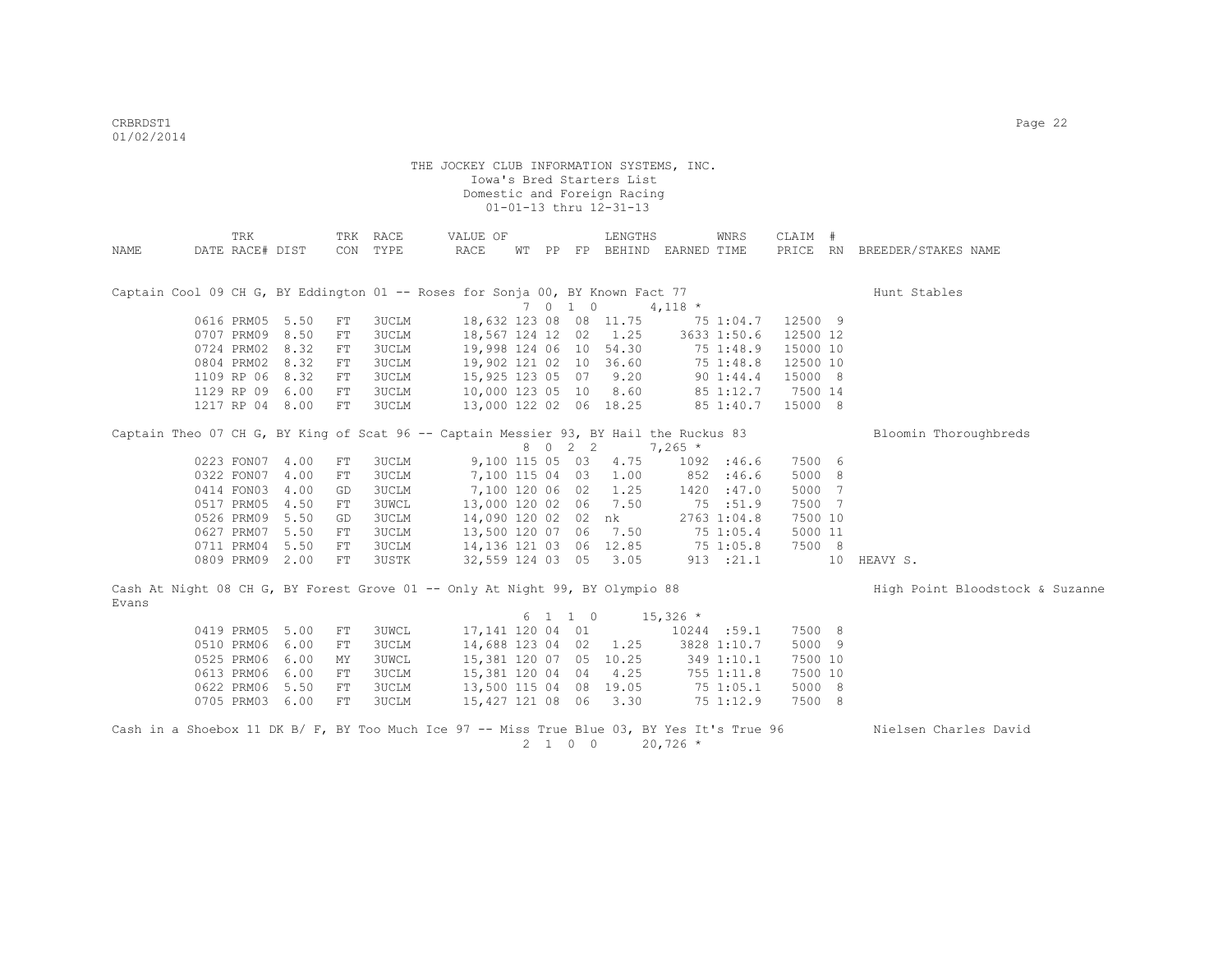|       | TRK             |                 |    | TRK RACE     | VALUE OF                                                                                   |     |                 | LENGTHS                     |            | <b>WNRS</b>   | CLAIM #  |    |                                 |
|-------|-----------------|-----------------|----|--------------|--------------------------------------------------------------------------------------------|-----|-----------------|-----------------------------|------------|---------------|----------|----|---------------------------------|
| NAME  | DATE RACE# DIST |                 |    | CON TYPE     | RACE                                                                                       |     |                 | WT PP FP BEHIND EARNED TIME |            |               | PRICE RN |    | BREEDER/STAKES NAME             |
|       |                 |                 |    |              |                                                                                            |     |                 |                             |            |               |          |    |                                 |
|       |                 |                 |    |              |                                                                                            |     |                 |                             |            |               |          |    |                                 |
|       |                 |                 |    |              | Captain Cool 09 CH G, BY Eddington 01 -- Roses for Sonja 00, BY Known Fact 77              |     |                 |                             |            |               |          |    | Hunt Stables                    |
|       |                 |                 |    |              |                                                                                            |     | 7010            |                             | $4,118$ *  |               |          |    |                                 |
|       | 0616 PRM05      | 5.50            | FT | 3UCLM        | 18,632 123 08 08 11.75                                                                     |     |                 |                             |            | 75 1:04.7     | 12500 9  |    |                                 |
|       | 0707 PRM09      | 8.50            | FT | 3UCLM        | 18,567 124 12 02                                                                           |     |                 | 1.25                        |            | 3633 1:50.6   | 12500 12 |    |                                 |
|       | 0724 PRM02      | 8.32            | FT | 3UCLM        | 19,998 124 06 10                                                                           |     |                 | 54.30                       |            | 75 1:48.9     | 15000 10 |    |                                 |
|       | 0804 PRM02      | 8.32            | FT | 3UCLM        | 19,902 121 02 10                                                                           |     |                 | 36.60                       |            | 75 1:48.8     | 12500 10 |    |                                 |
|       | 1109 RP 06      | 8.32            | FT | 3UCLM        | 15,925 123 05 07                                                                           |     |                 | 9.20                        |            | $90 \t1:44.4$ | 15000 8  |    |                                 |
|       |                 | 1129 RP 09 6.00 | FT | 3UCLM        | 10,000 123 05 10                                                                           |     |                 | 8.60                        |            | 85 1:12.7     | 7500 14  |    |                                 |
|       |                 | 1217 RP 04 8.00 | FT | 3UCLM        | 13,000 122 02 06 18.25                                                                     |     |                 |                             |            | 85 1:40.7     | 15000 8  |    |                                 |
|       |                 |                 |    |              | Captain Theo 07 CH G, BY King of Scat 96 -- Captain Messier 93, BY Hail the Ruckus 83      |     |                 |                             |            |               |          |    | Bloomin Thoroughbreds           |
|       |                 |                 |    |              |                                                                                            | 8 0 | $2 \quad 2$     |                             | $7,265*$   |               |          |    |                                 |
|       | 0223 FON07      | 4.00            | FT | 3UCLM        | 9,100 115 05 03                                                                            |     |                 | 4.75                        |            | 1092 : 46.6   | 7500 6   |    |                                 |
|       | 0322 FON07      | 4.00            | FT | 3UCLM        | 7,100 115 04 03                                                                            |     |                 | 1.00                        |            | 852 :46.6     | 5000 8   |    |                                 |
|       | 0414 FON03      | 4.00            | GD | 3UCLM        | 7,100 120 06 02                                                                            |     |                 | 1.25                        |            | 1420 :47.0    | 5000 7   |    |                                 |
|       | 0517 PRM05      | 4.50            | FT | <b>3UWCL</b> | 13,000 120 02 06                                                                           |     |                 | 7.50                        |            | 75 :51.9      | 7500 7   |    |                                 |
|       | 0526 PRM09      | 5.50            | GD | 3UCLM        | 14,090 120 02 02                                                                           |     |                 | nk                          |            | 2763 1:04.8   | 7500 10  |    |                                 |
|       | 0627 PRM07      | 5.50            | FT | 3UCLM        | 13,500 120 07 06                                                                           |     |                 | 7.50                        |            | 75 1:05.4     | 5000 11  |    |                                 |
|       | 0711 PRM04      | 5.50            | FT | 3UCLM        | 14,136 121 03 06 12.85                                                                     |     |                 |                             |            | 75 1:05.8     | 7500 8   |    |                                 |
|       | 0809 PRM09      | 2.00            | FT | 3USTK        | 32,559 124 03 05                                                                           |     |                 | 3.05                        |            | 913 : 21.1    |          | 10 | HEAVY S.                        |
|       |                 |                 |    |              | Cash At Night 08 CH G, BY Forest Grove 01 -- Only At Night 99, BY Olympio 88               |     |                 |                             |            |               |          |    | High Point Bloodstock & Suzanne |
| Evans |                 |                 |    |              |                                                                                            |     |                 |                             |            |               |          |    |                                 |
|       |                 |                 |    |              |                                                                                            |     | 6 1 1 0         |                             | $15,326$ * |               |          |    |                                 |
|       | 0419 PRM05      | 5.00            | FT | <b>3UWCL</b> | 17,141 120 04 01                                                                           |     |                 |                             |            | 10244 :59.1   | 7500 8   |    |                                 |
|       | 0510 PRM06      | 6.00            | FT | 3UCLM        | 14,688 123 04 02                                                                           |     |                 | 1.25                        |            | 3828 1:10.7   | 5000 9   |    |                                 |
|       | 0525 PRM06      | 6.00            | МY | <b>3UWCL</b> | 15,381 120 07 05                                                                           |     |                 | 10.25                       |            | 349 1:10.1    | 7500 10  |    |                                 |
|       | 0613 PRM06      | 6.00            | FT | 3UCLM        | 15,381 120 04 04                                                                           |     |                 | 4.25                        |            | 755 1:11.8    | 7500 10  |    |                                 |
|       | 0622 PRM06      | 5.50            | FT | <b>3UCLM</b> | 13,500 115 04 08                                                                           |     |                 | 19.05                       |            | 75 1:05.1     | 5000 8   |    |                                 |
|       | 0705 PRM03      | 6.00            | FT | 3UCLM        | 15,427 121 08 06                                                                           |     |                 | 3.30                        |            | 75 1:12.9     | 7500 8   |    |                                 |
|       |                 |                 |    |              | Cash in a Shoebox 11 DK B/ F, BY Too Much Ice 97 -- Miss True Blue 03, BY Yes It's True 96 |     |                 |                             |            |               |          |    | Nielsen Charles David           |
|       |                 |                 |    |              |                                                                                            |     | $2 \t1 \t0 \t0$ |                             | $20,726$ * |               |          |    |                                 |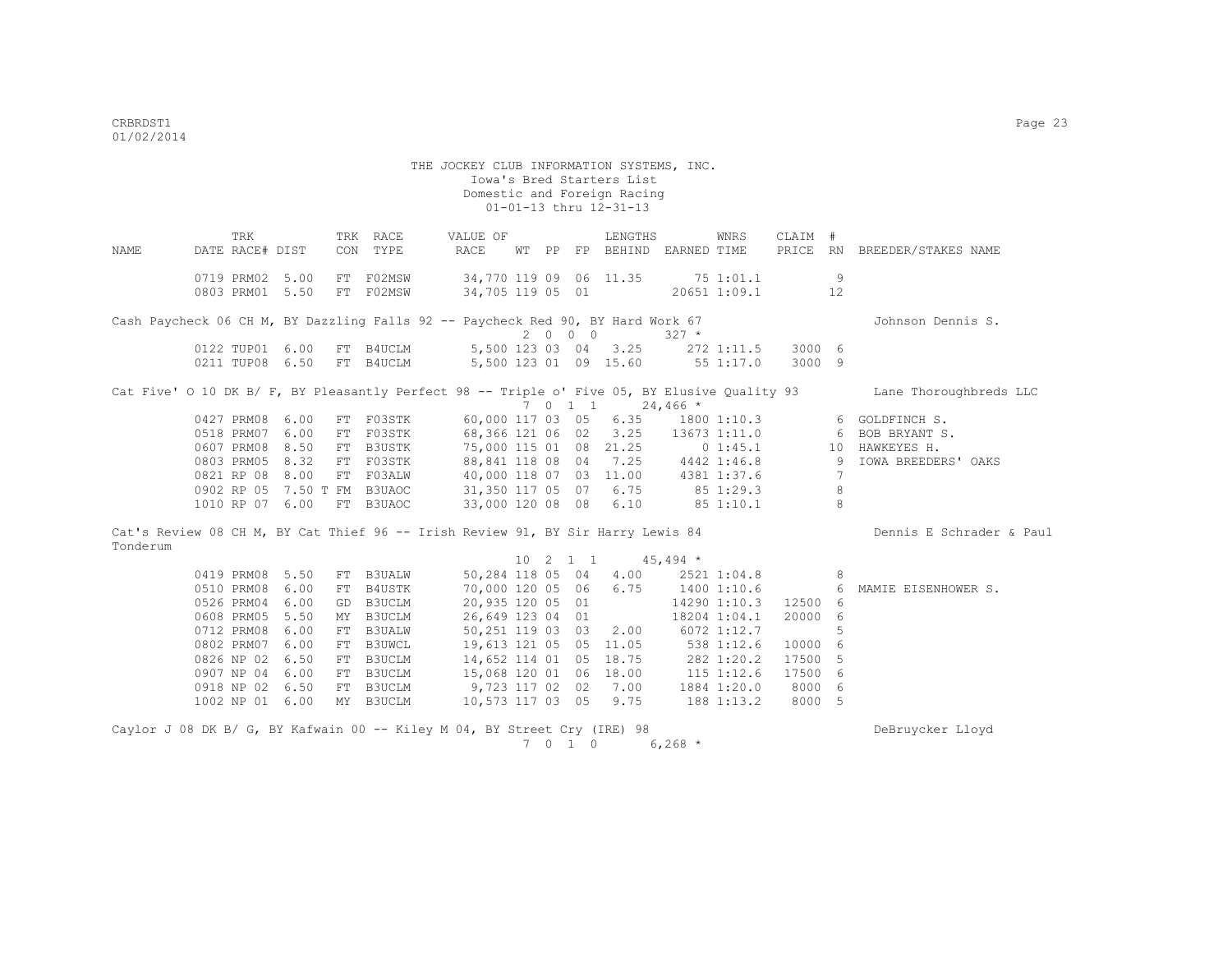THE JOCKEY CLUB INFORMATION SYSTEMS, INC. Iowa's Bred Starters List Domestic and Foreign Racing  $01-01-13$  thru  $12-31-13$ TRK TRK RACE VALUE OF LENGTHS WNRS CLAIM # NAME DATE RACE# DIST CON TYPE RACE WT PP FP BEHIND EARNED TIME PRICE RN BREEDER/STAKES NAME 0719 PRM02 5.00 FT F02MSW 34,770 119 09 06 11.35 75 1:01.1 9 0803 PRM01 5.50 FT FO2MSW 34,705 119 05 01 20651 1:09.1 12 Cash Paycheck 06 CH M, BY Dazzling Falls 92 -- Paycheck Red 90, BY Hard Work 67 Johnson Dennis S.  $2000$ <br>
2 0 0 0 327 \*<br>
2 0 0 0 327 \*<br>
2 0 0 0 327 \* 5,500 123 03 04 3.25 272 1:11.5 3000 6 0211 TUP08 6.50 FT B4UCLM 5,500 123 01 09 15.60 55 1:17.0 3000 9 Cat Five' O 10 DK B/ F, BY Pleasantly Perfect 98 -- Triple o' Five 05, BY Elusive Quality 93 Lane Thoroughbreds LLC  $7 \t0 \t1 \t1 \t24,466$  \* 0427 PRM08 6.00 FT F03STK 60,000 117 03 05 6.35 1800 1:10.3 6 GOLDFINCH S. 0518 PRM07 6.00 FT F03STK 68,366 121 06 02 3.25 13673 1:11.0 6 BOB BRYANT S. 0607 PRM08 8.50 FT B3USTK 75,000 115 01 08 21.25 0 1:45.1 10 HAWKEYES H. 0803 PRM05 8.32 FT F03STK 88,841 118 08 04 7.25 4442 1:46.8 9 IOWA BREEDERS' OAKS 0821 RP 08 8.00 FT F03ALW 40,000 118 07 03 11.00 4381 1:37.6 7 0902 RP 05 7.50 T FM B3UAOC 31,350 117 05 07 6.75 85 1:29.3 8 1010 RP 07 6.00 FT B3UAOC 33,000 120 08 08 6.10 85 1:10.1 8 Cat's Review 08 CH M, BY Cat Thief 96 -- Irish Review 91, BY Sir Harry Lewis 84 Dennis E Schrader & Paul Tonderum 10 2 1 1 45,494 \* 0419 PRM08 5.50 FT B3UALW 50,284 118 05 04 4.00 2521 1:04.8 8 0510 PRM08 6.00 FT B4USTK 70,000 120 05 06 6.75 1400 1:10.6 6 MAMIE EISENHOWER S.<br>0526 PRM04 6.00 GD B3UCLM 20,935 120 05 01 14290 1:10.3 12500 6 0526 PRM04 6.00 GD B3UCLM 20,935 120 05 01 14290 1:10.3 12500 6 0608 PRM05 5.50 MY B3UCLM 26,649 123 04 01 18204 1:04.1 20000 6 0712 PRM08 6.00 FT B3UALW 50,251 119 03 03 2.00 6072 1:12.7 5 0802 PRM07 6.00 FT B3UWCL 19,613 121 05 05 11.05 538 1:12.6 10000 6<br>0826 NP 02 6.50 FT B3UCLM 14,652 114 01 05 18.75 282 1:20.2 17500 5 0826 NP 02 6.50 FT B3UCLM 14,652 114 01 05 18.75 282 1:20.2 17500 5<br>0907 NP 04 6.00 FT B3UCLM 15,068 120 01 06 18.00 115 1:12.6 17500 6 11,002 111 01 06 10:00<br>15,068 120 01 06 18.00<br>9,723 117 02 02 7.00 0918 NP 02 6.50 FT B3UCLM 9,723 117 02 02 7.00 1884 1:20.0 8000 6 1002 NP 01 6.00 MY B3UCLM 10,573 117 03 05 9.75 188 1:13.2 8000 5

Caylor J 08 DK B/ G, BY Kafwain 00 -- Kiley M 04, BY Street Cry (IRE) 98 DeBruycker Lloyd 7 0 1 0 6,268 \*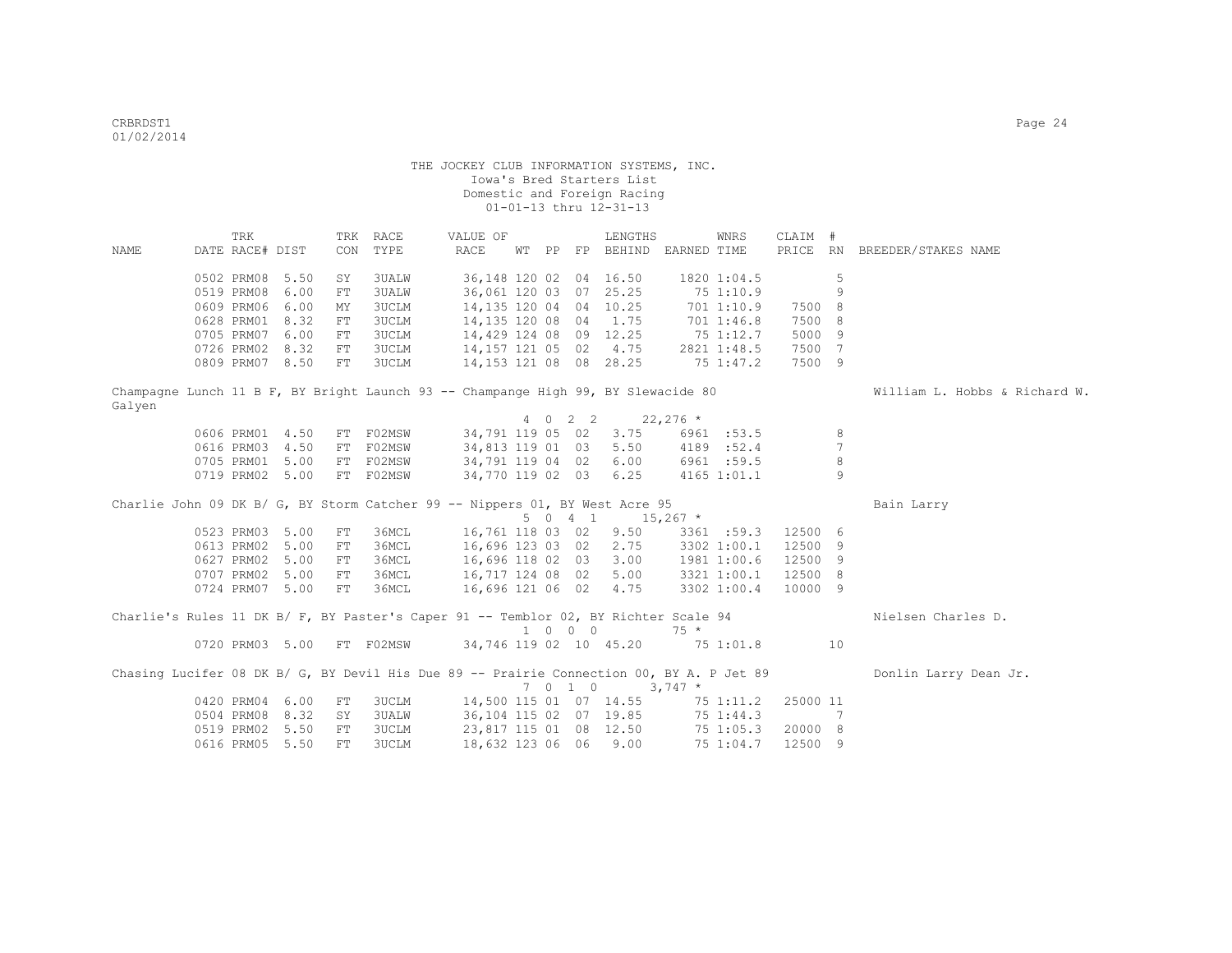|        | TRK             |                 |            | TRK RACE     | VALUE OF                                                                                 |  |         | LENGTHS                     |             | WNRS        | CLAIM #  |                 |                               |
|--------|-----------------|-----------------|------------|--------------|------------------------------------------------------------------------------------------|--|---------|-----------------------------|-------------|-------------|----------|-----------------|-------------------------------|
| NAME   | DATE RACE# DIST |                 | CON        | TYPE         | RACE                                                                                     |  |         | WT PP FP BEHIND EARNED TIME |             |             |          |                 | PRICE RN BREEDER/STAKES NAME  |
|        |                 |                 |            |              |                                                                                          |  |         |                             |             |             |          |                 |                               |
|        | 0502 PRM08 5.50 |                 | SY         | 3UALW        | 36, 148 120 02 04 16.50                                                                  |  |         |                             |             | 1820 1:04.5 |          | 5               |                               |
|        | 0519 PRM08      | 6.00            | FT         | <b>3UALW</b> | 36,061 120 03 07 25.25                                                                   |  |         |                             |             | 751:10.9    |          | 9               |                               |
|        | 0609 PRM06      | 6.00            | MΥ         | <b>3UCLM</b> | 14, 135 120 04 04 10.25                                                                  |  |         |                             |             | 701 1:10.9  | 7500 8   |                 |                               |
|        | 0628 PRM01      | 8.32            | FT         | <b>3UCLM</b> | 14,135 120 08 04 1.75                                                                    |  |         |                             |             | 701 1:46.8  | 7500 8   |                 |                               |
|        | 0705 PRM07      | 6.00            | FT         | <b>3UCLM</b> | 14,429 124 08 09 12.25                                                                   |  |         |                             | 751:12.7    |             | 5000 9   |                 |                               |
|        | 0726 PRM02 8.32 |                 | FT         | <b>3UCLM</b> | 14,157 121 05 02 4.75                                                                    |  |         |                             |             | 2821 1:48.5 | 7500 7   |                 |                               |
|        |                 | 0809 PRM07 8.50 | FT         | 3UCLM        | 14,153 121 08 08 28.25                                                                   |  |         |                             |             | 75 1:47.2   | 7500 9   |                 |                               |
|        |                 |                 |            |              | Champagne Lunch 11 B F, BY Bright Launch 93 -- Champange High 99, BY Slewacide 80        |  |         |                             |             |             |          |                 | William L. Hobbs & Richard W. |
| Galyen |                 |                 |            |              |                                                                                          |  |         |                             |             |             |          |                 |                               |
|        |                 |                 |            |              |                                                                                          |  | 4 0 2 2 |                             | $22,276$ *  |             |          |                 |                               |
|        | 0606 PRM01 4.50 |                 | FT         | F02MSW       | 34,791 119 05 02                                                                         |  |         | 3.75                        |             | 6961 :53.5  |          | 8               |                               |
|        | 0616 PRM03 4.50 |                 | FT         | F02MSW       | 34,813 119 01 03                                                                         |  |         | 5.50                        |             | 4189 :52.4  |          | $7\phantom{.0}$ |                               |
|        |                 | 0705 PRM01 5.00 |            | FT F02MSW    | 34,791 119 04 02                                                                         |  |         | 6.00                        |             | 6961 :59.5  |          | 8               |                               |
|        |                 | 0719 PRM02 5.00 |            | FT F02MSW    | 34,770 119 02 03                                                                         |  |         | 6.25                        |             | 4165 1:01.1 |          | $\overline{9}$  |                               |
|        |                 |                 |            |              | Charlie John 09 DK B/ G, BY Storm Catcher 99 -- Nippers 01, BY West Acre 95              |  |         |                             |             |             |          |                 | Bain Larry                    |
|        |                 |                 |            |              |                                                                                          |  | 5041    | $15,267$ *                  |             |             |          |                 |                               |
|        | 0523 PRM03 5.00 |                 | ${\rm FT}$ | 36MCL        | 16,761 118 03 02                                                                         |  |         | 9.50                        |             | 3361 :59.3  | 12500 6  |                 |                               |
|        | 0613 PRM02 5.00 |                 | ${\rm FT}$ | 36MCL        | 16,696 123 03 02                                                                         |  |         | 2.75                        |             | 3302 1:00.1 | 12500 9  |                 |                               |
|        | 0627 PRM02 5.00 |                 | FT         | 36MCL        | 16,696 118 02 03                                                                         |  |         | 3.00                        | 1981 1:00.6 |             | 12500 9  |                 |                               |
|        | 0707 PRM02 5.00 |                 | FT         | 36MCL        | 16,717 124 08 02                                                                         |  |         | 5.00                        |             | 3321 1:00.1 | 12500 8  |                 |                               |
|        | 0724 PRM07 5.00 |                 | FT         | 36MCL        | 16,696 121 06 02                                                                         |  |         | 4.75                        |             | 3302 1:00.4 | 10000 9  |                 |                               |
|        |                 |                 |            |              | Charlie's Rules 11 DK B/ F, BY Paster's Caper 91 -- Temblor 02, BY Richter Scale 94      |  |         |                             |             |             |          |                 | Nielsen Charles D.            |
|        |                 |                 |            |              |                                                                                          |  | 1 0 0 0 |                             | $75 *$      |             |          |                 |                               |
|        |                 | 0720 PRM03 5.00 |            | FT F02MSW    | 34,746 119 02 10 45.20                                                                   |  |         |                             | 751:01.8    |             |          | 10              |                               |
|        |                 |                 |            |              |                                                                                          |  |         |                             |             |             |          |                 |                               |
|        |                 |                 |            |              | Chasing Lucifer 08 DK B/ G, BY Devil His Due 89 -- Prairie Connection 00, BY A. P Jet 89 |  |         |                             |             |             |          |                 | Donlin Larry Dean Jr.         |
|        |                 |                 |            |              |                                                                                          |  | 7010    | $3,747$ *                   |             |             |          |                 |                               |
|        | 0420 PRM04 6.00 |                 | FT         | 3UCLM        | 14,500 115 01 07 14.55                                                                   |  |         |                             |             | 75 1:11.2   | 25000 11 |                 |                               |
|        | 0504 PRM08      | 8.32            | SY         | 3UALW        | 36,104 115 02 07 19.85                                                                   |  |         |                             |             | 75 1:44.3   |          | 7               |                               |
|        | 0519 PRM02      | 5.50            | ${\rm FT}$ | <b>3UCLM</b> | 23,817 115 01 08 12.50                                                                   |  |         |                             |             | 75 1:05.3   | 20000 8  |                 |                               |
|        | 0616 PRM05      | 5.50            | FT         | <b>3UCLM</b> | 18,632 123 06 06                                                                         |  |         | 9.00                        |             | 75 1:04.7   | 12500 9  |                 |                               |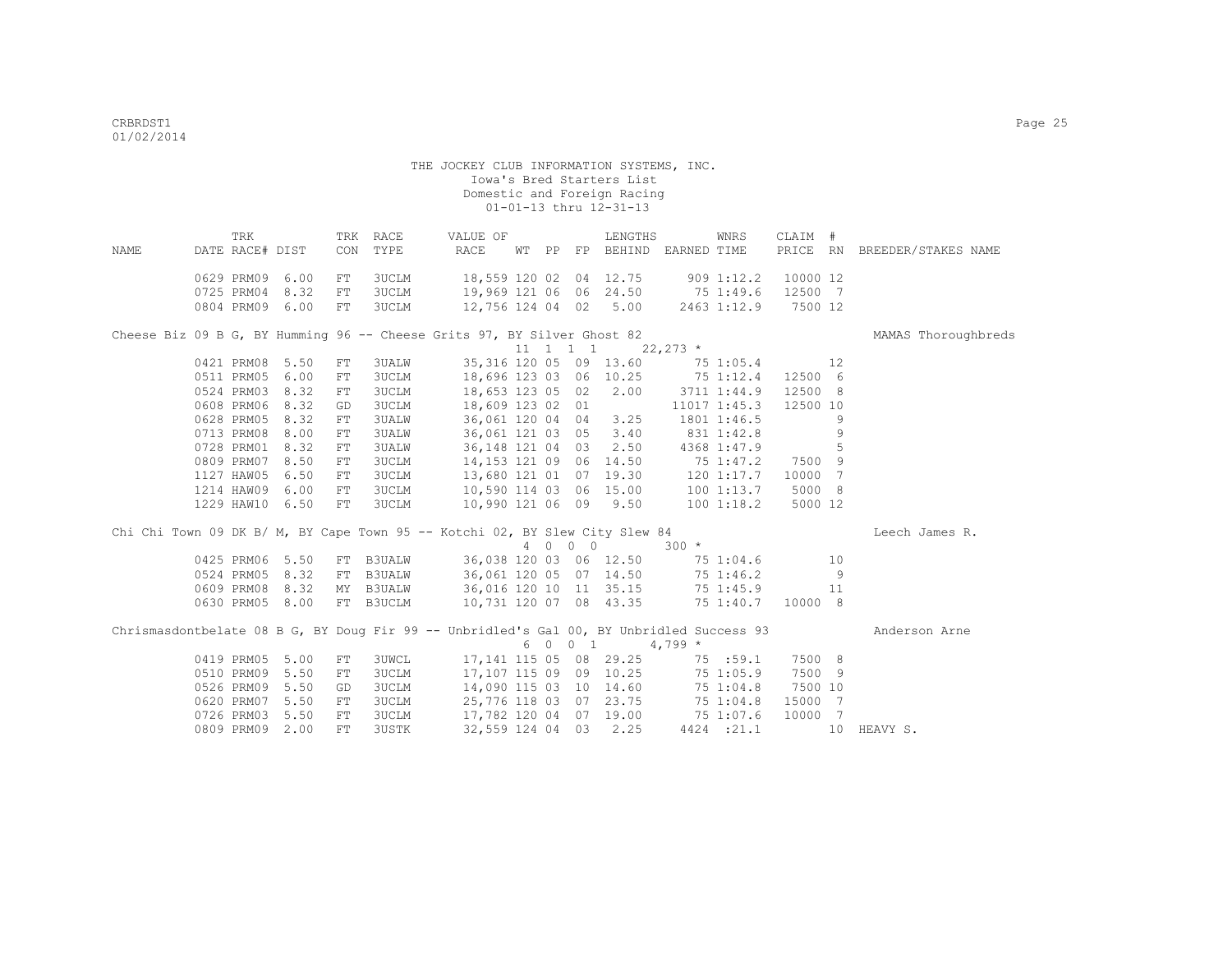|                                                                                          | TRK             |      |     | TRK RACE      | VALUE OF                                                                        |  |         | LENGTHS                               |                | WNRS         | CLAIM #  |    |                              |
|------------------------------------------------------------------------------------------|-----------------|------|-----|---------------|---------------------------------------------------------------------------------|--|---------|---------------------------------------|----------------|--------------|----------|----|------------------------------|
| NAME                                                                                     | DATE RACE# DIST |      |     | CON TYPE      | RACE                                                                            |  |         | WT PP FP BEHIND EARNED TIME           |                |              |          |    | PRICE RN BREEDER/STAKES NAME |
|                                                                                          | 0629 PRM09 6.00 |      | FT  | 3UCLM         | 18,559 120 02 04 12.75 909 1:12.2                                               |  |         |                                       |                |              | 10000 12 |    |                              |
|                                                                                          | 0725 PRM04      | 8.32 | FT  | <b>3UCLM</b>  | 19,969 121 06 06 24.50 75 1:49.6                                                |  |         |                                       |                |              | 12500 7  |    |                              |
|                                                                                          | 0804 PRM09 6.00 |      | FT  | <b>3UCLM</b>  | 12,756 124 04 02 5.00 2463 1:12.9                                               |  |         |                                       |                |              | 7500 12  |    |                              |
|                                                                                          |                 |      |     |               |                                                                                 |  |         |                                       |                |              |          |    |                              |
| Cheese Biz 09 B G, BY Humming 96 -- Cheese Grits 97, BY Silver Ghost 82                  |                 |      |     |               |                                                                                 |  |         |                                       |                |              |          |    | MAMAS Thoroughbreds          |
|                                                                                          |                 |      |     |               |                                                                                 |  |         | $11 \quad 1 \quad 1 \quad 1$ 22,273 * |                |              |          |    |                              |
|                                                                                          | 0421 PRM08 5.50 |      | FT  | 3UALW         |                                                                                 |  |         | 35, 316 120 05 09 13.60               | $75\ 1:05.4$   |              |          | 12 |                              |
|                                                                                          | 0511 PRM05 6.00 |      | FT  | <b>3UCLM</b>  |                                                                                 |  |         | 18,696 123 03 06 10.25 75 1:12.4      |                |              | 12500 6  |    |                              |
|                                                                                          | 0524 PRM03 8.32 |      | FT  | <b>3UCLM</b>  | 18,653 123 05 02 2.00                                                           |  |         |                                       | 3711 1:44.9    |              | 12500 8  |    |                              |
|                                                                                          | 0608 PRM06      | 8.32 | GD  | 3UCLM         | 18,609 123 02 01                                                                |  |         |                                       |                | 11017 1:45.3 | 12500 10 |    |                              |
|                                                                                          | 0628 PRM05      | 8.32 | FT  | <b>3UALW</b>  | 36,061 120 04 04 3.25                                                           |  |         |                                       |                | 1801 1:46.5  |          | 9  |                              |
|                                                                                          | 0713 PRM08      | 8.00 | FT  | <b>3UALW</b>  | 36,061 121 03 05 3.40                                                           |  |         |                                       | $831$ $1:42.8$ |              |          | 9  |                              |
|                                                                                          | 0728 PRM01 8.32 |      | FT  | <b>3UALW</b>  |                                                                                 |  |         | 36, 148 121 04 03 2.50 4368 1:47.9    |                |              |          | 5  |                              |
|                                                                                          | 0809 PRM07 8.50 |      | FT  | <b>3UCLM</b>  |                                                                                 |  |         | 14, 153 121 09 06 14.50 75 1:47.2     |                |              | 7500 9   |    |                              |
|                                                                                          | 1127 HAW05 6.50 |      | FT  | <b>3UCLM</b>  |                                                                                 |  |         |                                       |                |              | 10000 7  |    |                              |
|                                                                                          | 1214 HAW09 6.00 |      | FT  | <b>3UCLM</b>  | $13,680$ 121 01 07 19.30 120 1:17.7<br>10,590 114 03 06 15.00 100 1:13.7        |  |         |                                       |                |              | 5000 8   |    |                              |
|                                                                                          | 1229 HAW10 6.50 |      | FT  | <b>3UCLM</b>  | 10,990 121 06 09 9.50                                                           |  |         |                                       |                | 100 1:18.2   | 5000 12  |    |                              |
| Chi Chi Town 09 DK B/ M, BY Cape Town 95 -- Kotchi 02, BY Slew City Slew 84              |                 |      |     |               |                                                                                 |  |         |                                       |                |              |          |    | Leech James R.               |
|                                                                                          |                 |      |     |               |                                                                                 |  | 4 0 0 0 |                                       | $300 *$        |              |          |    |                              |
|                                                                                          | 0425 PRM06 5.50 |      | FT  | <b>B3UALW</b> |                                                                                 |  |         | 36,038 120 03 06 12.50                |                | 75 1:04.6    |          | 10 |                              |
|                                                                                          | 0524 PRM05 8.32 |      | FT  | <b>B3UALW</b> | 36,061 120 05 07 14.50                                                          |  |         |                                       |                | 75 1:46.2    |          | 9  |                              |
|                                                                                          | 0609 PRM08 8.32 |      |     | MY B3UALW     | 36,016 120 10 11 35.15 75 1:45.9 11<br>10,731 120 07 08 43.35 75 1:40.7 10000 8 |  |         |                                       |                |              |          |    |                              |
|                                                                                          | 0630 PRM05 8.00 |      |     | FT B3UCLM     |                                                                                 |  |         |                                       |                |              |          |    |                              |
|                                                                                          |                 |      |     |               |                                                                                 |  |         |                                       |                |              |          |    |                              |
| Chrismasdontbelate 08 B G, BY Doug Fir 99 -- Unbridled's Gal 00, BY Unbridled Success 93 |                 |      |     |               |                                                                                 |  |         |                                       |                |              |          |    | Anderson Arne                |
|                                                                                          |                 |      |     |               |                                                                                 |  | 6 0 0 1 |                                       | $4,799*$       |              |          |    |                              |
|                                                                                          | 0419 PRM05 5.00 |      | FT  | <b>3UWCL</b>  | 17, 141 115 05 08 29.25                                                         |  |         |                                       |                | 75 :59.1     | 7500 8   |    |                              |
|                                                                                          | 0510 PRM09 5.50 |      | FT  | <b>3UCLM</b>  | 17,107 115 09 09 10.25                                                          |  |         |                                       |                | 75 1:05.9    | 7500 9   |    |                              |
|                                                                                          | 0526 PRM09 5.50 |      | GD  | <b>3UCLM</b>  | 14,090 115 03 10 14.60                                                          |  |         |                                       |                | 75 1:04.8    | 7500 10  |    |                              |
|                                                                                          | 0620 PRM07 5.50 |      | FT  | 3UCLM         | 25,776 118 03 07 23.75                                                          |  |         |                                       |                | 75 1:04.8    | 15000 7  |    |                              |
|                                                                                          | 0726 PRM03      | 5.50 | FT. | 3UCLM         | 17,782 120 04 07 19.00                                                          |  |         |                                       |                | 75 1:07.6    | 10000 7  |    |                              |

0809 PRM09 2.00 FT 3USTK 32,559 124 04 03 2.25 4424 :21.1 10 HEAVY S.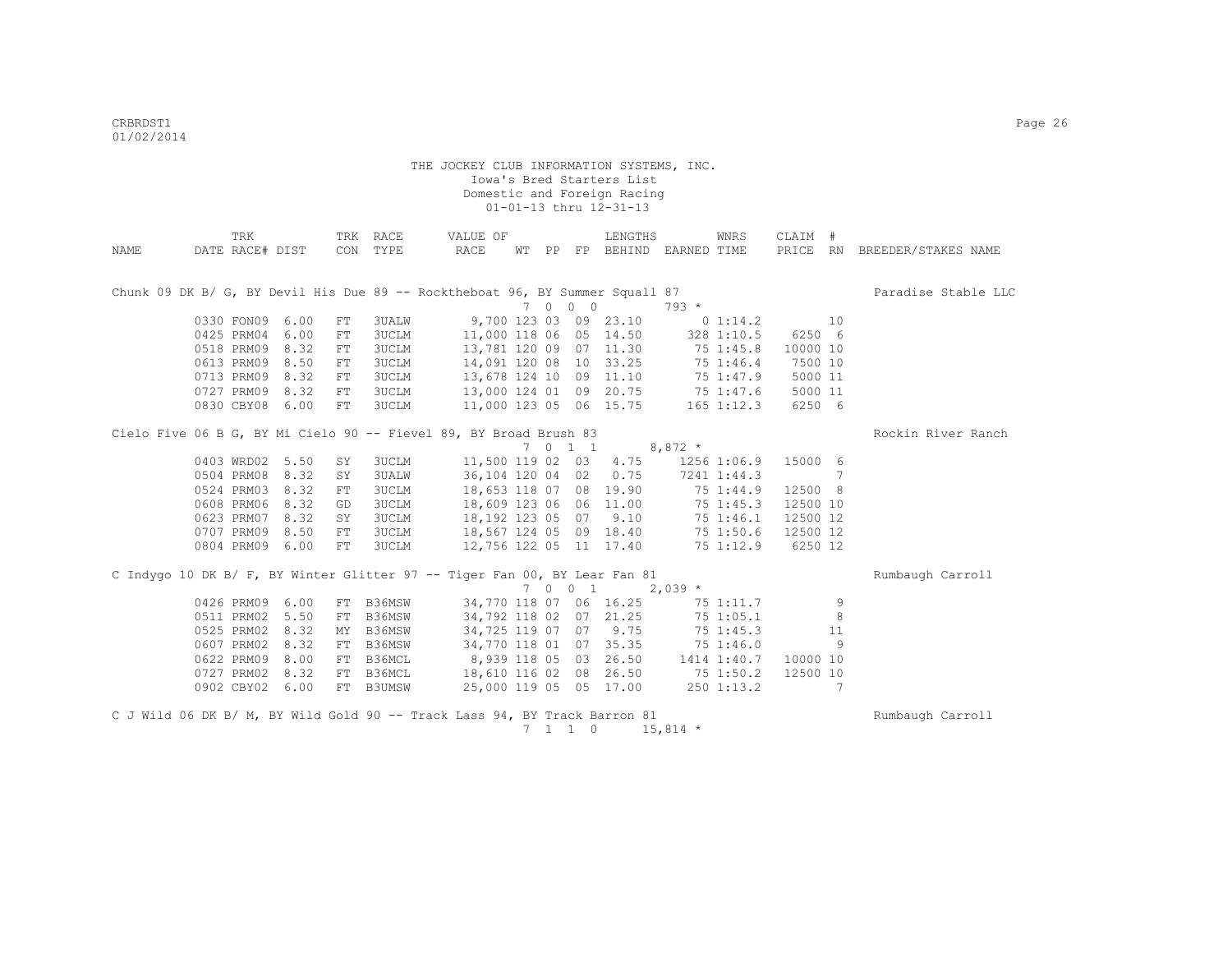|      | TRK                                                                          |      |     | TRK RACE     | VALUE OF                          |  |                          | LENGTHS                          |             | WNRS           | CLAIM #  |    |                              |
|------|------------------------------------------------------------------------------|------|-----|--------------|-----------------------------------|--|--------------------------|----------------------------------|-------------|----------------|----------|----|------------------------------|
| NAME | DATE RACE# DIST                                                              |      | CON | TYPE         | RACE                              |  |                          | WT PP FP BEHIND EARNED TIME      |             |                |          |    | PRICE RN BREEDER/STAKES NAME |
|      |                                                                              |      |     |              |                                   |  |                          |                                  |             |                |          |    |                              |
|      | Chunk 09 DK B/ G, BY Devil His Due 89 -- Rocktheboat 96, BY Summer Squall 87 |      |     |              |                                   |  |                          |                                  |             |                |          |    | Paradise Stable LLC          |
|      |                                                                              |      |     |              |                                   |  | 7 0 0 0                  |                                  | $793 *$     |                |          |    |                              |
|      | 0330 FON09 6.00                                                              |      | FT  | <b>3UALW</b> |                                   |  |                          | 9,700 123 03 09 23.10            | $0\;1:14.2$ |                |          | 10 |                              |
|      | 0425 PRM04                                                                   | 6.00 | FT  | <b>3UCLM</b> | 11,000 118 06 05 14.50            |  |                          |                                  |             | 328 1:10.5     | 6250 6   |    |                              |
|      | 0518 PRM09                                                                   | 8.32 | FT  | <b>3UCLM</b> | 13,781 120 09 07 11.30            |  |                          |                                  |             | 75 1:45.8      | 10000 10 |    |                              |
|      | 0613 PRM09                                                                   | 8.50 | FT  | 3UCLM        | 14,091 120 08 10 33.25            |  |                          |                                  |             | 75 1:46.4      | 7500 10  |    |                              |
|      | 0713 PRM09                                                                   | 8.32 | FT  | <b>3UCLM</b> | 13,678 124 10 09 11.10            |  |                          |                                  |             | 75 1:47.9      | 5000 11  |    |                              |
|      | 0727 PRM09                                                                   | 8.32 | FT  | <b>3UCLM</b> |                                   |  |                          | 13,000 124 01 09 20.75           |             | 75 1:47.6      | 5000 11  |    |                              |
|      | 0830 CBY08                                                                   | 6.00 | FT  | <b>3UCLM</b> |                                   |  |                          | 11,000 123 05 06 15.75           |             | $165$ $1:12.3$ | 6250 6   |    |                              |
|      |                                                                              |      |     |              |                                   |  |                          |                                  |             |                |          |    |                              |
|      | Cielo Five 06 B G, BY Mi Cielo 90 -- Fievel 89, BY Broad Brush 83            |      |     |              |                                   |  |                          |                                  |             |                |          |    | Rockin River Ranch           |
|      |                                                                              |      |     |              |                                   |  |                          | 7 0 1 1 8,872 $*$                |             |                |          |    |                              |
|      | 0403 WRD02 5.50                                                              |      | SY  | 3UCLM        |                                   |  |                          | 11,500 119 02 03 4.75            |             | 1256 1:06.9    | 15000 6  |    |                              |
|      | 0504 PRM08 8.32                                                              |      | SY  | <b>3UALW</b> | 36,104 120 04 02                  |  |                          | 0.75                             |             | 7241 1:44.3    |          | 7  |                              |
|      | 0524 PRM03 8.32                                                              |      | FT  | <b>3UCLM</b> | 18,653 118 07 08 19.90            |  |                          |                                  |             | 75 1:44.9      | 12500 8  |    |                              |
|      | 0608 PRM06 8.32                                                              |      | GD  | <b>3UCLM</b> | 18,609 123 06 06 11.00            |  |                          |                                  |             | 75 1:45.3      | 12500 10 |    |                              |
|      | 0623 PRM07 8.32                                                              |      | SY  | <b>3UCLM</b> | 18, 192 123 05 07 9.10            |  |                          |                                  |             | 75 1:46.1      | 12500 12 |    |                              |
|      | 0707 PRM09                                                                   | 8.50 | FT  | <b>3UCLM</b> | 18,567 124 05 09 18.40            |  |                          |                                  |             | 75 1:50.6      | 12500 12 |    |                              |
|      | 0804 PRM09 6.00                                                              |      | FT  | <b>3UCLM</b> | 12,756 122 05 11 17.40            |  |                          |                                  |             | 75 1:12.9      | 6250 12  |    |                              |
|      |                                                                              |      |     |              |                                   |  |                          |                                  |             |                |          |    |                              |
|      | C Indygo 10 DK B/ F, BY Winter Glitter 97 -- Tiger Fan 00, BY Lear Fan 81    |      |     |              |                                   |  | 7001                     |                                  | $2,039$ *   |                |          |    | Rumbaugh Carroll             |
|      | 0426 PRM09                                                                   | 6.00 | FT  | B36MSW       | 34,770 118 07 06 16.25            |  |                          |                                  |             | 75 1:11.7      |          | 9  |                              |
|      | 0511 PRM02                                                                   | 5.50 | FT  | B36MSW       |                                   |  |                          | 34,792 118 02 07 21.25           |             | 751:05.1       |          | 8  |                              |
|      | 0525 PRM02                                                                   | 8.32 | MY  | B36MSW       | 34,725 119 07 07 9.75             |  |                          |                                  |             | $75 \t1:45.3$  |          | 11 |                              |
|      | 0607 PRM02                                                                   | 8.32 | FT  | B36MSW       |                                   |  |                          | 34,770 118 01 07 35.35           |             | 75 1:46.0      |          | 9  |                              |
|      | 0622 PRM09                                                                   | 8.00 | FT  | B36MCL       | 8,939 118 05 03 26.50 1414 1:40.7 |  |                          |                                  |             |                | 10000 10 |    |                              |
|      |                                                                              | 8.32 |     |              |                                   |  |                          |                                  |             |                |          |    |                              |
|      | 0727 PRM02                                                                   |      | FT  | B36MCL       |                                   |  |                          | 18,610 116 02 08 26.50 75 1:50.2 |             |                | 12500 10 | 7  |                              |
|      | 0902 CBY02 6.00                                                              |      | FT  | B3UMSW       | 25,000 119 05 05 17.00            |  |                          |                                  |             | $250$ $1:13.2$ |          |    |                              |
|      | C J Wild 06 DK B/ M, BY Wild Gold 90 -- Track Lass 94, BY Track Barron 81    |      |     |              |                                   |  |                          |                                  |             |                |          |    | Rumbaugh Carroll             |
|      |                                                                              |      |     |              |                                   |  | $7\quad 1\quad 1\quad 0$ |                                  | $15,814$ *  |                |          |    |                              |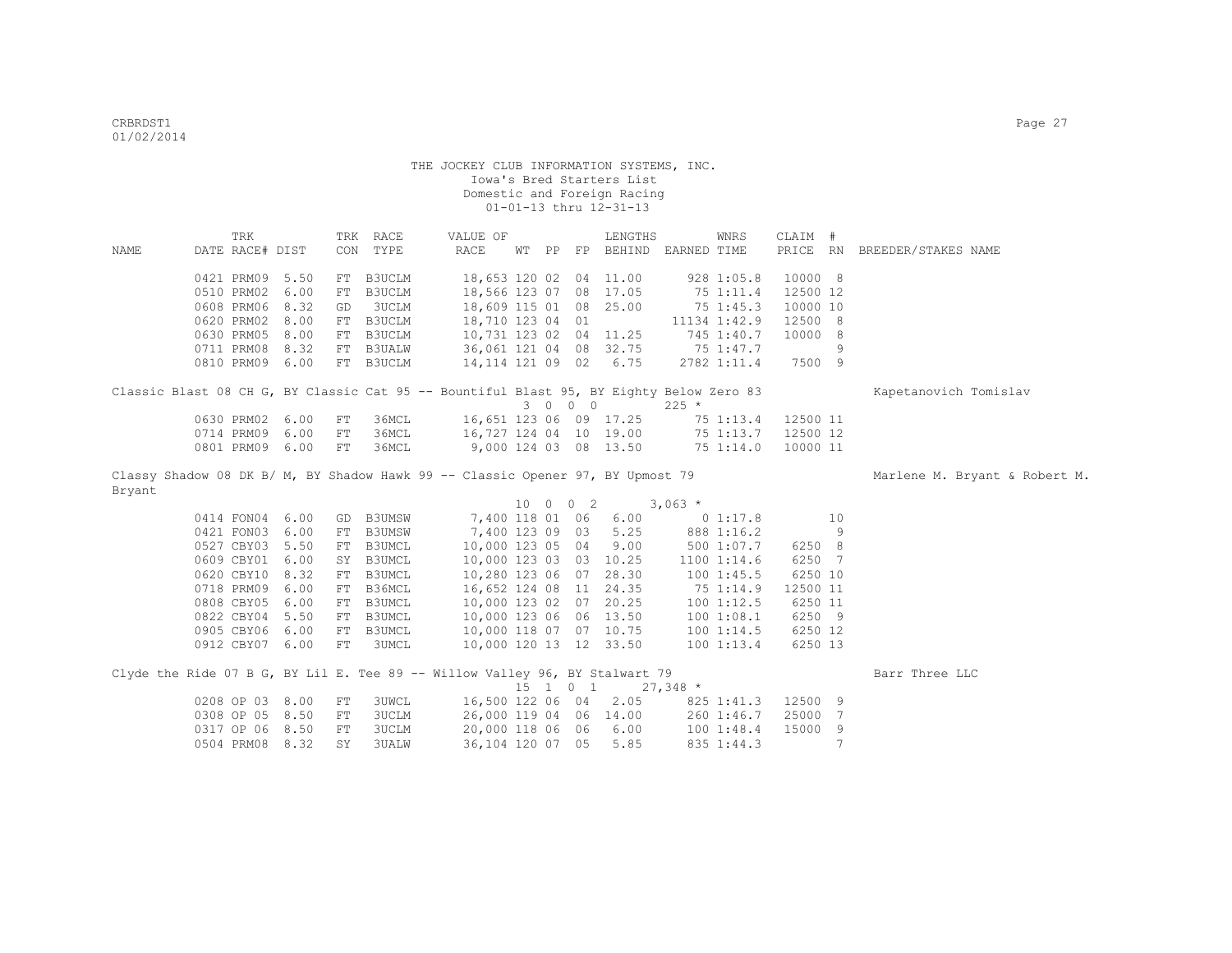|        | TRK                                                                                     |      |            | TRK RACE      | VALUE OF               |  |          | LENGTHS                                     |           | WNRS          | CLAIM #  |    |                               |
|--------|-----------------------------------------------------------------------------------------|------|------------|---------------|------------------------|--|----------|---------------------------------------------|-----------|---------------|----------|----|-------------------------------|
| NAME   | DATE RACE# DIST                                                                         |      |            | CON TYPE      | RACE                   |  |          | WT PP FP BEHIND EARNED TIME                 |           |               |          |    | PRICE RN BREEDER/STAKES NAME  |
|        |                                                                                         |      |            |               |                        |  |          |                                             |           |               |          |    |                               |
|        | 0421 PRM09 5.50                                                                         |      | FT         | B3UCLM        | 18,653 120 02 04 11.00 |  |          |                                             |           | 928 1:05.8    | 10000 8  |    |                               |
|        | 0510 PRM02                                                                              | 6.00 | FT         | <b>B3UCLM</b> | 18,566 123 07 08 17.05 |  |          |                                             |           | 75 1:11.4     | 12500 12 |    |                               |
|        | 0608 PRM06 8.32                                                                         |      | GD         | <b>3UCLM</b>  | 18,609 115 01 08 25.00 |  |          |                                             |           | $75 \t1:45.3$ | 10000 10 |    |                               |
|        | 0620 PRM02                                                                              | 8.00 |            | FT B3UCLM     | 18,710 123 04 01       |  |          |                                             |           | 11134 1:42.9  | 12500 8  |    |                               |
|        | 0630 PRM05 8.00                                                                         |      | FT         | B3UCLM        | 10,731 123 02 04 11.25 |  |          |                                             |           | 745 1:40.7    | 10000 8  |    |                               |
|        | 0711 PRM08 8.32                                                                         |      |            | FT B3UALW     | 36,061 121 04 08 32.75 |  |          |                                             | 75 1:47.7 |               |          | 9  |                               |
|        | 0810 PRM09 6.00                                                                         |      |            | FT B3UCLM     | 14, 114 121 09 02 6.75 |  |          |                                             |           | 2782 1:11.4   | 7500 9   |    |                               |
|        | Classic Blast 08 CH G, BY Classic Cat 95 -- Bountiful Blast 95, BY Eighty Below Zero 83 |      |            |               |                        |  |          |                                             |           |               |          |    | Kapetanovich Tomislav         |
|        |                                                                                         |      |            |               |                        |  | 3 0 0 0  |                                             | $225 *$   |               |          |    |                               |
|        | 0630 PRM02 6.00                                                                         |      | FT         | 36MCL         | 16,651 123 06 09 17.25 |  |          |                                             |           | 75 1:13.4     | 12500 11 |    |                               |
|        | 0714 PRM09 6.00                                                                         |      | FT         | 36MCL         | 16,727 124 04 10 19.00 |  |          |                                             |           | 75 1:13.7     | 12500 12 |    |                               |
|        | 0801 PRM09 6.00                                                                         |      | FT         | 36MCL         | 9,000 124 03 08 13.50  |  |          |                                             |           | 75 1:14.0     | 10000 11 |    |                               |
|        |                                                                                         |      |            |               |                        |  |          |                                             |           |               |          |    |                               |
|        | Classy Shadow 08 DK B/ M, BY Shadow Hawk 99 -- Classic Opener 97, BY Upmost 79          |      |            |               |                        |  |          |                                             |           |               |          |    | Marlene M. Bryant & Robert M. |
| Bryant |                                                                                         |      |            |               |                        |  |          |                                             |           |               |          |    |                               |
|        |                                                                                         |      |            |               |                        |  | 10 0 0 2 |                                             | $3,063*$  |               |          |    |                               |
|        | 0414 FON04 6.00                                                                         |      | GD         | B3UMSW        |                        |  |          | 7,400 118 01 06 6.00                        |           | 01:17.8       |          | 10 |                               |
|        | 0421 FON03 6.00                                                                         |      | FT         | <b>B3UMSW</b> | 7,400 123 09 03        |  |          | 5.25                                        |           | 888 1:16.2    |          | 9  |                               |
|        | 0527 CBY03 5.50                                                                         |      | FT         | B3UMCL        | 10,000 123 05 04       |  |          | 9.00                                        |           | 500 1:07.7    | 6250 8   |    |                               |
|        | 0609 CBY01 6.00                                                                         |      |            | SY B3UMCL     | 10,000 123 03 03 10.25 |  |          |                                             |           | 1100 1:14.6   | 6250 7   |    |                               |
|        | 0620 CBY10 8.32                                                                         |      |            | FT B3UMCL     | 10,280 123 06 07 28.30 |  |          |                                             |           | 1001:45.5     | 6250 10  |    |                               |
|        | 0718 PRM09 6.00                                                                         |      |            | FT B36MCL     | 16,652 124 08 11 24.35 |  |          |                                             |           | 75 1:14.9     | 12500 11 |    |                               |
|        | 0808 CBY05 6.00                                                                         |      |            | FT B3UMCL     | 10,000 123 02 07 20.25 |  |          |                                             |           | 100 1:12.5    | 6250 11  |    |                               |
|        | 0822 CBY04 5.50                                                                         |      |            | FT B3UMCL     | 10,000 123 06 06 13.50 |  |          |                                             |           | 1001:08.1     | 6250 9   |    |                               |
|        | 0905 CBY06 6.00                                                                         |      |            | FT B3UMCL     | 10,000 118 07 07 10.75 |  |          |                                             |           | 1001:14.5     | 6250 12  |    |                               |
|        | 0912 CBY07 6.00                                                                         |      | FT         | 3UMCL         | 10,000 120 13 12 33.50 |  |          |                                             |           | 1001:13.4     | 6250 13  |    |                               |
|        | Clyde the Ride 07 B G, BY Lil E. Tee 89 -- Willow Valley 96, BY Stalwart 79             |      |            |               |                        |  |          |                                             |           |               |          |    | Barr Three LLC                |
|        |                                                                                         |      |            |               |                        |  |          | $15 \quad 1 \quad 0 \quad 1 \quad 27,348$ * |           |               |          |    |                               |
|        | 0208 OP 03 8.00                                                                         |      | FT         | <b>3UWCL</b>  | 16,500 122 06 04       |  |          | 2.05                                        |           | 825 1:41.3    | 12500 9  |    |                               |
|        | 0308 OP 05 8.50                                                                         |      | FT         | 3UCLM         | 26,000 119 04 06 14.00 |  |          |                                             |           | 260 1:46.7    | 25000 7  |    |                               |
|        | 0317 OP 06 8.50                                                                         |      | ${\rm FT}$ | 3UCLM         | 20,000 118 06 06       |  |          | 6.00                                        |           | 1001:48.4     | 15000    | 9  |                               |
|        | 0504 PRM08                                                                              | 8.32 | SY         | <b>3UALW</b>  | 36,104 120 07 05       |  |          | 5.85                                        |           | 835 1:44.3    |          |    |                               |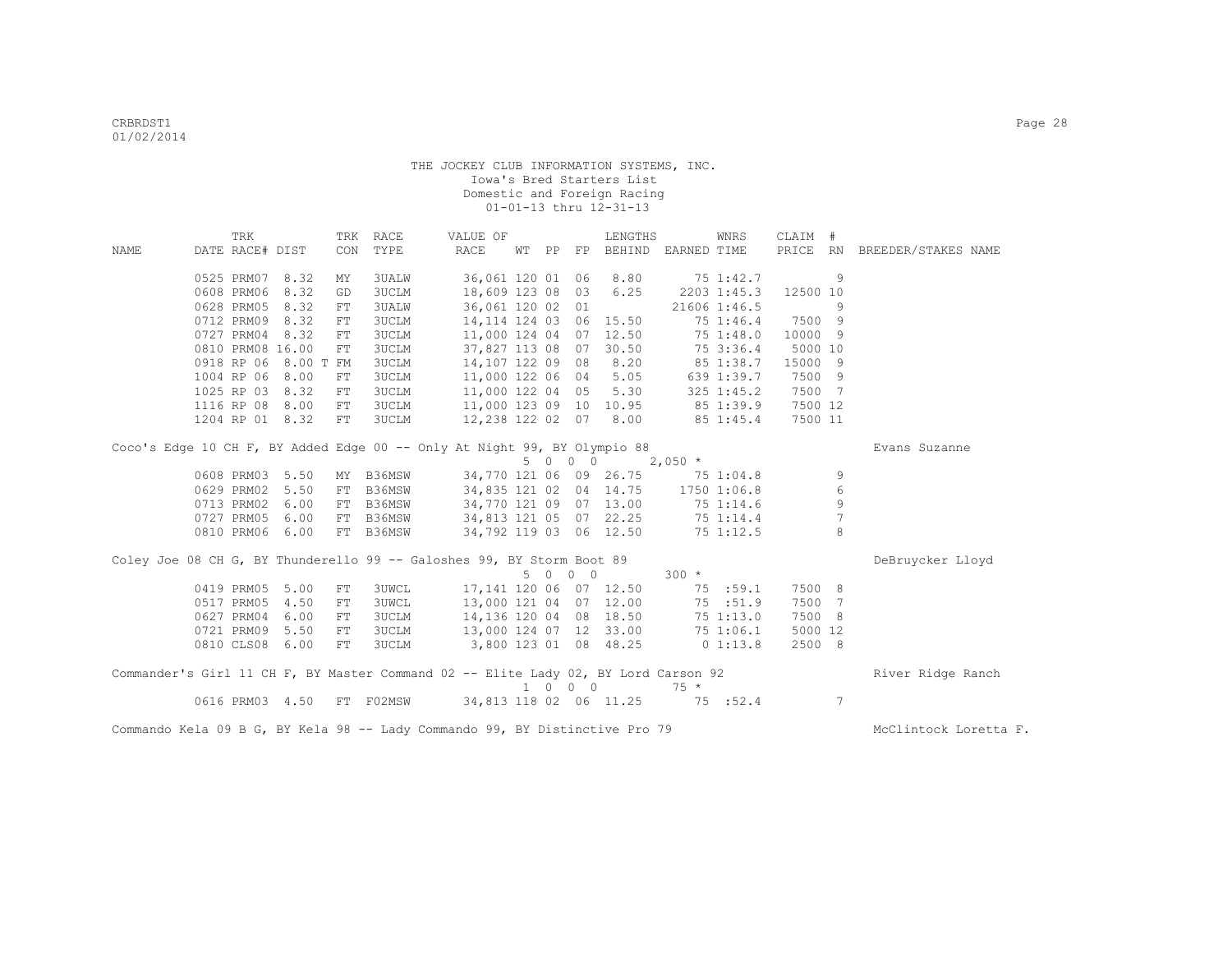| <b>NAME</b>                                                                        |                                                                             | TRK<br>DATE RACE# DIST |                  | CON | TRK RACE<br>TYPE | VALUE OF<br>RACE                                                     |  |                  |  |         | LENGTHS<br>WT PP FP BEHIND EARNED TIME |             | WNRS          | CLAIM #  |                 | PRICE RN BREEDER/STAKES NAME |
|------------------------------------------------------------------------------------|-----------------------------------------------------------------------------|------------------------|------------------|-----|------------------|----------------------------------------------------------------------|--|------------------|--|---------|----------------------------------------|-------------|---------------|----------|-----------------|------------------------------|
|                                                                                    |                                                                             |                        |                  |     |                  |                                                                      |  |                  |  |         |                                        |             |               |          |                 |                              |
|                                                                                    |                                                                             | 0525 PRM07 8.32        |                  | MY  | 3UALW            |                                                                      |  |                  |  |         | 36,061 120 01 06 8.80                  |             | 75 1:42.7     |          | 9               |                              |
|                                                                                    |                                                                             | 0608 PRM06             | 8.32             | GD  | <b>3UCLM</b>     |                                                                      |  | 18,609 123 08    |  |         | 03 6.25                                |             | 2203 1:45.3   | 12500 10 |                 |                              |
|                                                                                    |                                                                             | 0628 PRM05             | 8.32             | FT  | <b>3UALW</b>     |                                                                      |  | 36,061 120 02 01 |  |         |                                        |             | 21606 1:46.5  |          | 9               |                              |
|                                                                                    |                                                                             | 0712 PRM09             | 8.32             | FT  | <b>3UCLM</b>     |                                                                      |  |                  |  |         | 14, 114 124 03 06 15.50                |             | 75 1:46.4     | 7500 9   |                 |                              |
|                                                                                    |                                                                             | 0727 PRM04             | 8.32             | FT. | <b>3UCLM</b>     |                                                                      |  |                  |  |         | 11,000 124 04 07 12.50                 |             | 751:48.0      | 10000 9  |                 |                              |
|                                                                                    |                                                                             |                        | 0810 PRM08 16.00 | FT  | <b>3UCLM</b>     |                                                                      |  |                  |  |         | 37,827 113 08 07 30.50                 |             | 75 3:36.4     | 5000 10  |                 |                              |
|                                                                                    |                                                                             | 0918 RP 06             | 8.00 T FM        |     | 3UCLM            |                                                                      |  |                  |  |         | 14,107 122 09 08 8.20                  |             | 85 1:38.7     | 15000 9  |                 |                              |
|                                                                                    |                                                                             | 1004 RP 06             | 8.00             | FT  | <b>3UCLM</b>     |                                                                      |  |                  |  |         | 11,000 122 06 04 5.05                  |             | 639 1:39.7    | 7500 9   |                 |                              |
|                                                                                    |                                                                             | 1025 RP 03             | 8.32             | FT  | 3UCLM            |                                                                      |  |                  |  |         | 11,000 122 04 05 5.30                  |             | $325$ 1:45.2  | 7500 7   |                 |                              |
|                                                                                    |                                                                             |                        | 1116 RP 08 8.00  | FT  | 3UCLM            | 11,000 123 09 10 10.95                                               |  |                  |  |         |                                        | 85 1:39.9   |               | 7500 12  |                 |                              |
|                                                                                    |                                                                             |                        | 1204 RP 01 8.32  | FT  | <b>3UCLM</b>     |                                                                      |  |                  |  |         | 12,238 122 02 07 8.00                  |             | $85 \t1:45.4$ | 7500 11  |                 |                              |
|                                                                                    | Coco's Edge 10 CH F, BY Added Edge 00 -- Only At Night 99, BY Olympio 88    |                        |                  |     |                  |                                                                      |  |                  |  |         |                                        |             |               |          |                 | Evans Suzanne                |
|                                                                                    | 5 0 0 0<br>$2,050$ *<br>34,770 121 06 09 26.75 75 1:04.8<br>0608 PRM03 5.50 |                        |                  |     |                  |                                                                      |  |                  |  |         |                                        |             |               |          |                 |                              |
|                                                                                    |                                                                             |                        |                  | MY  | B36MSW           |                                                                      |  |                  |  |         |                                        |             |               |          | 9               |                              |
|                                                                                    |                                                                             | 0629 PRM02             | 5.50             | FT  | B36MSW           |                                                                      |  |                  |  |         | 34,835 121 02 04 14.75 1750 1:06.8     |             |               |          | 6               |                              |
|                                                                                    |                                                                             | 0713 PRM02             | 6.00             |     | FT B36MSW        |                                                                      |  |                  |  |         | 34,770 121 09 07 13.00 75 1:14.6       |             |               |          | $\mathsf 9$     |                              |
|                                                                                    |                                                                             | 0727 PRM05             | 6.00             |     | FT B36MSW        | 34,813 121 05 07 22.25 75 1:14.4<br>34,813 121 05 07 22.25 75 1:14.4 |  |                  |  |         |                                        |             |               |          | 7               |                              |
|                                                                                    |                                                                             |                        | 0810 PRM06 6.00  |     | FT B36MSW        |                                                                      |  |                  |  |         |                                        |             |               |          | 8               |                              |
| Coley Joe 08 CH G, BY Thunderello 99 -- Galoshes 99, BY Storm Boot 89              |                                                                             |                        |                  |     |                  |                                                                      |  |                  |  |         |                                        |             |               |          |                 | DeBruycker Lloyd             |
|                                                                                    |                                                                             |                        |                  |     |                  |                                                                      |  |                  |  | 5 0 0 0 |                                        | $300 *$     |               |          |                 |                              |
|                                                                                    |                                                                             | 0419 PRM05             | 5.00             | FT  | <b>3UWCL</b>     | 17,141 120 06 07 12.50                                               |  |                  |  |         |                                        |             | 75 :59.1      | 7500 8   |                 |                              |
|                                                                                    |                                                                             | 0517 PRM05             | 4.50             | FT  | <b>3UWCL</b>     | 13,000 121 04 07 12.00                                               |  |                  |  |         |                                        |             | 75 :51.9      | 7500 7   |                 |                              |
|                                                                                    |                                                                             | 0627 PRM04             | 6.00             | FT  | <b>3UCLM</b>     | 14,136 120 04 08 18.50                                               |  |                  |  |         |                                        |             | 751:13.0      | 7500 8   |                 |                              |
|                                                                                    |                                                                             | 0721 PRM09             | 5.50             | FT  | <b>3UCLM</b>     |                                                                      |  |                  |  |         | 13,000 124 07 12 33.00                 |             | 75 1:06.1     | 5000 12  |                 |                              |
|                                                                                    |                                                                             |                        | 0810 CLS08 6.00  | FT  | <b>3UCLM</b>     | 3,800 123 01 08 48.25                                                |  |                  |  |         |                                        | $0\;1:13.8$ |               | 2500 8   |                 |                              |
| Commander's Girl 11 CH F, BY Master Command 02 -- Elite Lady 02, BY Lord Carson 92 |                                                                             |                        |                  |     |                  |                                                                      |  |                  |  |         |                                        |             |               |          |                 | River Ridge Ranch            |
|                                                                                    |                                                                             |                        |                  |     |                  |                                                                      |  |                  |  | 1 0 0 0 |                                        | $75 *$      |               |          |                 |                              |
|                                                                                    |                                                                             |                        | 0616 PRM03 4.50  |     | FT F02MSW        | 34,813 118 02 06 11.25 75 :52.4                                      |  |                  |  |         |                                        |             |               |          | $7\phantom{.0}$ |                              |
| Commando Kela 09 B G, BY Kela 98 -- Lady Commando 99, BY Distinctive Pro 79        |                                                                             |                        |                  |     |                  |                                                                      |  |                  |  |         |                                        |             |               |          |                 | McClintock Loretta F.        |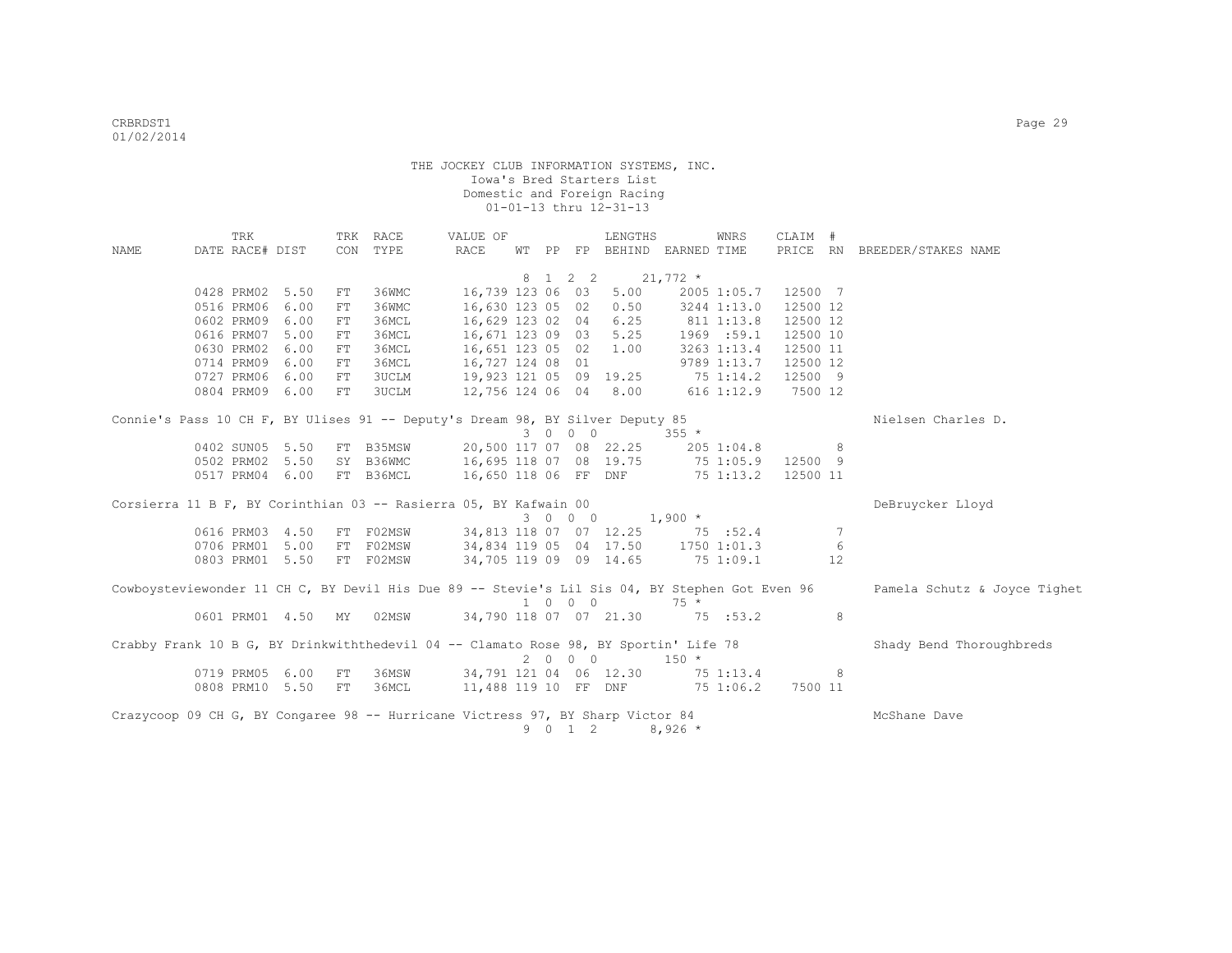|      | TRK                                |                 |    | TRK RACE            | VALUE OF                                                                                       |       |                     | LENGTHS                |                | WNRS        | CLAIM #  |                 |                              |
|------|------------------------------------|-----------------|----|---------------------|------------------------------------------------------------------------------------------------|-------|---------------------|------------------------|----------------|-------------|----------|-----------------|------------------------------|
| NAME | DATE RACE# DIST                    |                 |    | CON TYPE            | RACE                                                                                           | WT PP |                     | FP BEHIND EARNED TIME  |                |             |          |                 | PRICE RN BREEDER/STAKES NAME |
|      |                                    |                 |    |                     |                                                                                                |       | 8 1 2 2             |                        | $21,772$ *     |             |          |                 |                              |
|      | 0428 PRM02 5.50                    |                 | FT | 36WMC               | 16,739 123 06 03                                                                               |       |                     | 5.00                   |                | 2005 1:05.7 | 12500 7  |                 |                              |
|      | 0516 PRM06                         | 6.00            | FT | 36WMC               | 16,630 123 05 02 0.50                                                                          |       |                     |                        |                | 3244 1:13.0 | 12500 12 |                 |                              |
|      | 0602 PRM09 6.00                    |                 | FT | 36MCL               | 16,629 123 02 04 6.25                                                                          |       |                     |                        | 811 1:13.8     |             | 12500 12 |                 |                              |
|      | 0616 PRM07 5.00                    |                 | FT | 36MCL               | 16,671 123 09 03 5.25                                                                          |       |                     |                        |                | 1969 : 59.1 | 12500 10 |                 |                              |
|      | 0630 PRM02 6.00                    |                 | FT | 36MCL               | 16,651 123 05 02 1.00                                                                          |       |                     |                        |                | 3263 1:13.4 | 12500 11 |                 |                              |
|      | 0714 PRM09 6.00                    |                 | FT | 36MCL               | 16,727 124 08 01                                                                               |       |                     |                        |                | 9789 1:13.7 | 12500 12 |                 |                              |
|      | 0727 PRM06 6.00                    |                 | FT | 3UCLM               | 19,923 121 05 09 19.25                                                                         |       |                     |                        | 751:14.2       |             | 12500 9  |                 |                              |
|      | 0804 PRM09 6.00                    |                 | FT | 3UCLM               |                                                                                                |       |                     | 12,756 124 06 04 8.00  | $616$ $1:12.9$ |             | 7500 12  |                 |                              |
|      |                                    |                 |    |                     |                                                                                                |       |                     |                        |                |             |          |                 |                              |
|      |                                    |                 |    |                     | Connie's Pass 10 CH F, BY Ulises 91 -- Deputy's Dream 98, BY Silver Deputy 85                  |       |                     |                        |                |             |          |                 | Nielsen Charles D.           |
|      |                                    |                 |    |                     |                                                                                                |       | 3 0 0 0             |                        | $355 *$        |             |          |                 |                              |
|      | 0402 SUN05 5.50                    |                 |    |                     | FT B35MSW 20,500 117 07 08 22.25                                                               |       |                     |                        | 205 1:04.8     |             |          | 8               |                              |
|      | 0502 PRM02 5.50                    |                 |    | SY B36WMC           | 16,695 118 07 08 19.75                                                                         |       |                     |                        | 751:05.9       |             | 12500 9  |                 |                              |
|      | 0517 PRM04 6.00                    |                 |    | FT B36MCL           |                                                                                                |       |                     | 16,650 118 06 FF DNF   |                | 75 1:13.2   | 12500 11 |                 |                              |
|      |                                    |                 |    |                     |                                                                                                |       |                     |                        |                |             |          |                 |                              |
|      |                                    |                 |    |                     | Corsierra 11 B F, BY Corinthian 03 -- Rasierra 05, BY Kafwain 00                               |       |                     |                        |                |             |          |                 | DeBruycker Lloyd             |
|      |                                    |                 |    |                     |                                                                                                |       | 3 0 0 0             |                        | $1,900$ *      |             |          |                 |                              |
|      | 0616 PRM03 4.50                    |                 | FT | F02MSW              |                                                                                                |       |                     | 34,813 118 07 07 12.25 | 75 : 52.4      |             |          | $7\phantom{.0}$ |                              |
|      | 0706 PRM01 5.00<br>0803 PRM01 5.50 |                 | FT | F02MSW<br>FT F02MSW | 34,834 119 05 04 17.50 1750 1:01.3<br>34,705 119 09 09 14.65                                   |       |                     |                        | 75 1:09.1      |             |          | 6<br>12         |                              |
|      |                                    |                 |    |                     |                                                                                                |       |                     |                        |                |             |          |                 |                              |
|      |                                    |                 |    |                     | Cowboysteviewonder 11 CH C, BY Devil His Due 89 -- Stevie's Lil Sis 04, BY Stephen Got Even 96 |       |                     |                        |                |             |          |                 | Pamela Schutz & Joyce Tighet |
|      |                                    |                 |    |                     |                                                                                                |       | 1 0 0 0             |                        | $75 *$         |             |          |                 |                              |
|      |                                    | 0601 PRM01 4.50 | MY | 02MSW               |                                                                                                |       |                     | 34,790 118 07 07 21.30 | 75 : 53.2      |             |          | 8               |                              |
|      |                                    |                 |    |                     |                                                                                                |       |                     |                        |                |             |          |                 |                              |
|      |                                    |                 |    |                     | Crabby Frank 10 B G, BY Drinkwiththedevil 04 -- Clamato Rose 98, BY Sportin' Life 78           |       | 2000                |                        | $150 *$        |             |          |                 | Shady Bend Thoroughbreds     |
|      | 0719 PRM05 6.00                    |                 | FT | 36MSW               | 34,791 121 04 06 12.30                                                                         |       |                     |                        | $75\ 1:13.4$   |             |          | 8               |                              |
|      | 0808 PRM10 5.50                    |                 | FT | 36MCL               | 11,488 119 10 FF DNF 75 1:06.2                                                                 |       |                     |                        |                |             | 7500 11  |                 |                              |
|      |                                    |                 |    |                     |                                                                                                |       |                     |                        |                |             |          |                 |                              |
|      |                                    |                 |    |                     | Crazycoop 09 CH G, BY Congaree 98 -- Hurricane Victress 97, BY Sharp Victor 84                 |       |                     |                        |                |             |          |                 | McShane Dave                 |
|      |                                    |                 |    |                     |                                                                                                | 9     | $0 \quad 1 \quad 2$ |                        | $8,926$ *      |             |          |                 |                              |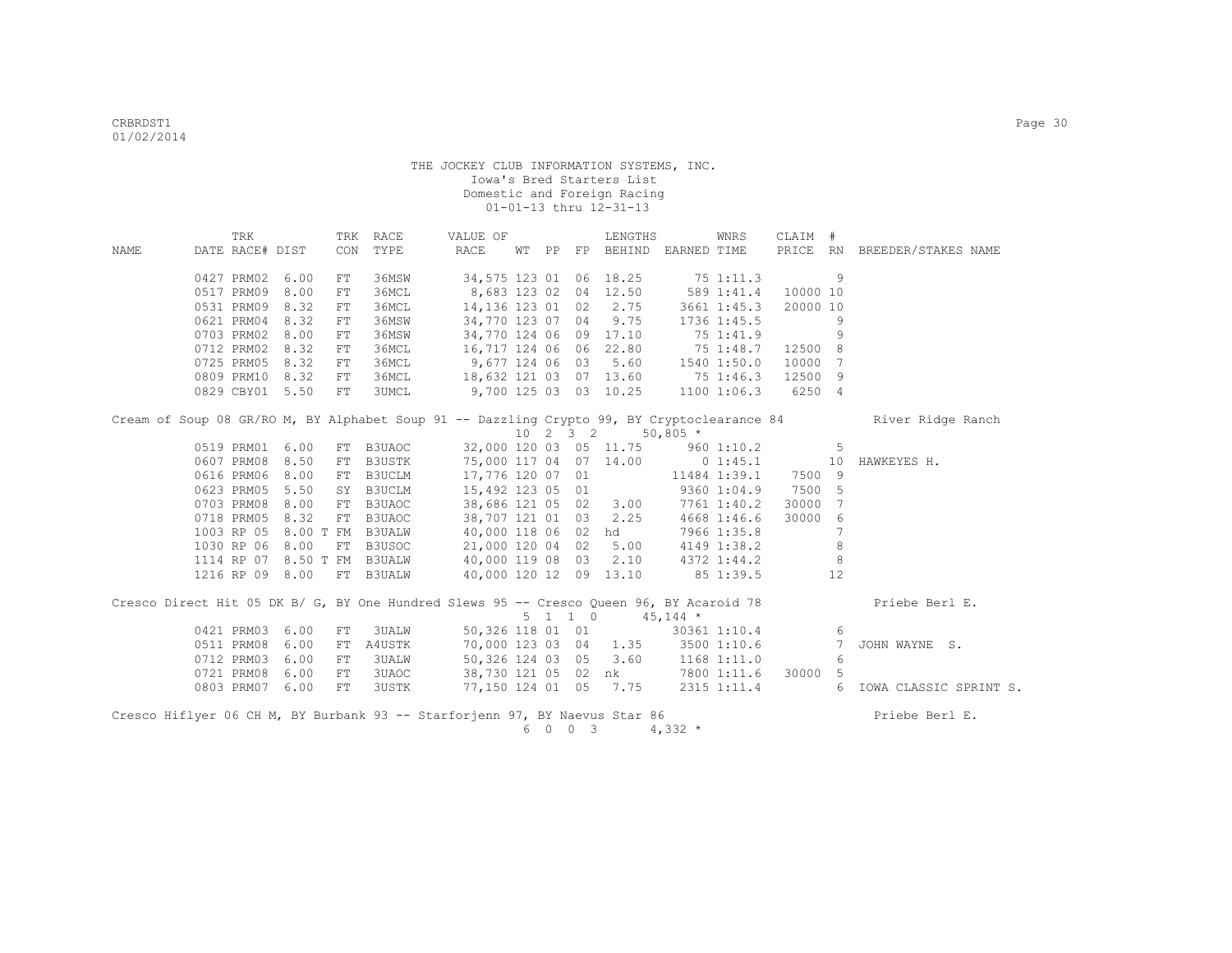|      | TRK                                |      |     | TRK RACE                                 | VALUE OF                                                                                   |   |                     | LENGTHS                     |              | WNRS            | CLAIM #             |                |                              |
|------|------------------------------------|------|-----|------------------------------------------|--------------------------------------------------------------------------------------------|---|---------------------|-----------------------------|--------------|-----------------|---------------------|----------------|------------------------------|
| NAME | DATE RACE# DIST                    |      |     | CON TYPE                                 | RACE                                                                                       |   |                     | WT PP FP BEHIND EARNED TIME |              |                 |                     |                | PRICE RN BREEDER/STAKES NAME |
|      |                                    |      |     |                                          |                                                                                            |   |                     |                             |              |                 |                     |                |                              |
|      | 0427 PRM02 6.00                    |      | FT  | 36MSW                                    |                                                                                            |   |                     | 34,575 123 01 06 18.25      | 75 1:11.3    |                 |                     | 9              |                              |
|      | 0517 PRM09 8.00                    |      | FT  | 36MCL                                    | 8,683 123 02 04 12.50                                                                      |   |                     |                             |              | 589 1:41.4      | 10000 10            |                |                              |
|      | 0531 PRM09 8.32                    |      | FT. | 36MCL                                    |                                                                                            |   |                     | 14,136 123 01 02 2.75       |              | 3661 1:45.3     | 20000 10            |                |                              |
|      | 0621 PRM04 8.32                    |      | FT  | 36MSW                                    | 34,770 123 07 04 9.75                                                                      |   |                     |                             |              | 1736 1:45.5     |                     | 9              |                              |
|      | 0703 PRM02 8.00                    |      | FT  | 36MSW                                    | 34,770 124 06 09 17.10                                                                     |   |                     |                             | 75 1:41.9    |                 |                     | 9              |                              |
|      | 0712 PRM02 8.32                    |      | FT  | 36MCL                                    | 16,717 124 06 06 22.80 75 1:48.7                                                           |   |                     |                             |              |                 | 12500 8             |                |                              |
|      | 0725 PRM05                         | 8.32 | FT  | 36MCL                                    | 9,677 124 06 03 5.60 1540 1:50.0                                                           |   |                     |                             |              |                 | 10000 7             |                |                              |
|      | 0809 PRM10 8.32                    |      | FT  | 36MCL                                    | 18,632 121 03 07 13.60 75 1:46.3                                                           |   |                     |                             |              |                 | 12500 9             |                |                              |
|      | 0829 CBY01 5.50                    |      | FT  | 3UMCL                                    | 9,700 125 03 03 10.25                                                                      |   |                     |                             |              | $1100$ $1:06.3$ | 6250 4              |                |                              |
|      |                                    |      |     |                                          |                                                                                            |   |                     |                             |              |                 |                     |                |                              |
|      |                                    |      |     |                                          | Cream of Soup 08 GR/RO M, BY Alphabet Soup 91 -- Dazzling Crypto 99, BY Cryptoclearance 84 |   |                     | $10 \t2 \t3 \t2$            |              |                 |                     |                | River Ridge Ranch            |
|      |                                    |      |     |                                          |                                                                                            |   |                     |                             | $50,805$ *   |                 |                     |                |                              |
|      | 0519 PRM01 6.00<br>0607 PRM08 8.50 |      |     | FT B3UAOC                                |                                                                                            |   |                     | 32,000 120 03 05 11.75      |              | 9601:10.2       |                     | -5             |                              |
|      | 0616 PRM06 8.00                    |      | FT  | B3USTK                                   | 75,000 117 04 07 14.00 0 1:45.1                                                            |   |                     |                             |              |                 | 7500 9              | 10             | HAWKEYES H.                  |
|      |                                    |      | FT  | <b>B3UCLM</b>                            | 17,776 120 07 01<br>15,492 123 05 01                                                       |   |                     |                             |              | 11484 1:39.1    |                     |                |                              |
|      | 0623 PRM05 5.50                    |      | SY  | B3UCLM                                   |                                                                                            |   |                     |                             |              | 9360 1:04.9     | 7500 5<br>30000     |                |                              |
|      | 0703 PRM08 8.00                    |      | FT  | B3UAOC                                   | 38,686 121 05 02 3.00 7761 1:40.2<br>38,707 121 01 03 2.25                                 |   |                     |                             |              |                 |                     | $\overline{7}$ |                              |
|      | 0718 PRM05 8.32                    |      |     | FT B3UAOC<br>1003 RP 05 8.00 T FM B3UALW |                                                                                            |   |                     |                             |              | 4668 1:46.6     | 30000               | 6<br>7         |                              |
|      |                                    |      |     |                                          | 40,000 118 06 02 hd                                                                        |   |                     |                             |              | 7966 1:35.8     |                     |                |                              |
|      | 1030 RP 06 8.00                    |      |     | FT B3USOC                                | 21,000 120 04 02 5.00                                                                      |   |                     |                             |              | 4149 1:38.2     |                     | 8              |                              |
|      |                                    |      |     | 1114 RP 07 8.50 T FM B3UALW              | 40,000 119 08 03 2.10 4372 1:44.2                                                          |   |                     |                             |              |                 |                     | 8              |                              |
|      | 1216 RP 09 8.00                    |      |     | FT B3UALW                                | 40,000 120 12 09 13.10                                                                     |   |                     |                             | $85\,1:39.5$ |                 |                     | 12             |                              |
|      |                                    |      |     |                                          | Cresco Direct Hit 05 DK B/ G, BY One Hundred Slews 95 -- Cresco Queen 96, BY Acaroid 78    |   |                     |                             |              |                 |                     |                | Priebe Berl E.               |
|      |                                    |      |     |                                          |                                                                                            |   | $5 \t1 \t1 \t0$     |                             | $45,144$ *   |                 |                     |                |                              |
|      | 0421 PRM03 6.00                    |      | FT  | <b>3UALW</b>                             |                                                                                            |   |                     | 50,326 118 01 01            |              | 30361 1:10.4    |                     | 6              |                              |
|      | 0511 PRM08                         | 6.00 | FT  | A4USTK                                   | 70,000 123 03 04 1.35 3500 1:10.6                                                          |   |                     |                             |              |                 |                     | 7              | JOHN WAYNE S.                |
|      | 0712 PRM03                         | 6.00 | FT  | <b>3UALW</b>                             | 50,326 124 03 05 3.60                                                                      |   |                     |                             |              | 1168 1:11.0     |                     | 6              |                              |
|      | 0721 PRM08                         | 6.00 | FT  | 3UAOC                                    | 38,730 121 05 02 nk                                                                        |   |                     |                             |              |                 | 7800 1:11.6 30000 5 |                |                              |
|      | 0803 PRM07 6.00                    |      | FT  | 3USTK                                    | 77,150 124 01 05 7.75                                                                      |   |                     |                             |              | 2315 1:11.4     |                     | 6              | IOWA CLASSIC SPRINT S.       |
|      |                                    |      |     |                                          |                                                                                            |   |                     |                             |              |                 |                     |                |                              |
|      |                                    |      |     |                                          | Cresco Hiflyer 06 CH M, BY Burbank 93 -- Starforjenn 97, BY Naevus Star 86                 | 6 | $0 \quad 0 \quad 3$ |                             | 4,332 $*$    |                 |                     |                | Priebe Berl E.               |
|      |                                    |      |     |                                          |                                                                                            |   |                     |                             |              |                 |                     |                |                              |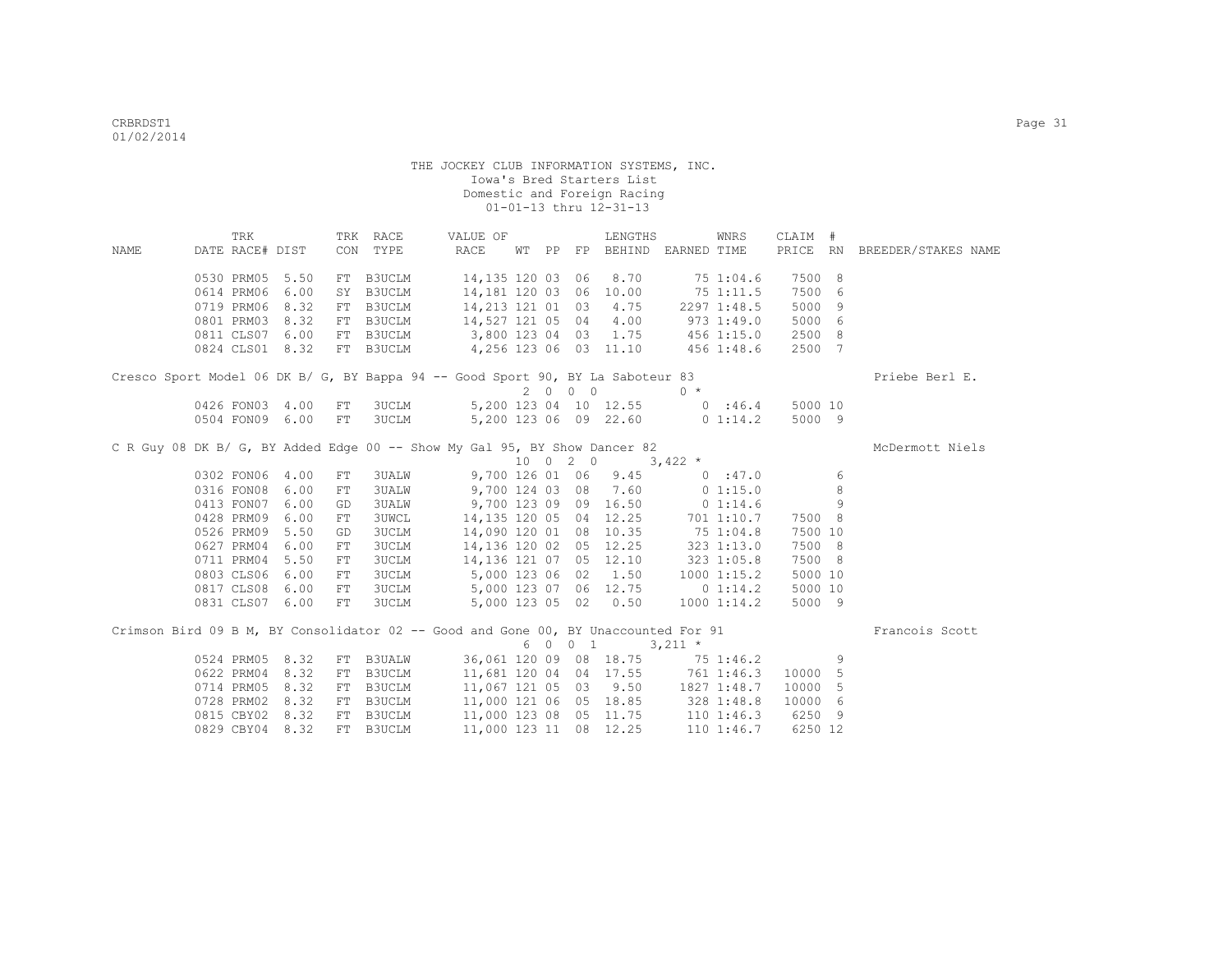|      | TRK             |      |            | TRK RACE      | VALUE OF                                                                           |  |          | LENGTHS                            |             | WNRS        | CLAIM # |    |                              |
|------|-----------------|------|------------|---------------|------------------------------------------------------------------------------------|--|----------|------------------------------------|-------------|-------------|---------|----|------------------------------|
| NAME | DATE RACE# DIST |      |            | CON TYPE      | RACE                                                                               |  |          | WT PP FP BEHIND EARNED TIME        |             |             |         |    | PRICE RN BREEDER/STAKES NAME |
|      | 0530 PRM05 5.50 |      |            | FT B3UCLM     | 14,135 120 03 06                                                                   |  |          | 8.70                               |             | 751:04.6    | 7500 8  |    |                              |
|      | 0614 PRM06      | 6.00 | SY         | <b>B3UCLM</b> | 14,181 120 03 06                                                                   |  |          | 10.00                              |             | 751:11.5    | 7500 6  |    |                              |
|      | 0719 PRM06 8.32 |      |            | FT B3UCLM     | 14,213 121 01 03                                                                   |  |          | 4.75                               |             | 22971:48.5  | 5000    | -9 |                              |
|      | 0801 PRM03 8.32 |      |            |               | FT B3UCLM 14,527 121 05 04                                                         |  |          | 4.00                               |             | 9731:49.0   | 5000 6  |    |                              |
|      | 0811 CLS07 6.00 |      |            |               | FT B3UCLM 3,800 123 04 03 1.75                                                     |  |          |                                    |             | 456 1:15.0  | 2500 8  |    |                              |
|      | 0824 CLS01 8.32 |      |            |               | FT B3UCLM 4,256 123 06 03 11.10                                                    |  |          |                                    | 456 1:48.6  |             | 2500 7  |    |                              |
|      |                 |      |            |               | Cresco Sport Model 06 DK B/ G, BY Bappa 94 -- Good Sport 90, BY La Saboteur 83     |  |          |                                    |             |             |         |    | Priebe Berl E.               |
|      |                 |      |            |               |                                                                                    |  | 2000     |                                    | $0 *$       |             |         |    |                              |
|      | 0426 FON03 4.00 |      | FT         | 3UCLM         |                                                                                    |  |          | 5,200 123 04 10 12.55              |             | 0:46.4      | 5000 10 |    |                              |
|      | 0504 FON09 6.00 |      | FT         | <b>3UCLM</b>  | 5,200 123 06 09 22.60 0 1:14.2                                                     |  |          |                                    |             |             | 5000 9  |    |                              |
|      |                 |      |            |               | C R Guy 08 DK B/ G, BY Added Edge 00 -- Show My Gal 95, BY Show Dancer 82          |  |          |                                    |             |             |         |    | McDermott Niels              |
|      |                 |      |            |               |                                                                                    |  | 10 0 2 0 |                                    | $3,422$ *   |             |         |    |                              |
|      | 0302 FON06 4.00 |      | FT         | 3UALW         | 9,700 126 01 06 9.45                                                               |  |          |                                    | 0:47.0      |             |         | 6  |                              |
|      | 0316 FON08 6.00 |      | FT         | <b>3UALW</b>  | 9,700 124 03 08 7.60                                                               |  |          |                                    | $0\;1:15.0$ |             |         | 8  |                              |
|      | 0413 FON07      | 6.00 | GD         | <b>3UALW</b>  | 9,700 123 09 09 16.50                                                              |  |          |                                    |             | 01:14.6     |         | 9  |                              |
|      | 0428 PRM09      | 6.00 | FT         | <b>3UWCL</b>  |                                                                                    |  |          | 14, 135 120 05 04 12.25 701 1:10.7 |             |             | 7500 8  |    |                              |
|      | 0526 PRM09      | 5.50 | GD         | <b>3UCLM</b>  |                                                                                    |  |          | 14,090 120 01 08 10.35 75 1:04.8   |             |             | 7500 10 |    |                              |
|      | 0627 PRM04      | 6.00 | ${\rm FT}$ | 3UCLM         | 14, 136 120 02 05 12.25                                                            |  |          |                                    | 323 1:13.0  |             | 7500 8  |    |                              |
|      | 0711 PRM04      | 5.50 | FT         | 3UCLM         | 14, 136 121 07 05 12.10                                                            |  |          |                                    | 323 1:05.8  |             | 7500 8  |    |                              |
|      | 0803 CLS06 6.00 |      | ${\rm FT}$ | 3UCLM         | 5,000 123 06 02 1.50                                                               |  |          |                                    |             | 10001:15.2  | 5000 10 |    |                              |
|      | 0817 CLS08 6.00 |      | FT         | 3UCLM         | 5,000 123 07 06 12.75                                                              |  |          |                                    |             | 0 1:14.2    | 5000 10 |    |                              |
|      | 0831 CLS07 6.00 |      | FT         | 3UCLM         | 5,000 123 05 02 0.50                                                               |  |          |                                    |             | 1000 1:14.2 | 5000 9  |    |                              |
|      |                 |      |            |               | Crimson Bird 09 B M, BY Consolidator 02 -- Good and Gone 00, BY Unaccounted For 91 |  |          |                                    |             |             |         |    | Francois Scott               |
|      |                 |      |            |               |                                                                                    |  | 6 0 0 1  |                                    | $3,211$ *   |             |         |    |                              |
|      | 0524 PRM05      | 8.32 |            | FT B3UALW     | 36,061 120 09 08 18.75                                                             |  |          |                                    | 751:46.2    |             |         | 9  |                              |
|      | 0622 PRM04      | 8.32 | FT         | B3UCLM        |                                                                                    |  |          | 11,681 120 04 04 17.55             | 761 1:46.3  |             | 10000 5 |    |                              |
|      | 0714 PRM05      | 8.32 | FT         | B3UCLM        | 11,067 121 05 03 9.50                                                              |  |          |                                    |             | 1827 1:48.7 | 10000 5 |    |                              |
|      | 0728 PRM02      | 8.32 | FT         | B3UCLM        |                                                                                    |  |          | 11,000 121 06 05 18.85 328 1:48.8  |             |             | 10000 6 |    |                              |
|      | 0815 CBY02 8.32 |      |            | FT B3UCLM     |                                                                                    |  |          | 11,000 123 08 05 11.75 110 1:46.3  |             |             | 6250 9  |    |                              |
|      | 0829 CBY04 8.32 |      |            | FT B3UCLM     | 11,000 123 11 08 12.25                                                             |  |          |                                    |             | 110 1:46.7  | 6250 12 |    |                              |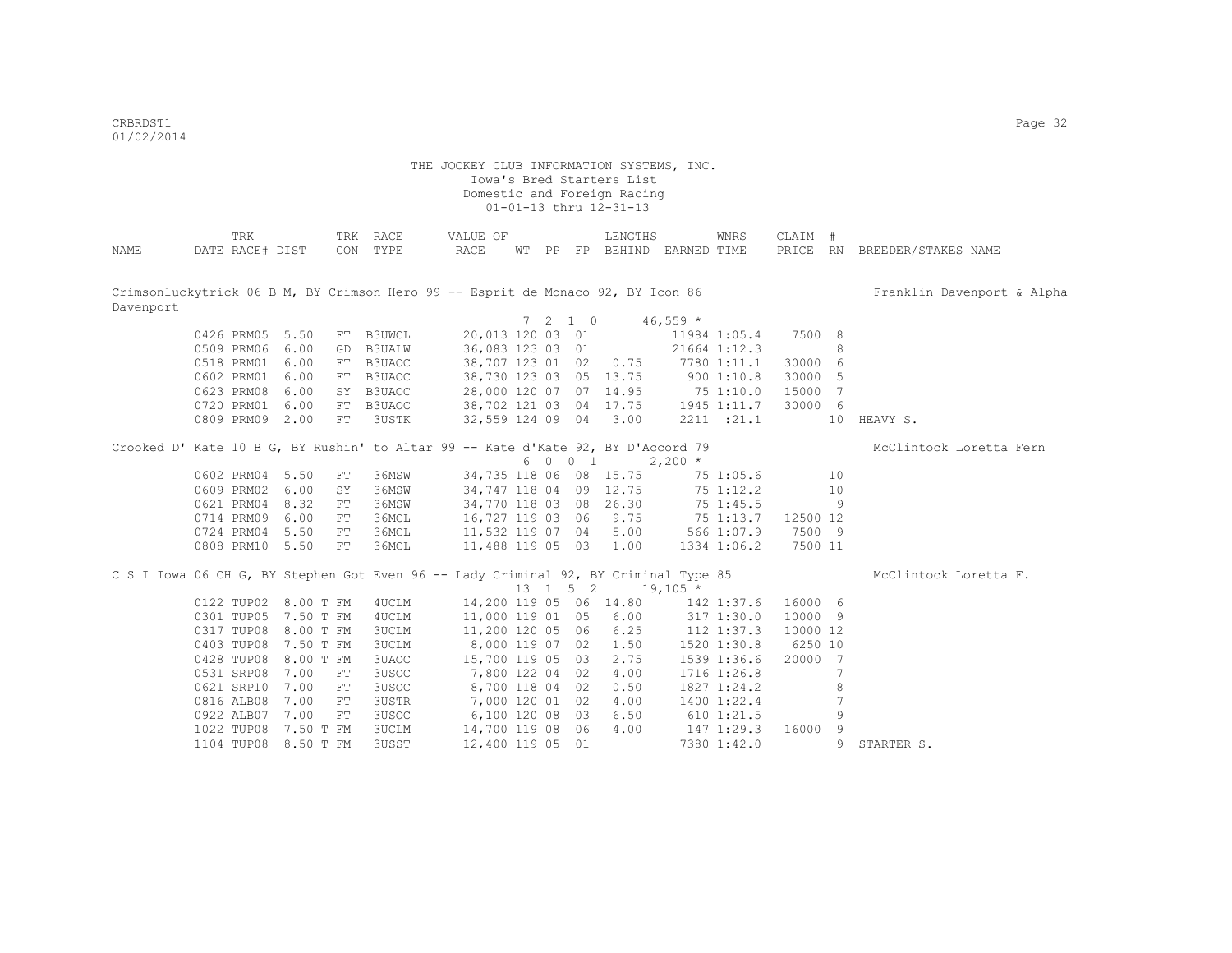CRBRDST1 Page 32 01/02/2014

|           | <b>TRK</b>      |                      |            | TRK RACE      | VALUE OF                                                                            |  |                          | LENGTHS                           |            | WNRS           | CLAIM #  |     |                              |
|-----------|-----------------|----------------------|------------|---------------|-------------------------------------------------------------------------------------|--|--------------------------|-----------------------------------|------------|----------------|----------|-----|------------------------------|
| NAME      | DATE RACE# DIST |                      |            | CON TYPE      | RACE                                                                                |  |                          | WT PP FP BEHIND EARNED TIME       |            |                |          |     | PRICE RN BREEDER/STAKES NAME |
|           |                 |                      |            |               |                                                                                     |  |                          |                                   |            |                |          |     |                              |
|           |                 |                      |            |               |                                                                                     |  |                          |                                   |            |                |          |     |                              |
|           |                 |                      |            |               | Crimsonluckytrick 06 B M, BY Crimson Hero 99 -- Esprit de Monaco 92, BY Icon 86     |  |                          |                                   |            |                |          |     | Franklin Davenport & Alpha   |
| Davenport |                 |                      |            |               |                                                                                     |  |                          |                                   |            |                |          |     |                              |
|           |                 |                      |            |               |                                                                                     |  | $7\quad 2\quad 1\quad 0$ |                                   | $46,559$ * |                |          |     |                              |
|           | 0426 PRM05 5.50 |                      | FT         | B3UWCL        |                                                                                     |  |                          | 20,013 120 03 01                  |            | 11984 1:05.4   | 7500 8   |     |                              |
|           | 0509 PRM06 6.00 |                      | GD         | <b>B3UALW</b> | 36,083 123 03 01                                                                    |  |                          |                                   |            | 21664 1:12.3   |          | 8   |                              |
|           | 0518 PRM01      | 6.00                 | FT         | B3UAOC        |                                                                                     |  |                          | 38,707 123 01 02 0.75             |            | 7780 1:11.1    | 30000 6  |     |                              |
|           | 0602 PRM01      | 6.00                 | FT         | B3UAOC        |                                                                                     |  |                          | 38,730 123 03 05 13.75 900 1:10.8 |            |                | 30000 5  |     |                              |
|           | 0623 PRM08      | 6.00                 | SY         | B3UAOC        |                                                                                     |  |                          | 28,000 120 07 07 14.95            | 75 1:10.0  |                | 15000 7  |     |                              |
|           | 0720 PRM01 6.00 |                      |            | FT B3UAOC     |                                                                                     |  |                          | 38,702 121 03 04 17.75            |            | 1945 1:11.7    | 30000 6  |     |                              |
|           | 0809 PRM09 2.00 |                      |            | FT 3USTK      |                                                                                     |  |                          | 32,559 124 09 04 3.00             |            | 2211 : 21.1    |          | 10  | HEAVY S.                     |
|           |                 |                      |            |               | Crooked D' Kate 10 B G, BY Rushin' to Altar 99 -- Kate d'Kate 92, BY D'Accord 79    |  |                          |                                   |            |                |          |     | McClintock Loretta Fern      |
|           |                 |                      |            |               |                                                                                     |  | 6 0 0 1                  |                                   | $2,200$ *  |                |          |     |                              |
|           | 0602 PRM04 5.50 |                      | FT         | 36MSW         | 34,735 118 06 08 15.75                                                              |  |                          |                                   |            | 75 1:05.6      |          | 10  |                              |
|           | 0609 PRM02 6.00 |                      | SY         | 36MSW         |                                                                                     |  |                          | 34,747 118 04 09 12.75            |            | 75 1:12.2      |          | 10  |                              |
|           | 0621 PRM04 8.32 |                      | FT         | 36MSW         | 34,770 118 03 08 26.30                                                              |  |                          |                                   |            | 75 1:45.5      |          | 9   |                              |
|           | 0714 PRM09 6.00 |                      | ${\rm FT}$ | 36MCL         | 16,727 119 03 06 9.75                                                               |  |                          |                                   | 75 1:13.7  |                | 12500 12 |     |                              |
|           | 0724 PRM04 5.50 |                      | FT         | 36MCL         | 11,532 119 07 04 5.00 566 1:07.9                                                    |  |                          |                                   |            |                | 7500 9   |     |                              |
|           | 0808 PRM10 5.50 |                      | FT         | 36MCL         | 11,488 119 05 03 1.00                                                               |  |                          |                                   |            | 1334 1:06.2    | 7500 11  |     |                              |
|           |                 |                      |            |               |                                                                                     |  |                          |                                   |            |                |          |     |                              |
|           |                 |                      |            |               | C S I Iowa 06 CH G, BY Stephen Got Even 96 -- Lady Criminal 92, BY Criminal Type 85 |  |                          |                                   |            |                |          |     | McClintock Loretta F.        |
|           |                 |                      |            |               |                                                                                     |  | 13 1 5 2                 |                                   | $19,105$ * |                |          |     |                              |
|           |                 | 0122 TUP02 8.00 T FM |            | 4UCLM         | 14,200 119 05 06 14.80                                                              |  |                          |                                   | 142 1:37.6 |                | 16000 6  |     |                              |
|           |                 | 0301 TUP05 7.50 T FM |            | 4UCLM         | 11,000 119 01 05 6.00                                                               |  |                          |                                   |            | 317 1:30.0     | 10000 9  |     |                              |
|           |                 | 0317 TUP08 8.00 T FM |            | 3UCLM         | 11,200 120 05 06 6.25                                                               |  |                          |                                   |            | 112 1:37.3     | 10000 12 |     |                              |
|           |                 | 0403 TUP08 7.50 T FM |            | 3UCLM         | 8,000 119 07 02 1.50                                                                |  |                          |                                   |            | 1520 1:30.8    | 6250 10  |     |                              |
|           |                 | 0428 TUP08 8.00 T FM |            | 3UAOC         | 15,700 119 05 03                                                                    |  |                          | 2.75                              |            | 1539 1:36.6    | 20000 7  |     |                              |
|           | 0531 SRP08      | 7.00                 | FT         | 3USOC         | 7,800 122 04 02                                                                     |  |                          | 4.00                              |            | 1716 1:26.8    |          | 7   |                              |
|           | 0621 SRP10      | 7.00                 | FT         | 3USOC         | 8,700 118 04 02                                                                     |  |                          | 0.50                              |            | 1827 1:24.2    |          | 8   |                              |
|           | 0816 ALB08      | 7.00                 | FT         | 3USTR         | 7,000 120 01 02                                                                     |  |                          | 4.00                              |            | 1400 1:22.4    |          | 7   |                              |
|           | 0922 ALB07      | 7.00                 | FT         | 3USOC         | 6,100 120 08 03                                                                     |  |                          | 6.50                              |            | $610$ $1:21.5$ |          | 9   |                              |
|           | 1022 TUP08      | 7.50 T FM            |            | 3UCLM         | 14,700 119 08 06                                                                    |  |                          | 4.00                              |            | 147 1:29.3     | 16000    | - 9 |                              |
|           | 1104 TUP08      | 8.50 T FM            |            | 3USST         | 12,400 119 05 01                                                                    |  |                          |                                   |            | 7380 1:42.0    |          | 9   | STARTER S.                   |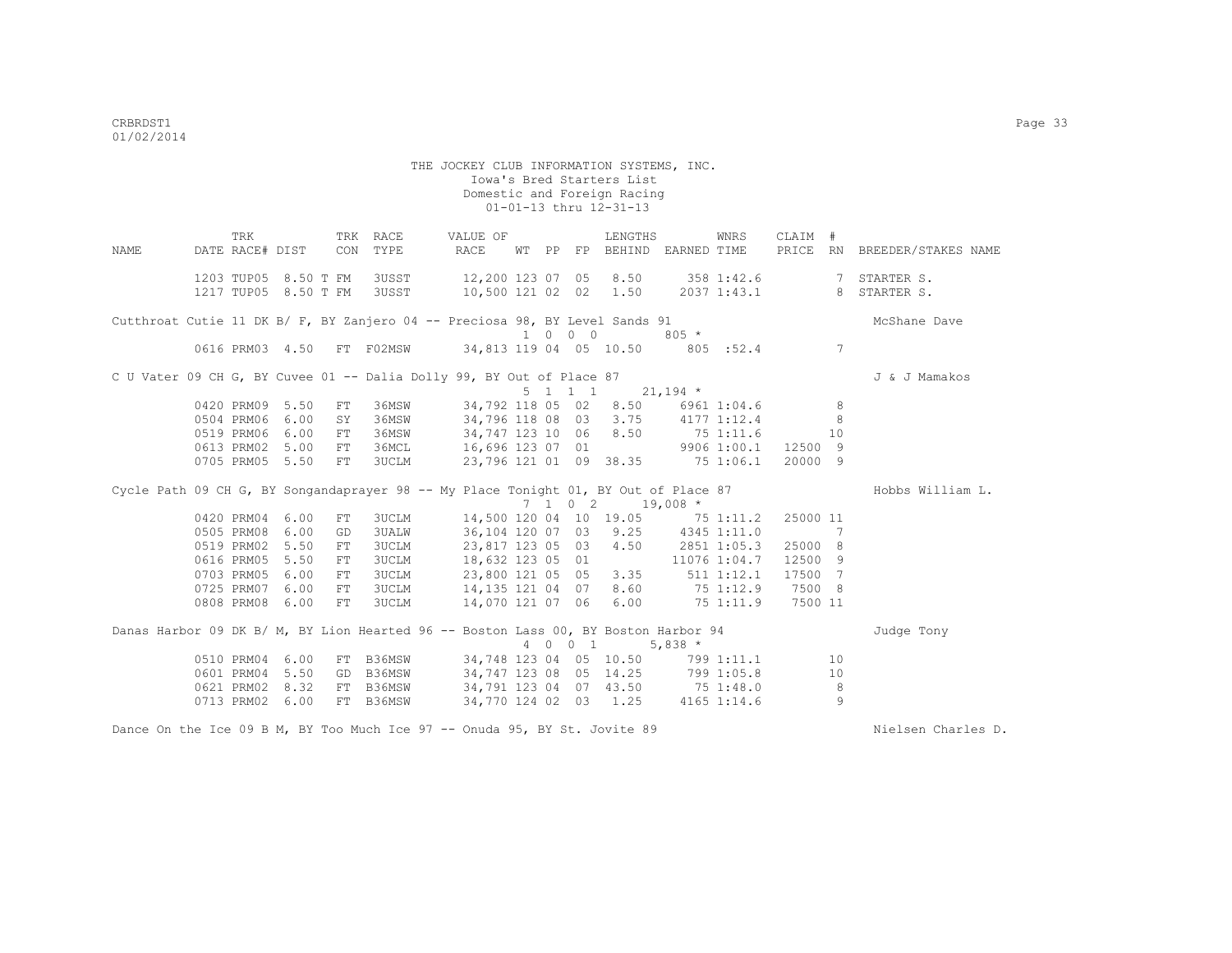|      | TRK             |                      |    | TRK RACE                   | VALUE OF                                                                                  |  |                             | LENGTHS                                          |                   | WNRS        | CLAIM #  |                |                                                     |
|------|-----------------|----------------------|----|----------------------------|-------------------------------------------------------------------------------------------|--|-----------------------------|--------------------------------------------------|-------------------|-------------|----------|----------------|-----------------------------------------------------|
| NAME |                 |                      |    | DATE RACE# DIST CON TYPE   | RACE                                                                                      |  |                             | WT PP FP BEHIND EARNED TIME                      |                   |             |          |                | PRICE RN BREEDER/STAKES NAME                        |
|      |                 | 1203 TUP05 8.50 T FM |    |                            |                                                                                           |  |                             |                                                  |                   |             |          |                | 3USST 12,200 123 07 05 8.50 358 1:42.6 7 STARTER S. |
|      |                 |                      |    | 1217 TUP05 8.50 T FM 3USST |                                                                                           |  |                             |                                                  |                   |             |          |                | 10,500 121 02 02 1.50 2037 1:43.1 8 STARTER S.      |
|      |                 |                      |    |                            |                                                                                           |  |                             |                                                  |                   |             |          |                |                                                     |
|      |                 |                      |    |                            | Cutthroat Cutie 11 DK B/ F, BY Zanjero 04 -- Preciosa 98, BY Level Sands 91               |  |                             |                                                  |                   |             |          |                | McShane Dave                                        |
|      |                 |                      |    |                            |                                                                                           |  | $1 \quad 0 \quad 0 \quad 0$ |                                                  | $805 *$           |             |          |                |                                                     |
|      |                 |                      |    |                            | 0616 PRM03 4.50 FT F02MSW 34,813 119 04 05 10.50 805 :52.4 7                              |  |                             |                                                  |                   |             |          |                |                                                     |
|      |                 |                      |    |                            | C U Vater 09 CH G, BY Cuvee 01 -- Dalia Dolly 99, BY Out of Place 87                      |  |                             |                                                  |                   |             |          |                | J & J Mamakos                                       |
|      |                 |                      |    |                            |                                                                                           |  |                             | $5 \quad 1 \quad 1 \quad 1 \quad 21,194 \quad *$ |                   |             |          |                |                                                     |
|      | 0420 PRM09 5.50 |                      | FT | 36MSW                      |                                                                                           |  |                             | 34,792 118 05 02 8.50 6961 1:04.6                |                   |             |          | $_{\rm 8}$     |                                                     |
|      | 0504 PRM06 6.00 |                      | SY |                            | 36MSW 34,796 118 08 03 3.75 4177 1:12.4                                                   |  |                             |                                                  |                   |             |          | - 8            |                                                     |
|      | 0519 PRM06 6.00 |                      | FT |                            | 36MSW 34,747 123 10 06 8.50 75 1:11.6                                                     |  |                             |                                                  |                   |             | 10       |                |                                                     |
|      |                 | 0613 PRM02 5.00      | FT |                            | 36MCL 16,696 123 07 01 9906 1:00.1                                                        |  |                             |                                                  |                   |             | 12500 9  |                |                                                     |
|      |                 | 0705 PRM05 5.50      | FT |                            | 3UCLM 23,796 121 01 09 38.35 75 1:06.1                                                    |  |                             |                                                  |                   |             | 20000 9  |                |                                                     |
|      |                 |                      |    |                            | Cycle Path 09 CH G, BY Songandaprayer 98 -- My Place Tonight 01, BY Out of Place 87       |  |                             |                                                  |                   |             |          |                | Hobbs William L.                                    |
|      |                 |                      |    |                            |                                                                                           |  |                             | 7 1 0 2 19,008 *                                 |                   |             |          |                |                                                     |
|      | 0420 PRM04 6.00 |                      | FT |                            | 3UCLM 14,500 120 04 10 19.05 75 1:11.2                                                    |  |                             |                                                  |                   |             | 25000 11 |                |                                                     |
|      | 0505 PRM08      | 6.00                 | GD |                            | 3UALW 36,104 120 07 03 9.25 4345 1:11.0                                                   |  |                             |                                                  |                   |             | $\sim$ 7 |                |                                                     |
|      | 0519 PRM02 5.50 |                      | FT |                            | 3UCLM 23,817 123 05 03 4.50 2851 1:05.3                                                   |  |                             |                                                  |                   |             | 25000 8  |                |                                                     |
|      | 0616 PRM05 5.50 |                      | FT |                            | 3UCLM 18,632 123 05 01                                                                    |  |                             |                                                  | 11076 1:04.7      |             | 12500 9  |                |                                                     |
|      | 0703 PRM05 6.00 |                      | FT |                            |                                                                                           |  |                             |                                                  | $511$ $1:12.1$    |             | 17500 7  |                |                                                     |
|      |                 |                      |    |                            | 3UCLM 23,800 121 05 05 3.35<br>3UCLM 14,135 121 04 07 8.60                                |  |                             |                                                  |                   |             |          |                |                                                     |
|      |                 | 0725 PRM07 6.00      | FT |                            |                                                                                           |  |                             |                                                  | 75 1:12.9         |             | 7500 8   |                |                                                     |
|      |                 | 0808 PRM08 6.00      | FT | 3UCLM                      | 14,070 121 07 06 6.00                                                                     |  |                             |                                                  | 75 1:11.9 7500 11 |             |          |                |                                                     |
|      |                 |                      |    |                            | Danas Harbor 09 DK B/ M, BY Lion Hearted 96 -- Boston Lass 00, BY Boston Harbor 94        |  |                             |                                                  |                   |             |          |                | Judge Tony                                          |
|      |                 |                      |    |                            |                                                                                           |  |                             | 4 0 0 1                                          | 5,838 $*$         |             |          |                |                                                     |
|      |                 | 0510 PRM04 6.00      |    |                            | FT B36MSW 34,748 123 04 05 10.50 799 1:11.1                                               |  |                             |                                                  |                   |             |          | 10             |                                                     |
|      |                 | 0601 PRM04 5.50      |    | GD B36MSW                  |                                                                                           |  |                             |                                                  |                   |             |          | 10             |                                                     |
|      |                 | 0621 PRM02 8.32      |    |                            | GD B36MSW 34,747 123 08 05 14.25 799 1:05.8<br>FT B36MSW 34,791 123 04 07 43.50 75 1:48.0 |  |                             |                                                  |                   |             |          | 8              |                                                     |
|      | 0713 PRM02      | 6.00                 |    |                            | FT B36MSW 34,770 124 02 03 1.25                                                           |  |                             |                                                  |                   | 4165 1:14.6 |          | $\overline{9}$ |                                                     |
|      |                 |                      |    |                            |                                                                                           |  |                             |                                                  |                   |             |          |                |                                                     |

Dance On the Ice 09 B M, BY Too Much Ice 97 -- Onuda 95, BY St. Jovite 89 Nielsen Charles D.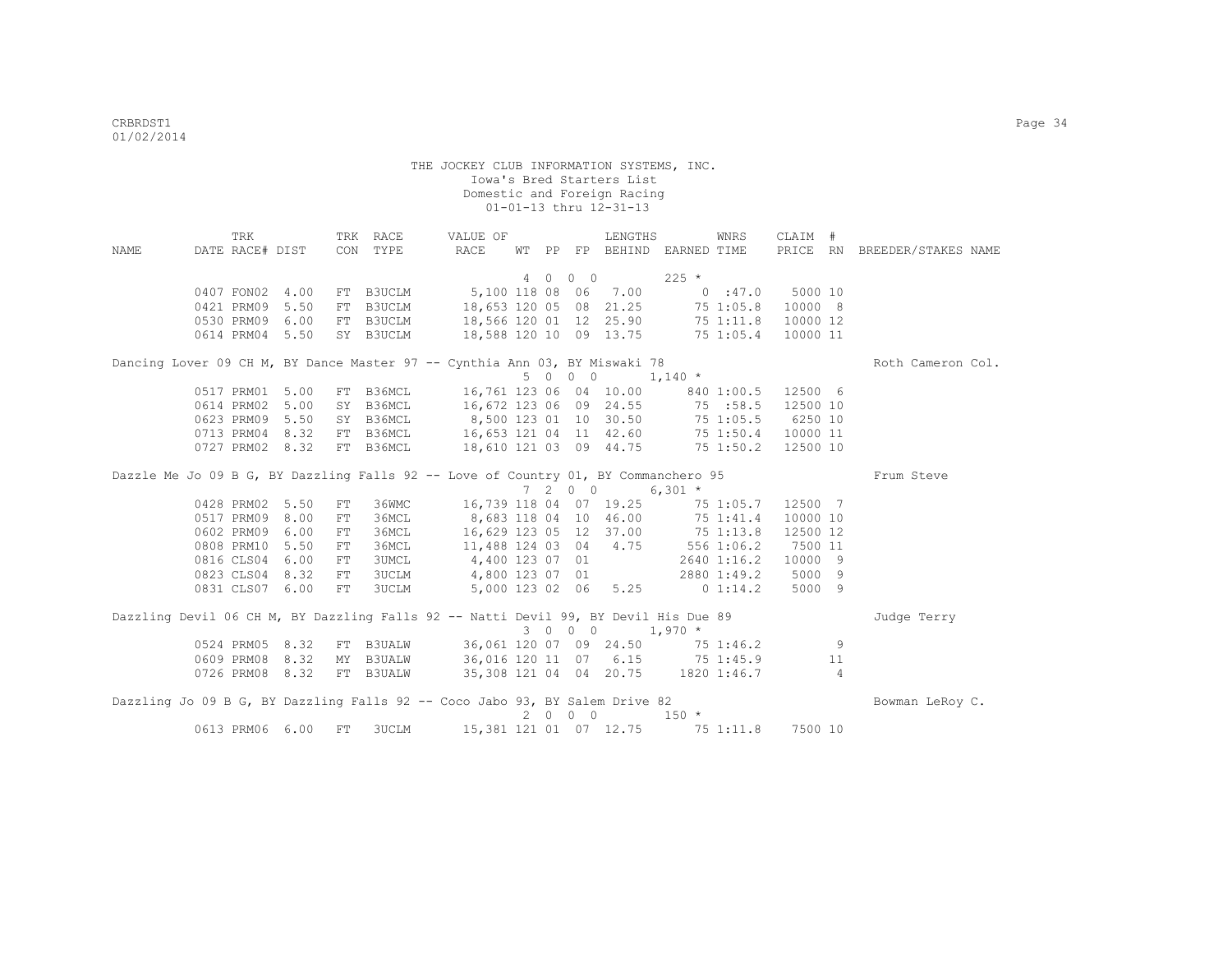|      | TRK             |                 |            | TRK RACE     | VALUE OF                                                                            |       |             |            | LENGTHS                |                                  | WNRS        | CLAIM #  |    |                              |  |
|------|-----------------|-----------------|------------|--------------|-------------------------------------------------------------------------------------|-------|-------------|------------|------------------------|----------------------------------|-------------|----------|----|------------------------------|--|
| NAME | DATE RACE# DIST |                 | CON        | TYPE         | RACE                                                                                | WT PP |             |            |                        | FP BEHIND EARNED TIME            |             |          |    | PRICE RN BREEDER/STAKES NAME |  |
|      |                 |                 |            |              |                                                                                     |       |             |            |                        |                                  |             |          |    |                              |  |
|      |                 |                 |            |              |                                                                                     |       |             | 4 0 0 0    |                        | $225$ *                          |             |          |    |                              |  |
|      | 0407 FON02 4.00 |                 |            | FT B3UCLM    | 5,100 118 08 06 7.00                                                                |       |             |            |                        | 0.147.0                          |             | 5000 10  |    |                              |  |
|      | 0421 PRM09      | 5.50            |            | FT B3UCLM    | 18,653 120 05 08 21.25                                                              |       |             |            |                        | 75 1:05.8                        |             | 10000 8  |    |                              |  |
|      | 0530 PRM09 6.00 |                 |            |              | FT B3UCLM 18,566 120 01 12 25.90                                                    |       |             |            |                        | 75 1:11.8                        |             | 10000 12 |    |                              |  |
|      | 0614 PRM04 5.50 |                 |            | SY B3UCLM    | 18,588 120 10 09 13.75 75 1:05.4                                                    |       |             |            |                        |                                  |             | 10000 11 |    |                              |  |
|      |                 |                 |            |              | Dancing Lover 09 CH M, BY Dance Master 97 -- Cynthia Ann 03, BY Miswaki 78          |       |             |            |                        |                                  |             |          |    | Roth Cameron Col.            |  |
|      |                 |                 |            |              |                                                                                     |       |             | 5 0 0 0    |                        | $1,140$ *                        |             |          |    |                              |  |
|      | 0517 PRM01      | 5.00            |            | FT B36MCL    | 16,761 123 06 04 10.00                                                              |       |             |            |                        | 840 1:00.5                       |             | 12500 6  |    |                              |  |
|      | 0614 PRM02      | 5.00            |            | SY B36MCL    | 16,672 123 06 09 24.55                                                              |       |             |            |                        | 75 : 58.5                        |             | 12500 10 |    |                              |  |
|      | 0623 PRM09      | 5.50            |            | SY B36MCL    | 8,500 123 01 10 30.50                                                               |       |             |            |                        | $75$ 1:05.5                      |             | 6250 10  |    |                              |  |
|      | 0713 PRM04      | 8.32            |            |              | FT B36MCL 16,653 121 04 11 42.60 75 1:50.4                                          |       |             |            |                        |                                  |             | 10000 11 |    |                              |  |
|      |                 | 0727 PRM02 8.32 |            | FT B36MCL    | 18,610 121 03 09 44.75                                                              |       |             |            |                        | $75$ 1:50.2                      |             | 12500 10 |    |                              |  |
|      |                 |                 |            |              | Dazzle Me Jo 09 B G, BY Dazzling Falls 92 -- Love of Country 01, BY Commanchero 95  |       |             |            |                        |                                  |             |          |    | Frum Steve                   |  |
|      |                 |                 |            |              |                                                                                     |       |             | 7200       |                        | $6,301$ *                        |             |          |    |                              |  |
|      | 0428 PRM02 5.50 |                 | FT         | 36WMC        |                                                                                     |       |             |            |                        | 16,739 118 04 07 19.25 75 1:05.7 |             | 12500 7  |    |                              |  |
|      | 0517 PRM09      | 8.00            | ${\rm FT}$ | 36MCL        | 8,683 118 04 10 46.00                                                               |       |             |            |                        | 75 1:41.4                        |             | 10000 10 |    |                              |  |
|      | 0602 PRM09      | 6.00            | ${\rm FT}$ | 36MCL        |                                                                                     |       |             |            | 16,629 123 05 12 37.00 | 75 1:13.8                        |             | 12500 12 |    |                              |  |
|      | 0808 PRM10      | 5.50            | ${\rm FT}$ | 36MCL        |                                                                                     |       |             |            | 11,488 124 03 04 4.75  | 556 1:06.2                       |             | 7500 11  |    |                              |  |
|      | 0816 CLS04 6.00 |                 | FT         | 3UMCL        | 4,400 123 07 01                                                                     |       |             |            |                        |                                  | 2640 1:16.2 | 10000 9  |    |                              |  |
|      | 0823 CLS04 8.32 |                 | FT         | <b>3UCLM</b> | 4,800 123 07 01                                                                     |       |             |            |                        |                                  | 2880 1:49.2 | 5000 9   |    |                              |  |
|      | 0831 CLS07 6.00 |                 | FT         | 3UCLM        | 5,000 123 02 06 5.25                                                                |       |             |            |                        |                                  | 0 1:14.2    | 5000 9   |    |                              |  |
|      |                 |                 |            |              | Dazzling Devil 06 CH M, BY Dazzling Falls 92 -- Natti Devil 99, BY Devil His Due 89 |       |             |            |                        |                                  |             |          |    | Judge Terry                  |  |
|      |                 |                 |            |              |                                                                                     |       |             | 3 0 0 0    |                        | $1,970$ *                        |             |          |    |                              |  |
|      | 0524 PRM05 8.32 |                 |            | FT B3UALW    |                                                                                     |       |             |            | 36,061 120 07 09 24.50 | 75 1:46.2 9                      |             |          |    |                              |  |
|      |                 | 0609 PRM08 8.32 | MY         |              | B3UALW 36,016 120 11 07 6.15 75 1:45.9                                              |       |             |            |                        |                                  |             |          | 11 |                              |  |
|      |                 | 0726 PRM08 8.32 |            | FT B3UALW    | 35,308 121 04 04 20.75 1820 1:46.7                                                  |       |             |            |                        |                                  |             | $\sim$ 4 |    |                              |  |
|      |                 |                 |            |              |                                                                                     |       |             |            |                        |                                  |             |          |    |                              |  |
|      |                 |                 |            |              | Dazzling Jo 09 B G, BY Dazzling Falls 92 -- Coco Jabo 93, BY Salem Drive 82         |       |             |            |                        |                                  |             |          |    | Bowman LeRoy C.              |  |
|      |                 |                 |            |              |                                                                                     |       | $2 \quad 0$ | $0\quad 0$ |                        | $150 *$                          |             |          |    |                              |  |
|      | 0613 PRM06 6.00 |                 | ${\rm FT}$ | <b>3UCLM</b> |                                                                                     |       |             |            | 15,381 121 01 07 12.75 | 751:11.8                         |             | 7500 10  |    |                              |  |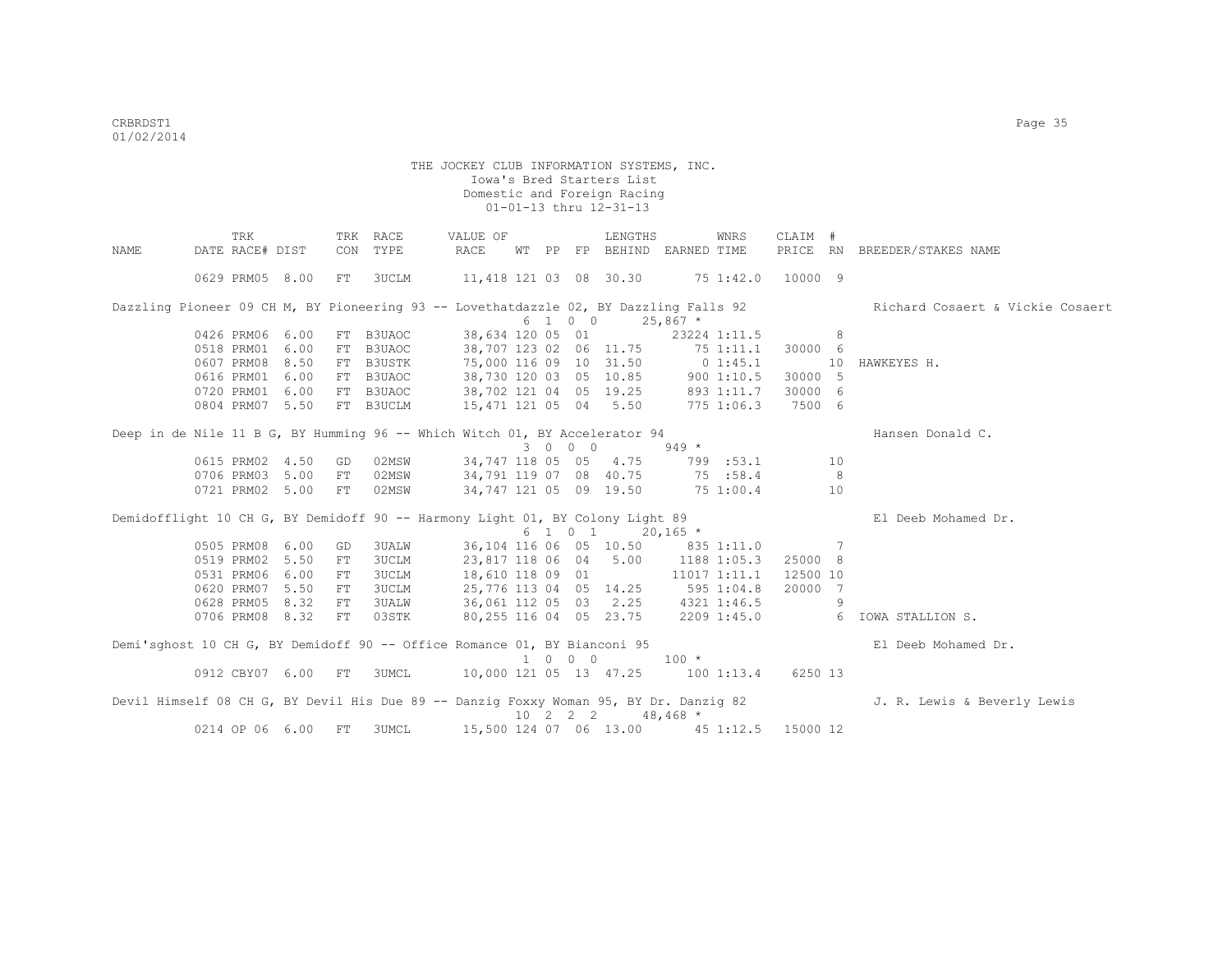|      | TRK                                                                           |      |    | TRK RACE            | VALUE OF                                             |  |          | LENGTHS                                       |            | WNRS         | CLAIM #  |                |                                                                                                                        |
|------|-------------------------------------------------------------------------------|------|----|---------------------|------------------------------------------------------|--|----------|-----------------------------------------------|------------|--------------|----------|----------------|------------------------------------------------------------------------------------------------------------------------|
| NAME | DATE RACE# DIST                                                               |      |    | CON TYPE            | RACE                                                 |  |          | WT PP FP BEHIND EARNED TIME                   |            |              | PRICE RN |                | BREEDER/STAKES NAME                                                                                                    |
|      | 0629 PRM05 8.00                                                               |      | FT | 3UCLM               | 11,418 121 03 08 30.30 75 1:42.0                     |  |          |                                               |            |              | 10000 9  |                |                                                                                                                        |
|      |                                                                               |      |    |                     |                                                      |  |          |                                               |            |              |          |                | Dazzling Pioneer 09 CH M, BY Pioneering 93 -- Lovethatdazzle 02, BY Dazzling Falls 92 Richard Cosaert & Vickie Cosaert |
|      |                                                                               |      |    |                     |                                                      |  | 6 1 0 0  |                                               | $25,867$ * |              |          |                |                                                                                                                        |
|      | 0426 PRM06 6.00<br>0518 PRM01 6.00                                            |      | FT | FT B3UAOC<br>B3UAOC | 38,634 120 05 01<br>38,707 123 02 06 11.75 75 1:11.1 |  |          |                                               |            | 23224 1:11.5 | 30000 6  | 8              |                                                                                                                        |
|      | 0607 PRM08 8.50                                                               |      |    | FT B3USTK           | 75,000 116 09 10 31.50 0 1:45.1                      |  |          |                                               |            |              |          | 10             | HAWKEYES H.                                                                                                            |
|      | 0616 PRM01                                                                    | 6.00 |    | FT B3UAOC           | 38,730 120 03 05 10.85 900 1:10.5                    |  |          |                                               |            |              | 30000 5  |                |                                                                                                                        |
|      | 0720 PRM01 6.00                                                               |      |    | FT B3UAOC           | 38,702 121 04 05 19.25 893 1:11.7 30000 6            |  |          |                                               |            |              |          |                |                                                                                                                        |
|      | 0804 PRM07 5.50                                                               |      |    | FT B3UCLM           | 15, 471 121 05 04 5.50 775 1:06.3                    |  |          |                                               |            |              | 7500 6   |                |                                                                                                                        |
|      | Deep in de Nile 11 B G, BY Humming 96 -- Which Witch 01, BY Accelerator 94    |      |    |                     |                                                      |  |          |                                               |            |              |          |                | Hansen Donald C.                                                                                                       |
|      |                                                                               |      |    |                     |                                                      |  | 3 0 0 0  |                                               | $949 *$    |              |          |                |                                                                                                                        |
|      | 0615 PRM02 4.50                                                               |      | GD | 02MSW               | 34,747 118 05 05 4.75                                |  |          |                                               | 799 :53.1  |              |          | 10             |                                                                                                                        |
|      | 0706 PRM03 5.00                                                               |      | FT | 02MSW               | 34,791 119 07 08 40.75 75 :58.4                      |  |          |                                               |            |              |          | - 8            |                                                                                                                        |
|      | 0721 PRM02 5.00                                                               |      | FT | 02MSW               |                                                      |  |          | 34,747 121 05 09 19.50 75 1:00.4              |            |              |          | 10             |                                                                                                                        |
|      | Demidofflight 10 CH G, BY Demidoff 90 -- Harmony Light 01, BY Colony Light 89 |      |    |                     |                                                      |  |          |                                               |            |              |          |                | El Deeb Mohamed Dr.                                                                                                    |
|      |                                                                               |      |    |                     |                                                      |  |          | $6 \quad 1 \quad 0 \quad 1 \quad 20,165 \neq$ |            |              |          |                |                                                                                                                        |
|      | 0505 PRM08 6.00                                                               |      | GD | <b>3UALW</b>        |                                                      |  |          | 36,104 116 06 05 10.50 835 1:11.0             |            |              |          | $\overline{7}$ |                                                                                                                        |
|      | 0519 PRM02 5.50                                                               |      | FT | <b>3UCLM</b>        |                                                      |  |          | 23,817 118 06 04 5.00 1188 1:05.3             |            |              | 25000 8  |                |                                                                                                                        |
|      | 0531 PRM06 6.00                                                               |      | FT | <b>3UCLM</b>        |                                                      |  |          | 18,610 118 09 01                              |            | 11017 1:11.1 | 12500 10 |                |                                                                                                                        |
|      | 0620 PRM07 5.50                                                               |      | FT | <b>3UCLM</b>        |                                                      |  |          | 25,776 113 04 05 14.25 595 1:04.8             |            |              | 20000 7  |                |                                                                                                                        |
|      | 0628 PRM05 8.32                                                               |      | FT | <b>3UALW</b>        | 36,061 112 05 03 2.25 4321 1:46.5                    |  |          |                                               |            |              |          | -9             |                                                                                                                        |
|      | 0706 PRM08 8.32                                                               |      | FT | 03STK               | 80,255 116 04 05 23.75 2209 1:45.0                   |  |          |                                               |            |              |          |                | 6 IOWA STALLION S.                                                                                                     |
|      | Demi'sghost 10 CH G, BY Demidoff 90 -- Office Romance 01, BY Bianconi 95      |      |    |                     |                                                      |  |          |                                               |            |              |          |                | El Deeb Mohamed Dr.                                                                                                    |
|      |                                                                               |      |    |                     |                                                      |  | 1 0 0 0  |                                               | $100 *$    |              |          |                |                                                                                                                        |
|      | 0912 CBY07 6.00 FT                                                            |      |    | 3UMCL               | 10,000 121 05 13 47.25 100 1:13.4 6250 13            |  |          |                                               |            |              |          |                |                                                                                                                        |
|      |                                                                               |      |    |                     |                                                      |  | 10 2 2 2 |                                               | $48,468$ * |              |          |                | Devil Himself 08 CH G, BY Devil His Due 89 -- Danzig Foxxy Woman 95, BY Dr. Danzig 82 J. R. Lewis & Beverly Lewis      |
|      | 0214 OP 06 6.00                                                               |      | FT | 3UMCL               | 15,500 124 07 06 13.00 45 1:12.5 15000 12            |  |          |                                               |            |              |          |                |                                                                                                                        |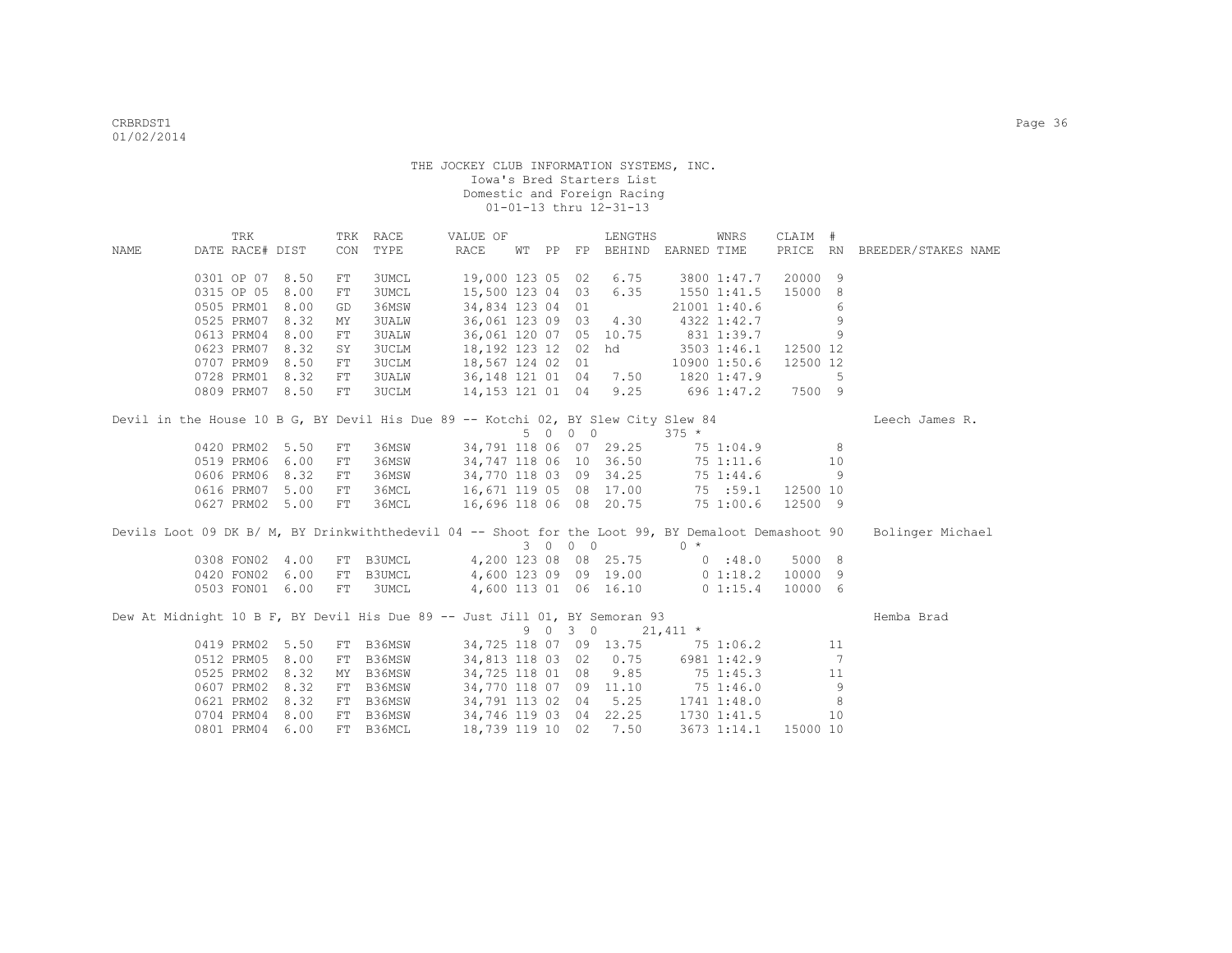| PRICE RN<br>DATE RACE# DIST<br>CON<br>TYPE<br>RACE<br>FP BEHIND EARNED TIME<br>NAME<br>WT PP<br>BREEDER/STAKES NAME<br>19,000 123 05 02<br>20000 9<br>0301 OP 07 8.50<br><b>3UMCL</b><br>6.75<br>3800 1:47.7<br>FT<br>0315 OP 05<br>8.00<br>3UMCL<br>15,500 123 04 03<br>6.35<br>15000 8<br>1550 1:41.5<br>FT<br>0505 PRM01<br>8.00<br>36MSW<br>34,834 123 04 01<br>21001 1:40.6<br>6<br>GD<br>0525 PRM07<br>36,061 123 09 03 4.30<br>9<br>8.32<br><b>3UALW</b><br>4322 1:42.7<br>MY<br>831 1:39.7<br>0613 PRM04<br>8.00<br>36,061 120 07 05 10.75<br>9<br><b>3UALW</b><br>${\rm FT}$<br>18,192 123 12 02 hd<br>0623 PRM07 8.32<br><b>3UCLM</b><br>3503 1:46.1 12500 12<br>SY<br>18,567 124 02 01 10900 1:50.6<br>36,148 121 01 04 7.50 1820 1:47.9<br>14,153 121 01 04 9.25 696 1:47.2<br>0707 PRM09 8.50<br>3UCLM<br>12500 12<br>FT<br>0728 PRM01 8.32<br><b>3UALW</b><br>5<br>FT<br>0809 PRM07 8.50<br>FT<br>3UCLM<br>696 1:47.2<br>7500 9<br>Devil in the House 10 B G, BY Devil His Due 89 -- Kotchi 02, BY Slew City Slew 84<br>Leech James R.<br>5 0 0 0<br>$375 *$<br>36MSW<br>34,791 118 06 07 29.25<br>0420 PRM02 5.50<br>8<br>${\rm FT}$<br>75 1:04.9<br>6.00<br>36MSW<br>0519 PRM06<br>34,747 118 06 10 36.50 75 1:11.6<br>10<br>FT<br>8.32<br>34,770 118 03 09 34.25 75 1:44.6<br>0606 PRM06<br>36MSW<br>9<br>FT<br>36MCL 16,671 119 05 08 17.00 75 :59.1 12500 10<br>0616 PRM07<br>5.00<br>FT<br>16,696 118 06 08 20.75 75 1:00.6<br>36MCL<br>12500 9<br>0627 PRM02 5.00<br>FT<br>Devils Loot 09 DK B/ M, BY Drinkwiththedevil 04 -- Shoot for the Loot 99, BY Demaloot Demashoot 90<br>Bolinger Michael<br>3 0 0 0<br>$0 *$<br>FT B3UMCL 4,200 123 08 08 25.75 0 :48.0 5000 8<br>0308 FON02 4.00<br>0420 FON02 6.00<br>B3UMCL 4,600 123 09 09 19.00 0 1:18.2 10000 9<br>FT<br>0503 FON01 6.00<br>3UMCL<br>4,600 113 01 06 16.10 0 1:15.4<br>10000 6<br>FT<br>Dew At Midnight 10 B F, BY Devil His Due 89 -- Just Jill 01, BY Semoran 93<br>Hemba Brad<br>9 0 3 0<br>$21,411$ *<br>0419 PRM02 5.50<br>FT B36MSW<br>34,725 118 07 09 13.75 75 1:06.2<br>11<br>$\overline{7}$<br>0512 PRM05<br>8.00<br>B36MSW<br>34,813 118 03 02 0.75<br>6981 1:42.9<br>FT<br>0525 PRM02<br>9.85<br>8.32<br>B36MSW<br>34,725 118 01 08<br>75 1:45.3<br>11<br>MY<br>34,770 118 07 09 11.10 75 1:46.0<br>0607 PRM02 8.32<br>B36MSW<br>9<br>FT<br>FT B36MSW 34,791 113 02 04 5.25 1741 1:48.0<br>0621 PRM02<br>8.32<br>8<br>FT B36MSW 34,746 119 03 04 22.25 1730 1:41.5<br>0704 PRM04<br>8.00<br>10<br>0801 PRM04 6.00<br>18,739 119 10 02 7.50<br>FT B36MCL<br>3673 1:14.1 |  | TRK |  | TRK RACE | VALUE OF |  | LENGTHS | WNRS | CLAIM #  |  |  |
|------------------------------------------------------------------------------------------------------------------------------------------------------------------------------------------------------------------------------------------------------------------------------------------------------------------------------------------------------------------------------------------------------------------------------------------------------------------------------------------------------------------------------------------------------------------------------------------------------------------------------------------------------------------------------------------------------------------------------------------------------------------------------------------------------------------------------------------------------------------------------------------------------------------------------------------------------------------------------------------------------------------------------------------------------------------------------------------------------------------------------------------------------------------------------------------------------------------------------------------------------------------------------------------------------------------------------------------------------------------------------------------------------------------------------------------------------------------------------------------------------------------------------------------------------------------------------------------------------------------------------------------------------------------------------------------------------------------------------------------------------------------------------------------------------------------------------------------------------------------------------------------------------------------------------------------------------------------------------------------------------------------------------------------------------------------------------------------------------------------------------------------------------------------------------------------------------------------------------------------------------------------------------------------------------------------------------------------------------------------------------------------------------------------------------------------------------------------------------------------------------------------------------------------------------------------------|--|-----|--|----------|----------|--|---------|------|----------|--|--|
|                                                                                                                                                                                                                                                                                                                                                                                                                                                                                                                                                                                                                                                                                                                                                                                                                                                                                                                                                                                                                                                                                                                                                                                                                                                                                                                                                                                                                                                                                                                                                                                                                                                                                                                                                                                                                                                                                                                                                                                                                                                                                                                                                                                                                                                                                                                                                                                                                                                                                                                                                                        |  |     |  |          |          |  |         |      |          |  |  |
|                                                                                                                                                                                                                                                                                                                                                                                                                                                                                                                                                                                                                                                                                                                                                                                                                                                                                                                                                                                                                                                                                                                                                                                                                                                                                                                                                                                                                                                                                                                                                                                                                                                                                                                                                                                                                                                                                                                                                                                                                                                                                                                                                                                                                                                                                                                                                                                                                                                                                                                                                                        |  |     |  |          |          |  |         |      |          |  |  |
|                                                                                                                                                                                                                                                                                                                                                                                                                                                                                                                                                                                                                                                                                                                                                                                                                                                                                                                                                                                                                                                                                                                                                                                                                                                                                                                                                                                                                                                                                                                                                                                                                                                                                                                                                                                                                                                                                                                                                                                                                                                                                                                                                                                                                                                                                                                                                                                                                                                                                                                                                                        |  |     |  |          |          |  |         |      |          |  |  |
|                                                                                                                                                                                                                                                                                                                                                                                                                                                                                                                                                                                                                                                                                                                                                                                                                                                                                                                                                                                                                                                                                                                                                                                                                                                                                                                                                                                                                                                                                                                                                                                                                                                                                                                                                                                                                                                                                                                                                                                                                                                                                                                                                                                                                                                                                                                                                                                                                                                                                                                                                                        |  |     |  |          |          |  |         |      |          |  |  |
|                                                                                                                                                                                                                                                                                                                                                                                                                                                                                                                                                                                                                                                                                                                                                                                                                                                                                                                                                                                                                                                                                                                                                                                                                                                                                                                                                                                                                                                                                                                                                                                                                                                                                                                                                                                                                                                                                                                                                                                                                                                                                                                                                                                                                                                                                                                                                                                                                                                                                                                                                                        |  |     |  |          |          |  |         |      |          |  |  |
|                                                                                                                                                                                                                                                                                                                                                                                                                                                                                                                                                                                                                                                                                                                                                                                                                                                                                                                                                                                                                                                                                                                                                                                                                                                                                                                                                                                                                                                                                                                                                                                                                                                                                                                                                                                                                                                                                                                                                                                                                                                                                                                                                                                                                                                                                                                                                                                                                                                                                                                                                                        |  |     |  |          |          |  |         |      |          |  |  |
|                                                                                                                                                                                                                                                                                                                                                                                                                                                                                                                                                                                                                                                                                                                                                                                                                                                                                                                                                                                                                                                                                                                                                                                                                                                                                                                                                                                                                                                                                                                                                                                                                                                                                                                                                                                                                                                                                                                                                                                                                                                                                                                                                                                                                                                                                                                                                                                                                                                                                                                                                                        |  |     |  |          |          |  |         |      |          |  |  |
|                                                                                                                                                                                                                                                                                                                                                                                                                                                                                                                                                                                                                                                                                                                                                                                                                                                                                                                                                                                                                                                                                                                                                                                                                                                                                                                                                                                                                                                                                                                                                                                                                                                                                                                                                                                                                                                                                                                                                                                                                                                                                                                                                                                                                                                                                                                                                                                                                                                                                                                                                                        |  |     |  |          |          |  |         |      |          |  |  |
|                                                                                                                                                                                                                                                                                                                                                                                                                                                                                                                                                                                                                                                                                                                                                                                                                                                                                                                                                                                                                                                                                                                                                                                                                                                                                                                                                                                                                                                                                                                                                                                                                                                                                                                                                                                                                                                                                                                                                                                                                                                                                                                                                                                                                                                                                                                                                                                                                                                                                                                                                                        |  |     |  |          |          |  |         |      |          |  |  |
|                                                                                                                                                                                                                                                                                                                                                                                                                                                                                                                                                                                                                                                                                                                                                                                                                                                                                                                                                                                                                                                                                                                                                                                                                                                                                                                                                                                                                                                                                                                                                                                                                                                                                                                                                                                                                                                                                                                                                                                                                                                                                                                                                                                                                                                                                                                                                                                                                                                                                                                                                                        |  |     |  |          |          |  |         |      |          |  |  |
|                                                                                                                                                                                                                                                                                                                                                                                                                                                                                                                                                                                                                                                                                                                                                                                                                                                                                                                                                                                                                                                                                                                                                                                                                                                                                                                                                                                                                                                                                                                                                                                                                                                                                                                                                                                                                                                                                                                                                                                                                                                                                                                                                                                                                                                                                                                                                                                                                                                                                                                                                                        |  |     |  |          |          |  |         |      |          |  |  |
|                                                                                                                                                                                                                                                                                                                                                                                                                                                                                                                                                                                                                                                                                                                                                                                                                                                                                                                                                                                                                                                                                                                                                                                                                                                                                                                                                                                                                                                                                                                                                                                                                                                                                                                                                                                                                                                                                                                                                                                                                                                                                                                                                                                                                                                                                                                                                                                                                                                                                                                                                                        |  |     |  |          |          |  |         |      |          |  |  |
|                                                                                                                                                                                                                                                                                                                                                                                                                                                                                                                                                                                                                                                                                                                                                                                                                                                                                                                                                                                                                                                                                                                                                                                                                                                                                                                                                                                                                                                                                                                                                                                                                                                                                                                                                                                                                                                                                                                                                                                                                                                                                                                                                                                                                                                                                                                                                                                                                                                                                                                                                                        |  |     |  |          |          |  |         |      |          |  |  |
|                                                                                                                                                                                                                                                                                                                                                                                                                                                                                                                                                                                                                                                                                                                                                                                                                                                                                                                                                                                                                                                                                                                                                                                                                                                                                                                                                                                                                                                                                                                                                                                                                                                                                                                                                                                                                                                                                                                                                                                                                                                                                                                                                                                                                                                                                                                                                                                                                                                                                                                                                                        |  |     |  |          |          |  |         |      |          |  |  |
|                                                                                                                                                                                                                                                                                                                                                                                                                                                                                                                                                                                                                                                                                                                                                                                                                                                                                                                                                                                                                                                                                                                                                                                                                                                                                                                                                                                                                                                                                                                                                                                                                                                                                                                                                                                                                                                                                                                                                                                                                                                                                                                                                                                                                                                                                                                                                                                                                                                                                                                                                                        |  |     |  |          |          |  |         |      |          |  |  |
|                                                                                                                                                                                                                                                                                                                                                                                                                                                                                                                                                                                                                                                                                                                                                                                                                                                                                                                                                                                                                                                                                                                                                                                                                                                                                                                                                                                                                                                                                                                                                                                                                                                                                                                                                                                                                                                                                                                                                                                                                                                                                                                                                                                                                                                                                                                                                                                                                                                                                                                                                                        |  |     |  |          |          |  |         |      |          |  |  |
|                                                                                                                                                                                                                                                                                                                                                                                                                                                                                                                                                                                                                                                                                                                                                                                                                                                                                                                                                                                                                                                                                                                                                                                                                                                                                                                                                                                                                                                                                                                                                                                                                                                                                                                                                                                                                                                                                                                                                                                                                                                                                                                                                                                                                                                                                                                                                                                                                                                                                                                                                                        |  |     |  |          |          |  |         |      |          |  |  |
|                                                                                                                                                                                                                                                                                                                                                                                                                                                                                                                                                                                                                                                                                                                                                                                                                                                                                                                                                                                                                                                                                                                                                                                                                                                                                                                                                                                                                                                                                                                                                                                                                                                                                                                                                                                                                                                                                                                                                                                                                                                                                                                                                                                                                                                                                                                                                                                                                                                                                                                                                                        |  |     |  |          |          |  |         |      |          |  |  |
|                                                                                                                                                                                                                                                                                                                                                                                                                                                                                                                                                                                                                                                                                                                                                                                                                                                                                                                                                                                                                                                                                                                                                                                                                                                                                                                                                                                                                                                                                                                                                                                                                                                                                                                                                                                                                                                                                                                                                                                                                                                                                                                                                                                                                                                                                                                                                                                                                                                                                                                                                                        |  |     |  |          |          |  |         |      |          |  |  |
|                                                                                                                                                                                                                                                                                                                                                                                                                                                                                                                                                                                                                                                                                                                                                                                                                                                                                                                                                                                                                                                                                                                                                                                                                                                                                                                                                                                                                                                                                                                                                                                                                                                                                                                                                                                                                                                                                                                                                                                                                                                                                                                                                                                                                                                                                                                                                                                                                                                                                                                                                                        |  |     |  |          |          |  |         |      |          |  |  |
|                                                                                                                                                                                                                                                                                                                                                                                                                                                                                                                                                                                                                                                                                                                                                                                                                                                                                                                                                                                                                                                                                                                                                                                                                                                                                                                                                                                                                                                                                                                                                                                                                                                                                                                                                                                                                                                                                                                                                                                                                                                                                                                                                                                                                                                                                                                                                                                                                                                                                                                                                                        |  |     |  |          |          |  |         |      |          |  |  |
|                                                                                                                                                                                                                                                                                                                                                                                                                                                                                                                                                                                                                                                                                                                                                                                                                                                                                                                                                                                                                                                                                                                                                                                                                                                                                                                                                                                                                                                                                                                                                                                                                                                                                                                                                                                                                                                                                                                                                                                                                                                                                                                                                                                                                                                                                                                                                                                                                                                                                                                                                                        |  |     |  |          |          |  |         |      |          |  |  |
|                                                                                                                                                                                                                                                                                                                                                                                                                                                                                                                                                                                                                                                                                                                                                                                                                                                                                                                                                                                                                                                                                                                                                                                                                                                                                                                                                                                                                                                                                                                                                                                                                                                                                                                                                                                                                                                                                                                                                                                                                                                                                                                                                                                                                                                                                                                                                                                                                                                                                                                                                                        |  |     |  |          |          |  |         |      |          |  |  |
|                                                                                                                                                                                                                                                                                                                                                                                                                                                                                                                                                                                                                                                                                                                                                                                                                                                                                                                                                                                                                                                                                                                                                                                                                                                                                                                                                                                                                                                                                                                                                                                                                                                                                                                                                                                                                                                                                                                                                                                                                                                                                                                                                                                                                                                                                                                                                                                                                                                                                                                                                                        |  |     |  |          |          |  |         |      |          |  |  |
|                                                                                                                                                                                                                                                                                                                                                                                                                                                                                                                                                                                                                                                                                                                                                                                                                                                                                                                                                                                                                                                                                                                                                                                                                                                                                                                                                                                                                                                                                                                                                                                                                                                                                                                                                                                                                                                                                                                                                                                                                                                                                                                                                                                                                                                                                                                                                                                                                                                                                                                                                                        |  |     |  |          |          |  |         |      |          |  |  |
|                                                                                                                                                                                                                                                                                                                                                                                                                                                                                                                                                                                                                                                                                                                                                                                                                                                                                                                                                                                                                                                                                                                                                                                                                                                                                                                                                                                                                                                                                                                                                                                                                                                                                                                                                                                                                                                                                                                                                                                                                                                                                                                                                                                                                                                                                                                                                                                                                                                                                                                                                                        |  |     |  |          |          |  |         |      |          |  |  |
|                                                                                                                                                                                                                                                                                                                                                                                                                                                                                                                                                                                                                                                                                                                                                                                                                                                                                                                                                                                                                                                                                                                                                                                                                                                                                                                                                                                                                                                                                                                                                                                                                                                                                                                                                                                                                                                                                                                                                                                                                                                                                                                                                                                                                                                                                                                                                                                                                                                                                                                                                                        |  |     |  |          |          |  |         |      |          |  |  |
|                                                                                                                                                                                                                                                                                                                                                                                                                                                                                                                                                                                                                                                                                                                                                                                                                                                                                                                                                                                                                                                                                                                                                                                                                                                                                                                                                                                                                                                                                                                                                                                                                                                                                                                                                                                                                                                                                                                                                                                                                                                                                                                                                                                                                                                                                                                                                                                                                                                                                                                                                                        |  |     |  |          |          |  |         |      |          |  |  |
|                                                                                                                                                                                                                                                                                                                                                                                                                                                                                                                                                                                                                                                                                                                                                                                                                                                                                                                                                                                                                                                                                                                                                                                                                                                                                                                                                                                                                                                                                                                                                                                                                                                                                                                                                                                                                                                                                                                                                                                                                                                                                                                                                                                                                                                                                                                                                                                                                                                                                                                                                                        |  |     |  |          |          |  |         |      |          |  |  |
|                                                                                                                                                                                                                                                                                                                                                                                                                                                                                                                                                                                                                                                                                                                                                                                                                                                                                                                                                                                                                                                                                                                                                                                                                                                                                                                                                                                                                                                                                                                                                                                                                                                                                                                                                                                                                                                                                                                                                                                                                                                                                                                                                                                                                                                                                                                                                                                                                                                                                                                                                                        |  |     |  |          |          |  |         |      |          |  |  |
|                                                                                                                                                                                                                                                                                                                                                                                                                                                                                                                                                                                                                                                                                                                                                                                                                                                                                                                                                                                                                                                                                                                                                                                                                                                                                                                                                                                                                                                                                                                                                                                                                                                                                                                                                                                                                                                                                                                                                                                                                                                                                                                                                                                                                                                                                                                                                                                                                                                                                                                                                                        |  |     |  |          |          |  |         |      |          |  |  |
|                                                                                                                                                                                                                                                                                                                                                                                                                                                                                                                                                                                                                                                                                                                                                                                                                                                                                                                                                                                                                                                                                                                                                                                                                                                                                                                                                                                                                                                                                                                                                                                                                                                                                                                                                                                                                                                                                                                                                                                                                                                                                                                                                                                                                                                                                                                                                                                                                                                                                                                                                                        |  |     |  |          |          |  |         |      |          |  |  |
|                                                                                                                                                                                                                                                                                                                                                                                                                                                                                                                                                                                                                                                                                                                                                                                                                                                                                                                                                                                                                                                                                                                                                                                                                                                                                                                                                                                                                                                                                                                                                                                                                                                                                                                                                                                                                                                                                                                                                                                                                                                                                                                                                                                                                                                                                                                                                                                                                                                                                                                                                                        |  |     |  |          |          |  |         |      | 15000 10 |  |  |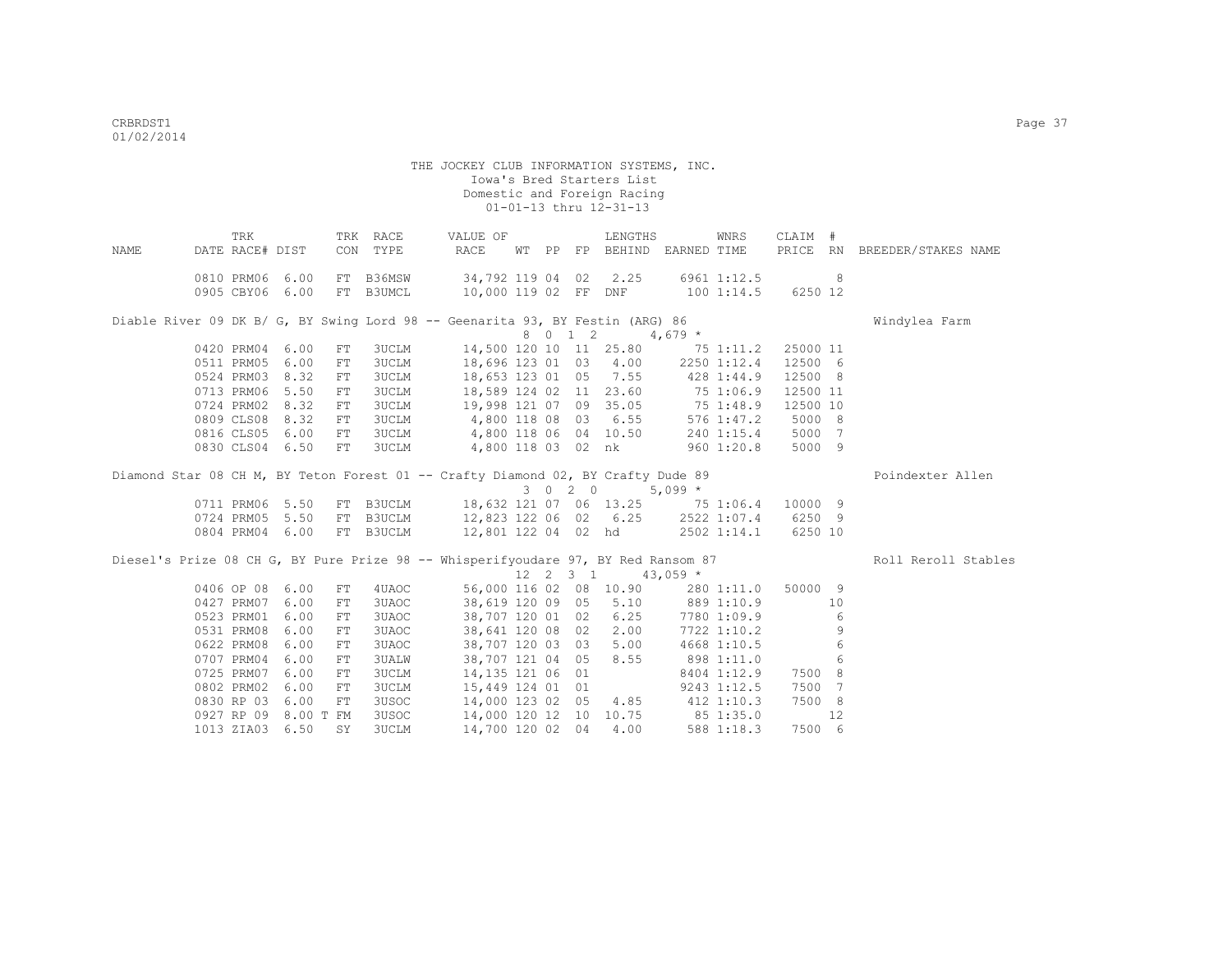|      | TRK                  |      |            | TRK RACE     | VALUE OF                                                                                                 |  |         | LENGTHS                                                  |                                   | WNRS        | CLAIM #  |                |                              |
|------|----------------------|------|------------|--------------|----------------------------------------------------------------------------------------------------------|--|---------|----------------------------------------------------------|-----------------------------------|-------------|----------|----------------|------------------------------|
| NAME | DATE RACE# DIST      |      |            | CON TYPE     | RACE                                                                                                     |  |         |                                                          | WT PP FP BEHIND EARNED TIME       |             |          |                | PRICE RN BREEDER/STAKES NAME |
|      | 0810 PRM06 6.00      |      |            | FT B36MSW    | 34,792 119 04 02 2.25 6961 1:12.5                                                                        |  |         |                                                          |                                   |             |          | 8              |                              |
|      | 0905 CBY06 6.00      |      |            | FT B3UMCL    | 10,000 119 02 FF DNF 100 1:14.5 6250 12                                                                  |  |         |                                                          |                                   |             |          |                |                              |
|      |                      |      |            |              | Diable River 09 DK B/ G, BY Swing Lord 98 -- Geenarita 93, BY Festin (ARG) 86                            |  |         |                                                          |                                   |             |          |                | Windylea Farm                |
|      |                      |      |            |              |                                                                                                          |  | 8 0 1 2 |                                                          | $4,679$ *                         |             |          |                |                              |
|      | 0420 PRM04           | 6.00 | ${\rm FT}$ | 3UCLM        |                                                                                                          |  |         |                                                          | 14,500 120 10 11 25.80 75 1:11.2  |             | 25000 11 |                |                              |
|      | 0511 PRM05           | 6.00 | FT         | <b>3UCLM</b> |                                                                                                          |  |         |                                                          | 18,696 123 01 03 4.00 2250 1:12.4 |             | 12500 6  |                |                              |
|      | 0524 PRM03           | 8.32 | FT         | <b>3UCLM</b> |                                                                                                          |  |         |                                                          | 18,653 123 01 05 7.55 428 1:44.9  |             | 12500 8  |                |                              |
|      | 0713 PRM06           | 5.50 | FT         | <b>3UCLM</b> | 18,589 124 02 11 23.60 75 1:06.9                                                                         |  |         |                                                          |                                   |             | 12500 11 |                |                              |
|      | 0724 PRM02 8.32      |      | FT         |              | 3UCLM 19,998 121 07 09 35.05 75 1:48.9                                                                   |  |         |                                                          |                                   |             | 12500 10 |                |                              |
|      | 0809 CLS08 8.32      |      | FT         |              | 3UCLM 4,800 118 08 03 6.55                                                                               |  |         |                                                          |                                   | 576 1:47.2  | 5000 8   |                |                              |
|      | 0816 CLS05 6.00      |      | FT         |              | 3UCLM 4,800 118 06 04 10.50                                                                              |  |         |                                                          |                                   | 240 1:15.4  | 5000 7   |                |                              |
|      | 0830 CLS04 6.50      |      | FT         |              | 3UCLM                                                                                                    |  |         | 4,800 118 03 02 nk                                       |                                   | 960 1:20.8  | 5000 9   |                |                              |
|      |                      |      |            |              | Diamond Star 08 CH M, BY Teton Forest 01 -- Crafty Diamond 02, BY Crafty Dude 89                         |  |         |                                                          |                                   |             |          |                | Poindexter Allen             |
|      |                      |      |            |              |                                                                                                          |  |         | 3 0 2 0                                                  | $5,099*$                          |             |          |                |                              |
|      | 0711 PRM06 5.50      |      |            |              | FT B3UCLM 18,632 121 07 06 13.25 75 1:06.4 10000 9                                                       |  |         |                                                          |                                   |             |          |                |                              |
|      | 0724 PRM05 5.50      |      |            |              |                                                                                                          |  |         |                                                          |                                   |             |          |                |                              |
|      | 0804 PRM04 6.00      |      |            |              | FT B3UCLM 12,823 122 06 02 6.25 2522 1:07.4 6250 9<br>FT B3UCLM 12,823 122 06 02 6.25 2522 1:07.4 6250 9 |  |         |                                                          |                                   |             |          |                |                              |
|      |                      |      |            |              | Diesel's Prize 08 CH G, BY Pure Prize 98 -- Whisperifyoudare 97, BY Red Ransom 87                        |  |         |                                                          |                                   |             |          |                | Roll Reroll Stables          |
|      |                      |      |            |              |                                                                                                          |  |         | $12 \quad 2 \quad 3 \quad 1 \quad 43,059 \quad ^{\star}$ |                                   |             |          |                |                              |
|      | 0406 OP 08 6.00      |      | FT         | 4UAOC        |                                                                                                          |  |         |                                                          | 56,000 116 02 08 10.90 280 1:11.0 |             | 50000 9  |                |                              |
|      | 0427 PRM07           | 6.00 | ${\rm FT}$ | 3UAOC        | 38,619 120 09 05                                                                                         |  |         | 5.10                                                     | 889 1:10.9                        |             |          | 10             |                              |
|      | 0523 PRM01           | 6.00 | ${\rm FT}$ | 3UAOC        | 38,707 120 01 02                                                                                         |  |         | 6.25                                                     | 7780 1:09.9                       |             |          | 6              |                              |
|      | 0531 PRM08           | 6.00 | FT         | 3UAOC        | 38,641 120 08 02                                                                                         |  |         | 2.00                                                     |                                   | 7722 1:10.2 |          | 9              |                              |
|      | 0622 PRM08           | 6.00 | FT         | 3UAOC        | 38,707 120 03 03                                                                                         |  |         | 5.00                                                     |                                   | 4668 1:10.5 |          | 6              |                              |
|      | 0707 PRM04           | 6.00 | FT         | 3UALW        |                                                                                                          |  |         | 38,707 121 04 05 8.55                                    | 898 1:11.0                        |             |          | 6              |                              |
|      | 0725 PRM07           | 6.00 | FT         | <b>3UCLM</b> | 14,135 121 06 01                                                                                         |  |         |                                                          |                                   | 8404 1:12.9 | 7500 8   |                |                              |
|      | 0802 PRM02           | 6.00 | FT         | <b>3UCLM</b> | 15,449 124 01 01                                                                                         |  |         |                                                          |                                   | 9243 1:12.5 | 7500     | $\overline{7}$ |                              |
|      | 0830 RP 03           | 6.00 | FT         | 3USOC        |                                                                                                          |  |         |                                                          | 14,000 123 02 05 4.85 412 1:10.3  |             | 7500 8   |                |                              |
|      | 0927 RP 09 8.00 T FM |      |            | 3USOC        |                                                                                                          |  |         |                                                          | 14,000 120 12 10 10.75 85 1:35.0  |             |          | 12             |                              |
|      | 1013 ZIA03 6.50      |      | SY         | <b>3UCLM</b> | 14,700 120 02 04                                                                                         |  |         | 4.00                                                     |                                   | 588 1:18.3  | 7500 6   |                |                              |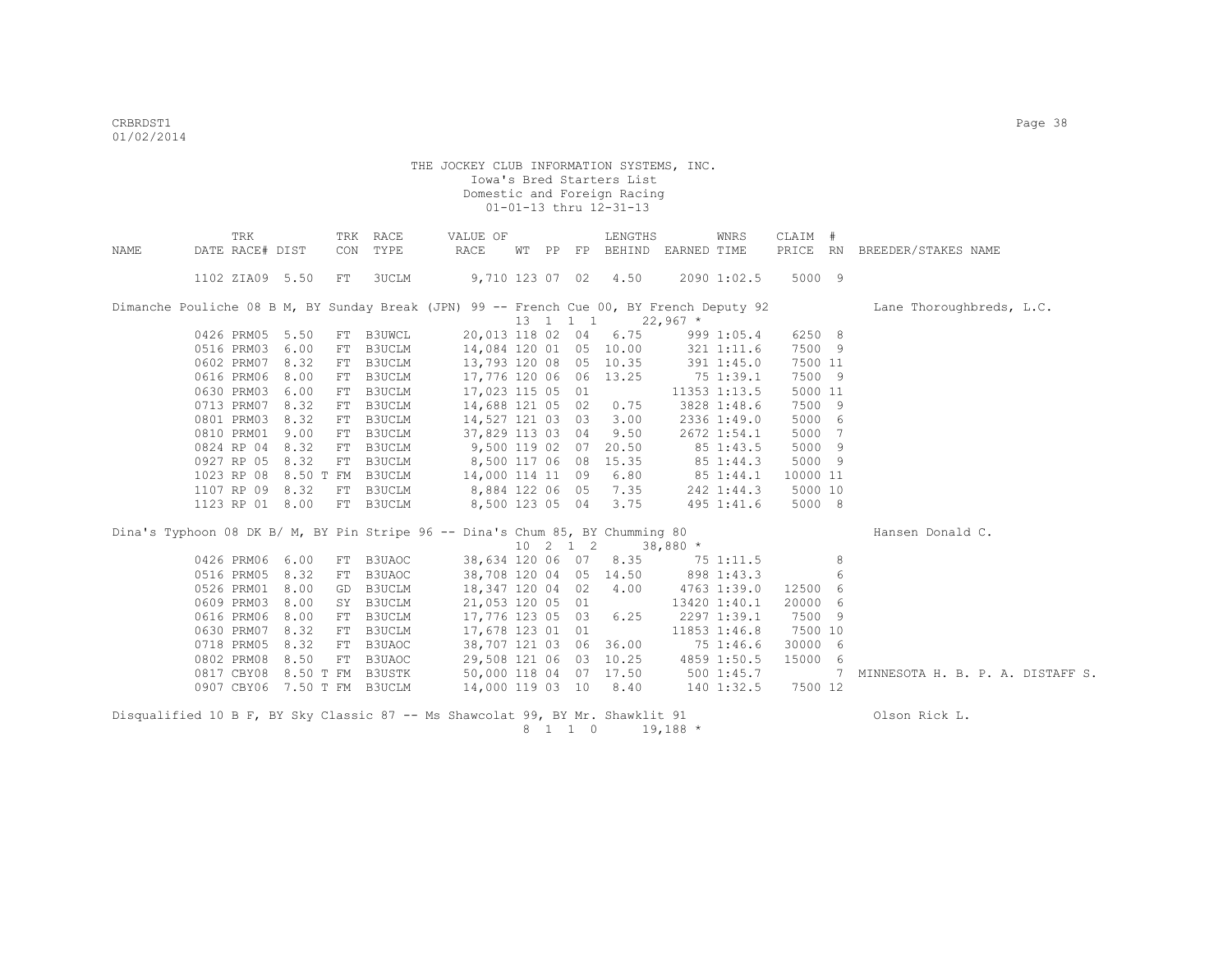|      |                 | TRK | TRK | RACE                        | VALUE OF                                                                                 |  |                  | LENGTHS                                     |            | WNRS         | CLAIM #  |                 |                                  |
|------|-----------------|-----|-----|-----------------------------|------------------------------------------------------------------------------------------|--|------------------|---------------------------------------------|------------|--------------|----------|-----------------|----------------------------------|
| NAME | DATE RACE# DIST |     | CON | TYPE                        | RACE                                                                                     |  |                  | WT PP FP BEHIND EARNED TIME                 |            |              |          |                 | PRICE RN BREEDER/STAKES NAME     |
|      | 1102 ZIA09 5.50 |     | FT  | 3UCLM                       |                                                                                          |  |                  | 9,710 123 07 02 4.50                        |            | 2090 1:02.5  | 5000 9   |                 |                                  |
|      |                 |     |     |                             | Dimanche Pouliche 08 B M, BY Sunday Break (JPN) 99 -- French Cue 00, BY French Deputy 92 |  |                  |                                             |            |              |          |                 | Lane Thoroughbreds, L.C.         |
|      |                 |     |     |                             |                                                                                          |  |                  | $13 \quad 1 \quad 1 \quad 1 \quad 22,967$ * |            |              |          |                 |                                  |
|      | 0426 PRM05 5.50 |     |     | FT B3UWCL                   | 20,013 118 02 04                                                                         |  |                  | 6.75                                        |            | 999 1:05.4   | 6250 8   |                 |                                  |
|      | 0516 PRM03 6.00 |     |     | FT B3UCLM                   | 14,084 120 01 05 10.00                                                                   |  |                  |                                             |            | 321 1:11.6   | 7500 9   |                 |                                  |
|      | 0602 PRM07 8.32 |     |     | FT B3UCLM                   | 13,793 120 08 05 10.35                                                                   |  |                  |                                             |            | 391 1:45.0   | 7500 11  |                 |                                  |
|      | 0616 PRM06 8.00 |     |     | FT B3UCLM                   | 17,776 120 06 06 13.25                                                                   |  |                  |                                             | 75 1:39.1  |              | 7500 9   |                 |                                  |
|      | 0630 PRM03 6.00 |     | FT  | B3UCLM                      | 17,023 115 05 01                                                                         |  |                  |                                             |            | 11353 1:13.5 | 5000 11  |                 |                                  |
|      | 0713 PRM07 8.32 |     |     | FT B3UCLM                   | 14,688 121 05 02                                                                         |  |                  | 0.75                                        |            | 3828 1:48.6  | 7500 9   |                 |                                  |
|      | 0801 PRM03 8.32 |     |     | FT B3UCLM                   | 14,527 121 03 03                                                                         |  |                  | 3.00                                        |            | 2336 1:49.0  | 5000 6   |                 |                                  |
|      | 0810 PRM01 9.00 |     |     | FT B3UCLM                   | 37,829 113 03 04                                                                         |  |                  | 9.50                                        |            | 2672 1:54.1  | 5000 7   |                 |                                  |
|      | 0824 RP 04 8.32 |     |     | FT B3UCLM                   | 9,500 119 02 07                                                                          |  |                  | 20.50                                       |            | 85 1:43.5    | 5000 9   |                 |                                  |
|      | 0927 RP 05 8.32 |     |     | FT B3UCLM                   | 8,500 117 06 08                                                                          |  |                  | 15.35                                       | 85 1:44.3  |              | 5000 9   |                 |                                  |
|      |                 |     |     | 1023 RP 08 8.50 T FM B3UCLM | 14,000 114 11 09                                                                         |  |                  | 6.80                                        | 85 1:44.1  |              | 10000 11 |                 |                                  |
|      | 1107 RP 09 8.32 |     |     | FT B3UCLM                   | 8,884 122 06 05                                                                          |  |                  | 7.35                                        |            | 242 1:44.3   | 5000 10  |                 |                                  |
|      | 1123 RP 01 8.00 |     |     | FT B3UCLM                   |                                                                                          |  |                  | 8,500 123 05 04 3.75                        |            | 495 1:41.6   | 5000 8   |                 |                                  |
|      |                 |     |     |                             | Dina's Typhoon 08 DK B/ M, BY Pin Stripe 96 -- Dina's Chum 85, BY Chumming 80            |  |                  |                                             |            |              |          |                 | Hansen Donald C.                 |
|      |                 |     |     |                             |                                                                                          |  | $10 \t2 \t1 \t2$ | $38,880$ *                                  |            |              |          |                 |                                  |
|      | 0426 PRM06 6.00 |     |     | FT B3UAOC                   | 38,634 120 06 07 8.35 75 1:11.5                                                          |  |                  |                                             |            |              |          | 8               |                                  |
|      | 0516 PRM05 8.32 |     |     | FT B3UAOC                   |                                                                                          |  |                  | 38,708 120 04 05 14.50                      | 898 1:43.3 |              |          | 6               |                                  |
|      | 0526 PRM01 8.00 |     | GD  | B3UCLM                      | 18,347 120 04 02                                                                         |  |                  | 4.00                                        |            | 4763 1:39.0  | 12500 6  |                 |                                  |
|      | 0609 PRM03 8.00 |     |     | SY B3UCLM                   | 21,053 120 05 01                                                                         |  |                  |                                             |            | 13420 1:40.1 | 20000 6  |                 |                                  |
|      | 0616 PRM06 8.00 |     |     | FT B3UCLM                   | 17,776 123 05 03                                                                         |  |                  | 6.25                                        |            | 2297 1:39.1  | 7500 9   |                 |                                  |
|      | 0630 PRM07 8.32 |     |     | FT B3UCLM                   | 17,678 123 01 01                                                                         |  |                  |                                             |            | 11853 1:46.8 | 7500 10  |                 |                                  |
|      | 0718 PRM05 8.32 |     |     | FT B3UAOC                   |                                                                                          |  |                  | 38,707 121 03 06 36.00                      | 75 1:46.6  |              | 30000    | - 6             |                                  |
|      | 0802 PRM08 8.50 |     |     | FT B3UAOC                   | 29,508 121 06 03 10.25                                                                   |  |                  |                                             |            | 4859 1:50.5  | 15000 6  |                 |                                  |
|      |                 |     |     | 0817 CBY08 8.50 T FM B3USTK | 50,000 118 04 07 17.50                                                                   |  |                  |                                             |            | 5001:45.7    |          | $7\phantom{.0}$ | MINNESOTA H. B. P. A. DISTAFF S. |
|      |                 |     |     | 0907 CBY06 7.50 T FM B3UCLM | 14,000 119 03 10 8.40                                                                    |  |                  |                                             |            | 140 1:32.5   | 7500 12  |                 |                                  |
|      |                 |     |     |                             | Disqualified 10 B F, BY Sky Classic 87 -- Ms Shawcolat 99, BY Mr. Shawklit 91            |  |                  |                                             |            |              |          |                 | Olson Rick L.                    |

8 1 1 0 19,188 \*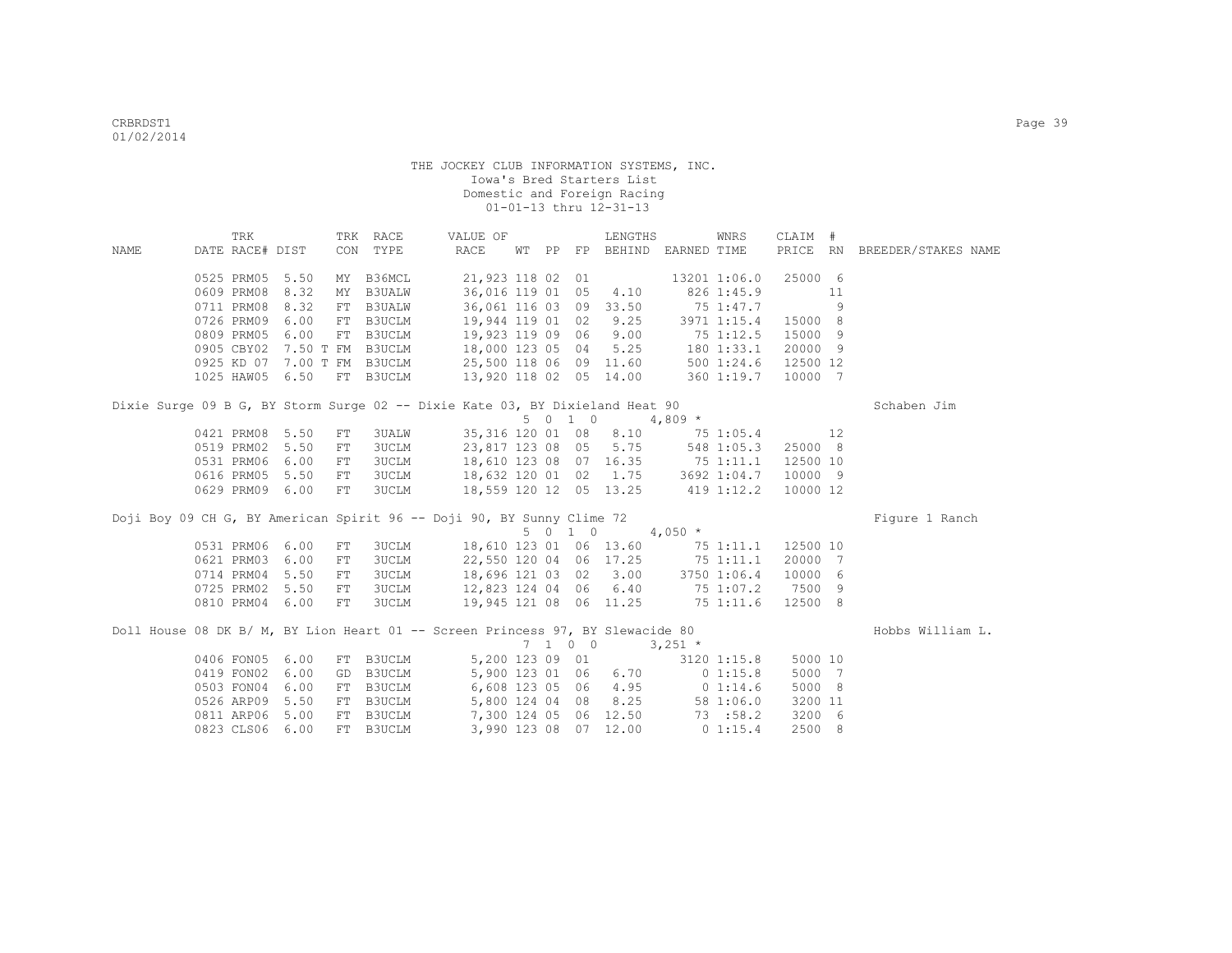|      | TRK             |      |            | TRK RACE  | VALUE OF                                                                       |  |         | LENGTHS                   |                                           | WNRS         | CLAIM #             |                |                              |
|------|-----------------|------|------------|-----------|--------------------------------------------------------------------------------|--|---------|---------------------------|-------------------------------------------|--------------|---------------------|----------------|------------------------------|
| NAME | DATE RACE# DIST |      |            | CON TYPE  | RACE                                                                           |  |         |                           | WT PP FP BEHIND EARNED TIME               |              |                     |                | PRICE RN BREEDER/STAKES NAME |
|      | 0525 PRM05 5.50 |      |            | MY B36MCL | 21,923 118 02 01                                                               |  |         |                           |                                           | 13201 1:06.0 | 25000 6             |                |                              |
|      | 0609 PRM08 8.32 |      |            | MY B3UALW | 36,016 119 01 05 4.10                                                          |  |         |                           |                                           | 826 1:45.9   |                     | 11             |                              |
|      | 0711 PRM08 8.32 |      |            | FT B3UALW | 36,061 116 03 09 33.50                                                         |  |         |                           |                                           | 75 1:47.7    |                     | $\overline{9}$ |                              |
|      | 0726 PRM09 6.00 |      |            | FI BJOADW | 19,944 119 01 02                                                               |  |         | 9.25                      |                                           |              | 3971 1:15.4 15000 8 |                |                              |
|      | 0809 PRM05 6.00 |      |            | FT B3UCLM | 19,923 119 09 06                                                               |  |         | 9.00                      |                                           | 75 1:12.5    | 15000 9             |                |                              |
|      |                 |      |            |           | 0905 CBY02 7.50 T FM B3UCLM 18,000 123 05 04                                   |  |         | 5.25                      | 180 1:33.1                                |              | 20000 9             |                |                              |
|      |                 |      |            |           | 0925 KD 07 7.00 T FM B3UCLM 25,500 118 06 09 11.60                             |  |         |                           | 500 1:24.6                                |              | 12500 12            |                |                              |
|      | 1025 HAW05 6.50 |      |            | FT B3UCLM | 13,920 118 02 05 14.00 360 1:19.7                                              |  |         |                           |                                           |              | 10000 7             |                |                              |
|      |                 |      |            |           | Dixie Surge 09 B G, BY Storm Surge 02 -- Dixie Kate 03, BY Dixieland Heat 90   |  |         |                           |                                           |              |                     |                | Schaben Jim                  |
|      |                 |      |            |           |                                                                                |  |         | $5 \t0 \t1 \t0 \t4.809$ * |                                           |              |                     |                |                              |
|      | 0421 PRM08 5.50 |      | ${\rm FT}$ | 3UALW     |                                                                                |  |         |                           | 35, 316 120 01 08 8.10 75 1:05.4 12       |              |                     |                |                              |
|      | 0519 PRM02 5.50 |      | FT         |           | 3UCLM                                                                          |  |         |                           | 23,817 123 08 05 5.75 548 1:05.3          |              | 25000 8             |                |                              |
|      | 0531 PRM06      | 6.00 | FT         |           | 3UCLM                                                                          |  |         |                           | 18,610 123 08 07 16.35 75 1:11.1          |              | 12500 10            |                |                              |
|      | 0616 PRM05 5.50 |      | FT         |           | 3UCLM 18,632 120 01 02 1.75                                                    |  |         |                           |                                           |              | 3692 1:04.7 10000 9 |                |                              |
|      | 0629 PRM09 6.00 |      | FT         |           | 3UCLM 18,559 120 12 05 13.25 419 1:12.2 10000 12                               |  |         |                           |                                           |              |                     |                |                              |
|      |                 |      |            |           | Doji Boy 09 CH G, BY American Spirit 96 -- Doji 90, BY Sunny Clime 72          |  |         |                           |                                           |              |                     |                | Figure 1 Ranch               |
|      |                 |      |            |           |                                                                                |  | 5 0 1 0 |                           | $4,050$ *                                 |              |                     |                |                              |
|      | 0531 PRM06 6.00 |      | FT         | 3UCLM     |                                                                                |  |         |                           | 18,610 123 01 06 13.60 75 1:11.1 12500 10 |              |                     |                |                              |
|      | 0621 PRM03 6.00 |      | FT         |           | 3UCLM 22,550 120 04 06 17.25                                                   |  |         |                           | 75 1:11.1                                 |              | 20000 7             |                |                              |
|      | 0714 PRM04      | 5.50 | ${\rm FT}$ |           | 18,696 121 03 02 3.00<br>3UCLM                                                 |  |         |                           | 3750 1:06.4                               |              | 10000 6             |                |                              |
|      | 0725 PRM02      | 5.50 | FT         |           | 3UCLM 12,823 124 04 06 6.40 75 1:07.2                                          |  |         |                           |                                           |              | 7500 9              |                |                              |
|      | 0810 PRM04 6.00 |      | FT         | 3UCLM     | 19,945 121 08 06 11.25 75 1:11.6                                               |  |         |                           |                                           |              | 12500 8             |                |                              |
|      |                 |      |            |           | Doll House 08 DK B/ M, BY Lion Heart 01 -- Screen Princess 97, BY Slewacide 80 |  |         |                           |                                           |              |                     |                | Hobbs William L.             |
|      |                 |      |            |           |                                                                                |  | 7100    |                           | $3,251$ *                                 |              |                     |                |                              |
|      | 0406 FON05 6.00 |      |            |           | FT B3UCLM 5,200 123 09 01                                                      |  |         |                           |                                           | 3120 1:15.8  | 5000 10             |                |                              |
|      | 0419 FON02      | 6.00 | GD         |           | B3UCLM 5,900 123 01 06 6.70                                                    |  |         |                           |                                           | 01:15.8      | 5000 7              |                |                              |
|      | 0503 FON04 6.00 |      |            |           | FT B3UCLM 6,608 123 05 06 4.95 0 1:14.6                                        |  |         |                           |                                           |              | 5000 8              |                |                              |
|      | 0526 ARP09 5.50 |      |            |           | FT B3UCLM 5,800 124 04 08                                                      |  |         | 8.25                      |                                           | 58 1:06.0    | 3200 11             |                |                              |
|      | 0811 ARP06      | 5.00 |            |           | FT B3UCLM 7,300 124 05 06 12.50 73 :58.2                                       |  |         |                           |                                           |              | 3200 6              |                |                              |
|      | 0823 CLS06 6.00 |      |            | FT B3UCLM |                                                                                |  |         | 3,990 123 08 07 12.00     | 0 1:15.4                                  |              | 2500 8              |                |                              |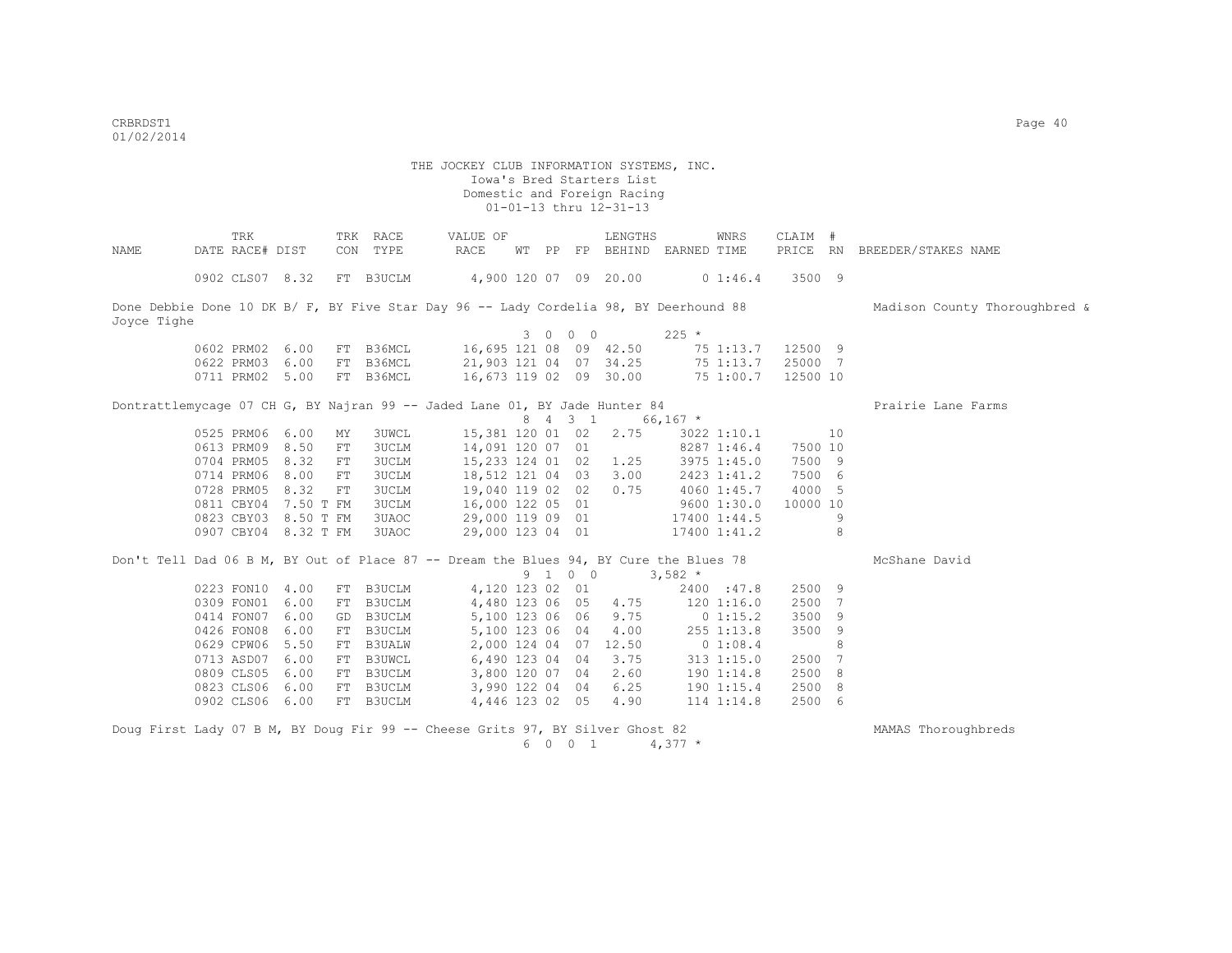| NAME        | TRK<br>DATE RACE# DIST                                                                |      |    | TRK RACE<br>CON TYPE | VALUE OF<br>RACE                     |  |         | LENGTHS<br>WT PP FP BEHIND EARNED TIME                                   |                        | WNRS               | CLAIM #  |     | PRICE RN BREEDER/STAKES NAME  |
|-------------|---------------------------------------------------------------------------------------|------|----|----------------------|--------------------------------------|--|---------|--------------------------------------------------------------------------|------------------------|--------------------|----------|-----|-------------------------------|
|             | 0902 CLS07 8.32                                                                       |      |    | FT B3UCLM            | $4,900$ 120 07 09 20.00 01:46.4      |  |         |                                                                          |                        |                    | 3500 9   |     |                               |
| Joyce Tighe | Done Debbie Done 10 DK B/ F, BY Five Star Day 96 -- Lady Cordelia 98, BY Deerhound 88 |      |    |                      |                                      |  |         |                                                                          |                        |                    |          |     | Madison County Thoroughbred & |
|             |                                                                                       |      |    |                      |                                      |  | 3 0 0 0 |                                                                          | $225 *$                |                    |          |     |                               |
|             | 0602 PRM02 6.00                                                                       |      |    |                      | FT B36MCL 16,695 121 08 09 42.50     |  |         |                                                                          |                        | 75 1:13.7          | 12500 9  |     |                               |
|             | 0622 PRM03 6.00                                                                       |      |    | FT B36MCL            | 21,903 121 04 07 34.25               |  |         |                                                                          |                        | 75 1:13.7          | 25000 7  |     |                               |
|             | 0711 PRM02 5.00                                                                       |      |    | FT B36MCL            | 16,673 119 02 09 30.00               |  |         |                                                                          |                        | 75 1:00.7          | 12500 10 |     |                               |
|             | Dontrattlemycage 07 CH G, BY Najran 99 -- Jaded Lane 01, BY Jade Hunter 84            |      |    |                      |                                      |  |         |                                                                          |                        |                    |          |     | Prairie Lane Farms            |
|             |                                                                                       |      |    |                      |                                      |  |         | 8 4 3 1 66,167 *                                                         |                        |                    |          |     |                               |
|             | 0525 PRM06 6.00                                                                       |      | MY | 3UWCL                | 15,381 120 01 02                     |  |         | 2.75                                                                     |                        | 3022 1:10.1        | 10       |     |                               |
|             | 0613 PRM09 8.50                                                                       |      | FT | 3UCLM                | 14,091 120 07 01                     |  |         |                                                                          | 8287 1:46.4            |                    | 7500 10  |     |                               |
|             | 0704 PRM05 8.32                                                                       |      | FT | 3UCLM                | 15,233 124 01 02                     |  |         |                                                                          |                        | $1.25$ 3975 1:45.0 | 7500 9   |     |                               |
|             | 0714 PRM06 8.00                                                                       |      | FT | 3UCLM                | 18,512 121 04 03                     |  |         |                                                                          | $3.00$ $2423$ $1:41.2$ |                    | 7500 6   |     |                               |
|             | 0728 PRM05 8.32                                                                       |      | FT | 3UCLM                | 19,040 119 02 02                     |  |         | 0.75                                                                     | 4060 1:45.7            |                    | 4000 5   |     |                               |
|             | 0811 CBY04 7.50 T FM                                                                  |      |    | <b>3UCLM</b>         | 16,000 122 05 01                     |  |         | $\begin{array}{c} 0.000 & 1.3010 \\ 9600 & 1.3010 \\ 1.4415 \end{array}$ |                        |                    | 10000 10 |     |                               |
|             | 0823 CBY03 8.50 T FM                                                                  |      |    | 3UAOC                | 29,000 119 09 01<br>29,000 123 04 01 |  |         |                                                                          |                        |                    |          | 9   |                               |
|             | 0907 CBY04 8.32 T FM                                                                  |      |    | 3UAOC                |                                      |  |         | 17400 1:41.2                                                             |                        |                    |          | 8   |                               |
|             | Don't Tell Dad 06 B M, BY Out of Place 87 -- Dream the Blues 94, BY Cure the Blues 78 |      |    |                      |                                      |  |         |                                                                          |                        |                    |          |     | McShane David                 |
|             |                                                                                       |      |    |                      |                                      |  | 9 1 0 0 | $3,582$ *                                                                |                        |                    |          |     |                               |
|             | 0223 FON10 4.00                                                                       |      |    | FT B3UCLM            | 4,120 123 02 01                      |  |         |                                                                          |                        | 2400 :47.8         | 2500 9   |     |                               |
|             | 0309 FON01                                                                            | 6.00 | FT | B3UCLM               | 4,480 123 06 05                      |  |         | 4.75 120 1:16.0                                                          |                        |                    | 2500     | 7   |                               |
|             | 0414 FON07                                                                            | 6.00 | GD | B3UCLM               | 5,100 123 06 06                      |  |         | 9.75                                                                     | $0\;1:15.2$            |                    | 3500     | 9   |                               |
|             | 0426 FON08                                                                            | 6.00 | FT | B3UCLM               | 5,100 123 06 04                      |  |         | 4.00                                                                     | 255 1:13.8             |                    | 3500     | - 9 |                               |
|             | 0629 CPW06 5.50                                                                       |      | FT | B3UALW               | 2,000 124 04 07                      |  |         | 12.50                                                                    | $0\;1:08.4$            |                    |          | 8   |                               |
|             | 0713 ASD07 6.00                                                                       |      |    | FT B3UWCL            | 6,490 123 04 04                      |  |         | 3.75                                                                     |                        | $313$ $1:15.0$     | 2500 7   |     |                               |
|             | 0809 CLS05 6.00                                                                       |      |    | FT B3UCLM            | 3,800 120 07 04                      |  |         | 2.60                                                                     |                        | 190 1:14.8         | 2500 8   |     |                               |
|             | 0823 CLS06 6.00                                                                       |      |    | FT B3UCLM            | 3,990 122 04 04                      |  |         | 6.25                                                                     |                        | 190 1:15.4         | 2500 8   |     |                               |
|             | 0902 CLS06 6.00                                                                       |      |    | FT B3UCLM            |                                      |  |         | 4,446 123 02 05 4.90                                                     | 114 1:14.8             |                    | 2500 6   |     |                               |
|             | Doug First Lady 07 B M, BY Doug Fir 99 -- Cheese Grits 97, BY Silver Ghost 82         |      |    |                      |                                      |  |         |                                                                          |                        |                    |          |     | MAMAS Thoroughbreds           |

 $6 \t0 \t0 \t1 \t4,377 \t*$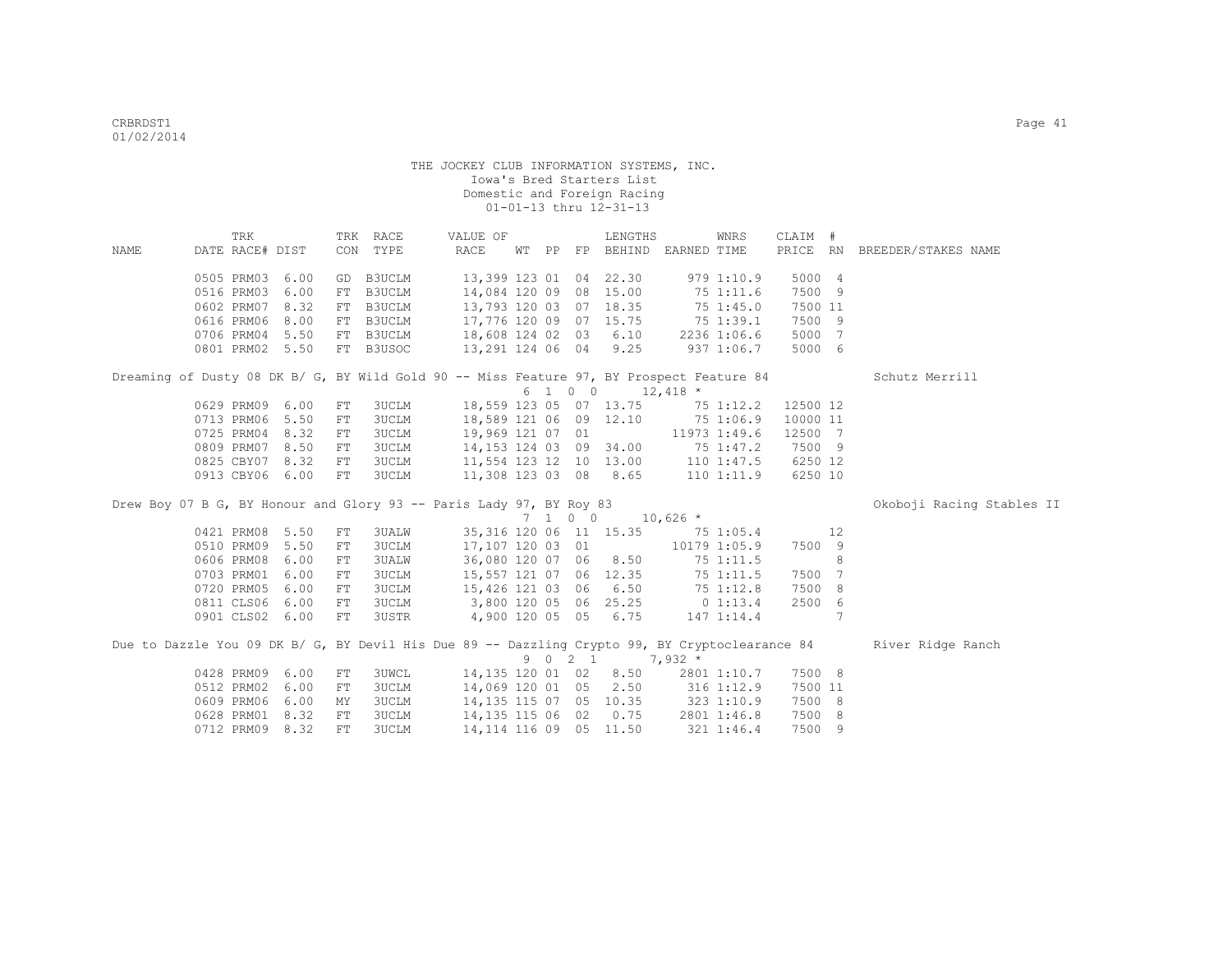|      | TRK                                                                                            |      |     | TRK RACE                                                                                  | VALUE OF         |  |         | LENGTHS                                                      |            | WNRS         | CLAIM #  |    |                              |
|------|------------------------------------------------------------------------------------------------|------|-----|-------------------------------------------------------------------------------------------|------------------|--|---------|--------------------------------------------------------------|------------|--------------|----------|----|------------------------------|
| NAME | DATE RACE# DIST                                                                                |      |     | CON TYPE                                                                                  | RACE             |  |         | WT PP FP BEHIND EARNED TIME                                  |            |              |          |    | PRICE RN BREEDER/STAKES NAME |
|      |                                                                                                |      |     |                                                                                           |                  |  |         |                                                              |            |              |          |    |                              |
|      | 0505 PRM03                                                                                     | 6.00 |     | GD B3UCLM                                                                                 |                  |  |         | 13,399 123 01 04 22.30                                       |            | 9791:10.9    | 5000 4   |    |                              |
|      | 0516 PRM03                                                                                     | 6.00 |     | FT B3UCLM                                                                                 |                  |  |         | 14,084 120 09 08 15.00                                       |            | 75 1:11.6    | 7500 9   |    |                              |
|      | 0602 PRM07                                                                                     | 8.32 |     | FT B3UCLM                                                                                 |                  |  |         | 13,793 120 03 07 18.35<br>$17,776$ 120 09 07 15.75 75 1:39.1 |            | 75 1:45.0    | 7500 11  |    |                              |
|      | 0616 PRM06                                                                                     | 8.00 |     | FT B3UCLM 17,776 120 09 07 15.75 75 1:39.1<br>FT B3UCLM 18,608 124 02 03 6.10 2236 1:06.6 |                  |  |         |                                                              |            |              | 7500 9   |    |                              |
|      | 0706 PRM04 5.50                                                                                |      |     |                                                                                           |                  |  |         |                                                              |            |              | 5000 7   |    |                              |
|      | 0801 PRM02 5.50                                                                                |      |     | FT B3USOC                                                                                 |                  |  |         | 13,291 124 06 04 9.25                                        |            | $937$ 1:06.7 | 5000 6   |    |                              |
|      | Dreaming of Dusty 08 DK B/ G, BY Wild Gold 90 -- Miss Feature 97, BY Prospect Feature 84       |      |     |                                                                                           |                  |  |         |                                                              |            |              |          |    | Schutz Merrill               |
|      |                                                                                                |      |     |                                                                                           |                  |  | 6 1 0 0 | $12,418$ *                                                   |            |              |          |    |                              |
|      | 0629 PRM09                                                                                     | 6.00 | FT  | 3UCLM                                                                                     |                  |  |         | 18,559 123 05 07 13.75 75 1:12.2                             |            |              | 12500 12 |    |                              |
|      | 0713 PRM06                                                                                     | 5.50 | FT  | 3UCLM                                                                                     |                  |  |         | 18,589 121 06 09 12.10 75 1:06.9                             |            |              | 10000 11 |    |                              |
|      | 0725 PRM04                                                                                     | 8.32 | FT  | 3UCLM                                                                                     | 19,969 121 07 01 |  |         |                                                              |            | 11973 1:49.6 | 12500 7  |    |                              |
|      | 0809 PRM07                                                                                     | 8.50 | FT  | 3UCLM                                                                                     |                  |  |         | 14, 153 124 03 09 34.00                                      |            | 75 1:47.2    | 7500 9   |    |                              |
|      | 0825 CBY07 8.32                                                                                |      | FT  | 3UCLM                                                                                     |                  |  |         | 11,554 123 12 10 13.00 110 1:47.5                            |            |              | 6250 12  |    |                              |
|      | 0913 CBY06 6.00                                                                                |      | FT  | 3UCLM                                                                                     |                  |  |         | 11,308 123 03 08 8.65 110 1:11.9                             |            |              | 6250 10  |    |                              |
|      | Drew Boy 07 B G, BY Honour and Glory 93 -- Paris Lady 97, BY Roy 83                            |      |     |                                                                                           |                  |  |         |                                                              |            |              |          |    | Okoboji Racing Stables II    |
|      |                                                                                                |      |     |                                                                                           |                  |  | 7 1 0 0 |                                                              | $10,626$ * |              |          |    |                              |
|      | 0421 PRM08                                                                                     | 5.50 | FT  | 3UALW                                                                                     |                  |  |         | 35, 316 120 06 11 15.35 75 1:05.4                            |            |              |          | 12 |                              |
|      | 0510 PRM09                                                                                     | 5.50 | FT  | <b>3UCLM</b>                                                                              | 17,107 120 03 01 |  |         |                                                              |            | 10179 1:05.9 | 7500 9   |    |                              |
|      | 0606 PRM08                                                                                     | 6.00 | FT  | <b>3UALW</b>                                                                              | 36,080 120 07 06 |  |         | 8.50                                                         |            | 75 1:11.5    |          | 8  |                              |
|      | 0703 PRM01                                                                                     | 6.00 | FT  | 3UCLM                                                                                     |                  |  |         | 15,557 121 07 06 12.35                                       |            | 75 1:11.5    | 7500 7   |    |                              |
|      | 0720 PRM05                                                                                     | 6.00 | FT  | 3UCLM                                                                                     | 15,426 121 03 06 |  |         | 6.50                                                         |            | 75 1:12.8    | 7500 8   |    |                              |
|      | 0811 CLS06                                                                                     | 6.00 | FT  | 3UCLM 3,800 120 05 06 25.25 0 1:13.4                                                      |                  |  |         |                                                              |            |              | 2500 6   |    |                              |
|      | 0901 CLS02 6.00                                                                                |      | FT  | 3USTR 4,900 120 05 05 6.75                                                                |                  |  |         |                                                              |            | 147 1:14.4   |          | 7  |                              |
|      | Due to Dazzle You 09 DK B/ G, BY Devil His Due 89 -- Dazzling Crypto 99, BY Cryptoclearance 84 |      |     |                                                                                           |                  |  |         |                                                              |            |              |          |    | River Ridge Ranch            |
|      |                                                                                                |      |     |                                                                                           |                  |  | 9 0 2 1 |                                                              | $7,932*$   |              |          |    |                              |
|      | 0428 PRM09                                                                                     | 6.00 | FT  | <b>3UWCL</b>                                                                              |                  |  |         | 14,135 120 01 02 8.50                                        |            | 2801 1:10.7  | 7500 8   |    |                              |
|      | 0512 PRM02                                                                                     | 6.00 | FT  | <b>3UCLM</b>                                                                              |                  |  |         | 14,069 120 01 05 2.50 316 1:12.9                             |            |              | 7500 11  |    |                              |
|      | 0609 PRM06                                                                                     | 6.00 | ΜY  | <b>3UCLM</b>                                                                              |                  |  |         | 14, 135 115 07 05 10.35 323 1:10.9                           |            |              | 7500 8   |    |                              |
|      | 0628 PRM01                                                                                     | 8.32 | FT  | <b>3UCLM</b>                                                                              |                  |  |         | 14,135 115 06 02 0.75                                        |            | 2801 1:46.8  | 7500 8   |    |                              |
|      | 0712 PRM09                                                                                     | 8.32 | FT. | <b>3UCLM</b>                                                                              |                  |  |         | 14, 114 116 09 05 11.50                                      |            | 321 1:46.4   | 7500 9   |    |                              |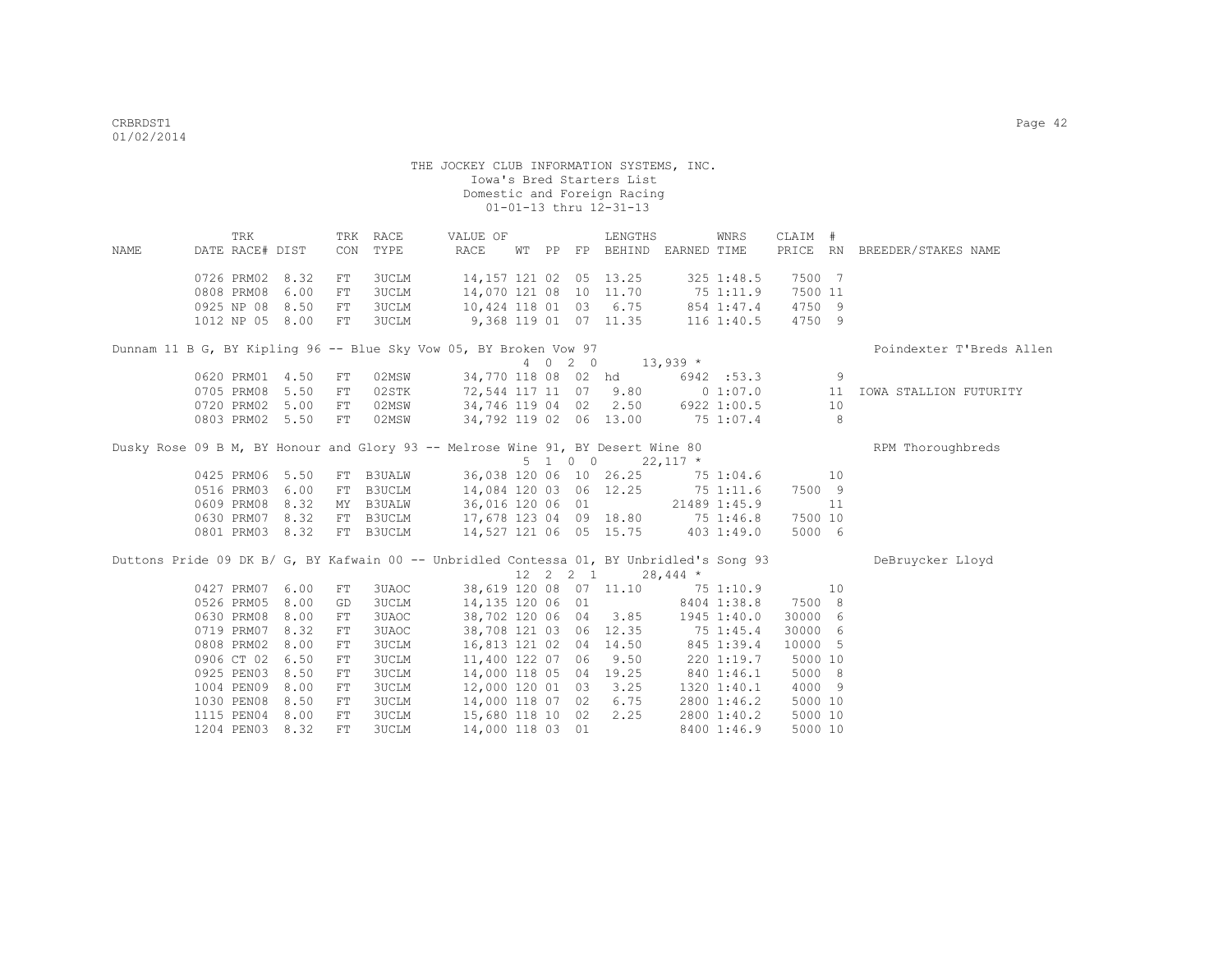|      |                 | TRK |      |    | TRK RACE     | VALUE OF                                                                                 |  |             | LENGTHS                          |              | WNRS           | CLAIM # |    |                              |
|------|-----------------|-----|------|----|--------------|------------------------------------------------------------------------------------------|--|-------------|----------------------------------|--------------|----------------|---------|----|------------------------------|
| NAME | DATE RACE# DIST |     |      |    | CON TYPE     | RACE                                                                                     |  |             | WT PP FP BEHIND EARNED TIME      |              |                |         |    | PRICE RN BREEDER/STAKES NAME |
|      | 0726 PRM02      |     | 8.32 | FT | <b>3UCLM</b> |                                                                                          |  |             | 14,157 121 02 05 13.25           |              | 325 1:48.5     | 7500 7  |    |                              |
|      | 0808 PRM08      |     | 6.00 | FT | <b>3UCLM</b> |                                                                                          |  |             | 14,070 121 08 10 11.70           | 75 1:11.9    |                | 7500 11 |    |                              |
|      | 0925 NP 08      |     | 8.50 | FT | 3UCLM        | 10,424 118 01 03 6.75                                                                    |  |             |                                  |              | 854 1:47.4     | 4750 9  |    |                              |
|      | 1012 NP 05 8.00 |     |      | FT | 3UCLM        | 9,368 119 01 07 11.35                                                                    |  |             |                                  |              | $116$ $1:40.5$ | 4750 9  |    |                              |
|      |                 |     |      |    |              | Dunnam 11 B G, BY Kipling 96 -- Blue Sky Vow 05, BY Broken Vow 97                        |  |             |                                  |              |                |         |    | Poindexter T'Breds Allen     |
|      |                 |     |      |    |              |                                                                                          |  |             | 4 0 2 0 13,939 *                 |              |                |         |    |                              |
|      | 0620 PRM01      |     | 4.50 | FT | 02MSW        |                                                                                          |  |             | 34,770 118 08 02 hd              |              | 6942 :53.3     |         | 9  |                              |
|      | 0705 PRM08      |     | 5.50 | FT | 02STK        |                                                                                          |  |             | 72,544 117 11 07 9.80 0 1:07.0   |              |                |         | 11 | IOWA STALLION FUTURITY       |
|      | 0720 PRM02      |     | 5.00 | FT | 02MSW        |                                                                                          |  |             | 34,746 119 04 02 2.50            |              | 6922 1:00.5    |         | 10 |                              |
|      | 0803 PRM02 5.50 |     |      | FT | 02MSW        |                                                                                          |  |             | 34,792 119 02 06 13.00           | 75 1:07.4    |                |         | 8  |                              |
|      |                 |     |      |    |              | Dusky Rose 09 B M, BY Honour and Glory 93 -- Melrose Wine 91, BY Desert Wine 80          |  |             |                                  |              |                |         |    | RPM Thoroughbreds            |
|      |                 |     |      |    |              |                                                                                          |  | 5 1 0 0     | $22,117$ *                       |              |                |         |    |                              |
|      | 0425 PRM06 5.50 |     |      |    | FT B3UALW    |                                                                                          |  |             | 36,038 120 06 10 26.25 75 1:04.6 |              |                |         | 10 |                              |
|      | 0516 PRM03      |     | 6.00 |    | FT B3UCLM    |                                                                                          |  |             | 14,084 120 03 06 12.25 75 1:11.6 |              |                | 7500 9  |    |                              |
|      | 0609 PRM08      |     | 8.32 |    | MY B3UALW    | 36,016 120 06 01                                                                         |  |             |                                  | 21489 1:45.9 |                |         | 11 |                              |
|      | 0630 PRM07 8.32 |     |      |    | FT B3UCLM    |                                                                                          |  |             | 17,678 123 04 09 18.80           | 75 1:46.8    |                | 7500 10 |    |                              |
|      | 0801 PRM03 8.32 |     |      |    | FT B3UCLM    |                                                                                          |  |             | 14,527 121 06 05 15.75           |              | 4031:49.0      | 5000 6  |    |                              |
|      |                 |     |      |    |              | Duttons Pride 09 DK B/ G, BY Kafwain 00 -- Unbridled Contessa 01, BY Unbridled's Song 93 |  |             |                                  |              |                |         |    | DeBruycker Lloyd             |
|      |                 |     |      |    |              |                                                                                          |  | 12  2  2  1 |                                  | $28,444$ *   |                |         |    |                              |
|      | 0427 PRM07      |     | 6.00 | FT | 3UAOC        |                                                                                          |  |             | 38,619 120 08 07 11.10           | 751:10.9     |                |         | 10 |                              |
|      | 0526 PRM05      |     | 8.00 | GD | <b>3UCLM</b> | 14,135 120 06 01                                                                         |  |             |                                  |              | 8404 1:38.8    | 7500 8  |    |                              |
|      | 0630 PRM08      |     | 8.00 | FT | 3UAOC        |                                                                                          |  |             | 38,702 120 06 04 3.85            |              | 1945 1:40.0    | 30000 6 |    |                              |
|      | 0719 PRM07      |     | 8.32 | FT | 3UAOC        |                                                                                          |  |             | 38,708 121 03 06 12.35           | 75 1:45.4    |                | 30000 6 |    |                              |
|      | 0808 PRM02      |     | 8.00 | FT | <b>3UCLM</b> |                                                                                          |  |             | 16,813 121 02 04 14.50           |              | 845 1:39.4     | 10000 5 |    |                              |
|      | 0906 CT 02      |     | 6.50 | FT | <b>3UCLM</b> | 11,400 122 07 06                                                                         |  |             | 9.50                             |              | 2201:19.7      | 5000 10 |    |                              |
|      | 0925 PEN03      |     | 8.50 | FT | <b>3UCLM</b> | 14,000 118 05 04 19.25                                                                   |  |             |                                  |              | 840 1:46.1     | 5000 8  |    |                              |
|      | 1004 PEN09      |     | 8.00 | FT | <b>3UCLM</b> | 12,000 120 01 03                                                                         |  |             | 3.25                             |              | 1320 1:40.1    | 4000 9  |    |                              |
|      | 1030 PEN08      |     | 8.50 | FT | 3UCLM        | 14,000 118 07 02                                                                         |  |             | 6.75                             |              | 2800 1:46.2    | 5000 10 |    |                              |
|      | 1115 PEN04      |     | 8.00 | FT | 3UCLM        | 15,680 118 10 02                                                                         |  |             | 2.25                             |              | 2800 1:40.2    | 5000 10 |    |                              |
|      | 1204 PEN03 8.32 |     |      | FT | 3UCLM        | 14,000 118 03 01                                                                         |  |             |                                  |              | 8400 1:46.9    | 5000 10 |    |                              |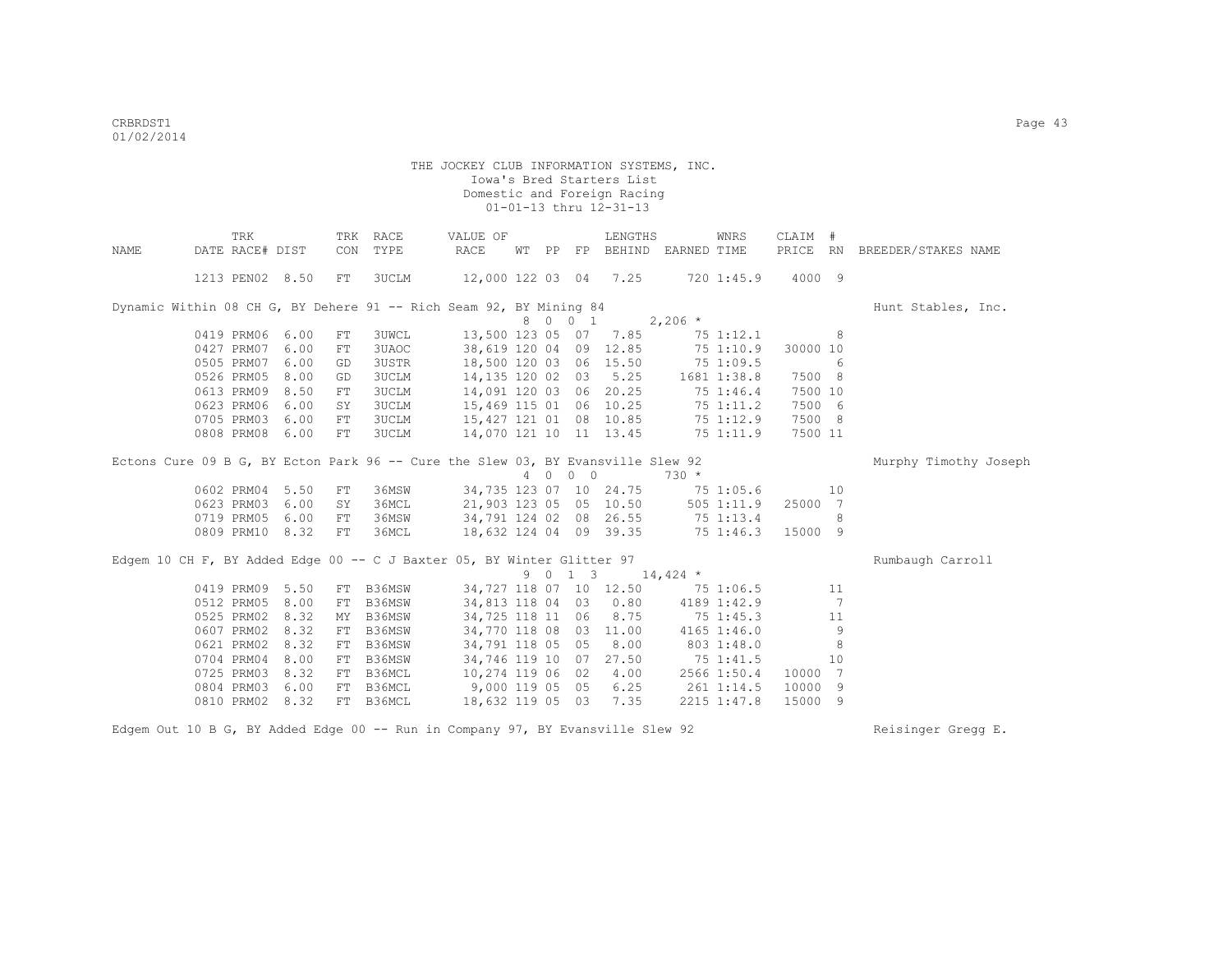|      | TRK                                                                             |      |            | TRK RACE     | VALUE OF                         |       |         | LENGTHS                               |              | WNRS           | CLAIM #  |                |                       |
|------|---------------------------------------------------------------------------------|------|------------|--------------|----------------------------------|-------|---------|---------------------------------------|--------------|----------------|----------|----------------|-----------------------|
| NAME | DATE RACE# DIST                                                                 |      | CON        | TYPE         | RACE                             | WT PP |         | FP BEHIND EARNED TIME                 |              |                | PRICE RN |                | BREEDER/STAKES NAME   |
|      | 1213 PEN02 8.50                                                                 |      | FT         | 3UCLM        | 12,000 122 03 04 7.25            |       |         |                                       |              | 720 1:45.9     | 4000 9   |                |                       |
|      | Dynamic Within 08 CH G, BY Dehere 91 -- Rich Seam 92, BY Mining 84              |      |            |              |                                  |       |         |                                       |              |                |          |                | Hunt Stables, Inc.    |
|      |                                                                                 |      |            |              |                                  |       | 8 0 0 1 |                                       | $2,206$ *    |                |          |                |                       |
|      | 0419 PRM06                                                                      | 6.00 | ${\rm FT}$ | <b>3UWCL</b> |                                  |       |         | 13,500 123 05 07 7.85                 |              | 75 1:12.1      |          | 8              |                       |
|      | 0427 PRM07                                                                      | 6.00 | FT         | 3UAOC        | 38,619 120 04                    |       |         | 09 12.85                              |              | 751:10.9       | 30000 10 |                |                       |
|      | 0505 PRM07                                                                      | 6.00 | GD         | 3USTR        | 18,500 120 03 06 15.50           |       |         |                                       |              | 75 1:09.5      |          | 6              |                       |
|      | 0526 PRM05                                                                      | 8.00 | GD         | 3UCLM        | 14,135 120 02                    |       |         | 03, 5.25                              |              | 1681 1:38.8    | 7500 8   |                |                       |
|      | 0613 PRM09                                                                      | 8.50 | FT         | 3UCLM        | 14,091 120 03 06 20.25           |       |         |                                       |              | 75 1:46.4      | 7500 10  |                |                       |
|      | 0623 PRM06                                                                      | 6.00 | SY         | 3UCLM        | 15,469 115 01 06 10.25 75 1:11.2 |       |         |                                       |              |                | 7500 6   |                |                       |
|      | 0705 PRM03                                                                      | 6.00 | FT         | 3UCLM        | 15,427 121 01 08 10.85           |       |         |                                       |              | 75 1:12.9      | 7500 8   |                |                       |
|      | 0808 PRM08                                                                      | 6.00 | FT         | <b>3UCLM</b> | 14,070 121 10 11 13.45           |       |         |                                       |              | 75 1:11.9      | 7500 11  |                |                       |
|      | Ectons Cure 09 B G, BY Ecton Park 96 -- Cure the Slew 03, BY Evansville Slew 92 |      |            |              |                                  |       |         |                                       |              |                |          |                | Murphy Timothy Joseph |
|      |                                                                                 |      |            |              |                                  |       | 4 0 0 0 |                                       | $730 *$      |                |          |                |                       |
|      | 0602 PRM04 5.50                                                                 |      | FT         | 36MSW        |                                  |       |         | 34,735 123 07 10 24.75                |              | 75 1:05.6      |          | 10             |                       |
|      | 0623 PRM03                                                                      | 6.00 | SY         | 36MCL        | 21,903 123 05 05 10.50           |       |         |                                       |              | $505$ $1:11.9$ | 25000 7  |                |                       |
|      | 0719 PRM05                                                                      | 6.00 | FT         | 36MSW        | 34,791 124 02 08 26.55           |       |         |                                       | 75 1:13.4    |                |          | 8              |                       |
|      | 0809 PRM10 8.32                                                                 |      | FT         | 36MCL        | 18,632 124 04 09 39.35           |       |         |                                       | $75\,1:46.3$ |                | 15000 9  |                |                       |
|      | Edgem 10 CH F, BY Added Edge 00 -- C J Baxter 05, BY Winter Glitter 97          |      |            |              |                                  |       |         |                                       |              |                |          |                | Rumbaugh Carroll      |
|      |                                                                                 |      |            |              |                                  |       |         | $9 \t 0 \t 1 \t 3 \t 14,424 \t \star$ |              |                |          |                |                       |
|      | 0419 PRM09                                                                      | 5.50 | FT         | B36MSW       | 34,727 118 07 10 12.50           |       |         |                                       |              | 75 1:06.5      |          | 11             |                       |
|      | 0512 PRM05                                                                      | 8.00 | FT         | B36MSW       | 34,813 118 04 03 0.80            |       |         |                                       |              | 4189 1:42.9    |          | 7              |                       |
|      | 0525 PRM02                                                                      | 8.32 | MY         | B36MSW       | 34,725 118 11                    |       |         | 06 8.75                               |              | 75 1:45.3      |          | 11             |                       |
|      | 0607 PRM02                                                                      | 8.32 | FT         | B36MSW       | 34,770 118 08                    |       |         | 03 11.00                              |              | 4165 1:46.0    |          | 9              |                       |
|      | 0621 PRM02                                                                      | 8.32 | FT         | B36MSW       | 34,791 118 05 05 8.00            |       |         |                                       |              | 803 1:48.0     |          | 8              |                       |
|      | 0704 PRM04                                                                      | 8.00 | FT         | B36MSW       | 34,746 119 10                    |       |         | 07 27.50                              |              | 75 1:41.5      |          | 10             |                       |
|      | 0725 PRM03                                                                      | 8.32 | FT         | B36MCL       | 10,274 119 06 02 4.00            |       |         |                                       |              | 2566 1:50.4    | 10000    | $\overline{7}$ |                       |
|      | 0804 PRM03                                                                      | 6.00 | FT         | B36MCL       | 9,000 119 05                     |       | 05      | 6.25                                  |              | 261 1:14.5     | 10000    | 9              |                       |
|      | 0810 PRM02                                                                      | 8.32 | FT         | B36MCL       | 18,632 119 05 03                 |       |         | 7.35                                  |              | 2215 1:47.8    | 15000 9  |                |                       |

Edgem Out 10 B G, BY Added Edge 00 -- Run in Company 97, BY Evansville Slew 92 Reisinger Gregg E.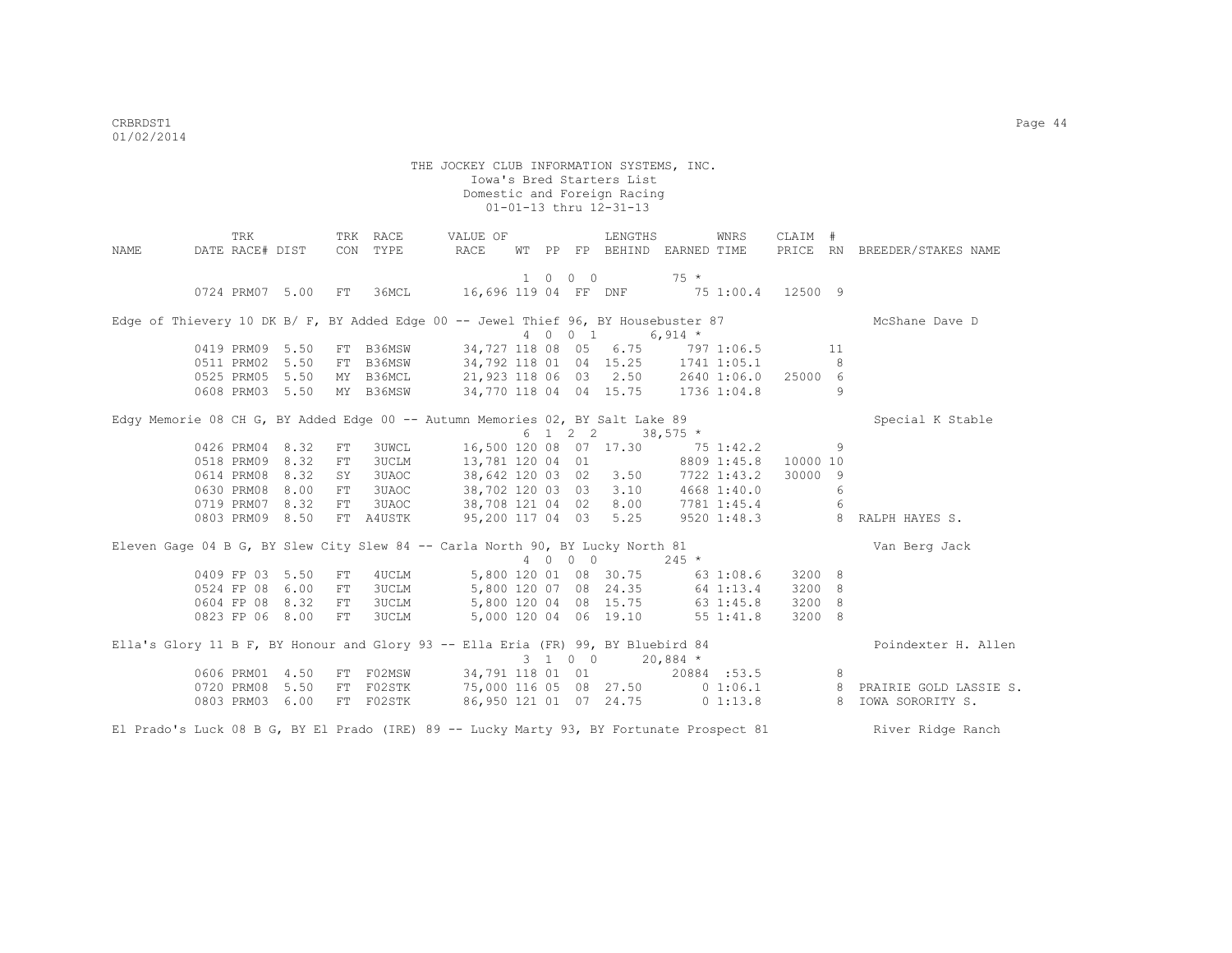|      | TRK             |                    |            | TRK RACE     | VALUE OF                                                                                 |  |         | LENGTHS                         |             | WNRS | CLAIM #  |     |                                                                    |
|------|-----------------|--------------------|------------|--------------|------------------------------------------------------------------------------------------|--|---------|---------------------------------|-------------|------|----------|-----|--------------------------------------------------------------------|
| NAME |                 | DATE RACE# DIST    |            | CON TYPE     | RACE                                                                                     |  |         | WT PP FP BEHIND                 | EARNED TIME |      |          |     | PRICE RN BREEDER/STAKES NAME                                       |
|      |                 |                    |            |              |                                                                                          |  | 1 0 0 0 |                                 | $75 *$      |      |          |     |                                                                    |
|      |                 | 0724 PRM07 5.00 FT |            |              | 36MCL 16,696 119 04 FF DNF 75 1:00.4 12500 9                                             |  |         |                                 |             |      |          |     |                                                                    |
|      |                 |                    |            |              | Edge of Thievery 10 DK B/ F, BY Added Edge 00 -- Jewel Thief 96, BY Housebuster 87       |  |         |                                 |             |      |          |     | McShane Dave D                                                     |
|      |                 |                    |            |              |                                                                                          |  |         | 4 0 0 1 6,914 *                 |             |      |          |     |                                                                    |
|      |                 | 0419 PRM09 5.50    |            |              | FT B36MSW 34,727 118 08 05 6.75 797 1:06.5                                               |  |         |                                 |             |      |          | 11  |                                                                    |
|      |                 | 0511 PRM02 5.50    |            |              | FT B36MSW 34,792 118 01 04 15.25 1741 1:05.1                                             |  |         |                                 |             |      |          | 8   |                                                                    |
|      |                 | 0525 PRM05 5.50    |            | MY B36MCL    | 21,923 118 06 03  2.50  2640  1:06.0  25000  6                                           |  |         |                                 |             |      |          |     |                                                                    |
|      |                 | 0608 PRM03 5.50    |            | MY B36MSW    | 34,770 118 04 04 15.75 1736 1:04.8                                                       |  |         |                                 |             |      |          | 9   |                                                                    |
|      |                 |                    |            |              | Edgy Memorie 08 CH G, BY Added Edge 00 -- Autumn Memories 02, BY Salt Lake 89            |  |         |                                 |             |      |          |     | Special K Stable                                                   |
|      |                 |                    |            |              |                                                                                          |  |         | 6 1 2 2                         | $38,575$ *  |      |          |     |                                                                    |
|      |                 | 0426 PRM04 8.32    | ${\rm FT}$ | <b>3UWCL</b> | 16,500 120 08 07 17.30 75 1:42.2                                                         |  |         |                                 |             |      |          | 9   |                                                                    |
|      | 0518 PRM09 8.32 |                    | FT         | 3UCLM        | 13,781 120 04 01 8809 1:45.8                                                             |  |         |                                 |             |      | 10000 10 |     |                                                                    |
|      | 0614 PRM08 8.32 |                    | SY         | 3UAOC        | 38,642 120 03 02 3.50 7722 1:43.2                                                        |  |         |                                 |             |      | 30000 9  |     |                                                                    |
|      | 0630 PRM08      | 8.00               | FT         | 3UAOC        | 38,702 120 03 03 3.10 4668 1:40.0                                                        |  |         |                                 |             |      |          | 6   |                                                                    |
|      |                 | 0719 PRM07 8.32    | FT         | 3UAOC        | 38,708 121 04 02 8.00 7781 1:45.4                                                        |  |         |                                 |             |      |          | - 6 |                                                                    |
|      |                 | 0803 PRM09 8.50    |            | FT A4USTK    |                                                                                          |  |         |                                 |             |      |          |     | 95,200 117 04 03 5.25 9520 1:48.3 8 RALPH HAYES S.                 |
|      |                 |                    |            |              | Eleven Gage 04 B G, BY Slew City Slew 84 -- Carla North 90, BY Lucky North 81            |  |         |                                 |             |      |          |     | Van Berg Jack                                                      |
|      |                 |                    |            |              |                                                                                          |  |         | 4 0 0 0 $245 \times$            |             |      |          |     |                                                                    |
|      | 0409 FP 03 5.50 |                    | FT         | 4UCLM        |                                                                                          |  |         | 5,800 120 01 08 30.75 63 1:08.6 |             |      | 3200 8   |     |                                                                    |
|      | 0524 FP 08 6.00 |                    | FT         | 3UCLM        |                                                                                          |  |         | 5,800 120 07 08 24.35 64 1:13.4 |             |      | 3200 8   |     |                                                                    |
|      |                 | 0604 FP 08 8.32    | FT         | 3UCLM        |                                                                                          |  |         | 5,800 120 04 08 15.75 63 1:45.8 |             |      | 3200 8   |     |                                                                    |
|      |                 | 0823 FP 06 8.00    | FT         | 3UCLM        |                                                                                          |  |         | 5,000 120 04 06 19.10 55 1:41.8 |             |      | 3200 8   |     |                                                                    |
|      |                 |                    |            |              | Ella's Glory 11 B F, BY Honour and Glory 93 -- Ella Eria (FR) 99, BY Bluebird 84         |  |         |                                 |             |      |          |     | Poindexter H. Allen                                                |
|      |                 |                    |            |              |                                                                                          |  |         | 3 1 0 0 20,884 *                |             |      |          |     |                                                                    |
|      |                 | 0606 PRM01 4.50    |            |              | FT F02MSW 34,791 118 01 01 20884 :53.5                                                   |  |         |                                 |             |      |          | 8   |                                                                    |
|      |                 | 0720 PRM08 5.50    |            |              |                                                                                          |  |         |                                 |             |      |          |     | FT F02STK 75,000 116 05 08 27.50 0 1:06.1 8 PRAIRIE GOLD LASSIE S. |
|      |                 | 0803 PRM03 6.00    |            | FT F02STK    |                                                                                          |  |         |                                 |             |      |          |     | 86,950 121 01 07 24.75 0 1:13.8 8 IOWA SORORITY S.                 |
|      |                 |                    |            |              | El Prado's Luck 08 B G, BY El Prado (IRE) 89 -- Lucky Marty 93, BY Fortunate Prospect 81 |  |         |                                 |             |      |          |     | River Ridge Ranch                                                  |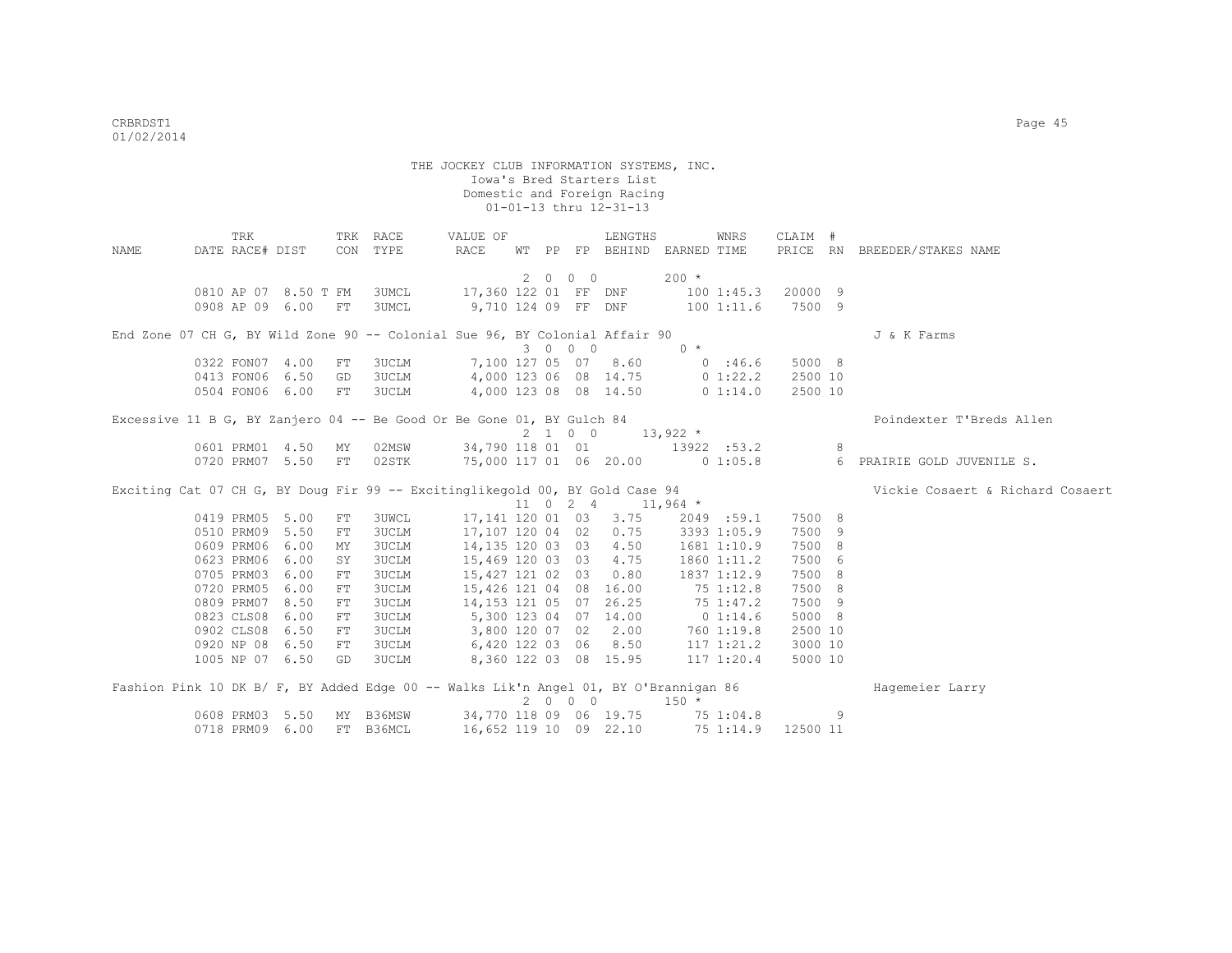|      | TRK                                                                                  |      |            | TRK RACE     | VALUE OF               |    |             |            | LENGTHS                |             | WNRS           | CLAIM #  |   |                                  |
|------|--------------------------------------------------------------------------------------|------|------------|--------------|------------------------|----|-------------|------------|------------------------|-------------|----------------|----------|---|----------------------------------|
| NAME | DATE RACE# DIST                                                                      |      |            | CON TYPE     | RACE                   | WT | $\rm PP$    |            | FP BEHIND              | EARNED TIME |                | PRICE RN |   | BREEDER/STAKES NAME              |
|      |                                                                                      |      |            |              |                        |    |             |            |                        |             |                |          |   |                                  |
|      |                                                                                      |      |            |              |                        |    | $2 \quad 0$ | $0\quad 0$ |                        | $200 *$     |                |          |   |                                  |
|      | 0810 AP 07 8.50 T FM                                                                 |      |            | 3UMCL        | 17,360 122 01 FF DNF   |    |             |            |                        |             | 1001:45.3      | 20000 9  |   |                                  |
|      | 0908 AP 09 6.00                                                                      |      | FT         | 3UMCL        | 9,710 124 09 FF DNF    |    |             |            |                        |             | 1001:11.6      | 7500 9   |   |                                  |
|      | End Zone 07 CH G, BY Wild Zone 90 -- Colonial Sue 96, BY Colonial Affair 90          |      |            |              |                        |    |             |            |                        |             |                |          |   | J & K Farms                      |
|      |                                                                                      |      |            |              |                        |    |             | 3 0 0 0    |                        | $0 *$       |                |          |   |                                  |
|      | 0322 FON07 4.00                                                                      |      | FT         | 3UCLM        |                        |    |             |            | 7,100 127 05 07 8.60   |             | 0:46.6         | 5000 8   |   |                                  |
|      | 0413 FON06 6.50                                                                      |      | GD         | 3UCLM        | 4,000 123 06 08 14.75  |    |             |            |                        |             | $0\;1:22.2$    | 2500 10  |   |                                  |
|      | 0504 FON06 6.00                                                                      |      | FT         | 3UCLM        | 4,000 123 08 08 14.50  |    |             |            |                        |             | 0 1:14.0       | 2500 10  |   |                                  |
|      | Excessive 11 B G, BY Zanjero 04 -- Be Good Or Be Gone 01, BY Gulch 84                |      |            |              |                        |    |             |            |                        |             |                |          |   | Poindexter T'Breds Allen         |
|      |                                                                                      |      |            |              |                        |    |             | 2 1 0 0    |                        | $13,922$ *  |                |          |   |                                  |
|      | 0601 PRM01 4.50                                                                      |      | ΜY         | 02MSW        |                        |    |             |            | 34,790 118 01 01       |             | 13922 :53.2    |          | 8 |                                  |
|      | 0720 PRM07 5.50                                                                      |      | ${\rm FT}$ | 02STK        |                        |    |             |            | 75,000 117 01 06 20.00 |             | 0 1:05.8       |          | 6 | PRAIRIE GOLD JUVENILE S.         |
|      | Exciting Cat 07 CH G, BY Doug Fir 99 -- Excitinglikegold 00, BY Gold Case 94         |      |            |              |                        |    |             |            |                        |             |                |          |   | Vickie Cosaert & Richard Cosaert |
|      |                                                                                      |      |            |              |                        |    |             |            | 11 0 2 4 11,964 $*$    |             |                |          |   |                                  |
|      | 0419 PRM05 5.00                                                                      |      | ${\rm FT}$ | 3UWCL        | 17,141 120 01 03       |    |             |            | 3.75                   |             | 2049 :59.1     | 7500 8   |   |                                  |
|      | 0510 PRM09 5.50                                                                      |      | FT         | <b>3UCLM</b> | 17,107 120 04 02       |    |             |            | 0.75                   |             | 3393 1:05.9    | 7500 9   |   |                                  |
|      | 0609 PRM06                                                                           | 6.00 | MΥ         | <b>3UCLM</b> | 14,135 120 03 03       |    |             |            | 4.50                   |             | 1681 1:10.9    | 7500 8   |   |                                  |
|      | 0623 PRM06                                                                           | 6.00 | SY         | <b>3UCLM</b> | 15,469 120 03 03       |    |             |            | 4.75                   |             | 1860 1:11.2    | 7500 6   |   |                                  |
|      | 0705 PRM03                                                                           | 6.00 | FT         | <b>3UCLM</b> | 15,427 121 02 03       |    |             |            | 0.80                   |             | 1837 1:12.9    | 7500 8   |   |                                  |
|      | 0720 PRM05                                                                           | 6.00 | ${\rm FT}$ | <b>3UCLM</b> | 15,426 121 04 08       |    |             |            | 16.00                  |             | 75 1:12.8      | 7500 8   |   |                                  |
|      | 0809 PRM07                                                                           | 8.50 | ${\rm FT}$ | <b>3UCLM</b> | 14,153 121 05 07       |    |             |            | 26.25                  |             | 75 1:47.2      | 7500 9   |   |                                  |
|      | 0823 CLS08                                                                           | 6.00 | ${\rm FT}$ | <b>3UCLM</b> | 5,300 123 04 07 14.00  |    |             |            |                        |             | $0\;1:14.6$    | 5000 8   |   |                                  |
|      | 0902 CLS08                                                                           | 6.50 | FT         | 3UCLM        | 3,800 120 07 02        |    |             |            | 2.00                   |             | 760 1:19.8     | 2500 10  |   |                                  |
|      | 0920 NP 08                                                                           | 6.50 | FT         | 3UCLM        | 6,420 122 03 06        |    |             |            | 8.50                   |             | 117 1:21.2     | 3000 10  |   |                                  |
|      | 1005 NP 07 6.50                                                                      |      | GD         | 3UCLM        | 8,360 122 03 08 15.95  |    |             |            |                        |             | $117$ $1:20.4$ | 5000 10  |   |                                  |
|      | Fashion Pink 10 DK B/ F, BY Added Edge 00 -- Walks Lik'n Angel 01, BY O'Brannigan 86 |      |            |              |                        |    |             |            |                        |             |                |          |   | Hagemeier Larry                  |
|      |                                                                                      |      |            |              |                        |    |             | 2 0 0 0    |                        | $150 *$     |                |          |   |                                  |
|      | 0608 PRM03 5.50                                                                      |      | MY         | B36MSW       | 34,770 118 09 06 19.75 |    |             |            |                        |             | 75 1:04.8      |          | 9 |                                  |
|      | 0718 PRM09 6.00                                                                      |      |            | FT B36MCL    | 16,652 119 10 09 22.10 |    |             |            |                        |             | 751:14.9       | 12500 11 |   |                                  |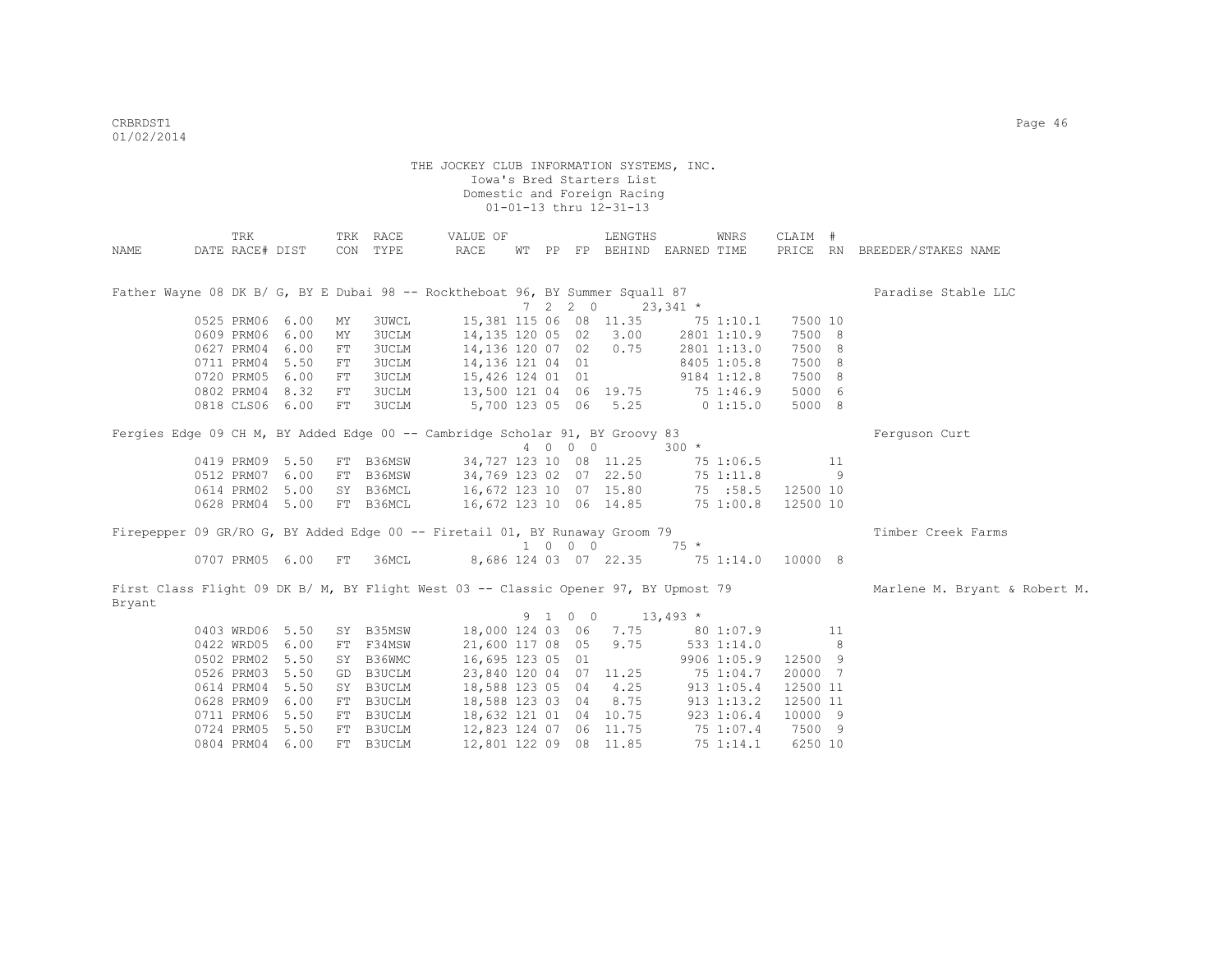|                                                                                               | TRK             |                 |    | TRK RACE     | VALUE OF               |  |         | LENGTHS                     |              | WNRS        | CLAIM #  |    |                               |
|-----------------------------------------------------------------------------------------------|-----------------|-----------------|----|--------------|------------------------|--|---------|-----------------------------|--------------|-------------|----------|----|-------------------------------|
| NAME                                                                                          | DATE RACE# DIST |                 |    | CON TYPE     | RACE                   |  |         | WT PP FP BEHIND EARNED TIME |              |             |          |    | PRICE RN BREEDER/STAKES NAME  |
|                                                                                               |                 |                 |    |              |                        |  |         |                             |              |             |          |    |                               |
|                                                                                               |                 |                 |    |              |                        |  |         |                             |              |             |          |    |                               |
| Father Wayne 08 DK B/ G, BY E Dubai 98 -- Rocktheboat 96, BY Summer Squall 87                 |                 |                 |    |              |                        |  |         |                             |              |             |          |    | Paradise Stable LLC           |
|                                                                                               |                 |                 |    |              |                        |  | 7220    |                             | $23,341$ *   |             |          |    |                               |
|                                                                                               | 0525 PRM06 6.00 |                 | ΜY | 3UWCL        |                        |  |         | 15,381 115 06 08 11.35      |              | 75 1:10.1   | 7500 10  |    |                               |
|                                                                                               | 0609 PRM06 6.00 |                 | MY | <b>3UCLM</b> | 14,135 120 05 02       |  |         | 3.00                        |              | 2801 1:10.9 | 7500 8   |    |                               |
|                                                                                               | 0627 PRM04 6.00 |                 | FT | <b>3UCLM</b> | 14,136 120 07 02       |  |         | 0.75                        |              | 2801 1:13.0 | 7500 8   |    |                               |
|                                                                                               | 0711 PRM04 5.50 |                 | FT | 3UCLM        | 14,136 121 04 01       |  |         |                             |              | 8405 1:05.8 | 7500 8   |    |                               |
|                                                                                               | 0720 PRM05 6.00 |                 | FT | 3UCLM        | 15,426 124 01 01       |  |         |                             |              | 9184 1:12.8 | 7500 8   |    |                               |
|                                                                                               |                 | 0802 PRM04 8.32 | FT | 3UCLM        | 13,500 121 04 06 19.75 |  |         |                             | $75\,1:46.9$ |             | 5000 6   |    |                               |
|                                                                                               |                 | 0818 CLS06 6.00 | FT | 3UCLM        |                        |  |         | 5,700 123 05 06 5.25        | $0$ 1:15.0   |             | 5000 8   |    |                               |
| Fergies Edge 09 CH M, BY Added Edge 00 -- Cambridge Scholar 91, BY Groovy 83                  |                 |                 |    |              |                        |  |         |                             |              |             |          |    | Ferquson Curt                 |
|                                                                                               |                 |                 |    |              |                        |  | 4 0 0 0 |                             | $300 *$      |             |          |    |                               |
|                                                                                               | 0419 PRM09 5.50 |                 |    | FT B36MSW    |                        |  |         | 34,727 123 10 08 11.25      |              | 75 1:06.5   |          | 11 |                               |
|                                                                                               |                 | 0512 PRM07 6.00 |    | FT B36MSW    | 34,769 123 02 07 22.50 |  |         |                             |              | 75 1:11.8   |          | -9 |                               |
|                                                                                               |                 | 0614 PRM02 5.00 |    | SY B36MCL    | 16,672 123 10 07 15.80 |  |         |                             |              | 75 :58.5    | 12500 10 |    |                               |
|                                                                                               |                 | 0628 PRM04 5.00 |    | FT B36MCL    | 16,672 123 10 06 14.85 |  |         |                             |              | 75 1:00.8   | 12500 10 |    |                               |
|                                                                                               |                 |                 |    |              |                        |  |         |                             |              |             |          |    |                               |
| Firepepper 09 GR/RO G, BY Added Edge 00 -- Firetail 01, BY Runaway Groom 79                   |                 |                 |    |              |                        |  |         |                             |              |             |          |    | Timber Creek Farms            |
|                                                                                               |                 |                 |    |              |                        |  | 1 0 0 0 |                             | $75 *$       |             |          |    |                               |
|                                                                                               |                 | 0707 PRM05 6.00 | FT | 36MCL        |                        |  |         | 8,686 124 03 07 22.35       |              | 751:14.0    | 10000 8  |    |                               |
| First Class Flight 09 DK B/ M, BY Flight West 03 -- Classic Opener 97, BY Upmost 79<br>Bryant |                 |                 |    |              |                        |  |         |                             |              |             |          |    | Marlene M. Bryant & Robert M. |
|                                                                                               |                 |                 |    |              |                        |  | 9 1 0 0 | $13,493*$                   |              |             |          |    |                               |
|                                                                                               |                 | 0403 WRD06 5.50 |    | SY B35MSW    | 18,000 124 03 06       |  |         | 7.75                        |              | 80 1:07.9   |          | 11 |                               |
|                                                                                               |                 | 0422 WRD05 6.00 |    | FT F34MSW    | 21,600 117 08 05       |  |         | 9.75                        |              | 5331:14.0   |          | -8 |                               |
|                                                                                               | 0502 PRM02 5.50 |                 |    | SY B36WMC    | 16,695 123 05 01       |  |         |                             |              | 9906 1:05.9 | 12500 9  |    |                               |
|                                                                                               |                 |                 |    |              |                        |  |         |                             |              |             |          |    |                               |
|                                                                                               | 0526 PRM03 5.50 |                 |    | GD B3UCLM    |                        |  |         | 23,840 120 04 07 11.25      |              | 75 1:04.7   | 20000 7  |    |                               |
|                                                                                               | 0614 PRM04 5.50 |                 |    | SY B3UCLM    | 18,588 123 05 04 4.25  |  |         |                             |              | 913 1:05.4  | 12500 11 |    |                               |
|                                                                                               |                 | 0628 PRM09 6.00 |    | FT B3UCLM    | 18,588 123 03 04       |  |         | 8.75                        |              | 913 1:13.2  | 12500 11 |    |                               |
|                                                                                               |                 | 0711 PRM06 5.50 |    | FT B3UCLM    | 18,632 121 01 04 10.75 |  |         |                             |              | 923 1:06.4  | 10000 9  |    |                               |
|                                                                                               |                 | 0724 PRM05 5.50 |    | FT B3UCLM    | 12,823 124 07 06 11.75 |  |         |                             |              | 75 1:07.4   | 7500 9   |    |                               |
|                                                                                               | 0804 PRM04 6.00 |                 |    | FT B3UCLM    | 12,801 122 09 08 11.85 |  |         |                             |              | 75 1:14.1   | 6250 10  |    |                               |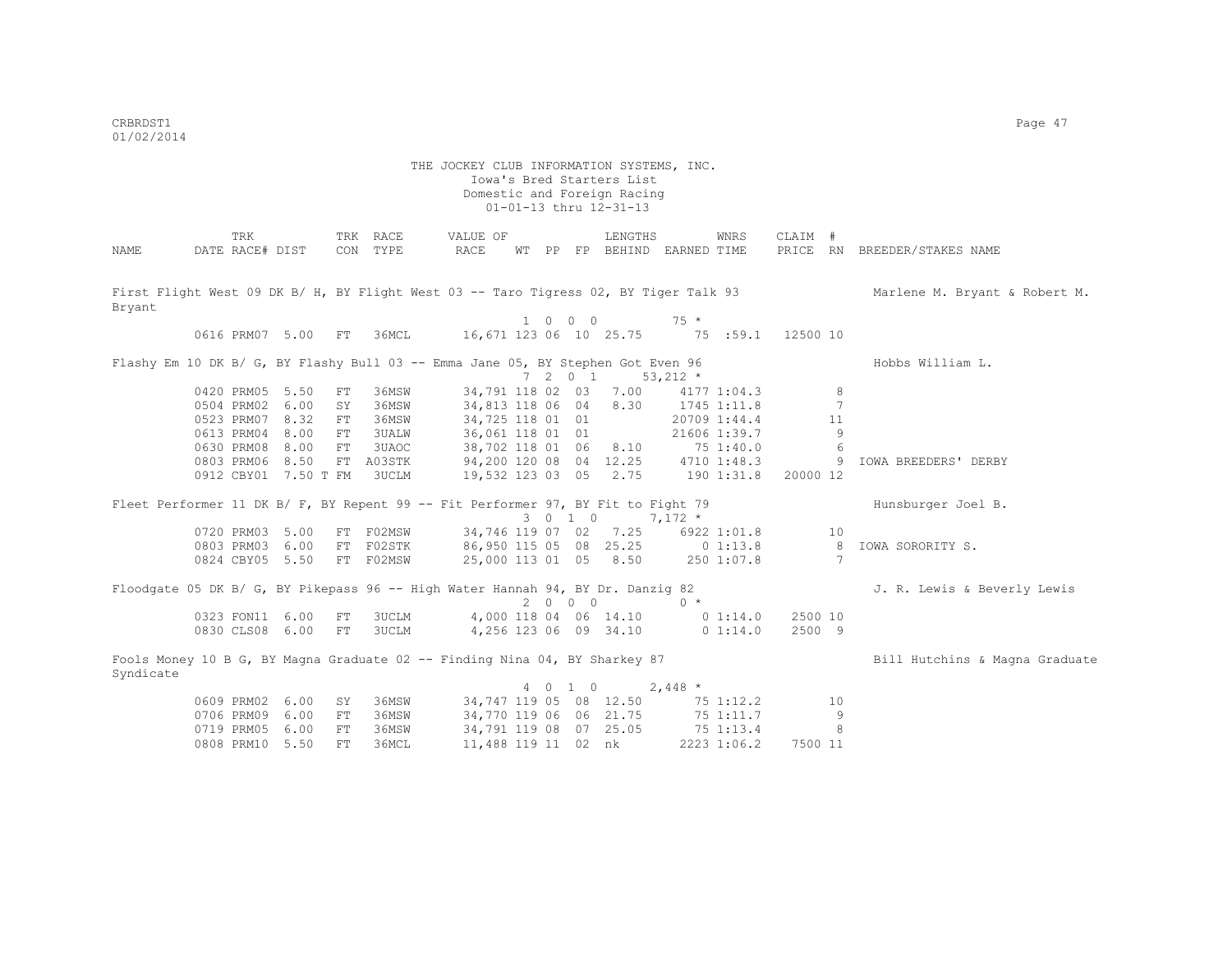|                                                                                         | TRK             |                      |            | TRK RACE     | VALUE OF                           |            |                             | LENGTHS                          |            | WNRS         | CLAIM #  |    |                                                                                                                    |
|-----------------------------------------------------------------------------------------|-----------------|----------------------|------------|--------------|------------------------------------|------------|-----------------------------|----------------------------------|------------|--------------|----------|----|--------------------------------------------------------------------------------------------------------------------|
| NAME                                                                                    | DATE RACE# DIST |                      |            | CON TYPE     | RACE                               |            |                             | WT PP FP BEHIND EARNED TIME      |            |              |          |    | PRICE RN BREEDER/STAKES NAME                                                                                       |
|                                                                                         |                 |                      |            |              |                                    |            |                             |                                  |            |              |          |    |                                                                                                                    |
|                                                                                         |                 |                      |            |              |                                    |            |                             |                                  |            |              |          |    | First Flight West 09 DK B/ H, BY Flight West 03 -- Taro Tigress 02, BY Tiger Talk 93 Marlene M. Bryant & Robert M. |
| Bryant                                                                                  |                 |                      |            |              |                                    |            |                             |                                  |            |              |          |    |                                                                                                                    |
|                                                                                         |                 |                      |            |              |                                    |            | $1 \quad 0 \quad 0 \quad 0$ |                                  | $75 *$     |              |          |    |                                                                                                                    |
|                                                                                         |                 | 0616 PRM07 5.00      | FT         | 36MCL        |                                    |            |                             | 16,671 123 06 10 25.75 75 :59.1  |            |              | 12500 10 |    |                                                                                                                    |
|                                                                                         |                 |                      |            |              |                                    |            |                             |                                  |            |              |          |    |                                                                                                                    |
| Flashy Em 10 DK B/ G, BY Flashy Bull 03 -- Emma Jane 05, BY Stephen Got Even 96         |                 |                      |            |              |                                    |            |                             |                                  |            |              |          |    | Hobbs William L.                                                                                                   |
|                                                                                         |                 |                      |            |              |                                    | $7\quad 2$ | $0\quad 1$                  |                                  | $53,212$ * |              |          |    |                                                                                                                    |
|                                                                                         | 0420 PRM05 5.50 |                      | FT         | 36MSW        | 34,791 118 02 03                   |            |                             | 7.00                             |            | 4177 1:04.3  |          | 8  |                                                                                                                    |
|                                                                                         | 0504 PRM02      | 6.00                 | SY         | 36MSW        | 34,813 118 06 04                   |            |                             | 8.30                             |            | 1745 1:11.8  |          | 7  |                                                                                                                    |
|                                                                                         | 0523 PRM07      | 8.32                 | FT         | 36MSW        | 34,725 118 01 01                   |            |                             |                                  |            | 20709 1:44.4 |          | 11 |                                                                                                                    |
|                                                                                         | 0613 PRM04      | 8.00                 | FT         | <b>3UALW</b> | 36,061 118 01 01                   |            |                             |                                  |            | 21606 1:39.7 |          | 9  |                                                                                                                    |
|                                                                                         | 0630 PRM08      | 8.00                 | FT         | 3UAOC        | 38,702 118 01 06 8.10              |            |                             |                                  | 75 1:40.0  |              |          | 6  |                                                                                                                    |
|                                                                                         | 0803 PRM06      | 8.50                 |            | FT A03STK    | 94,200 120 08 04 12.25 4710 1:48.3 |            |                             |                                  |            |              |          | 9  | <b>IOWA BREEDERS' DERBY</b>                                                                                        |
|                                                                                         |                 | 0912 CBY01 7.50 T FM |            | 3UCLM        |                                    |            |                             | 19,532 123 03 05 2.75 190 1:31.8 |            |              | 20000 12 |    |                                                                                                                    |
|                                                                                         |                 |                      |            |              |                                    |            |                             |                                  |            |              |          |    |                                                                                                                    |
| Fleet Performer 11 DK B/ F, BY Repent 99 -- Fit Performer 97, BY Fit to Fight 79        |                 |                      |            |              |                                    |            | 3 0 1 0                     |                                  | $7,172*$   |              |          |    | Hunsburger Joel B.                                                                                                 |
|                                                                                         | 0720 PRM03      | 5.00                 |            | FT F02MSW    |                                    |            |                             | 34,746 119 07 02 7.25            |            | 6922 1:01.8  |          | 10 |                                                                                                                    |
|                                                                                         |                 | 0803 PRM03 6.00      |            | FT F02STK    | 86,950 115 05 08 25.25 0 1:13.8    |            |                             |                                  |            |              |          | 8  | IOWA SORORITY S.                                                                                                   |
|                                                                                         |                 | 0824 CBY05 5.50      |            | FT F02MSW    |                                    |            |                             | 25,000 113 01 05 8.50            |            | 250 1:07.8   |          | 7  |                                                                                                                    |
|                                                                                         |                 |                      |            |              |                                    |            |                             |                                  |            |              |          |    |                                                                                                                    |
| Floodgate 05 DK B/ G, BY Pikepass 96 -- High Water Hannah 94, BY Dr. Danzig 82          |                 |                      |            |              |                                    |            |                             |                                  |            |              |          |    | J. R. Lewis & Beverly Lewis                                                                                        |
|                                                                                         |                 |                      |            |              |                                    |            | 2000                        |                                  | $0 *$      |              |          |    |                                                                                                                    |
|                                                                                         | 0323 FON11 6.00 |                      | FT         | <b>3UCLM</b> |                                    |            |                             | 4,000 118 04 06 14.10            |            | $0\;1:14.0$  | 2500 10  |    |                                                                                                                    |
|                                                                                         | 0830 CLS08 6.00 |                      | FT         | 3UCLM        |                                    |            |                             | 4,256 123 06 09 34.10            |            | 0 1:14.0     | 2500 9   |    |                                                                                                                    |
|                                                                                         |                 |                      |            |              |                                    |            |                             |                                  |            |              |          |    |                                                                                                                    |
| Fools Money 10 B G, BY Magna Graduate 02 -- Finding Nina 04, BY Sharkey 87<br>Syndicate |                 |                      |            |              |                                    |            |                             |                                  |            |              |          |    | Bill Hutchins & Magna Graduate                                                                                     |
|                                                                                         |                 |                      |            |              |                                    |            | 4 0 1 0                     |                                  | $2,448$ *  |              |          |    |                                                                                                                    |
|                                                                                         | 0609 PRM02 6.00 |                      | SY         | 36MSW        |                                    |            |                             | 34,747 119 05 08 12.50           |            | 75 1:12.2    |          | 10 |                                                                                                                    |
|                                                                                         | 0706 PRM09      | 6.00                 | ${\rm FT}$ | 36MSW        | 34,770 119 06 06 21.75             |            |                             |                                  |            | 75 1:11.7    |          | 9  |                                                                                                                    |
|                                                                                         | 0719 PRM05      | 6.00                 | FT         | 36MSW        |                                    |            |                             | 34,791 119 08 07 25.05           |            | 75 1:13.4    |          | 8  |                                                                                                                    |
|                                                                                         | 0808 PRM10      | 5.50                 | FT.        | 36MCL        | 11,488 119 11 02 nk                |            |                             |                                  |            | 2223 1:06.2  | 7500 11  |    |                                                                                                                    |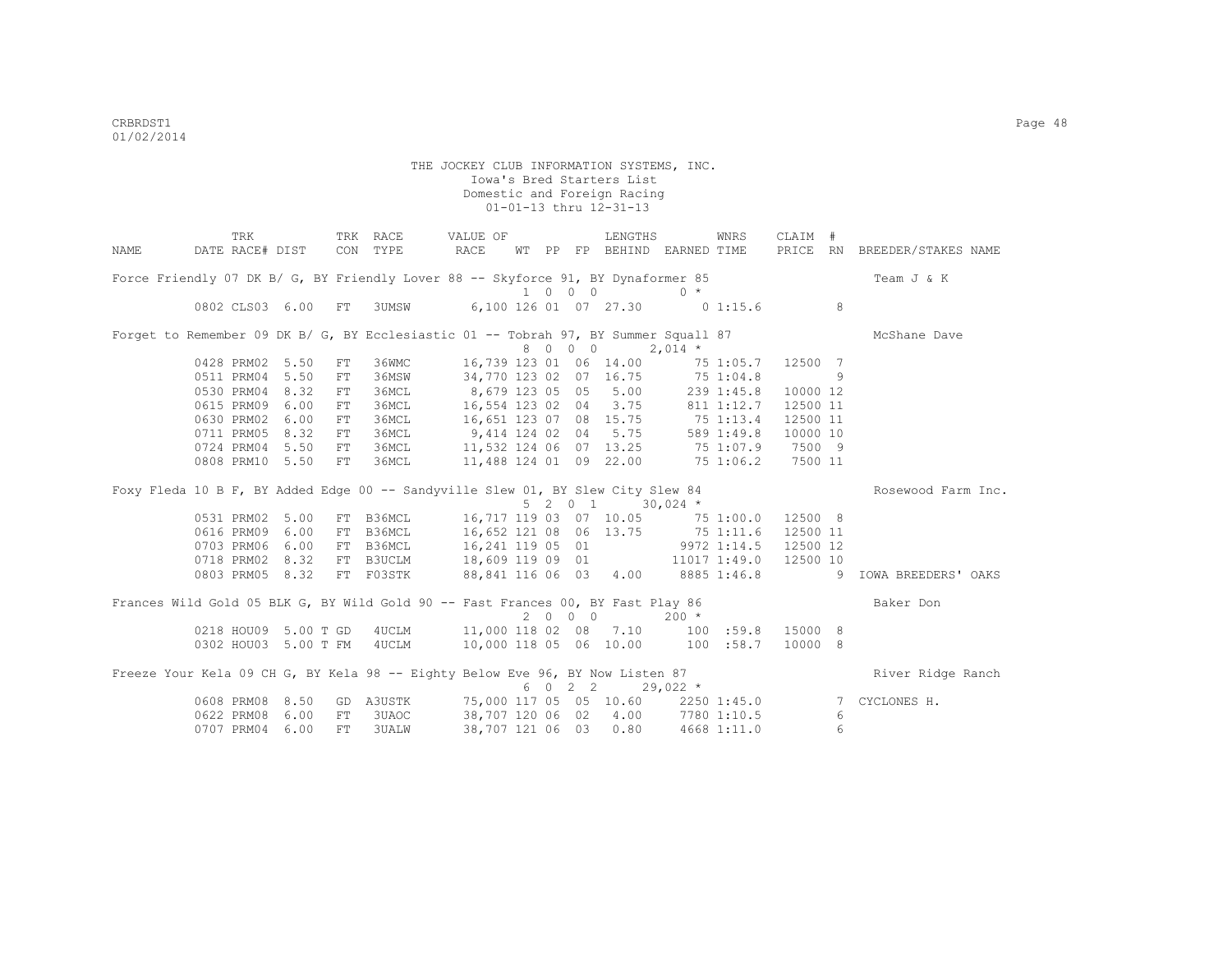|      | TRK                                                                                 |            | TRK RACE                                     | VALUE OF                                                             |         | LENGTHS |                             | WNRS       | CLAIM #             |   |                              |
|------|-------------------------------------------------------------------------------------|------------|----------------------------------------------|----------------------------------------------------------------------|---------|---------|-----------------------------|------------|---------------------|---|------------------------------|
| NAME | DATE RACE# DIST                                                                     |            | CON TYPE                                     | RACE                                                                 |         |         | WT PP FP BEHIND EARNED TIME |            |                     |   | PRICE RN BREEDER/STAKES NAME |
|      | Force Friendly 07 DK B/ G, BY Friendly Lover 88 -- Skyforce 91, BY Dynaformer 85    |            |                                              |                                                                      | 1000    |         | $0 *$                       |            |                     |   | Team J & K                   |
|      | 0802 CLS03 6.00                                                                     | FT         | 3UMSW                                        | 6,100 126 01 07 27.30 0 1:15.6                                       |         |         |                             |            |                     | 8 |                              |
|      | Forget to Remember 09 DK B/ G, BY Ecclesiastic 01 -- Tobrah 97, BY Summer Squall 87 |            |                                              |                                                                      | 8 0 0 0 |         | $2,014$ *                   |            |                     |   | McShane Dave                 |
|      | 0428 PRM02 5.50                                                                     | FT         | 36WMC                                        | 16,739 123 01 06 14.00                                               |         |         |                             | 75 1:05.7  | 12500 7             |   |                              |
|      | 0511 PRM04 5.50                                                                     | FT         | 36MSW                                        | 34,770 123 02 07 16.75                                               |         |         |                             | 75 1:04.8  |                     | 9 |                              |
|      | 0530 PRM04 8.32                                                                     | FT         | 36MCL                                        | 8,679 123 05 05 5.00<br>16,554 123 02 04 3.75                        |         |         |                             | 239 1:45.8 | 10000 12            |   |                              |
|      | 0615 PRM09 6.00                                                                     | FT         | 36MCL                                        |                                                                      |         |         |                             | 811 1:12.7 | 12500 11            |   |                              |
|      | 0630 PRM02                                                                          | 6.00<br>FT | 36MCL                                        | 16,651 123 07 08 15.75 75 1:13.4                                     |         |         |                             |            | 12500 11            |   |                              |
|      | 0711 PRM05                                                                          | 8.32<br>FT | 36MCL                                        | 9,414 124 02 04 5.75                                                 |         |         |                             | 589 1:49.8 | 10000 10            |   |                              |
|      | 0724 PRM04 5.50                                                                     | FT         | 36MCL                                        | 11,532 124 06 07 13.25 75 1:07.9                                     |         |         |                             |            | 7500 9              |   |                              |
|      | 0808 PRM10 5.50                                                                     | FT         | 36MCL                                        | 11,488 124 01 09 22.00                                               |         |         |                             | 75 1:06.2  | 7500 11             |   |                              |
|      | Foxy Fleda 10 B F, BY Added Edge 00 -- Sandyville Slew 01, BY Slew City Slew 84     |            |                                              |                                                                      |         |         |                             |            |                     |   | Rosewood Farm Inc.           |
|      |                                                                                     |            |                                              |                                                                      | 5 2 0 1 |         | $30,024$ *                  |            |                     |   |                              |
|      | 0531 PRM02 5.00<br>0616 PRM09 6.00                                                  | FT         | FT B36MCL<br>B36MCL                          | 16,717 119 03 07 10.05 75 1:00.0<br>16,652 121 08 06 13.75 75 1:11.6 |         |         |                             |            | 12500 8<br>12500 11 |   |                              |
|      | 0703 PRM06 6.00                                                                     |            | FT B36MCL                                    | 16,241 119 05 01                                                     |         |         | 9972 1:14.5                 |            | 12500 12            |   |                              |
|      | 0718 PRM02 8.32                                                                     |            | FT B3UCLM                                    | 18,609 119 09 01                                                     |         |         | 11017 1:49.0                |            | 12500 10            |   |                              |
|      | 0803 PRM05 8.32                                                                     |            | FT F03STK                                    | 88,841 116 06 03 4.00 8885 1:46.8                                    |         |         |                             |            |                     |   | 9 IOWA BREEDERS' OAKS        |
|      |                                                                                     |            |                                              |                                                                      |         |         |                             |            |                     |   |                              |
|      | Frances Wild Gold 05 BLK G, BY Wild Gold 90 -- Fast Frances 00, BY Fast Play 86     |            |                                              |                                                                      | 2000    |         | $200 *$                     |            |                     |   | Baker Don                    |
|      | 0218 HOU09 5.00 T GD                                                                |            | 4UCLM                                        | 11,000 118 02 08 7.10                                                |         |         | 100 : 59.8                  |            | 15000 8             |   |                              |
|      | 0302 HOU03 5.00 T FM                                                                |            | 4UCLM                                        | 10,000 118 05 06 10.00 100 :58.7                                     |         |         |                             |            | 10000 8             |   |                              |
|      | Freeze Your Kela 09 CH G, BY Kela 98 -- Eighty Below Eve 96, BY Now Listen 87       |            |                                              |                                                                      | 6 0 2 2 |         | $29,022$ *                  |            |                     |   | River Ridge Ranch            |
|      | 0608 PRM08 8.50                                                                     |            | GD A3USTK 75,000 117 05 05 10.60 2250 1:45.0 |                                                                      |         |         |                             |            |                     | 7 | CYCLONES H.                  |
|      | 0622 PRM08                                                                          | 6.00<br>FT | 3UAOC                                        | 38,707 120 06 02 4.00 7780 1:10.5                                    |         |         |                             |            |                     | 6 |                              |
|      | 0707 PRM04 6.00                                                                     | FT         | 3UALW                                        | 38,707 121 06 03 0.80                                                |         |         | 4668 1:11.0                 |            |                     | 6 |                              |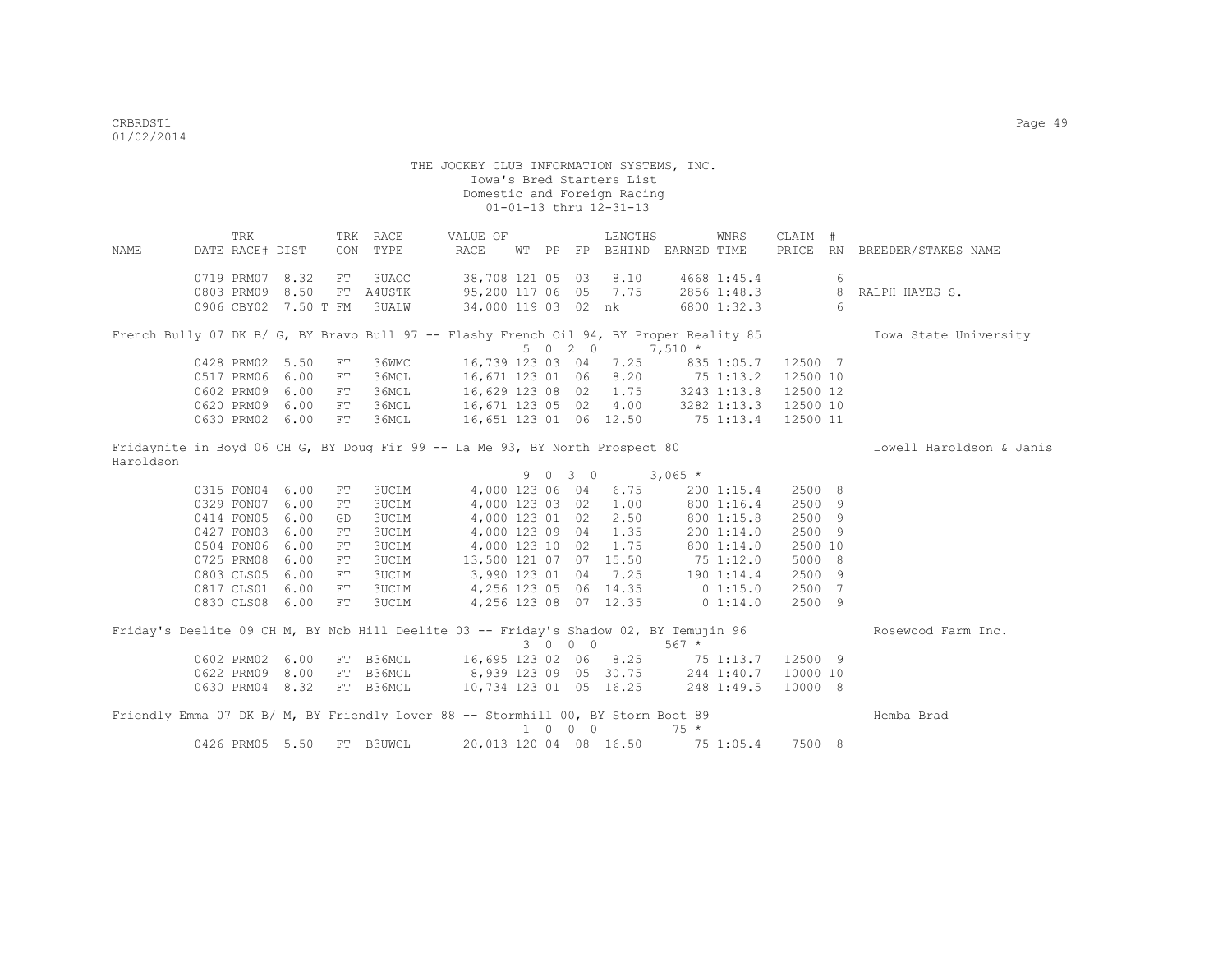THE JOCKEY CLUB INFORMATION SYSTEMS, INC. Iowa's Bred Starters List Domestic and Foreign Racing 01-01-13 thru 12-31-13 TRK TRK RACE VALUE OF LENGTHS WNRS CLAIM # NAME DATE RACE# DIST CON TYPE RACE WT PP FP BEHIND EARNED TIME PRICE RN BREEDER/STAKES NAME 0719 PRM07 8.32 FT 3UAOC 38,708 121 05 03 8.10 4668 1:45.4 6<br>0803 PRM09 8.50 FT A4USTK 95,200 117 06 05 7.75 2856 1:48.3 8 RALPH HAYES S. 0803 PRM09 8.50 FT A4USTK 95,200 117 06 05 7.75 2856 1:48.3 0906 CBY02 7.50 T FM 3UALW 34,000 119 03 02 nk 6800 1:32.3 6 French Bully 07 DK B/ G, BY Bravo Bull 97 -- Flashy French Oil 94, BY Proper Reality 85 Iowa State University  $5 \t 0 \t 2 \t 0 \t 7,510 \t \star$ <br>16,739 123 03 04 7.25 835 0428 PRM02 5.50 FT 36WMC 16,739 123 03 04 7.25 835 1:05.7 12500 7<br>0517 PRM06 6.00 FT 36MCL 16,671 123 01 06 8.20 75 1:13.2 12500 10 0517 PRM06 6.00 FT 36MCL 0602 PRM09 6.00 FT 36MCL 16,629 123 08 02 1.75 3243 1:13.8 12500 12<br>0620 PRM09 6.00 FT 36MCL 16,671 123 05 02 4.00 3282 1:13.3 12500 10 16,671 123 05 02 4.00 3282 1:13.3 12500 10 0630 PRM02 6.00 FT 36MCL 16,651 123 01 06 12.50 75 1:13.4 12500 11 Fridaynite in Boyd 06 CH G, BY Doug Fir 99 -- La Me 93, BY North Prospect 80 Lowell Haroldson & Janis Haroldson  $9 \t 0 \t 3 \t 0 \t 3,065 \t \times$ <br>4,000 123 06 04 6.75 200 1:15.4 0315 FON04 6.00 FT 3UCLM 4,000 123 06 04 6.75 200 1:15.4 2500 8 0329 FON07 6.00 FT 3UCLM 4,000 123 03 02 1.00 0414 FON05 6.00 GD 3UCLM 4,000 123 01 02 2.50 800 1:15.8 2500 9<br>0427 FON03 6.00 FT 3UCLM 4,000 123 09 04 1.35 200 1:14.0 2500 9 4,000 123 09 04 1.35 200 1:14.0 0504 FON06 6.00 FT 3UCLM 4,000 123 10 02 1.75 800 1:14.0 2500 10 0725 PRM08 6.00 FT 3UCLM 13,500 121 07 07 15.50 75 1:12.0 5000 8 0803 CLS05 6.00 FT 3UCLM 3,990 123 01 04 7.25 190 1:14.4 2500 9<br>0817 CLS01 6.00 FT 3UCLM 4,256 123 05 06 14.35 01:15.0 2500 7 0817 CLS01 6.00 FT 3UCLM 4,256 123 05 06 14.35 0 1:15.0 2500 7 0830 CLS08 6.00 FT 3UCLM 4,256 123 08 07 12.35 0 1:14.0 2500 9 Friday's Deelite 09 CH M, BY Nob Hill Deelite 03 -- Friday's Shadow 02, BY Temujin 96 Rosewood Farm Inc.  $3 \t 0 \t 0 \t 567 \t \star$ <br> $16,695 \t 123 \t 02 \t 06 \t 8.25 \t 75 \t 1:13.7 \t 12500 \t 9$ 0602 PRM02 6.00 FT B36MCL 16,695 123 02 06 8.25 75 1:13.7 12500 9<br>0622 PRM09 8.00 FT B36MCL 8,939 123 09 05 30.75 244 1:40.7 10000 10 0622 PRM09 8.00 FT B36MCL 8,939 123 09 05 30.75<br>0630 PRM04 8.32 FT B36MCL 10.734 123 01 05 16.25 0630 PRM04 8.32 FT B36MCL 10,734 123 01 05 16.25 248 1:49.5 10000 8 Friendly Emma 07 DK B/ M, BY Friendly Lover 88 -- Stormhill 00, BY Storm Boot 89 Hemba Brad 1 0 0 0 75 \*

0426 PRM05 5.50 FT B3UWCL 20,013 120 04 08 16.50 75 1:05.4 7500 8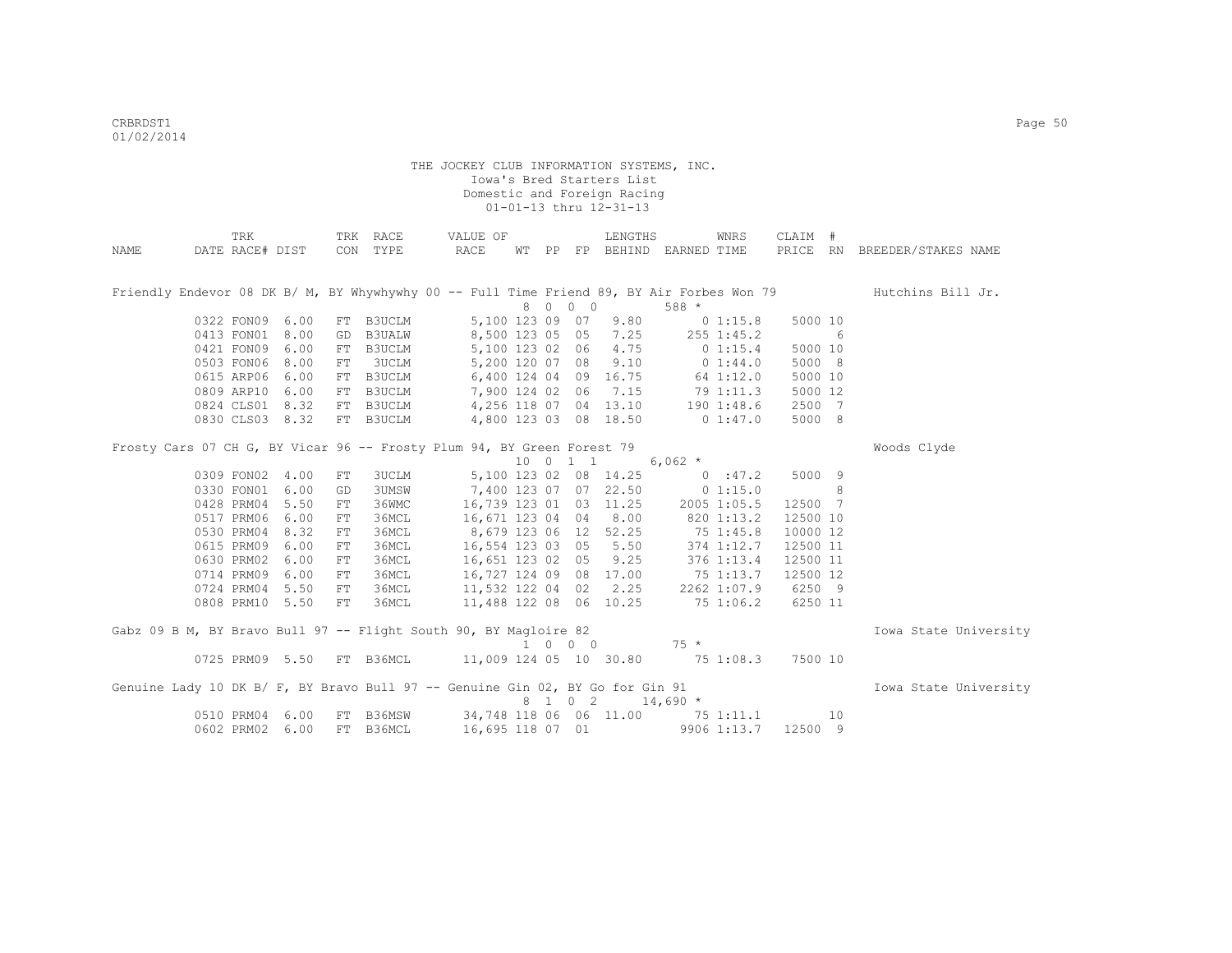|                                                                               | TRK             |                 |            | TRK RACE     | VALUE OF                         |  |          | LENGTHS                |                                   | WNRS        | CLAIM #  |    |                                                                                                             |
|-------------------------------------------------------------------------------|-----------------|-----------------|------------|--------------|----------------------------------|--|----------|------------------------|-----------------------------------|-------------|----------|----|-------------------------------------------------------------------------------------------------------------|
| NAME                                                                          |                 | DATE RACE# DIST |            | CON TYPE     | RACE                             |  |          |                        | WT PP FP BEHIND EARNED TIME       |             |          |    | PRICE RN BREEDER/STAKES NAME                                                                                |
|                                                                               |                 |                 |            |              |                                  |  |          |                        |                                   |             |          |    |                                                                                                             |
|                                                                               |                 |                 |            |              |                                  |  |          |                        |                                   |             |          |    |                                                                                                             |
|                                                                               |                 |                 |            |              |                                  |  |          |                        |                                   |             |          |    | Friendly Endevor 08 DK B/ M, BY Whywhywhy 00 -- Full Time Friend 89, BY Air Forbes Won 79 Hutchins Bill Jr. |
|                                                                               |                 |                 |            |              |                                  |  | 8 0 0 0  |                        | $588 *$                           |             |          |    |                                                                                                             |
|                                                                               | 0322 FON09 6.00 |                 |            | FT B3UCLM    |                                  |  |          | 5,100 123 09 07 9.80   |                                   | 01:15.8     | 5000 10  |    |                                                                                                             |
|                                                                               | 0413 FON01      | 8.00            |            | GD B3UALW    | 8,500 123 05 05 7.25 255 1:45.2  |  |          |                        |                                   |             |          | 6  |                                                                                                             |
|                                                                               | 0421 FON09      | 6.00            |            | FT B3UCLM    | 5,100 123 02 06 4.75             |  |          |                        | 0 1:15.4                          |             | 5000 10  |    |                                                                                                             |
|                                                                               | 0503 FON06      | 8.00            | FT         | 3UCLM        | 5,200 120 07 08 9.10 0 1:44.0    |  |          |                        |                                   |             | 5000 8   |    |                                                                                                             |
|                                                                               | 0615 ARP06      | 6.00            |            | FT B3UCLM    | 6,400 124 04 09 16.75 64 1:12.0  |  |          |                        |                                   |             | 5000 10  |    |                                                                                                             |
|                                                                               | 0809 ARP10      | 6.00            |            | FT B3UCLM    | 7,900 124 02 06 7.15 79 1:11.3   |  |          |                        |                                   |             | 5000 12  |    |                                                                                                             |
|                                                                               | 0824 CLS01      | 8.32            |            | FT B3UCLM    | 4,256 118 07                     |  |          |                        | 04 13.10 190 1:48.6               |             | 2500 7   |    |                                                                                                             |
|                                                                               | 0830 CLS03 8.32 |                 |            | FT B3UCLM    | 4,800 123 03 08 18.50 0 1:47.0   |  |          |                        |                                   |             | 5000 8   |    |                                                                                                             |
|                                                                               |                 |                 |            |              |                                  |  |          |                        |                                   |             |          |    |                                                                                                             |
| Frosty Cars 07 CH G, BY Vicar 96 -- Frosty Plum 94, BY Green Forest 79        |                 |                 |            |              |                                  |  |          |                        |                                   |             |          |    | Woods Clyde                                                                                                 |
|                                                                               |                 |                 |            |              |                                  |  | 10 0 1 1 |                        | 6,062 $*$                         |             |          |    |                                                                                                             |
|                                                                               | 0309 FON02      | 4.00            | ${\rm FT}$ | <b>3UCLM</b> |                                  |  |          | 5,100 123 02 08 14.25  |                                   | 0:47.2      | 5000 9   |    |                                                                                                             |
|                                                                               | 0330 FON01      | 6.00            | GD         | 3UMSW        |                                  |  |          |                        | 7,400 123 07 07 22.50 0 1:15.0    |             |          | 8  |                                                                                                             |
|                                                                               | 0428 PRM04      | 5.50            | FT         | 36WMC        |                                  |  |          | 16,739 123 01 03 11.25 |                                   | 2005 1:05.5 | 12500 7  |    |                                                                                                             |
|                                                                               | 0517 PRM06      | 6.00            | FT         | 36MCL        | 16,671 123 04 04 8.00            |  |          |                        | 820 1:13.2                        |             | 12500 10 |    |                                                                                                             |
|                                                                               | 0530 PRM04      | 8.32            | FT         | 36MCL        | 8,679 123 06 12 52.25            |  |          |                        | 75 1:45.8                         |             | 10000 12 |    |                                                                                                             |
|                                                                               | 0615 PRM09      | 6.00            | FT         | 36MCL        | 16,554 123 03 05 5.50            |  |          |                        | 374 1:12.7                        |             | 12500 11 |    |                                                                                                             |
|                                                                               | 0630 PRM02      | 6.00            | FT         | 36MCL        | 16,651 123 02 05 9.25            |  |          |                        | 376 1:13.4                        |             | 12500 11 |    |                                                                                                             |
|                                                                               | 0714 PRM09      | 6.00            | FT         | 36MCL        | 16,727 124 09                    |  |          | 08 17.00               | 75 1:13.7                         |             | 12500 12 |    |                                                                                                             |
|                                                                               | 0724 PRM04      | 5.50            | FT         | 36MCL        | 11,532 122 04                    |  |          | 02 2.25                |                                   | 2262 1:07.9 | 6250 9   |    |                                                                                                             |
|                                                                               | 0808 PRM10 5.50 |                 | FT         | 36MCL        | 11,488 122 08 06 10.25 75 1:06.2 |  |          |                        |                                   |             | 6250 11  |    |                                                                                                             |
|                                                                               |                 |                 |            |              |                                  |  |          |                        |                                   |             |          |    |                                                                                                             |
| Gabz 09 B M, BY Bravo Bull 97 -- Flight South 90, BY Magloire 82              |                 |                 |            |              |                                  |  |          |                        |                                   |             |          |    | Iowa State University                                                                                       |
|                                                                               |                 |                 |            |              |                                  |  |          |                        | $1 \t 0 \t 0 \t 0 \t 75 \t\t\t\t$ |             |          |    |                                                                                                             |
|                                                                               |                 | 0725 PRM09 5.50 |            | FT B36MCL    | 11,009 124 05 10 30.80 75 1:08.3 |  |          |                        |                                   |             | 7500 10  |    |                                                                                                             |
|                                                                               |                 |                 |            |              |                                  |  |          |                        |                                   |             |          |    |                                                                                                             |
| Genuine Lady 10 DK B/ F, BY Bravo Bull 97 -- Genuine Gin 02, BY Go for Gin 91 |                 |                 |            |              |                                  |  |          |                        |                                   |             |          |    | Iowa State University                                                                                       |
|                                                                               |                 |                 |            |              |                                  |  |          | 8 1 0 2                | $14,690*$                         |             |          |    |                                                                                                             |
|                                                                               | 0510 PRM04      | 6.00            |            | FT B36MSW    | 34,748 118 06 06 11.00 75 1:11.1 |  |          |                        |                                   |             |          | 10 |                                                                                                             |
|                                                                               | 0602 PRM02      | 6.00            |            | FT B36MCL    | 16,695 118 07 01                 |  |          |                        |                                   | 9906 1:13.7 | 12500 9  |    |                                                                                                             |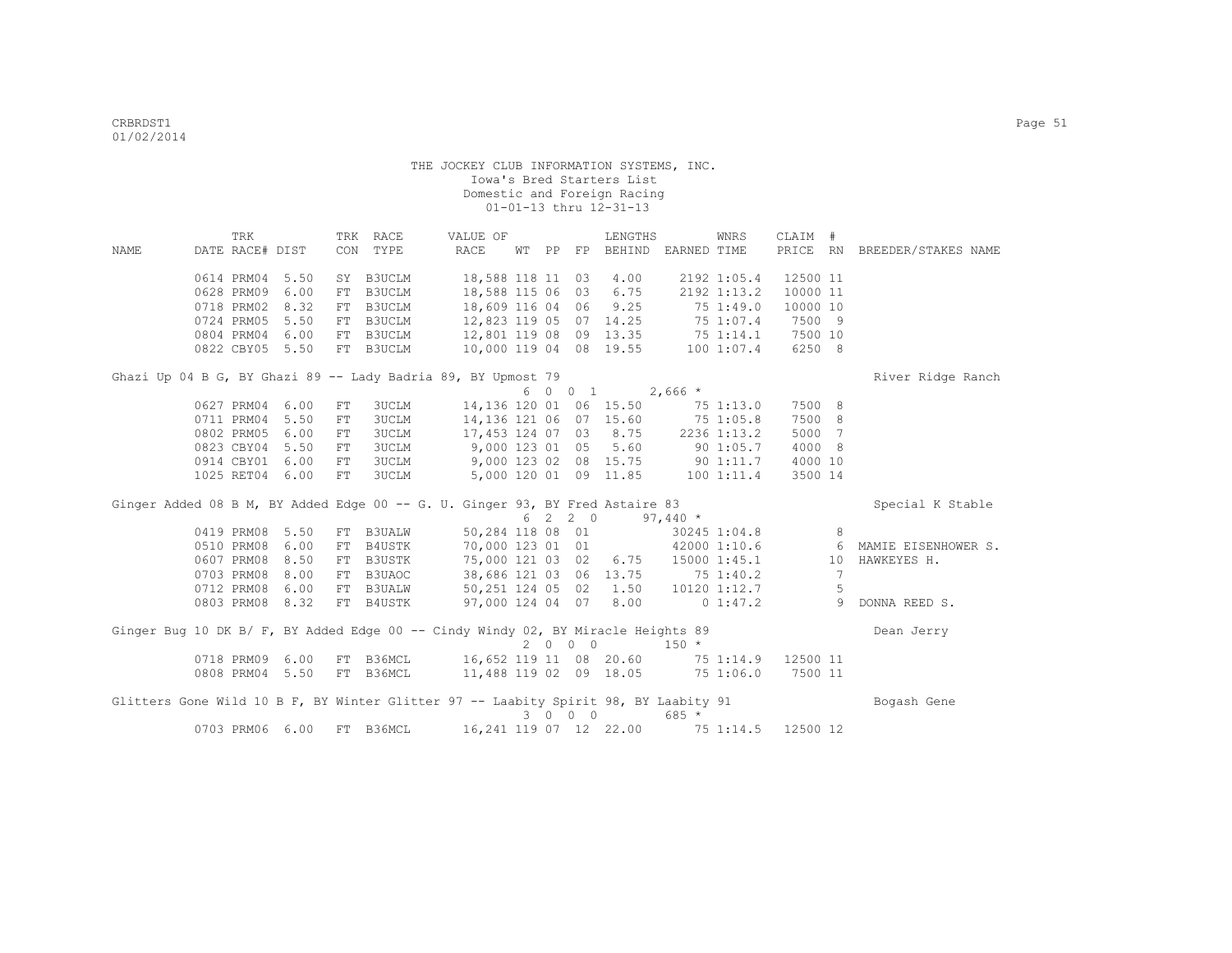|                                                                                     | TRK             |                 |            | TRK RACE                                   | VALUE OF                                 |  |         | LENGTHS                           |                         | WNRS              | CLAIM #                                       |      |                              |
|-------------------------------------------------------------------------------------|-----------------|-----------------|------------|--------------------------------------------|------------------------------------------|--|---------|-----------------------------------|-------------------------|-------------------|-----------------------------------------------|------|------------------------------|
| NAME                                                                                | DATE RACE# DIST |                 |            | CON TYPE                                   | RACE                                     |  |         | WT PP FP BEHIND EARNED TIME       |                         |                   |                                               |      | PRICE RN BREEDER/STAKES NAME |
|                                                                                     |                 |                 |            |                                            |                                          |  |         |                                   |                         |                   |                                               |      |                              |
|                                                                                     | 0614 PRM04      | 5.50            |            | SY B3UCLM                                  | 18,588 118 11 03                         |  |         | 4.00                              |                         | 2192 1:05.4       | 12500 11                                      |      |                              |
|                                                                                     | 0628 PRM09      | 6.00            | FT         | B3UCLM                                     | 18,588 115 06 03                         |  |         | 6.75                              |                         | 2192 1:13.2       | 10000 11                                      |      |                              |
|                                                                                     | 0718 PRM02      | 8.32            | FT         | B3UCLM                                     | 18,609 116 04 06                         |  |         | 9.25                              | 751:49.0                |                   | 10000 10                                      |      |                              |
|                                                                                     | 0724 PRM05      | 5.50            |            | FT B3UCLM                                  |                                          |  |         | 12,823 119 05 07 14.25            | 75 1:07.4               |                   | 7500 9                                        |      |                              |
|                                                                                     | 0804 PRM04 6.00 |                 |            | FT B3UCLM                                  | 12,801 119 08 09 13.35 75 1:14.1 7500 10 |  |         |                                   |                         |                   |                                               |      |                              |
|                                                                                     |                 | 0822 CBY05 5.50 |            | FT B3UCLM                                  |                                          |  |         | 10,000 119 04 08 19.55            |                         | 100 1:07.4 6250 8 |                                               |      |                              |
| Ghazi Up 04 B G, BY Ghazi 89 -- Lady Badria 89, BY Upmost 79                        |                 |                 |            |                                            |                                          |  |         |                                   |                         |                   |                                               |      | River Ridge Ranch            |
|                                                                                     |                 |                 |            |                                            |                                          |  |         | $6 \t0 \t0 \t1 \t2,666 \t*$       |                         |                   |                                               |      |                              |
|                                                                                     | 0627 PRM04      | 6.00            | ${\rm FT}$ | 3UCLM                                      |                                          |  |         | 14,136 120 01 06 15.50 75 1:13.0  |                         |                   | 7500 8                                        |      |                              |
|                                                                                     | 0711 PRM04      | 5.50            | FT         | <b>3UCLM</b>                               |                                          |  |         | 14, 136 121 06 07 15.60 75 1:05.8 |                         |                   | 7500 8                                        |      |                              |
|                                                                                     | 0802 PRM05      | 6.00            | FT         | <b>3UCLM</b>                               | 17,453 124 07 03 8.75 2236 1:13.2        |  |         |                                   |                         |                   | 5000 7                                        |      |                              |
|                                                                                     | 0823 CBY04      | 5.50            | FT         | <b>3UCLM</b>                               | 9,000 123 01 05                          |  |         | 5.60                              | $90\ 1:05.7$            |                   | 4000 8                                        |      |                              |
|                                                                                     | 0914 CBY01 6.00 |                 | FT         | 3UCLM                                      |                                          |  |         | 9,000 123 02 08 15.75 90 1:11.7   |                         |                   | 4000 10                                       |      |                              |
|                                                                                     | 1025 RET04 6.00 |                 | FT         | <b>3UCLM</b>                               |                                          |  |         | 5,000 120 01 09 11.85             |                         | $100$ $1:11.4$    | 3500 14                                       |      |                              |
| Ginger Added 08 B M, BY Added Edge 00 -- G. U. Ginger 93, BY Fred Astaire 83        |                 |                 |            |                                            |                                          |  |         |                                   |                         |                   |                                               |      | Special K Stable             |
|                                                                                     |                 |                 |            |                                            |                                          |  | 6 2 2 0 |                                   | $97,440$ *              |                   |                                               |      |                              |
|                                                                                     | 0419 PRM08 5.50 |                 |            | FT B3UALW                                  | 50,284 118 08 01                         |  |         |                                   | 30245 1:04.8            |                   |                                               | 8    |                              |
|                                                                                     | 0510 PRM08      | 6.00            |            | FT B4USTK                                  | 70,000 123 01 01                         |  |         |                                   | 42000 1:10.6            |                   |                                               |      | 6 MAMIE EISENHOWER S.        |
|                                                                                     | 0607 PRM08 8.50 |                 |            | FT B3USTK                                  | 75,000 121 03 02                         |  |         |                                   | $6.75$ 15000 1:45.1     |                   |                                               | 10   | HAWKEYES H.                  |
|                                                                                     | 0703 PRM08      | 8.00            |            | FT B3UAOC                                  | 38,686 121 03 06 13.75 75 1:40.2         |  |         |                                   |                         |                   |                                               | 7    |                              |
|                                                                                     | 0712 PRM08      | 6.00            |            | FT B3UALW                                  | 50,251 124 05 02                         |  |         |                                   | $1.50$ $10120$ $1:12.7$ |                   |                                               | $-5$ |                              |
|                                                                                     |                 | 0803 PRM08 8.32 |            | FT B4USTK                                  | $97,000$ 124 04 07 8.00 0 1:47.2         |  |         |                                   |                         |                   | $\sim$ 0.000 $\sim$ 0.000 $\sim$ 0.000 $\sim$ |      | DONNA REED S.                |
| Ginger Bug 10 DK B/ F, BY Added Edge 00 -- Cindy Windy 02, BY Miracle Heights 89    |                 |                 |            |                                            |                                          |  |         |                                   |                         |                   |                                               |      | Dean Jerry                   |
|                                                                                     |                 |                 |            |                                            |                                          |  | 2000    |                                   | $150 *$                 |                   |                                               |      |                              |
|                                                                                     |                 | 0718 PRM09 6.00 |            | FT B36MCL 16,652 119 11 08 20.60           |                                          |  |         |                                   | 75 1:14.9               |                   | 12500 11                                      |      |                              |
|                                                                                     |                 | 0808 PRM04 5.50 |            | FT B36MCL 11,488 119 02 09 18.05 75 1:06.0 |                                          |  |         |                                   |                         |                   | 7500 11                                       |      |                              |
|                                                                                     |                 |                 |            |                                            |                                          |  |         |                                   |                         |                   |                                               |      |                              |
| Glitters Gone Wild 10 B F, BY Winter Glitter 97 -- Laabity Spirit 98, BY Laabity 91 |                 |                 |            |                                            |                                          |  |         |                                   |                         |                   |                                               |      | Bogash Gene                  |
|                                                                                     |                 |                 |            |                                            |                                          |  | 3 0 0 0 |                                   | $685*$                  |                   |                                               |      |                              |
|                                                                                     |                 | 0703 PRM06 6.00 | FT         | B36MCL                                     |                                          |  |         | 16,241 119 07 12 22.00            | 75 1:14.5               |                   | 12500 12                                      |      |                              |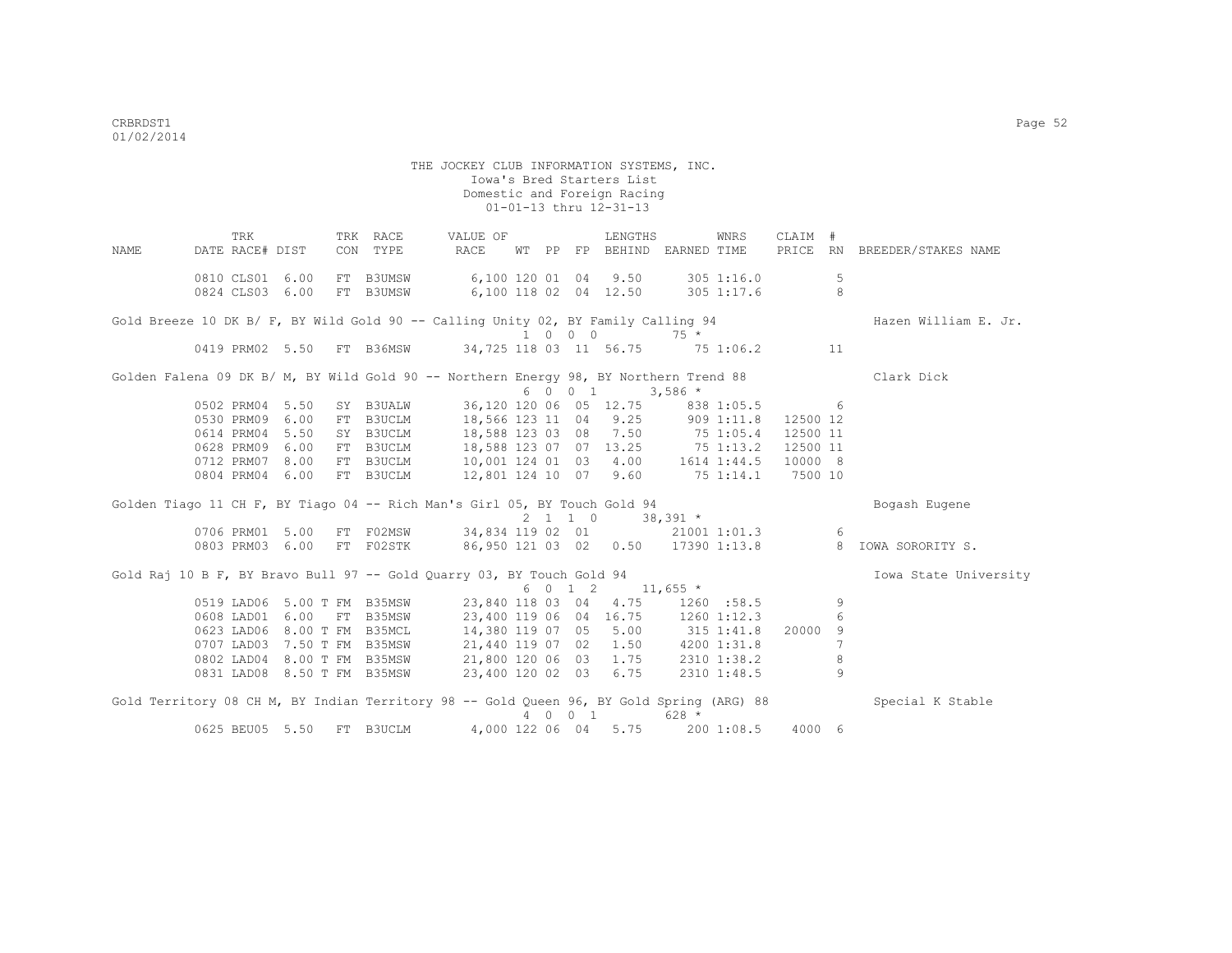THE JOCKEY CLUB INFORMATION SYSTEMS, INC. Iowa's Bred Starters List Domestic and Foreign Racing 01-01-13 thru 12-31-13 TRK TRK RACE VALUE OF LENGTHS WNRS CLAIM # NAME DATE RACE# DIST CON TYPE RACE WT PP FP BEHIND EARNED TIME PRICE RN BREEDER/STAKES NAME 0810 CLS01 6.00 FT B3UMSW 6,100 120 01 04 9.50 305 1:16.0 5 0824 CLS03 6.00 FT B3UMSW 6,100 118 02 04 12.50 305 1:17.6 8 Gold Breeze 10 DK B/ F, BY Wild Gold 90 -- Calling Unity 02, BY Family Calling 94 Hazen William E. Jr. 1 0 0 0 75 \*<br>1 0 0 0 75 \*<br>1 0 0 11 56.75 75 10 11 156.75 75 10 11 156.75 75 1 34,725 118 03 11 56.75 75 1:06.2 11 Golden Falena 09 DK B/ M, BY Wild Gold 90 -- Northern Energy 98, BY Northern Trend 88 Clark Dick  $6 \t0 \t0 \t1 \t3,586 \t*$  0502 PRM04 5.50 SY B3UALW 36,120 120 06 05 12.75 838 1:05.5 6 0530 PRM09 6.00 FT B3UCLM 18,566 123 11 04 9.25 909 1:11.8 12500 12 0614 PRM04 5.50 SY B3UCLM 18,588 123 03 08 7.50 75 1:05.4 12500 11 0628 PRM09 6.00 FT B3UCLM 18,588 123 07 07 13.25 75 1:13.2 12500 11 0712 PRM07 8.00 FT B3UCLM 10,001 124 01 03 4.00 1614 1:44.5 10000 8 0804 PRM04 6.00 FT B3UCLM 12,801 124 10 07 9.60 75 1:14.1 7500 10 Golden Tiago 11 CH F, BY Tiago 04 -- Rich Man's Girl 05, BY Touch Gold 94 Bogash Eugene 2 1 1 0 38,391 \*<br>1706 PRM01 5.00 FT F02MSW 34.834 119 02 01 21001 1 0706 110706 PRM01 1:01.3 6.001 PM01 1:01.3 6 0803 PRM03 6.00 FT F02STK 86,950 121 03 02 0.50 17390 1:13.8 8 IOWA SORORITY S. Gold Raj 10 B F, BY Bravo Bull 97 -- Gold Quarry 03, BY Touch Gold 94 Iowa State University 6 0 1 2 11,655 \* 0519 LAD06 5.00 T FM B35MSW 23,840 118 03 04 4.75 1260 :58.5 9<br>0608 LAD01 6.00 FT B35MSW 23,400 119 06 04 16.75 1260 1:12.3 6 0608 LAD00 5.00 T FM BSSMSW 23,640 118 03 04 4.75 1260 1:38.5 9<br>0608 LAD01 6.00 FT B35MSW 23,400 119 06 04 16.75 1260 1:12.3 0623 LAD06 8.00 T FM B35MCL 14,380 119 07 05 5.00 315 1:41.8 20000 9 0707 LAD03 7.50 T FM B35MSW 21,440 119 07 02 1.50 4200 1:31.8 7 0802 LAD04 8.00 T FM B35MSW 21,800 120 06 03 1.75 2310 1:38.2 8 0831 LAD08 8.50 T FM B35MSW 23,400 120 02 03 6.75 2310 1:48.5 9 Gold Territory 08 CH M, BY Indian Territory 98 -- Gold Queen 96, BY Gold Spring (ARG) 88 Special K Stable 4 0 0 1 628 \* 0625 BEU05 5.50 FT B3UCLM 4,000 122 06 04 5.75 200 1:08.5 4000 6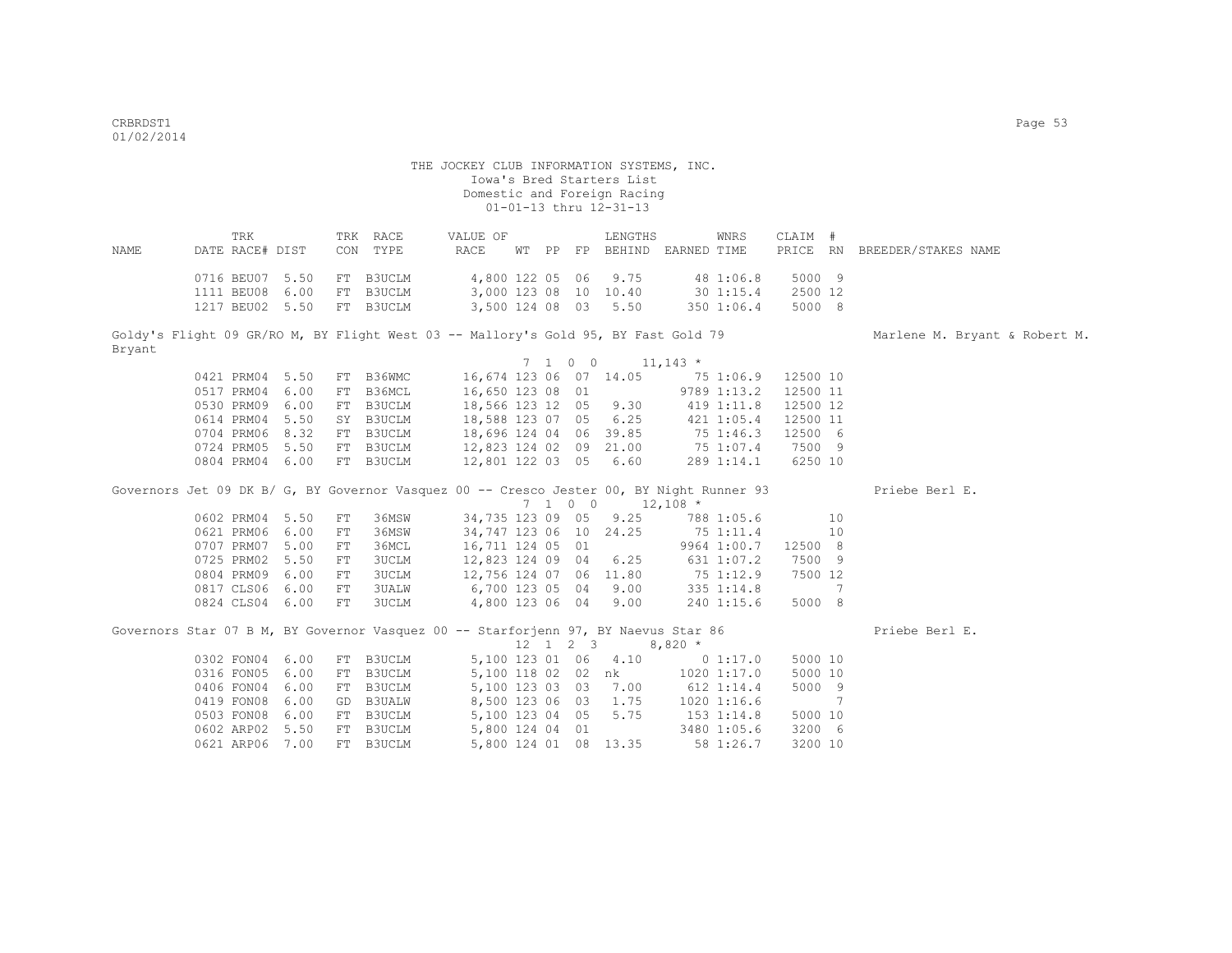0602 ARP02 5.50 FT B3UCLM

# THE JOCKEY CLUB INFORMATION SYSTEMS, INC. Iowa's Bred Starters List Domestic and Foreign Racing 01-01-13 thru 12-31-13

|                                                                                          | TRK             |      |    | TRK RACE                                                  | VALUE OF                                                         |  | LENGTHS                                               |           | WNRS           | CLAIM #        |    |                               |
|------------------------------------------------------------------------------------------|-----------------|------|----|-----------------------------------------------------------|------------------------------------------------------------------|--|-------------------------------------------------------|-----------|----------------|----------------|----|-------------------------------|
| NAME                                                                                     | DATE RACE# DIST |      |    | CON TYPE                                                  | RACE                                                             |  | WT PP FP BEHIND EARNED TIME                           |           |                |                |    | PRICE RN BREEDER/STAKES NAME  |
|                                                                                          |                 |      |    |                                                           |                                                                  |  |                                                       |           |                |                |    |                               |
|                                                                                          | 0716 BEU07 5.50 |      |    | FT B3UCLM                                                 | 4,800 122 05 06                                                  |  | 9.75                                                  |           | 48 1:06.8      | 5000 9         |    |                               |
|                                                                                          | 1111 BEU08 6.00 |      |    | FT B3UCLM                                                 | 3,000 123 08 10 10.40                                            |  |                                                       |           | 301:15.4       | 2500 12        |    |                               |
|                                                                                          | 1217 BEU02 5.50 |      |    | FT B3UCLM                                                 | 3,500 124 08 03 5.50                                             |  |                                                       |           | 350 1:06.4     | 5000 8         |    |                               |
|                                                                                          |                 |      |    |                                                           |                                                                  |  |                                                       |           |                |                |    |                               |
| Goldy's Flight 09 GR/RO M, BY Flight West 03 -- Mallory's Gold 95, BY Fast Gold 79       |                 |      |    |                                                           |                                                                  |  |                                                       |           |                |                |    | Marlene M. Bryant & Robert M. |
| Bryant                                                                                   |                 |      |    |                                                           |                                                                  |  |                                                       |           |                |                |    |                               |
|                                                                                          |                 |      |    |                                                           |                                                                  |  | $7 \t1 \t0 \t0 \t11,143 \t\t*$                        |           |                |                |    |                               |
|                                                                                          | 0421 PRM04 5.50 |      |    | FT B36WMC   16,674 123 06 07 14.05   75 1:06.9   12500 10 |                                                                  |  |                                                       |           |                |                |    |                               |
|                                                                                          | 0517 PRM04 6.00 |      |    | FT B36MCL                                                 | 16,650 123 08 01                                                 |  |                                                       |           | 9789 1:13.2    | 12500 11       |    |                               |
|                                                                                          | 0530 PRM09 6.00 |      |    | FT B3UCLM                                                 | 16,650 123 08 01 9789 1:13.2<br>18,566 123 12 05 9.30 419 1:11.8 |  |                                                       |           |                | 12500 12       |    |                               |
|                                                                                          | 0614 PRM04 5.50 |      |    | SY B3UCLM                                                 | 18,588 123 07 05 6.25                                            |  |                                                       |           | 421 1:05.4     | 12500 11       |    |                               |
|                                                                                          | 0704 PRM06 8.32 |      |    | FT B3UCLM                                                 | 18,696 124 04 06 39.85                                           |  |                                                       |           | 75 1:46.3      | 12500 6        |    |                               |
|                                                                                          | 0724 PRM05 5.50 |      |    | FT B3UCLM                                                 | 12,823 124 02 09 21.00 75 1:07.4                                 |  |                                                       |           |                | 7500 9         |    |                               |
|                                                                                          | 0804 PRM04 6.00 |      |    | FT B3UCLM                                                 | 12,801 122 03 05 6.60                                            |  |                                                       |           | 289 1:14.1     | 6250 10        |    |                               |
|                                                                                          |                 |      |    |                                                           |                                                                  |  |                                                       |           |                |                |    |                               |
| Governors Jet 09 DK B/ G, BY Governor Vasquez 00 -- Cresco Jester 00, BY Night Runner 93 |                 |      |    |                                                           |                                                                  |  |                                                       |           |                |                |    | Priebe Berl E.                |
|                                                                                          |                 |      |    |                                                           |                                                                  |  | 7 1 0 0 12,108 *                                      |           |                |                |    |                               |
|                                                                                          | 0602 PRM04 5.50 |      | FT | 36MSW                                                     | 34,735 123 09 05                                                 |  | 9.25                                                  |           | 788 1:05.6     | 10             |    |                               |
|                                                                                          | 0621 PRM06 6.00 |      | FT | 36MSW                                                     |                                                                  |  | 34,747 123 06 10 24.25                                |           | 75 1:11.4      |                | 10 |                               |
|                                                                                          | 0707 PRM07 5.00 |      | FT | 36MCL                                                     | 16,711 124 05 01                                                 |  |                                                       |           | 9964 1:00.7    | 12500 8        |    |                               |
|                                                                                          | 0725 PRM02 5.50 |      | FT | 3UCLM                                                     | 12,823 124 09 04                                                 |  | 6.25                                                  |           | 631 1:07.2     | 7500 9         |    |                               |
|                                                                                          | 0804 PRM09 6.00 |      | FT | 3UCLM                                                     | 12,756 124 07 06 11.80                                           |  |                                                       |           | 75 1:12.9      | 7500 12        |    |                               |
|                                                                                          | 0817 CLS06 6.00 |      | FT | 3UALW                                                     | 6,700 123 05 04 9.00                                             |  |                                                       |           | 335 1:14.8     |                | 7  |                               |
|                                                                                          | 0824 CLS04 6.00 |      | FT | 3UCLM                                                     | 4,800 123 06 04 9.00                                             |  |                                                       |           | 240 1:15.6     | 5000 8         |    |                               |
|                                                                                          |                 |      |    |                                                           |                                                                  |  |                                                       |           |                |                |    |                               |
| Governors Star 07 B M, BY Governor Vasquez 00 -- Starforjenn 97, BY Naevus Star 86       |                 |      |    |                                                           |                                                                  |  |                                                       |           |                |                |    | Priebe Berl E.                |
|                                                                                          |                 |      |    |                                                           |                                                                  |  | $12 \quad 1 \quad 2 \quad 3$                          | $8,820$ * |                |                |    |                               |
|                                                                                          | 0302 FON04 6.00 |      |    | FT B3UCLM                                                 |                                                                  |  | 5,100 123 01 06 4.10 0 1:17.0                         |           |                | 5000 10        |    |                               |
|                                                                                          | 0316 FON05 6.00 |      |    | FT B3UCLM                                                 |                                                                  |  |                                                       |           |                | 5000 10        |    |                               |
|                                                                                          | 0406 FON04 6.00 |      |    | FT B3UCLM                                                 |                                                                  |  | 5,100 118 02 02 nk<br>5,100 123 03 03 7.00 612 1:14.4 |           |                | 5000 9         |    |                               |
|                                                                                          | 0419 FON08 6.00 |      |    | GD B3UALW                                                 | 8,500 123 06 03                                                  |  | 1.75                                                  |           | $1020$ 1:16.6  | $\overline{7}$ |    |                               |
|                                                                                          | 0503 FON08      | 6.00 |    | FT B3UCLM                                                 | 5,100 123 04 05                                                  |  | 5.75                                                  |           | $153$ $1:14.8$ | 5000 10        |    |                               |

0621 ARP06 7.00 FT B3UCLM 5,800 124 01 08 13.35 58 1:26.7 3200 10

05,100 123 04 05 5.75 153 1:14.8 5000 10<br>5,800 124 04 01 3480 1:05.6 3200 6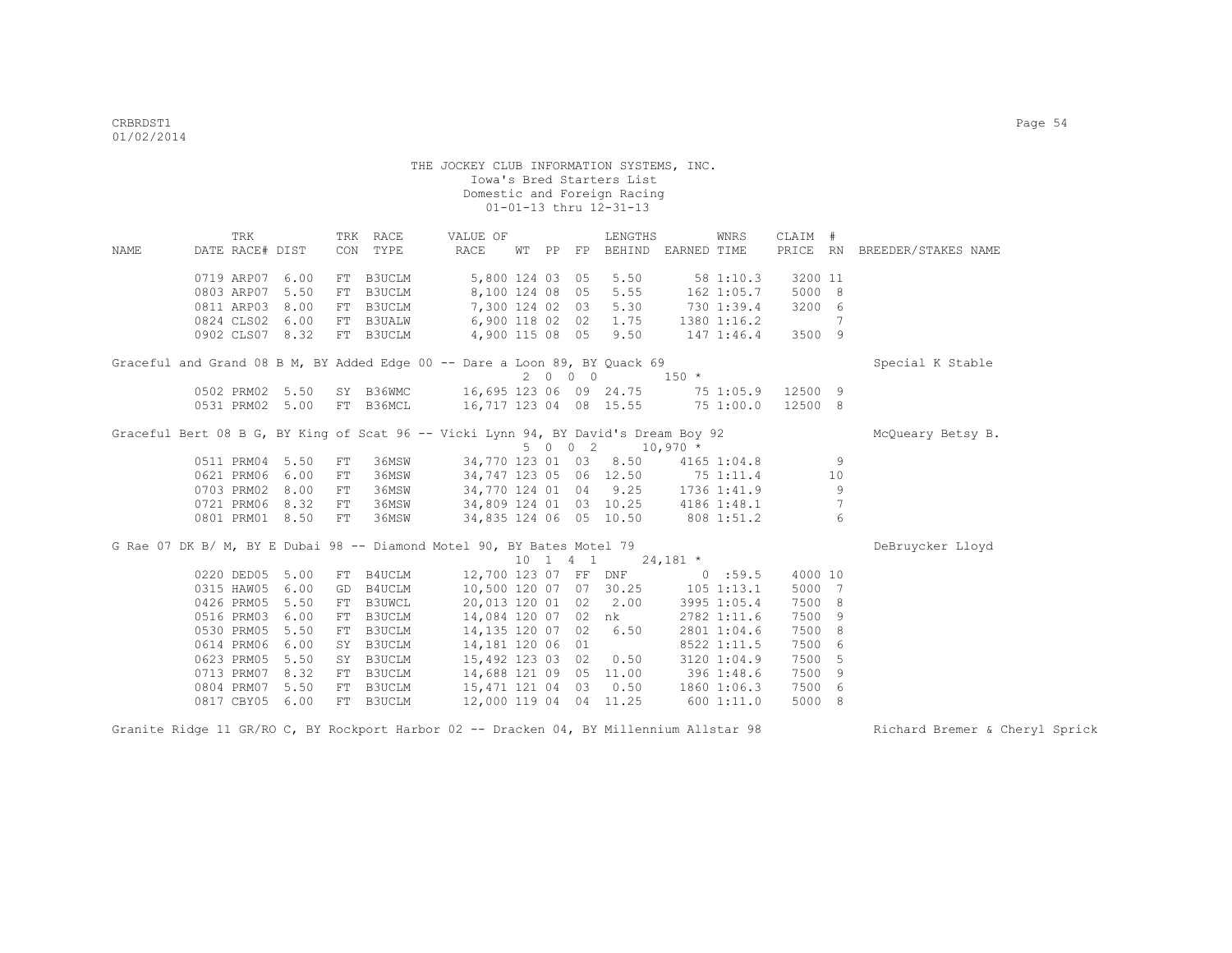|      | TRK             |                 |    | TRK RACE      | VALUE OF                                                                           |                 |          | LENGTHS                           |                    | WNRS              | CLAIM # |                 |                              |
|------|-----------------|-----------------|----|---------------|------------------------------------------------------------------------------------|-----------------|----------|-----------------------------------|--------------------|-------------------|---------|-----------------|------------------------------|
| NAME | DATE RACE# DIST |                 |    | CON TYPE      | RACE                                                                               |                 |          | WT PP FP BEHIND EARNED TIME       |                    |                   |         |                 | PRICE RN BREEDER/STAKES NAME |
|      |                 |                 |    |               |                                                                                    |                 |          |                                   |                    |                   |         |                 |                              |
|      | 0719 ARP07 6.00 |                 |    | FT B3UCLM     |                                                                                    |                 |          | 5,800 124 03 05 5.50              |                    | 581:10.3          | 3200 11 |                 |                              |
|      | 0803 ARP07      | 5.50            | FT | <b>B3UCLM</b> |                                                                                    | 8,100 124 08 05 |          | 5.55                              | 162 1:05.7         |                   | 5000 8  |                 |                              |
|      | 0811 ARP03 8.00 |                 | FT | B3UCLM        |                                                                                    | 7,300 124 02 03 |          | 5.30                              | 730 1:39.4         |                   | 3200 6  |                 |                              |
|      | 0824 CLS02 6.00 |                 | FT | <b>B3UALW</b> | 6,900 118 02 02                                                                    |                 |          | 1.75                              |                    | 1380 1:16.2       |         | 7               |                              |
|      |                 | 0902 CLS07 8.32 |    | FT B3UCLM     | 4,900 115 08 05 9.50 147 1:46.4                                                    |                 |          |                                   |                    |                   | 3500 9  |                 |                              |
|      |                 |                 |    |               | Graceful and Grand 08 B M, BY Added Edge 00 -- Dare a Loon 89, BY Quack 69         |                 |          |                                   |                    |                   |         |                 | Special K Stable             |
|      |                 |                 |    |               |                                                                                    |                 | 2000     |                                   | $150 *$            |                   |         |                 |                              |
|      |                 |                 |    |               | 0502 PRM02 5.50 SY B36WMC 16,695 123 06 09 24.75                                   |                 |          |                                   |                    | 75 1:05.9 12500 9 |         |                 |                              |
|      |                 | 0531 PRM02 5.00 |    |               | FT B36MCL 16,717 123 04 08 15.55 75 1:00.0                                         |                 |          |                                   |                    |                   | 12500 8 |                 |                              |
|      |                 |                 |    |               |                                                                                    |                 |          |                                   |                    |                   |         |                 |                              |
|      |                 |                 |    |               | Graceful Bert 08 B G, BY King of Scat 96 -- Vicki Lynn 94, BY David's Dream Boy 92 |                 |          | 5 0 0 2 10,970 *                  |                    |                   |         |                 | McQueary Betsy B.            |
|      | 0511 PRM04 5.50 |                 | FT | 36MSW         |                                                                                    |                 |          | 34,770 123 01 03 8.50             |                    | 4165 1:04.8       |         | 9               |                              |
|      | 0621 PRM06 6.00 |                 | FT | 36MSW         |                                                                                    |                 |          | 34,747 123 05 06 12.50 75 1:11.4  |                    |                   |         | 10              |                              |
|      | 0703 PRM02 8.00 |                 | FT | 36MSW         |                                                                                    |                 |          | 34,770 124 01 04 9.25 1736 1:41.9 |                    |                   |         | $\overline{9}$  |                              |
|      |                 | 0721 PRM06 8.32 | FT | 36MSW         | 34,809 124 01 03 10.25 4186 1:48.1                                                 |                 |          |                                   |                    |                   |         | $7\phantom{.0}$ |                              |
|      |                 | 0801 PRM01 8.50 | FT | 36MSW         | 34,835 124 06 05 10.50 808 1:51.2                                                  |                 |          |                                   |                    |                   |         | 6               |                              |
|      |                 |                 |    |               |                                                                                    |                 |          |                                   |                    |                   |         |                 |                              |
|      |                 |                 |    |               | G Rae 07 DK B/ M, BY E Dubai 98 -- Diamond Motel 90, BY Bates Motel 79             |                 |          |                                   |                    |                   |         |                 | DeBruycker Lloyd             |
|      |                 |                 |    |               |                                                                                    |                 | 10 1 4 1 |                                   | $24,181$ *         |                   |         |                 |                              |
|      | 0220 DED05 5.00 |                 |    | FT B4UCLM     |                                                                                    |                 |          | 12,700 123 07 FF DNF 0 :59.5      |                    |                   | 4000 10 |                 |                              |
|      | 0315 HAW05 6.00 |                 | GD | B4UCLM        |                                                                                    |                 |          | 10,500 120 07 07 30.25 105 1:13.1 |                    |                   | 5000 7  |                 |                              |
|      | 0426 PRM05      | 5.50            | FT | B3UWCL        |                                                                                    |                 |          | 20,013 120 01 02 2.00             |                    | 3995 1:05.4       | 7500 8  |                 |                              |
|      | 0516 PRM03      | 6.00            | FT | B3UCLM        |                                                                                    |                 |          | 14,084 120 07 02 nk               |                    | 2782 1:11.6       | 7500 9  |                 |                              |
|      | 0530 PRM05      | 5.50            | FT | B3UCLM        | 14,135 120 07 02                                                                   |                 |          | 6.50                              |                    | 2801 1:04.6       | 7500 8  |                 |                              |
|      | 0614 PRM06      | 6.00            | SY | B3UCLM        | 14,181 120 06 01                                                                   |                 |          |                                   |                    | 8522 1:11.5       | 7500 6  |                 |                              |
|      | 0623 PRM05      | 5.50            |    | SY B3UCLM     | 15,492 123 03 02                                                                   |                 |          | 0.50                              |                    | 31201:04.9        | 7500 5  |                 |                              |
|      | 0713 PRM07      | 8.32            |    | FT B3UCLM     |                                                                                    |                 |          | 14,688 121 09 05 11.00            |                    | 396 1:48.6        | 7500 9  |                 |                              |
|      | 0804 PRM07      | 5.50            |    | FT B3UCLM     | 15,471 121 04 03                                                                   |                 |          |                                   | $0.50$ 1860 1:06.3 |                   | 7500 6  |                 |                              |
|      | 0817 CBY05      | 6.00            |    | FT B3UCLM     |                                                                                    |                 |          | 12,000 119 04 04 11.25            | 600 1:11.0         |                   | 5000 8  |                 |                              |

Granite Ridge 11 GR/RO C, BY Rockport Harbor 02 -- Dracken 04, BY Millennium Allstar 98 Richard Bremer & Cheryl Sprick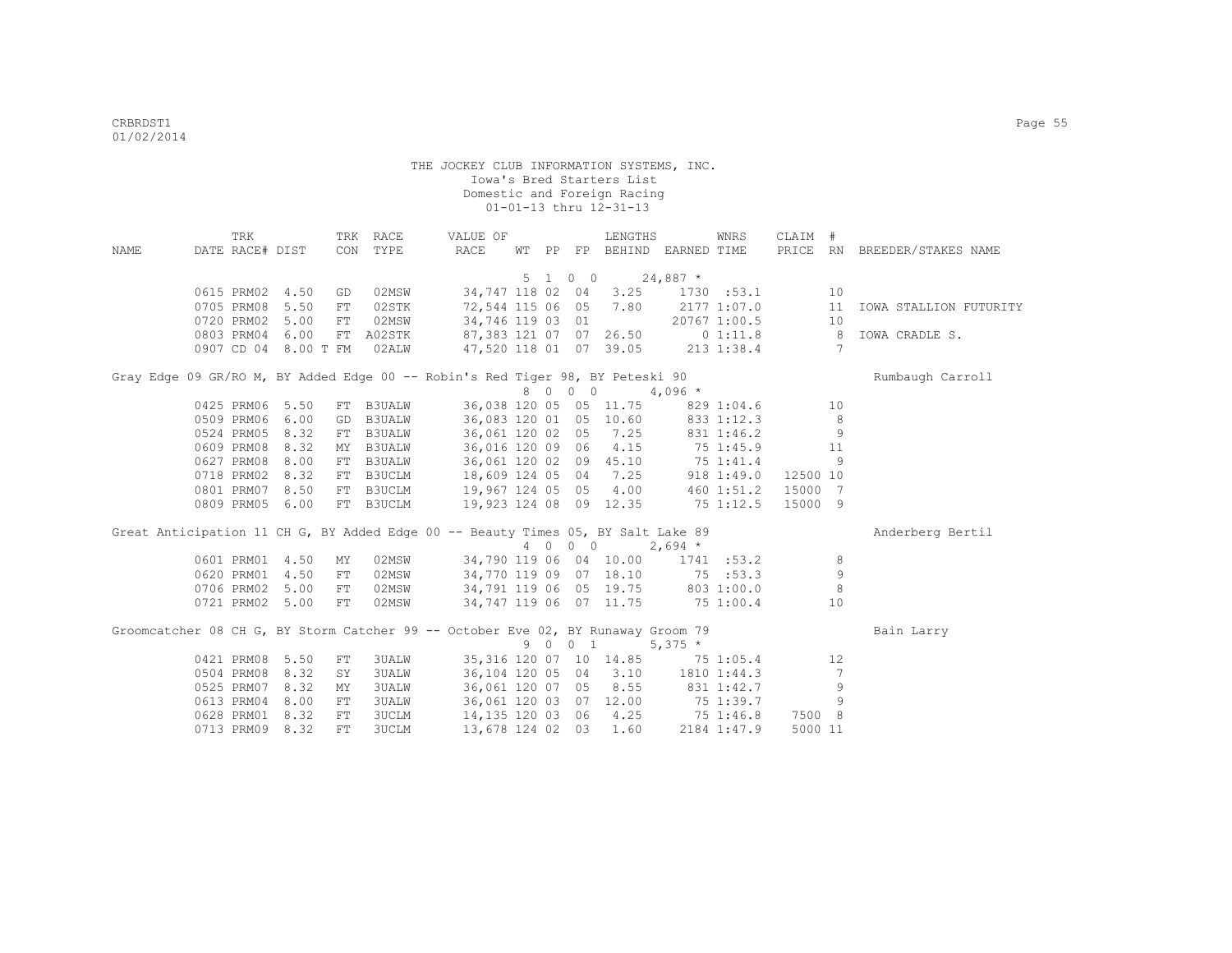|      | TRK                  |      |            | TRK RACE      | VALUE OF                                                                         |  |         | LENGTHS                |                                    | WNRS         | CLAIM #  |                |                              |
|------|----------------------|------|------------|---------------|----------------------------------------------------------------------------------|--|---------|------------------------|------------------------------------|--------------|----------|----------------|------------------------------|
| NAME | DATE RACE# DIST      |      |            | CON TYPE      | RACE                                                                             |  |         |                        | WT PP FP BEHIND EARNED TIME        |              |          |                | PRICE RN BREEDER/STAKES NAME |
|      |                      |      |            |               |                                                                                  |  |         |                        |                                    |              |          |                |                              |
|      |                      |      |            |               |                                                                                  |  | 5 1 0 0 |                        | $24,887$ *                         |              |          |                |                              |
|      | 0615 PRM02 4.50      |      | GD         | 02MSW         |                                                                                  |  |         |                        | 34,747 118 02 04 3.25 1730 :53.1   |              |          | 10             |                              |
|      | 0705 PRM08 5.50      |      | FT         | 02STK         |                                                                                  |  |         |                        | 72,544 115 06 05 7.80 2177 1:07.0  |              |          | 11<br>10       | IOWA STALLION FUTURITY       |
|      | 0720 PRM02 5.00      |      | FT         | 02MSW         | 34,746 119 03 01                                                                 |  |         |                        |                                    | 20767 1:00.5 |          |                |                              |
|      | 0803 PRM04 6.00      |      | FT         | A02STK        | 87,383 121 07 07 26.50 0 1:11.8 8<br>47,520 118 01 07 39.05 213 1:38.4           |  |         |                        |                                    |              |          |                | IOWA CRADLE S.               |
|      | 0907 CD 04 8.00 T FM |      |            | 02ALW         |                                                                                  |  |         |                        |                                    |              |          | $\overline{7}$ |                              |
|      |                      |      |            |               | Gray Edge 09 GR/RO M, BY Added Edge 00 -- Robin's Red Tiger 98, BY Peteski 90    |  |         |                        |                                    |              |          |                | Rumbaugh Carroll             |
|      |                      |      |            |               |                                                                                  |  | 8 0 0 0 |                        | $4,096$ *                          |              |          |                |                              |
|      | 0425 PRM06 5.50      |      | FT         | <b>B3UALW</b> |                                                                                  |  |         | 36,038 120 05 05 11.75 | 829 1:04.6                         |              |          | 10             |                              |
|      | 0509 PRM06 6.00      |      | GD         | <b>B3UALW</b> | 36,083 120 01 05 10.60 833 1:12.3                                                |  |         |                        |                                    |              |          | 8              |                              |
|      | 0524 PRM05 8.32      |      | FT         | <b>B3UALW</b> | 36,061 120 02 05 7.25 831 1:46.2                                                 |  |         |                        |                                    |              |          | 9              |                              |
|      | 0609 PRM08 8.32      |      | MY         | <b>B3UALW</b> | 36,016 120 09 06 4.15 75 1:45.9                                                  |  |         |                        |                                    |              |          | 11             |                              |
|      | 0627 PRM08           | 8.00 | FT         | <b>B3UALW</b> | 36,061 120 02 09 45.10 75 1:41.4                                                 |  |         |                        |                                    |              |          | 9              |                              |
|      | 0718 PRM02 8.32      |      | FT         | B3UCLM        | 18,609 124 05 04 7.25                                                            |  |         |                        |                                    | 918 1:49.0   | 12500 10 |                |                              |
|      | 0801 PRM07 8.50      |      | FT         | B3UCLM        | 19,967 124 05 05 4.00                                                            |  |         |                        |                                    | 460 1:51.2   | 15000 7  |                |                              |
|      | 0809 PRM05 6.00      |      |            | FT B3UCLM     | 19,923 124 08 09 12.35 75 1:12.5                                                 |  |         |                        |                                    |              | 15000 9  |                |                              |
|      |                      |      |            |               | Great Anticipation 11 CH G, BY Added Edge 00 -- Beauty Times 05, BY Salt Lake 89 |  |         |                        |                                    |              |          |                | Anderberg Bertil             |
|      |                      |      |            |               |                                                                                  |  |         |                        | 4 0 0 0 2,694 *                    |              |          |                |                              |
|      | 0601 PRM01 4.50      |      | MY         | 02MSW         |                                                                                  |  |         |                        | 34,790 119 06 04 10.00 1741 :53.2  |              |          | 8              |                              |
|      | 0620 PRM01           | 4.50 | ${\rm FT}$ | 02MSW         | 34,770 119 09 07 18.10 75 :53.3                                                  |  |         |                        |                                    |              |          | 9              |                              |
|      | 0706 PRM02 5.00      |      | FT         | 02MSW         | 34,791 119 06 05 19.75 803 1:00.0                                                |  |         |                        |                                    |              |          | 8              |                              |
|      | 0721 PRM02 5.00      |      | FT         | 02MSW         | 34,747 119 06 07 11.75 75 1:00.4                                                 |  |         |                        |                                    |              |          | 10             |                              |
|      |                      |      |            |               | Groomcatcher 08 CH G, BY Storm Catcher 99 -- October Eve 02, BY Runaway Groom 79 |  |         |                        |                                    |              |          |                |                              |
|      |                      |      |            |               |                                                                                  |  | 9 0 0 1 |                        | $5,375$ *                          |              |          |                | Bain Larry                   |
|      | 0421 PRM08 5.50      |      | FT         | <b>3UALW</b>  |                                                                                  |  |         |                        | 35, 316 120 07 10 14.85 75 1:05.4  |              |          | 12             |                              |
|      | 0504 PRM08 8.32      |      | SY         | 3UALW         |                                                                                  |  |         |                        | 36, 104 120 05 04 3.10 1810 1:44.3 |              |          | 7              |                              |
|      | 0525 PRM07 8.32      |      | MΥ         | <b>3UALW</b>  | 36,061 120 07 05 8.55                                                            |  |         |                        | 831 1:42.7                         |              |          | 9              |                              |
|      | 0613 PRM04           | 8.00 | FT         | <b>3UALW</b>  | 36,061 120 03 07 12.00                                                           |  |         |                        | 75 1:39.7                          |              |          | 9              |                              |
|      | 0628 PRM01           | 8.32 | FT         | <b>3UCLM</b>  | 14, 135 120 03 06 4.25                                                           |  |         |                        | 75 1:46.8                          |              | 7500 8   |                |                              |
|      | 0713 PRM09           | 8.32 | FT.        | <b>3UCLM</b>  | 13,678 124 02 03                                                                 |  |         | 1.60                   |                                    | 2184 1:47.9  | 5000 11  |                |                              |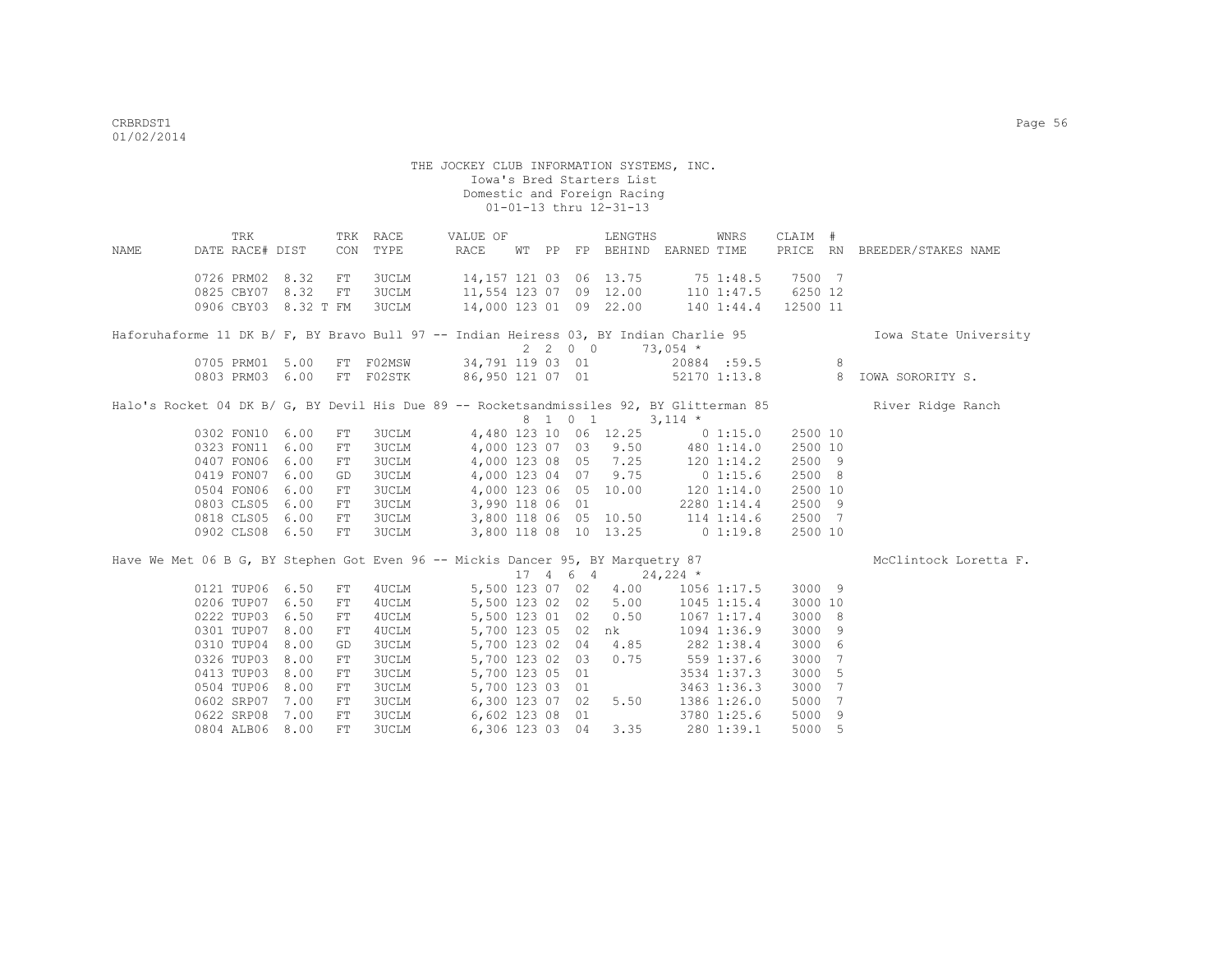| NAME | TRK<br>DATE RACE# DIST                                                                |      |            | TRK RACE<br>CON TYPE | VALUE OF<br>RACE                                                                                                                                                                                          |  |         | LENGTHS<br>WT PP FP BEHIND EARNED TIME            |            | WNRS            | CLAIM #  | PRICE RN BREEDER/STAKES NAME                                                                               |
|------|---------------------------------------------------------------------------------------|------|------------|----------------------|-----------------------------------------------------------------------------------------------------------------------------------------------------------------------------------------------------------|--|---------|---------------------------------------------------|------------|-----------------|----------|------------------------------------------------------------------------------------------------------------|
|      |                                                                                       |      |            |                      |                                                                                                                                                                                                           |  |         |                                                   |            |                 |          |                                                                                                            |
|      | 0726 PRM02 8.32                                                                       |      | FT         | 3UCLM                | 14, 157 121 03 06 13.75 75 1:48.5 7500 7                                                                                                                                                                  |  |         |                                                   |            |                 |          |                                                                                                            |
|      | 0825 CBY07 8.32                                                                       |      | FT         | <b>3UCLM</b>         | 11,554 123 07 09 12.00 110 1:47.5 6250 12                                                                                                                                                                 |  |         |                                                   |            |                 |          |                                                                                                            |
|      | 0906 CBY03 8.32 T FM                                                                  |      |            | <b>3UCLM</b>         | 14,000 123 01 09 22.00 140 1:44.4                                                                                                                                                                         |  |         |                                                   |            |                 | 12500 11 |                                                                                                            |
|      | Haforuhaforme 11 DK B/ F, BY Bravo Bull 97 -- Indian Heiress 03, BY Indian Charlie 95 |      |            |                      |                                                                                                                                                                                                           |  |         |                                                   |            |                 |          | Iowa State University                                                                                      |
|      |                                                                                       |      |            |                      |                                                                                                                                                                                                           |  | 2 2 0 0 |                                                   | $73,054$ * |                 |          |                                                                                                            |
|      | 0705 PRM01 5.00<br>0803 PRM03 6.00                                                    |      |            |                      | FT F02MSW 34,791 119 03 01 20884 :59.5 8                                                                                                                                                                  |  |         |                                                   |            |                 |          |                                                                                                            |
|      |                                                                                       |      |            |                      | FT F02STK 86,950 121 07 01 52170 1:13.8 8                                                                                                                                                                 |  |         |                                                   |            |                 |          | IOWA SORORITY S.                                                                                           |
|      |                                                                                       |      |            |                      |                                                                                                                                                                                                           |  |         |                                                   |            |                 |          | Halo's Rocket 04 DK B/ G, BY Devil His Due 89 -- Rocketsandmissiles 92, BY Glitterman 85 River Ridge Ranch |
|      |                                                                                       |      |            |                      |                                                                                                                                                                                                           |  |         | 8 1 0 1 3, 114 *                                  |            |                 |          |                                                                                                            |
|      | 0302 FON10 6.00                                                                       |      | FT         | <b>3UCLM</b>         |                                                                                                                                                                                                           |  |         | 4,480 123 10 06 12.25 0 1:15.0                    |            |                 | 2500 10  |                                                                                                            |
|      | 0323 FON11 6.00                                                                       |      | FT         | <b>3UCLM</b>         |                                                                                                                                                                                                           |  |         | 4,000 123 07 03 9.50 480 1:14.0                   |            |                 | 2500 10  |                                                                                                            |
|      | 0407 FON06 6.00                                                                       |      | FT         | 3UCLM                |                                                                                                                                                                                                           |  |         | 4,000 123 08 05 7.25 120 1:14.2                   |            |                 | 2500 9   |                                                                                                            |
|      | 0419 FON07 6.00                                                                       |      | GD         | 3UCLM                |                                                                                                                                                                                                           |  |         |                                                   |            |                 | 2500 8   |                                                                                                            |
|      | 0504 FON06 6.00                                                                       |      | FT         | <b>3UCLM</b>         |                                                                                                                                                                                                           |  |         |                                                   |            |                 | 2500 10  |                                                                                                            |
|      | 0803 CLS05 6.00                                                                       |      | FT         | <b>3UCLM</b>         |                                                                                                                                                                                                           |  |         |                                                   |            |                 | 2500 9   |                                                                                                            |
|      | 0818 CLS05 6.00                                                                       |      | FT         | <b>3UCLM</b>         |                                                                                                                                                                                                           |  |         |                                                   |            |                 | 2500 7   |                                                                                                            |
|      | 0902 CLS08 6.50                                                                       |      | FT         | 3UCLM                | 4,000 123 08 03 7.25 120 1:14.2<br>4,000 123 04 07 9.75 0 1:15.6<br>4,000 123 06 05 10.00 120 1:14.0<br>3,990 118 06 01 2280 1:14.4<br>3,800 118 06 05 10.50 114 1:14.6<br>3,800 118 08 10 13.25 0 1:19.8 |  |         |                                                   |            |                 | 2500 10  |                                                                                                            |
|      | Have We Met 06 B G, BY Stephen Got Even 96 -- Mickis Dancer 95, BY Marquetry 87       |      |            |                      |                                                                                                                                                                                                           |  |         |                                                   |            |                 |          | McClintock Loretta F.                                                                                      |
|      |                                                                                       |      |            |                      |                                                                                                                                                                                                           |  |         | $17 \quad 4 \quad 6 \quad 4 \quad 24.224 \quad *$ |            |                 |          |                                                                                                            |
|      | 0121 TUP06 6.50                                                                       |      | FT         | 4UCLM                |                                                                                                                                                                                                           |  |         | 5,500 123 07 02 4.00                              |            | 1056 1:17.5     | 3000 9   |                                                                                                            |
|      | 0206 TUP07 6.50                                                                       |      | FT         | 4UCLM                |                                                                                                                                                                                                           |  |         | 5,500 123 02 02 5.00                              |            | $1045$ $1:15.4$ | 3000 10  |                                                                                                            |
|      | 0222 TUP03 6.50                                                                       |      | FT         | 4UCLM                |                                                                                                                                                                                                           |  |         | 5,500 123 01 02 0.50                              |            | 1067 1:17.4     | 3000 8   |                                                                                                            |
|      | 0301 TUP07 8.00                                                                       |      | FT         | 4UCLM                |                                                                                                                                                                                                           |  |         | 5,700 123 05 02 nk                                |            | 1094 1:36.9     | 3000 9   |                                                                                                            |
|      | 0310 TUP04 8.00                                                                       |      | GD         | <b>3UCLM</b>         |                                                                                                                                                                                                           |  |         | 5,700 123 02 04 4.85 282 1:38.4                   |            |                 | 3000 6   |                                                                                                            |
|      | 0326 TUP03 8.00                                                                       |      | FT.        | <b>3UCLM</b>         |                                                                                                                                                                                                           |  |         | 5,700 123 02 03 0.75 559 1:37.6                   |            |                 | 3000 7   |                                                                                                            |
|      | 0413 TUP03 8.00                                                                       |      | FT         | <b>3UCLM</b>         |                                                                                                                                                                                                           |  |         | 5,700 123 05 01                                   |            | 3534 1:37.3     | 3000 5   |                                                                                                            |
|      | 0504 TUP06 8.00                                                                       |      | FT         | <b>3UCLM</b>         |                                                                                                                                                                                                           |  |         | 5,700 123 03 01                                   |            | 3463 1:36.3     | 3000 7   |                                                                                                            |
|      | 0602 SRP07 7.00                                                                       |      | FT         | 3UCLM                | 6,300 123 07 02 5.50                                                                                                                                                                                      |  |         |                                                   |            | 1386 1:26.0     | 5000 7   |                                                                                                            |
|      | 0622 SRP08                                                                            | 7.00 | FT         | <b>3UCLM</b>         | 6,602 123 08 01                                                                                                                                                                                           |  |         |                                                   |            | 3780 1:25.6     | 5000 9   |                                                                                                            |
|      | 0804 ALB06 8.00                                                                       |      | ${\rm FT}$ | <b>3UCLM</b>         | 6,306 123 03 04                                                                                                                                                                                           |  |         | 3.35                                              | 280 1:39.1 |                 | 5000 5   |                                                                                                            |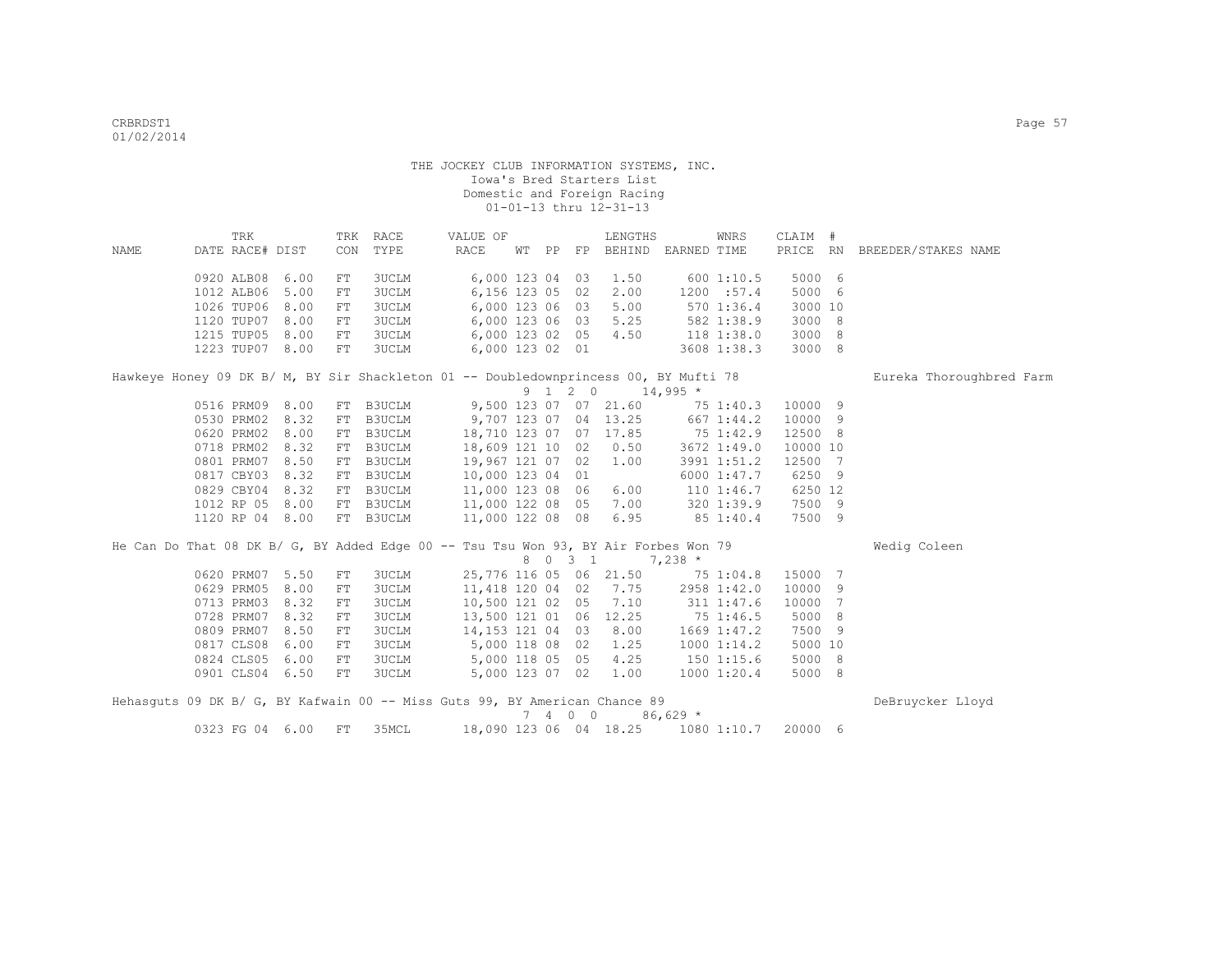|      | TRK                                                                                  |      |     | TRK RACE     | VALUE OF               |       |         | LENGTHS                |            | WNRS           | CLAIM #  |    |                              |
|------|--------------------------------------------------------------------------------------|------|-----|--------------|------------------------|-------|---------|------------------------|------------|----------------|----------|----|------------------------------|
| NAME | DATE RACE# DIST                                                                      |      | CON | TYPE         | RACE                   | WT PP |         | FP BEHIND EARNED TIME  |            |                |          |    | PRICE RN BREEDER/STAKES NAME |
|      | 0920 ALB08                                                                           | 6.00 | FT  | 3UCLM        | 6,000 123 04 03        |       |         | 1.50                   |            | 600 1:10.5     | 5000 6   |    |                              |
|      | 1012 ALB06                                                                           | 5.00 | FT  | <b>3UCLM</b> | 6,156 123 05 02        |       |         | 2.00                   |            | 1200 :57.4     | 5000 6   |    |                              |
|      | 1026 TUP06                                                                           | 8.00 | FT  | <b>3UCLM</b> | 6,000 123 06 03        |       |         | 5.00                   |            | 570 1:36.4     | 3000 10  |    |                              |
|      | 1120 TUP07                                                                           | 8.00 | FT  | 3UCLM        | 6,000 123 06 03        |       |         | 5.25                   |            | 582 1:38.9     | 3000 8   |    |                              |
|      | 1215 TUP05                                                                           | 8.00 | FT  | <b>3UCLM</b> | 6,000 123 02 05        |       |         | 4.50                   |            | 118 1:38.0     | 3000     | -8 |                              |
|      | 1223 TUP07 8.00                                                                      |      | FT  | <b>3UCLM</b> | 6,000 123 02 01        |       |         |                        |            | 3608 1:38.3    | 3000 8   |    |                              |
|      | Hawkeye Honey 09 DK B/ M, BY Sir Shackleton 01 -- Doubledownprincess 00, BY Mufti 78 |      |     |              |                        |       |         |                        |            |                |          |    | Eureka Thoroughbred Farm     |
|      |                                                                                      |      |     |              |                        |       | 9 1 2 0 |                        | $14,995$ * |                |          |    |                              |
|      | 0516 PRM09                                                                           | 8.00 |     | FT B3UCLM    |                        |       |         | 9,500 123 07 07 21.60  |            | 75 1:40.3      | 10000 9  |    |                              |
|      | 0530 PRM02                                                                           | 8.32 |     | FT B3UCLM    | 9,707 123 07 04 13.25  |       |         |                        |            | 667 1:44.2     | 10000 9  |    |                              |
|      | 0620 PRM02                                                                           | 8.00 |     | FT B3UCLM    | 18,710 123 07 07 17.85 |       |         |                        |            | 75 1:42.9      | 12500 8  |    |                              |
|      | 0718 PRM02                                                                           | 8.32 |     | FT B3UCLM    | 18,609 121 10 02       |       |         | 0.50                   |            | 3672 1:49.0    | 10000 10 |    |                              |
|      | 0801 PRM07                                                                           | 8.50 |     | FT B3UCLM    | 19,967 121 07 02       |       |         | 1.00                   |            | 3991 1:51.2    | 12500 7  |    |                              |
|      | 0817 CBY03                                                                           | 8.32 |     | FT B3UCLM    | 10,000 123 04 01       |       |         |                        |            | 6000 1:47.7    | 6250 9   |    |                              |
|      | 0829 CBY04                                                                           | 8.32 |     | FT B3UCLM    | 11,000 123 08 06       |       |         | 6.00                   |            | $110$ $1:46.7$ | 6250 12  |    |                              |
|      | 1012 RP 05                                                                           | 8.00 |     | FT B3UCLM    | 11,000 122 08 05       |       |         | 7.00                   |            | 3201:39.9      | 7500 9   |    |                              |
|      | 1120 RP 04 8.00                                                                      |      |     | FT B3UCLM    | 11,000 122 08 08       |       |         | 6.95                   |            | 85 1:40.4      | 7500 9   |    |                              |
|      | He Can Do That 08 DK B/ G, BY Added Edge 00 -- Tsu Tsu Won 93, BY Air Forbes Won 79  |      |     |              |                        |       |         |                        |            |                |          |    | Wedig Coleen                 |
|      |                                                                                      |      |     |              |                        |       | 8 0 3 1 |                        | $7,238$ *  |                |          |    |                              |
|      | 0620 PRM07                                                                           | 5.50 | FT  | <b>3UCLM</b> |                        |       |         | 25,776 116 05 06 21.50 |            | 75 1:04.8      | 15000 7  |    |                              |
|      | 0629 PRM05                                                                           | 8.00 | FT  | <b>3UCLM</b> | 11,418 120 04 02       |       |         | 7.75                   |            | 2958 1:42.0    | 10000    | 9  |                              |
|      | 0713 PRM03                                                                           | 8.32 | FT  | 3UCLM        | 10,500 121 02 05       |       |         | 7.10                   |            | 311 1:47.6     | 10000 7  |    |                              |
|      | 0728 PRM07                                                                           | 8.32 | FT  | 3UCLM        | 13,500 121 01 06       |       |         | 12.25                  |            | 75 1:46.5      | 5000 8   |    |                              |
|      | 0809 PRM07                                                                           | 8.50 | FT  | 3UCLM        | 14, 153 121 04 03      |       |         | 8.00                   |            | 1669 1:47.2    | 7500 9   |    |                              |
|      | 0817 CLS08                                                                           | 6.00 | FT  | 3UCLM        | 5,000 118 08 02        |       |         | 1.25                   |            | 10001:14.2     | 5000 10  |    |                              |
|      | 0824 CLS05                                                                           | 6.00 | FT  | <b>3UCLM</b> | 5,000 118 05 05        |       |         | 4.25                   |            | 1501:15.6      | 5000 8   |    |                              |
|      | 0901 CLS04 6.50                                                                      |      | FT  | <b>3UCLM</b> | 5,000 123 07 02        |       |         | 1.00                   |            | 1000 1:20.4    | 5000 8   |    |                              |
|      | Hehasquts 09 DK B/ G, BY Kafwain 00 -- Miss Guts 99, BY American Chance 89           |      |     |              |                        |       |         |                        |            |                |          |    | DeBruycker Lloyd             |
|      |                                                                                      |      |     |              |                        |       | 7 4 0 0 |                        | $86,629$ * |                |          |    |                              |

0323 FG 04 6.00 FT 35MCL 18,090 123 06 04 18.25 1080 1:10.7 20000 6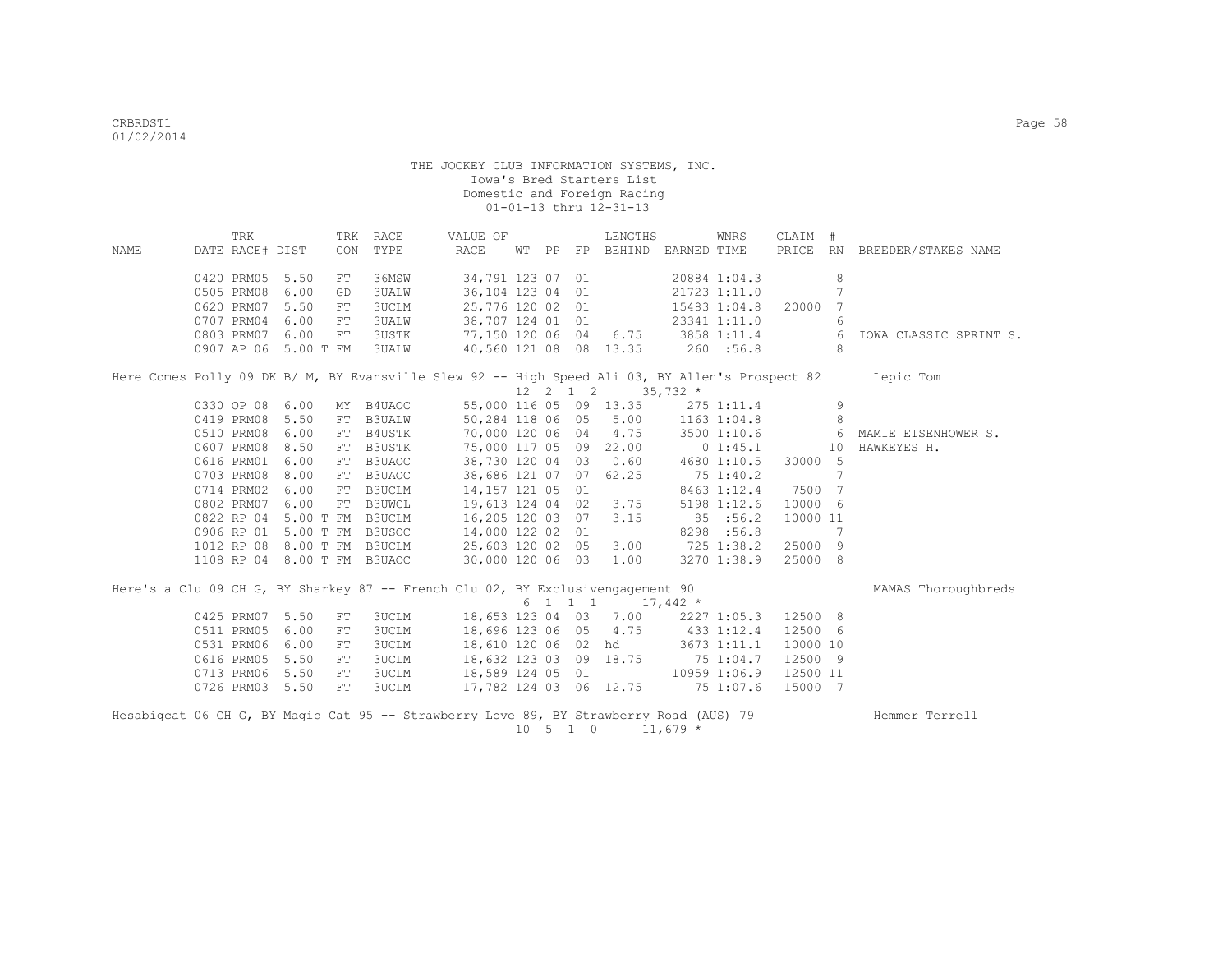|      | TRK                                                                                    |      | TRK RACE    |               | VALUE OF                         |  |  |                              | LENGTHS                                        |                  | WNRS            | CLAIM #  |                |                                                                                                           |
|------|----------------------------------------------------------------------------------------|------|-------------|---------------|----------------------------------|--|--|------------------------------|------------------------------------------------|------------------|-----------------|----------|----------------|-----------------------------------------------------------------------------------------------------------|
| NAME | DATE RACE# DIST                                                                        |      | CON         | TYPE          | RACE                             |  |  |                              | WT PP FP BEHIND EARNED TIME                    |                  |                 |          |                | PRICE RN BREEDER/STAKES NAME                                                                              |
|      |                                                                                        |      |             |               |                                  |  |  |                              |                                                |                  |                 |          |                |                                                                                                           |
|      | 0420 PRM05 5.50                                                                        |      | FT          | 36MSW         | 34,791 123 07 01                 |  |  |                              |                                                |                  | 20884 1:04.3    |          | 8              |                                                                                                           |
|      | 0505 PRM08                                                                             | 6.00 | GD          | <b>3UALW</b>  | 36,104 123 04 01                 |  |  |                              |                                                |                  | 21723 1:11.0    |          | $\overline{7}$ |                                                                                                           |
|      | 0620 PRM07                                                                             | 5.50 | FT          | 3UCLM         | 25,776 120 02 01                 |  |  |                              |                                                |                  | 15483 1:04.8    | 20000    | 7              |                                                                                                           |
|      | 0707 PRM04                                                                             | 6.00 | $_{\rm FT}$ | 3UALW         | 38,707 124 01 01                 |  |  |                              |                                                |                  | 23341 1:11.0    |          | 6              |                                                                                                           |
|      | 0803 PRM07 6.00                                                                        |      | FT          | <b>3USTK</b>  |                                  |  |  |                              | 77,150 120 06 04 6.75 3858 1:11.4              |                  |                 |          | - 6            | IOWA CLASSIC SPRINT S.                                                                                    |
|      | 0907 AP 06 5.00 T FM                                                                   |      |             | 3UALW         |                                  |  |  |                              | 40,560 121 08 08 13.35 260 :56.8               |                  |                 |          | 8              |                                                                                                           |
|      |                                                                                        |      |             |               |                                  |  |  |                              |                                                |                  |                 |          |                | Here Comes Polly 09 DK B/ M, BY Evansville Slew 92 -- High Speed Ali 03, BY Allen's Prospect 82 Lepic Tom |
|      |                                                                                        |      |             |               |                                  |  |  |                              | $12 \quad 2 \quad 1 \quad 2 \quad 35,732 \neq$ |                  |                 |          |                |                                                                                                           |
|      | 0330 OP 08 6.00                                                                        |      | MY B4UAOC   |               |                                  |  |  |                              | 55,000 116 05 09 13.35 275 1:11.4              |                  |                 |          | 9              |                                                                                                           |
|      | 0419 PRM08                                                                             | 5.50 | FT          | <b>B3UALW</b> |                                  |  |  |                              | 50,284 118 06 05 5.00                          | $1163$ $1:04.8$  |                 |          | 8              |                                                                                                           |
|      | 0510 PRM08                                                                             | 6.00 | FT          | B4USTK        | 70,000 120 06 04 4.75            |  |  |                              |                                                |                  | $3500$ 1:10.6 6 |          |                | MAMIE EISENHOWER S.                                                                                       |
|      | 0607 PRM08 8.50                                                                        |      | FT          | <b>B3USTK</b> |                                  |  |  |                              | 75,000 117 05 09 22.00 0 1:45.1                |                  |                 |          | 10             | HAWKEYES H.                                                                                               |
|      | 0616 PRM01 6.00                                                                        |      | FT          | B3UAOC        | 38,730 120 04 03 0.60            |  |  |                              |                                                |                  | 4680 1:10.5     | 30000 5  |                |                                                                                                           |
|      | 0703 PRM08                                                                             | 8.00 | FT          | B3UAOC        | 38,686 121 07 07                 |  |  |                              | 62.25                                          | 75 1:40.2        |                 |          | 7              |                                                                                                           |
|      | 0714 PRM02 6.00                                                                        |      | ${\rm FT}$  | B3UCLM        | 14,157 121 05 01                 |  |  |                              |                                                |                  | 8463 1:12.4     | 7500 7   |                |                                                                                                           |
|      | 0802 PRM07                                                                             | 6.00 | FT          | <b>B3UWCL</b> | 19,613 124 04 02 3.75            |  |  |                              |                                                |                  | 5198 1:12.6     | 10000 6  |                |                                                                                                           |
|      | 0822 RP 04 5.00 T FM B3UCLM                                                            |      |             |               | 16,205 120 03 07                 |  |  |                              | 3.15                                           |                  | 85 :56.2        | 10000 11 |                |                                                                                                           |
|      | 0906 RP 01 5.00 T FM B3USOC                                                            |      |             |               | 14,000 122 02 01                 |  |  |                              |                                                |                  | 8298 :56.8      |          | 7              |                                                                                                           |
|      | 1012 RP 08 8.00 T FM B3UCLM                                                            |      |             |               | 25,603 120 02 05                 |  |  |                              | 3.00                                           |                  | 725 1:38.2      | 25000 9  |                |                                                                                                           |
|      | 1108 RP 04 8.00 T FM B3UAOC                                                            |      |             |               | 30,000 120 06 03                 |  |  |                              | 1.00                                           |                  | 3270 1:38.9     | 25000 8  |                |                                                                                                           |
|      | Here's a Clu 09 CH G, BY Sharkey 87 -- French Clu 02, BY Exclusivengagement 90         |      |             |               |                                  |  |  |                              |                                                |                  |                 |          |                | MAMAS Thoroughbreds                                                                                       |
|      |                                                                                        |      |             |               |                                  |  |  |                              | $6 \quad 1 \quad 1 \quad 1 \quad 17,442 \star$ |                  |                 |          |                |                                                                                                           |
|      | 0425 PRM07 5.50                                                                        |      | FT          | <b>3UCLM</b>  |                                  |  |  |                              | 18,653 123 04 03 7.00                          |                  | 2227 1:05.3     | 12500 8  |                |                                                                                                           |
|      | 0511 PRM05                                                                             | 6.00 | FT          | 3UCLM         | 18,696 123 06 05 4.75            |  |  |                              |                                                | 433 1:12.4       |                 | 12500 6  |                |                                                                                                           |
|      | 0531 PRM06                                                                             | 6.00 | ${\rm FT}$  | <b>3UCLM</b>  | 18,610 120 06 02 hd              |  |  |                              |                                                | $3673$ 1:11.1    |                 | 10000 10 |                |                                                                                                           |
|      | 0616 PRM05                                                                             | 5.50 | FT          | 3UCLM         | 18,632 123 03 09 18.75 75 1:04.7 |  |  |                              |                                                |                  |                 | 12500 9  |                |                                                                                                           |
|      | 0713 PRM06 5.50                                                                        |      | FT          | <b>3UCLM</b>  | 18,589 124 05 01                 |  |  |                              |                                                | $10959$ $1:06.9$ |                 | 12500 11 |                |                                                                                                           |
|      | 0726 PRM03 5.50                                                                        |      | ${\rm FT}$  | <b>3UCLM</b>  |                                  |  |  |                              | 17,782 124 03 06 12.75 75 1:07.6               |                  |                 | 15000 7  |                |                                                                                                           |
|      |                                                                                        |      |             |               |                                  |  |  |                              |                                                |                  |                 |          |                |                                                                                                           |
|      | Hesabigcat 06 CH G, BY Magic Cat 95 -- Strawberry Love 89, BY Strawberry Road (AUS) 79 |      |             |               |                                  |  |  |                              |                                                |                  |                 |          | Hemmer Terrell |                                                                                                           |
|      |                                                                                        |      |             |               |                                  |  |  | $10 \quad 5 \quad 1 \quad 0$ |                                                | $11,679$ *       |                 |          |                |                                                                                                           |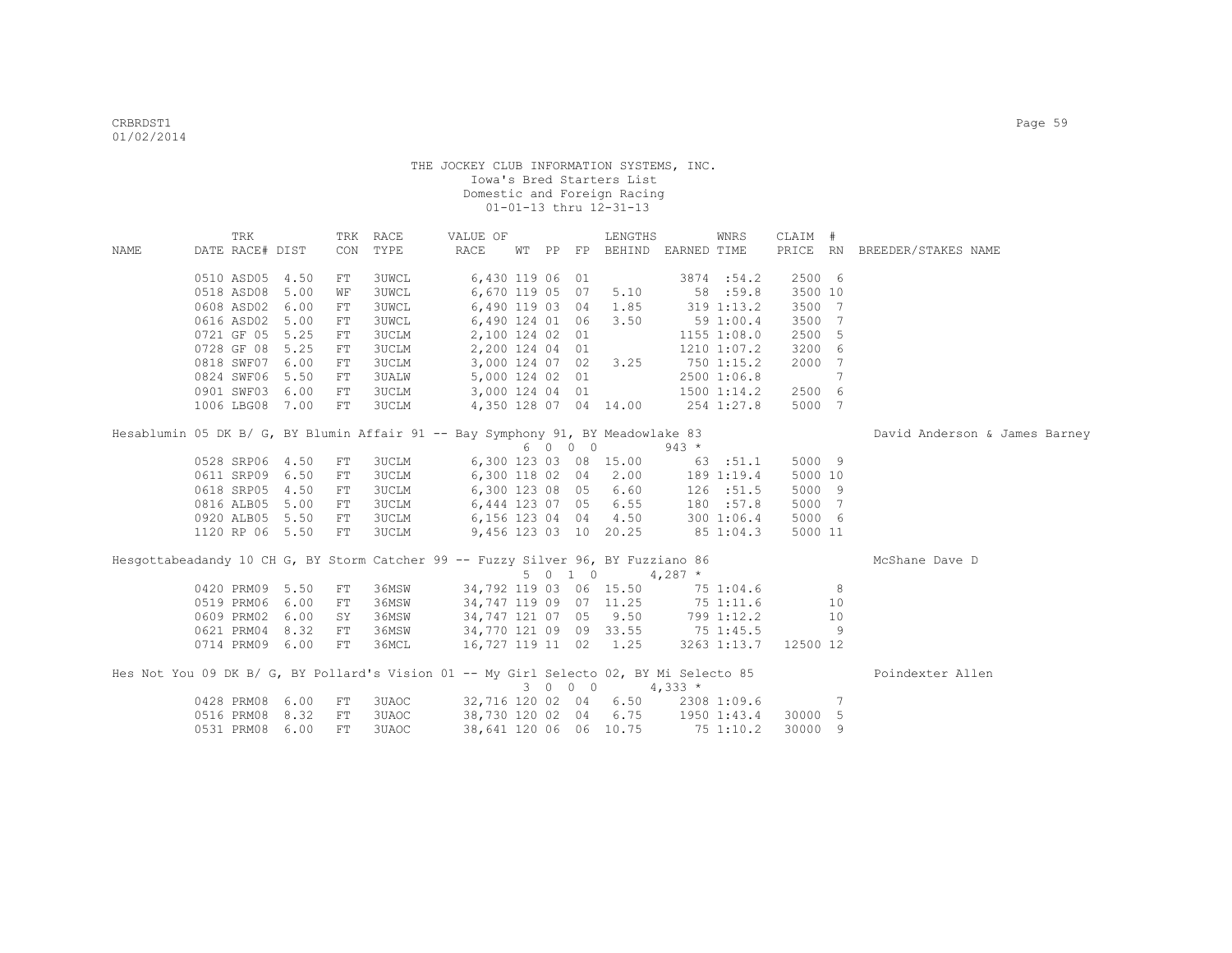|      | TRK             |                 |    | TRK RACE     | VALUE OF                                                                               |  |         | LENGTHS                     |           | WNRS                 | CLAIM # |    |                               |
|------|-----------------|-----------------|----|--------------|----------------------------------------------------------------------------------------|--|---------|-----------------------------|-----------|----------------------|---------|----|-------------------------------|
| NAME | DATE RACE# DIST |                 |    | CON TYPE     | RACE                                                                                   |  |         | WT PP FP BEHIND EARNED TIME |           |                      |         |    | PRICE RN BREEDER/STAKES NAME  |
|      |                 | 0510 ASD05 4.50 | FT | 3UWCL        | 6,430 119 06 01                                                                        |  |         |                             |           | 3874 :54.2           | 2500 6  |    |                               |
|      |                 | 0518 ASD08 5.00 | WF | <b>3UWCL</b> |                                                                                        |  |         | 6,670 119 05 07 5.10        | 58:59.8   |                      | 3500 10 |    |                               |
|      |                 | 0608 ASD02 6.00 | FT | <b>3UWCL</b> |                                                                                        |  |         | 6,490 119 03 04 1.85        |           | 319 1:13.2           | 3500 7  |    |                               |
|      |                 | 0616 ASD02 5.00 | FT | 3UWCL        |                                                                                        |  |         | 6,490 124 01 06 3.50        | 591:00.4  |                      | 3500 7  |    |                               |
|      |                 | 0721 GF 05 5.25 | FT | 3UCLM        | 2,100 124 02 01                                                                        |  |         |                             |           | 1155 1:08.0          | 2500 5  |    |                               |
|      |                 | 0728 GF 08 5.25 | FT | 3UCLM        | 2,200 124 04 01                                                                        |  |         |                             |           | 1210 1:07.2          | 3200 6  |    |                               |
|      |                 | 0818 SWF07 6.00 | FT | 3UCLM        |                                                                                        |  |         | 3,000 124 07 02 3.25        |           | 750 1:15.2           | 2000 7  |    |                               |
|      |                 | 0824 SWF06 5.50 | FT | 3UALW        | 5,000 124 02 01                                                                        |  |         |                             |           | 2500 1:06.8          |         | 7  |                               |
|      |                 | 0901 SWF03 6.00 | FT | 3UCLM        | 3,000 124 04 01                                                                        |  |         |                             |           | 1500 1:14.2          | 2500 6  |    |                               |
|      |                 | 1006 LBG08 7.00 | FT | 3UCLM        |                                                                                        |  |         | 4,350 128 07 04 14.00       |           | 254 1:27.8           | 5000 7  |    |                               |
|      |                 |                 |    |              | Hesablumin 05 DK B/ G, BY Blumin Affair 91 -- Bay Symphony 91, BY Meadowlake 83        |  |         |                             |           |                      |         |    | David Anderson & James Barney |
|      |                 |                 |    |              |                                                                                        |  | 6 0 0 0 |                             | $943 *$   |                      |         |    |                               |
|      |                 | 0528 SRP06 4.50 | FT | 3UCLM        |                                                                                        |  |         | 6,300 123 03 08 15.00       |           | 63 :51.1             | 5000 9  |    |                               |
|      |                 | 0611 SRP09 6.50 | FT | 3UCLM        |                                                                                        |  |         | 6,300 118 02 04 2.00        |           | 189 1:19.4           | 5000 10 |    |                               |
|      |                 | 0618 SRP05 4.50 | FT | 3UCLM        |                                                                                        |  |         | 6,300 123 08 05 6.60        |           | 126 :51.5            | 5000 9  |    |                               |
|      |                 | 0816 ALB05 5.00 | FT | 3UCLM        |                                                                                        |  |         | 6,444 123 07 05 6.55        |           | 180 :57.8            | 5000 7  |    |                               |
|      |                 | 0920 ALB05 5.50 | FT |              | 3UCLM 6,156 123 04 04 4.50                                                             |  |         |                             |           | 300 1:06.4           | 5000 6  |    |                               |
|      |                 | 1120 RP 06 5.50 | FT | 3UCLM        |                                                                                        |  |         | 9,456 123 03 10 20.25       |           | 85 1:04.3            | 5000 11 |    |                               |
|      |                 |                 |    |              | Hesgottabeadandy 10 CH G, BY Storm Catcher 99 -- Fuzzy Silver 96, BY Fuzziano 86       |  |         |                             |           |                      |         |    | McShane Dave D                |
|      |                 |                 |    |              |                                                                                        |  | 5 0 1 0 | $4,287$ *                   |           |                      |         |    |                               |
|      |                 | 0420 PRM09 5.50 | FT | 36MSW        | 34,792 119 03 06 15.50                                                                 |  |         |                             |           | 75 1:04.6            |         | 8  |                               |
|      |                 | 0519 PRM06 6.00 | FT | 36MSW        | 34,747 119 09 07 11.25                                                                 |  |         |                             |           | 751:11.6             |         | 10 |                               |
|      | 0609 PRM02      | 6.00            | SY | 36MSW        |                                                                                        |  |         | 34,747 121 07 05 9.50       |           | 799 1:12.2           |         | 10 |                               |
|      | 0621 PRM04      | 8.32            | FT | 36MSW        | 34,770 121 09 09 33.55 75 1:45.5                                                       |  |         |                             |           |                      |         | -9 |                               |
|      |                 | 0714 PRM09 6.00 | FT | 36MCL        | 16,727 119 11 02 1.25                                                                  |  |         |                             |           | 3263 1:13.7 12500 12 |         |    |                               |
|      |                 |                 |    |              | Hes Not You 09 DK B/ G, BY Pollard's Vision 01 -- My Girl Selecto 02, BY Mi Selecto 85 |  |         |                             |           |                      |         |    | Poindexter Allen              |
|      |                 |                 |    |              |                                                                                        |  | 3 0 0 0 |                             | $4,333*$  |                      |         |    |                               |
|      |                 | 0428 PRM08 6.00 | FT | 3UAOC        | 32,716 120 02 04 6.50 2308 1:09.6                                                      |  |         |                             |           |                      |         | 7  |                               |
|      |                 | 0516 PRM08 8.32 | FT | 3UAOC        | 38,730 120 02 04 6.75 1950 1:43.4                                                      |  |         |                             |           |                      | 30000 5 |    |                               |
|      |                 | 0531 PRM08 6.00 | FT | 3UAOC        | 38,641 120 06 06 10.75                                                                 |  |         |                             | 75 1:10.2 |                      | 30000 9 |    |                               |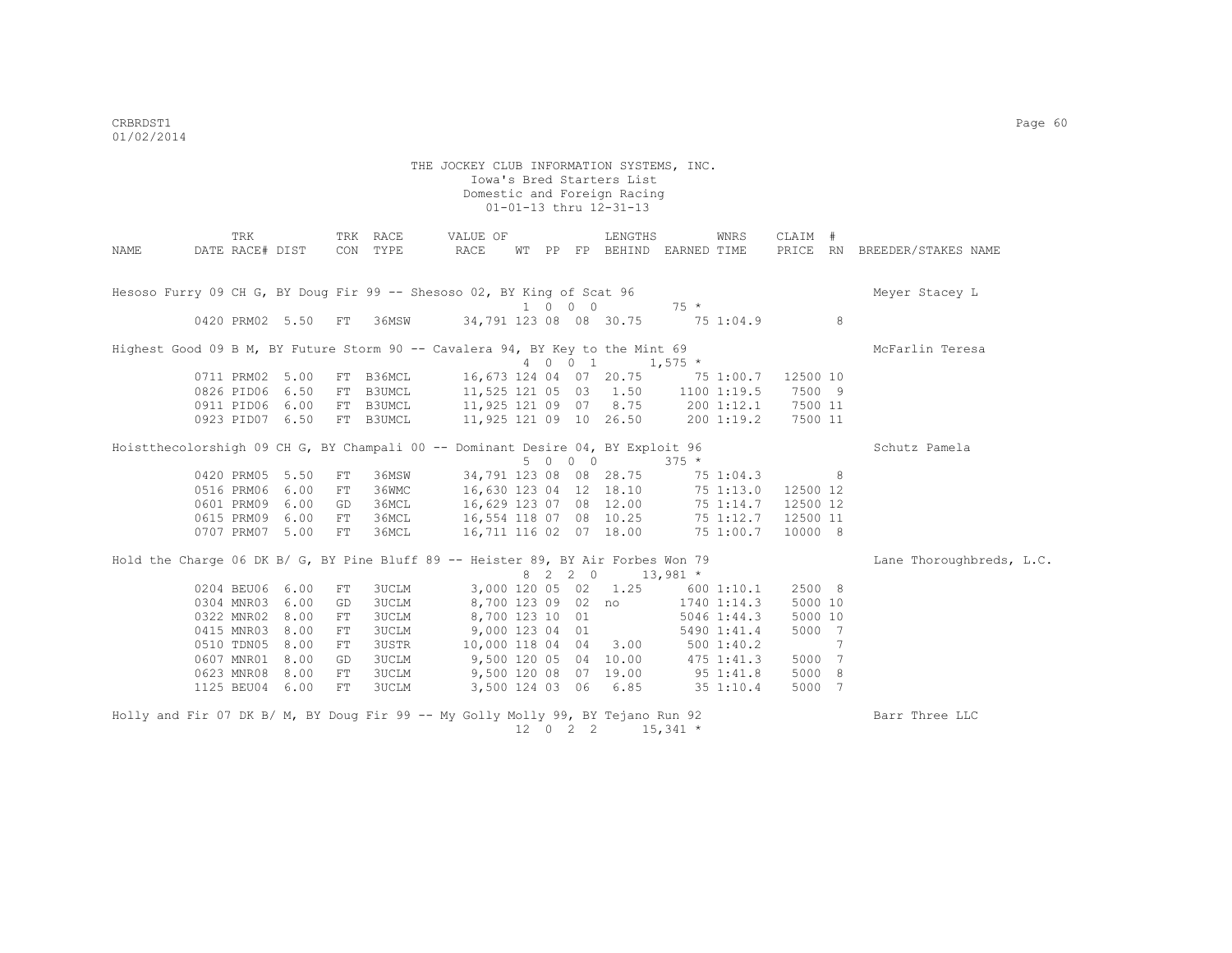| NAME                                                                             | DATE RACE# DIST | TRK |                    |    | TRK RACE<br>CON TYPE | VALUE OF<br>RACE       | WT PP |          | LENGTHS<br>FP BEHIND EARNED TIME          |                 | WNRS          | CLAIM #  |   | PRICE RN BREEDER/STAKES NAME |
|----------------------------------------------------------------------------------|-----------------|-----|--------------------|----|----------------------|------------------------|-------|----------|-------------------------------------------|-----------------|---------------|----------|---|------------------------------|
| Hesoso Furry 09 CH G, BY Doug Fir 99 -- Shesoso 02, BY King of Scat 96           |                 |     |                    |    |                      |                        |       | 1 0 0 0  |                                           | $75 *$          |               |          |   | Meyer Stacey L               |
|                                                                                  |                 |     | 0420 PRM02 5.50 FT |    | 36MSW                | 34,791 123 08 08 30.75 |       |          |                                           | 75 1:04.9       |               |          | 8 |                              |
| Highest Good 09 B M, BY Future Storm 90 -- Cavalera 94, BY Key to the Mint 69    |                 |     |                    |    |                      |                        |       | 4 0 0 1  |                                           | $1,575$ *       |               |          |   | McFarlin Teresa              |
|                                                                                  |                 |     |                    |    |                      |                        |       |          |                                           |                 |               |          |   |                              |
|                                                                                  |                 |     | 0711 PRM02 5.00    |    | FT B36MCL            |                        |       |          | 16,673 124 04 07 20.75 75 1:00.7 12500 10 |                 |               |          |   |                              |
|                                                                                  |                 |     | 0826 PID06 6.50    |    | FT B3UMCL            |                        |       |          | 11,525 121 05 03 1.50                     | $1100$ $1:19.5$ |               | 7500 9   |   |                              |
|                                                                                  |                 |     | 0911 PID06 6.00    |    | FT B3UMCL            |                        |       |          | 11,925 121 09 07 8.75                     | 200 1:12.1      |               | 7500 11  |   |                              |
|                                                                                  |                 |     | 0923 PID07 6.50    |    | FT B3UMCL            |                        |       |          | 11,925 121 09 10 26.50 200 1:19.2         |                 |               | 7500 11  |   |                              |
| Hoistthecolorshigh 09 CH G, BY Champali 00 -- Dominant Desire 04, BY Exploit 96  |                 |     |                    |    |                      |                        |       |          |                                           |                 |               |          |   | Schutz Pamela                |
|                                                                                  |                 |     |                    |    |                      |                        |       | 5 0 0 0  |                                           | $375 *$         |               |          |   |                              |
|                                                                                  | 0420 PRM05 5.50 |     |                    | FT | 36MSW                | 34,791 123 08 08 28.75 |       |          |                                           |                 | 75 1:04.3     |          | 8 |                              |
|                                                                                  | 0516 PRM06      |     | 6.00               | FT | 36WMC                |                        |       |          | 16,630 123 04 12 18.10                    |                 | 75 1:13.0     | 12500 12 |   |                              |
|                                                                                  | 0601 PRM09      |     | 6.00               | GD | 36MCL                | 16,629 123 07 08 12.00 |       |          |                                           |                 | 75 1:14.7     | 12500 12 |   |                              |
|                                                                                  | 0615 PRM09      |     | 6.00               | FT | 36MCL                | 16,554 118 07 08 10.25 |       |          |                                           |                 | 75 1:12.7     | 12500 11 |   |                              |
|                                                                                  |                 |     | 0707 PRM07 5.00    | FT | 36MCL                | 16,711 116 02 07 18.00 |       |          |                                           |                 | 75 1:00.7     | 10000 8  |   |                              |
| Hold the Charge 06 DK B/ G, BY Pine Bluff 89 -- Heister 89, BY Air Forbes Won 79 |                 |     |                    |    |                      |                        |       |          |                                           |                 |               |          |   | Lane Thoroughbreds, L.C.     |
|                                                                                  |                 |     |                    |    |                      |                        |       | 8 2 2 0  |                                           | $13,981$ *      |               |          |   |                              |
|                                                                                  | 0204 BEU06      |     | 6.00               | FT | <b>3UCLM</b>         | 3,000 120 05 02 1.25   |       |          |                                           |                 | 600 1:10.1    | 2500 8   |   |                              |
|                                                                                  | 0304 MNR03      |     | 6.00               | GD | <b>3UCLM</b>         | 8,700 123 09 02 no     |       |          |                                           |                 | 1740 1:14.3   | 5000 10  |   |                              |
|                                                                                  | 0322 MNR02      |     | 8.00               | FT | <b>3UCLM</b>         | 8,700 123 10 01        |       |          |                                           |                 | $5046$ 1:44.3 | 5000 10  |   |                              |
|                                                                                  | 0415 MNR03      |     | 8.00               | FT | <b>3UCLM</b>         | $9,000$ 123 04 01      |       |          |                                           |                 | 5490 1:41.4   | 5000 7   |   |                              |
|                                                                                  | 0510 TDN05      |     | 8.00               | FT | 3USTR                |                        |       |          | 10,000 118 04 04 3.00                     |                 | 5001:40.2     |          | 7 |                              |
|                                                                                  | 0607 MNR01      |     | 8.00               | GD | <b>3UCLM</b>         | 9,500 120 05 04 10.00  |       |          |                                           | 475 1:41.3      |               | 5000 7   |   |                              |
|                                                                                  | 0623 MNR08      |     | 8.00               | FT | 3UCLM                | 9,500 120 08 07 19.00  |       |          |                                           | $95 \t1:41.8$   |               | 5000 8   |   |                              |
|                                                                                  | 1125 BEU04 6.00 |     |                    | FT | 3UCLM                |                        |       |          | 3,500 124 03 06 6.85                      |                 | $35\ 1:10.4$  | 5000 7   |   |                              |
| Holly and Fir 07 DK B/ M, BY Doug Fir 99 -- My Golly Molly 99, BY Tejano Run 92  |                 |     |                    |    |                      |                        |       | 12 0 2 2 |                                           | $15,341$ *      |               |          |   | Barr Three LLC               |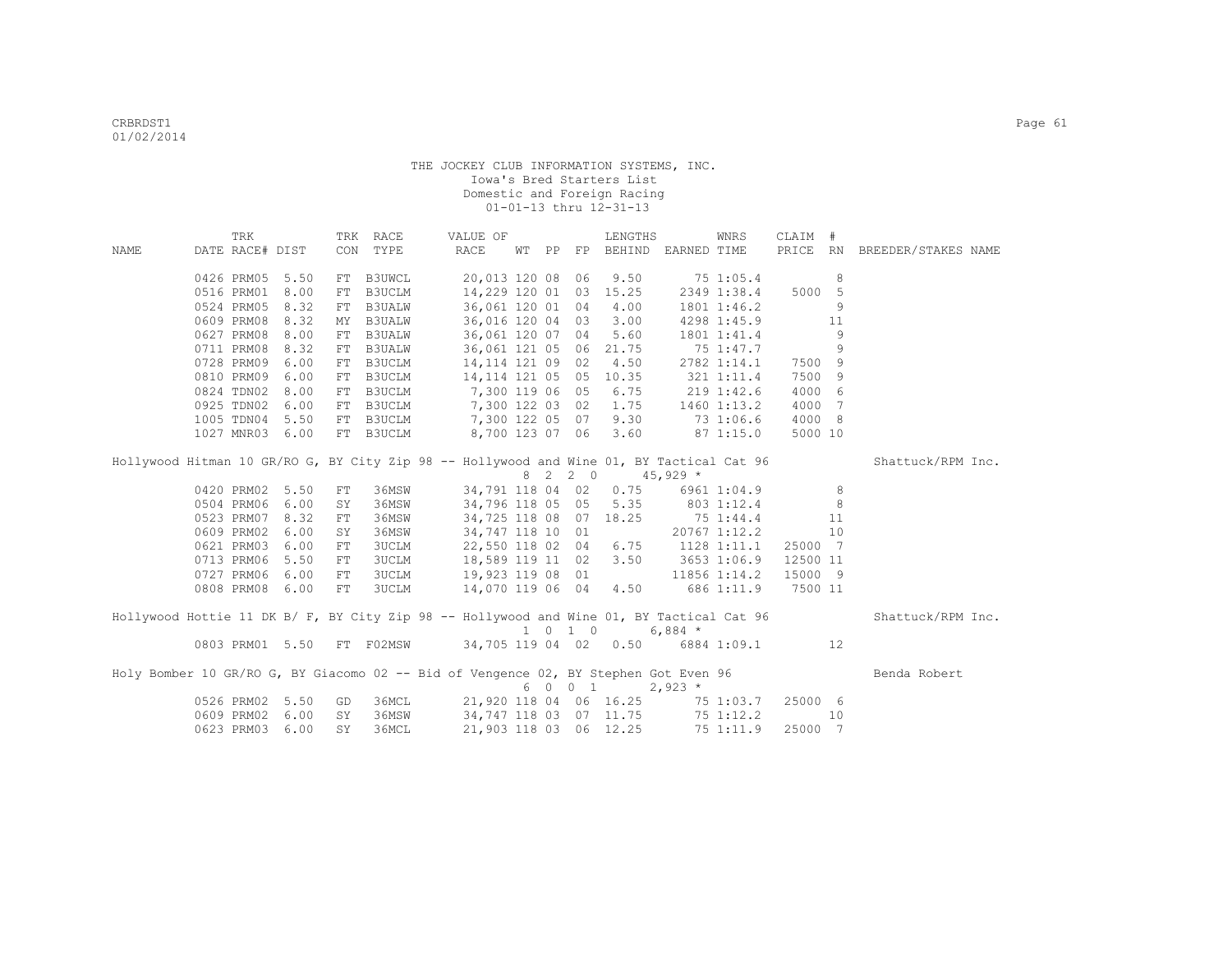|      |                 | TRK |      | TRK        | RACE          | VALUE OF                                                                                 |   |                     | LENGTHS                           |             | WNRS         | CLAIM #  |     |                     |  |
|------|-----------------|-----|------|------------|---------------|------------------------------------------------------------------------------------------|---|---------------------|-----------------------------------|-------------|--------------|----------|-----|---------------------|--|
| NAME | DATE RACE# DIST |     |      |            | CON TYPE      | RACE                                                                                     |   |                     | WT PP FP BEHIND                   | EARNED TIME |              | PRICE    | RN  | BREEDER/STAKES NAME |  |
|      |                 |     |      |            |               |                                                                                          |   |                     |                                   |             |              |          |     |                     |  |
|      | 0426 PRM05      |     | 5.50 | FT         | <b>B3UWCL</b> | 20,013 120 08 06                                                                         |   |                     | 9.50                              |             | 75 1:05.4    |          | 8   |                     |  |
|      | 0516 PRM01      |     | 8.00 | ${\rm FT}$ | <b>B3UCLM</b> | 14,229 120 01 03                                                                         |   |                     | 15.25                             |             | 2349 1:38.4  | 5000 5   |     |                     |  |
|      | 0524 PRM05      |     | 8.32 | FT         | <b>B3UALW</b> | 36,061 120 01 04                                                                         |   |                     | 4.00                              |             | 1801 1:46.2  |          | 9   |                     |  |
|      | 0609 PRM08      |     | 8.32 | MY         | <b>B3UALW</b> | 36,016 120 04 03                                                                         |   |                     | 3.00                              |             | 4298 1:45.9  |          | 11  |                     |  |
|      | 0627 PRM08      |     | 8.00 | FT         | <b>B3UALW</b> | 36,061 120 07 04                                                                         |   |                     | 5.60                              |             | 1801 1:41.4  |          | 9   |                     |  |
|      | 0711 PRM08      |     | 8.32 |            | FT B3UALW     | 36,061 121 05 06 21.75                                                                   |   |                     |                                   |             | 75 1:47.7    |          | 9   |                     |  |
|      | 0728 PRM09      |     | 6.00 | FT         | B3UCLM        | 14, 114 121 09 02                                                                        |   |                     | 4.50                              |             | 2782 1:14.1  | 7500 9   |     |                     |  |
|      | 0810 PRM09      |     | 6.00 | FT         | B3UCLM        | 14, 114 121 05 05                                                                        |   |                     | 10.35                             |             | 321 1:11.4   | 7500     | -9  |                     |  |
|      | 0824 TDN02      |     | 8.00 | FT         | B3UCLM        | 7,300 119 06 05                                                                          |   |                     | 6.75                              |             | 219 1:42.6   | 4000     | - 6 |                     |  |
|      | 0925 TDN02      |     | 6.00 | FT         | B3UCLM        | 7,300 122 03 02                                                                          |   |                     | 1.75                              |             | 1460 1:13.2  | 4000 7   |     |                     |  |
|      | 1005 TDN04      |     | 5.50 | FT         | B3UCLM        | 7,300 122 05 07                                                                          |   |                     | 9.30                              |             | 73 1:06.6    | 4000 8   |     |                     |  |
|      | 1027 MNR03      |     | 6.00 |            | FT B3UCLM     | 8,700 123 07 06                                                                          |   |                     | 3.60                              |             | 871:15.0     | 5000 10  |     |                     |  |
|      |                 |     |      |            |               |                                                                                          |   |                     |                                   |             |              |          |     |                     |  |
|      |                 |     |      |            |               | Hollywood Hitman 10 GR/RO G, BY City Zip 98 -- Hollywood and Wine 01, BY Tactical Cat 96 |   |                     |                                   |             |              |          |     | Shattuck/RPM Inc.   |  |
|      |                 |     |      |            |               |                                                                                          | 8 | 2 2 0               |                                   | $45,929$ *  |              |          |     |                     |  |
|      | 0420 PRM02      |     | 5.50 | FT         | 36MSW         | 34,791 118 04 02                                                                         |   |                     | 0.75                              |             | 6961 1:04.9  |          | 8   |                     |  |
|      | 0504 PRM06      |     | 6.00 | SY         | 36MSW         | 34,796 118 05 05                                                                         |   |                     | 5.35                              | 803 1:12.4  |              |          | 8   |                     |  |
|      | 0523 PRM07 8.32 |     |      | FT         | 36MSW         | 34,725 118 08 07                                                                         |   |                     | 18.25                             | 75 1:44.4   |              |          | 11  |                     |  |
|      | 0609 PRM02      |     | 6.00 | SY         | 36MSW         | 34,747 118 10 01                                                                         |   |                     |                                   |             | 20767 1:12.2 |          | 10  |                     |  |
|      | 0621 PRM03      |     | 6.00 | FT         | <b>3UCLM</b>  | 22,550 118 02 04                                                                         |   |                     | 6.75                              | 1128 1:11.1 |              | 25000 7  |     |                     |  |
|      | 0713 PRM06      |     | 5.50 | FT         | 3UCLM         | 18,589 119 11 02                                                                         |   |                     | 3.50                              | 3653 1:06.9 |              | 12500 11 |     |                     |  |
|      | 0727 PRM06      |     | 6.00 | ${\rm FT}$ | <b>3UCLM</b>  | 19,923 119 08 01                                                                         |   |                     |                                   |             | 11856 1:14.2 | 15000 9  |     |                     |  |
|      | 0808 PRM08      |     | 6.00 | ${\rm FT}$ | 3UCLM         | 14,070 119 06 04                                                                         |   |                     | 4.50                              |             | 686 1:11.9   | 7500 11  |     |                     |  |
|      |                 |     |      |            |               |                                                                                          |   |                     |                                   |             |              |          |     |                     |  |
|      |                 |     |      |            |               | Hollywood Hottie 11 DK B/ F, BY City Zip 98 -- Hollywood and Wine 01, BY Tactical Cat 96 |   |                     |                                   |             |              |          |     | Shattuck/RPM Inc.   |  |
|      |                 |     |      |            |               |                                                                                          |   | $1 \t 0 \t 1 \t 0$  |                                   | 6,884 $*$   |              |          |     |                     |  |
|      | 0803 PRM01 5.50 |     |      |            | FT F02MSW     |                                                                                          |   |                     | 34,705 119 04 02 0.50 6884 1:09.1 |             |              |          | 12  |                     |  |
|      |                 |     |      |            |               |                                                                                          |   |                     |                                   |             |              |          |     |                     |  |
|      |                 |     |      |            |               | Holy Bomber 10 GR/RO G, BY Giacomo 02 -- Bid of Vengence 02, BY Stephen Got Even 96      |   |                     |                                   |             |              |          |     | Benda Robert        |  |
|      |                 |     |      |            |               |                                                                                          | 6 | $0 \quad 0 \quad 1$ |                                   | $2,923$ *   |              |          |     |                     |  |
|      | 0526 PRM02      |     | 5.50 | GD         | 36MCL         |                                                                                          |   |                     | 21,920 118 04 06 16.25            |             | 75 1:03.7    | 25000 6  |     |                     |  |
|      | 0609 PRM02      |     | 6.00 | SY         | 36MSW         |                                                                                          |   |                     | 34,747 118 03 07 11.75            |             | 75 1:12.2    |          | 10  |                     |  |
|      | 0623 PRM03      |     | 6.00 | SY         | 36MCL         | 21,903 118 03 06 12.25                                                                   |   |                     |                                   |             | 75 1:11.9    | 25000 7  |     |                     |  |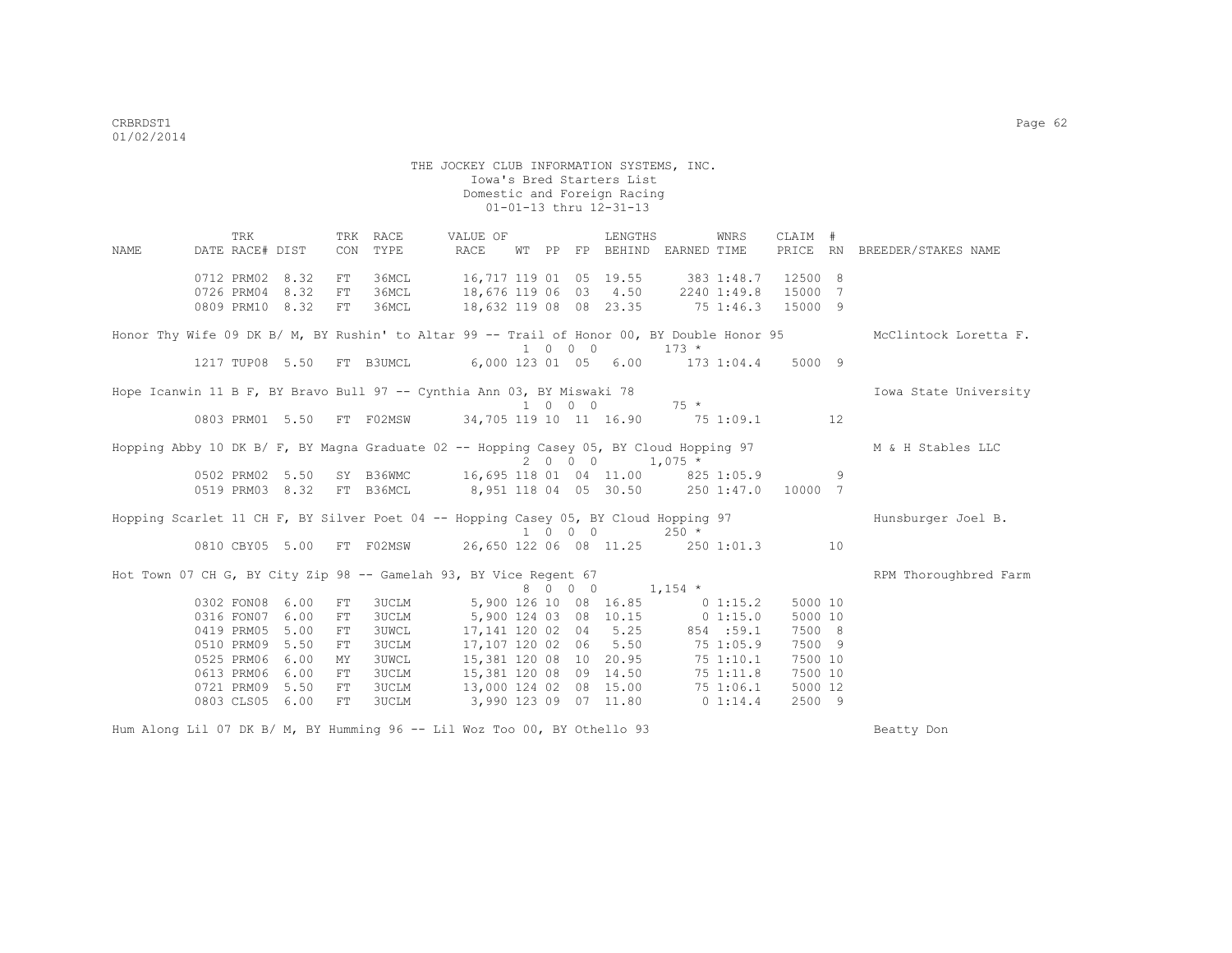|                                                                                            | TRK             |      |    | TRK RACE     | VALUE OF                                                         |  |         | LENGTHS                         |                                   | WNRS      | CLAIM # |   |                              |
|--------------------------------------------------------------------------------------------|-----------------|------|----|--------------|------------------------------------------------------------------|--|---------|---------------------------------|-----------------------------------|-----------|---------|---|------------------------------|
| NAME                                                                                       | DATE RACE# DIST |      |    | CON TYPE     | RACE                                                             |  |         |                                 | WT PP FP BEHIND EARNED TIME       |           |         |   | PRICE RN BREEDER/STAKES NAME |
|                                                                                            | 0712 PRM02 8.32 |      | FT | 36MCL        | 16,717 119 01 05 19.55 383 1:48.7                                |  |         |                                 |                                   |           | 12500 8 |   |                              |
|                                                                                            | 0726 PRM04      | 8.32 | FT | 36MCL        | 18,676 119 06 03 4.50 2240 1:49.8 15000 7                        |  |         |                                 |                                   |           |         |   |                              |
|                                                                                            | 0809 PRM10 8.32 |      | FT | 36MCL        | 18,632 119 08 08 23.35 75 1:46.3 15000 9                         |  |         |                                 |                                   |           |         |   |                              |
| Honor Thy Wife 09 DK B/ M, BY Rushin' to Altar 99 -- Trail of Honor 00, BY Double Honor 95 |                 |      |    |              |                                                                  |  | 1 0 0 0 |                                 | $173 *$                           |           |         |   | McClintock Loretta F.        |
|                                                                                            |                 |      |    |              | 1217 TUP08 5.50 FT B3UMCL 6,000 123 01 05 6.00 173 1:04.4 5000 9 |  |         |                                 |                                   |           |         |   |                              |
| Hope Icanwin 11 B F, BY Bravo Bull 97 -- Cynthia Ann 03, BY Miswaki 78                     |                 |      |    |              |                                                                  |  |         |                                 |                                   |           |         |   | Iowa State University        |
|                                                                                            |                 |      |    |              |                                                                  |  |         |                                 | $1 \t 0 \t 0 \t 0 \t 75 \t \star$ |           |         |   |                              |
|                                                                                            |                 |      |    |              | 0803 PRM01 5.50 FT F02MSW 34,705 119 10 11 16.90 75 1:09.1 12    |  |         |                                 |                                   |           |         |   |                              |
| Hopping Abby 10 DK B/ F, BY Magna Graduate 02 -- Hopping Casey 05, BY Cloud Hopping 97     |                 |      |    |              |                                                                  |  |         | $2 \t 0 \t 0 \t 1,075 \t\times$ |                                   |           |         |   | M & H Stables LLC            |
|                                                                                            | 0502 PRM02 5.50 |      |    |              | SY B36WMC 16,695 118 01 04 11.00 825 1:05.9                      |  |         |                                 |                                   |           |         | 9 |                              |
|                                                                                            | 0519 PRM03 8.32 |      |    |              | FT B36MCL 8,951 118 04 05 30.50 250 1:47.0 10000 7               |  |         |                                 |                                   |           |         |   |                              |
| Hopping Scarlet 11 CH F, BY Silver Poet 04 -- Hopping Casey 05, BY Cloud Hopping 97        |                 |      |    |              |                                                                  |  |         |                                 | $1 \t 0 \t 0 \t 250 \star$        |           |         |   | Hunsburger Joel B.           |
|                                                                                            |                 |      |    |              | 0810 CBY05 5.00 FT F02MSW 26,650 122 06 08 11.25 250 1:01.3 10   |  |         |                                 |                                   |           |         |   |                              |
| Hot Town 07 CH G, BY City Zip 98 -- Gamelah 93, BY Vice Regent 67                          |                 |      |    |              |                                                                  |  |         |                                 |                                   |           |         |   | RPM Thoroughbred Farm        |
|                                                                                            |                 |      |    |              |                                                                  |  | 8 0 0 0 |                                 | $1,154$ *                         |           |         |   |                              |
|                                                                                            | 0302 FON08 6.00 |      | FT | <b>3UCLM</b> | 5,900 126 10 08 16.85 0 1:15.2                                   |  |         |                                 |                                   |           | 5000 10 |   |                              |
|                                                                                            | 0316 FON07      | 6.00 | FT | 3UCLM        |                                                                  |  |         |                                 | 5,900 124 03 08 10.15 0 1:15.0    |           | 5000 10 |   |                              |
|                                                                                            | 0419 PRM05      | 5.00 | FT | 3UWCL        |                                                                  |  |         |                                 | 17, 141 120 02 04 5.25 854 :59.1  |           | 7500 8  |   |                              |
|                                                                                            | 0510 PRM09 5.50 |      | FT | 3UCLM        |                                                                  |  |         |                                 | 17,107 120 02 06 5.50 75 1:05.9   |           | 7500 9  |   |                              |
|                                                                                            | 0525 PRM06      | 6.00 | MY | 3UWCL        |                                                                  |  |         |                                 | 15,381 120 08 10 20.95 75 1:10.1  |           | 7500 10 |   |                              |
|                                                                                            | 0613 PRM06      | 6.00 | FТ | <b>3UCLM</b> | 15,381 120 08 09 14.50                                           |  |         |                                 |                                   | 75 1:11.8 | 7500 10 |   |                              |
|                                                                                            | 0721 PRM09 5.50 |      | FT | 3UCLM        |                                                                  |  |         |                                 | 13,000 124 02 08 15.00 75 1:06.1  |           | 5000 12 |   |                              |
|                                                                                            | 0803 CLS05 6.00 |      | FT | 3UCLM        |                                                                  |  |         | 3,990 123 09 07 11.80           | 0 1:14.4                          |           | 2500 9  |   |                              |
|                                                                                            |                 |      |    |              |                                                                  |  |         |                                 |                                   |           |         |   |                              |

Hum Along Lil 07 DK B/ M, BY Humming 96 -- Lil Woz Too 00, BY Othello 93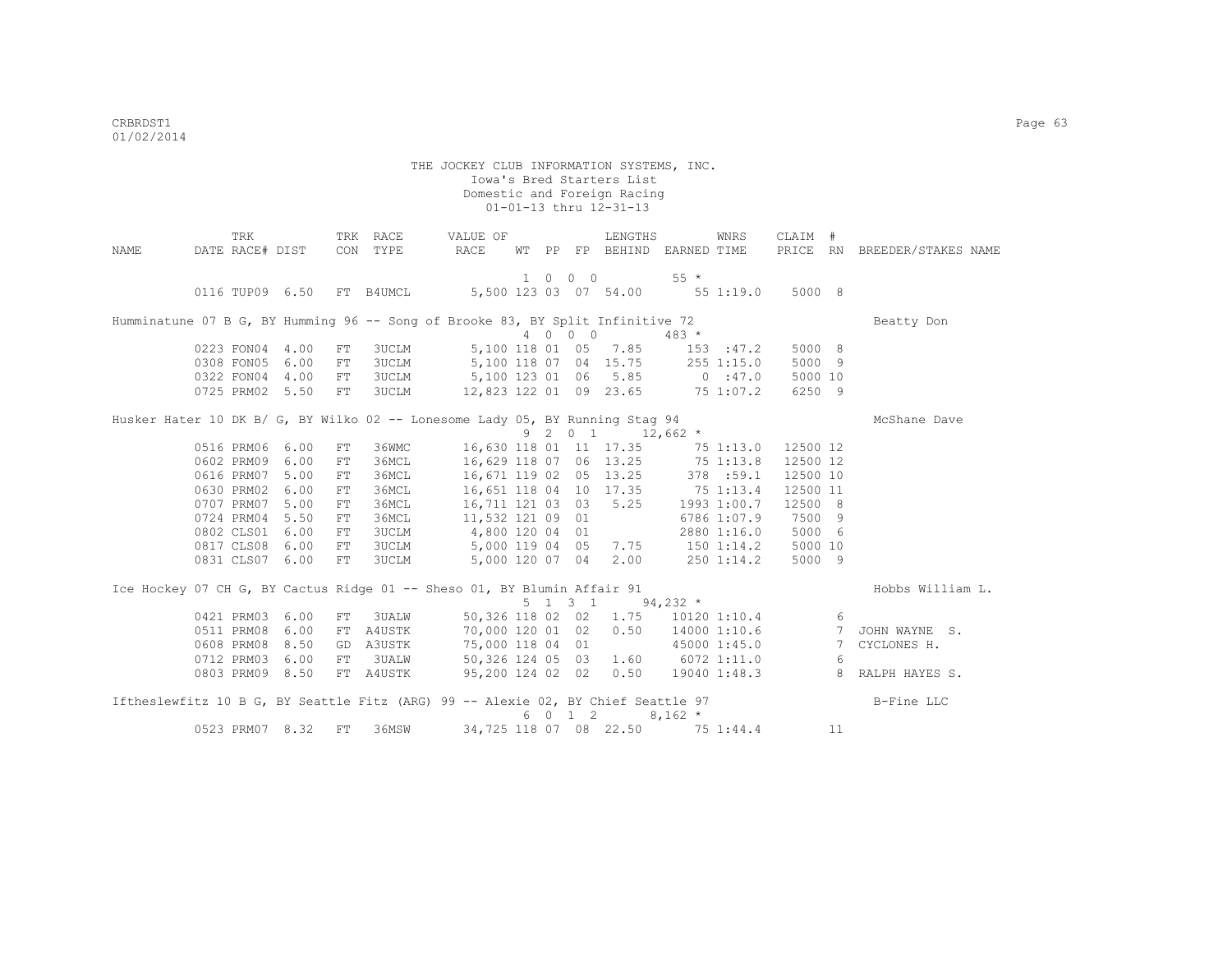| NAME | TRK<br>DATE RACE# DIST |                 |            | TRK RACE<br>CON TYPE      | VALUE OF<br>RACE                                                                 |  |                 | LENGTHS                                                 | WT PP FP BEHIND EARNED TIME               | WNRS         | CLAIM #  |     | PRICE RN BREEDER/STAKES NAME      |
|------|------------------------|-----------------|------------|---------------------------|----------------------------------------------------------------------------------|--|-----------------|---------------------------------------------------------|-------------------------------------------|--------------|----------|-----|-----------------------------------|
|      |                        |                 |            |                           |                                                                                  |  |                 |                                                         |                                           |              |          |     |                                   |
|      |                        |                 |            |                           |                                                                                  |  | 1 0 0 0         |                                                         | $55*$                                     |              |          |     |                                   |
|      |                        |                 |            | 0116 TUP09 6.50 FT B4UMCL | 5,500 123 03 07 54.00 55 1:19.0                                                  |  |                 |                                                         |                                           |              | 5000 8   |     |                                   |
|      |                        |                 |            |                           |                                                                                  |  |                 |                                                         |                                           |              |          |     |                                   |
|      |                        |                 |            |                           | Humminatune 07 B G, BY Humming 96 -- Song of Brooke 83, BY Split Infinitive 72   |  |                 |                                                         |                                           |              |          |     | Beatty Don                        |
|      |                        |                 |            |                           |                                                                                  |  | 4 0 0 0         |                                                         | $483 *$                                   |              |          |     |                                   |
|      | 0223 FON04 4.00        |                 | FT         | <b>3UCLM</b>              |                                                                                  |  |                 | 5,100 118 01 05 7.85                                    | 153 : 47.2                                |              | 5000 8   |     |                                   |
|      | 0308 FON05             | 6.00            | FT         | 3UCLM                     | 5,100 118 07 04 15.75                                                            |  |                 |                                                         | 255 1:15.0                                |              | 5000 9   |     |                                   |
|      | 0322 FON04             | 4.00            | FT         | 3UCLM                     | 5,100 123 01 06 5.85                                                             |  |                 |                                                         | 0 : 47.0                                  |              | 5000 10  |     |                                   |
|      |                        | 0725 PRM02 5.50 | ${\rm FT}$ | 3UCLM                     | 12,823 122 01 09 23.65 75 1:07.2                                                 |  |                 |                                                         |                                           |              | 6250 9   |     |                                   |
|      |                        |                 |            |                           | Husker Hater 10 DK B/ G, BY Wilko 02 -- Lonesome Lady 05, BY Running Stag 94     |  |                 |                                                         |                                           |              |          |     | McShane Dave                      |
|      |                        |                 |            |                           |                                                                                  |  |                 | $9 \quad 2 \quad 0 \quad 1 \quad 12,662 \quad ^{\star}$ |                                           |              |          |     |                                   |
|      | 0516 PRM06 6.00        |                 | FT         | 36WMC                     |                                                                                  |  |                 |                                                         | 16,630 118 01 11 17.35 75 1:13.0 12500 12 |              |          |     |                                   |
|      | 0602 PRM09 6.00        |                 | FT         | 36MCL                     |                                                                                  |  |                 |                                                         | 16,629 118 07 06 13.25 75 1:13.8          |              | 12500 12 |     |                                   |
|      | 0616 PRM07             | 5.00            | FT         | 36MCL                     |                                                                                  |  |                 | 16,671 119 02 05 13.25                                  | 378 :59.1                                 |              | 12500 10 |     |                                   |
|      | 0630 PRM02             | 6.00            | FT         | 36MCL                     |                                                                                  |  |                 | 16,651 118 04 10 17.35                                  | 75 1:13.4                                 |              | 12500 11 |     |                                   |
|      | 0707 PRM07 5.00        |                 |            | 36MCL                     | 16,711 121 03 03                                                                 |  |                 | 5.25                                                    |                                           | 1993 1:00.7  | 12500 8  |     |                                   |
|      |                        |                 | FT         |                           |                                                                                  |  |                 |                                                         |                                           |              |          |     |                                   |
|      | 0724 PRM04 5.50        |                 | FT         | 36MCL                     | 11,532 121 09 01                                                                 |  |                 |                                                         |                                           | 6786 1:07.9  | 7500 9   |     |                                   |
|      | 0802 CLS01 6.00        |                 | ${\rm FT}$ | 3UCLM                     | 4,800 120 04 01                                                                  |  |                 |                                                         |                                           | 2880 1:16.0  | 5000 6   |     |                                   |
|      | 0817 CLS08 6.00        |                 | FT         | 3UCLM                     | 5,000 119 04 05                                                                  |  |                 | 7.75                                                    | 150 1:14.2                                |              | 5000 10  |     |                                   |
|      |                        | 0831 CLS07 6.00 | FT         | <b>3UCLM</b>              | 5,000 120 07 04                                                                  |  |                 | 2.00                                                    | $250$ 1:14.2                              |              | 5000 9   |     |                                   |
|      |                        |                 |            |                           | Ice Hockey 07 CH G, BY Cactus Ridge 01 -- Sheso 01, BY Blumin Affair 91          |  |                 |                                                         |                                           |              |          |     | Hobbs William L.                  |
|      |                        |                 |            |                           |                                                                                  |  | $5 \t1 \t3 \t1$ |                                                         | $94,232$ *                                |              |          |     |                                   |
|      | 0421 PRM03 6.00        |                 |            | FT 3UALW                  | 50,326 118 02 02                                                                 |  |                 | 1.75                                                    |                                           | 10120 1:10.4 |          | - 6 |                                   |
|      | 0511 PRM08             | 6.00            |            | FT A4USTK                 | 70,000 120 01 02                                                                 |  |                 |                                                         |                                           |              |          |     | 0.50 14000 1:10.6 7 JOHN WAYNE S. |
|      | 0608 PRM08             | 8.50            |            | GD A3USTK                 | 75,000 118 04 01                                                                 |  |                 |                                                         | 45000 1:45.0                              |              |          |     | 7 CYCLONES H.                     |
|      | 0712 PRM03             | 6.00            | FT         |                           | 3UALW 50,326 124 05 03 1.60 6072 1:11.0                                          |  |                 |                                                         |                                           |              |          | - 6 |                                   |
|      |                        |                 |            |                           | 95,200 124 02 02 0.50 19040 1:48.3                                               |  |                 |                                                         |                                           |              |          |     |                                   |
|      |                        | 0803 PRM09 8.50 |            | FT A4USTK                 |                                                                                  |  |                 |                                                         |                                           |              |          |     | 8 RALPH HAYES S.                  |
|      |                        |                 |            |                           | Iftheslewfitz 10 B G, BY Seattle Fitz (ARG) 99 -- Alexie 02, BY Chief Seattle 97 |  |                 |                                                         |                                           |              |          |     | B-Fine LLC                        |
|      |                        |                 |            |                           |                                                                                  |  | 6 0 1 2         |                                                         | $8,162 *$                                 |              |          |     |                                   |
|      |                        | 0523 PRM07 8.32 | FT         | 36MSW                     |                                                                                  |  |                 | 34,725 118 07 08 22.50                                  | 75 1:44.4                                 |              |          | 11  |                                   |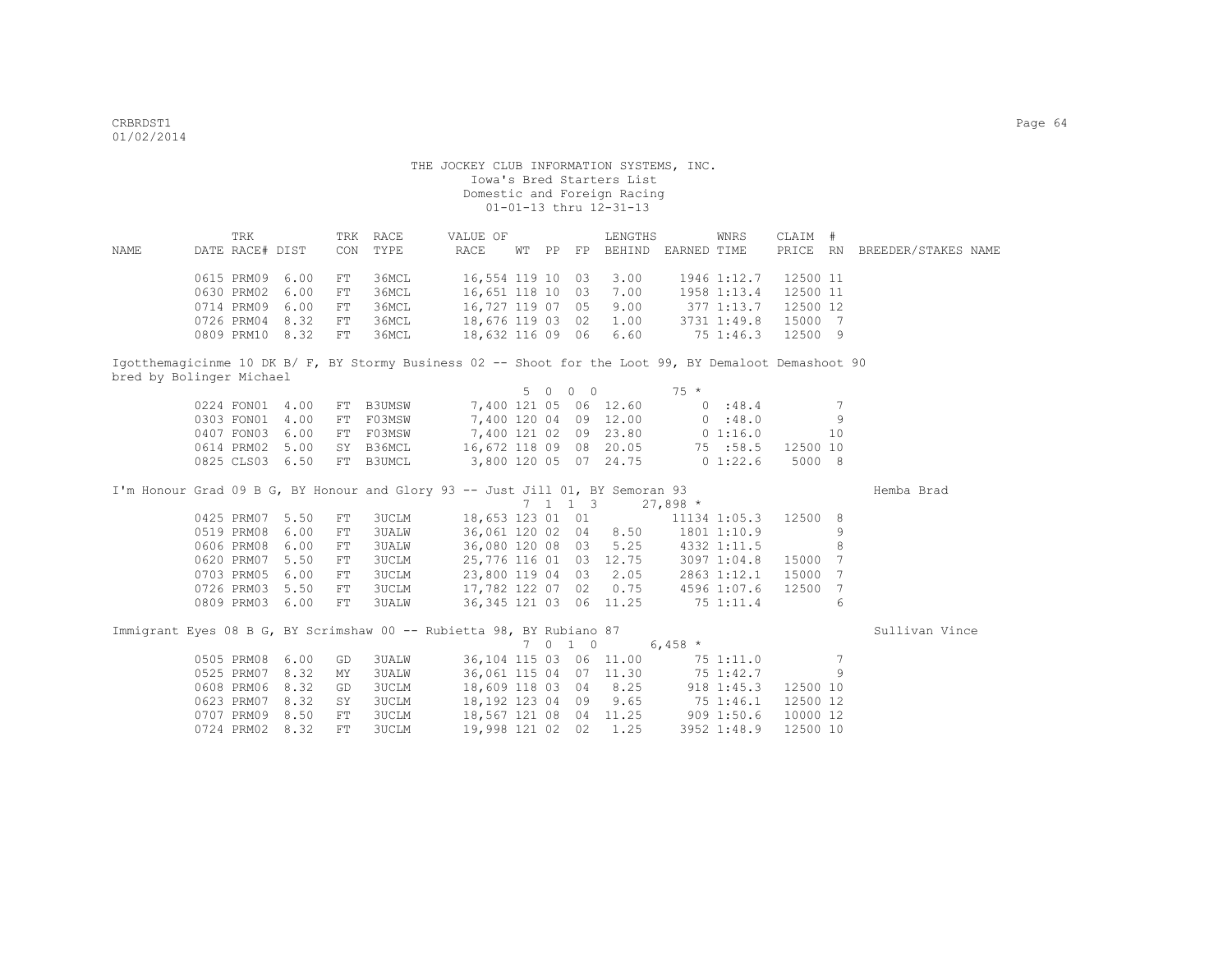| NAME                     | DATE RACE# DIST | TRK |      | CON        | TRK RACE<br>TYPE | VALUE OF<br>RACE                                                                                      | WT PP     |            | LENGTHS                | FP BEHIND EARNED TIME             | WNRS         | CLAIM #  |                 | PRICE RN BREEDER/STAKES NAME |  |
|--------------------------|-----------------|-----|------|------------|------------------|-------------------------------------------------------------------------------------------------------|-----------|------------|------------------------|-----------------------------------|--------------|----------|-----------------|------------------------------|--|
|                          |                 |     |      |            |                  |                                                                                                       |           |            |                        |                                   |              |          |                 |                              |  |
|                          | 0615 PRM09      |     | 6.00 | FT         | 36MCL            | 16,554 119 10 03                                                                                      |           |            | 3.00                   |                                   | 1946 1:12.7  | 12500 11 |                 |                              |  |
|                          | 0630 PRM02      |     | 6.00 | FT         | 36MCL            | 16,651 118 10 03                                                                                      |           |            | 7.00                   |                                   | 1958 1:13.4  | 12500 11 |                 |                              |  |
|                          | 0714 PRM09      |     | 6.00 | FT         | 36MCL            | 16,727 119 07 05                                                                                      |           |            | 9.00                   | 377 1:13.7                        |              | 12500 12 |                 |                              |  |
|                          | 0726 PRM04 8.32 |     |      | ${\rm FT}$ | 36MCL            | 18,676 119 03 02                                                                                      |           |            | 1.00                   |                                   | 3731 1:49.8  | 15000 7  |                 |                              |  |
|                          | 0809 PRM10 8.32 |     |      | FT         | 36MCL            | 18,632 116 09 06                                                                                      |           |            | 6.60                   |                                   | 751:46.3     | 12500 9  |                 |                              |  |
|                          |                 |     |      |            |                  | Igotthemagicinme 10 DK B/ F, BY Stormy Business 02 -- Shoot for the Loot 99, BY Demaloot Demashoot 90 |           |            |                        |                                   |              |          |                 |                              |  |
| bred by Bolinger Michael |                 |     |      |            |                  |                                                                                                       |           |            |                        |                                   |              |          |                 |                              |  |
|                          |                 |     |      |            |                  |                                                                                                       | $5\qquad$ | $0\quad 0$ |                        | $75 *$                            |              |          |                 |                              |  |
|                          | 0224 FON01 4.00 |     |      |            |                  | FT B3UMSW 7,400 121 05 06 12.60                                                                       |           |            |                        |                                   | 0:48.4       |          | 7               |                              |  |
|                          | 0303 FON01      |     | 4.00 | FT         | F03MSW           | 7,400 120 04 09 12.00                                                                                 |           |            |                        |                                   | 0.148.0      |          | 9               |                              |  |
|                          | 0407 FON03      |     | 6.00 | FT         | F03MSW           | 7,400 121 02 09 23.80 0 1:16.0                                                                        |           |            |                        |                                   |              |          | 10              |                              |  |
|                          | 0614 PRM02      |     | 5.00 | SY         | B36MCL           |                                                                                                       |           |            | 16,672 118 09 08 20.05 |                                   | 75 :58.5     | 12500 10 |                 |                              |  |
|                          | 0825 CLS03 6.50 |     |      |            | FT B3UMCL        |                                                                                                       |           |            |                        | 3,800 120 05 07 24.75 0 1:22.6    |              | 5000 8   |                 |                              |  |
|                          |                 |     |      |            |                  | I'm Honour Grad 09 B G, BY Honour and Glory 93 -- Just Jill 01, BY Semoran 93                         |           |            |                        |                                   |              |          |                 | Hemba Brad                   |  |
|                          |                 |     |      |            |                  |                                                                                                       |           |            | 7 1 1 3                | $27,898$ *                        |              |          |                 |                              |  |
|                          | 0425 PRM07      |     | 5.50 | ${\rm FT}$ | 3UCLM            | 18,653 123 01 01                                                                                      |           |            |                        |                                   | 11134 1:05.3 | 12500 8  |                 |                              |  |
|                          | 0519 PRM08      |     | 6.00 | FT         | <b>3UALW</b>     |                                                                                                       |           |            | 36,061 120 02 04 8.50  |                                   | 1801 1:10.9  |          | 9               |                              |  |
|                          | 0606 PRM08      |     | 6.00 | FT         | <b>3UALW</b>     | 36,080 120 08 03                                                                                      |           |            | 5.25                   |                                   | 4332 1:11.5  |          | 8               |                              |  |
|                          | 0620 PRM07      |     | 5.50 | FT         | <b>3UCLM</b>     | 25,776 116 01 03 12.75                                                                                |           |            |                        |                                   | 3097 1:04.8  | 15000 7  |                 |                              |  |
|                          | 0703 PRM05      |     | 6.00 | FT         | 3UCLM            | 23,800 119 04 03                                                                                      |           |            | 2.05                   |                                   | 2863 1:12.1  | 15000    | $\overline{7}$  |                              |  |
|                          | 0726 PRM03      |     | 5.50 | ${\rm FT}$ | <b>3UCLM</b>     | 17,782 122 07 02                                                                                      |           |            | 0.75                   |                                   | 4596 1:07.6  | 12500    | $7\phantom{.0}$ |                              |  |
|                          | 0809 PRM03      |     | 6.00 | ${\rm FT}$ | <b>3UALW</b>     |                                                                                                       |           |            |                        | 36, 345 121 03 06 11.25 75 1:11.4 |              |          | 6               |                              |  |
|                          |                 |     |      |            |                  | Immigrant Eyes 08 B G, BY Scrimshaw 00 -- Rubietta 98, BY Rubiano 87                                  |           |            |                        |                                   |              |          |                 | Sullivan Vince               |  |
|                          |                 |     |      |            |                  |                                                                                                       |           | 7010       |                        | 6,458 $*$                         |              |          |                 |                              |  |
|                          | 0505 PRM08      |     | 6.00 | GD         | <b>3UALW</b>     |                                                                                                       |           |            | 36,104 115 03 06 11.00 |                                   | 75 1:11.0    |          | 7               |                              |  |
|                          | 0525 PRM07      |     | 8.32 | MΥ         | <b>3UALW</b>     | 36,061 115 04 07 11.30                                                                                |           |            |                        | 751:42.7                          |              |          | 9               |                              |  |
|                          | 0608 PRM06      |     | 8.32 | GD         | 3UCLM            | 18,609 118 03 04 8.25                                                                                 |           |            |                        |                                   | $918$ 1:45.3 | 12500 10 |                 |                              |  |
|                          | 0623 PRM07      |     | 8.32 | SY         | 3UCLM            | 18,192 123 04 09                                                                                      |           |            | 9.65                   | 75 1:46.1                         |              | 12500 12 |                 |                              |  |
|                          | 0707 PRM09      |     | 8.50 | FT         | <b>3UCLM</b>     | 18,567 121 08 04 11.25                                                                                |           |            |                        | 909 1:50.6                        |              | 10000 12 |                 |                              |  |
|                          | 0724 PRM02      |     | 8.32 | FT         | <b>3UCLM</b>     | 19,998 121 02 02                                                                                      |           |            | 1.25                   |                                   | 3952 1:48.9  | 12500 10 |                 |                              |  |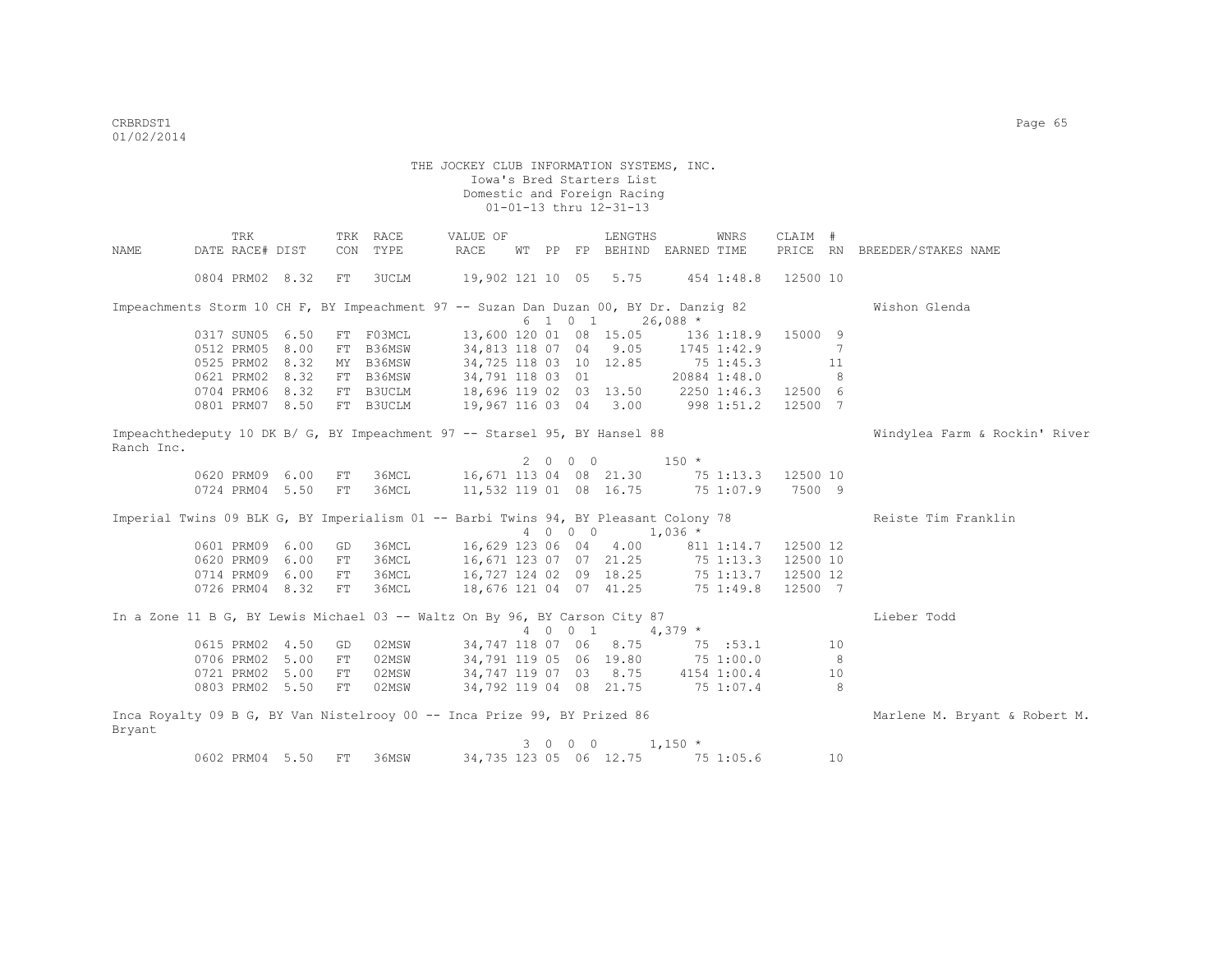|            | TRK             |                 | TRK | RACE                                                                                  | VALUE OF                         |         | LENGTHS                                    |              | WNRS                | CLAIM #  |    |                               |
|------------|-----------------|-----------------|-----|---------------------------------------------------------------------------------------|----------------------------------|---------|--------------------------------------------|--------------|---------------------|----------|----|-------------------------------|
| NAME       | DATE RACE# DIST |                 | CON | TYPE                                                                                  | RACE                             |         | WT PP FP BEHIND EARNED TIME                |              |                     | PRICE RN |    | BREEDER/STAKES NAME           |
|            | 0804 PRM02 8.32 |                 | FT  | 3UCLM                                                                                 | 19,902 121 10 05 5.75            |         |                                            |              | 454 1:48.8          | 12500 10 |    |                               |
|            |                 |                 |     | Impeachments Storm 10 CH F, BY Impeachment 97 -- Suzan Dan Duzan 00, BY Dr. Danzig 82 |                                  |         |                                            |              |                     |          |    | Wishon Glenda                 |
|            |                 |                 |     |                                                                                       |                                  |         | $6 \quad 1 \quad 0 \quad 1 \quad 26,088$ * |              |                     |          |    |                               |
|            | 0317 SUN05 6.50 |                 |     | FT FO3MCL                                                                             |                                  |         | 13,600 120 01 08 15.05                     |              | 136 1:18.9          | 15000 9  |    |                               |
|            |                 | 0512 PRM05 8.00 |     | FT B36MSW                                                                             | 34,813 118 07 04 9.05            |         |                                            |              | 1745 1:42.9         |          | 7  |                               |
|            |                 | 0525 PRM02 8.32 |     | MY B36MSW                                                                             | 34,725 118 03 10 12.85           |         |                                            | 75 1:45.3    |                     |          | 11 |                               |
|            |                 | 0621 PRM02 8.32 |     | FT B36MSW                                                                             | 34,791 118 03 01                 |         |                                            | 20884 1:48.0 |                     |          | -8 |                               |
|            |                 | 0704 PRM06 8.32 |     | FT B3UCLM                                                                             | 18,696 119 02 03 13.50           |         |                                            |              | 2250 1:46.3         | 12500 6  |    |                               |
|            |                 | 0801 PRM07 8.50 |     | FT B3UCLM                                                                             | 19,967 116 03 04 3.00            |         |                                            | 9981:51.2    |                     | 12500 7  |    |                               |
| Ranch Inc. |                 |                 |     | Impeachthedeputy 10 DK B/ G, BY Impeachment 97 -- Starsel 95, BY Hansel 88            |                                  |         |                                            |              |                     |          |    | Windylea Farm & Rockin' River |
|            |                 |                 |     |                                                                                       |                                  | 2000    |                                            | $150 *$      |                     |          |    |                               |
|            |                 | 0620 PRM09 6.00 | FT  | 36MCL                                                                                 | 16,671 113 04 08 21.30 75 1:13.3 |         |                                            |              |                     | 12500 10 |    |                               |
|            |                 | 0724 PRM04 5.50 | FT  | 36MCL                                                                                 | 11,532 119 01 08 16.75           |         |                                            |              | 75 1:07.9           | 7500 9   |    |                               |
|            |                 |                 |     | Imperial Twins 09 BLK G, BY Imperialism 01 -- Barbi Twins 94, BY Pleasant Colony 78   |                                  |         |                                            |              |                     |          |    | Reiste Tim Franklin           |
|            |                 |                 |     |                                                                                       |                                  | 4 0 0 0 |                                            | $1,036$ *    |                     |          |    |                               |
|            | 0601 PRM09 6.00 |                 | GD  | 36MCL                                                                                 | 16,629 123 06 04 4.00            |         |                                            |              | 811 1:14.7 12500 12 |          |    |                               |
|            | 0620 PRM09 6.00 |                 | FT  | 36MCL                                                                                 | 16,671 123 07 07 21.25           |         |                                            |              | 75 1:13.3           | 12500 10 |    |                               |
|            |                 | 0714 PRM09 6.00 | FT  | 36MCL                                                                                 | 16,727 124 02 09 18.25           |         |                                            |              | 75 1:13.7           | 12500 12 |    |                               |
|            |                 | 0726 PRM04 8.32 | FT  | 36MCL                                                                                 | 18,676 121 04 07 41.25           |         |                                            |              | 75 1:49.8           | 12500 7  |    |                               |
|            |                 |                 |     | In a Zone 11 B G, BY Lewis Michael 03 -- Waltz On By 96, BY Carson City 87            |                                  |         | 4 0 0 1 4,379 *                            |              |                     |          |    | Lieber Todd                   |
|            | 0615 PRM02 4.50 |                 | GD  | 02MSW                                                                                 |                                  |         | 34,747 118 07 06 8.75                      |              | 75 :53.1            |          | 10 |                               |
|            | 0706 PRM02 5.00 |                 | FT  | 02MSW                                                                                 |                                  |         | 34,791 119 05 06 19.80                     | 75 1:00.0    |                     |          | 8  |                               |
|            | 0721 PRM02 5.00 |                 | FT  | 02MSW                                                                                 | 34,747 119 07 03 8.75            |         |                                            | 4154 1:00.4  |                     |          | 10 |                               |
|            |                 | 0803 PRM02 5.50 | FT  | 02MSW                                                                                 | 34,792 119 04 08 21.75           |         |                                            |              | 75 1:07.4           |          | 8  |                               |
| Bryant     |                 |                 |     | Inca Royalty 09 B G, BY Van Nistelrooy 00 -- Inca Prize 99, BY Prized 86              |                                  |         |                                            |              |                     |          |    | Marlene M. Bryant & Robert M. |
|            |                 |                 |     |                                                                                       |                                  | 3 0 0 0 |                                            | $1,150$ *    |                     |          |    |                               |
|            |                 | 0602 PRM04 5.50 | FT  | 36MSW                                                                                 |                                  |         | 34,735 123 05 06 12.75                     |              | 75 1:05.6           |          | 10 |                               |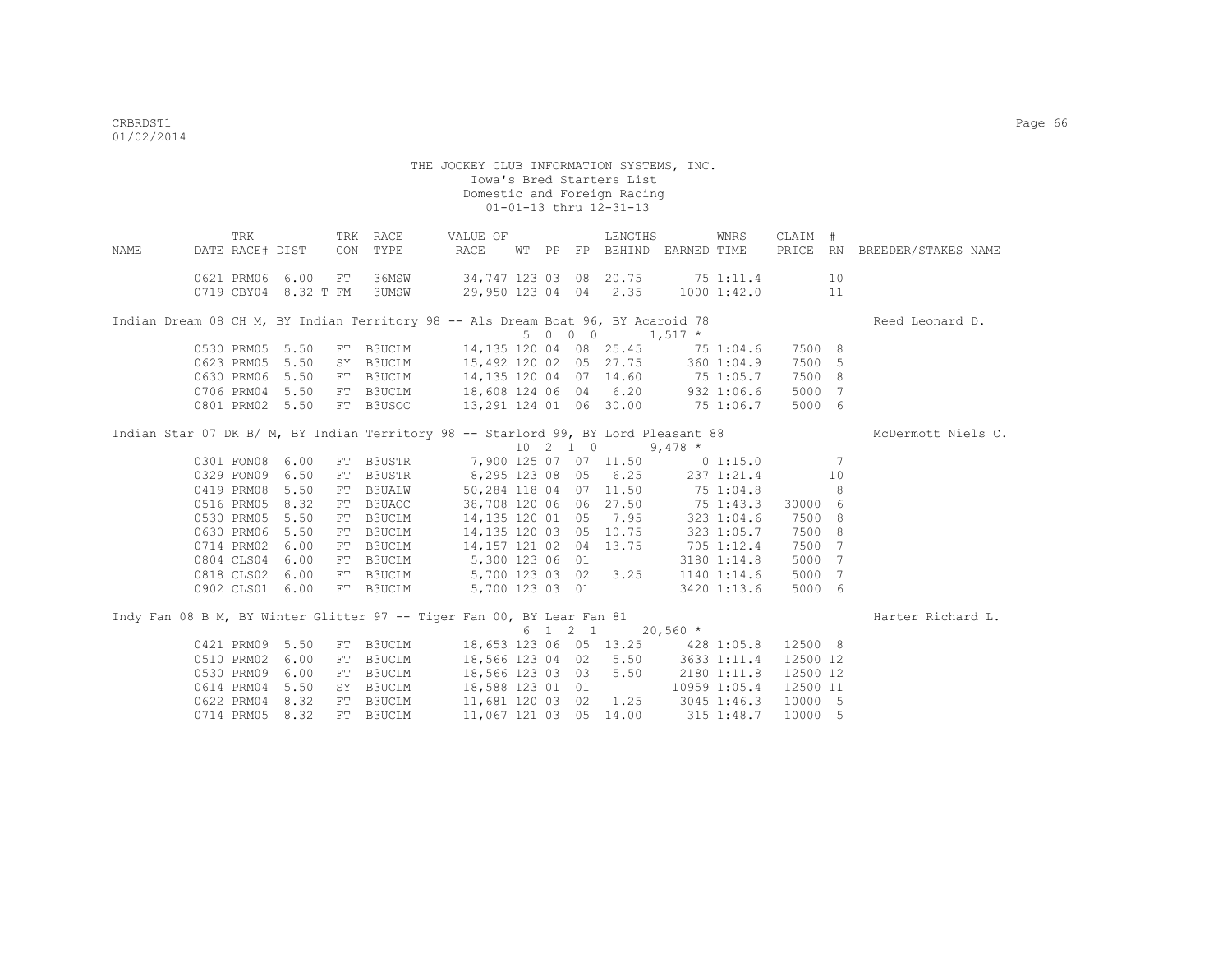| NAME | DATE RACE# DIST                    | TRK |                                         | CON | TRK RACE<br>TYPE | VALUE OF<br>RACE                                                                                                                       |  |                  | LENGTHS<br>WT PP FP BEHIND EARNED TIME |              | WNRS        | CLAIM #            |                 | PRICE RN BREEDER/STAKES NAME |
|------|------------------------------------|-----|-----------------------------------------|-----|------------------|----------------------------------------------------------------------------------------------------------------------------------------|--|------------------|----------------------------------------|--------------|-------------|--------------------|-----------------|------------------------------|
|      |                                    |     | 0621 PRM06 6.00<br>0719 CBY04 8.32 T FM | FT  | 36MSW<br>3UMSW   | 34,747 123 03 08 20.75 75 1:11.4<br>29,950 123 04 04 2.35 1000 1:42.0                                                                  |  |                  |                                        |              |             |                    | 10<br>11        |                              |
|      |                                    |     |                                         |     |                  | Indian Dream 08 CH M, BY Indian Territory 98 -- Als Dream Boat 96, BY Acaroid 78                                                       |  |                  |                                        |              |             |                    |                 | Reed Leonard D.              |
|      |                                    |     |                                         |     |                  |                                                                                                                                        |  | 5 0 0 0          |                                        | $1,517$ *    |             |                    |                 |                              |
|      | 0530 PRM05 5.50<br>0623 PRM05 5.50 |     |                                         |     | FT B3UCLM        | 15,492 120 02 05 27.75                                                                                                                 |  |                  | 14, 135 120 04 08 25.45 75 1:04.6      |              |             | 7500 8<br>7500 5   |                 |                              |
|      | 0630 PRM06 5.50                    |     |                                         |     | SY B3UCLM        |                                                                                                                                        |  |                  |                                        |              | 360 1:04.9  | 7500 8             |                 |                              |
|      | 0706 PRM04 5.50                    |     |                                         |     | FT B3UCLM        | FT B3UCLM 14,135 120 04 07 14.60 75 1:05.7<br>FT B3UCLM 18,608 124 06 04 6.20 932 1:06.6<br>FT B3USOC 13,291 124 01 06 30.00 75 1:06.7 |  |                  |                                        |              |             | 5000               | $7\phantom{.0}$ |                              |
|      |                                    |     | 0801 PRM02 5.50                         |     | FT B3USOC        |                                                                                                                                        |  |                  |                                        |              |             | 5000 6             |                 |                              |
|      |                                    |     |                                         |     |                  |                                                                                                                                        |  |                  |                                        |              |             |                    |                 |                              |
|      |                                    |     |                                         |     |                  | Indian Star 07 DK B/ M, BY Indian Territory 98 -- Starlord 99, BY Lord Pleasant 88                                                     |  |                  |                                        |              |             |                    |                 | McDermott Niels C.           |
|      |                                    |     |                                         |     |                  |                                                                                                                                        |  | $10 \t2 \t1 \t0$ |                                        | $9,478$ *    |             |                    |                 |                              |
|      | 0301 FON08 6.00                    |     |                                         |     |                  | FT B3USTR 7,900 125 07 07 11.50                                                                                                        |  |                  |                                        |              | 0 1:15.0    |                    | 7               |                              |
|      | 0329 FON09 6.50                    |     |                                         |     |                  | FT B3USTR 8,295 123 08 05 6.25                                                                                                         |  |                  |                                        |              | 237 1:21.4  |                    | 10              |                              |
|      | 0419 PRM08                         |     | 5.50                                    |     |                  | FT B3UALW 50,284 118 04 07 11.50 75 1:04.8                                                                                             |  |                  |                                        |              |             |                    | 8               |                              |
|      | 0516 PRM05 8.32                    |     |                                         |     | FT B3UAOC        | 38,708 120 06 06 27.50 75 1:43.3<br>14,135 120 01 05 7.95 323 1:04.6<br>14,135 120 03 05 10.75 323 1:05.7                              |  |                  |                                        |              |             | 30000 6            |                 |                              |
|      | 0530 PRM05                         |     | 5.50                                    |     | FT B3UCLM        |                                                                                                                                        |  |                  |                                        |              |             | 7500 8             |                 |                              |
|      | 0630 PRM06                         |     | 5.50                                    |     | FT B3UCLM        |                                                                                                                                        |  |                  |                                        |              |             | 7500 8             |                 |                              |
|      | 0714 PRM02 6.00                    |     |                                         |     |                  | FT B3UCLM 14,157 121 02 04 13.75 705 1:12.4                                                                                            |  |                  |                                        |              |             | 7500               | 7               |                              |
|      | 0804 CLS04                         |     | 6.00                                    |     |                  | FT B3UCLM 5,300 123 06 01                                                                                                              |  |                  |                                        |              | 3180 1:14.8 | 5000               | $7\phantom{.0}$ |                              |
|      | 0818 CLS02                         |     | 6.00                                    |     |                  | FT B3UCLM 5,700 123 03 02 3.25 1140 1:14.6                                                                                             |  |                  |                                        |              |             | 5000               | 7               |                              |
|      | 0902 CLS01 6.00                    |     |                                         |     | FT B3UCLM        |                                                                                                                                        |  |                  | 5,700 123 03 01                        |              | 3420 1:13.6 | 5000 6             |                 |                              |
|      |                                    |     |                                         |     |                  |                                                                                                                                        |  |                  |                                        |              |             |                    |                 |                              |
|      |                                    |     |                                         |     |                  | Indy Fan 08 B M, BY Winter Glitter 97 -- Tiger Fan 00, BY Lear Fan 81                                                                  |  |                  |                                        |              |             |                    |                 | Harter Richard L.            |
|      |                                    |     |                                         |     |                  |                                                                                                                                        |  | 6 1 2 1          |                                        | $20,560$ *   |             |                    |                 |                              |
|      | 0421 PRM09 5.50                    |     |                                         |     | FT B3UCLM        | 18,566 123 04 02 5.50 3633 1:11.4                                                                                                      |  |                  | 18,653 123 06 05 13.25 428 1:05.8      |              |             | 12500 8            |                 |                              |
|      | 0510 PRM02<br>0530 PRM09           |     | 6.00                                    |     | FT B3UCLM        |                                                                                                                                        |  |                  |                                        |              |             | 12500 12           |                 |                              |
|      |                                    |     | 6.00                                    |     | FT B3UCLM        | 18,566 123 03 03 5.50                                                                                                                  |  |                  |                                        | 2180 1:11.8  |             | 12500 12           |                 |                              |
|      | 0614 PRM04                         |     | 5.50                                    |     | SY B3UCLM        | 18,588 123 01 01                                                                                                                       |  |                  |                                        | 10959 1:05.4 |             | 12500 11           |                 |                              |
|      | 0622 PRM04<br>0714 PRM05 8.32      |     | 8.32                                    |     | FT B3UCLM        | 11,681 120 03 02 1.25 3045 1:46.3                                                                                                      |  |                  |                                        |              |             | 10000 5<br>10000 5 |                 |                              |
|      |                                    |     |                                         |     | FT B3UCLM        | 11,067 121 03 05 14.00 315 1:48.7                                                                                                      |  |                  |                                        |              |             |                    |                 |                              |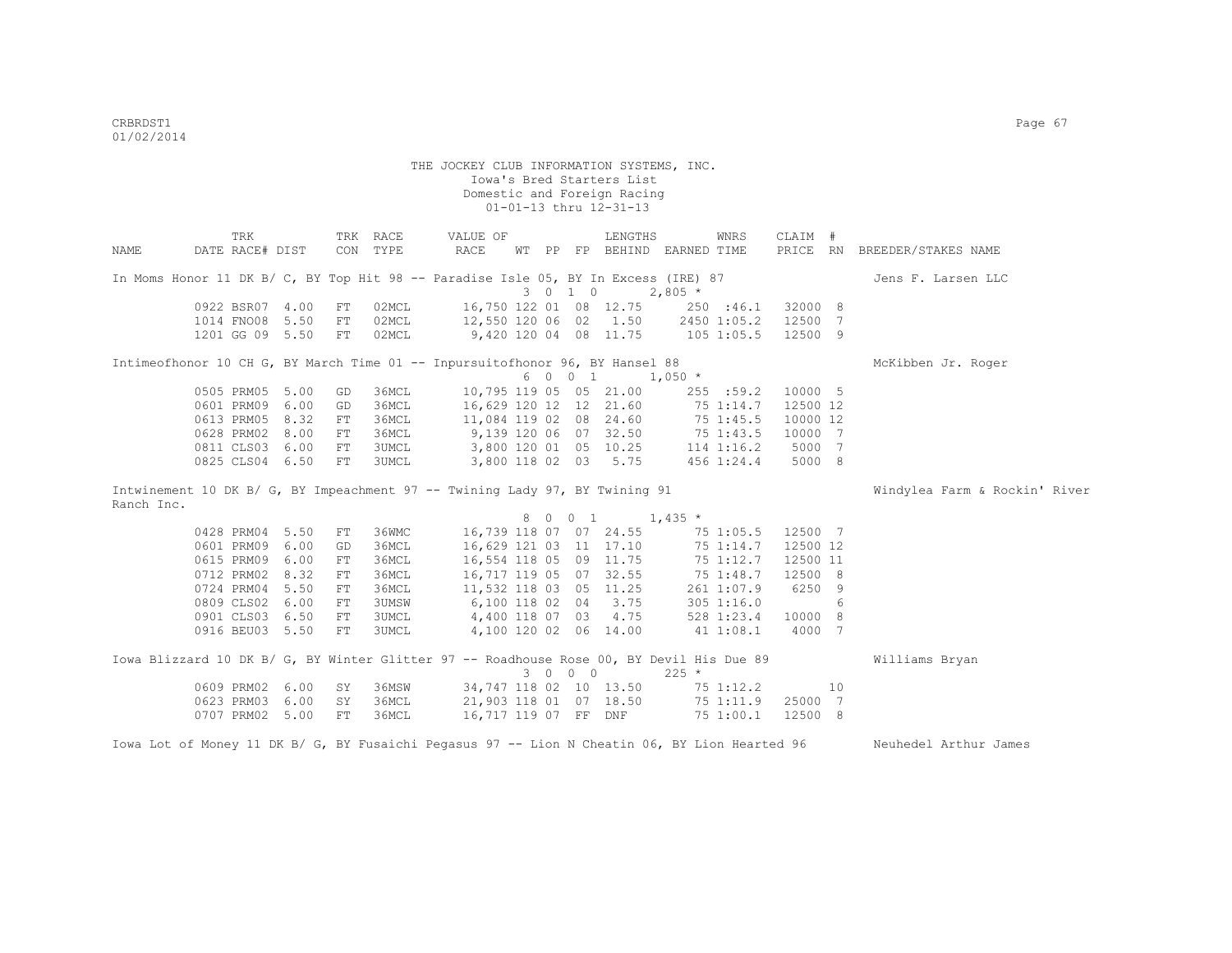|                                                                                          | TRK                                |          | TRK RACE       | VALUE OF                                         |  |         | LENGTHS                     |                | WNRS                   | CLAIM #  |    |                               |
|------------------------------------------------------------------------------------------|------------------------------------|----------|----------------|--------------------------------------------------|--|---------|-----------------------------|----------------|------------------------|----------|----|-------------------------------|
| NAME                                                                                     | DATE RACE# DIST                    | CON      | TYPE           | RACE                                             |  |         | WT PP FP BEHIND EARNED TIME |                |                        | PRICE RN |    | BREEDER/STAKES NAME           |
| In Moms Honor 11 DK B/ C, BY Top Hit 98 -- Paradise Isle 05, BY In Excess (IRE) 87       |                                    |          |                |                                                  |  | 3 0 1 0 |                             | $2,805$ *      |                        |          |    | Jens F. Larsen LLC            |
|                                                                                          | 0922 BSR07 4.00                    | FT       | 02MCL          | 16,750 122 01 08 12.75                           |  |         |                             |                | 250 :46.1              | 32000 8  |    |                               |
|                                                                                          | 1014 FNO08 5.50                    | FT       | 02MCL          | 12,550 120 06 02 1.50                            |  |         |                             |                | 2450 1:05.2            | 12500 7  |    |                               |
|                                                                                          | 1201 GG 09 5.50                    | FT       | 02MCL          | 9,420 120 04 08 11.75                            |  |         |                             | $105$ $1:05.5$ |                        | 12500 9  |    |                               |
| Intimeofhonor 10 CH G, BY March Time 01 -- Inpursuitofhonor 96, BY Hansel 88             |                                    |          |                |                                                  |  |         |                             |                |                        |          |    | McKibben Jr. Roger            |
|                                                                                          |                                    |          |                |                                                  |  |         | 6 0 0 1 1,050 *             |                |                        |          |    |                               |
|                                                                                          | 0505 PRM05 5.00                    | GD       | 36MCL          | 10,795 119 05 05 21.00                           |  |         |                             |                | 255 : 59.2             | 10000 5  |    |                               |
|                                                                                          | 0601 PRM09 6.00                    | GD       | 36MCL          | 16,629 120 12 12 21.60                           |  |         |                             |                | 75 1:14.7              | 12500 12 |    |                               |
|                                                                                          | 0613 PRM05 8.32                    | FT       | 36MCL          | 11,084 119 02 08 24.60                           |  |         |                             |                | 75 1:45.5              | 10000 12 |    |                               |
|                                                                                          | 0628 PRM02 8.00                    | FT       | 36MCL          | 9,139 120 06 07 32.50                            |  |         |                             |                | 75 1:43.5              | 10000 7  |    |                               |
|                                                                                          | 0811 CLS03 6.00                    | FT       | 3UMCL          | 3,800 120 01 05 10.25                            |  |         |                             |                | $114$ $1:16.2$         | 5000 7   |    |                               |
|                                                                                          | 0825 CLS04 6.50                    | FT       | 3UMCL          | 3,800 118 02 03 5.75                             |  |         |                             |                | 456 1:24.4             | 5000 8   |    |                               |
| Intwinement 10 DK B/ G, BY Impeachment 97 -- Twining Lady 97, BY Twining 91              |                                    |          |                |                                                  |  |         |                             |                |                        |          |    | Windylea Farm & Rockin' River |
| Ranch Inc.                                                                               |                                    |          |                |                                                  |  |         |                             |                |                        |          |    |                               |
|                                                                                          | 0428 PRM04 5.50                    | FT       | 36WMC          |                                                  |  | 8 0 0 1 | 16,739 118 07 07 24.55      | $1,435$ *      |                        | 12500 7  |    |                               |
|                                                                                          | 0601 PRM09 6.00                    |          | 36MCL          |                                                  |  |         |                             |                | 75 1:05.5              |          |    |                               |
|                                                                                          |                                    | GD       |                |                                                  |  |         |                             |                |                        |          |    |                               |
|                                                                                          |                                    |          |                |                                                  |  |         | 16,629 121 03 11 17.10      |                | 75 1:14.7              | 12500 12 |    |                               |
|                                                                                          | 0615 PRM09 6.00                    | FT       | 36MCL          | 16,554 118 05 09 11.75                           |  |         |                             |                | 75 1:12.7              | 12500 11 |    |                               |
|                                                                                          | 0712 PRM02 8.32                    | FT       | 36MCL          | 16,717 119 05 07 32.55                           |  |         |                             |                | 75 1:48.7              | 12500 8  |    |                               |
|                                                                                          | 0724 PRM04 5.50                    | FT       | 36MCL          | 11,532 118 03 05 11.25                           |  |         |                             |                | 261 1:07.9             | 6250 9   |    |                               |
|                                                                                          | 0809 CLS02 6.00                    | FT       | 3UMSW          | 6,100 118 02 04 3.75                             |  |         |                             |                | 305 1:16.0             |          | 6  |                               |
|                                                                                          | 0901 CLS03 6.50                    | FT       | 3UMCL          | 4,400 118 07 03 4.75                             |  |         |                             |                | 528 1:23.4             | 10000 8  |    |                               |
|                                                                                          | 0916 BEU03 5.50                    | FT       | 3UMCL          |                                                  |  |         | 4,100 120 02 06 14.00       |                | 41 1:08.1              | 4000 7   |    |                               |
| Iowa Blizzard 10 DK B/ G, BY Winter Glitter 97 -- Roadhouse Rose 00, BY Devil His Due 89 |                                    |          |                |                                                  |  |         |                             |                |                        |          |    | Williams Bryan                |
|                                                                                          |                                    |          |                |                                                  |  | 3 0 0 0 |                             | $225 *$        |                        |          |    |                               |
|                                                                                          | 0609 PRM02 6.00<br>0623 PRM03 6.00 | SY<br>SY | 36MSW<br>36MCL | 34,747 118 02 10 13.50<br>21,903 118 01 07 18.50 |  |         |                             |                | 75 1:12.2<br>75 1:11.9 | 25000 7  | 10 |                               |

Iowa Lot of Money 11 DK B/ G, BY Fusaichi Pegasus 97 -- Lion N Cheatin 06, BY Lion Hearted 96 Neuhedel Arthur James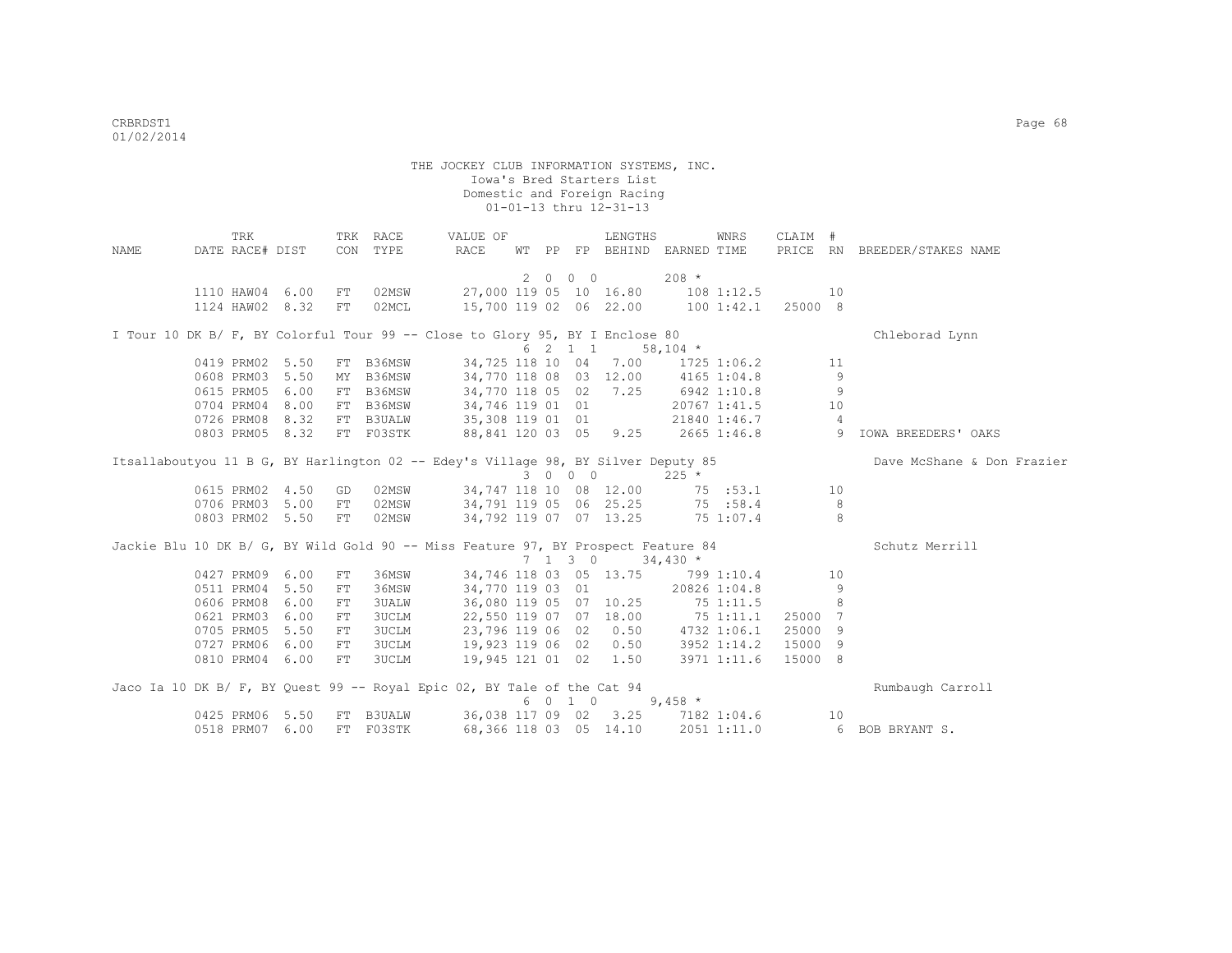| NAME | TRK<br>DATE RACE# DIST |                 |            | TRK RACE<br>CON TYPE | VALUE OF<br>RACE                                                                  |  |                          | LENGTHS                | WT PP FP BEHIND EARNED TIME        | WNRS         | CLAIM # |                | PRICE RN BREEDER/STAKES NAME |
|------|------------------------|-----------------|------------|----------------------|-----------------------------------------------------------------------------------|--|--------------------------|------------------------|------------------------------------|--------------|---------|----------------|------------------------------|
|      |                        |                 |            |                      |                                                                                   |  | $2\quad 0\quad 0\quad 0$ |                        | $208 *$                            |              |         |                |                              |
|      | 1110 HAW04 6.00        |                 | ${\rm FT}$ | 02MSW                |                                                                                   |  |                          |                        | 27,000 119 05 10 16.80 108 1:12.5  |              |         | 10             |                              |
|      | 1124 HAW02 8.32        |                 | FT         | 02MCL                |                                                                                   |  |                          |                        | 15,700 119 02 06 22.00 100 1:42.1  |              | 25000 8 |                |                              |
|      |                        |                 |            |                      |                                                                                   |  |                          |                        |                                    |              |         |                |                              |
|      |                        |                 |            |                      | I Tour 10 DK B/ F, BY Colorful Tour 99 -- Close to Glory 95, BY I Enclose 80      |  |                          |                        |                                    |              |         |                | Chleborad Lynn               |
|      |                        |                 |            |                      |                                                                                   |  |                          | 6 2 1 1                | $58,104$ *                         |              |         |                |                              |
|      | 0419 PRM02 5.50        |                 |            | FT B36MSW            | 34,725 118 10 04 7.00                                                             |  |                          |                        |                                    | 1725 1:06.2  |         | 11             |                              |
|      | 0608 PRM03 5.50        |                 |            | MY B36MSW            |                                                                                   |  |                          |                        | 34,770 118 08 03 12.00 4165 1:04.8 |              |         | 9              |                              |
|      | 0615 PRM05             | 6.00            |            | FT B36MSW            | 34,770 118 05 02 7.25                                                             |  |                          |                        | 6942 1:10.8                        |              |         | 9              |                              |
|      | 0704 PRM04             | 8.00            |            | FT B36MSW            | 34,746 119 01 01                                                                  |  |                          |                        |                                    | 20767 1:41.5 |         | 10             |                              |
|      | 0726 PRM08             | 8.32            |            | FT B3UALW            | 35,308 119 01 01                                                                  |  |                          |                        |                                    | 21840 1:46.7 |         | $\overline{4}$ |                              |
|      | 0803 PRM05 8.32        |                 |            | FT F03STK            | 88,841 120 03 05 9.25                                                             |  |                          |                        |                                    | 2665 1:46.8  | 54.54   |                | IOWA BREEDERS' OAKS          |
|      |                        |                 |            |                      | Itsallaboutyou 11 B G, BY Harlington 02 -- Edey's Village 98, BY Silver Deputy 85 |  |                          |                        |                                    |              |         |                | Dave McShane & Don Frazier   |
|      |                        |                 |            |                      |                                                                                   |  | 3 0 0 0                  |                        | $225$ *                            |              |         |                |                              |
|      |                        | 0615 PRM02 4.50 | GD         | 02MSW                | 34,747 118 10 08 12.00                                                            |  |                          |                        |                                    | 75 : 53.1    |         | 10             |                              |
|      | 0706 PRM03 5.00        |                 | FT         | 02MSW                | 34,791 119 05 06 25.25                                                            |  |                          |                        |                                    | 75 :58.4     |         | 8              |                              |
|      | 0803 PRM02 5.50        |                 | FT         | 02MSW                | 34,792 119 07 07 13.25                                                            |  |                          |                        |                                    | 75 1:07.4    |         | -8             |                              |
|      |                        |                 |            |                      |                                                                                   |  |                          |                        |                                    |              |         |                |                              |
|      |                        |                 |            |                      | Jackie Blu 10 DK B/ G, BY Wild Gold 90 -- Miss Feature 97, BY Prospect Feature 84 |  |                          |                        |                                    |              |         |                | Schutz Merrill               |
|      |                        |                 |            |                      |                                                                                   |  | $7\quad 1\quad 3\quad 0$ |                        | $34,430*$                          |              |         |                |                              |
|      | 0427 PRM09 6.00        |                 | FT         | 36MSW                |                                                                                   |  |                          |                        | 34,746 118 03 05 13.75 799 1:10.4  |              |         | 10             |                              |
|      | 0511 PRM04 5.50        |                 | FT         | 36MSW                | 34,770 119 03 01                                                                  |  |                          |                        |                                    | 20826 1:04.8 |         | 9              |                              |
|      | 0606 PRM08             | 6.00            | FT         | <b>3UALW</b>         |                                                                                   |  |                          | 36,080 119 05 07 10.25 | 75 1:11.5                          |              |         | 8              |                              |
|      | 0621 PRM03             | 6.00            | FT         | <b>3UCLM</b>         | 22,550 119 07 07 18.00                                                            |  |                          |                        | 751:11.1                           |              | 25000 7 |                |                              |
|      | 0705 PRM05             | 5.50            | FT         | 3UCLM                | 23,796 119 06 02                                                                  |  |                          | 0.50                   |                                    | 4732 1:06.1  | 25000 9 |                |                              |
|      | 0727 PRM06             | 6.00            | FT         | 3UCLM                | 19,923 119 06 02                                                                  |  |                          | 0.50                   |                                    | 3952 1:14.2  | 15000 9 |                |                              |
|      | 0810 PRM04 6.00        |                 | FT         | 3UCLM                | 19,945 121 01 02                                                                  |  |                          | 1.50                   |                                    | 3971 1:11.6  | 15000 8 |                |                              |
|      |                        |                 |            |                      | Jaco Ia 10 DK B/ F, BY Quest 99 -- Royal Epic 02, BY Tale of the Cat 94           |  |                          |                        |                                    |              |         |                | Rumbaugh Carroll             |
|      |                        |                 |            |                      |                                                                                   |  | 6 0 1 0                  |                        | 9,458 $*$                          |              |         |                |                              |
|      |                        | 0425 PRM06 5.50 |            | FT B3UALW            |                                                                                   |  |                          |                        | 36,038 117 09 02 3.25 7182 1:04.6  |              |         | 10             |                              |
|      | 0518 PRM07 6.00        |                 |            | FT F03STK            |                                                                                   |  |                          |                        | 68,366 118 03 05 14.10 2051 1:11.0 |              |         |                | 6 BOB BRYANT S.              |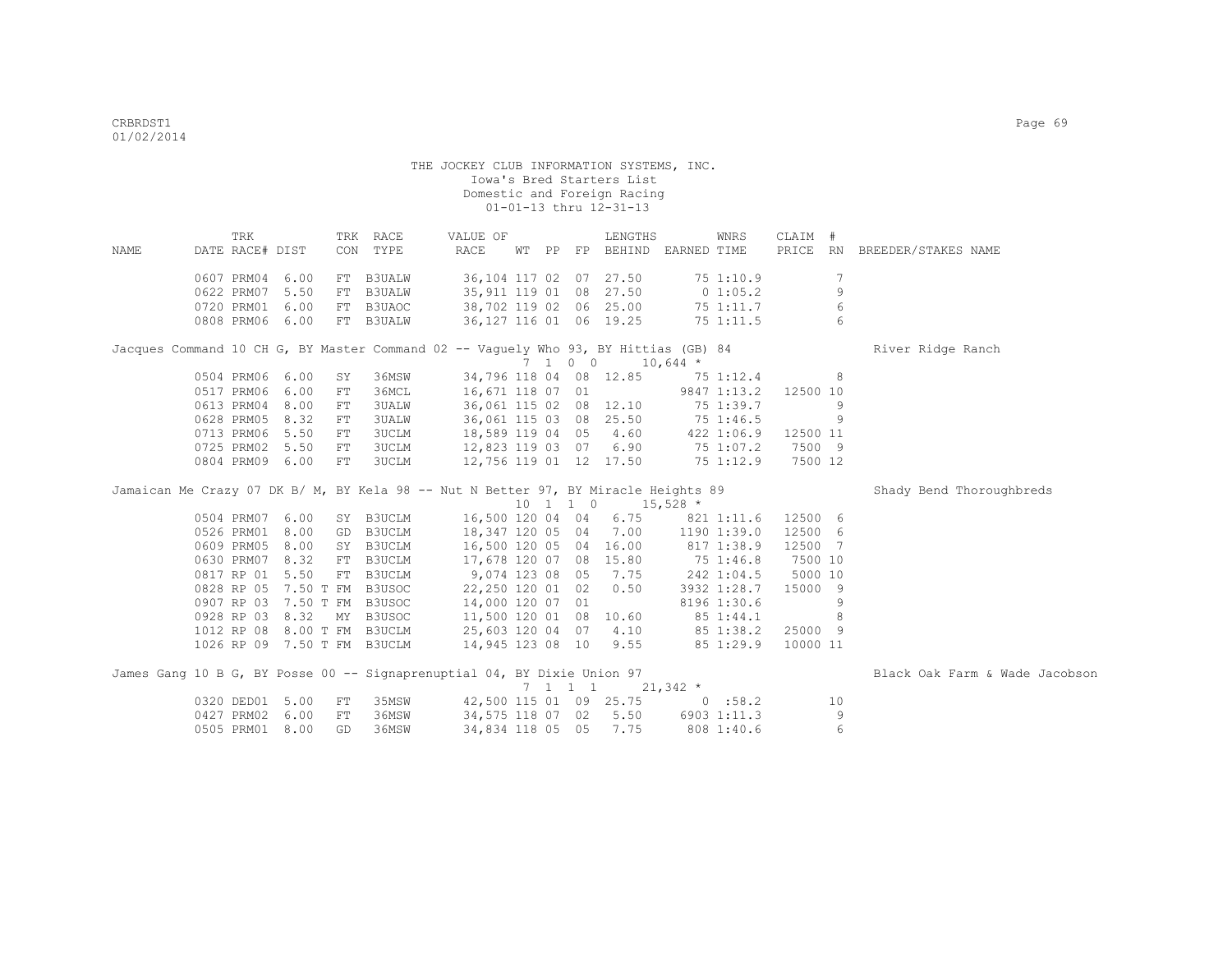|      | TRK             |                             |            | TRK RACE      | VALUE OF                                                                            |  |         | LENGTHS                                                  |            | WNRS         | CLAIM #  |             |                                |
|------|-----------------|-----------------------------|------------|---------------|-------------------------------------------------------------------------------------|--|---------|----------------------------------------------------------|------------|--------------|----------|-------------|--------------------------------|
| NAME | DATE RACE# DIST |                             |            | CON TYPE      | RACE                                                                                |  |         | WT PP FP BEHIND EARNED TIME                              |            |              |          |             | PRICE RN BREEDER/STAKES NAME   |
|      | 0607 PRM04 6.00 |                             | FT         | <b>B3UALW</b> |                                                                                     |  |         | 36,104 117 02 07 27.50                                   |            | 75 1:10.9    |          | 7           |                                |
|      | 0622 PRM07 5.50 |                             | FT         | <b>B3UALW</b> | 35,911 119 01 08 27.50                                                              |  |         |                                                          |            | $0\;1:05.2$  |          | $\mathsf 9$ |                                |
|      | 0720 PRM01 6.00 |                             | FT         | B3UAOC        | 38,702 119 02 06 25.00                                                              |  |         |                                                          |            | 75 1:11.7    |          | $\epsilon$  |                                |
|      | 0808 PRM06 6.00 |                             |            | FT B3UALW     | 36,127 116 01 06 19.25                                                              |  |         |                                                          |            | 75 1:11.5    |          | 6           |                                |
|      |                 |                             |            |               |                                                                                     |  |         |                                                          |            |              |          |             |                                |
|      |                 |                             |            |               | Jacques Command 10 CH G, BY Master Command 02 -- Vaguely Who 93, BY Hittias (GB) 84 |  |         |                                                          |            |              |          |             | River Ridge Ranch              |
|      |                 |                             |            |               |                                                                                     |  |         | $7 \quad 1 \quad 0 \quad 0 \quad 10,644 \; *$            |            |              |          |             |                                |
|      | 0504 PRM06 6.00 |                             | SY         | 36MSW         |                                                                                     |  |         | 34,796 118 04 08 12.85 75 1:12.4                         |            |              |          | 8           |                                |
|      | 0517 PRM06 6.00 |                             | FT         | 36MCL         | 16,671 118 07 01                                                                    |  |         |                                                          |            | 9847 1:13.2  | 12500 10 |             |                                |
|      | 0613 PRM04 8.00 |                             | FT         | <b>3UALW</b>  |                                                                                     |  |         | 36,061 115 02 08 12.10                                   |            | 75 1:39.7    |          | 9           |                                |
|      | 0628 PRM05      | 8.32                        | ${\rm FT}$ | <b>3UALW</b>  | 36,061 115 03 08 25.50                                                              |  |         |                                                          |            | 75 1:46.5    |          | 9           |                                |
|      | 0713 PRM06 5.50 |                             | FT         | <b>3UCLM</b>  | 18,589 119 04 05                                                                    |  |         | 4.60                                                     |            | $422$ 1:06.9 | 12500 11 |             |                                |
|      | 0725 PRM02 5.50 |                             | ${\rm FT}$ | <b>3UCLM</b>  | 12,823 119 03 07                                                                    |  |         | 6.90                                                     |            | 75 1:07.2    | 7500 9   |             |                                |
|      | 0804 PRM09 6.00 |                             | ${\rm FT}$ | <b>3UCLM</b>  | 12,756 119 01 12 17.50                                                              |  |         |                                                          |            | 75 1:12.9    | 7500 12  |             |                                |
|      |                 |                             |            |               | Jamaican Me Crazy 07 DK B/ M, BY Kela 98 -- Nut N Better 97, BY Miracle Heights 89  |  |         |                                                          |            |              |          |             | Shady Bend Thoroughbreds       |
|      |                 |                             |            |               |                                                                                     |  |         | $10 \quad 1 \quad 1 \quad 0 \quad 15,528 \quad ^{\star}$ |            |              |          |             |                                |
|      | 0504 PRM07 6.00 |                             |            | SY B3UCLM     | 16,500 120 04 04                                                                    |  |         | 6.75                                                     |            | 821 1:11.6   | 12500 6  |             |                                |
|      | 0526 PRM01 8.00 |                             |            | GD B3UCLM     | 18,347 120 05 04                                                                    |  |         | 7.00                                                     |            | 1190 1:39.0  | 12500 6  |             |                                |
|      | 0609 PRM05 8.00 |                             |            | SY B3UCLM     |                                                                                     |  |         | 16,500 120 05 04 16.00                                   | 817 1:38.9 |              | 12500 7  |             |                                |
|      | 0630 PRM07 8.32 |                             |            | FT B3UCLM     | 17,678 120 07 08 15.80                                                              |  |         |                                                          | 75 1:46.8  |              | 7500 10  |             |                                |
|      | 0817 RP 01 5.50 |                             | FT         | B3UCLM        | 9,074 123 08 05                                                                     |  |         | 7.75                                                     |            | 242 1:04.5   | 5000 10  |             |                                |
|      |                 | 0828 RP 05 7.50 T FM        |            | B3USOC        | 22,250 120 01 02                                                                    |  |         | 0.50                                                     |            | 3932 1:28.7  | 15000    | - 9         |                                |
|      |                 | 0907 RP 03 7.50 T FM B3USOC |            |               | 14,000 120 07 01                                                                    |  |         |                                                          |            | 8196 1:30.6  |          | 9           |                                |
|      |                 | 0928 RP 03 8.32             | MY         | B3USOC        | 11,500 120 01 08 10.60                                                              |  |         |                                                          | 85 1:44.1  |              |          | 8           |                                |
|      |                 | 1012 RP 08 8.00 T FM        |            | B3UCLM        | 25,603 120 04 07                                                                    |  |         | 4.10                                                     | 85 1:38.2  |              | 25000 9  |             |                                |
|      |                 | 1026 RP 09 7.50 T FM B3UCLM |            |               | 14,945 123 08 10 9.55                                                               |  |         |                                                          |            | 85 1:29.9    | 10000 11 |             |                                |
|      |                 |                             |            |               |                                                                                     |  |         |                                                          |            |              |          |             |                                |
|      |                 |                             |            |               | James Gang 10 B G, BY Posse 00 -- Signaprenuptial 04, BY Dixie Union 97             |  |         |                                                          |            |              |          |             | Black Oak Farm & Wade Jacobson |
|      |                 |                             |            |               |                                                                                     |  | 7 1 1 1 |                                                          | $21,342$ * |              |          |             |                                |
|      | 0320 DED01 5.00 |                             | FT         | 35MSW         | 42,500 115 01 09 25.75 0 :58.2                                                      |  |         |                                                          |            |              |          | 10          |                                |
|      | 0427 PRM02      | 6.00                        | FT         | 36MSW         | 34,575 118 07 02 5.50                                                               |  |         |                                                          |            | 6903 1:11.3  |          | 9           |                                |
|      | 0505 PRM01 8.00 |                             | GD         | 36MSW         | 34,834 118 05 05                                                                    |  |         | 7.75                                                     |            | 808 1:40.6   |          | 6           |                                |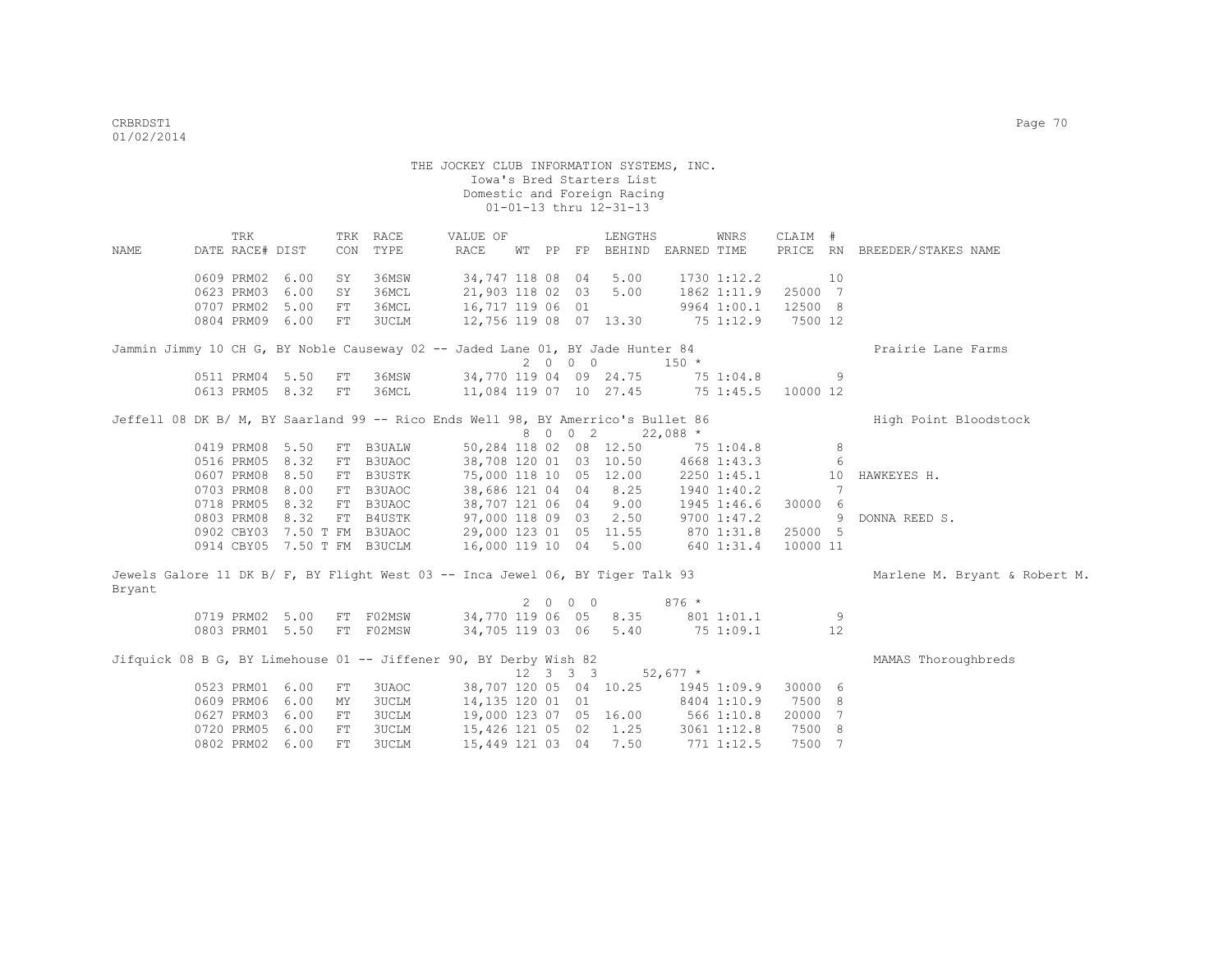THE JOCKEY CLUB INFORMATION SYSTEMS, INC. Iowa's Bred Starters List Domestic and Foreign Racing 01-01-13 thru 12-31-13 TRK TRK RACE VALUE OF LENGTHS WNRS CLAIM # NAME DATE RACE# DIST CON TYPE RACE WT PP FP BEHIND EARNED TIME PRICE RN BREEDER/STAKES NAME 0609 PRM02 6.00 SY 36MSW 34,747 118 08 04 5.00 1730 1:12.2 10<br>0623 PRM03 6.00 SY 36MCL 21,903 118 02 03 5.00 1862 1:11.9 25000 7 0623 PRM03 6.00 SY 36MCL 0707 PRM02 5.00 FT 36MCL 16,717 119 06 01 9964 1:00.1 12500 8<br>0804 PRM09 6.00 FT 3UCLM 12,756 119 08 07 13.30 75 1:12.9 7500 12 0804 PRM09 6.00 FT 3UCLM Jammin Jimmy 10 CH G, BY Noble Causeway 02 -- Jaded Lane 01, BY Jade Hunter 84 Prairie Lane Farms  $2 \t0 \t0 \t0 \t150 \t\t*$ <br>34,770 119 04 09 24.75 75 1:04.8 0511 PRM04 5.50 FT 36MSW 34,770 119 04 09 24.75 75 1:04.8 9 0613 PRM05 8.32 FT 36MCL 11,084 119 07 10 27.45 75 1:45.5 10000 12 Jeffell 08 DK B/ M, BY Saarland 99 -- Rico Ends Well 98, BY Amerrico's Bullet 86 High Point Bloodstock 8 0 0 2 22,088 \* 0419 PRM08 5.50 FT B3UALW 50,284 118 02 08 12.50 75 1:04.8 8 0516 PRM05 8.32 FT B3UAOC 38,708 120 01 03 10.50 4668 1:43.3 6<br>0607 PRM08 8.50 FT B3USTK 75,000 118 10 05 12.00 2250 1:45.1 10<br>0703 PRM08 8.00 FT B3UAOC 38,686 121 04 04 8.25 1940 1:40.2 7 0607 PRM08 8.50 FT B3USTK 75,000 118 10 05 12.00 2250 1:45.1 10 HAWKEYES H. 0703 PRM08 8.00 FT B3UAOC 38,686 121 04 04 8.25 1940 1:40.2 7 0718 PRM05 8.32 FT B3UAOC 38,707 121 06 04 9.00 1945 1:46.6 30000 6 0803 PRM08 8.32 FT B4USTK 97,000 118 09 03 2.50 9700 1:47.2 9 DONNA REED S.<br>0902 CBY03 7.50 T FM B3UAOC 29,000 123 01 05 11.55 870 1:31.8 25000 5 29,000 123 01 05 11.55 870 1:31.8 0914 CBY05 7.50 T FM B3UCLM 16,000 119 10 04 5.00 640 1:31.4 10000 11 Jewels Galore 11 DK B/ F, BY Flight West 03 -- Inca Jewel 06, BY Tiger Talk 93 Marlene M. Bryant & Robert M. Bryant 2 0 0 0 876 \* 0719 PRM02 5.00 FT F02MSW 34,770 119 06 05 8.35 801 1:01.1 9 0803 PRM01 5.50 FT F02MSW 34,705 119 03 06 5.40 75 1:09.1 12 Jifquick 08 B G, BY Limehouse 01 -- Jiffener 90, BY Derby Wish 82 MAMAS Thoroughbreds  $12 \quad 3 \quad 3 \quad 3 \quad 52.677$  \* 0523 PRM01 6.00 FT 3UAOC 38,707 120 05 04 10.25 1945 1:09.9 30000 6<br>0609 PRM06 6.00 MY 3UCLM 14,135 120 01 01 8404 1:10.9 7500 8 0609 PRM06 6.00 MY 3UCLM 14,135 120 01 01 0627 PRM03 6.00 FT 3UCLM 19,000 123 07 05 16.00 566 1:10.8 20000 7 0720 PRM05 6.00 FT 3UCLM 15,426 121 05 02 1.25 3061 1:12.8 7500 8

0802 PRM02 6.00 FT 3UCLM 15,449 121 03 04 7.50 771 1:12.5 7500 7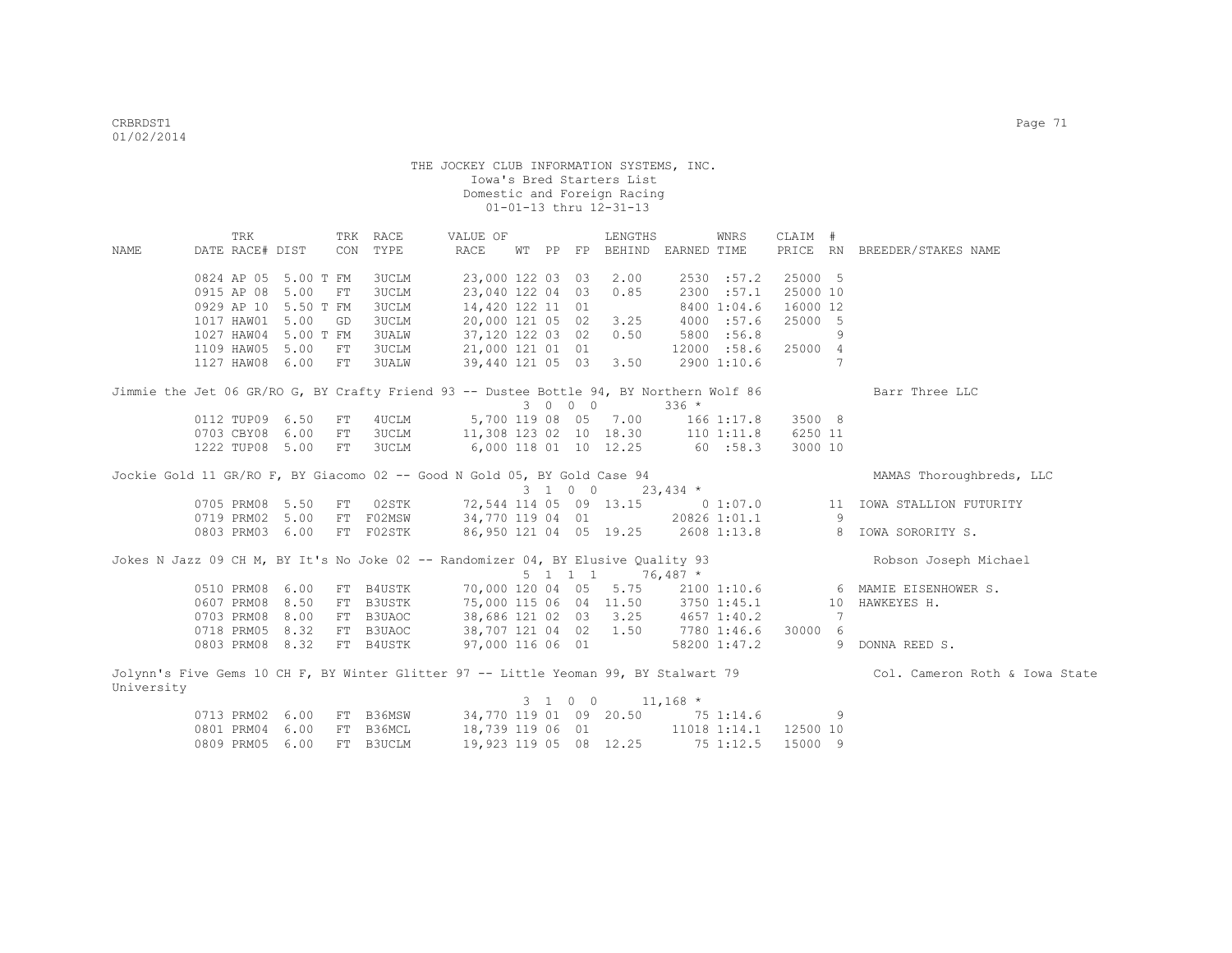|                                                                                         | TRK             |           |            | TRK RACE     | VALUE OF                          |       |                 | LENGTHS                         |             | WNRS                      | CLAIM #                    |                |                                                                                                                     |
|-----------------------------------------------------------------------------------------|-----------------|-----------|------------|--------------|-----------------------------------|-------|-----------------|---------------------------------|-------------|---------------------------|----------------------------|----------------|---------------------------------------------------------------------------------------------------------------------|
| NAME                                                                                    | DATE RACE# DIST |           | CON        | TYPE         | RACE                              | WT PP |                 | FP BEHIND                       | EARNED TIME |                           |                            |                | PRICE RN BREEDER/STAKES NAME                                                                                        |
|                                                                                         | 0824 AP 05      | 5.00 T FM |            | 3UCLM        | 23,000 122 03                     |       |                 | 2.00                            |             | 2530 :57.2                | 25000 5                    |                |                                                                                                                     |
|                                                                                         | 0915 AP 08      | 5.00      | ${\rm FT}$ | <b>3UCLM</b> | 23,040 122 04 03                  |       | 03              | 0.85                            |             | 2300 :57.1                | 25000 10                   |                |                                                                                                                     |
|                                                                                         | 0929 AP 10      | 5.50 T FM |            | 3UCLM        | 14,420 122 11 01                  |       |                 |                                 |             |                           | 16000 12                   |                |                                                                                                                     |
|                                                                                         | 1017 HAW01      | 5.00      | GD         | 3UCLM        | 20,000 121 05 02                  |       |                 | 3.25                            |             | 8400 1:04.6<br>4000 :57.6 | 25000 5                    |                |                                                                                                                     |
|                                                                                         | 1027 HAW04      |           |            |              |                                   |       |                 |                                 |             |                           |                            |                |                                                                                                                     |
|                                                                                         |                 | 5.00 T FM |            | <b>3UALW</b> | 37,120 122 03 02                  |       |                 | 0.50                            |             | 5800 :56.8                |                            | 9              |                                                                                                                     |
|                                                                                         | 1109 HAW05      | 5.00      | FT         | 3UCLM        | 21,000 121 01 01                  |       |                 |                                 |             | 12000 :58.6               | 25000 4                    | $\overline{7}$ |                                                                                                                     |
|                                                                                         | 1127 HAW08      | 6.00      | FT         | 3UALW        | 39,440 121 05 03                  |       |                 | 3.50                            |             | 2900 1:10.6               |                            |                |                                                                                                                     |
| Jimmie the Jet 06 GR/RO G, BY Crafty Friend 93 -- Dustee Bottle 94, BY Northern Wolf 86 |                 |           |            |              |                                   |       |                 |                                 |             |                           |                            |                | Barr Three LLC                                                                                                      |
|                                                                                         |                 |           |            |              |                                   |       | 3 0 0 0         |                                 | $336 *$     |                           |                            |                |                                                                                                                     |
|                                                                                         | 0112 TUP09      | 6.50      | FT         | 4UCLM        |                                   |       |                 | 5,700 119 08 05 7.00            |             | $166$ $1:17.8$            | 3500 8                     |                |                                                                                                                     |
|                                                                                         | 0703 CBY08      | 6.00      | FT         | 3UCLM        | 11,308 123 02 10 18.30 110 1:11.8 |       |                 |                                 |             |                           | 6250 11                    |                |                                                                                                                     |
|                                                                                         | 1222 TUP08 5.00 |           | FT         | 3UCLM        | 6,000 118 01 10 12.25 60 :58.3    |       |                 |                                 |             |                           | 3000 10                    |                |                                                                                                                     |
|                                                                                         |                 |           |            |              |                                   |       |                 |                                 |             |                           |                            |                |                                                                                                                     |
| Jockie Gold 11 GR/RO F, BY Giacomo 02 -- Good N Gold 05, BY Gold Case 94                |                 |           |            |              |                                   |       |                 |                                 |             |                           |                            |                | MAMAS Thoroughbreds, LLC                                                                                            |
|                                                                                         |                 |           |            |              |                                   |       |                 | $3 \t1 \t0 \t0 \t23,434 \t\t*$  |             |                           |                            |                |                                                                                                                     |
|                                                                                         | 0705 PRM08 5.50 |           | FT         | 02STK        |                                   |       |                 | 72,544 114 05 09 13.15 0 1:07.0 |             |                           |                            | 11             | IOWA STALLION FUTURITY                                                                                              |
|                                                                                         | 0719 PRM02      | 5.00      |            | FT F02MSW    | 34,770 119 04 01                  |       |                 |                                 |             | 20826 1:01.1              |                            | 9              |                                                                                                                     |
|                                                                                         | 0803 PRM03      | 6.00      |            | FT F02STK    | 86,950 121 04 05 19.25            |       |                 |                                 |             | 2608 1:13.8               | $\overline{\phantom{a}}$ 8 |                | IOWA SORORITY S.                                                                                                    |
|                                                                                         |                 |           |            |              |                                   |       |                 |                                 |             |                           |                            |                |                                                                                                                     |
| Jokes N Jazz 09 CH M, BY It's No Joke 02 -- Randomizer 04, BY Elusive Quality 93        |                 |           |            |              |                                   |       |                 |                                 |             |                           |                            |                | Robson Joseph Michael                                                                                               |
|                                                                                         |                 |           |            |              |                                   |       | $5 \t1 \t1 \t1$ |                                 | $76,487$ *  |                           |                            |                |                                                                                                                     |
|                                                                                         | 0510 PRM08      | 6.00      |            | FT B4USTK    | 70,000 120 04 05 5.75             |       |                 |                                 |             | 2100 1:10.6               |                            |                | 6 MAMIE EISENHOWER S.                                                                                               |
|                                                                                         | 0607 PRM08      | 8.50      |            | FT B3USTK    | 75,000 115 06 04 11.50            |       |                 |                                 | 3750 1:45.1 |                           |                            | 10             | HAWKEYES H.                                                                                                         |
|                                                                                         | 0703 PRM08      | 8.00      |            | FT B3UAOC    | 38,686 121 02 03 3.25             |       |                 |                                 | 4657 1:40.2 |                           |                            |                |                                                                                                                     |
|                                                                                         | 0718 PRM05      | 8.32      |            | FT B3UAOC    | 38,707 121 04 02                  |       |                 | 1.50                            | 7780 1:46.6 |                           | 30000 6                    |                |                                                                                                                     |
|                                                                                         | 0803 PRM08 8.32 |           |            | FT B4USTK    | 97,000 116 06 01                  |       |                 |                                 |             | 58200 1:47.2              |                            | 9              | DONNA REED S.                                                                                                       |
|                                                                                         |                 |           |            |              |                                   |       |                 |                                 |             |                           |                            |                | Jolynn's Five Gems 10 CH F, BY Winter Glitter 97 -- Little Yeoman 99, BY Stalwart 79 Col. Cameron Roth & Iowa State |
| University                                                                              |                 |           |            |              |                                   |       |                 |                                 |             |                           |                            |                |                                                                                                                     |
|                                                                                         |                 |           |            |              |                                   |       | 3 1 0 0         |                                 | $11,168$ *  |                           |                            |                |                                                                                                                     |
|                                                                                         | 0713 PRM02      | 6.00      | FT.        | B36MSW       |                                   |       |                 | 34,770 119 01 09 20.50          |             | 75 1:14.6                 |                            | 9              |                                                                                                                     |

 0801 PRM04 6.00 FT B36MCL 18,739 119 06 01 11018 1:14.1 12500 10 0809 PRM05 6.00 FT B3UCLM 19,923 119 05 08 12.25 75 1:12.5 15000 9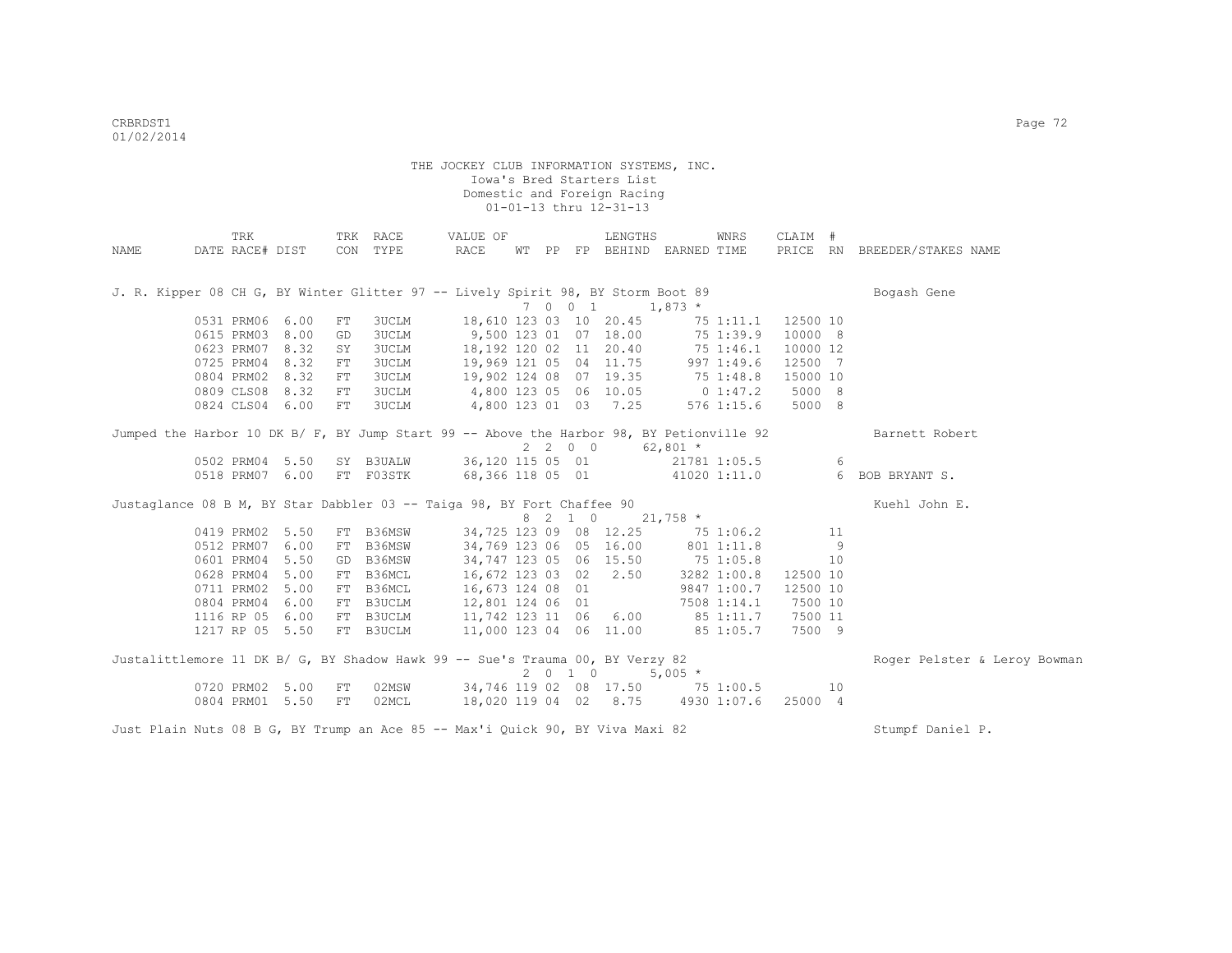|                                                                                          | TRK             |                 |            | TRK RACE  | VALUE OF                          |  |                    | LENGTHS              |                             | WNRS         | CLAIM #  |    |                              |
|------------------------------------------------------------------------------------------|-----------------|-----------------|------------|-----------|-----------------------------------|--|--------------------|----------------------|-----------------------------|--------------|----------|----|------------------------------|
| NAME                                                                                     | DATE RACE# DIST |                 |            | CON TYPE  | RACE                              |  |                    |                      | WT PP FP BEHIND EARNED TIME |              |          |    | PRICE RN BREEDER/STAKES NAME |
| J. R. Kipper 08 CH G, BY Winter Glitter 97 -- Lively Spirit 98, BY Storm Boot 89         |                 |                 |            |           |                                   |  |                    |                      |                             |              |          |    | Bogash Gene                  |
|                                                                                          |                 |                 |            |           |                                   |  | 7 0 0 1            |                      | $1,873$ *                   |              |          |    |                              |
|                                                                                          |                 | 0531 PRM06 6.00 | FT         | 3UCLM     | 18,610 123 03 10 20.45            |  |                    |                      |                             | 75 1:11.1    | 12500 10 |    |                              |
|                                                                                          |                 | 0615 PRM03 8.00 | GD         | 3UCLM     | 9,500 123 01 07 18.00             |  |                    |                      | 75 1:39.9                   |              | 10000 8  |    |                              |
|                                                                                          |                 | 0623 PRM07 8.32 | SY         | 3UCLM     | 18,192 120 02 11 20.40            |  |                    |                      | 75 1:46.1                   |              | 10000 12 |    |                              |
|                                                                                          |                 | 0725 PRM04 8.32 | FT         | 3UCLM     | 19,969 121 05 04 11.75            |  |                    |                      | 997 1:49.6                  |              | 12500 7  |    |                              |
|                                                                                          |                 | 0804 PRM02 8.32 | FT         | 3UCLM     | 19,902 124 08 07 19.35            |  |                    |                      | 75 1:48.8                   |              | 15000 10 |    |                              |
|                                                                                          |                 | 0809 CLS08 8.32 | ${\rm FT}$ | 3UCLM     | 4,800 123 05 06 10.05             |  |                    |                      | $0\;1:47.2$                 |              | 5000 8   |    |                              |
|                                                                                          |                 | 0824 CLS04 6.00 | FT         | 3UCLM     |                                   |  |                    | 4,800 123 01 03 7.25 |                             | $576$ 1:15.6 | 5000 8   |    |                              |
| Jumped the Harbor 10 DK B/ F, BY Jump Start 99 -- Above the Harbor 98, BY Petionville 92 |                 |                 |            |           |                                   |  |                    |                      |                             |              |          |    | Barnett Robert               |
|                                                                                          |                 |                 |            |           |                                   |  | 2200               |                      | $62,801$ *                  |              |          |    |                              |
|                                                                                          |                 | 0502 PRM04 5.50 |            | SY B3UALW |                                   |  |                    | 36,120 115 05 01     |                             | 21781 1:05.5 |          | 6  |                              |
|                                                                                          |                 | 0518 PRM07 6.00 |            |           | FT F03STK 68,366 118 05 01        |  |                    |                      |                             | 41020 1:11.0 |          |    | 6 BOB BRYANT S.              |
| Justaglance 08 B M, BY Star Dabbler 03 -- Taiga 98, BY Fort Chaffee 90                   |                 |                 |            |           |                                   |  |                    |                      |                             |              |          |    | Kuehl John E.                |
|                                                                                          |                 |                 |            |           |                                   |  | 8 2 1 0            |                      | $21,758$ *                  |              |          |    |                              |
|                                                                                          |                 | 0419 PRM02 5.50 |            | FT B36MSW | 34,725 123 09 08 12.25            |  |                    |                      |                             | 75 1:06.2    |          | 11 |                              |
|                                                                                          |                 | 0512 PRM07 6.00 |            | FT B36MSW | 34,769 123 06 05 16.00            |  |                    |                      |                             | 801 1:11.8   |          | 9  |                              |
|                                                                                          |                 | 0601 PRM04 5.50 |            | GD B36MSW | 34,747 123 05 06 15.50            |  |                    |                      |                             | 75 1:05.8    |          | 10 |                              |
|                                                                                          | 0628 PRM04      | 5.00            | FT         | B36MCL    | 16,672 123 03 02 2.50             |  |                    |                      |                             | 3282 1:00.8  | 12500 10 |    |                              |
|                                                                                          | 0711 PRM02      | 5.00            |            | FT B36MCL | 16,673 124 08 01                  |  |                    |                      |                             | 9847 1:00.7  | 12500 10 |    |                              |
|                                                                                          | 0804 PRM04      | 6.00            |            | FT B3UCLM | 12,801 124 06 01                  |  |                    |                      |                             | 7508 1:14.1  | 7500 10  |    |                              |
|                                                                                          |                 | 1116 RP 05 6.00 |            | FT B3UCLM | 11,742 123 11 06 6.00 85 1:11.7   |  |                    |                      |                             |              | 7500 11  |    |                              |
|                                                                                          |                 | 1217 RP 05 5.50 |            | FT B3UCLM | 11,000 123 04 06 11.00 85 1:05.7  |  |                    |                      |                             |              | 7500 9   |    |                              |
| Justalittlemore 11 DK B/ G, BY Shadow Hawk 99 -- Sue's Trauma 00, BY Verzy 82            |                 |                 |            |           |                                   |  |                    |                      |                             |              |          |    | Roger Pelster & Leroy Bowman |
|                                                                                          |                 |                 |            |           |                                   |  | $2 \t 0 \t 1 \t 0$ |                      | $5,005$ *                   |              |          |    |                              |
|                                                                                          |                 | 0720 PRM02 5.00 | ${\rm FT}$ | 02MSW     | 34,746 119 02 08 17.50            |  |                    |                      | 75 1:00.5                   |              |          | 10 |                              |
|                                                                                          |                 | 0804 PRM01 5.50 | FT         | 02MCL     | 18,020 119 04 02 8.75 4930 1:07.6 |  |                    |                      |                             |              | 25000 4  |    |                              |
| Just Plain Nuts 08 B G, BY Trump an Ace 85 -- Max'i Quick 90, BY Viva Maxi 82            |                 |                 |            |           |                                   |  |                    |                      |                             |              |          |    | Stumpf Daniel P.             |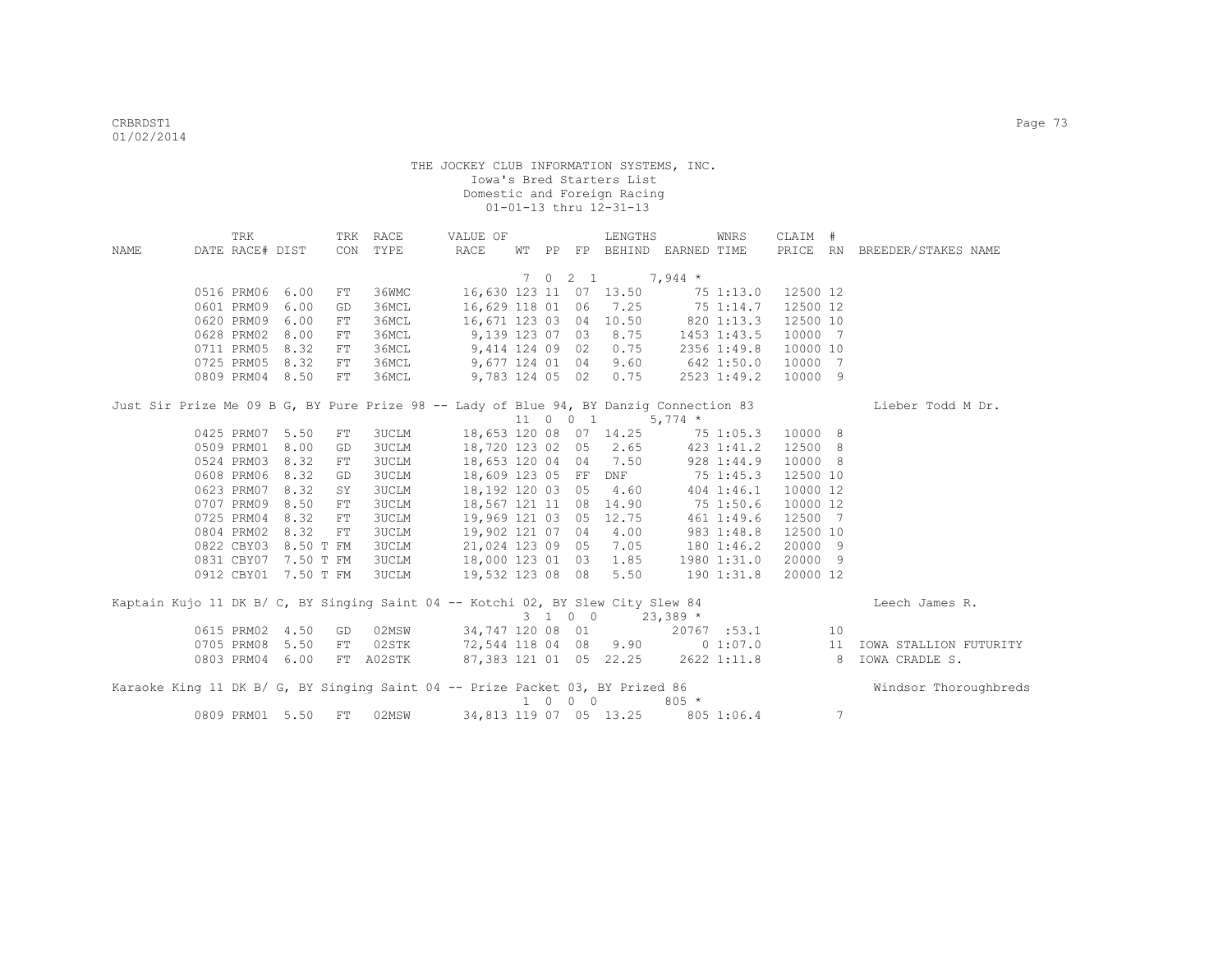| NAME | TRK<br>DATE RACE# DIST |                      |    | TRK RACE<br>CON TYPE                                                                   | VALUE OF<br>RACE      | WТ            |                             | LENGTHS                                        | PP FP BEHIND EARNED TIME         | WNRS               | CLAIM #  |    | PRICE RN BREEDER/STAKES NAME                        |
|------|------------------------|----------------------|----|----------------------------------------------------------------------------------------|-----------------------|---------------|-----------------------------|------------------------------------------------|----------------------------------|--------------------|----------|----|-----------------------------------------------------|
|      |                        |                      |    |                                                                                        |                       |               |                             |                                                |                                  |                    |          |    |                                                     |
|      |                        |                      |    |                                                                                        |                       |               | $7 \t0 \t2 \t1$             |                                                | $7,944$ *                        |                    |          |    |                                                     |
|      | 0516 PRM06             | 6.00                 | FT | 36WMC                                                                                  |                       |               |                             | 16,630 123 11 07 13.50                         |                                  | 75 1:13.0 12500 12 |          |    |                                                     |
|      | 0601 PRM09             | 6.00                 | GD | 36MCL                                                                                  |                       | 16,629 118 01 |                             | 06 7.25                                        | 75 1:14.7                        |                    | 12500 12 |    |                                                     |
|      | 0620 PRM09             | 6.00                 | FT | 36MCL                                                                                  |                       |               |                             | 16,671 123 03 04 10.50                         | 820 1:13.3                       |                    | 12500 10 |    |                                                     |
|      | 0628 PRM02             | 8.00                 | FT | 36MCL                                                                                  |                       |               |                             | 9,139 123 07 03 8.75                           |                                  | 1453 1:43.5        | 10000 7  |    |                                                     |
|      | 0711 PRM05             | 8.32                 | FT | 36MCL                                                                                  |                       |               | 9,414 124 09 02             | 0.75                                           |                                  | 2356 1:49.8        | 10000 10 |    |                                                     |
|      | 0725 PRM05             | 8.32                 | FT | 36MCL                                                                                  |                       |               | 9,677 124 01 04             | 9.60                                           |                                  | 642 1:50.0         | 10000 7  |    |                                                     |
|      |                        | 0809 PRM04 8.50      | FT | 36MCL                                                                                  |                       |               |                             | 9,783 124 05 02 0.75                           |                                  | 2523 1:49.2        | 10000 9  |    |                                                     |
|      |                        |                      |    | Just Sir Prize Me 09 B G, BY Pure Prize 98 -- Lady of Blue 94, BY Danziq Connection 83 |                       |               |                             |                                                |                                  |                    |          |    | Lieber Todd M Dr.                                   |
|      |                        |                      |    |                                                                                        |                       |               | 11 0 0 1                    |                                                | $5,774$ *                        |                    |          |    |                                                     |
|      |                        | 0425 PRM07 5.50      | FT | 3UCLM                                                                                  |                       |               |                             |                                                | 18,653 120 08 07 14.25 75 1:05.3 |                    | 10000 8  |    |                                                     |
|      | 0509 PRM01             | 8.00                 | GD | <b>3UCLM</b>                                                                           | 18,720 123 02 05 2.65 |               |                             |                                                |                                  | 423 1:41.2         | 12500 8  |    |                                                     |
|      | 0524 PRM03             | 8.32                 | FT | 3UCLM                                                                                  |                       |               |                             | 18,653 120 04 04 7.50                          |                                  | 928 1:44.9         | 10000 8  |    |                                                     |
|      | 0608 PRM06             | 8.32                 | GD | 3UCLM                                                                                  |                       |               |                             | 18,609 123 05 FF DNF                           |                                  | 75 1:45.3          | 12500 10 |    |                                                     |
|      | 0623 PRM07             | 8.32                 | SY | 3UCLM                                                                                  |                       |               |                             | 18,192 120 03 05 4.60                          |                                  | 404 1:46.1         | 10000 12 |    |                                                     |
|      | 0707 PRM09             | 8.50                 | FT | <b>3UCLM</b>                                                                           |                       |               |                             | 18,567 121 11 08 14.90                         |                                  | 75 1:50.6          | 10000 12 |    |                                                     |
|      | 0725 PRM04             | 8.32                 | FT | 3UCLM                                                                                  |                       |               |                             | 19,969 121 03 05 12.75                         |                                  | 461 1:49.6         | 12500 7  |    |                                                     |
|      | 0804 PRM02             | 8.32                 | FT | 3UCLM                                                                                  | 19,902 121 07 04 4.00 |               |                             |                                                | 983 1:48.8                       |                    | 12500 10 |    |                                                     |
|      | 0822 CBY03             | 8.50 T FM            |    | <b>3UCLM</b>                                                                           | 21,024 123 09 05 7.05 |               |                             |                                                | 180 1:46.2                       |                    | 20000 9  |    |                                                     |
|      |                        | 0831 CBY07 7.50 T FM |    | <b>3UCLM</b>                                                                           | 18,000 123 01 03 1.85 |               |                             |                                                |                                  | 1980 1:31.0        | 20000 9  |    |                                                     |
|      |                        | 0912 CBY01 7.50 T FM |    | 3UCLM                                                                                  | 19,532 123 08 08      |               |                             | 5.50                                           |                                  | 190 1:31.8         | 20000 12 |    |                                                     |
|      |                        |                      |    | Kaptain Kujo 11 DK B/ C, BY Singing Saint 04 -- Kotchi 02, BY Slew City Slew 84        |                       |               |                             |                                                |                                  |                    |          |    | Leech James R.                                      |
|      |                        |                      |    |                                                                                        |                       |               |                             | $3 \quad 1 \quad 0 \quad 0 \quad 23,389 \star$ |                                  |                    |          |    |                                                     |
|      | 0615 PRM02             | 4.50                 | GD | 02MSW                                                                                  | 34,747 120 08 01      |               |                             |                                                |                                  | 20767 :53.1        |          | 10 |                                                     |
|      | 0705 PRM08             | 5.50                 | FT | 02STK                                                                                  | 72,544 118 04 08 9.90 |               |                             |                                                |                                  | 0 1:07.0           |          | 11 | IOWA STALLION FUTURITY                              |
|      | 0803 PRM04             | 6.00                 |    | FT A02STK                                                                              |                       |               |                             |                                                |                                  |                    |          |    | 87,383 121 01 05 22.25 2622 1:11.8 8 IOWA CRADLE S. |
|      |                        |                      |    | Karaoke King 11 DK B/ G, BY Singing Saint 04 -- Prize Packet 03, BY Prized 86          |                       |               | $1 \quad 0 \quad 0 \quad 0$ |                                                | $805 *$                          |                    |          |    | Windsor Thoroughbreds                               |
|      |                        | 0809 PRM01 5.50      | FT | 02MSW                                                                                  |                       |               |                             | 34,813 119 07 05 13.25                         |                                  | 805 1:06.4         |          | 7  |                                                     |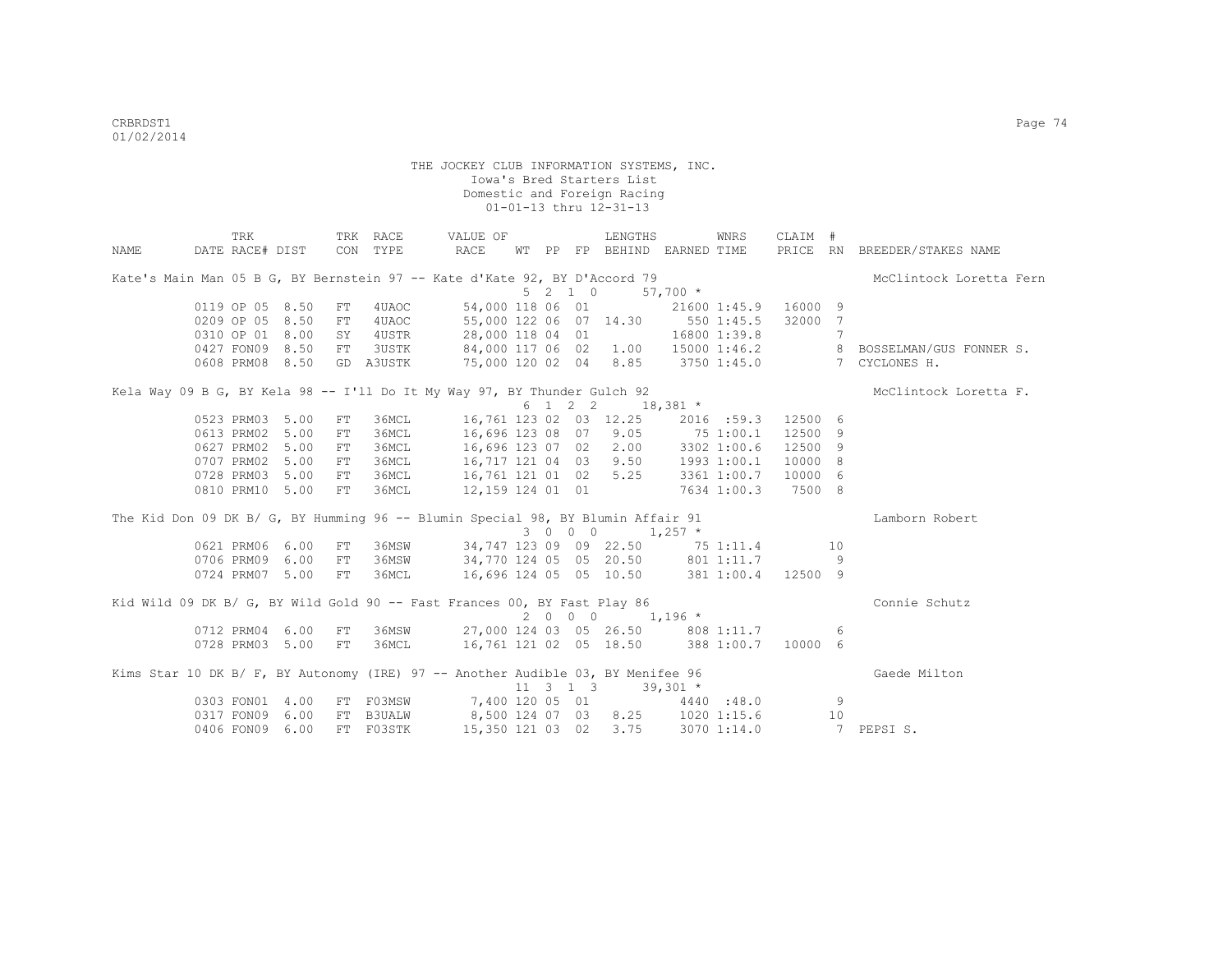|      | TRK                                                                             |      |    | TRK RACE  | VALUE OF                                |  |         | LENGTHS                                                              |            | WNRS         | CLAIM #            |                              |                                                              |
|------|---------------------------------------------------------------------------------|------|----|-----------|-----------------------------------------|--|---------|----------------------------------------------------------------------|------------|--------------|--------------------|------------------------------|--------------------------------------------------------------|
| NAME | DATE RACE# DIST CON TYPE                                                        |      |    |           | RACE                                    |  |         | WT PP FP BEHIND EARNED TIME                                          |            |              |                    |                              | PRICE RN BREEDER/STAKES NAME                                 |
|      | Kate's Main Man 05 B G, BY Bernstein 97 -- Kate d'Kate 92, BY D'Accord 79       |      |    |           |                                         |  |         |                                                                      |            |              |                    |                              | McClintock Loretta Fern                                      |
|      |                                                                                 |      |    |           |                                         |  | 5 2 1 0 |                                                                      | $57,700$ * |              |                    |                              |                                                              |
|      | 0119 OP 05 8.50                                                                 |      | FT | 4UAOC     | 54,000 118 06 01                        |  |         |                                                                      |            | 21600 1:45.9 | 16000 9            |                              |                                                              |
|      | 0209 OP 05 8.50                                                                 |      | FT | 4UAOC     | 55,000 122 06 07 14.30 550 1:45.5       |  |         |                                                                      |            |              | 32000 7            |                              |                                                              |
|      | 0310 OP 01 8.00                                                                 |      |    | SY 4USTR  | 28,000 118 04 01                        |  |         |                                                                      |            | 16800 1:39.8 |                    | $7\phantom{.0}\phantom{.0}7$ |                                                              |
|      | 0427 FON09 8.50                                                                 |      |    | FT 3USTK  |                                         |  |         |                                                                      |            |              |                    |                              | 84,000 117 06 02 1.00 15000 1:46.2 8 BOSSELMAN/GUS FONNER S. |
|      | 0608 PRM08 8.50                                                                 |      |    | GD A3USTK |                                         |  |         |                                                                      |            |              |                    |                              | 75,000 120 02 04 8.85 3750 1:45.0 7 CYCLONES H.              |
|      | Kela Way 09 B G, BY Kela 98 -- I'll Do It My Way 97, BY Thunder Gulch 92        |      |    |           |                                         |  |         |                                                                      |            |              |                    |                              | McClintock Loretta F.                                        |
|      |                                                                                 |      |    |           |                                         |  |         | $6 \t1 \t2 \t2 \t18,381 \t*$                                         |            |              |                    |                              |                                                              |
|      | 0523 PRM03 5.00                                                                 |      | FT | 36MCL     |                                         |  |         | 16,761 123 02 03 12.25                                               |            |              | 2016 :59.3 12500 6 |                              |                                                              |
|      | 0613 PRM02                                                                      | 5.00 | FT | 36MCL     |                                         |  |         |                                                                      |            |              | 12500 9            |                              |                                                              |
|      | 0627 PRM02                                                                      | 5.00 | FT | 36MCL     |                                         |  |         | 16,696 123 08 07 9.05 75 1:00.1<br>16,696 123 07 02 2.00 3302 1:00.6 |            |              | 12500 9            |                              |                                                              |
|      | 0707 PRM02                                                                      | 5.00 | FT | 36MCL     |                                         |  |         | 16,717 121 04 03 9.50 1993 1:00.1                                    |            |              | 10000 8            |                              |                                                              |
|      | 0728 PRM03                                                                      | 5.00 | FT | 36MCL     |                                         |  |         | 16,761 121 01 02 5.25 3361 1:00.7                                    |            |              | 10000 6            |                              |                                                              |
|      | 0810 PRM10 5.00                                                                 |      | FT | 36MCL     |                                         |  |         | 12,159 124 01 01 7634 1:00.3                                         |            |              | 7500 8             |                              |                                                              |
|      | The Kid Don 09 DK B/ G, BY Humming 96 -- Blumin Special 98, BY Blumin Affair 91 |      |    |           |                                         |  |         |                                                                      |            |              |                    |                              | Lamborn Robert                                               |
|      |                                                                                 |      |    |           |                                         |  |         | 3 0 0 0 1,257 $*$                                                    |            |              |                    |                              |                                                              |
|      | 0621 PRM06 6.00                                                                 |      | FT | 36MSW     | 34,747 123 09 09 22.50 75 1:11.4 10     |  |         |                                                                      |            |              |                    |                              |                                                              |
|      | 0706 PRM09 6.00                                                                 |      | FT | 36MSW     | 34,770 124 05 05 20.50 801 1:11.7       |  |         |                                                                      |            |              |                    | - 9                          |                                                              |
|      | 0724 PRM07 5.00                                                                 |      |    | FT 36MCL  |                                         |  |         | 16,696 124 05 05 10.50 381 1:00.4 12500 9                            |            |              |                    |                              |                                                              |
|      | Kid Wild 09 DK B/ G, BY Wild Gold 90 -- Fast Frances 00, BY Fast Play 86        |      |    |           |                                         |  |         |                                                                      |            |              |                    |                              | Connie Schutz                                                |
|      |                                                                                 |      |    |           |                                         |  |         | $2000$ $1,196*$                                                      |            |              |                    |                              |                                                              |
|      | 0712 PRM04 6.00                                                                 |      | FT |           | 36MSW 27,000 124 03 05 26.50 808 1:11.7 |  |         |                                                                      |            |              |                    | -6                           |                                                              |
|      | 0728 PRM03 5.00                                                                 |      | FT |           | 36MCL 16,761 121 02 05 18.50 388 1:00.7 |  |         |                                                                      |            |              | 10000 6            |                              |                                                              |
|      | Kims Star 10 DK B/ F, BY Autonomy (IRE) 97 -- Another Audible 03, BY Menifee 96 |      |    |           |                                         |  |         |                                                                      |            |              |                    |                              | Gaede Milton                                                 |
|      |                                                                                 |      |    |           |                                         |  |         | $11 \quad 3 \quad 1 \quad 3 \quad 39,301 \star$                      |            |              |                    |                              |                                                              |
|      | 0303 FON01 4.00                                                                 |      |    |           | FT F03MSW 7,400 120 05 01 4440 :48.0    |  |         |                                                                      |            |              |                    | 9                            |                                                              |
|      | 0317 FON09 6.00                                                                 |      |    | FT B3UALW | 8,500 124 07 03 8.25 1020 1:15.6        |  |         |                                                                      |            |              |                    | 10                           |                                                              |
|      | 0406 FON09 6.00                                                                 |      |    | FT F03STK | 15,350 121 03 02 3.75 3070 1:14.0       |  |         |                                                                      |            |              |                    |                              | 7 PEPSIS.                                                    |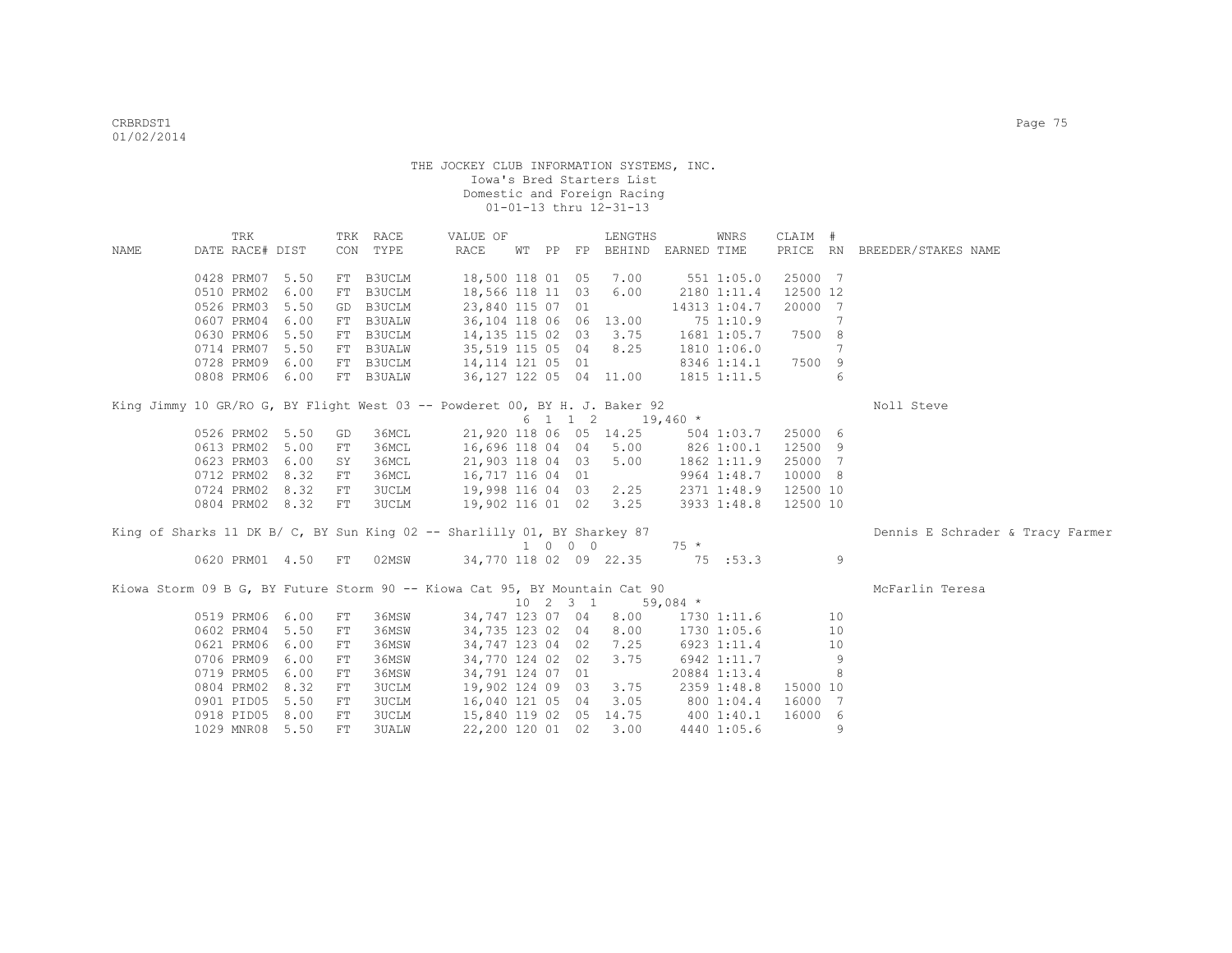|      | TRK                |      |     | TRK RACE     | VALUE OF                                                                   |  |                             | LENGTHS                     |                       | WNRS         | CLAIM #  |    |                                  |
|------|--------------------|------|-----|--------------|----------------------------------------------------------------------------|--|-----------------------------|-----------------------------|-----------------------|--------------|----------|----|----------------------------------|
| NAME | DATE RACE# DIST    |      |     | CON TYPE     | RACE                                                                       |  |                             | WT PP FP BEHIND EARNED TIME |                       |              |          |    | PRICE RN BREEDER/STAKES NAME     |
|      | 0428 PRM07 5.50    |      | FT  | B3UCLM       | 18,500 118 01 05                                                           |  |                             | 7.00                        |                       | 5511:05.0    | 25000 7  |    |                                  |
|      | 0510 PRM02         | 6.00 | FT  | B3UCLM       | 18,566 118 11 03                                                           |  |                             | 6.00                        |                       | 2180 1:11.4  | 12500 12 |    |                                  |
|      |                    |      |     |              |                                                                            |  |                             |                             |                       |              |          |    |                                  |
|      | 0526 PRM03         | 5.50 |     | GD B3UCLM    | 23,840 115 07 01                                                           |  |                             |                             |                       | 14313 1:04.7 | 20000 7  |    |                                  |
|      | 0607 PRM04         | 6.00 |     | FT B3UALW    | 36,104 118 06 06 13.00                                                     |  |                             |                             |                       | 75 1:10.9    |          | 7  |                                  |
|      | 0630 PRM06         | 5.50 |     | FT B3UCLM    | 14,135 115 02 03 3.75                                                      |  |                             |                             |                       | 1681 1:05.7  | 7500 8   |    |                                  |
|      | 0714 PRM07 5.50    |      |     | FT B3UALW    | 35,519 115 05 04                                                           |  |                             | 8.25                        |                       | 1810 1:06.0  |          | 7  |                                  |
|      | 0728 PRM09 6.00    |      |     | FT B3UCLM    | 14,114 121 05 01                                                           |  |                             |                             |                       | 8346 1:14.1  | 7500 9   |    |                                  |
|      | 0808 PRM06 6.00    |      |     | FT B3UALW    | 36,127 122 05 04 11.00                                                     |  |                             |                             |                       | 1815 1:11.5  |          | 6  |                                  |
|      |                    |      |     |              | King Jimmy 10 GR/RO G, BY Flight West 03 -- Powderet 00, BY H. J. Baker 92 |  |                             |                             |                       |              |          |    | Noll Steve                       |
|      |                    |      |     |              |                                                                            |  |                             | 6 1 1 2 19,460 *            |                       |              |          |    |                                  |
|      | 0526 PRM02 5.50    |      | GD  | 36MCL        | 21,920 118 06 05 14.25                                                     |  |                             |                             |                       | 504 1:03.7   | 25000 6  |    |                                  |
|      | 0613 PRM02 5.00    |      | FT. | 36MCL        | 16,696 118 04 04                                                           |  |                             |                             | $5.00$ $826$ $1:00.1$ |              | 12500 9  |    |                                  |
|      | 0623 PRM03 6.00    |      | SY  | 36MCL        | 21,903 118 04 03                                                           |  |                             | 5.00                        |                       | 1862 1:11.9  | 25000 7  |    |                                  |
|      | 0712 PRM02 8.32    |      | FT  | 36MCL        | 16,717 116 04 01                                                           |  |                             |                             |                       | 9964 1:48.7  | 10000 8  |    |                                  |
|      | 0724 PRM02 8.32    |      | FT  | <b>3UCLM</b> | 19,998 116 04 03                                                           |  |                             | 2.25                        |                       | 2371 1:48.9  | 12500 10 |    |                                  |
|      | 0804 PRM02 8.32    |      | FT  | 3UCLM        | 19,902 116 01 02                                                           |  |                             | 3.25                        |                       | 3933 1:48.8  | 12500 10 |    |                                  |
|      |                    |      |     |              | King of Sharks 11 DK B/ C, BY Sun King 02 -- Sharlilly 01, BY Sharkey 87   |  |                             |                             |                       |              |          |    | Dennis E Schrader & Tracy Farmer |
|      |                    |      |     |              |                                                                            |  | $1 \quad 0 \quad 0 \quad 0$ |                             | $75 *$                |              |          |    |                                  |
|      | 0620 PRM01 4.50 FT |      |     | 02MSW        | 34,770 118 02 09 22.35                                                     |  |                             |                             |                       | 75 :53.3     |          | 9  |                                  |
|      |                    |      |     |              |                                                                            |  |                             |                             |                       |              |          |    |                                  |
|      |                    |      |     |              | Kiowa Storm 09 B G, BY Future Storm 90 -- Kiowa Cat 95, BY Mountain Cat 90 |  |                             |                             |                       |              |          |    | McFarlin Teresa                  |
|      |                    |      |     |              |                                                                            |  | $10 \t2 \t3 \t1$            |                             | 59,084 $*$            |              |          |    |                                  |
|      | 0519 PRM06 6.00    |      | FT  | 36MSW        | 34,747 123 07 04                                                           |  |                             | 8.00                        |                       | 1730 1:11.6  |          | 10 |                                  |
|      | 0602 PRM04         | 5.50 | FT  | 36MSW        | 34,735 123 02 04                                                           |  |                             | 8.00                        |                       | 1730 1:05.6  |          | 10 |                                  |
|      | 0621 PRM06         | 6.00 | FT  | 36MSW        | 34,747 123 04 02                                                           |  |                             | 7.25                        |                       | 6923 1:11.4  |          | 10 |                                  |
|      | 0706 PRM09         | 6.00 | FT  | 36MSW        | 34,770 124 02 02                                                           |  |                             | 3.75                        |                       | 6942 1:11.7  |          | 9  |                                  |
|      | 0719 PRM05         | 6.00 | FT  | 36MSW        | 34,791 124 07 01                                                           |  |                             |                             |                       | 20884 1:13.4 |          | 8  |                                  |
|      | 0804 PRM02 8.32    |      | FT  | <b>3UCLM</b> | 19,902 124 09 03                                                           |  |                             | 3.75                        |                       | 2359 1:48.8  | 15000 10 |    |                                  |
|      | 0901 PID05         | 5.50 | FT  | <b>3UCLM</b> | 16,040 121 05 04                                                           |  |                             | 3.05                        |                       | 800 1:04.4   | 16000 7  |    |                                  |
|      | 0918 PID05         | 8.00 | FT  | <b>3UCLM</b> | 15,840 119 02 05                                                           |  |                             | 14.75                       | 400 1:40.1            |              | 16000 6  |    |                                  |
|      | 1029 MNR08         | 5.50 | FT. | 3UALW        | 22,200 120 01 02                                                           |  |                             | 3.00                        |                       | 4440 1:05.6  |          | 9  |                                  |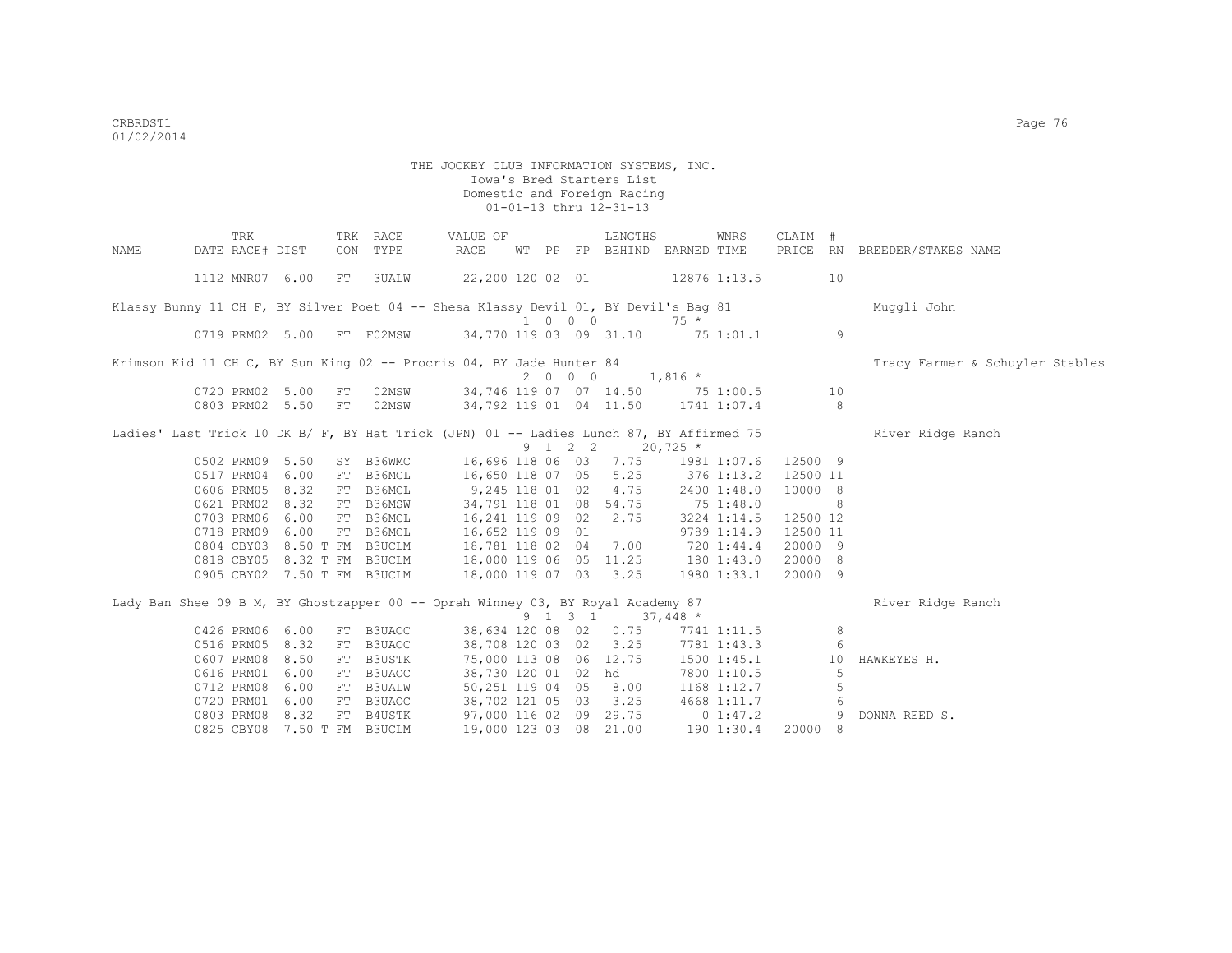|      | TRK                                | TRK      | RACE                                                                                    | VALUE OF                                        |                             |  | LENGTHS      |                             | WNRS            | CLAIM #              |    |                                 |
|------|------------------------------------|----------|-----------------------------------------------------------------------------------------|-------------------------------------------------|-----------------------------|--|--------------|-----------------------------|-----------------|----------------------|----|---------------------------------|
| NAME | DATE RACE# DIST                    | CON      | TYPE                                                                                    | RACE                                            |                             |  |              | WT PP FP BEHIND EARNED TIME |                 |                      |    | PRICE RN BREEDER/STAKES NAME    |
|      | 1112 MNR07 6.00                    | FT       | <b>3UALW</b>                                                                            | 22,200 120 02 01                                |                             |  |              | 12876 1:13.5                |                 |                      | 10 |                                 |
|      |                                    |          | Klassy Bunny 11 CH F, BY Silver Poet 04 -- Shesa Klassy Devil 01, BY Devil's Baq 81     |                                                 |                             |  |              |                             |                 |                      |    | Muqqli John                     |
|      |                                    |          |                                                                                         |                                                 | $1 \quad 0 \quad 0 \quad 0$ |  |              | $75 *$                      |                 |                      |    |                                 |
|      | 0719 PRM02 5.00                    |          | FT FO2MSW                                                                               | 34,770 119 03 09 31.10 75 1:01.1                |                             |  |              |                             |                 |                      | 9  |                                 |
|      |                                    |          | Krimson Kid 11 CH C, BY Sun King 02 -- Procris 04, BY Jade Hunter 84                    |                                                 |                             |  |              |                             |                 |                      |    | Tracy Farmer & Schuyler Stables |
|      |                                    |          |                                                                                         |                                                 | 2000                        |  |              | $1,816$ *                   |                 |                      |    |                                 |
|      | 0720 PRM02 5.00                    | FT       | 02MSW                                                                                   | 34,746 119 07 07 14.50 75 1:00.5                |                             |  |              |                             |                 |                      | 10 |                                 |
|      | 0803 PRM02 5.50                    | FT       | 02MSW                                                                                   | 34,792 119 01 04 11.50 1741 1:07.4              |                             |  |              |                             |                 |                      | 8  |                                 |
|      |                                    |          | Ladies' Last Trick 10 DK B/ F, BY Hat Trick (JPN) 01 -- Ladies Lunch 87, BY Affirmed 75 |                                                 |                             |  |              |                             |                 |                      |    | River Ridge Ranch               |
|      |                                    |          |                                                                                         |                                                 | 9 1 2 2                     |  | $20,725$ *   |                             |                 |                      |    |                                 |
|      | 0502 PRM09 5.50                    |          | SY B36WMC                                                                               | 16,696 118 06 03 7.75 1981 1:07.6               |                             |  |              |                             |                 | 12500 9              |    |                                 |
|      | 0517 PRM04 6.00                    | FT       | B36MCL                                                                                  | 16,650 118 07 05                                |                             |  | 5.25<br>4.75 | $376$ 1:13.2                |                 | 12500 11             |    |                                 |
|      | 0606 PRM05 8.32<br>0621 PRM02 8.32 | FT       | B36MCL                                                                                  | 9,245 118 01 02                                 |                             |  |              |                             | 2400 1:48.0     | 10000 8              |    |                                 |
|      | 0703 PRM06 6.00                    | FT       | B36MSW                                                                                  | 34,791 118 01 08 54.75<br>16,241 119 09 02 2.75 |                             |  |              | 75 1:48.0                   |                 |                      | 8  |                                 |
|      | 0718 PRM09 6.00                    | FT<br>FT | B36MCL<br>B36MCL                                                                        | 16,652 119 09 01                                |                             |  |              |                             | 3224 1:14.5     | 12500 12<br>12500 11 |    |                                 |
|      | 0804 CBY03 8.50 T FM B3UCLM        |          |                                                                                         | 18,781 118 02 04 7.00 720 1:44.4                |                             |  |              |                             | 9789 1:14.9     | 20000 9              |    |                                 |
|      | 0818 CBY05 8.32 T FM B3UCLM        |          |                                                                                         | 18,000 119 06 05 11.25 180 1:43.0               |                             |  |              |                             |                 | 20000 8              |    |                                 |
|      | 0905 CBY02 7.50 T FM B3UCLM        |          |                                                                                         | 18,000 119 07 03 3.25                           |                             |  |              |                             | 1980 1:33.1     | 20000 9              |    |                                 |
|      |                                    |          |                                                                                         |                                                 |                             |  |              |                             |                 |                      |    |                                 |
|      |                                    |          | Lady Ban Shee 09 B M, BY Ghostzapper 00 -- Oprah Winney 03, BY Royal Academy 87         |                                                 |                             |  |              |                             |                 |                      |    | River Ridge Ranch               |
|      |                                    |          |                                                                                         |                                                 | 9 1 3 1                     |  | $37,448$ *   |                             |                 |                      |    |                                 |
|      | 0426 PRM06 6.00                    |          | FT B3UAOC                                                                               | 38,634 120 08 02                                |                             |  | 0.75         |                             | 7741 1:11.5     |                      | 8  |                                 |
|      | 0516 PRM05 8.32                    |          | FT B3UAOC                                                                               | 38,708 120 03 02                                |                             |  | 3.25         |                             | 7781 1:43.3     |                      | 6  |                                 |
|      | 0607 PRM08 8.50                    | FT       | <b>B3USTK</b>                                                                           | 75,000 113 08 06 12.75                          |                             |  |              |                             | $1500$ $1:45.1$ |                      | 10 | HAWKEYES H.                     |
|      | 0616 PRM01 6.00                    | FT       | B3UAOC                                                                                  | 38,730 120 01 02 hd                             |                             |  |              |                             | 7800 1:10.5     |                      | 5  |                                 |
|      | 0712 PRM08 6.00                    | FT       | <b>B3UALW</b>                                                                           | 50,251 119 04 05 8.00                           |                             |  |              |                             | 1168 1:12.7     |                      | 5  |                                 |
|      | 0720 PRM01 6.00                    | FT       | B3UAOC                                                                                  | 38,702 121 05 03 3.25                           |                             |  |              |                             | 4668 1:11.7     |                      | 6  |                                 |
|      | 0803 PRM08 8.32                    |          | FT B4USTK                                                                               | 97,000 116 02 09 29.75 0 1:47.2                 |                             |  |              |                             |                 |                      | 9  | DONNA REED S.                   |
|      | 0825 CBY08 7.50 T FM B3UCLM        |          |                                                                                         | 19,000 123 03 08 21.00                          |                             |  |              | 190 1:30.4                  |                 | 20000 8              |    |                                 |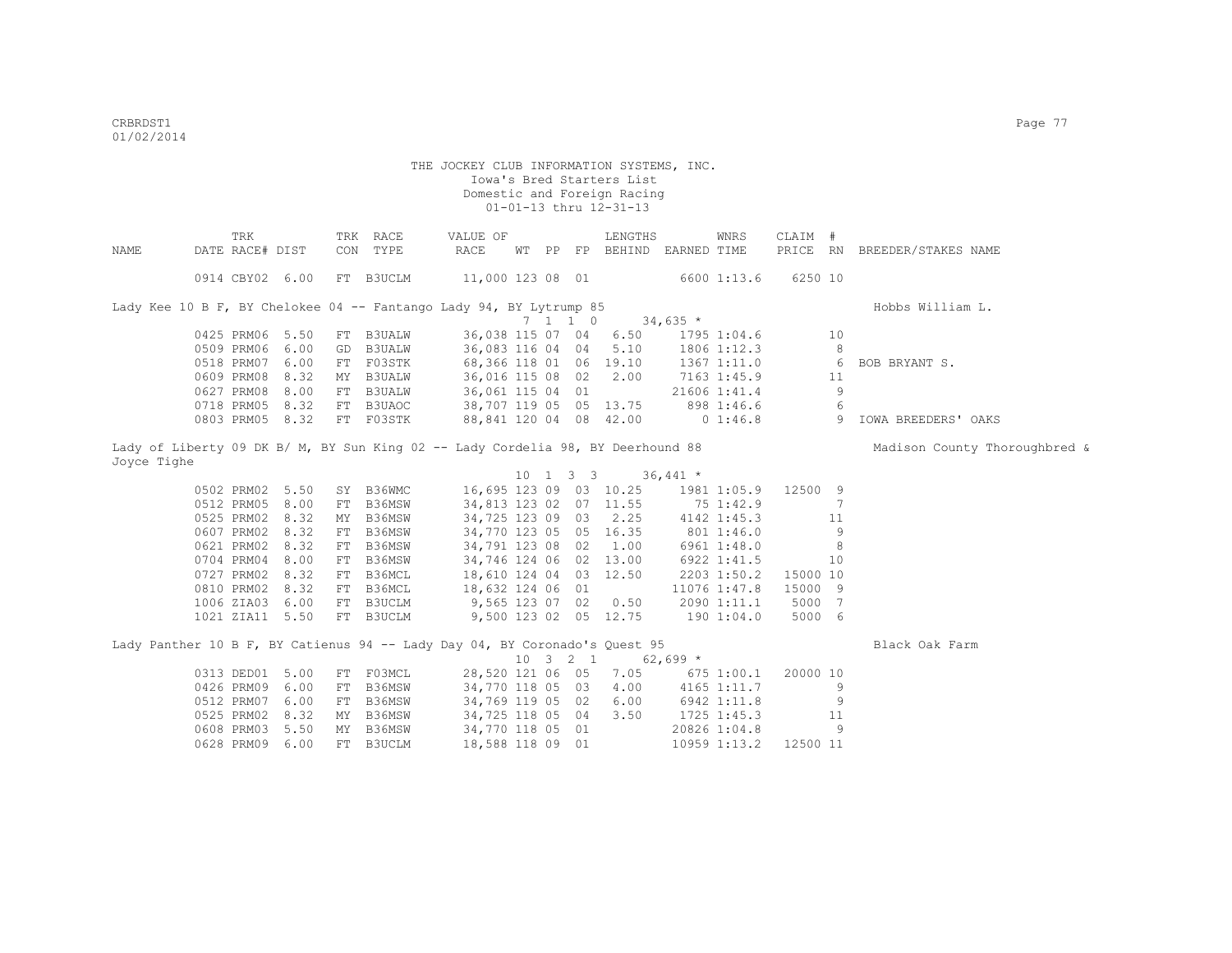|             | TRK             |    | TRK RACE                                                                        | VALUE OF               |  |                             | LENGTHS                                         |             | WNRS         | CLAIM #  |    |                               |
|-------------|-----------------|----|---------------------------------------------------------------------------------|------------------------|--|-----------------------------|-------------------------------------------------|-------------|--------------|----------|----|-------------------------------|
| NAME        | DATE RACE# DIST |    | CON TYPE                                                                        | RACE                   |  |                             | WT PP FP BEHIND EARNED TIME                     |             |              |          |    | PRICE RN BREEDER/STAKES NAME  |
|             |                 |    |                                                                                 |                        |  |                             |                                                 |             |              |          |    |                               |
|             | 0914 CBY02 6.00 |    | FT B3UCLM                                                                       | 11,000 123 08 01       |  |                             |                                                 |             | 6600 1:13.6  | 6250 10  |    |                               |
|             |                 |    | Lady Kee 10 B F, BY Chelokee 04 -- Fantango Lady 94, BY Lytrump 85              |                        |  |                             |                                                 |             |              |          |    | Hobbs William L.              |
|             |                 |    |                                                                                 |                        |  | $7 \quad 1 \quad 1 \quad 0$ | $34,635$ *                                      |             |              |          |    |                               |
|             | 0425 PRM06 5.50 |    | FT B3UALW                                                                       | 36,038 115 07 04       |  |                             | 6.50                                            |             | 1795 1:04.6  |          | 10 |                               |
|             | 0509 PRM06 6.00 | GD | <b>B3UALW</b>                                                                   | 36,083 116 04 04       |  |                             | 5.10                                            |             | 1806 1:12.3  |          | 8  |                               |
|             | 0518 PRM07 6.00 |    | FT F03STK                                                                       | 68,366 118 01 06 19.10 |  |                             |                                                 |             | 1367 1:11.0  |          | 6  | BOB BRYANT S.                 |
|             | 0609 PRM08 8.32 |    | MY B3UALW                                                                       | 36,016 115 08 02       |  |                             | 2.00                                            |             | 7163 1:45.9  |          | 11 |                               |
|             | 0627 PRM08 8.00 |    | FT B3UALW                                                                       | 36,061 115 04 01       |  |                             |                                                 |             | 21606 1:41.4 |          | 9  |                               |
|             | 0718 PRM05 8.32 |    | FT B3UAOC                                                                       | 38,707 119 05 05 13.75 |  |                             |                                                 |             | 898 1:46.6   |          | 6  |                               |
|             | 0803 PRM05 8.32 |    | FT F03STK                                                                       | 88,841 120 04 08 42.00 |  |                             |                                                 |             | $0\;1:46.8$  |          | 9  | IOWA BREEDERS' OAKS           |
|             |                 |    |                                                                                 |                        |  |                             |                                                 |             |              |          |    |                               |
|             |                 |    | Lady of Liberty 09 DK B/ M, BY Sun King 02 -- Lady Cordelia 98, BY Deerhound 88 |                        |  |                             |                                                 |             |              |          |    | Madison County Thoroughbred & |
| Joyce Tighe |                 |    |                                                                                 |                        |  |                             |                                                 |             |              |          |    |                               |
|             |                 |    |                                                                                 |                        |  |                             | $10 \quad 1 \quad 3 \quad 3 \quad 36,441 \star$ |             |              |          |    |                               |
|             | 0502 PRM02 5.50 |    | SY B36WMC                                                                       | 16,695 123 09 03 10.25 |  |                             |                                                 |             | 1981 1:05.9  | 12500 9  |    |                               |
|             | 0512 PRM05 8.00 |    | FT B36MSW                                                                       | 34,813 123 02 07 11.55 |  |                             |                                                 |             | 75 1:42.9    |          | 7  |                               |
|             | 0525 PRM02 8.32 |    | MY B36MSW                                                                       | 34,725 123 09 03 2.25  |  |                             |                                                 |             | 4142 1:45.3  |          | 11 |                               |
|             | 0607 PRM02 8.32 |    | FT B36MSW                                                                       | 34,770 123 05 05 16.35 |  |                             |                                                 | 801 1:46.0  |              |          | 9  |                               |
|             | 0621 PRM02 8.32 |    | FT B36MSW                                                                       | 34,791 123 08 02 1.00  |  |                             |                                                 |             | 6961 1:48.0  |          | 8  |                               |
|             | 0704 PRM04 8.00 |    | FT B36MSW                                                                       | 34,746 124 06 02 13.00 |  |                             |                                                 | 6922 1:41.5 |              |          | 10 |                               |
|             | 0727 PRM02 8.32 |    | FT B36MCL                                                                       | 18,610 124 04 03 12.50 |  |                             |                                                 |             | 2203 1:50.2  | 15000 10 |    |                               |
|             | 0810 PRM02 8.32 |    | FT B36MCL                                                                       | 18,632 124 06 01       |  |                             |                                                 |             | 11076 1:47.8 | 15000 9  |    |                               |
|             | 1006 ZIA03 6.00 |    | FT B3UCLM                                                                       | 9,565 123 07 02 0.50   |  |                             |                                                 |             | 2090 1:11.1  | 5000 7   |    |                               |
|             | 1021 ZIA11 5.50 |    | FT B3UCLM                                                                       |                        |  |                             | 9,500 123 02 05 12.75                           |             | 1901:04.0    | 5000 6   |    |                               |
|             |                 |    |                                                                                 |                        |  |                             |                                                 |             |              |          |    |                               |
|             |                 |    | Lady Panther 10 B F, BY Catienus 94 -- Lady Day 04, BY Coronado's Quest 95      |                        |  |                             |                                                 |             |              |          |    | Black Oak Farm                |
|             |                 |    |                                                                                 |                        |  | $10 \t3 \t2 \t1$            |                                                 | $62,699$ *  |              |          |    |                               |
|             | 0313 DED01 5.00 |    | FT F03MCL                                                                       | 28,520 121 06 05       |  |                             | 7.05                                            |             | 675 1:00.1   | 20000 10 |    |                               |
|             | 0426 PRM09 6.00 |    | FT B36MSW                                                                       | 34,770 118 05 03       |  |                             | 4.00                                            |             | 4165 1:11.7  |          | 9  |                               |
|             | 0512 PRM07 6.00 |    | FT B36MSW                                                                       | 34,769 119 05 02       |  |                             | 6.00                                            |             | 6942 1:11.8  |          | 9  |                               |
|             | 0525 PRM02 8.32 |    | MY B36MSW                                                                       | 34,725 118 05 04       |  |                             | 3.50                                            |             | 1725 1:45.3  |          | 11 |                               |
|             | 0608 PRM03 5.50 |    | MY B36MSW                                                                       | 34,770 118 05 01       |  |                             |                                                 |             | 20826 1:04.8 |          | 9  |                               |
|             | 0628 PRM09 6.00 |    | FT B3UCLM                                                                       | 18,588 118 09 01       |  |                             |                                                 |             | 10959 1:13.2 | 12500 11 |    |                               |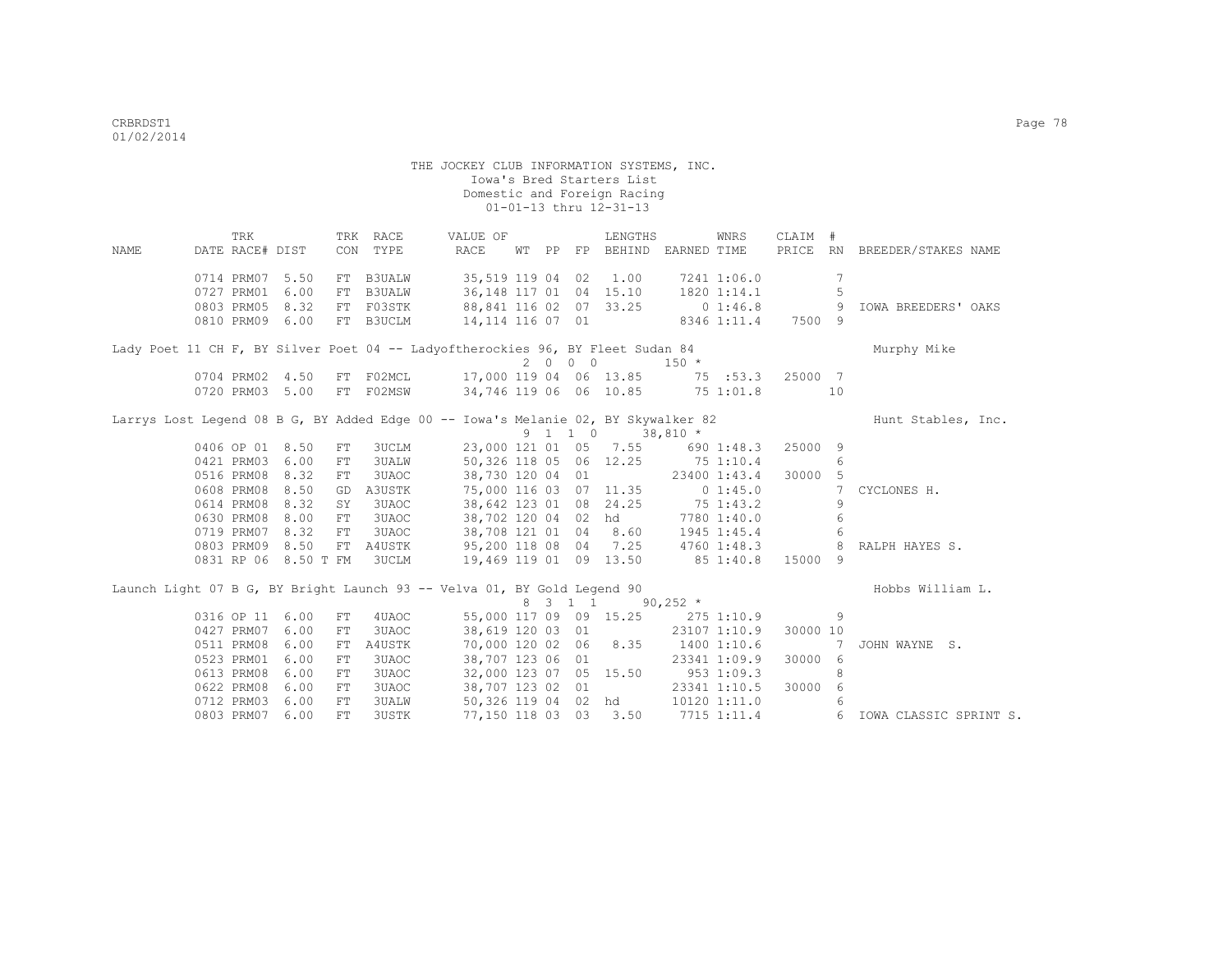TRK TRK RACE VALUE OF LENGTHS WNRS CLAIM # NAME DATE RACE# DIST CON TYPE RACE WT PP FP BEHIND EARNED TIME PRICE RN BREEDER/STAKES NAME 0714 PRM07 5.50 FT B3UALW 35,519 119 04 02 1.00 7241 1:06.0 7 0727 PRM01 6.00 FT B3UALW 36,148 117 01 04 15.10 1820 1:14.1 5 0803 PRM05 8.32 FT F03STK 88,841 116 02 07 33.25 0 1:46.8 9 IOWA BREEDERS' OAKS 0810 PRM09 6.00 FT B3UCLM Lady Poet 11 CH F, BY Silver Poet 04 -- Ladyoftherockies 96, BY Fleet Sudan 84 Murphy Mike  $2 \t 0 \t 0 \t 150 \t \times$ <br>17,000 119 04 06 13.85 75 :53.3 25000 7 0704 PRM02 4.50 FT F02MCL 0720 PRM03 5.00 FT F02MSW 34,746 119 06 06 10.85 75 1:01.8 10 Larrys Lost Legend 08 B G, BY Added Edge 00 -- Iowa's Melanie 02, BY Skywalker 82 Hunt Stables, Inc. 9 1 1 0 38,810 \* 0406 OP 01 8.50 FT 3UCLM 23,000 121 01 05 7.55 690 1:48.3 25000 9 0421 PRM03 6.00 FT 3UALW 50,326 118 05 06 12.25 75 1:10.4 6<br>0516 PRM08 8.32 FT 3UAOC 38,730 120 04 01 23400 1:43.4 30000 5 0516 PRM08 8.32 FT 3UAOC 38,730 120 04 01 23400 1:43.4 30000 5 0608 PRM08 8.50 GD A3USTK 75,000 116 03 07 11.35 0 1:45.0 7 CYCLONES H.<br>0614 PRM08 8.32 SY 3UAOC 38,642 123 01 08 24.25 75 1:43.2 9 0614 PRM08 8.32 SY 3UAOC 38,642 123 01 08 24.25 75 1:43.2 9 0630 PRM08 8.00 FT 3UAOC 38,702 120 04 02 hd 7780 1:40.0 6<br>0719 PRM07 8.32 FT 3UAOC 38,708 121 01 04 8.60 1945 1:45.4 6 38,708 121 01 04 8.60 1945 1:45.4 6 0803 PRM09 8.50 FT A4USTK 95,200 118 08 04 7.25 4760 1:48.3 8 RALPH HAYES S. 0831 RP 06 8.50 T FM 3UCLM 19,469 119 01 09 13.50 85 1:40.8 15000 9 Launch Light 07 B G, BY Bright Launch 93 -- Velva 01, BY Gold Legend 90 Hobbs William L.  $8$  3 1 1 90,252  $*$ <br>55,000 117 09 09 15.25 275 0316 OP 11 6.00 FT 4UAOC 55,000 117 09 09 15.25 275 1:10.9 9 0427 PRM07 6.00 FT 3UAOC 38,619 120 03 01 23107 1:10.9 30000 10 0511 PRM08 6.00 FT A4USTK 70,000 120 02 06 8.35 1400 1:10.6 7 JOHN WAYNE S.<br>0523 PRM01 6.00 FT 3UAOC 38,707 123 06 01 23341 1:09.9 30000 6 0523 PRM01 6.00 FT 3UAOC 38,707 123 06 01 23341 1:09.9<br>0613 PRM08 6.00 FT 3UAOC 32,000 123 07 05 15.50 953 1:09.3<br>0622 PRM08 6.00 FT 3UAOC 38,707 123 02 01 23341 1:10.5 0613 PRM08 6.00 FT 3UAOC 32,000 123 07 05 15.50 953 1:09.3 8 0622 PRM08 6.00 FT 3UAOC 38,707 123 02 01 23341 1:10.5 30000 6<br>0712 PRM03 6.00 FT 3UALW 50,326 119 04 02 hd 10120 1:11.0 6 0712 PRM03 6.00 FT 3UALW 50,326 119 04 02 hd 10120 1:11.0 6 0803 PRM07 6.00 FT 3USTK 77,150 118 03 03 3.50 7715 1:11.4 6 IOWA CLASSIC SPRINT S.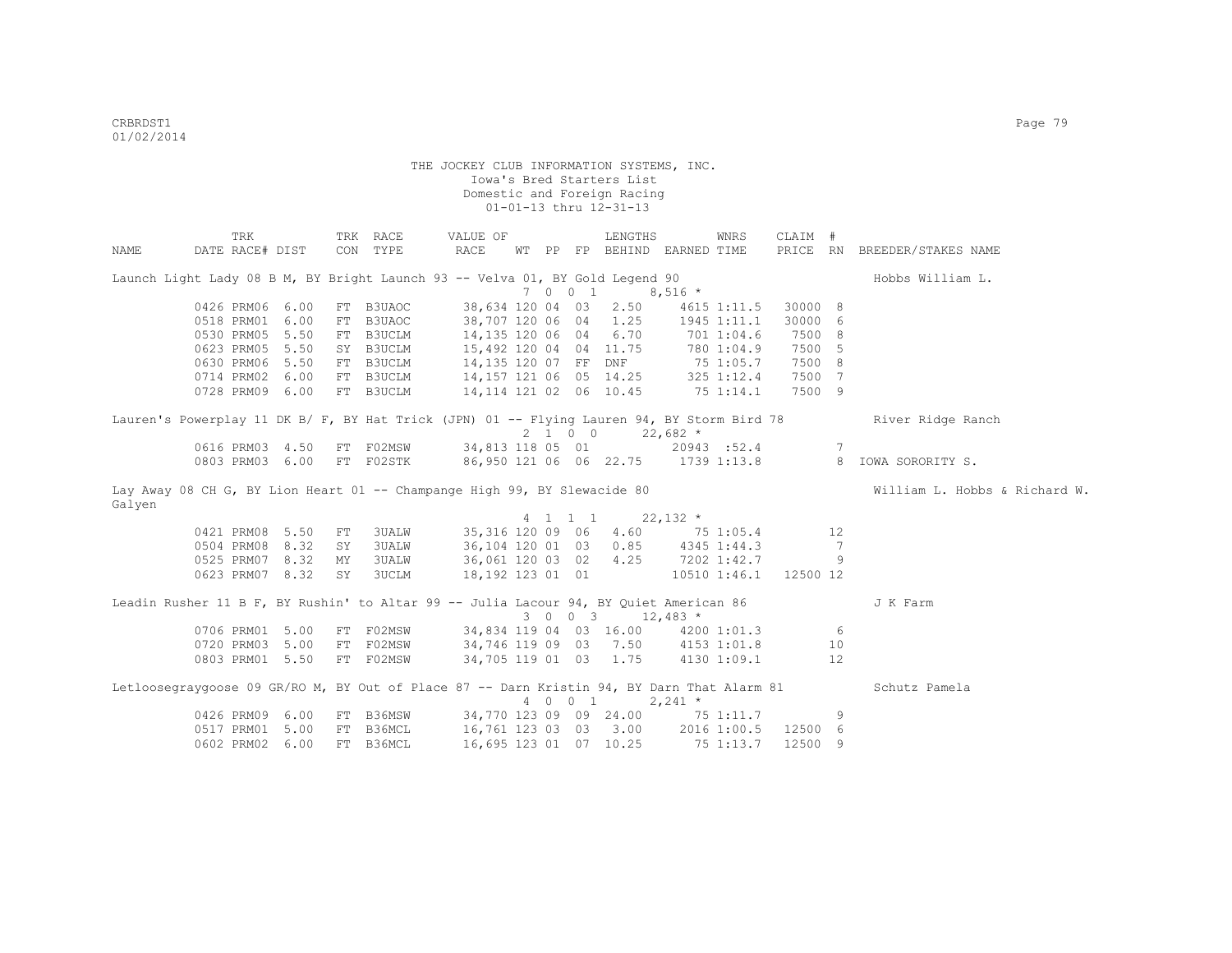|        | TRK                                                                                        |      |    | TRK RACE                                | VALUE OF                               |  |         | LENGTHS                     |                | WNRS        | CLAIM #             |     |                               |
|--------|--------------------------------------------------------------------------------------------|------|----|-----------------------------------------|----------------------------------------|--|---------|-----------------------------|----------------|-------------|---------------------|-----|-------------------------------|
| NAME   | DATE RACE# DIST                                                                            |      |    | CON TYPE                                | RACE                                   |  |         | WT PP FP BEHIND EARNED TIME |                |             |                     |     | PRICE RN BREEDER/STAKES NAME  |
|        | Launch Light Lady 08 B M, BY Bright Launch 93 -- Velva 01, BY Gold Legend 90               |      |    |                                         |                                        |  |         |                             |                |             |                     |     | Hobbs William L.              |
|        |                                                                                            |      |    |                                         |                                        |  | 7 0 0 1 | $8,516$ *                   |                |             |                     |     |                               |
|        | 0426 PRM06 6.00                                                                            |      |    | FT B3UAOC                               | 38,634 120 04 03                       |  |         | 2.50                        |                | 4615 1:11.5 | 30000 8             |     |                               |
|        | 0518 PRM01                                                                                 | 6.00 |    | FT B3UAOC                               | 38,707 120 06 04                       |  |         | 1.25                        |                | 1945 1:11.1 | 30000               | - 6 |                               |
|        | 0530 PRM05 5.50                                                                            |      | FT | B3UCLM                                  | 14,135 120 06 04                       |  |         | 6.70                        |                | 701 1:04.6  | 7500                | 8   |                               |
|        | 0623 PRM05                                                                                 | 5.50 |    | SY B3UCLM                               | 15,492 120 04 04 11.75                 |  |         |                             | 780 1:04.9     |             | 7500                | -5  |                               |
|        | 0630 PRM06 5.50                                                                            |      |    | FT B3UCLM                               | 14,135 120 07 FF DNF 75 1:05.7         |  |         |                             |                |             | 7500 8              |     |                               |
|        | 0714 PRM02 6.00                                                                            |      |    | FT B3UCLM                               | 14, 157 121 06 05 14.25 325 1:12.4     |  |         |                             |                |             | 7500 7              |     |                               |
|        | 0728 PRM09 6.00                                                                            |      |    | FT B3UCLM                               | 14, 114 121 02 06 10.45 75 1:14.1      |  |         |                             |                |             | 7500 9              |     |                               |
|        | Lauren's Powerplay 11 DK B/ F, BY Hat Trick (JPN) 01 -- Flying Lauren 94, BY Storm Bird 78 |      |    |                                         |                                        |  | 2 1 0 0 | $22,682$ *                  |                |             |                     |     | River Ridge Ranch             |
|        | 0616 PRM03 4.50 FT F02MSW                                                                  |      |    |                                         | 34,813 118 05 01 20943 :52.4 7         |  |         |                             |                |             |                     |     |                               |
|        | 0803 PRM03 6.00                                                                            |      |    | FT F02STK                               | 86,950 121 06 06 22.75 1739 1:13.8     |  |         |                             |                |             |                     |     | 8 IOWA SORORITY S.            |
| Galyen | Lay Away 08 CH G, BY Lion Heart 01 -- Champange High 99, BY Slewacide 80                   |      |    |                                         |                                        |  |         |                             |                |             |                     |     | William L. Hobbs & Richard W. |
|        |                                                                                            |      |    |                                         |                                        |  | 4 1 1 1 | $22,132$ *                  |                |             |                     |     |                               |
|        | 0421 PRM08 5.50                                                                            |      | FT | 3UALW                                   | 35,316 120 09 06                       |  |         |                             | 4.60 75 1:05.4 |             | 12                  |     |                               |
|        | 0504 PRM08 8.32                                                                            |      | SY | <b>3UALW</b>                            | 36,104 120 01 03                       |  |         | $0.85$ 4345 1:44.3          |                |             |                     | 7   |                               |
|        | 0525 PRM07 8.32                                                                            |      | MY | <b>3UALW</b>                            | 36,061 120 03 02                       |  |         | $4.25$ $7202$ $1:42.7$      |                |             |                     | 9   |                               |
|        | 0623 PRM07 8.32                                                                            |      | SY | 3UCLM                                   | 18,192 123 01 01 10510 1:46.1 12500 12 |  |         |                             |                |             |                     |     |                               |
|        | Leadin Rusher 11 B F, BY Rushin' to Altar 99 -- Julia Lacour 94, BY Quiet American 86      |      |    |                                         |                                        |  |         | 3 0 0 3 12,483 *            |                |             |                     |     | J K Farm                      |
|        | 0706 PRM01 5.00                                                                            |      |    | FT F02MSW                               | 34,834 119 04 03 16.00 4200 1:01.3 6   |  |         |                             |                |             |                     |     |                               |
|        | 0720 PRM03 5.00                                                                            |      |    | FT F02MSW                               | 34,746 119 09 03 7.50 4153 1:01.8      |  |         |                             |                |             |                     | 10  |                               |
|        | 0803 PRM01 5.50                                                                            |      |    | FT F02MSW                               | 34,705 119 01 03 1.75                  |  |         |                             |                | 4130 1:09.1 |                     | 12  |                               |
|        | Letloosegraygoose 09 GR/RO M, BY Out of Place 87 -- Darn Kristin 94, BY Darn That Alarm 81 |      |    |                                         |                                        |  | 4 0 0 1 |                             | $2,241$ *      |             |                     |     | Schutz Pamela                 |
|        | 0426 PRM09 6.00                                                                            |      | FT | B36MSW 34,770 123 09 09 24.00 75 1:11.7 |                                        |  |         |                             |                |             |                     | 9   |                               |
|        | 0517 PRM01 5.00                                                                            |      |    | FT B36MCL                               | 16,761 123 03 03 3.00                  |  |         |                             |                |             | 2016 1:00.5 12500 6 |     |                               |
|        | 0602 PRM02                                                                                 | 6.00 | FТ | B36MCL                                  | 16,695 123 01 07 10.25                 |  |         |                             |                | 75 1:13.7   | 12500               | 9   |                               |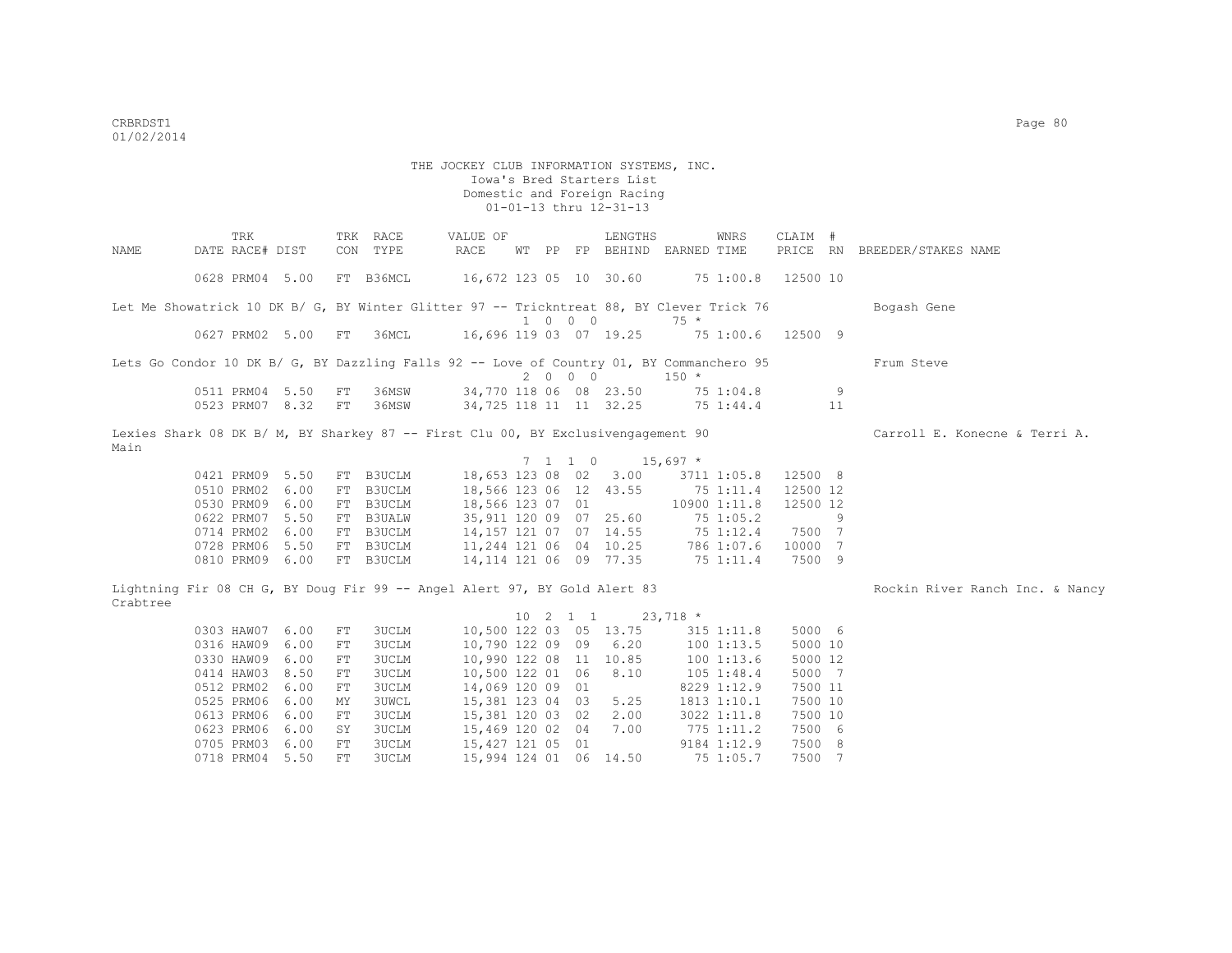TRK TRK RACE VALUE OF LENGTHS WNRS CLAIM # NAME DATE RACE# DIST CON TYPE RACE WT PP FP BEHIND EARNED TIME PRICE RN BREEDER/STAKES NAME 0628 PRM04 5.00 FT B36MCL 16,672 123 05 10 30.60 75 1:00.8 12500 10 Let Me Showatrick 10 DK B/ G, BY Winter Glitter 97 -- Trickntreat 88, BY Clever Trick 76 Bogash Gene 1 0 0 0 75 \*<br>16.696 119 03 07 19.25 75 07 19.25 75 16.696 119 03 07 19.25 75 16,696 119 03 07 19.25 75 1:00.6 12500 9 Lets Go Condor 10 DK B/ G. BY Dazzling Falls 92 -- Love of Country 01, BY Commanchero 95 Frum Steve  $2 \t 0 \t 0 \t 150 \t \star$  0511 PRM04 5.50 FT 36MSW 34,770 118 06 08 23.50 75 1:04.8 9 0523 PRM07 8.32 FT 36MSW 34,725 118 11 11 32.25 75 1:44.4 11 Lexies Shark 08 DK B/ M, BY Sharkey 87 -- First Clu 00, BY Exclusivengagement 90 Carroll E. Konecne & Terri A. Main  $7$  1 1 0 15,697 \*<br>18,653 123 08 02 3.00 371 0421 PRM09 5.50 FT B3UCLM 18,653 123 08 02 3.00 3711 1:05.8 12500 8<br>0510 PRM02 6.00 FT B3UCLM 18,566 123 06 12 43.55 75 1:11.4 12500 12 0510 PRM02 6.00 FT B3UCLM 18,566 123 06 12 43.55 75 1:11.4 12500 12<br>0530 PRM09 6.00 FT B3UCLM 18,566 123 07 01 10900 1:11.8 12500 12 0530 PRM09 6.00 FT B3UCLM 18,566 123 07 01 10900 1:11.8<br>0622 PRM07 5.50 FT B3UALW 35.911 120 09 07 25.60 75 1:05.2 0622 PRM07 5.50 FT B3UALW 35,911 120 09 07 25.60 75 1:05.2 9<br>0714 PRM02 6.00 FT B3UCLM 14,157 121 07 07 14.55 75 1:12.4 7500 7 0714 PRM02 6.00 FT B3UCLM 0728 PRM06 5.50 FT B3UCLM 11,244 121 06 04 10.25 786 1:07.6 10000 7 0810 PRM09 6.00 FT B3UCLM 14,114 121 06 09 77.35 75 1:11.4 7500 9 Lightning Fir 08 CH G, BY Doug Fir 99 -- Angel Alert 97, BY Gold Alert 83 Rockin River Ranch Inc. & Nancy Crabtree 10 2 1 1 23,718 \* 0303 HAW07 6.00 FT 3UCLM 10,500 122 03 05 13.75 315 1:11.8 5000 6<br>0316 HAW09 6.00 FT 3UCLM 10,790 122 09 09 6.20 100 1:13.5 5000 10 0316 HAW09 6.00 FT 3UCLM 10,790 122 09 09 6.20 100 1:13.5 5000 10<br>0330 HAW09 6.00 FT 3UCLM 10,990 122 08 11 10.85 100 1:13.6 5000 12 0330 HAW09 6.00 FT 3UCLM 10,990 122 08 11 10.85 100 1:13.6 5000 12<br>0414 HAW03 8.50 FT 3UCLM 10.500 122 01 06 8.10 105 1:48.4 5000 7 0414 HAW03 8.50 FT 3UCLM 10,500 122 01 06 8.10 105 1:48.4 5000 7<br>0512 PRM02 6.00 FT 3UCLM 14,069 120 09 01 8229 1:12.9 7500 11 0512 PRM02 6.00 FT 3UCLM 14,069 120 09 01 8229 1:12.9 7500 11<br>0525 PRM06 6.00 MY 3UWCL 15,381 123 04 03 5.25 1813 1:10.1 7500 10 0525 PRM06 6.00 MY 3UWCL 0613 PRM06 6.00 FT 3UCLM 15,381 120 03 02 2.00 3022 1:11.8 7500 10 0623 PRM06 6.00 SY 3UCLM 15,469 120 02 04 7.00 775 1:11.2 7500 6 0705 PRM03 6.00 FT 3UCLM 15,427 121 05 01 9184 1:12.9 7500 8 0718 PRM04 5.50 FT 3UCLM 15,994 124 01 06 14.50 75 1:05.7 7500 7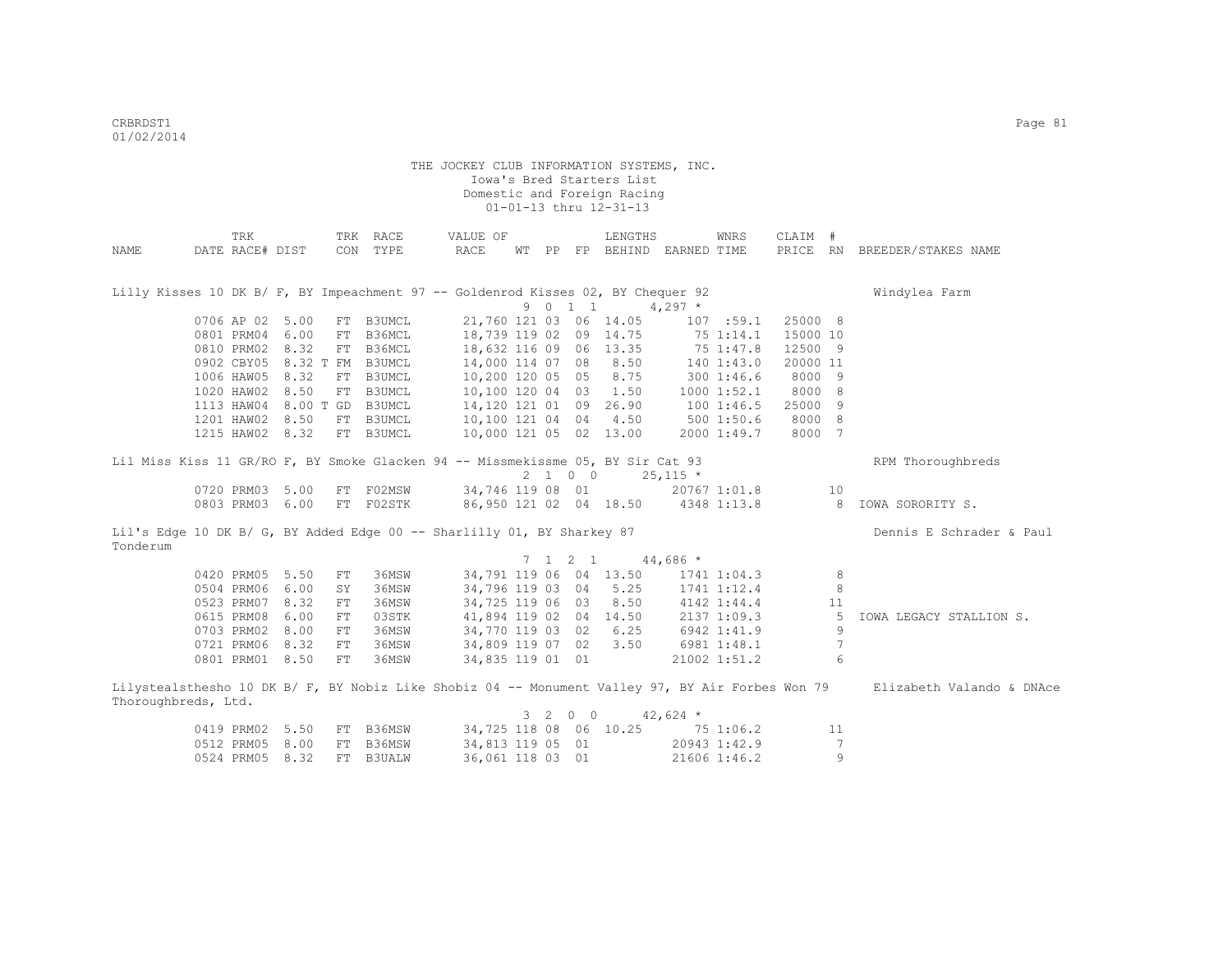|                     | TRK             |                      |            | TRK RACE      | VALUE OF                                                                                         |                 | LENGTHS                |                                    | WNRS            | CLAIM #  |                |                              |
|---------------------|-----------------|----------------------|------------|---------------|--------------------------------------------------------------------------------------------------|-----------------|------------------------|------------------------------------|-----------------|----------|----------------|------------------------------|
| NAME                | DATE RACE# DIST |                      |            | CON TYPE      | RACE                                                                                             |                 |                        | WT PP FP BEHIND EARNED TIME        |                 |          |                | PRICE RN BREEDER/STAKES NAME |
|                     |                 |                      |            |               | Lilly Kisses 10 DK B/ F, BY Impeachment 97 -- Goldenrod Kisses 02, BY Chequer 92                 |                 |                        |                                    |                 |          |                | Windylea Farm                |
|                     |                 |                      |            |               |                                                                                                  | 9 0 1 1         |                        | $4,297$ *                          |                 |          |                |                              |
|                     | 0706 AP 02 5.00 |                      | FT         | B3UMCL        |                                                                                                  |                 | 21,760 121 03 06 14.05 |                                    | 107 : 59.1      | 25000 8  |                |                              |
|                     |                 | 0801 PRM04 6.00      | FT         | B36MCL        |                                                                                                  |                 | 18,739 119 02 09 14.75 |                                    | 75 1:14.1       | 15000 10 |                |                              |
|                     |                 | 0810 PRM02 8.32      | FT         | B36MCL        |                                                                                                  |                 | 18,632 116 09 06 13.35 |                                    | 75 1:47.8       | 12500 9  |                |                              |
|                     |                 | 0902 CBY05 8.32 T FM |            | B3UMCL        |                                                                                                  |                 | 14,000 114 07 08 8.50  |                                    | 1401:43.0       | 20000 11 |                |                              |
|                     |                 | 1006 HAW05 8.32      |            | FT B3UMCL     |                                                                                                  |                 | 10,200 120 05 05 8.75  |                                    | 3001:46.6       | 8000 9   |                |                              |
|                     |                 | 1020 HAW02 8.50      | FT         | B3UMCL        |                                                                                                  |                 | 10,100 120 04 03 1.50  |                                    | 10001:52.1      | 8000 8   |                |                              |
|                     |                 | 1113 HAW04 8.00 T GD |            | B3UMCL        |                                                                                                  |                 | 14,120 121 01 09 26.90 | 1001:46.5                          |                 | 25000 9  |                |                              |
|                     |                 | 1201 HAW02 8.50      | FT         | B3UMCL        |                                                                                                  |                 | 10,100 121 04 04 4.50  |                                    | 5001:50.6       | 8000 8   |                |                              |
|                     |                 | 1215 HAW02 8.32      |            | FT B3UMCL     |                                                                                                  |                 | 10,000 121 05 02 13.00 |                                    | 2000 1:49.7     | 8000 7   |                |                              |
|                     |                 |                      |            |               | Lil Miss Kiss 11 GR/RO F, BY Smoke Glacken 94 -- Missmekissme 05, BY Sir Cat 93                  |                 |                        |                                    |                 |          |                | RPM Thoroughbreds            |
|                     |                 |                      |            |               |                                                                                                  | 2 1 0 0         |                        | $25,115$ *                         |                 |          |                |                              |
|                     |                 | 0720 PRM03 5.00      |            | FT F02MSW     |                                                                                                  |                 | 34,746 119 08 01       |                                    | 20767 1:01.8    |          | 10             |                              |
|                     |                 | 0803 PRM03 6.00      |            | FT F02STK     |                                                                                                  |                 |                        | 86,950 121 02 04 18.50 4348 1:13.8 |                 |          | 8 <sup>1</sup> | IOWA SORORITY S.             |
|                     |                 |                      |            |               | Lil's Edge 10 DK B/ G, BY Added Edge 00 -- Sharlilly 01, BY Sharkey 87                           |                 |                        |                                    |                 |          |                | Dennis E Schrader & Paul     |
| Tonderum            |                 |                      |            |               |                                                                                                  |                 |                        |                                    |                 |          |                |                              |
|                     |                 |                      |            |               |                                                                                                  | $7 \t1 \t2 \t1$ |                        | $44,686$ *                         |                 |          |                |                              |
|                     | 0420 PRM05 5.50 |                      | FT         | 36MSW         |                                                                                                  |                 | 34,791 119 06 04 13.50 |                                    | $1741$ $1:04.3$ |          | 8              |                              |
|                     | 0504 PRM06 6.00 |                      | SY         | 36MSW         |                                                                                                  |                 | 34,796 119 03 04 5.25  |                                    | 1741 1:12.4     |          | 8              |                              |
|                     | 0523 PRM07 8.32 |                      | ${\rm FT}$ | 36MSW         | 34,725 119 06 03                                                                                 |                 | 8.50                   |                                    | 4142 1:44.4     |          | 11             |                              |
|                     | 0615 PRM08      | 6.00                 | FT         | 03STK         |                                                                                                  |                 | 41,894 119 02 04 14.50 |                                    | 2137 1:09.3     |          | -5             | IOWA LEGACY STALLION S.      |
|                     | 0703 PRM02      | 8.00                 | FT         | 36MSW         | 34,770 119 03 02                                                                                 |                 | 6.25                   |                                    | 6942 1:41.9     |          | 9              |                              |
|                     | 0721 PRM06 8.32 |                      | ${\rm FT}$ | 36MSW         | 34,809 119 07 02                                                                                 |                 | 3.50                   |                                    | 6981 1:48.1     |          | 7              |                              |
|                     | 0801 PRM01 8.50 |                      | FT         | 36MSW         | 34,835 119 01 01                                                                                 |                 |                        |                                    | 21002 1:51.2    |          | 6              |                              |
|                     |                 |                      |            |               | Lilystealsthesho 10 DK B/ F, BY Nobiz Like Shobiz 04 -- Monument Valley 97, BY Air Forbes Won 79 |                 |                        |                                    |                 |          |                | Elizabeth Valando & DNAce    |
| Thoroughbreds, Ltd. |                 |                      |            |               |                                                                                                  |                 |                        |                                    |                 |          |                |                              |
|                     |                 |                      |            |               |                                                                                                  | 3 2 0 0         |                        | $42,624$ *                         |                 |          |                |                              |
|                     |                 | 0419 PRM02 5.50      | FT         | B36MSW        |                                                                                                  |                 | 34,725 118 08 06 10.25 |                                    | 75 1:06.2       |          | 11             |                              |
|                     |                 | 0512 PRM05 8.00      | FT         | B36MSW        | 34,813 119 05 01                                                                                 |                 |                        |                                    | 20943 1:42.9    |          | 7              |                              |
|                     | 0524 PRM05      | 8.32                 | FT         | <b>B3UALW</b> | 36,061 118 03 01                                                                                 |                 |                        |                                    | 21606 1:46.2    |          | 9              |                              |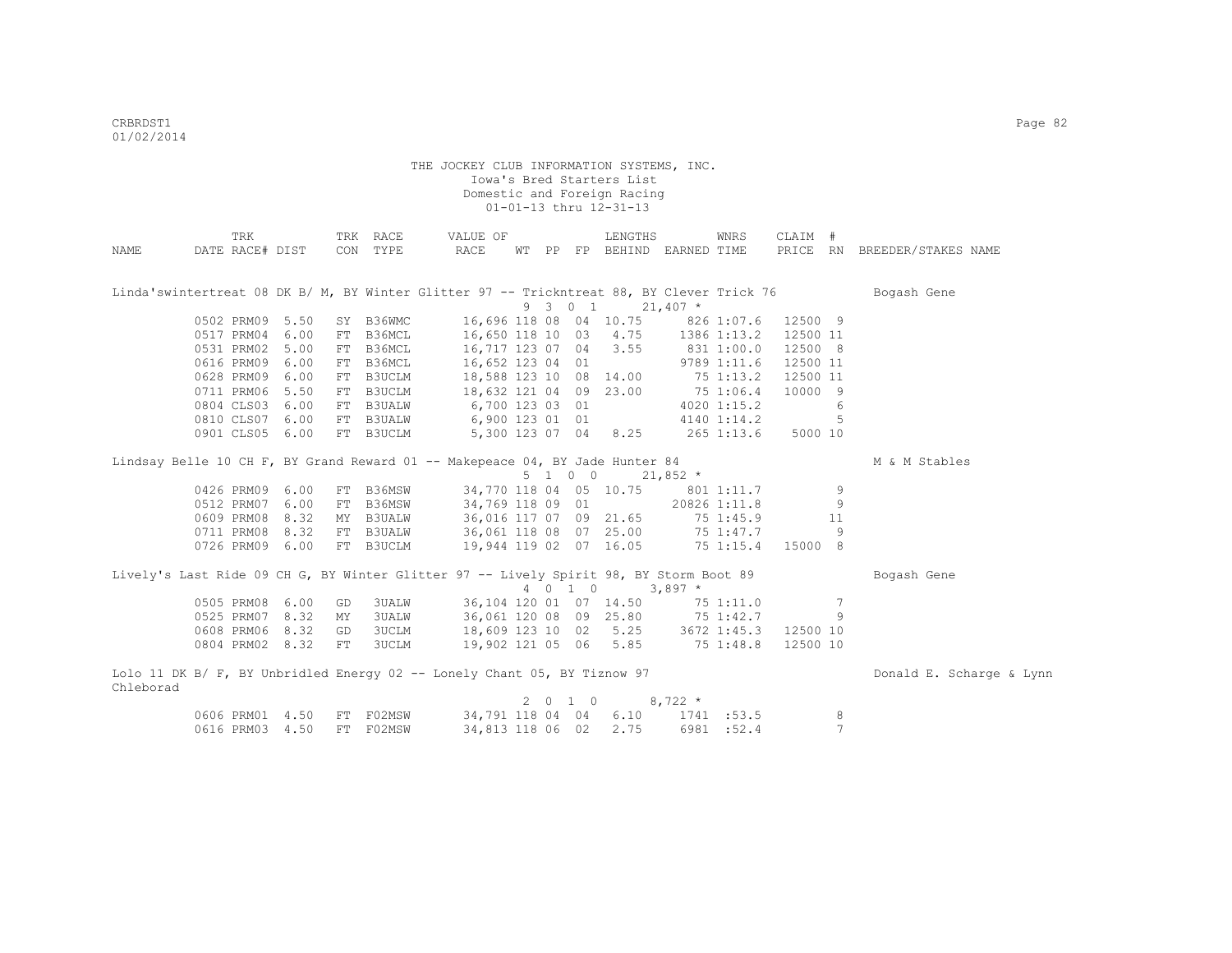|                                                                                           | TRK             |      |    | TRK RACE               | VALUE OF               |                  |                    | LENGTHS                           |                     | WNRS         | CLAIM #  |                 |                              |
|-------------------------------------------------------------------------------------------|-----------------|------|----|------------------------|------------------------|------------------|--------------------|-----------------------------------|---------------------|--------------|----------|-----------------|------------------------------|
| NAME                                                                                      | DATE RACE# DIST |      |    | CON TYPE               | RACE                   |                  |                    | WT PP FP BEHIND EARNED TIME       |                     |              |          |                 | PRICE RN BREEDER/STAKES NAME |
|                                                                                           |                 |      |    |                        |                        |                  |                    |                                   |                     |              |          |                 |                              |
|                                                                                           |                 |      |    |                        |                        |                  |                    |                                   |                     |              |          |                 |                              |
| Linda'swintertreat 08 DK B/ M, BY Winter Glitter 97 -- Trickntreat 88, BY Clever Trick 76 |                 |      |    |                        |                        |                  |                    |                                   |                     |              |          |                 | Bogash Gene                  |
|                                                                                           |                 |      |    |                        |                        |                  | 9 3 0 1            |                                   | $21,407$ *          |              |          |                 |                              |
|                                                                                           | 0502 PRM09 5.50 |      |    | SY B36WMC              |                        |                  |                    | 16,696 118 08 04 10.75 826 1:07.6 |                     |              | 12500 9  |                 |                              |
|                                                                                           | 0517 PRM04 6.00 |      |    | FT B36MCL              |                        |                  |                    | 16,650 118 10 03 4.75 1386 1:13.2 |                     |              | 12500 11 |                 |                              |
|                                                                                           | 0531 PRM02 5.00 |      |    | FT B36MCL              |                        |                  |                    | 16,717 123 07 04 3.55             | 8311:00.0           |              | 12500 8  |                 |                              |
|                                                                                           | 0616 PRM09 6.00 |      |    | FT B36MCL              | 16,652 123 04 01       |                  |                    |                                   |                     | 9789 1:11.6  | 12500 11 |                 |                              |
|                                                                                           | 0628 PRM09      | 6.00 |    | FT B3UCLM              | 18,588 123 10 08 14.00 |                  |                    |                                   |                     | $75$ 1:13.2  | 12500 11 |                 |                              |
|                                                                                           | 0711 PRM06      | 5.50 |    | FT B3UCLM              |                        |                  |                    | 18,632 121 04 09 23.00            | 75 1:06.4           |              | 10000 9  |                 |                              |
|                                                                                           | 0804 CLS03 6.00 |      |    | FT B3UALW              | 6,700 123 03 01        |                  |                    |                                   |                     | 4020 1:15.2  |          | 6               |                              |
|                                                                                           | 0810 CLS07      | 6.00 |    | FT B3UALW              |                        |                  |                    | 6,900 123 01 01                   |                     | 4140 1:14.2  |          | 5               |                              |
|                                                                                           | 0901 CLS05 6.00 |      |    | FT B3UCLM              |                        |                  |                    | 5,300 123 07 04 8.25              |                     | $265$ 1:13.6 | 5000 10  |                 |                              |
|                                                                                           |                 |      |    |                        |                        |                  |                    |                                   |                     |              |          |                 |                              |
| Lindsay Belle 10 CH F, BY Grand Reward 01 -- Makepeace 04, BY Jade Hunter 84              |                 |      |    |                        |                        |                  |                    |                                   |                     |              |          |                 | M & M Stables                |
|                                                                                           |                 |      |    |                        |                        |                  | $5 \t1 \t0 \t0$    |                                   | $21,852$ *          |              |          |                 |                              |
|                                                                                           | 0426 PRM09      | 6.00 |    | FT B36MSW              |                        |                  |                    | 34,770 118 04 05 10.75            |                     | 801 1:11.7   |          | 9               |                              |
|                                                                                           | 0512 PRM07      | 6.00 |    | FT B36MSW              |                        | 34,769 118 09 01 |                    |                                   |                     | 20826 1:11.8 |          | 9               |                              |
|                                                                                           | 0609 PRM08      | 8.32 |    | MY B3UALW              |                        |                  |                    | 36,016 117 07 09 21.65            |                     | 75 1:45.9    |          | 11              |                              |
|                                                                                           | 0711 PRM08 8.32 |      |    |                        |                        |                  |                    | 36,061 118 08 07 25.00            |                     | 75 1:47.7    |          | 9               |                              |
|                                                                                           | 0726 PRM09 6.00 |      |    | FT B3UALW<br>FT B3UCLM |                        |                  |                    | 19,944 119 02 07 16.05            |                     | 75 1:15.4    | 15000 8  |                 |                              |
|                                                                                           |                 |      |    |                        |                        |                  |                    |                                   |                     |              |          |                 |                              |
| Lively's Last Ride 09 CH G, BY Winter Glitter 97 -- Lively Spirit 98, BY Storm Boot 89    |                 |      |    |                        |                        |                  |                    |                                   |                     |              |          |                 | Bogash Gene                  |
|                                                                                           |                 |      |    |                        |                        |                  | 4 0 1 0            |                                   | $3,897$ *           |              |          |                 |                              |
|                                                                                           | 0505 PRM08      | 6.00 | GD |                        | 3UALW                  |                  |                    | 36,104 120 01 07 14.50            |                     | 75 1:11.0    |          | $7\phantom{.0}$ |                              |
|                                                                                           | 0525 PRM07      | 8.32 | MY | 3UALW                  |                        |                  |                    | 36,061 120 08 09 25.80            |                     | 75 1:42.7    |          | 9               |                              |
|                                                                                           | 0608 PRM06      | 8.32 | GD | 3UCLM                  |                        |                  |                    | 18,609 123 10 02 5.25 3672 1:45.3 |                     |              | 12500 10 |                 |                              |
|                                                                                           | 0804 PRM02 8.32 |      | FT | 3UCLM                  |                        |                  |                    | 19,902 121 05 06 5.85 75 1:48.8   |                     |              | 12500 10 |                 |                              |
|                                                                                           |                 |      |    |                        |                        |                  |                    |                                   |                     |              |          |                 |                              |
| Lolo 11 DK B/ F, BY Unbridled Energy 02 -- Lonely Chant 05, BY Tiznow 97                  |                 |      |    |                        |                        |                  |                    |                                   |                     |              |          |                 | Donald E. Scharge & Lynn     |
| Chleborad                                                                                 |                 |      |    |                        |                        |                  |                    |                                   |                     |              |          |                 |                              |
|                                                                                           |                 |      |    |                        |                        |                  | $2 \t 0 \t 1 \t 0$ |                                   | $8,722$ *           |              |          |                 |                              |
|                                                                                           | 0606 PRM01      | 4.50 |    | FT F02MSW              |                        |                  | 34,791 118 04 04   |                                   | $6.10$ $1741$ :53.5 |              |          | 8               |                              |
|                                                                                           | 0616 PRM03 4.50 |      |    | FT F02MSW              |                        | 34,813 118 06 02 |                    | 2.75                              |                     | 6981 :52.4   |          | $\overline{7}$  |                              |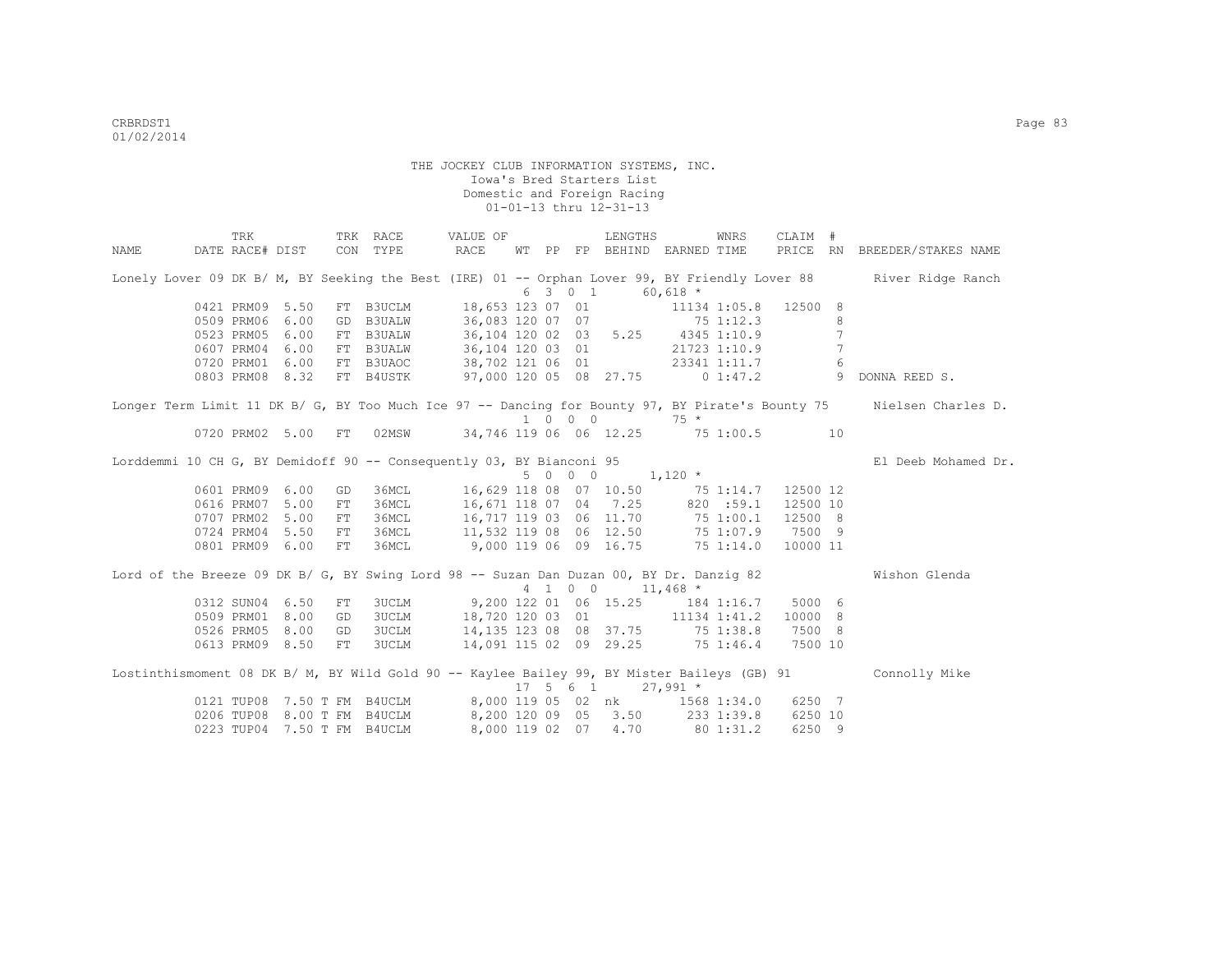|      | TRK        |                 |            | TRK RACE                    | VALUE OF                                                                                    |  |                             | LENGTHS                         |            | WNRS      | CLAIM #  |                |                                                                                                                     |
|------|------------|-----------------|------------|-----------------------------|---------------------------------------------------------------------------------------------|--|-----------------------------|---------------------------------|------------|-----------|----------|----------------|---------------------------------------------------------------------------------------------------------------------|
| NAME |            | DATE RACE# DIST |            | CON TYPE                    | RACE                                                                                        |  |                             | WT PP FP BEHIND EARNED TIME     |            |           | PRICE RN |                | BREEDER/STAKES NAME                                                                                                 |
|      |            |                 |            |                             |                                                                                             |  |                             |                                 |            |           |          |                | Lonely Lover 09 DK B/ M, BY Seeking the Best (IRE) 01 -- Orphan Lover 99, BY Friendly Lover 88 River Ridge Ranch    |
|      |            |                 |            |                             |                                                                                             |  | 6 3 0 1                     |                                 | $60.618$ * |           |          |                |                                                                                                                     |
|      |            | 0421 PRM09 5.50 |            |                             | FT B3UCLM 18,653 123 07 01 11134 1:05.8                                                     |  |                             |                                 |            |           | 12500 8  |                |                                                                                                                     |
|      | 0509 PRM06 | 6.00            |            |                             | GD B3UALW 36,083 120 07 07 75 1:12.3                                                        |  |                             |                                 |            |           |          | 8              |                                                                                                                     |
|      | 0523 PRM05 | 6.00            |            |                             | FT B3UALW 36,104 120 02 03 5.25 4345 1:10.9                                                 |  |                             |                                 |            |           |          | 7              |                                                                                                                     |
|      | 0607 PRM04 | 6.00            |            |                             | FT B3UALW 36,104 120 03 01 21723 1:10.9                                                     |  |                             |                                 |            |           |          | $\overline{7}$ |                                                                                                                     |
|      |            | 0720 PRM01 6.00 |            | FT B3UAOC                   | 38,702 121 06 01 23341 1:11.7<br>97,000 120 05 08 27.75 0 1:47.2                            |  |                             |                                 |            |           |          | 6              |                                                                                                                     |
|      |            | 0803 PRM08 8.32 |            | FT B4USTK                   |                                                                                             |  |                             |                                 |            |           |          | $\overline{9}$ | DONNA REED S.                                                                                                       |
|      |            |                 |            |                             |                                                                                             |  |                             |                                 |            |           |          |                | Longer Term Limit 11 DK B/ G, BY Too Much Ice 97 -- Dancing for Bounty 97, BY Pirate's Bounty 75 Nielsen Charles D. |
|      |            |                 |            |                             |                                                                                             |  | $1 \quad 0 \quad 0 \quad 0$ |                                 | $75 *$     |           |          |                |                                                                                                                     |
|      |            | 0720 PRM02 5.00 | ${\rm FT}$ | 02MSW                       | 34,746 119 06 06 12.25 75 1:00.5 10                                                         |  |                             |                                 |            |           |          |                |                                                                                                                     |
|      |            |                 |            |                             | Lorddemmi 10 CH G, BY Demidoff 90 -- Consequently 03, BY Bianconi 95                        |  |                             |                                 |            |           |          |                | El Deeb Mohamed Dr.                                                                                                 |
|      |            |                 |            |                             |                                                                                             |  | 5 0 0 0                     |                                 | $1,120$ *  |           |          |                |                                                                                                                     |
|      | 0601 PRM09 | 6.00            | GD         |                             | 36MCL 16,629 118 08 07 10.50 75 1:14.7                                                      |  |                             |                                 |            |           | 12500 12 |                |                                                                                                                     |
|      | 0616 PRM07 | 5.00            | ${\rm FT}$ | 36MCL                       | 16,671 118 07 04 7.25 820 :59.1                                                             |  |                             |                                 |            |           | 12500 10 |                |                                                                                                                     |
|      |            | 0707 PRM02 5.00 | FT         | 36MCL                       |                                                                                             |  |                             | 16,717 119 03 06 11.70          |            | 75 1:00.1 | 12500 8  |                |                                                                                                                     |
|      |            | 0724 PRM04 5.50 | FT         | 36MCL                       |                                                                                             |  |                             |                                 |            | 75 1:07.9 | 7500 9   |                |                                                                                                                     |
|      |            | 0801 PRM09 6.00 | FT         | 36MCL                       | $11,532$ 119 08 06 12.50<br>9,000 119 06 09 16.75                                           |  |                             |                                 |            | 751:14.0  | 10000 11 |                |                                                                                                                     |
|      |            |                 |            |                             | Lord of the Breeze 09 DK B/ G, BY Swing Lord 98 -- Suzan Dan Duzan 00, BY Dr. Danzig 82     |  |                             |                                 |            |           |          |                | Wishon Glenda                                                                                                       |
|      |            |                 |            |                             |                                                                                             |  | 4 1 0 0                     |                                 | $11,468$ * |           |          |                |                                                                                                                     |
|      |            | 0312 SUN04 6.50 | FT         |                             | 3UCLM 9,200 122 01 06 15.25 184 1:16.7                                                      |  |                             |                                 |            |           | 5000 6   |                |                                                                                                                     |
|      |            | 0509 PRM01 8.00 | GD         |                             | 3UCLM 18,720 120 03 01 11134 1:41.2                                                         |  |                             |                                 |            |           | 10000 8  |                |                                                                                                                     |
|      |            | 0526 PRM05 8.00 | GD         |                             | 3UCLM 14,135 123 08 08 37.75 75 1:38.8                                                      |  |                             |                                 |            |           | 7500 8   |                |                                                                                                                     |
|      |            | 0613 PRM09 8.50 | FT         | 3UCLM                       | 14,091 115 02 09 29.25 75 1:46.4                                                            |  |                             |                                 |            |           | 7500 10  |                |                                                                                                                     |
|      |            |                 |            |                             | Lostinthismoment 08 DK B/ M, BY Wild Gold 90 -- Kaylee Bailey 99, BY Mister Baileys (GB) 91 |  |                             |                                 |            |           |          |                | Connolly Mike                                                                                                       |
|      |            |                 |            |                             |                                                                                             |  |                             | $17 \quad 5 \quad 6 \quad 1$    | $27,991$ * |           |          |                |                                                                                                                     |
|      |            |                 |            | 0121 TUP08 7.50 T FM B4UCLM |                                                                                             |  |                             | 8,000 119 05 02 nk 1568 1:34.0  |            |           | 6250 7   |                |                                                                                                                     |
|      |            |                 |            | 0206 TUP08 8.00 T FM B4UCLM |                                                                                             |  |                             | 8,200 120 09 05 3.50 233 1:39.8 |            |           | 6250 10  |                |                                                                                                                     |
|      | 0223 TUP04 |                 |            | 7.50 T FM B4UCLM            | 8,000 119 02 07                                                                             |  |                             | 4.70                            |            | 80 1:31.2 | 6250 9   |                |                                                                                                                     |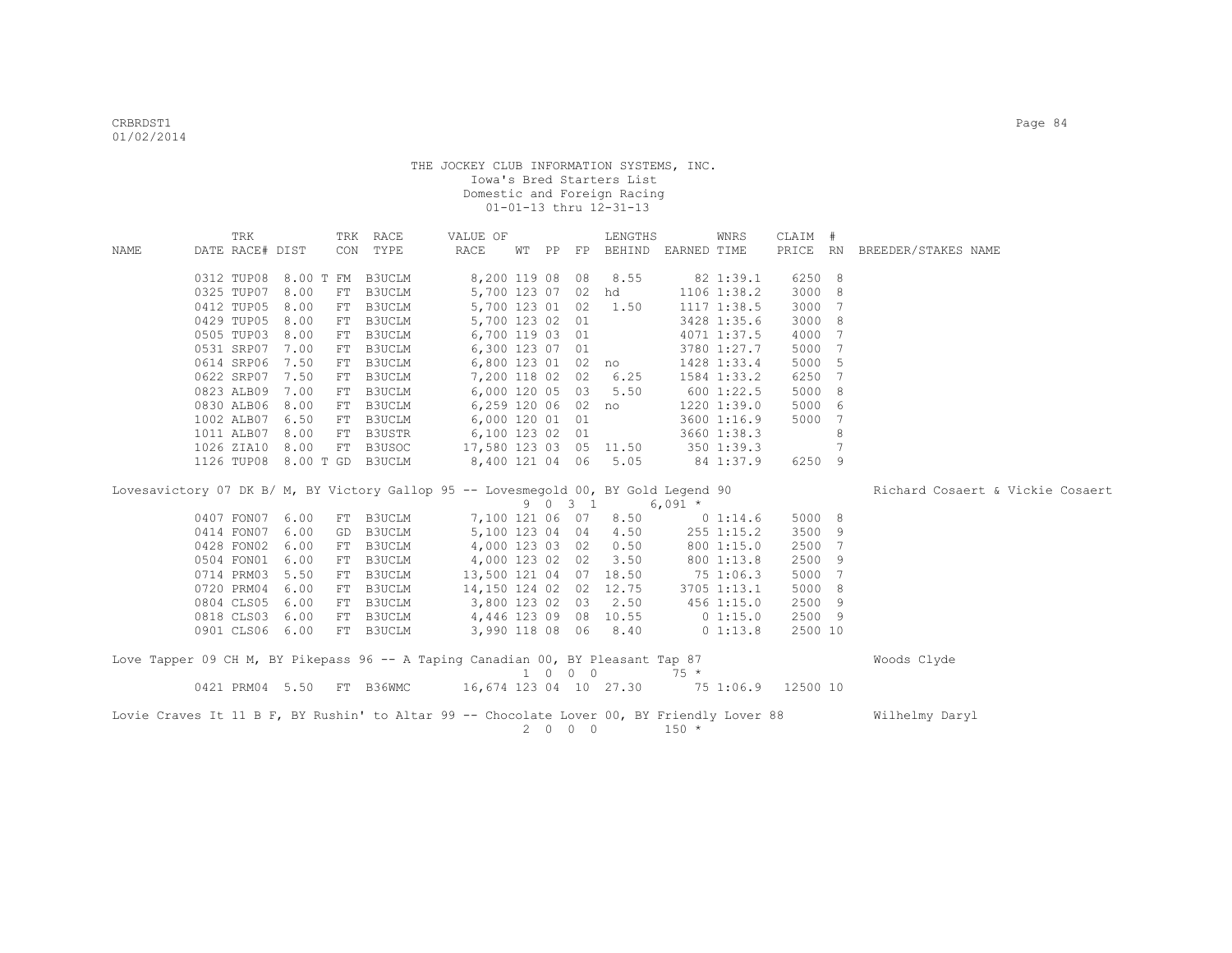|      | TRK             |           |    | TRK RACE                                                                                   | VALUE OF                                  |  |         | LENGTHS                          |             | WNRS                   | CLAIM #  |   |                                  |
|------|-----------------|-----------|----|--------------------------------------------------------------------------------------------|-------------------------------------------|--|---------|----------------------------------|-------------|------------------------|----------|---|----------------------------------|
| NAME | DATE RACE# DIST |           |    | CON TYPE                                                                                   | RACE                                      |  |         | WT PP FP BEHIND                  | EARNED TIME |                        | PRICE RN |   | BREEDER/STAKES NAME              |
|      |                 |           |    |                                                                                            |                                           |  |         |                                  |             |                        |          |   |                                  |
|      | 0312 TUP08      | 8.00 T FM |    | B3UCLM                                                                                     | 8,200 119 08 08                           |  |         | 8.55                             |             | 82 1:39.1              | 6250 8   |   |                                  |
|      | 0325 TUP07      | 8.00      | FT | B3UCLM                                                                                     |                                           |  |         | 5,700 123 07 02 hd               |             | 1106 1:38.2            | 3000 8   |   |                                  |
|      | 0412 TUP05      | 8.00      | FT | B3UCLM                                                                                     | 5,700 123 01 02                           |  |         | 1.50                             |             | 1117 1:38.5            | 3000 7   |   |                                  |
|      | 0429 TUP05      | 8.00      | FT | B3UCLM                                                                                     | 5,700 123 02 01                           |  |         |                                  |             | 3428 1:35.6            | 3000 8   |   |                                  |
|      | 0505 TUP03      | 8.00      | FT | <b>B3UCLM</b>                                                                              | 6,700 119 03 01                           |  |         |                                  |             | 4071 1:37.5            | 4000 7   |   |                                  |
|      | 0531 SRP07      | 7.00      | FT | B3UCLM                                                                                     | 6,300 123 07 01                           |  |         |                                  |             | 3780 1:27.7            | 5000 7   |   |                                  |
|      | 0614 SRP06      | 7.50      | FT | B3UCLM                                                                                     |                                           |  |         | 6,800 123 01 02 no               |             | 1428 1:33.4            | 5000 5   |   |                                  |
|      | 0622 SRP07      | 7.50      | FT | B3UCLM                                                                                     | 7,200 118 02 02 6.25                      |  |         |                                  |             | 1584 1:33.2            | 6250 7   |   |                                  |
|      | 0823 ALB09      | 7.00      | FT | B3UCLM                                                                                     | 6,000 120 05 03 5.50                      |  |         |                                  |             | 600 1:22.5             | 5000 8   |   |                                  |
|      | 0830 ALB06      | 8.00      | FT | B3UCLM                                                                                     | 6,259 120 06 02 no                        |  |         |                                  |             | 1220 1:39.0            | 5000 6   |   |                                  |
|      | 1002 ALB07 6.50 |           | FT | B3UCLM                                                                                     | 6,000 120 01 01                           |  |         |                                  |             | 3600 1:16.9            | 5000 7   |   |                                  |
|      | 1011 ALB07      | 8.00      | FT | <b>B3USTR</b>                                                                              | 6,100 123 02 01                           |  |         |                                  |             | 3660 1:38.3            |          | 8 |                                  |
|      | 1026 ZIA10 8.00 |           | FT | B3USOC                                                                                     | 17,580 123 03 05 11.50 350 1:39.3         |  |         |                                  |             |                        |          | 7 |                                  |
|      |                 |           |    | 1126 TUP08 8.00 T GD B3UCLM                                                                | 8,400 121 04 06                           |  |         | 5.05                             | 84 1:37.9   |                        | 6250 9   |   |                                  |
|      |                 |           |    |                                                                                            |                                           |  |         |                                  |             |                        |          |   |                                  |
|      |                 |           |    | Lovesavictory 07 DK B/ M, BY Victory Gallop 95 -- Lovesmegold 00, BY Gold Legend 90        |                                           |  |         | 9 0 3 1                          | $6,091*$    |                        |          |   | Richard Cosaert & Vickie Cosaert |
|      | 0407 FON07 6.00 |           |    | FT B3UCLM                                                                                  | 7,100 121 06 07 8.50                      |  |         |                                  | $0\;1:14.6$ |                        | 5000 8   |   |                                  |
|      | 0414 FON07 6.00 |           | GD | <b>B3UCLM</b>                                                                              | 5,100 123 04 04 4.50                      |  |         |                                  |             | 255 1:15.2             | 3500 9   |   |                                  |
|      | 0428 FON02 6.00 |           | FT | <b>B3UCLM</b>                                                                              | 4,000 123 03 02 0.50                      |  |         |                                  |             | 800 1:15.0             | 2500 7   |   |                                  |
|      | 0504 FON01      | 6.00      | FT | B3UCLM                                                                                     | 4,000 123 02 02                           |  |         | 3.50                             |             | 800 1:13.8             | 2500 9   |   |                                  |
|      | 0714 PRM03      | 5.50      | FT | <b>B3UCLM</b>                                                                              |                                           |  |         | 13,500 121 04 07 18.50 75 1:06.3 |             |                        | 5000 7   |   |                                  |
|      | 0720 PRM04      | 6.00      | FT | B3UCLM                                                                                     | 14,150 124 02 02                          |  |         | 12.75                            |             | 3705 1:13.1            | 5000 8   |   |                                  |
|      | 0804 CLS05      | 6.00      |    |                                                                                            | 3,800 123 02 03                           |  |         | 2.50                             |             |                        |          |   |                                  |
|      | 0818 CLS03 6.00 |           | FT | B3UCLM<br>FT B3UCLM                                                                        | 4,446 123 09 08 10.55                     |  |         |                                  |             | 456 1:15.0<br>0 1:15.0 | 2500 9   |   |                                  |
|      |                 |           |    |                                                                                            | 3,990 118 08 06 8.40                      |  |         |                                  |             |                        | 2500 9   |   |                                  |
|      | 0901 CLS06 6.00 |           |    | FT B3UCLM                                                                                  |                                           |  |         |                                  |             | $0\;1:13.8$            | 2500 10  |   |                                  |
|      |                 |           |    | Love Tapper 09 CH M, BY Pikepass 96 -- A Taping Canadian 00, BY Pleasant Tap 87            |                                           |  |         |                                  |             |                        |          |   | Woods Clyde                      |
|      |                 |           |    |                                                                                            |                                           |  | 1 0 0 0 |                                  | $75*$       |                        |          |   |                                  |
|      |                 |           |    | 0421 PRM04 5.50 FT B36WMC                                                                  | 16,674 123 04 10 27.30 75 1:06.9 12500 10 |  |         |                                  |             |                        |          |   |                                  |
|      |                 |           |    | Lovie Craves It 11 B F, BY Rushin' to Altar 99 -- Chocolate Lover 00, BY Friendly Lover 88 |                                           |  |         |                                  |             |                        |          |   |                                  |
|      |                 |           |    |                                                                                            |                                           |  | 2000    |                                  | $150 *$     |                        |          |   | Wilhelmy Daryl                   |
|      |                 |           |    |                                                                                            |                                           |  |         |                                  |             |                        |          |   |                                  |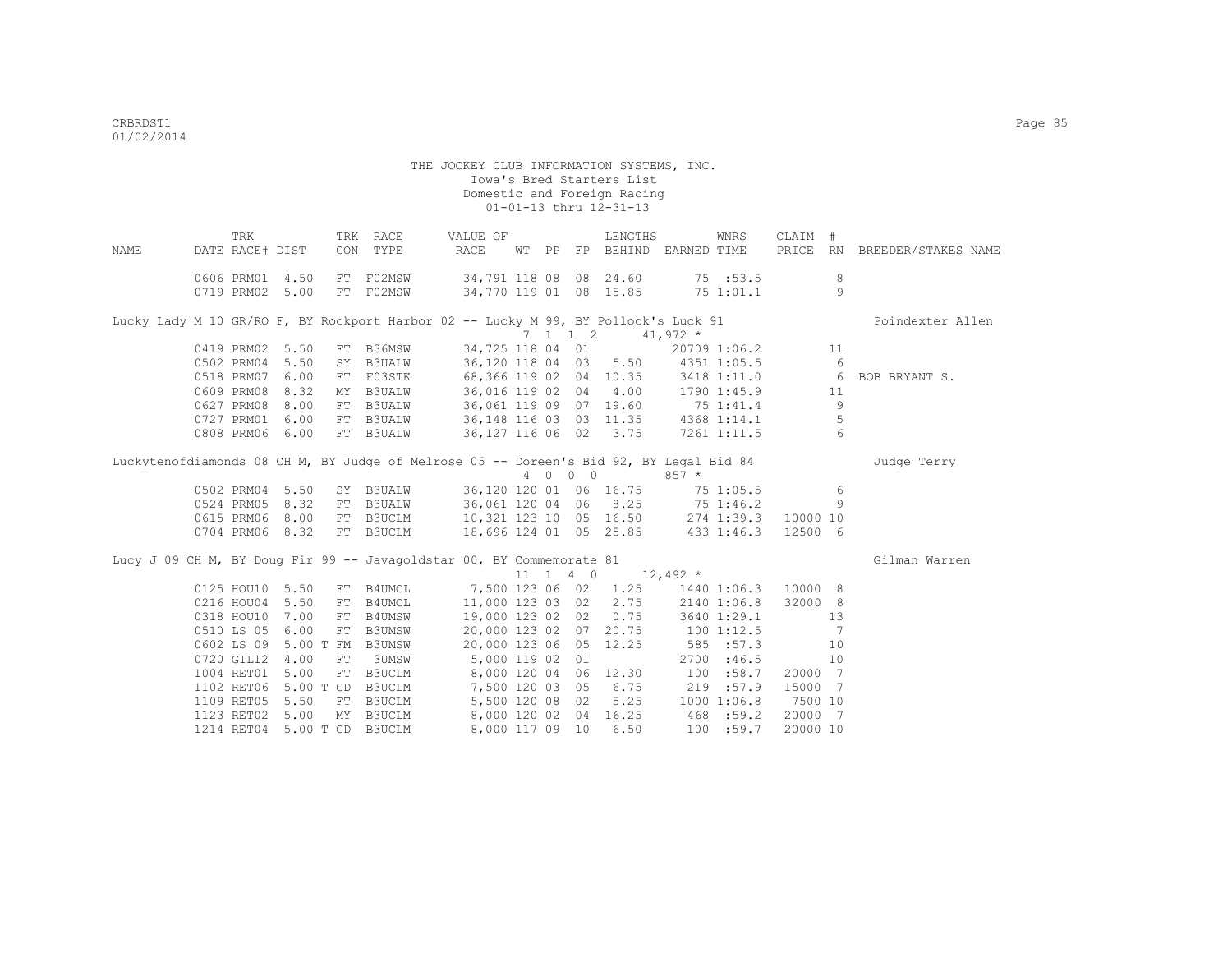|      | TRK             |           |           | TRK RACE                    | VALUE OF                                                                               |       |            |                              | LENGTHS                |            | WNRS                | CLAIM #  |                 |                              |
|------|-----------------|-----------|-----------|-----------------------------|----------------------------------------------------------------------------------------|-------|------------|------------------------------|------------------------|------------|---------------------|----------|-----------------|------------------------------|
| NAME | DATE RACE# DIST |           | CON       | TYPE                        | RACE                                                                                   | WT PP |            |                              | FP BEHIND EARNED TIME  |            |                     |          |                 | PRICE RN BREEDER/STAKES NAME |
|      | 0606 PRM01      | 4.50      |           | FT F02MSW                   |                                                                                        |       |            |                              | 34,791 118 08 08 24.60 |            | 75 : 53.5           |          | 8               |                              |
|      | 0719 PRM02 5.00 |           |           | FT F02MSW                   |                                                                                        |       |            |                              | 34,770 119 01 08 15.85 |            | 75 1:01.1           |          | $\overline{9}$  |                              |
|      |                 |           |           |                             | Lucky Lady M 10 GR/RO F, BY Rockport Harbor 02 -- Lucky M 99, BY Pollock's Luck 91     |       |            |                              |                        |            |                     |          |                 | Poindexter Allen             |
|      |                 |           |           |                             |                                                                                        |       |            | $7 \quad 1 \quad 1 \quad 2$  |                        | $41,972$ * |                     |          |                 |                              |
|      | 0419 PRM02 5.50 |           |           | FT B36MSW                   | 34,725 118 04 01                                                                       |       |            |                              |                        |            | 20709 1:06.2        |          | 11              |                              |
|      | 0502 PRM04      | 5.50      |           | SY B3UALW                   |                                                                                        |       |            |                              | 36,120 118 04 03 5.50  |            | 4351 1:05.5         |          | 6               |                              |
|      | 0518 PRM07      | 6.00      | FT        | F03STK                      |                                                                                        |       |            |                              | 68,366 119 02 04 10.35 |            | 3418 1:11.0         |          | 6               | BOB BRYANT S.                |
|      | 0609 PRM08      | 8.32      | MY        | B3UALW                      | 36,016 119 02 04                                                                       |       |            |                              | 4.00                   |            | 1790 1:45.9         |          | 11              |                              |
|      | 0627 PRM08      | 8.00      | FT        | B3UALW                      | 36,061 119 09 07                                                                       |       |            |                              | 19.60                  | 75 1:41.4  |                     |          | 9               |                              |
|      | 0727 PRM01      | 6.00      | FT        | <b>B3UALW</b>               |                                                                                        |       |            |                              | 36,148 116 03 03 11.35 |            | 4368 1:14.1         |          | 5               |                              |
|      | 0808 PRM06      | 6.00      |           | FT B3UALW                   |                                                                                        |       |            |                              | 36, 127 116 06 02 3.75 |            | 7261 1:11.5         |          | $6\overline{6}$ |                              |
|      |                 |           |           |                             | Luckytenofdiamonds 08 CH M, BY Judge of Melrose 05 -- Doreen's Bid 92, BY Legal Bid 84 |       |            |                              |                        |            |                     |          |                 | Judge Terry                  |
|      |                 |           |           |                             |                                                                                        |       | $4\quad 0$ | $0\quad 0$                   |                        | $857 *$    |                     |          |                 |                              |
|      | 0502 PRM04      | 5.50      |           | SY B3UALW                   |                                                                                        |       |            |                              | 36,120 120 01 06 16.75 |            | 751:05.5            |          | 6               |                              |
|      | 0524 PRM05      | 8.32      |           | FT B3UALW                   |                                                                                        |       |            |                              | 36,061 120 04 06 8.25  | 75 1:46.2  |                     |          | 9               |                              |
|      | 0615 PRM06 8.00 |           |           | FT B3UCLM                   | 10,321 123 10 05 16.50                                                                 |       |            |                              |                        |            | 274 1:39.3 10000 10 |          |                 |                              |
|      | 0704 PRM06 8.32 |           |           | FT B3UCLM                   | 18,696 124 01 05 25.85                                                                 |       |            |                              |                        | 433 1:46.3 |                     | 12500 6  |                 |                              |
|      |                 |           |           |                             | Lucy J 09 CH M, BY Doug Fir 99 -- Javagoldstar 00, BY Commemorate 81                   |       |            |                              |                        |            |                     |          |                 | Gilman Warren                |
|      |                 |           |           |                             |                                                                                        |       |            | $11 \quad 1 \quad 4 \quad 0$ | $12,492$ *             |            |                     |          |                 |                              |
|      | 0125 HOU10 5.50 |           |           | FT B4UMCL                   | 7,500 123 06 02                                                                        |       |            |                              | 1.25                   |            | 1440 1:06.3         | 10000 8  |                 |                              |
|      | 0216 HOU04 5.50 |           | FT        | <b>B4UMCL</b>               | 11,000 123 03 02                                                                       |       |            |                              | 2.75                   |            | 2140 1:06.8         | 32000 8  |                 |                              |
|      | 0318 HOU10      | 7.00      | FT        | B4UMSW                      | 19,000 123 02 02                                                                       |       |            |                              | 0.75                   |            | 3640 1:29.1         |          | 13              |                              |
|      | 0510 LS 05      | 6.00      | FT        | <b>B3UMSW</b>               | 20,000 123 02 07                                                                       |       |            |                              | 20.75                  | 1001:12.5  |                     |          | 7               |                              |
|      | 0602 LS 09      |           | 5.00 T FM | <b>B3UMSW</b>               |                                                                                        |       |            |                              | 20,000 123 06 05 12.25 |            | 585 : 57.3          |          | 10              |                              |
|      | 0720 GIL12 4.00 |           | FT        | 3UMSW                       | 5,000 119 02 01                                                                        |       |            |                              |                        | 2700       | :46.5               |          | 10              |                              |
|      | 1004 RET01      | 5.00      | FT        | B3UCLM                      | 8,000 120 04 06 12.30                                                                  |       |            |                              |                        | 100        | :58.7               | 20000 7  |                 |                              |
|      | 1102 RET06      | 5.00 T GD |           | B3UCLM                      | 7,500 120 03 05                                                                        |       |            |                              | 6.75                   |            | 219 :57.9           | 15000 7  |                 |                              |
|      | 1109 RET05      | 5.50      | FT        | <b>B3UCLM</b>               | 5,500 120 08 02                                                                        |       |            |                              | 5.25                   |            | 10001:06.8          | 7500 10  |                 |                              |
|      | 1123 RET02      | 5.00      |           | MY B3UCLM                   | 8,000 120 02 04                                                                        |       |            |                              | 16.25                  | 468 :59.2  |                     | 20000 7  |                 |                              |
|      |                 |           |           | 1214 RET04 5.00 T GD B3UCLM | 8,000 117 09 10                                                                        |       |            |                              | 6.50                   |            | 100 : 59.7          | 20000 10 |                 |                              |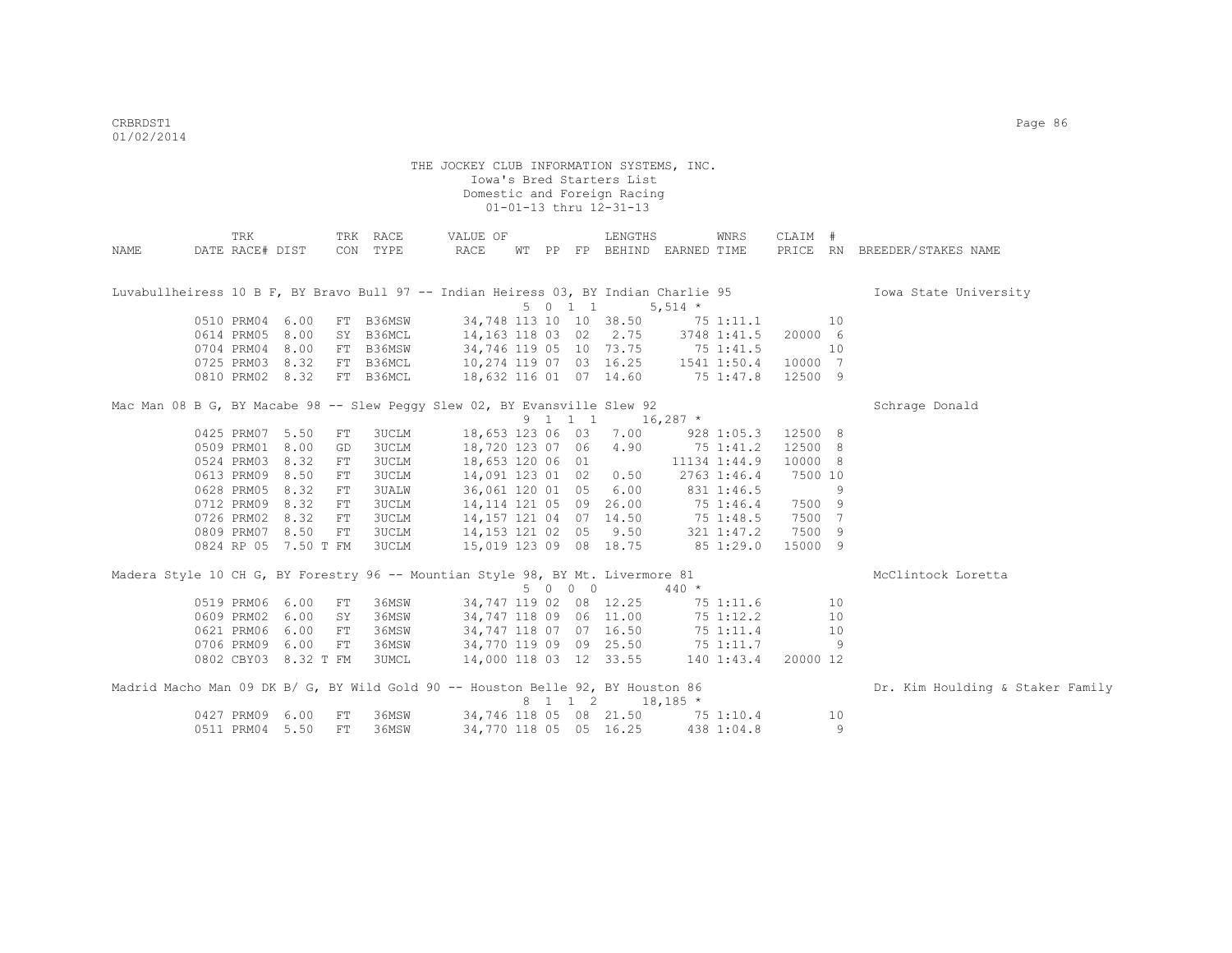|                                                                                     | TRK             |                      |     | TRK RACE     | VALUE OF                         |  |         | LENGTHS                          |               | WNRS           | CLAIM #  |    |                                  |
|-------------------------------------------------------------------------------------|-----------------|----------------------|-----|--------------|----------------------------------|--|---------|----------------------------------|---------------|----------------|----------|----|----------------------------------|
| NAME                                                                                | DATE RACE# DIST |                      | CON | TYPE         | RACE                             |  |         | WT PP FP BEHIND EARNED TIME      |               |                | PRICE RN |    | BREEDER/STAKES NAME              |
| Luvabullheiress 10 B F, BY Bravo Bull 97 -- Indian Heiress 03, BY Indian Charlie 95 |                 |                      |     |              |                                  |  |         |                                  |               |                |          |    | Iowa State University            |
|                                                                                     |                 |                      |     |              |                                  |  | 5 0 1 1 |                                  | 5,514 $*$     |                |          |    |                                  |
|                                                                                     | 0510 PRM04 6.00 |                      |     | FT B36MSW    | 34,748 113 10 10 38.50           |  |         |                                  | $75$ 1:11.1   |                |          | 10 |                                  |
|                                                                                     | 0614 PRM05      | 8.00                 |     | SY B36MCL    | 14,163 118 03 02 2.75            |  |         |                                  |               | 3748 1:41.5    | 20000 6  |    |                                  |
|                                                                                     | 0704 PRM04      | 8.00                 |     | FT B36MSW    | 34,746 119 05 10 73.75           |  |         |                                  | 75 1:41.5     |                |          | 10 |                                  |
|                                                                                     | 0725 PRM03      | 8.32                 |     | FT B36MCL    | 10,274 119 07 03 16.25           |  |         |                                  | 1541 1:50.4   |                | 10000 7  |    |                                  |
|                                                                                     | 0810 PRM02 8.32 |                      |     | FT B36MCL    | 18,632 116 01 07 14.60           |  |         |                                  | $75 \t1:47.8$ |                | 12500 9  |    |                                  |
| Mac Man 08 B G, BY Macabe 98 -- Slew Peggy Slew 02, BY Evansville Slew 92           |                 |                      |     |              |                                  |  |         |                                  |               |                |          |    | Schrage Donald                   |
|                                                                                     |                 |                      |     |              |                                  |  | 9 1 1 1 |                                  | $16,287$ *    |                |          |    |                                  |
|                                                                                     | 0425 PRM07 5.50 |                      | FT  | 3UCLM        | 18,653 123 06 03 7.00            |  |         |                                  |               | 9281:05.3      | 12500 8  |    |                                  |
|                                                                                     | 0509 PRM01 8.00 |                      | GD  | 3UCLM        | 18,720 123 07 06                 |  |         | 4.90                             |               | 75 1:41.2      | 12500 8  |    |                                  |
|                                                                                     | 0524 PRM03      | 8.32                 | FT  | 3UCLM        | 18,653 120 06 01                 |  |         |                                  |               | 11134 1:44.9   | 10000 8  |    |                                  |
|                                                                                     | 0613 PRM09      | 8.50                 | FT  | 3UCLM        | 14,091 123 01 02                 |  |         | 0.50                             |               | 2763 1:46.4    | 7500 10  |    |                                  |
|                                                                                     | 0628 PRM05      | 8.32                 | FT  | <b>3UALW</b> | 36,061 120 01 05 6.00            |  |         |                                  |               | 831 1:46.5     |          | 9  |                                  |
|                                                                                     | 0712 PRM09      | 8.32                 | FT  | 3UCLM        | 14, 114 121 05 09 26.00          |  |         |                                  | 75 1:46.4     |                | 7500 9   |    |                                  |
|                                                                                     | 0726 PRM02 8.32 |                      | FT  | 3UCLM        | 14,157 121 04 07 14.50           |  |         |                                  |               | 75 1:48.5      | 7500 7   |    |                                  |
|                                                                                     | 0809 PRM07      | 8.50                 | FT  | 3UCLM        | 14, 153 121 02 05 9.50           |  |         |                                  |               | 321 1:47.2     | 7500 9   |    |                                  |
|                                                                                     |                 | 0824 RP 05 7.50 T FM |     | 3UCLM        | 15,019 123 09 08 18.75           |  |         |                                  | 851:29.0      |                | 15000 9  |    |                                  |
| Madera Style 10 CH G, BY Forestry 96 -- Mountian Style 98, BY Mt. Livermore 81      |                 |                      |     |              |                                  |  |         |                                  |               |                |          |    | McClintock Loretta               |
|                                                                                     |                 |                      |     |              |                                  |  | 5 0 0 0 |                                  | $440 *$       |                |          |    |                                  |
|                                                                                     | 0519 PRM06      | 6.00                 | FT  | 36MSW        | 34,747 119 02 08 12.25           |  |         |                                  |               | 75 1:11.6      |          | 10 |                                  |
|                                                                                     | 0609 PRM02      | 6.00                 | SY  | 36MSW        | 34,747 118 09 06 11.00           |  |         |                                  |               | 75 1:12.2      |          | 10 |                                  |
|                                                                                     | 0621 PRM06      | 6.00                 | FT  | 36MSW        | 34,747 118 07 07 16.50           |  |         |                                  |               | 75 1:11.4      |          | 10 |                                  |
|                                                                                     | 0706 PRM09      | 6.00                 | FT  | 36MSW        | 34,770 119 09 09 25.50 75 1:11.7 |  |         |                                  |               |                |          | -9 |                                  |
|                                                                                     |                 | 0802 CBY03 8.32 T FM |     | 3UMCL        |                                  |  |         | 14,000 118 03 12 33.55           |               | $140$ $1:43.4$ | 20000 12 |    |                                  |
| Madrid Macho Man 09 DK B/ G, BY Wild Gold 90 -- Houston Belle 92, BY Houston 86     |                 |                      |     |              |                                  |  |         |                                  |               |                |          |    | Dr. Kim Houlding & Staker Family |
|                                                                                     |                 |                      |     |              |                                  |  | 8 1 1 2 |                                  | $18,185$ *    |                |          |    |                                  |
|                                                                                     | 0427 PRM09 6.00 |                      | FT  | 36MSW        |                                  |  |         | 34,746 118 05 08 21.50 75 1:10.4 |               |                |          | 10 |                                  |
|                                                                                     | 0511 PRM04 5.50 |                      | FT  | 36MSW        | 34,770 118 05 05 16.25           |  |         |                                  |               | 438 1:04.8     |          | 9  |                                  |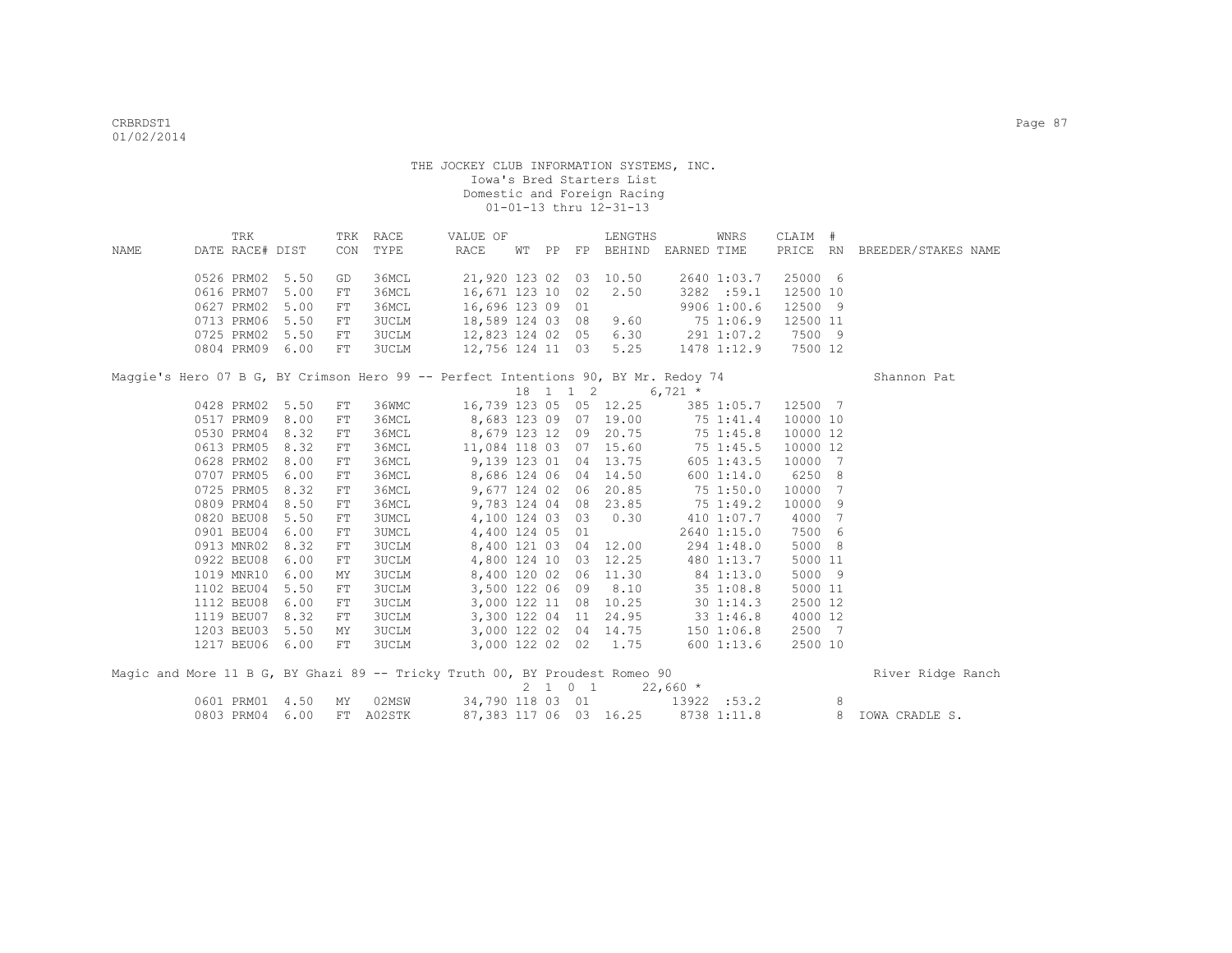|      |            | TRK             |      |            | TRK RACE     | VALUE OF                                                                           |       |          | LENGTHS               |            | WNRS           | CLAIM #  |     |                              |  |
|------|------------|-----------------|------|------------|--------------|------------------------------------------------------------------------------------|-------|----------|-----------------------|------------|----------------|----------|-----|------------------------------|--|
| NAME |            | DATE RACE# DIST |      | CON        | TYPE         | RACE                                                                               | WT PP | FP       | BEHIND EARNED TIME    |            |                |          |     | PRICE RN BREEDER/STAKES NAME |  |
|      |            | 0526 PRM02      | 5.50 | GD         | 36MCL        | 21,920 123 02 03 10.50                                                             |       |          |                       |            | 2640 1:03.7    | 25000 6  |     |                              |  |
|      | 0616 PRM07 |                 | 5.00 | FT         | 36MCL        | 16,671 123 10 02                                                                   |       |          | 2.50                  |            | 3282 :59.1     | 12500 10 |     |                              |  |
|      | 0627 PRM02 |                 | 5.00 | FT         | 36MCL        | 16,696 123 09 01                                                                   |       |          |                       |            | 9906 1:00.6    | 12500 9  |     |                              |  |
|      |            | 0713 PRM06      | 5.50 | ${\rm FT}$ | 3UCLM        | 18,589 124 03 08                                                                   |       |          | 9.60                  |            | 75 1:06.9      | 12500 11 |     |                              |  |
|      |            | 0725 PRM02      | 5.50 | FT         | 3UCLM        | 12,823 124 02 05                                                                   |       |          | 6.30                  |            | 291 1:07.2     | 7500 9   |     |                              |  |
|      |            | 0804 PRM09      | 6.00 | FT         | 3UCLM        | 12,756 124 11 03                                                                   |       |          | 5.25                  |            | 1478 1:12.9    | 7500 12  |     |                              |  |
|      |            |                 |      |            |              | Maggie's Hero 07 B G, BY Crimson Hero 99 -- Perfect Intentions 90, BY Mr. Redoy 74 |       |          |                       |            |                |          |     | Shannon Pat                  |  |
|      |            |                 |      |            |              |                                                                                    |       | 18 1 1 2 |                       | 6,721 $*$  |                |          |     |                              |  |
|      |            | 0428 PRM02      | 5.50 | FT         | 36WMC        | 16,739 123 05 05 12.25                                                             |       |          |                       |            | 385 1:05.7     | 12500 7  |     |                              |  |
|      |            | 0517 PRM09      | 8.00 | $FT$       | 36MCL        | 8,683 123 09 07 19.00                                                              |       |          |                       |            | 75 1:41.4      | 10000 10 |     |                              |  |
|      | 0530 PRM04 |                 | 8.32 | ${\rm FT}$ | 36MCL        | 8,679 123 12 09 20.75                                                              |       |          |                       |            | 751:45.8       | 10000 12 |     |                              |  |
|      | 0613 PRM05 |                 | 8.32 | ${\rm FT}$ | 36MCL        | 11,084 118 03 07 15.60                                                             |       |          |                       |            | 751:45.5       | 10000 12 |     |                              |  |
|      | 0628 PRM02 |                 | 8.00 | FT         | 36MCL        | 9,139 123 01 04 13.75                                                              |       |          |                       |            | 605 1:43.5     | 10000    | 7   |                              |  |
|      | 0707 PRM05 |                 | 6.00 | ${\rm FT}$ | 36MCL        |                                                                                    |       |          | 8,686 124 06 04 14.50 |            | 600 1:14.0     | 6250     | 8   |                              |  |
|      | 0725 PRM05 |                 | 8.32 | FT         | 36MCL        | 9,677 124 02 06                                                                    |       |          | 20.85                 |            | 75 1:50.0      | 10000    | 7   |                              |  |
|      | 0809 PRM04 |                 | 8.50 | FT         | 36MCL        | 9,783 124 04 08                                                                    |       |          | 23.85                 |            | 75 1:49.2      | 10000    | 9   |                              |  |
|      | 0820 BEU08 |                 | 5.50 | FT         | <b>3UMCL</b> | 4,100 124 03 03                                                                    |       |          | 0.30                  |            | 410 1:07.7     | 4000     | 7   |                              |  |
|      |            | 0901 BEU04      | 6.00 | FT         | <b>3UMCL</b> | 4,400 124 05 01                                                                    |       |          |                       |            | 2640 1:15.0    | 7500     | 6   |                              |  |
|      |            | 0913 MNR02      | 8.32 | FT         | 3UCLM        |                                                                                    |       |          | 8,400 121 03 04 12.00 |            | 294 1:48.0     | 5000     | - 8 |                              |  |
|      | 0922 BEU08 |                 | 6.00 | FT         | 3UCLM        | 4,800 124 10 03                                                                    |       |          | 12.25                 |            | 480 1:13.7     | 5000 11  |     |                              |  |
|      | 1019 MNR10 |                 | 6.00 | MΥ         | <b>3UCLM</b> | 8,400 120 02                                                                       |       | 06       | 11.30                 |            | 84 1:13.0      | 5000 9   |     |                              |  |
|      | 1102 BEU04 |                 | 5.50 | ${\rm FT}$ | <b>3UCLM</b> | 3,500 122 06 09                                                                    |       |          | 8.10                  |            | 351:08.8       | 5000 11  |     |                              |  |
|      | 1112 BEU08 |                 | 6.00 | FT         | 3UCLM        | 3,000 122 11 08                                                                    |       |          | 10.25                 |            | $30 \; 1:14.3$ | 2500 12  |     |                              |  |
|      | 1119 BEU07 |                 | 8.32 | FT         | 3UCLM        | 3,300 122 04 11                                                                    |       |          | 24.95                 |            | 33 1:46.8      | 4000 12  |     |                              |  |
|      | 1203 BEU03 |                 | 5.50 | MΥ         | <b>3UCLM</b> |                                                                                    |       |          | 3,000 122 02 04 14.75 |            | 150 1:06.8     | 2500 7   |     |                              |  |
|      |            | 1217 BEU06      | 6.00 | FT         | 3UCLM        | 3,000 122 02 02                                                                    |       |          | 1.75                  |            | 6001:13.6      | 2500 10  |     |                              |  |
|      |            |                 |      |            |              | Magic and More 11 B G, BY Ghazi 89 -- Tricky Truth 00, BY Proudest Romeo 90        |       |          |                       |            |                |          |     | River Ridge Ranch            |  |
|      |            |                 |      |            |              |                                                                                    |       | 2 1 0 1  |                       | $22,660$ * |                |          |     |                              |  |
|      |            | 0601 PRM01      | 4.50 | MY         | 02MSW        | 34,790 118 03 01                                                                   |       |          |                       |            | 13922 :53.2    |          | 8   |                              |  |

0803 PRM04 6.00 FT A02STK 87,383 117 06 03 16.25 8738 1:11.8 8 IOWA CRADLE S.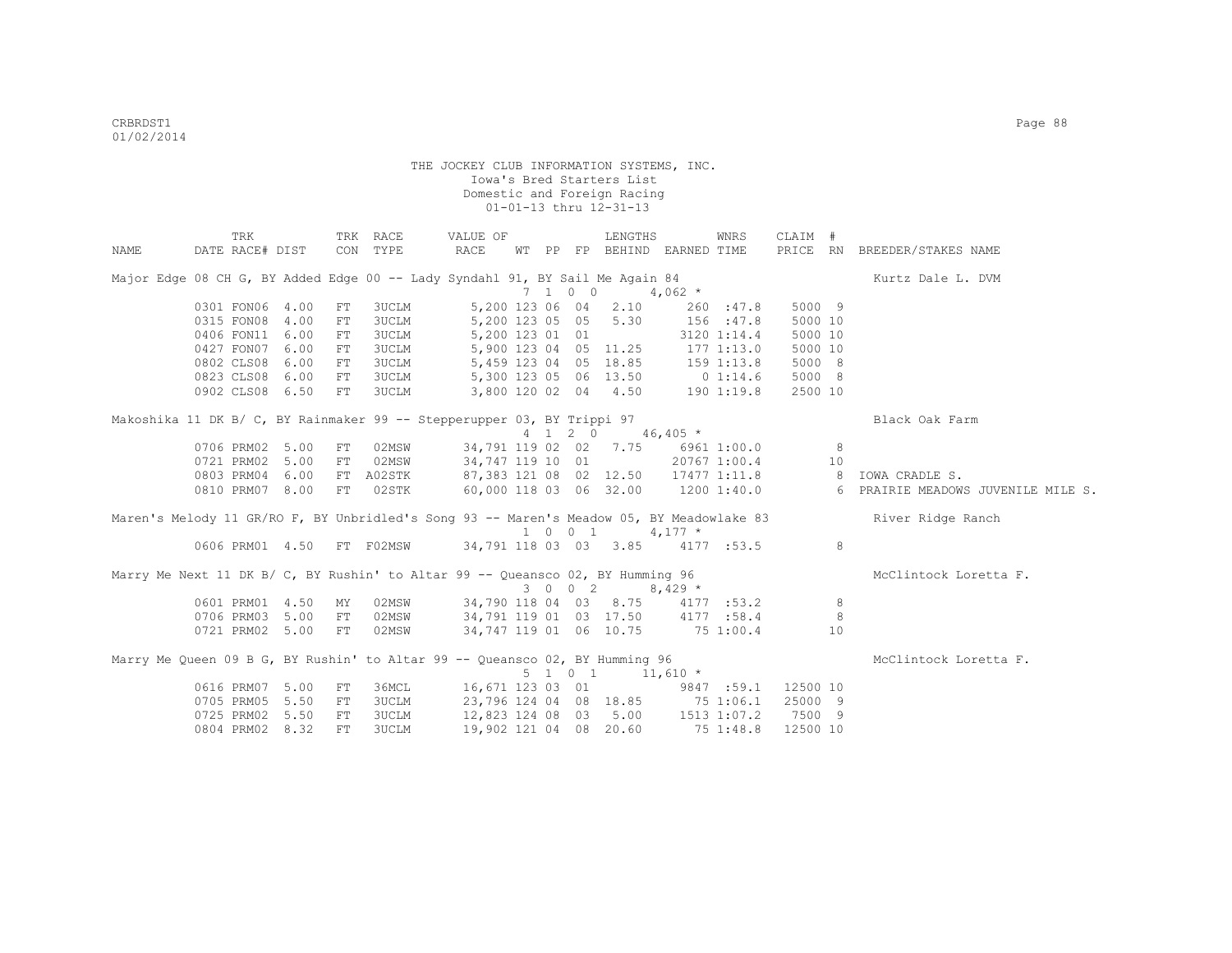|      | TRK                                                                                      |            | TRK RACE     | VALUE OF                                                              |  |         | LENGTHS                                        |                                   | WNRS        | CLAIM #  |     |                                                                         |
|------|------------------------------------------------------------------------------------------|------------|--------------|-----------------------------------------------------------------------|--|---------|------------------------------------------------|-----------------------------------|-------------|----------|-----|-------------------------------------------------------------------------|
| NAME | DATE RACE# DIST                                                                          |            | CON TYPE     | RACE                                                                  |  |         |                                                | WT PP FP BEHIND EARNED TIME       |             |          |     | PRICE RN BREEDER/STAKES NAME                                            |
|      | Major Edge 08 CH G, BY Added Edge 00 -- Lady Syndahl 91, BY Sail Me Again 84             |            |              |                                                                       |  |         |                                                |                                   |             |          |     | Kurtz Dale L. DVM                                                       |
|      |                                                                                          |            |              |                                                                       |  | 7 1 0 0 |                                                | $4,062$ *                         |             |          |     |                                                                         |
|      | 0301 FON06 4.00                                                                          | FT         | <b>3UCLM</b> |                                                                       |  |         | 5,200 123 06 04 2.10                           |                                   | 260 : 47.8  | 5000 9   |     |                                                                         |
|      | 0315 FON08 4.00                                                                          | FT         | <b>3UCLM</b> |                                                                       |  |         | 5,200 123 05 05 5.30                           | 156 : 47.8                        |             | 5000 10  |     |                                                                         |
|      | 0406 FON11 6.00                                                                          | FT         | <b>3UCLM</b> | 5,200 123 01 01                                                       |  |         |                                                |                                   | 3120 1:14.4 | 5000 10  |     |                                                                         |
|      | 0427 FON07 6.00                                                                          | FT         | <b>3UCLM</b> |                                                                       |  |         |                                                | 5,900 123 04 05 11.25 177 1:13.0  |             | 5000 10  |     |                                                                         |
|      | 0802 CLS08 6.00                                                                          | FT         | <b>3UCLM</b> |                                                                       |  |         |                                                | 5,459 123 04 05 18.85 159 1:13.8  |             | 5000 8   |     |                                                                         |
|      | 0823 CLS08 6.00                                                                          | ${\rm FT}$ | <b>3UCLM</b> |                                                                       |  |         |                                                | 5,300 123 05 06 13.50 0 1:14.6    |             | 5000 8   |     |                                                                         |
|      | 0902 CLS08 6.50                                                                          | ${\rm FT}$ | <b>3UCLM</b> |                                                                       |  |         | 3,800 120 02 04 4.50                           | 190 1:19.8                        |             | 2500 10  |     |                                                                         |
|      | Makoshika 11 DK B/ C, BY Rainmaker 99 -- Stepperupper 03, BY Trippi 97                   |            |              |                                                                       |  |         |                                                |                                   |             |          |     | Black Oak Farm                                                          |
|      |                                                                                          |            |              |                                                                       |  |         | $4 \quad 1 \quad 2 \quad 0 \quad 46,405 \star$ |                                   |             |          |     |                                                                         |
|      | 0706 PRM02 5.00                                                                          | FT         | 02MSW        |                                                                       |  |         |                                                | 34,791 119 02 02 7.75 6961 1:00.0 |             |          | - 8 |                                                                         |
|      | 0721 PRM02 5.00                                                                          | FT         | 02MSW        | 34,747 119 10 01                                                      |  |         |                                                | 20767 1:00.4                      |             | 10       |     |                                                                         |
|      | 0803 PRM04 6.00                                                                          | FT         | A02STK       | 87,383 121 08 02 12.50                                                |  |         |                                                |                                   |             |          |     | 17477 1:11.8 8 IOWA CRADLE S.                                           |
|      | 0810 PRM07 8.00                                                                          | FT         | 02STK        |                                                                       |  |         |                                                |                                   |             |          |     | $60,000$ 118 03 06 32.00 1200 1:40.0 6 PRAIRIE MEADOWS JUVENILE MILE S. |
|      | Maren's Melody 11 GR/RO F, BY Unbridled's Song 93 -- Maren's Meadow 05, BY Meadowlake 83 |            |              |                                                                       |  |         |                                                |                                   |             |          |     | River Ridge Ranch                                                       |
|      |                                                                                          |            |              |                                                                       |  |         | 1 0 0 1                                        | $4,177$ *                         |             |          |     |                                                                         |
|      | 0606 PRM01 4.50 FT F02MSW 34,791 118 03 03 3.85 4177 :53.5                               |            |              |                                                                       |  |         |                                                |                                   |             |          | 8   |                                                                         |
|      | Marry Me Next 11 DK B/ C, BY Rushin' to Altar 99 -- Queansco 02, BY Humming 96           |            |              |                                                                       |  |         |                                                |                                   |             |          |     | McClintock Loretta F.                                                   |
|      |                                                                                          |            |              |                                                                       |  |         | 3 0 0 2 8,429 $*$                              |                                   |             |          |     |                                                                         |
|      | 0601 PRM01 4.50                                                                          | MY         | 02MSW        | 34,790 118 04 03 8.75 4177 :53.2                                      |  |         |                                                |                                   |             |          | 8   |                                                                         |
|      | 0706 PRM03 5.00                                                                          | FT         | 02MSW        | 34,791 119 01 03 17.50 4177 :58.4                                     |  |         |                                                |                                   |             |          | 8   |                                                                         |
|      | 0721 PRM02 5.00                                                                          | FT         | 02MSW        | 34,747 119 01 06 10.75 75 1:00.4                                      |  |         |                                                |                                   |             |          | 10  |                                                                         |
|      | Marry Me Queen 09 B G, BY Rushin' to Altar 99 -- Queansco 02, BY Humming 96              |            |              |                                                                       |  |         |                                                |                                   |             |          |     | McClintock Loretta F.                                                   |
|      |                                                                                          |            |              |                                                                       |  |         | $5 \t1 \t0 \t1 \t11,610 \t*$                   |                                   |             |          |     |                                                                         |
|      | 0616 PRM07 5.00                                                                          | FT         | 36MCL        | 16,671 123 03 01 9847 :59.1                                           |  |         |                                                |                                   |             | 12500 10 |     |                                                                         |
|      | 0705 PRM05 5.50                                                                          | FT         | <b>3UCLM</b> | 23,796 124 04 08 18.85 75 1:06.1<br>12,823 124 08 03 5.00 1513 1:07.2 |  |         |                                                |                                   |             | 25000 9  |     |                                                                         |
|      | 0725 PRM02 5.50                                                                          | ${\rm FT}$ | <b>3UCLM</b> |                                                                       |  |         |                                                |                                   |             | 7500 9   |     |                                                                         |
|      | 0804 PRM02 8.32                                                                          | FT         | <b>3UCLM</b> | 19,902 121 04 08 20.60                                                |  |         |                                                |                                   | 75 1:48.8   | 12500 10 |     |                                                                         |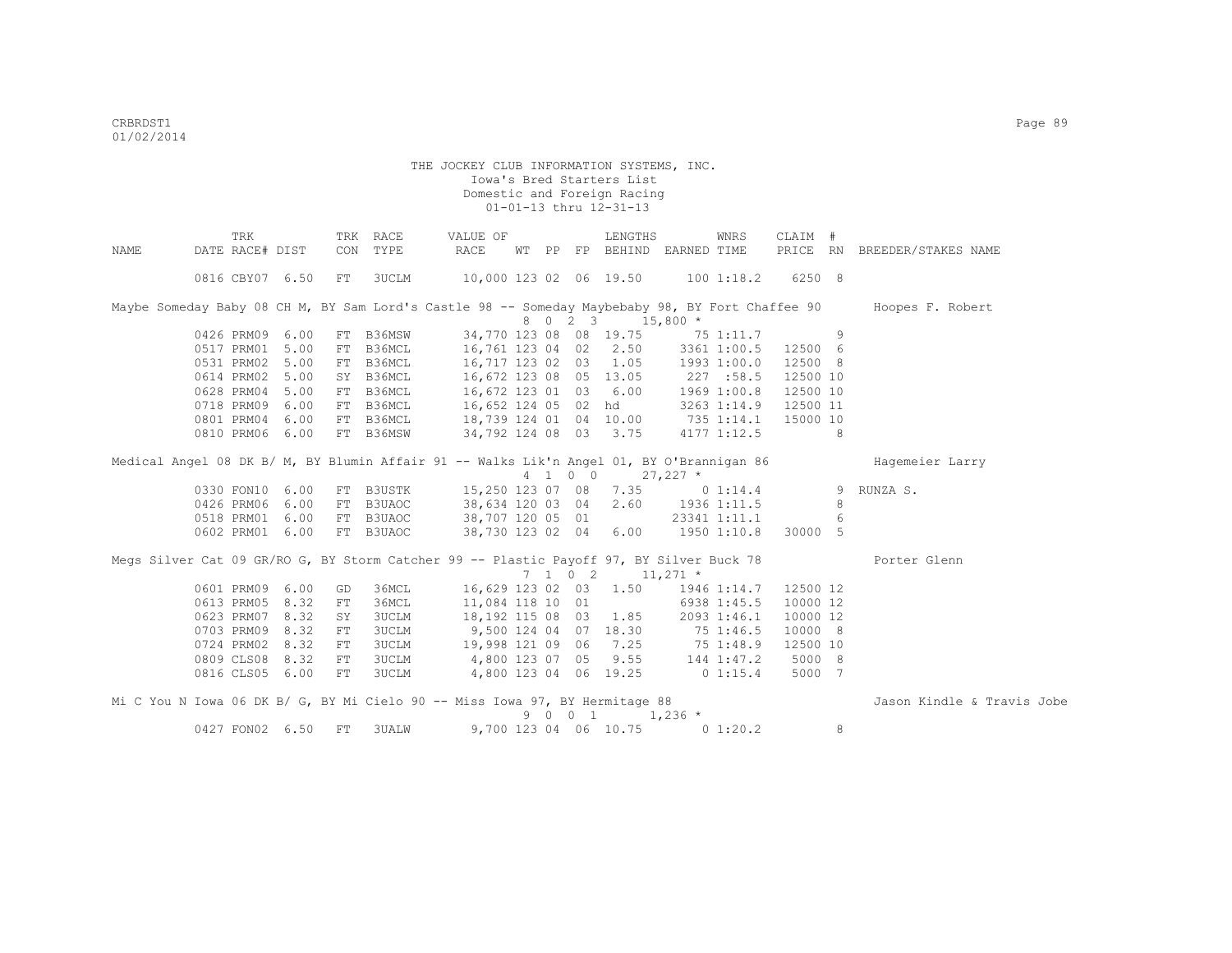|      | TRK             |      |    | TRK RACE     | VALUE OF                                                                                 |  |         | LENGTHS                      |                                           | WNRS                 | CLAIM #  |    |                                                                                                                  |
|------|-----------------|------|----|--------------|------------------------------------------------------------------------------------------|--|---------|------------------------------|-------------------------------------------|----------------------|----------|----|------------------------------------------------------------------------------------------------------------------|
| NAME | DATE RACE# DIST |      |    | CON TYPE     | RACE                                                                                     |  |         |                              | WT PP FP BEHIND EARNED TIME               |                      | PRICE RN |    | BREEDER/STAKES NAME                                                                                              |
|      | 0816 CBY07 6.50 |      | FT | 3UCLM        | 10,000 123 02 06 19.50 100 1:18.2                                                        |  |         |                              |                                           |                      | 6250 8   |    |                                                                                                                  |
|      |                 |      |    |              |                                                                                          |  |         |                              |                                           |                      |          |    | Maybe Someday Baby 08 CH M, BY Sam Lord's Castle 98 -- Someday Maybebaby 98, BY Fort Chaffee 90 Hoopes F. Robert |
|      |                 |      |    |              |                                                                                          |  | 8 0 2 3 |                              | $15,800*$                                 |                      |          |    |                                                                                                                  |
|      | 0426 PRM09 6.00 |      |    | FT B36MSW    |                                                                                          |  |         |                              | 34,770 123 08 08 19.75 75 1:11.7          |                      | $\sim$ 9 |    |                                                                                                                  |
|      | 0517 PRM01 5.00 |      |    | FT B36MCL    | 16,761 123 04 02 2.50 3361 1:00.5                                                        |  |         |                              |                                           |                      | 12500 6  |    |                                                                                                                  |
|      | 0531 PRM02 5.00 |      |    | FT B36MCL    | 16,717 123 02 03 1.05 1993 1:00.0                                                        |  |         |                              |                                           |                      | 12500 8  |    |                                                                                                                  |
|      | 0614 PRM02 5.00 |      |    | SY B36MCL    |                                                                                          |  |         |                              | 227 :58.5                                 |                      | 12500 10 |    |                                                                                                                  |
|      | 0628 PRM04 5.00 |      |    | FT B36MCL    | 16,672 123 08 05 13.05<br>16,672 123 01 03 6.00                                          |  |         |                              |                                           | 1969 1:00.8          | 12500 10 |    |                                                                                                                  |
|      | 0718 PRM09 6.00 |      |    | FT B36MCL    | 16,652 124 05 02 hd                                                                      |  |         |                              |                                           | 3263 1:14.9 12500 11 |          |    |                                                                                                                  |
|      | 0801 PRM04      | 6.00 |    | FT B36MCL    | 18,739 124 01 04 10.00 735 1:14.1                                                        |  |         |                              |                                           |                      | 15000 10 |    |                                                                                                                  |
|      | 0810 PRM06 6.00 |      |    | FT B36MSW    |                                                                                          |  |         |                              | 34,792 124 08 03 3.75 4177 1:12.5         |                      |          | -8 |                                                                                                                  |
|      |                 |      |    |              | Medical Angel 08 DK B/ M, BY Blumin Affair 91 -- Walks Lik'n Angel 01, BY O'Brannigan 86 |  |         |                              |                                           |                      |          |    | Hagemeier Larry                                                                                                  |
|      |                 |      |    |              |                                                                                          |  | 4 1 0 0 |                              | $27,227$ *                                |                      |          |    |                                                                                                                  |
|      | 0330 FON10 6.00 |      |    | FT B3USTK    |                                                                                          |  |         |                              | 15,250 123 07 08 7.35 0 1:14.4            |                      |          | 9  | RUNZA S.                                                                                                         |
|      | 0426 PRM06 6.00 |      |    | FT B3UAOC    |                                                                                          |  |         |                              | 38,634 120 03 04 2.60 1936 1:11.5         |                      |          | -8 |                                                                                                                  |
|      | 0518 PRM01 6.00 |      |    | FT B3UAOC    |                                                                                          |  |         | 38,707 120 05 01             |                                           | 23341 1:11.1         |          | 6  |                                                                                                                  |
|      | 0602 PRM01 6.00 |      |    | FT B3UAOC    |                                                                                          |  |         |                              | 38,730 123 02 04 6.00 1950 1:10.8 30000 5 |                      |          |    |                                                                                                                  |
|      |                 |      |    |              | Megs Silver Cat 09 GR/RO G, BY Storm Catcher 99 -- Plastic Payoff 97, BY Silver Buck 78  |  |         |                              |                                           |                      |          |    | Porter Glenn                                                                                                     |
|      |                 |      |    |              |                                                                                          |  |         | $7 \t1 \t0 \t2 \t11,271 \t*$ |                                           |                      |          |    |                                                                                                                  |
|      | 0601 PRM09      | 6.00 | GD | 36MCL        |                                                                                          |  |         | 16,629 123 02 03 1.50        |                                           | 1946 1:14.7          | 12500 12 |    |                                                                                                                  |
|      | 0613 PRM05      | 8.32 | FT | 36MCL        | 11,084 118 10 01                                                                         |  |         |                              |                                           | 6938 1:45.5          | 10000 12 |    |                                                                                                                  |
|      | 0623 PRM07      | 8.32 | SY | 3UCLM        |                                                                                          |  |         |                              | 18, 192 115 08 03 1.85 2093 1:46.1        |                      | 10000 12 |    |                                                                                                                  |
|      | 0703 PRM09      | 8.32 | FT | 3UCLM        | 9,500 124 04 07 18.30 75 1:46.5                                                          |  |         |                              |                                           |                      | 10000 8  |    |                                                                                                                  |
|      | 0724 PRM02      | 8.32 | FT | 3UCLM        |                                                                                          |  |         |                              | 19,998 121 09 06 7.25 75 1:48.9           |                      | 12500 10 |    |                                                                                                                  |
|      | 0809 CLS08 8.32 |      | FT |              | 3UCLM 4,800 123 07 05 9.55 144 1:47.2                                                    |  |         |                              |                                           |                      | 5000 8   |    |                                                                                                                  |
|      | 0816 CLS05 6.00 |      | FT | <b>3UCLM</b> |                                                                                          |  |         |                              | 4,800 123 04 06 19.25 0 1:15.4            |                      | 5000 7   |    |                                                                                                                  |
|      |                 |      |    |              | Mi C You N Iowa 06 DK B/ G, BY Mi Cielo 90 -- Miss Iowa 97, BY Hermitage 88              |  |         |                              |                                           |                      |          |    | Jason Kindle & Travis Jobe                                                                                       |
|      |                 |      |    |              |                                                                                          |  | 9 0 0 1 |                              | $1,236$ *                                 |                      |          |    |                                                                                                                  |
|      | 0427 FON02 6.50 |      | FT | <b>3UALW</b> |                                                                                          |  |         | 9,700 123 04 06 10.75        |                                           | 0 1:20.2             |          | 8  |                                                                                                                  |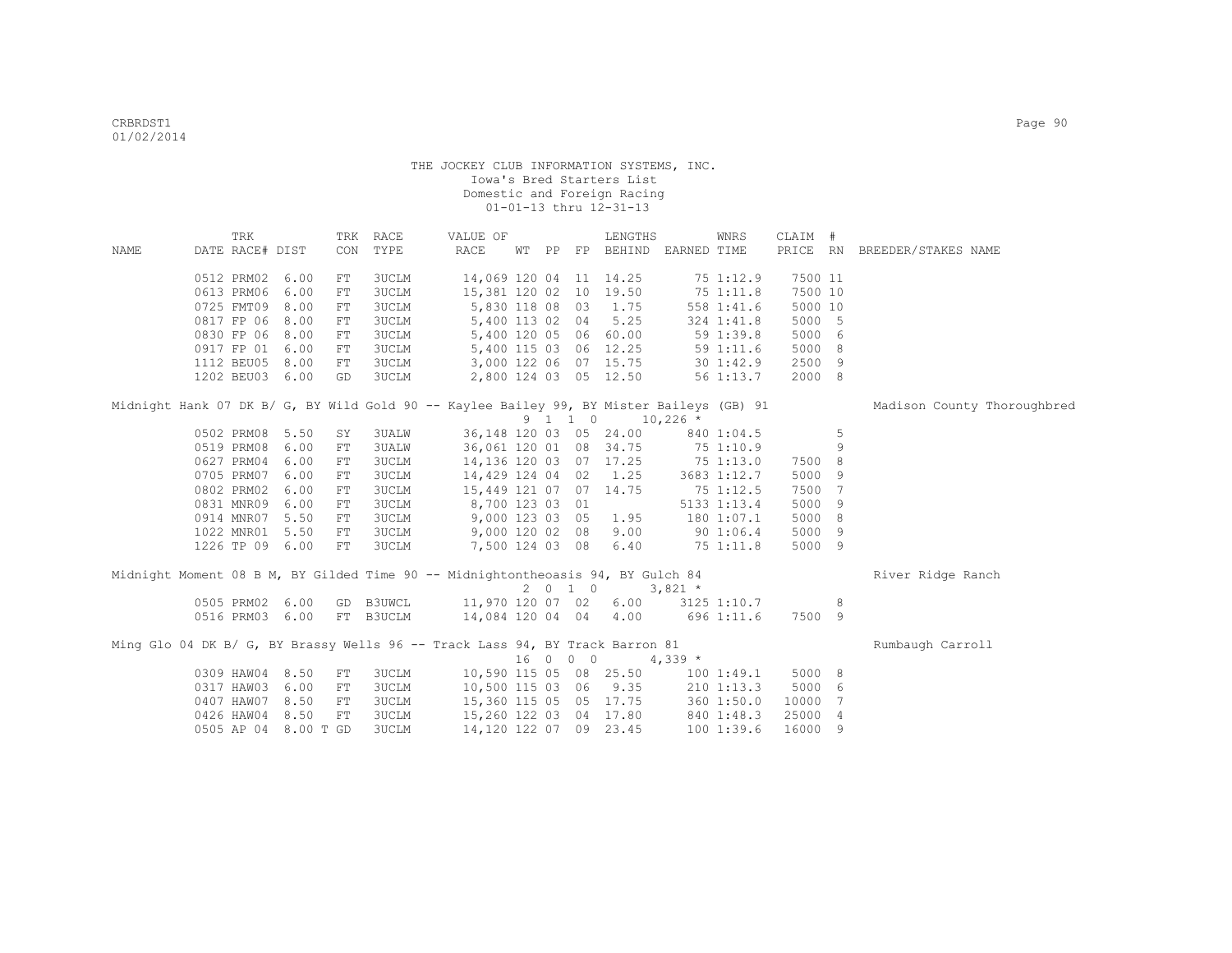|      | TRK                                                                                      |      |            | TRK RACE  | VALUE OF                         |  |          | LENGTHS                           |            | WNRS          | CLAIM # |    |                              |
|------|------------------------------------------------------------------------------------------|------|------------|-----------|----------------------------------|--|----------|-----------------------------------|------------|---------------|---------|----|------------------------------|
| NAME | DATE RACE# DIST                                                                          |      |            | CON TYPE  | RACE                             |  |          | WT PP FP BEHIND EARNED TIME       |            |               |         |    | PRICE RN BREEDER/STAKES NAME |
|      | 0512 PRM02                                                                               | 6.00 | FT         | 3UCLM     | 14,069 120 04 11 14.25           |  |          |                                   |            | 75 1:12.9     | 7500 11 |    |                              |
|      | 0613 PRM06                                                                               | 6.00 | FT         | 3UCLM     | 15,381 120 02 10 19.50           |  |          |                                   |            | 75 1:11.8     | 7500 10 |    |                              |
|      | 0725 FMT09                                                                               | 8.00 | FT         | 3UCLM     |                                  |  |          | 5,830 118 08 03 1.75              |            | 558 1:41.6    | 5000 10 |    |                              |
|      | 0817 FP 06                                                                               | 8.00 | FT         | 3UCLM     |                                  |  |          | 5,400 113 02 04 5.25              |            | 324 1:41.8    | 5000 5  |    |                              |
|      | 0830 FP 06                                                                               | 8.00 | ${\rm FT}$ | 3UCLM     |                                  |  |          | 5,400 120 05 06 60.00             |            | 591:39.8      | 5000 6  |    |                              |
|      | 0917 FP 01 6.00                                                                          |      | FT         | 3UCLM     |                                  |  |          | 5,400 115 03 06 12.25             |            | 59 1:11.6     | 5000 8  |    |                              |
|      | 1112 BEU05 8.00                                                                          |      | FT         | 3UCLM     |                                  |  |          | 3,000 122 06 07 15.75             |            | $30 \t1:42.9$ | 2500 9  |    |                              |
|      | 1202 BEU03 6.00                                                                          |      | GD         | 3UCLM     |                                  |  |          | 2,800 124 03 05 12.50             |            | 56 1:13.7     | 2000 8  |    |                              |
|      | Midnight Hank 07 DK B/ G, BY Wild Gold 90 -- Kaylee Bailey 99, BY Mister Baileys (GB) 91 |      |            |           |                                  |  |          |                                   |            |               |         |    | Madison County Thoroughbred  |
|      |                                                                                          |      |            |           |                                  |  |          | 9 1 1 0 10,226 *                  |            |               |         |    |                              |
|      | 0502 PRM08                                                                               | 5.50 | SY         | 3UALW     |                                  |  |          | 36,148 120 03 05 24.00            |            | 840 1:04.5    |         | 5  |                              |
|      | 0519 PRM08                                                                               | 6.00 | FT         | 3UALW     |                                  |  |          | 36,061 120 01 08 34.75 75 1:10.9  |            |               |         | 9  |                              |
|      | 0627 PRM04                                                                               | 6.00 | FT         | 3UCLM     |                                  |  |          | 14, 136 120 03 07 17.25 75 1:13.0 |            |               | 7500 8  |    |                              |
|      | 0705 PRM07                                                                               | 6.00 | FT         | 3UCLM     |                                  |  |          | 14,429 124 04 02 1.25             |            | 3683 1:12.7   | 5000 9  |    |                              |
|      | 0802 PRM02                                                                               | 6.00 | FT         | 3UCLM     | 15,449 121 07 07 14.75           |  |          |                                   |            | $75$ 1:12.5   | 7500 7  |    |                              |
|      | 0831 MNR09                                                                               | 6.00 | FT         | 3UCLM     | 8,700 123 03 01                  |  |          |                                   |            | 5133 1:13.4   | 5000 9  |    |                              |
|      | 0914 MNR07                                                                               | 5.50 | FT         | 3UCLM     |                                  |  |          | 9,000 123 03 05 1.95              |            | 180 1:07.1    | 5000 8  |    |                              |
|      | 1022 MNR01                                                                               | 5.50 | FT         | 3UCLM     |                                  |  |          | 9,000 120 02 08 9.00              |            | 90 1:06.4     | 5000 9  |    |                              |
|      | 1226 TP 09 6.00                                                                          |      | FT         | 3UCLM     |                                  |  |          | 7,500 124 03 08 6.40              | 751:11.8   |               | 5000 9  |    |                              |
|      | Midnight Moment 08 B M, BY Gilded Time 90 -- Midnightontheoasis 94, BY Gulch 84          |      |            |           |                                  |  |          |                                   |            |               |         |    | River Ridge Ranch            |
|      |                                                                                          |      |            |           |                                  |  |          | 2 0 1 0                           | $3,821$ *  |               |         |    |                              |
|      | 0505 PRM02                                                                               | 6.00 |            | GD B3UWCL | 11,970 120 07 02 6.00            |  |          |                                   |            | 3125 1:10.7   |         | -8 |                              |
|      | 0516 PRM03 6.00                                                                          |      |            | FT B3UCLM | 14,084 120 04 04 4.00 696 1:11.6 |  |          |                                   |            |               | 7500 9  |    |                              |
|      | Ming Glo 04 DK B/ G, BY Brassy Wells 96 -- Track Lass 94, BY Track Barron 81             |      |            |           |                                  |  |          |                                   |            |               |         |    | Rumbaugh Carroll             |
|      |                                                                                          |      |            |           |                                  |  | 16 0 0 0 |                                   | $4,339$ *  |               |         |    |                              |
|      | 0309 HAW04 8.50                                                                          |      | FT.        | 3UCLM     |                                  |  |          | 10,590 115 05 08 25.50            |            | 100 1:49.1    | 5000 8  |    |                              |
|      | 0317 HAW03                                                                               | 6.00 | FT         | 3UCLM     |                                  |  |          | 10,500 115 03 06 9.35             |            | $210$ 1:13.3  | 5000 6  |    |                              |
|      | 0407 HAW07                                                                               | 8.50 | FT         | 3UCLM     |                                  |  |          | 15,360 115 05 05 17.75 360 1:50.0 |            |               | 10000 7 |    |                              |
|      | 0426 HAW04                                                                               | 8.50 | ${\rm FT}$ | 3UCLM     |                                  |  |          | 15,260 122 03 04 17.80            | 840 1:48.3 |               | 25000 4 |    |                              |
|      | 0505 AP 04 8.00 T GD                                                                     |      |            | 3UCLM     | 14, 120 122 07 09 23.45          |  |          |                                   |            | 1001:39.6     | 16000 9 |    |                              |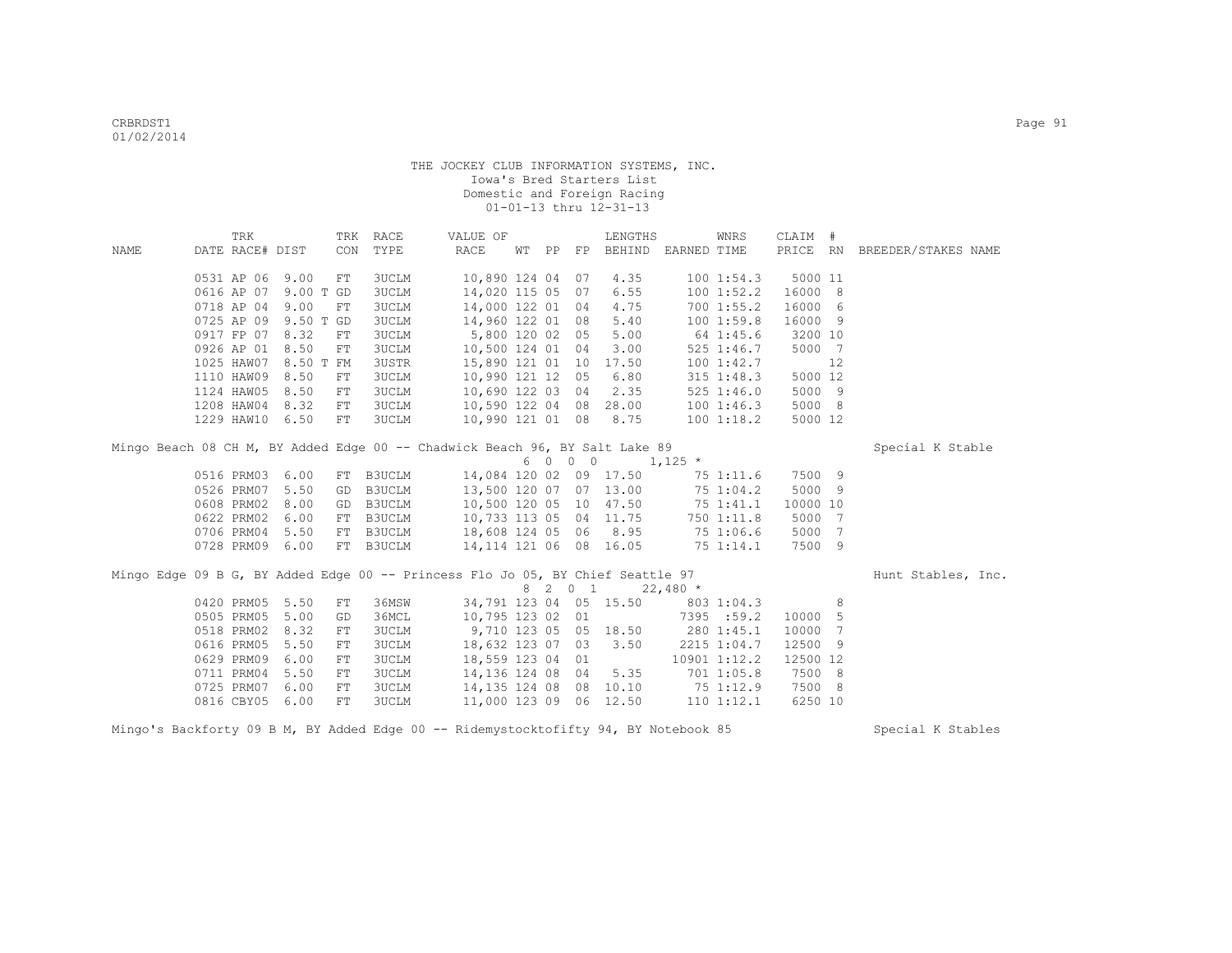|      | TRK             |           |     | TRK RACE     | VALUE OF                                                                       |       |         | LENGTHS                           |            | WNRS         | CLAIM #  |    |                              |
|------|-----------------|-----------|-----|--------------|--------------------------------------------------------------------------------|-------|---------|-----------------------------------|------------|--------------|----------|----|------------------------------|
| NAME | DATE RACE# DIST |           | CON | TYPE         | RACE                                                                           | WT PP |         | FP BEHIND EARNED TIME             |            |              |          |    | PRICE RN BREEDER/STAKES NAME |
|      |                 |           |     |              |                                                                                |       |         |                                   |            |              |          |    |                              |
|      | 0531 AP 06 9.00 |           | FT  | <b>3UCLM</b> | 10,890 124 04 07                                                               |       |         | 4.35                              |            | 1001:54.3    | 5000 11  |    |                              |
|      | 0616 AP 07      | 9.00 T GD |     | <b>3UCLM</b> | 14,020 115 05                                                                  |       | 07      | 6.55                              |            | 100 1:52.2   | 16000 8  |    |                              |
|      | 0718 AP 04      | 9.00      | FT  | <b>3UCLM</b> | 14,000 122 01                                                                  |       | 04      | 4.75                              |            | 700 1:55.2   | 16000 6  |    |                              |
|      | 0725 AP 09      | 9.50 T GD |     | <b>3UCLM</b> | 14,960 122 01                                                                  |       | 08      | 5.40                              |            | 1001:59.8    | 16000 9  |    |                              |
|      | 0917 FP 07      | 8.32      | FT  | <b>3UCLM</b> | 5,800 120 02 05                                                                |       |         | 5.00                              |            | 64 1:45.6    | 3200 10  |    |                              |
|      | 0926 AP 01      | 8.50      | FT  | <b>3UCLM</b> | 10,500 124 01 04                                                               |       |         | 3.00                              |            | 525 1:46.7   | 5000 7   |    |                              |
|      | 1025 HAW07      | 8.50 T FM |     | <b>3USTR</b> | 15,890 121 01 10                                                               |       |         | 17.50                             |            | 1001:42.7    |          | 12 |                              |
|      | 1110 HAW09      | 8.50      | FT  | <b>3UCLM</b> | 10,990 121 12 05                                                               |       |         | 6.80                              |            | 315 1:48.3   | 5000 12  |    |                              |
|      | 1124 HAW05      | 8.50      | FT  | <b>3UCLM</b> | 10,690 122 03 04                                                               |       |         | 2.35                              |            | 5251:46.0    | 5000 9   |    |                              |
|      | 1208 HAW04      | 8.32      | FT  | <b>3UCLM</b> | 10,590 122 04 08                                                               |       |         | 28.00                             |            | 1001:46.3    | 5000 8   |    |                              |
|      | 1229 HAW10      | 6.50      | FT  | <b>3UCLM</b> | 10,990 121 01 08                                                               |       |         | 8.75                              |            | 1001:18.2    | 5000 12  |    |                              |
|      |                 |           |     |              | Mingo Beach 08 CH M, BY Added Edge 00 -- Chadwick Beach 96, BY Salt Lake 89    |       |         |                                   |            |              |          |    | Special K Stable             |
|      |                 |           |     |              |                                                                                |       |         | $6 \t0 \t0 \t0 \t1,125 \t*$       |            |              |          |    |                              |
|      | 0516 PRM03      | 6.00      |     | FT B3UCLM    | 14,084 120 02 09 17.50                                                         |       |         |                                   |            | 75 1:11.6    | 7500 9   |    |                              |
|      | 0526 PRM07      | 5.50      | GD  | B3UCLM       | 13,500 120 07                                                                  |       |         | 07 13.00                          | 75 1:04.2  |              | 5000 9   |    |                              |
|      | 0608 PRM02      | 8.00      | GD  | B3UCLM       | 10,500 120 05 10 47.50                                                         |       |         |                                   |            | 75 1:41.1    | 10000 10 |    |                              |
|      | 0622 PRM02      | 6.00      | FT  | B3UCLM       | 10,733 113 05 04 11.75                                                         |       |         |                                   |            | 750 1:11.8   | 5000 7   |    |                              |
|      | 0706 PRM04      | 5.50      | FT  | B3UCLM       | 18,608 124 05 06 8.95                                                          |       |         |                                   |            | 75 1:06.6    | 5000 7   |    |                              |
|      | 0728 PRM09      | 6.00      |     | FT B3UCLM    | 14,114 121 06 08 16.05                                                         |       |         |                                   | 751:14.1   |              | 7500 9   |    |                              |
|      |                 |           |     |              |                                                                                |       |         |                                   |            |              |          |    |                              |
|      |                 |           |     |              | Mingo Edge 09 B G, BY Added Edge 00 -- Princess Flo Jo 05, BY Chief Seattle 97 |       |         |                                   |            |              |          |    | Hunt Stables, Inc.           |
|      |                 |           |     |              |                                                                                |       | 8 2 0 1 |                                   | $22,480$ * |              |          |    |                              |
|      | 0420 PRM05      | 5.50      | FT  | 36MSW        |                                                                                |       |         | 34,791 123 04 05 15.50 803 1:04.3 |            |              |          | 8  |                              |
|      | 0505 PRM05      | 5.00      | GD  | 36MCL        | 10,795 123 02 01                                                               |       |         |                                   |            | 7395 :59.2   | 10000 5  |    |                              |
|      | 0518 PRM02      | 8.32      | FT  | <b>3UCLM</b> | 9,710 123 05 05 18.50                                                          |       |         |                                   | 280 1:45.1 |              | 10000 7  |    |                              |
|      | 0616 PRM05      | 5.50      | FT  | <b>3UCLM</b> | 18,632 123 07 03                                                               |       |         | 3.50                              |            | 2215 1:04.7  | 12500 9  |    |                              |
|      | 0629 PRM09      | 6.00      | FT  | <b>3UCLM</b> | 18,559 123 04 01                                                               |       |         |                                   |            | 10901 1:12.2 | 12500 12 |    |                              |
|      | 0711 PRM04      | 5.50      | FT  | <b>3UCLM</b> | 14,136 124 08 04                                                               |       |         | 5.35                              |            | 701 1:05.8   | 7500 8   |    |                              |
|      | 0725 PRM07      | 6.00      | FT  | <b>3UCLM</b> | 14,135 124 08 08                                                               |       |         | 10.10                             | 75 1:12.9  |              | 7500 8   |    |                              |
|      | 0816 CBY05      | 6.00      | FT  | 3UCLM        | 11,000 123 09 06 12.50                                                         |       |         |                                   |            | 110 1:12.1   | 6250 10  |    |                              |
|      |                 |           |     |              |                                                                                |       |         |                                   |            |              |          |    |                              |

Mingo's Backforty 09 B M, BY Added Edge 00 -- Ridemystocktofifty 94, BY Notebook 85 Special K Stables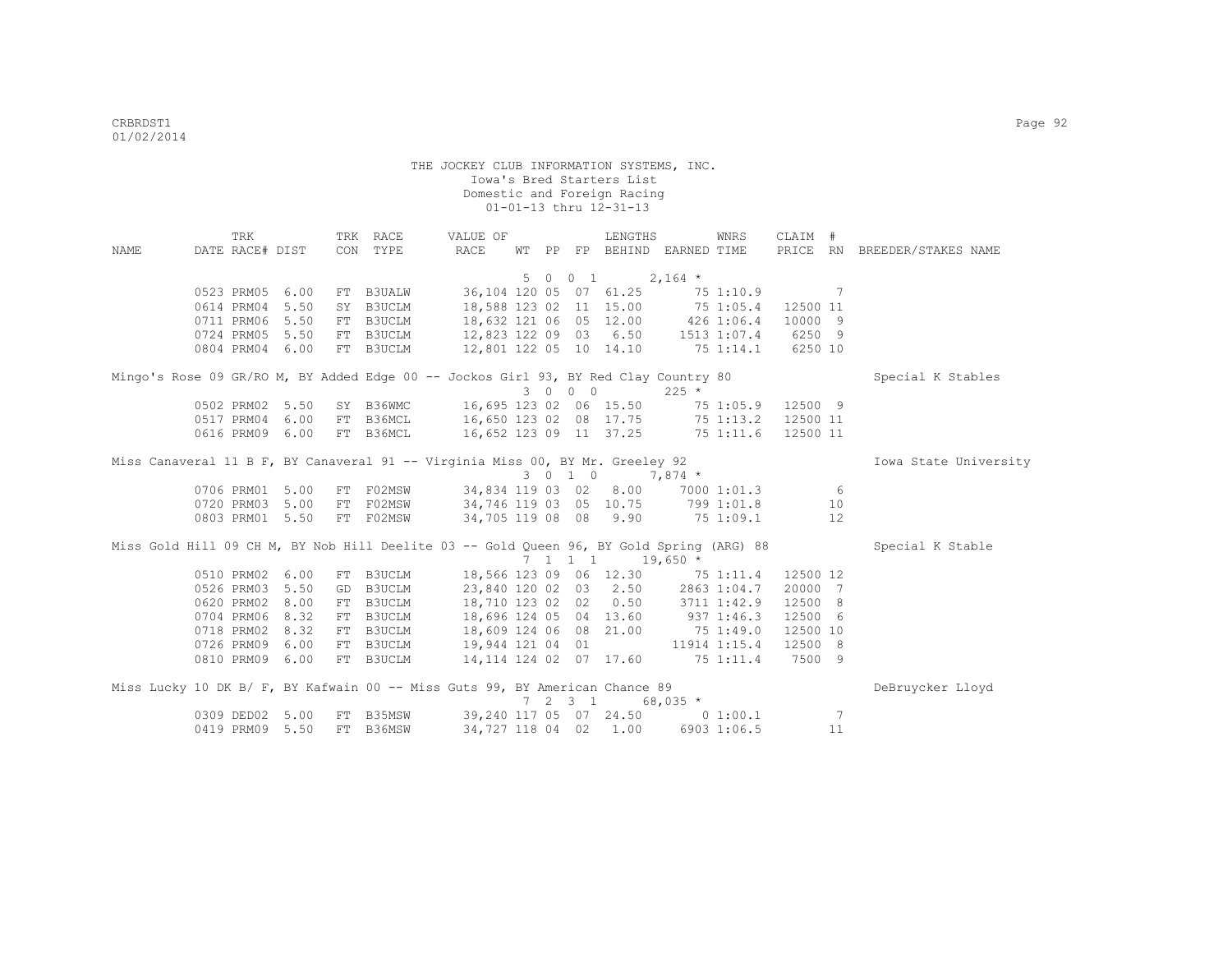|                                                                                          | TRK             |      |    | TRK RACE  | VALUE OF                                 |  |                 | LENGTHS                                                 |                                   | WNRS      | CLAIM #           |                 |                              |
|------------------------------------------------------------------------------------------|-----------------|------|----|-----------|------------------------------------------|--|-----------------|---------------------------------------------------------|-----------------------------------|-----------|-------------------|-----------------|------------------------------|
| NAME                                                                                     | DATE RACE# DIST |      |    | CON TYPE  | RACE                                     |  |                 |                                                         | WT PP FP BEHIND EARNED TIME       |           |                   |                 | PRICE RN BREEDER/STAKES NAME |
|                                                                                          |                 |      |    |           |                                          |  |                 |                                                         |                                   |           |                   |                 |                              |
|                                                                                          |                 |      |    |           |                                          |  |                 | 5 0 0 1                                                 | $2,164$ *                         |           |                   |                 |                              |
|                                                                                          | 0523 PRM05 6.00 |      |    | FT B3UALW | 36,104 120 05 07 61.25                   |  |                 |                                                         |                                   | 75 1:10.9 |                   | 7               |                              |
|                                                                                          | 0614 PRM04      | 5.50 |    | SY B3UCLM |                                          |  |                 |                                                         | 18,588 123 02 11 15.00 75 1:05.4  |           | 12500 11          |                 |                              |
|                                                                                          | 0711 PRM06      | 5.50 |    | FT B3UCLM | 18,632 121 06 05 12.00 426 1:06.4        |  |                 |                                                         |                                   |           | 10000 9           |                 |                              |
|                                                                                          | 0724 PRM05      | 5.50 |    | FT B3UCLM | 12,823 122 09 03 6.50 1513 1:07.4 6250 9 |  |                 |                                                         |                                   |           |                   |                 |                              |
|                                                                                          | 0804 PRM04 6.00 |      |    | FT B3UCLM | 12,801 122 05 10 14.10 75 1:14.1 6250 10 |  |                 |                                                         |                                   |           |                   |                 |                              |
| Mingo's Rose 09 GR/RO M, BY Added Edge 00 -- Jockos Girl 93, BY Red Clay Country 80      |                 |      |    |           |                                          |  |                 |                                                         |                                   |           |                   |                 | Special K Stables            |
|                                                                                          |                 |      |    |           |                                          |  | 3 0 0 0         |                                                         | $225$ *                           |           |                   |                 |                              |
|                                                                                          | 0502 PRM02      | 5.50 |    | SY B36WMC | 16,695 123 02 06 15.50                   |  |                 |                                                         |                                   |           | 75 1:05.9 12500 9 |                 |                              |
|                                                                                          | 0517 PRM04      | 6.00 | FT | B36MCL    | 16,650 123 02 08 17.75 75 1:13.2         |  |                 |                                                         |                                   |           | 12500 11          |                 |                              |
|                                                                                          | 0616 PRM09 6.00 |      |    | FT B36MCL | 16,652 123 09 11 37.25 75 1:11.6         |  |                 |                                                         |                                   |           | 12500 11          |                 |                              |
| Miss Canaveral 11 B F, BY Canaveral 91 -- Virginia Miss 00, BY Mr. Greeley 92            |                 |      |    |           |                                          |  |                 |                                                         |                                   |           |                   |                 | Iowa State University        |
|                                                                                          |                 |      |    |           |                                          |  |                 |                                                         | $3 \t0 \t1 \t0 \t7.874 \t\t*$     |           |                   |                 |                              |
|                                                                                          | 0706 PRM01 5.00 |      | FT |           | F02MSW 34,834 119 03 02 8.00 7000 1:01.3 |  |                 |                                                         |                                   |           |                   | $6\overline{6}$ |                              |
|                                                                                          | 0720 PRM03 5.00 |      | FT | F02MSW    | 34,746 119 03 05 10.75 799 1:01.8        |  |                 |                                                         |                                   |           |                   | 10              |                              |
|                                                                                          | 0803 PRM01 5.50 |      |    | FT F02MSW | 34,705 119 08 08 9.90 75 1:09.1          |  |                 |                                                         |                                   |           |                   | 12              |                              |
| Miss Gold Hill 09 CH M, BY Nob Hill Deelite 03 -- Gold Queen 96, BY Gold Spring (ARG) 88 |                 |      |    |           |                                          |  |                 |                                                         |                                   |           |                   |                 | Special K Stable             |
|                                                                                          |                 |      |    |           |                                          |  |                 | $7 \quad 1 \quad 1 \quad 1 \quad 19,650 \quad ^{\star}$ |                                   |           |                   |                 |                              |
|                                                                                          | 0510 PRM02 6.00 |      |    | FT B3UCLM | 18,566 123 09 06 12.30 75 1:11.4         |  |                 |                                                         |                                   |           | 12500 12          |                 |                              |
|                                                                                          | 0526 PRM03      | 5.50 |    | GD B3UCLM |                                          |  |                 |                                                         | 23,840 120 02 03 2.50 2863 1:04.7 |           | 20000 7           |                 |                              |
|                                                                                          | 0620 PRM02      | 8.00 |    | FT B3UCLM | 18,710 123 02 02 0.50 3711 1:42.9        |  |                 |                                                         |                                   |           | 12500 8           |                 |                              |
|                                                                                          | 0704 PRM06      | 8.32 |    | FT B3UCLM | 18,696 124 05 04 13.60                   |  |                 |                                                         | $937$ 1:46.3                      |           | 12500 6           |                 |                              |
|                                                                                          | 0718 PRM02      | 8.32 |    | FT B3UCLM | 18,609 124 06 08 21.00                   |  |                 |                                                         | 75 1:49.0                         |           | 12500 10          |                 |                              |
|                                                                                          | 0726 PRM09      | 6.00 |    | FT B3UCLM | 19,944 121 04 01 11914 1:15.4            |  |                 |                                                         |                                   |           | 12500 8           |                 |                              |
|                                                                                          | 0810 PRM09 6.00 |      |    | FT B3UCLM | 14, 114 124 02 07 17.60 75 1:11.4        |  |                 |                                                         |                                   |           | 7500 9            |                 |                              |
| Miss Lucky 10 DK B/ F, BY Kafwain 00 -- Miss Guts 99, BY American Chance 89              |                 |      |    |           |                                          |  |                 |                                                         |                                   |           |                   |                 | DeBruycker Lloyd             |
|                                                                                          |                 |      |    |           |                                          |  | $7 \t2 \t3 \t1$ |                                                         | 68,035 $*$                        |           |                   |                 |                              |
|                                                                                          | 0309 DED02 5.00 |      | FT | B35MSW    | 39,240 117 05 07 24.50 0 1:00.1          |  |                 |                                                         |                                   |           |                   | 7               |                              |
|                                                                                          | 0419 PRM09 5.50 |      |    | FT B36MSW |                                          |  |                 |                                                         | 34,727 118 04 02 1.00 6903 1:06.5 |           |                   | 11              |                              |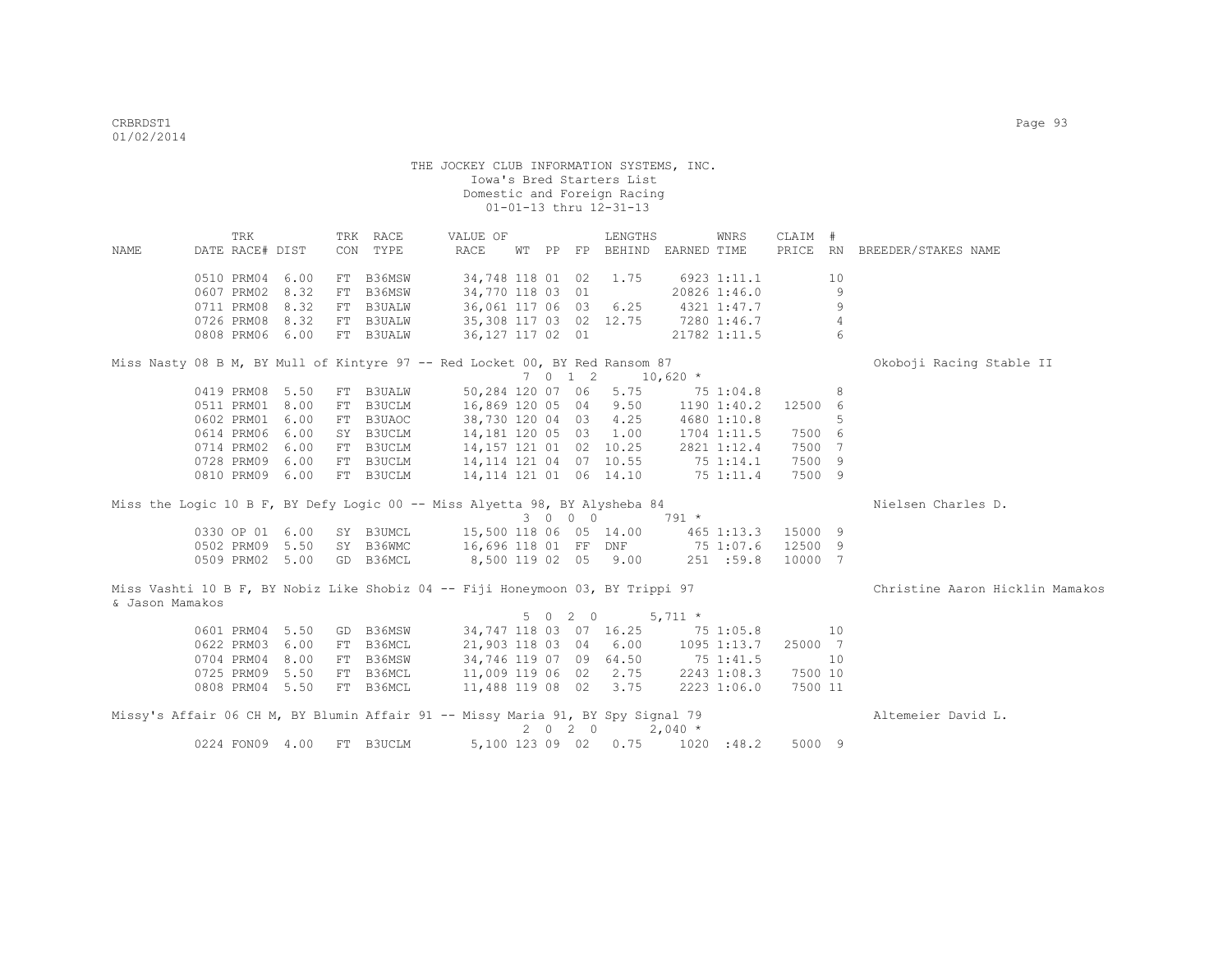| <b>NAME</b>     | TRK<br>DATE RACE# DIST |      |    | TRK RACE<br>CON TYPE | VALUE OF<br>RACE                                                                |  |         | LENGTHS<br>WT PP FP BEHIND EARNED TIME |                        | WNRS                   | CLAIM #<br>PRICE RN |                | BREEDER/STAKES NAME             |
|-----------------|------------------------|------|----|----------------------|---------------------------------------------------------------------------------|--|---------|----------------------------------------|------------------------|------------------------|---------------------|----------------|---------------------------------|
|                 |                        |      |    |                      |                                                                                 |  |         |                                        |                        |                        |                     |                |                                 |
|                 | 0510 PRM04 6.00        |      |    | FT B36MSW            | 34,748 118 01 02                                                                |  |         | 1.75                                   |                        | 6923 1:11.1            |                     | 10             |                                 |
|                 | 0607 PRM02             | 8.32 | FT | B36MSW               | 34,770 118 03 01                                                                |  |         |                                        |                        | 20826 1:46.0           |                     | 9              |                                 |
|                 | 0711 PRM08             | 8.32 |    | FT B3UALW            | 36,061 117 06 03 6.25                                                           |  |         |                                        |                        | 4321 1:47.7            |                     | $\overline{9}$ |                                 |
|                 | 0726 PRM08             | 8.32 |    | FT B3UALW            | 35,308 117 03 02 12.75                                                          |  |         |                                        |                        | 7280 1:46.7            |                     | 4              |                                 |
|                 | 0808 PRM06 6.00        |      |    | FT B3UALW            | 36,127 117 02 01                                                                |  |         |                                        |                        | 21782 1:11.5           |                     | 6              |                                 |
|                 |                        |      |    |                      | Miss Nasty 08 B M, BY Mull of Kintyre 97 -- Red Locket 00, BY Red Ransom 87     |  |         |                                        |                        |                        |                     |                | Okoboji Racing Stable II        |
|                 |                        |      |    |                      |                                                                                 |  | 7 0 1 2 |                                        | $10,620$ *             |                        |                     |                |                                 |
|                 | 0419 PRM08 5.50        |      |    | FT B3UALW            | 50,284 120 07 06                                                                |  |         | 5.75                                   |                        | 75 1:04.8              |                     | 8              |                                 |
|                 | 0511 PRM01 8.00        |      |    | FT B3UCLM            | 16,869 120 05 04 9.50                                                           |  |         |                                        |                        | 1190 1:40.2            | 12500 6             |                |                                 |
|                 | 0602 PRM01 6.00        |      | FT | B3UAOC               | 38,730 120 04 03 4.25                                                           |  |         |                                        |                        | 4680 1:10.8            |                     | 5              |                                 |
|                 | 0614 PRM06             | 6.00 |    | SY B3UCLM            | 14,181 120 05 03 1.00                                                           |  |         |                                        |                        | 1704 1:11.5            | 7500 6              |                |                                 |
|                 | 0714 PRM02             | 6.00 |    | FT B3UCLM            | 14,157 121 01 02 10.25                                                          |  |         |                                        |                        | 2821 1:12.4            | 7500 7              |                |                                 |
|                 | 0728 PRM09             | 6.00 |    | FT B3UCLM            | 14, 114 121 04 07 10.55                                                         |  |         |                                        |                        | 75 1:14.1<br>75 1:11.4 | 7500 9              |                |                                 |
|                 | 0810 PRM09 6.00        |      |    | FT B3UCLM            | 14, 114 121 01 06 14.10                                                         |  |         |                                        |                        |                        | 7500 9              |                |                                 |
|                 |                        |      |    |                      | Miss the Logic 10 B F, BY Defy Logic 00 -- Miss Alyetta 98, BY Alysheba 84      |  |         |                                        |                        |                        |                     |                | Nielsen Charles D.              |
|                 |                        |      |    |                      |                                                                                 |  | 3 0 0 0 |                                        | $791 *$                |                        |                     |                |                                 |
|                 | 0330 OP 01 6.00        |      |    | SY B3UMCL            | 15,500 118 06 05 14.00                                                          |  |         |                                        |                        | 465 1:13.3             | 15000 9             |                |                                 |
|                 | 0502 PRM09 5.50        |      |    | SY B36WMC            | 16,696 118 01 FF DNF 75 1:07.6                                                  |  |         |                                        |                        |                        | 12500 9             |                |                                 |
|                 | 0509 PRM02 5.00        |      |    | GD B36MCL            | 8,500 119 02 05 9.00                                                            |  |         |                                        |                        | 251 : 59.8             | 10000 7             |                |                                 |
|                 |                        |      |    |                      | Miss Vashti 10 B F, BY Nobiz Like Shobiz 04 -- Fiji Honeymoon 03, BY Trippi 97  |  |         |                                        |                        |                        |                     |                | Christine Aaron Hicklin Mamakos |
| & Jason Mamakos |                        |      |    |                      |                                                                                 |  |         |                                        |                        |                        |                     |                |                                 |
|                 | 0601 PRM04 5.50        |      |    | GD B36MSW            | 34, 747 118 03 07 16.25                                                         |  | 5 0 2 0 |                                        | $5,711$ *<br>75 1:05.8 |                        |                     | 10             |                                 |
|                 | 0622 PRM03             | 6.00 | FT | B36MCL               | 21,903 118 03 04 6.00                                                           |  |         |                                        |                        | 1095 1:13.7            | 25000 7             |                |                                 |
|                 | 0704 PRM04             | 8.00 |    | B36MSW               | 34,746 119 07 09 64.50                                                          |  |         |                                        |                        |                        |                     | 10             |                                 |
|                 | 0725 PRM09 5.50        |      | FT | FT B36MCL            |                                                                                 |  |         | 2.75                                   | 75 1:41.5              | 2243 1:08.3            | 7500 10             |                |                                 |
|                 | 0808 PRM04 5.50        |      |    | FT B36MCL            | 11,009 119 06 02<br>11,488 119 08 02 3.75                                       |  |         |                                        |                        | 2223 1:06.0            | 7500 11             |                |                                 |
|                 |                        |      |    |                      |                                                                                 |  |         |                                        |                        |                        |                     |                |                                 |
|                 |                        |      |    |                      | Missy's Affair 06 CH M, BY Blumin Affair 91 -- Missy Maria 91, BY Spy Signal 79 |  |         | $2 \t 0 \t 2 \t 0 \t 2,040 \t \star$   |                        |                        |                     |                | Altemeier David L.              |
|                 | 0224 FON09 4.00        |      | FT | B3UCLM               |                                                                                 |  |         | 5,100 123 09 02 0.75                   |                        | 1020 : 48.2            | 5000 9              |                |                                 |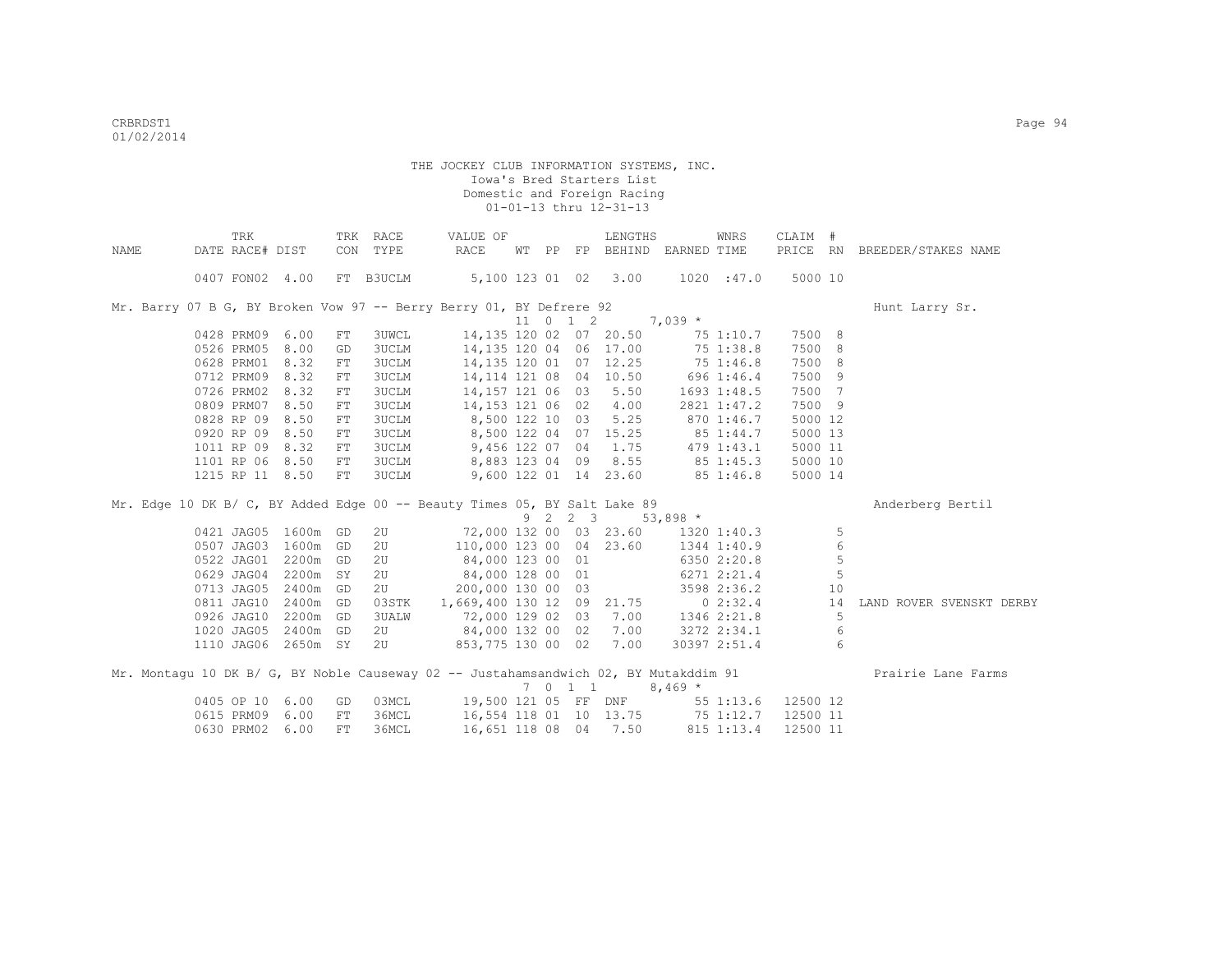|             | TRK                                                                                  |          |     | TRK RACE       | VALUE OF                  |    |                     | LENGTHS               |                          | WNRS         | CLAIM #  |    |                          |
|-------------|--------------------------------------------------------------------------------------|----------|-----|----------------|---------------------------|----|---------------------|-----------------------|--------------------------|--------------|----------|----|--------------------------|
| <b>NAME</b> | DATE RACE# DIST                                                                      |          |     | CON TYPE       | RACE                      | WТ |                     |                       | PP FP BEHIND EARNED TIME |              | PRICE RN |    | BREEDER/STAKES NAME      |
|             | 0407 FON02 4.00                                                                      |          |     | FT B3UCLM      | 5,100 123 01 02           |    |                     | 3.00                  |                          | 1020 : 47.0  | 5000 10  |    |                          |
|             | Mr. Barry 07 B G, BY Broken Vow 97 -- Berry Berry 01, BY Defrere 92                  |          |     |                |                           |    |                     |                       |                          |              |          |    | Hunt Larry Sr.           |
|             |                                                                                      |          |     |                |                           |    | $11 \t 0 \t 1 \t 2$ |                       | $7,039*$                 |              |          |    |                          |
|             | 0428 PRM09                                                                           | 6.00     | FT  | <b>3UWCL</b>   | 14,135 120 02 07 20.50    |    |                     |                       |                          | 75 1:10.7    | 7500 8   |    |                          |
|             | 0526 PRM05                                                                           | 8.00     | GD  | 3UCLM          | 14,135 120 04 06 17.00    |    |                     |                       |                          | 75 1:38.8    | 7500 8   |    |                          |
|             | 0628 PRM01                                                                           | 8.32     | FT  | 3UCLM          | 14, 135 120 01 07 12.25   |    |                     |                       | 75 1:46.8                |              | 7500 8   |    |                          |
|             | 0712 PRM09                                                                           | 8.32     | FT  | 3UCLM          | 14, 114 121 08 04 10.50   |    |                     |                       | 696 1:46.4               |              | 7500 9   |    |                          |
|             | 0726 PRM02                                                                           | 8.32     | FT  | 3UCLM          | 14,157 121 06 03 5.50     |    |                     |                       |                          | 1693 1:48.5  | 7500 7   |    |                          |
|             | 0809 PRM07                                                                           | 8.50     | FT  | <b>3UCLM</b>   | 14,153 121 06 02 4.00     |    |                     |                       |                          | 2821 1:47.2  | 7500 9   |    |                          |
|             | 0828 RP 09                                                                           | 8.50     | FT. | <b>3UCLM</b>   | 8,500 122 10 03           |    |                     | 5.25                  |                          | 870 1:46.7   | 5000 12  |    |                          |
|             | 0920 RP 09                                                                           | 8.50     | FT. | 3UCLM          | 8,500 122 04 07 15.25     |    |                     |                       | 85 1:44.7                |              | 5000 13  |    |                          |
|             | 1011 RP 09                                                                           | 8.32     | FT  | 3UCLM          | 9,456 122 07 04           |    |                     | 1.75                  |                          | 479 1:43.1   | 5000 11  |    |                          |
|             | 1101 RP 06                                                                           | 8.50     | FT  | 3UCLM          | 8,883 123 04 09           |    |                     | 8.55                  | $85\,1:45.3$             |              | 5000 10  |    |                          |
|             | 1215 RP 11 8.50                                                                      |          | FT  | 3UCLM          |                           |    |                     | 9,600 122 01 14 23.60 |                          | 851:46.8     | 5000 14  |    |                          |
|             | Mr. Edge 10 DK B/ C, BY Added Edge 00 -- Beauty Times 05, BY Salt Lake 89            |          |     |                |                           |    |                     |                       |                          |              |          |    | Anderberg Bertil         |
|             |                                                                                      |          |     |                |                           | 9  | 2 2 3               |                       | $53,898*$                |              |          |    |                          |
|             | 0421 JAG05                                                                           | 1600m GD |     | 2U             | 72,000 132 00 03 23.60    |    |                     |                       |                          | 1320 1:40.3  |          | 5  |                          |
|             | 0507 JAG03                                                                           | 1600m GD |     | 2 <sub>U</sub> | 110,000 123 00 04 23.60   |    |                     |                       |                          | 1344 1:40.9  |          | 6  |                          |
|             | 0522 JAG01                                                                           | 2200m GD |     | 2U             | 84,000 123 00 01          |    |                     |                       |                          | 6350 2:20.8  |          | 5  |                          |
|             | 0629 JAG04                                                                           | 2200m SY |     | 2U             | 84,000 128 00 01          |    |                     |                       |                          | 6271 2:21.4  |          | 5  |                          |
|             | 0713 JAG05                                                                           | 2400m GD |     | 2 <sub>U</sub> | 200,000 130 00 03         |    |                     |                       |                          | 3598 2:36.2  |          | 10 |                          |
|             | 0811 JAG10                                                                           | 2400m GD |     | 03STK          | 1,669,400 130 12 09 21.75 |    |                     |                       |                          | 02:32.4      |          | 14 | LAND ROVER SVENSKT DERBY |
|             | 0926 JAG10                                                                           | 2200m GD |     | 3UALW          | 72,000 129 02 03          |    |                     | 7.00                  |                          | 1346 2:21.8  |          | 5  |                          |
|             | 1020 JAG05                                                                           | 2400m GD |     | 2 <sub>U</sub> | 84,000 132 00 02          |    |                     | 7.00                  |                          | 3272 2:34.1  |          | 6  |                          |
|             | 1110 JAG06                                                                           | 2650m SY |     | 2 <sub>U</sub> | 853,775 130 00 02         |    |                     | 7.00                  |                          | 30397 2:51.4 |          | 6  |                          |
|             | Mr. Montaqu 10 DK B/ G, BY Noble Causeway 02 -- Justahamsandwich 02, BY Mutakddim 91 |          |     |                |                           |    |                     |                       |                          |              |          |    | Prairie Lane Farms       |
|             |                                                                                      |          |     |                |                           |    | 7011                |                       | $8,469*$                 |              |          |    |                          |
|             | 0405 OP 10                                                                           | 6.00     | GD  | 03MCL          | 19,500 121 05 FF DNF      |    |                     |                       |                          | 55 1:13.6    | 12500 12 |    |                          |
|             | 0615 PRM09                                                                           | 6.00     | FT  | 36MCL          | 16,554 118 01 10 13.75    |    |                     |                       | 75 1:12.7                |              | 12500 11 |    |                          |
|             | 0630 PRM02                                                                           | 6.00     | FT  | 36MCL          | 16,651 118 08 04 7.50     |    |                     |                       |                          | 815 1:13.4   | 12500 11 |    |                          |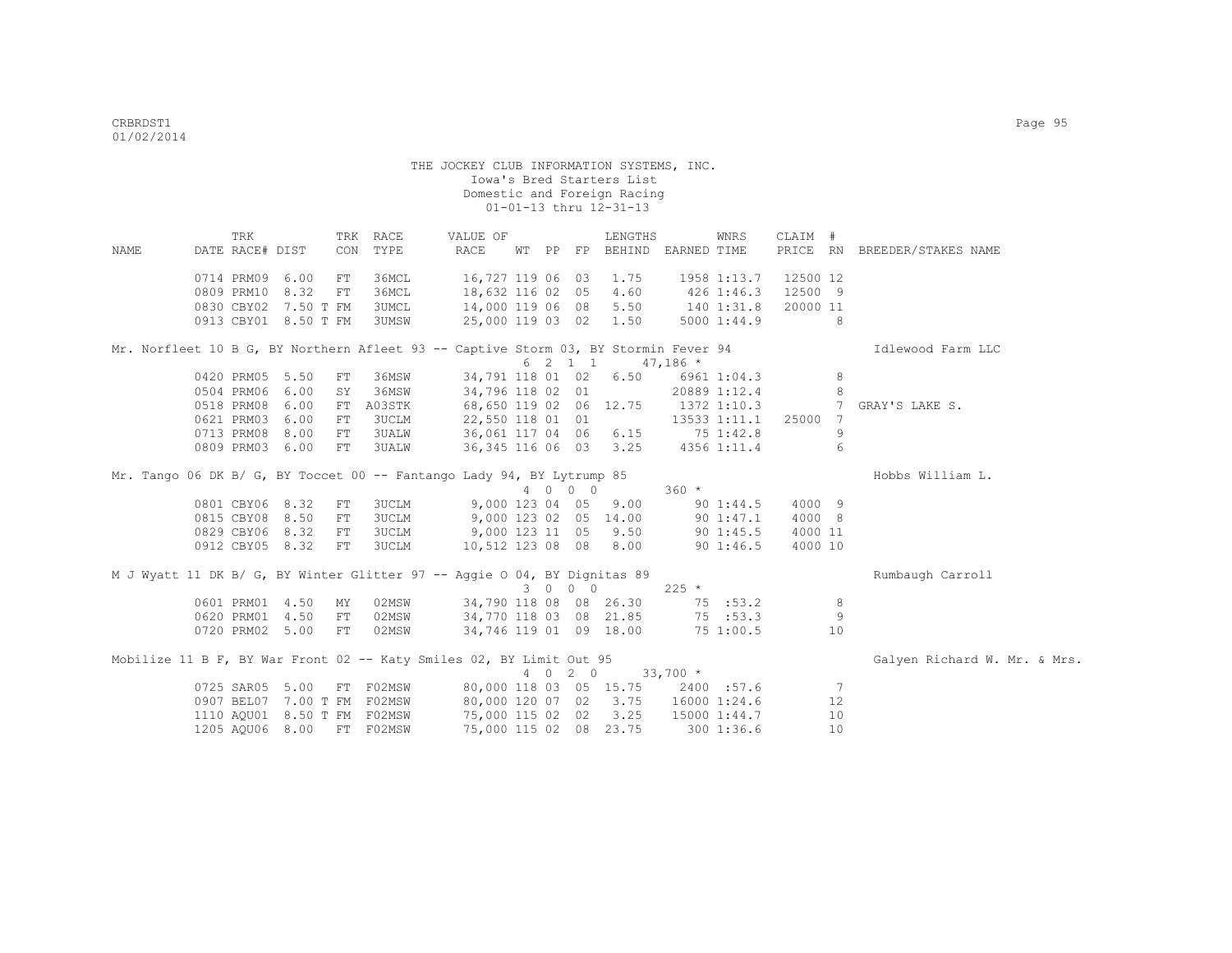|      | TRK             |                      |     | TRK RACE                    | VALUE OF                                                                            |    |         | LENGTHS               |              | WNRS          | CLAIM #  |                 |                              |
|------|-----------------|----------------------|-----|-----------------------------|-------------------------------------------------------------------------------------|----|---------|-----------------------|--------------|---------------|----------|-----------------|------------------------------|
| NAME | DATE RACE# DIST |                      | CON | TYPE                        | RACE                                                                                | WТ | PP FP   | BEHIND                | EARNED TIME  |               | PRICE RN |                 | BREEDER/STAKES NAME          |
|      | 0714 PRM09      | 6.00                 | FT  | 36MCL                       | 16,727 119 06 03 1.75                                                               |    |         |                       |              | 1958 1:13.7   | 12500 12 |                 |                              |
|      | 0809 PRM10 8.32 |                      | FT  | 36MCL                       | 18,632 116 02 05 4.60                                                               |    |         |                       | 426 1:46.3   |               | 12500 9  |                 |                              |
|      |                 | 0830 CBY02 7.50 T FM |     | 3UMCL                       | 14,000 119 06 08 5.50                                                               |    |         |                       | 140 1:31.8   |               | 20000 11 |                 |                              |
|      |                 | 0913 CBY01 8.50 T FM |     | 3UMSW                       | 25,000 119 03 02 1.50                                                               |    |         |                       |              | 5000 1:44.9   |          | 8               |                              |
|      |                 |                      |     |                             | Mr. Norfleet 10 B G, BY Northern Afleet 93 -- Captive Storm 03, BY Stormin Fever 94 |    |         |                       |              |               |          |                 | Idlewood Farm LLC            |
|      |                 |                      |     |                             |                                                                                     |    | 6 2 1 1 |                       | $47,186$ *   |               |          |                 |                              |
|      | 0420 PRM05 5.50 |                      | FT  | 36MSW                       | 34,791 118 01 02                                                                    |    |         | 6.50                  |              | 6961 1:04.3   |          | 8               |                              |
|      | 0504 PRM06 6.00 |                      | SY  | 36MSW                       | 34,796 118 02 01                                                                    |    |         |                       |              | 20889 1:12.4  |          | 8               |                              |
|      | 0518 PRM08 6.00 |                      |     | FT A03STK                   | 68,650 119 02 06 12.75                                                              |    |         |                       |              | 1372 1:10.3   |          | $7^{\circ}$     | GRAY'S LAKE S.               |
|      | 0621 PRM03 6.00 |                      | FT  | 3UCLM                       | 22,550 118 01 01                                                                    |    |         |                       |              | 13533 1:11.1  | 25000    | 7               |                              |
|      | 0713 PRM08 8.00 |                      | FT  | <b>3UALW</b>                | 36,061 117 04 06 6.15                                                               |    |         |                       | 751:42.8     |               |          | 9               |                              |
|      | 0809 PRM03 6.00 |                      | FT  | 3UALW                       |                                                                                     |    |         | 36,345 116 06 03 3.25 |              | 4356 1:11.4   |          | 6               |                              |
|      |                 |                      |     |                             | Mr. Tango 06 DK B/ G, BY Toccet 00 -- Fantango Lady 94, BY Lytrump 85               |    |         |                       |              |               |          |                 | Hobbs William L.             |
|      |                 |                      |     |                             |                                                                                     |    | 4 0 0 0 |                       | 360 *        |               |          |                 |                              |
|      | 0801 CBY06 8.32 |                      | FT  | 3UCLM                       | 9,000 123 04 05                                                                     |    |         | 9.00                  |              | $90 \t1:44.5$ | 4000 9   |                 |                              |
|      | 0815 CBY08 8.50 |                      | FT  | 3UCLM                       |                                                                                     |    |         | 9,000 123 02 05 14.00 |              | 90 1:47.1     | 4000 8   |                 |                              |
|      | 0829 CBY06 8.32 |                      | FT  | 3UCLM                       | 9,000 123 11 05 9.50                                                                |    |         |                       |              | 90 1:45.5     | 4000 11  |                 |                              |
|      | 0912 CBY05 8.32 |                      | FT  | 3UCLM                       | 10,512 123 08 08 8.00                                                               |    |         |                       |              | 90 1:46.5     | 4000 10  |                 |                              |
|      |                 |                      |     |                             | M J Wyatt 11 DK B/ G, BY Winter Glitter 97 -- Aggie O 04, BY Dignitas 89            |    |         |                       |              |               |          |                 | Rumbaugh Carroll             |
|      |                 |                      |     |                             |                                                                                     |    | 3 0 0 0 |                       | $225$ *      |               |          |                 |                              |
|      | 0601 PRM01 4.50 |                      | MY  | 02MSW                       | 34,790 118 08 08 26.30                                                              |    |         |                       |              | 75 : 53.2     |          | 8               |                              |
|      | 0620 PRM01 4.50 |                      | FT  | 02MSW                       | 34,770 118 03 08 21.85                                                              |    |         |                       |              | 75:53.3       |          | 9               |                              |
|      | 0720 PRM02 5.00 |                      | FT  | 02MSW                       | 34,746 119 01 09 18.00                                                              |    |         |                       | $75\,1:00.5$ |               |          | 10              |                              |
|      |                 |                      |     |                             | Mobilize 11 B F, BY War Front 02 -- Katy Smiles 02, BY Limit Out 95                 |    |         |                       |              |               |          |                 | Galyen Richard W. Mr. & Mrs. |
|      |                 |                      |     |                             |                                                                                     |    | 4 0 2 0 |                       | $33,700$ *   |               |          |                 |                              |
|      | 0725 SAR05 5.00 |                      |     |                             | FT F02MSW 80,000 118 03 05 15.75                                                    |    |         |                       |              | 2400 :57.6    |          | $7\phantom{.0}$ |                              |
|      |                 |                      |     | 0907 BEL07 7.00 T FM F02MSW | 80,000 120 07 02 3.75 16000 1:24.6                                                  |    |         |                       |              |               |          | 12              |                              |
|      |                 |                      |     | 1110 AQU01 8.50 T FM F02MSW | 75,000 115 02 02 3.25                                                               |    |         |                       | 15000 1:44.7 |               |          | 10              |                              |
|      | 1205 AQU06 8.00 |                      |     | FT F02MSW                   | 75,000 115 02 08 23.75                                                              |    |         |                       |              | 300 1:36.6    |          | 10              |                              |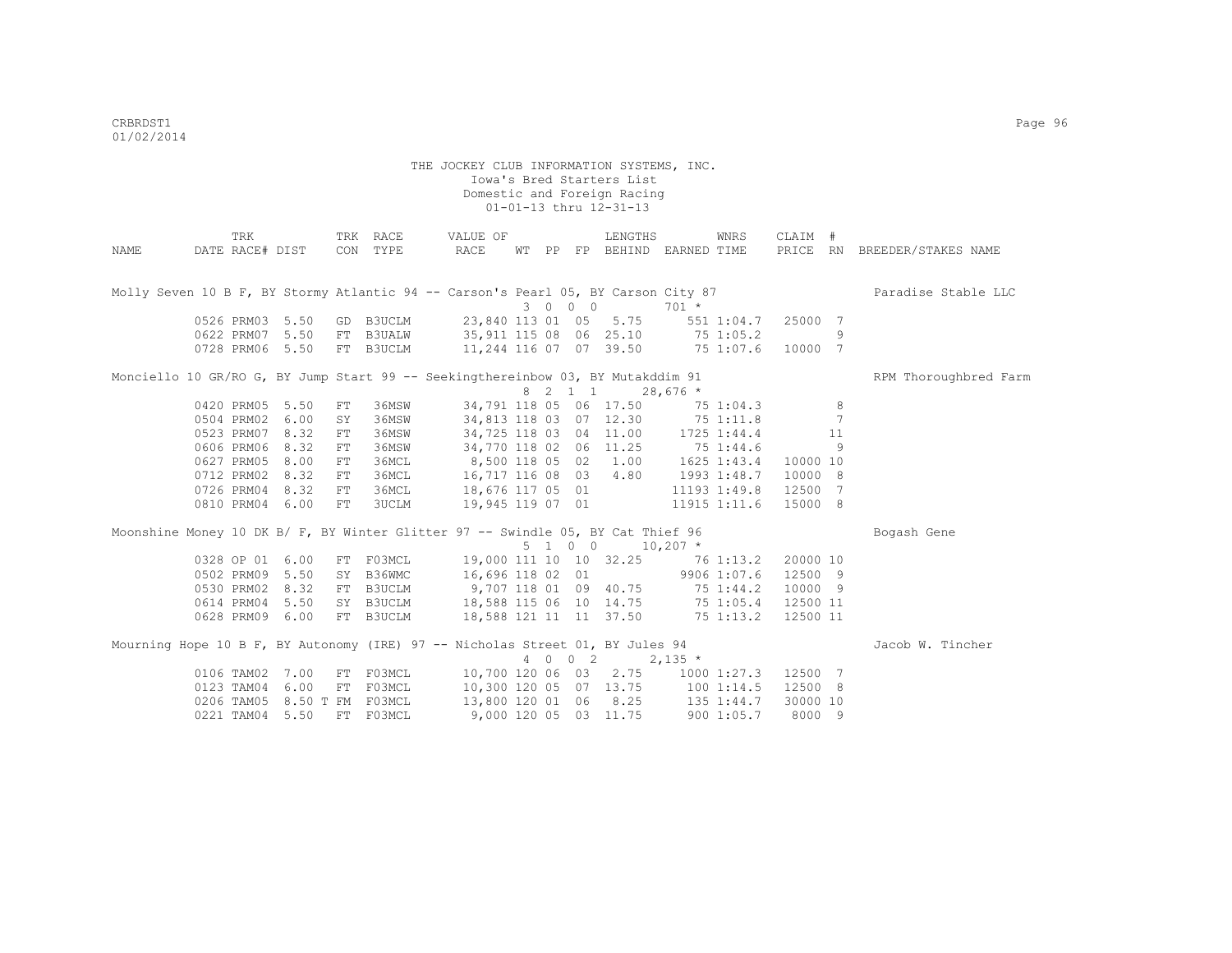|                                                                                   | TRK             |      |    | TRK RACE         | VALUE OF                                  |  |         | LENGTHS                           |            | WNRS            | CLAIM #  |    |                              |
|-----------------------------------------------------------------------------------|-----------------|------|----|------------------|-------------------------------------------|--|---------|-----------------------------------|------------|-----------------|----------|----|------------------------------|
| NAME                                                                              | DATE RACE# DIST |      |    | CON TYPE         | RACE                                      |  |         | WT PP FP BEHIND EARNED TIME       |            |                 |          |    | PRICE RN BREEDER/STAKES NAME |
|                                                                                   |                 |      |    |                  |                                           |  |         |                                   |            |                 |          |    |                              |
|                                                                                   |                 |      |    |                  |                                           |  |         |                                   |            |                 |          |    |                              |
| Molly Seven 10 B F, BY Stormy Atlantic 94 -- Carson's Pearl 05, BY Carson City 87 |                 |      |    |                  |                                           |  |         |                                   |            |                 |          |    | Paradise Stable LLC          |
|                                                                                   |                 |      |    |                  |                                           |  | 3 0 0 0 |                                   | $701 *$    |                 |          |    |                              |
|                                                                                   | 0526 PRM03      | 5.50 | GD | B3UCLM           | 23,840 113 01 05 5.75                     |  |         |                                   | 551 1:04.7 |                 | 25000 7  |    |                              |
|                                                                                   | 0622 PRM07      | 5.50 | FT | <b>B3UALW</b>    | 35,911 115 08 06 25.10 75 1:05.2          |  |         |                                   |            |                 |          | 9  |                              |
|                                                                                   | 0728 PRM06      | 5.50 | FT | B3UCLM           | 11,244 116 07 07 39.50 75 1:07.6          |  |         |                                   |            |                 | 10000 7  |    |                              |
| Monciello 10 GR/RO G, BY Jump Start 99 -- Seekingthereinbow 03, BY Mutakddim 91   |                 |      |    |                  |                                           |  |         |                                   |            |                 |          |    | RPM Thoroughbred Farm        |
|                                                                                   |                 |      |    |                  |                                           |  | 8 2 1 1 |                                   | $28,676$ * |                 |          |    |                              |
|                                                                                   | 0420 PRM05      | 5.50 | FT | 36MSW            |                                           |  |         | 34,791 118 05 06 17.50            |            | 75 1:04.3       |          | 8  |                              |
|                                                                                   | 0504 PRM02      | 6.00 | SY | 36MSW            |                                           |  |         | 34,813 118 03 07 12.30            | 75 1:11.8  |                 |          | 7  |                              |
|                                                                                   | 0523 PRM07      | 8.32 | FT | 36MSW            | 34,725 118 03                             |  |         | 04 11.00 1725 1:44.4              |            |                 |          | 11 |                              |
|                                                                                   | 0606 PRM06      | 8.32 | FT | 36MSW            | 34,770 118 02 06 11.25 75 1:44.6          |  |         |                                   |            |                 |          | 9  |                              |
|                                                                                   | 0627 PRM05      | 8.00 | FT | 36MCL            | 8,500 118 05 02 1.00 1625 1:43.4          |  |         |                                   |            |                 | 10000 10 |    |                              |
|                                                                                   | 0712 PRM02      | 8.32 | FT | 36MCL            | 16,717 116 08 03 4.80 1993 1:48.7         |  |         |                                   |            |                 | 10000 8  |    |                              |
|                                                                                   | 0726 PRM04 8.32 |      | FT | 36MCL            |                                           |  |         | 18,676 117 05 01                  |            | 11193 1:49.8    | 12500 7  |    |                              |
|                                                                                   | 0810 PRM04 6.00 |      | FT | 3UCLM            |                                           |  |         | 19,945 119 07 01                  |            | 11915 1:11.6    | 15000 8  |    |                              |
| Moonshine Money 10 DK B/ F, BY Winter Glitter 97 -- Swindle 05, BY Cat Thief 96   |                 |      |    |                  |                                           |  |         |                                   |            |                 |          |    | Bogash Gene                  |
|                                                                                   |                 |      |    |                  |                                           |  |         | $5 \t1 \t0 \t0 \t10,207$ *        |            |                 |          |    |                              |
|                                                                                   | 0328 OP 01 6.00 |      |    | FT F03MCL        | 19,000 111 10 10 32.25 76 1:13.2 20000 10 |  |         |                                   |            |                 |          |    |                              |
|                                                                                   | 0502 PRM09 5.50 |      | SY | B36WMC           | 16,696 118 02 01                          |  |         |                                   |            | 9906 1:07.6     | 12500 9  |    |                              |
|                                                                                   | 0530 PRM02 8.32 |      |    | FT B3UCLM        |                                           |  |         | 9,707 118 01 09 40.75             | 751:44.2   |                 | 10000 9  |    |                              |
|                                                                                   | 0614 PRM04      | 5.50 |    | SY B3UCLM        | 18,588 115 06 10 14.75 75 1:05.4          |  |         |                                   |            |                 | 12500 11 |    |                              |
|                                                                                   | 0628 PRM09 6.00 |      |    | FT B3UCLM        | 18,588 121 11 11 37.50 75 1:13.2          |  |         |                                   |            |                 | 12500 11 |    |                              |
|                                                                                   |                 |      |    |                  |                                           |  |         |                                   |            |                 |          |    |                              |
| Mourning Hope 10 B F, BY Autonomy (IRE) 97 -- Nicholas Street 01, BY Jules 94     |                 |      |    |                  |                                           |  |         |                                   |            |                 |          |    | Jacob W. Tincher             |
|                                                                                   |                 |      |    |                  |                                           |  | 4 0 0 2 |                                   | $2,135$ *  |                 |          |    |                              |
|                                                                                   | 0106 TAM02      | 7.00 |    | FT F03MCL        |                                           |  |         | 10,700 120 06 03 2.75             |            | $1000$ $1:27.3$ | 12500 7  |    |                              |
|                                                                                   | 0123 TAM04      | 6.00 |    | FT F03MCL        |                                           |  |         | 10,300 120 05 07 13.75 100 1:14.5 |            |                 | 12500 8  |    |                              |
|                                                                                   | 0206 TAM05      |      |    | 8.50 T FM F03MCL |                                           |  |         | 13,800 120 01 06 8.25             | 135 1:44.7 |                 | 30000 10 |    |                              |
|                                                                                   | 0221 TAM04      | 5.50 |    | FT FO3MCL        |                                           |  |         | 9,000 120 05 03 11.75             |            | 9001:05.7       | 8000 9   |    |                              |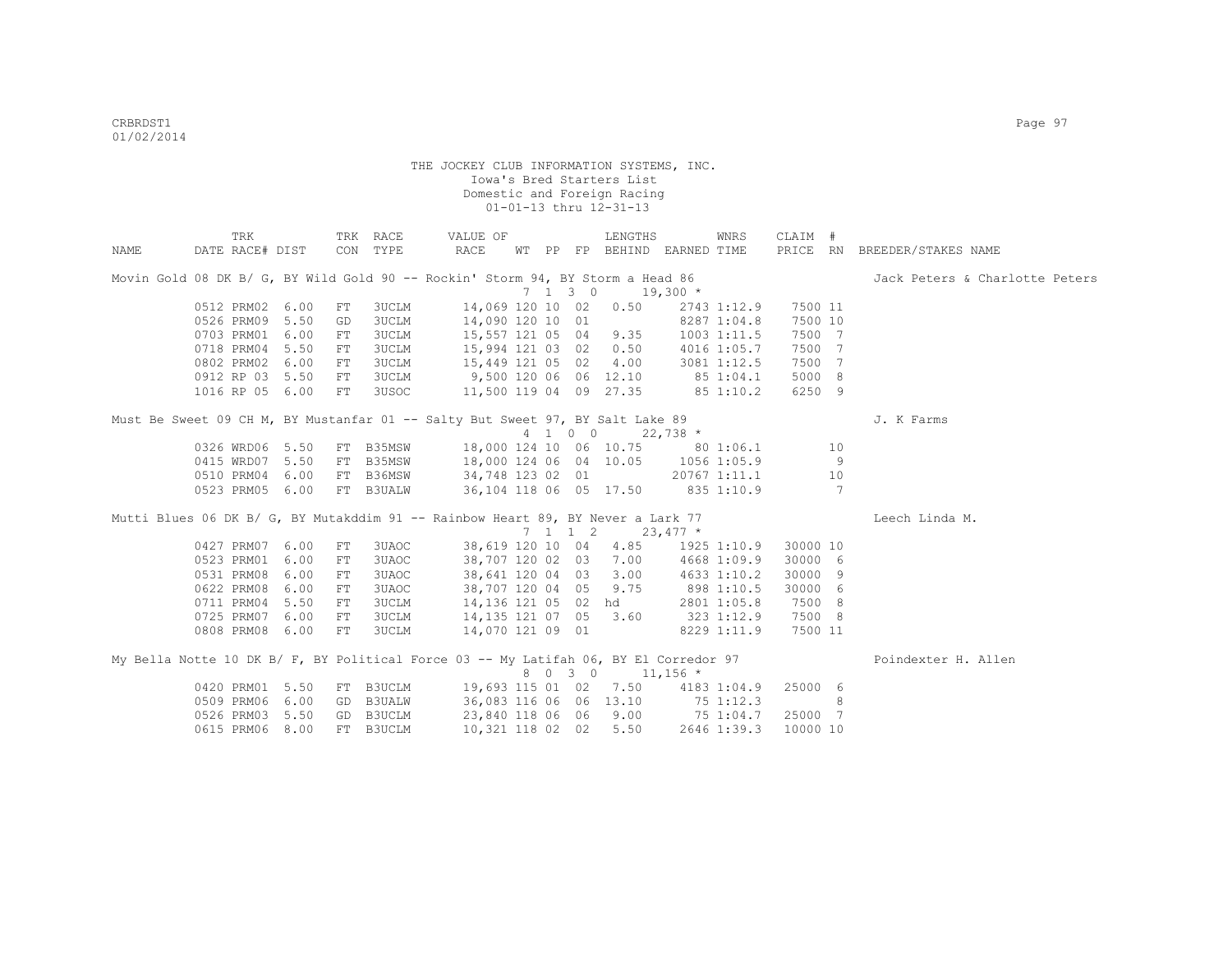|      | TRK                                                                                  |    | TRK RACE     | VALUE OF                                   |  |                 | LENGTHS                     |                  | WNRS            | CLAIM #           |    |                                |
|------|--------------------------------------------------------------------------------------|----|--------------|--------------------------------------------|--|-----------------|-----------------------------|------------------|-----------------|-------------------|----|--------------------------------|
| NAME | DATE RACE# DIST                                                                      |    | CON TYPE     | RACE                                       |  |                 | WT PP FP BEHIND EARNED TIME |                  |                 |                   |    | PRICE RN BREEDER/STAKES NAME   |
|      | Movin Gold 08 DK B/ G, BY Wild Gold 90 -- Rockin' Storm 94, BY Storm a Head 86       |    |              |                                            |  |                 |                             |                  |                 |                   |    | Jack Peters & Charlotte Peters |
|      |                                                                                      |    |              |                                            |  | $7 \t1 \t3 \t0$ |                             | $19,300*$        |                 |                   |    |                                |
|      | 0512 PRM02 6.00                                                                      | FT | 3UCLM        | 14,069 120 10 02                           |  |                 | 0.50                        |                  | 2743 1:12.9     | 7500 11           |    |                                |
|      | 0526 PRM09 5.50                                                                      | GD | <b>3UCLM</b> | 14,090 120 10 01                           |  |                 |                             |                  | 8287 1:04.8     | 7500 10           |    |                                |
|      | 0703 PRM01 6.00                                                                      | FT | <b>3UCLM</b> | 15,557 121 05 04 9.35                      |  |                 |                             |                  | $1003$ $1:11.5$ | 7500 7            |    |                                |
|      | 0718 PRM04 5.50                                                                      | FT | <b>3UCLM</b> | 15,994 121 03 02                           |  |                 | 0.50                        | 4016 1:05.7      |                 | 7500 7            |    |                                |
|      | 0802 PRM02 6.00                                                                      | FT | <b>3UCLM</b> | 15,449 121 05 02                           |  |                 | 4.00                        | 3081 1:12.5      |                 | 7500 7            |    |                                |
|      | 0912 RP 03 5.50                                                                      | FT | <b>3UCLM</b> | 9,500 120 06 06 12.10 85 1:04.1            |  |                 |                             |                  |                 | 5000 8            |    |                                |
|      | 1016 RP 05 6.00                                                                      | FT | 3USOC        | 11,500 119 04 09 27.35 85 1:10.2           |  |                 |                             |                  |                 | 6250 9            |    |                                |
|      | Must Be Sweet 09 CH M, BY Mustanfar 01 -- Salty But Sweet 97, BY Salt Lake 89        |    |              |                                            |  |                 |                             |                  |                 |                   |    | J. K Farms                     |
|      |                                                                                      |    |              |                                            |  |                 | 4 1 0 0 22,738 *            |                  |                 |                   |    |                                |
|      | 0326 WRD06 5.50                                                                      |    |              | FT B35MSW 18,000 124 10 06 10.75 80 1:06.1 |  |                 |                             |                  |                 |                   | 10 |                                |
|      | 0415 WRD07 5.50                                                                      |    | FT B35MSW    | 18,000 124 06 04 10.05 1056 1:05.9         |  |                 |                             |                  |                 |                   | 9  |                                |
|      | 0510 PRM04 6.00                                                                      |    | FT B36MSW    | 34,748 123 02 01                           |  |                 |                             |                  |                 | $20767$ 1:11.1 10 |    |                                |
|      | 0523 PRM05 6.00                                                                      |    | FT B3UALW    | 36,104 118 06 05 17.50 835 1:10.9          |  |                 |                             |                  |                 | $\sim$ 7          |    |                                |
|      | Mutti Blues 06 DK B/ G, BY Mutakddim 91 -- Rainbow Heart 89, BY Never a Lark 77      |    |              |                                            |  |                 |                             |                  |                 |                   |    | Leech Linda M.                 |
|      |                                                                                      |    |              |                                            |  |                 | 7 1 1 2 23,477 $*$          |                  |                 |                   |    |                                |
|      | 0427 PRM07 6.00                                                                      | FT | 3UAOC        | 38,619 120 10 04                           |  |                 | 4.85                        |                  | 1925 1:10.9     | 30000 10          |    |                                |
|      | 0523 PRM01 6.00                                                                      | FT | 3UAOC        | 38,707 120 02 03                           |  |                 |                             | 7.00 4668 1:09.9 |                 | 30000 6           |    |                                |
|      | 0531 PRM08 6.00                                                                      | FT | 3UAOC        | 38,641 120 04 03                           |  |                 | 3.00                        | 4633 1:10.2      |                 | 30000 9           |    |                                |
|      | 0622 PRM08 6.00                                                                      | FT | 3UAOC        | 38,707 120 04 05                           |  |                 | 9.75                        | 898 1:10.5       |                 | 30000 6           |    |                                |
|      | 0711 PRM04 5.50                                                                      | FT | <b>3UCLM</b> | 14,136 121 05 02 hd                        |  |                 |                             |                  | 2801 1:05.8     | 7500 8            |    |                                |
|      | 0725 PRM07 6.00                                                                      | FT | <b>3UCLM</b> | 14, 135 121 07 05 3.60                     |  |                 |                             | 323 1:12.9       |                 | 7500 8            |    |                                |
|      | 0808 PRM08 6.00                                                                      | FT | <b>3UCLM</b> | 14,070 121 09 01                           |  |                 |                             |                  | 8229 1:11.9     | 7500 11           |    |                                |
|      | My Bella Notte 10 DK B/ F, BY Political Force 03 -- My Latifah 06, BY El Corredor 97 |    |              |                                            |  |                 |                             |                  |                 |                   |    | Poindexter H. Allen            |
|      |                                                                                      |    |              |                                            |  | 8 0 3 0         | $11,156$ *                  |                  |                 |                   |    |                                |
|      | 0420 PRM01 5.50                                                                      |    | FT B3UCLM    | 19,693 115 01 02 7.50 4183 1:04.9          |  |                 |                             |                  |                 | 25000 6           |    |                                |
|      | 0509 PRM06 6.00                                                                      |    | GD B3UALW    | 36,083 116 06 06 13.10 75 1:12.3           |  |                 |                             |                  |                 |                   | 8  |                                |
|      | 0526 PRM03 5.50                                                                      |    | GD B3UCLM    | 23,840 118 06 06 9.00 75 1:04.7            |  |                 |                             |                  |                 | 25000 7           |    |                                |
|      | 0615 PRM06 8.00                                                                      |    | FT B3UCLM    | 10,321 118 02 02                           |  |                 | 5.50                        |                  | 2646 1:39.3     | 10000 10          |    |                                |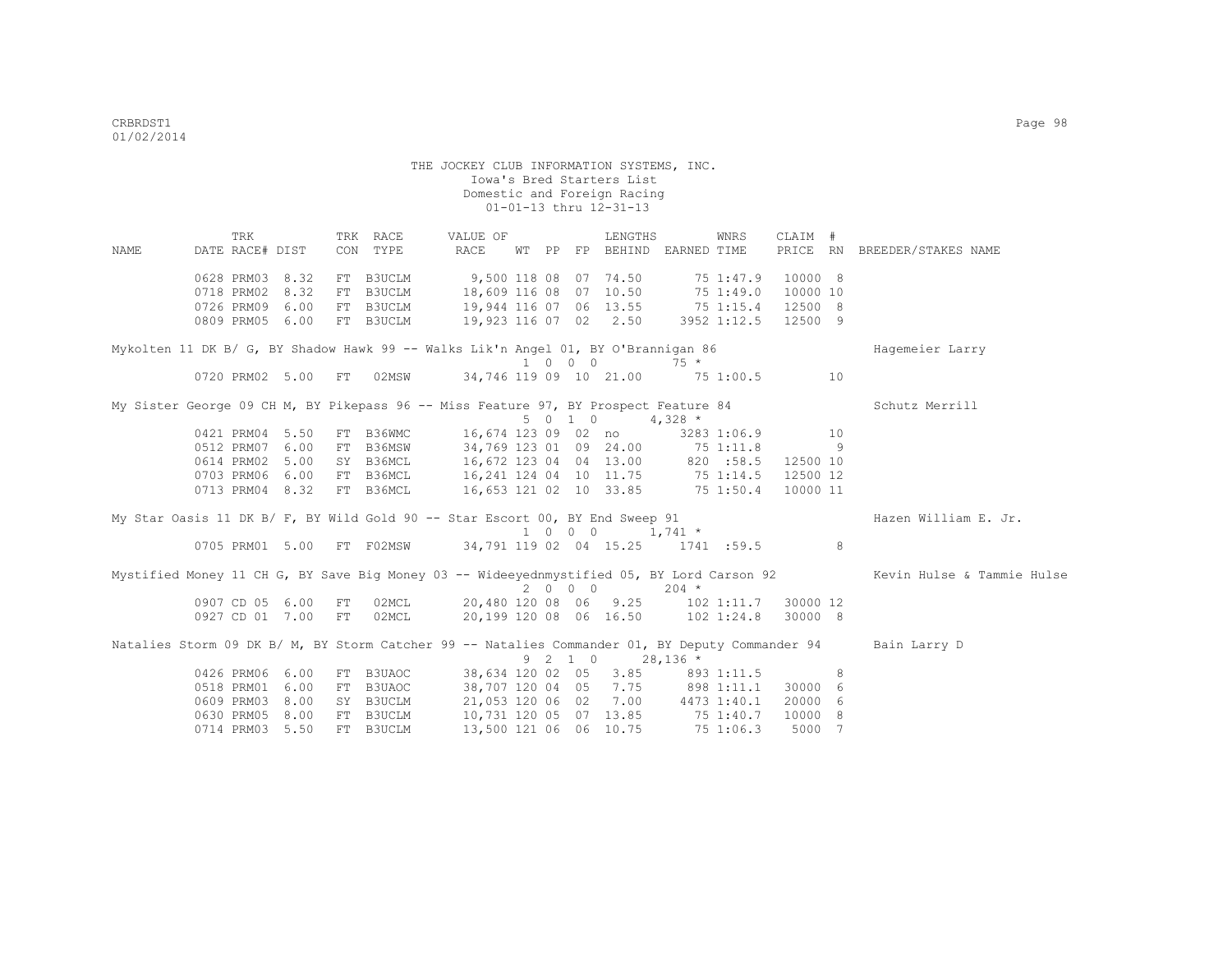TRK TRK RACE VALUE OF LENGTHS WNRS CLAIM # NAME DATE RACE# DIST CON TYPE RACE WT PP FP BEHIND EARNED TIME PRICE RN BREEDER/STAKES NAME 0628 PRM03 8.32 FT B3UCLM 9,500 118 08 07 74.50 75 1:47.9 10000 8 0718 PRM02 8.32 FT B3UCLM 18,609 116 08 07 10.50 75 1:49.0 10000 10 0726 PRM09 6.00 FT B3UCLM 19,944 116 07 06 13.55 75 1:15.4 12500 8<br>0809 PRM05 6.00 FT B3UCLM 19,923 116 07 02 2.50 3952 1:12.5 12500 9 0809 PRM05 6.00 FT B3UCLM Mykolten 11 DK B/ G, BY Shadow Hawk 99 -- Walks Lik'n Angel 01, BY O'Brannigan 86 Hagemeier Larry  $0720$  PRM02 5.00 FT 02MSW 34,746 119 09 10 21.00 75 1 34,746 119 09 10 21.00 75 1:00.5 10 My Sister George 09 CH M, BY Pikepass 96 -- Miss Feature 97, BY Prospect Feature 84 Schutz Merrill  $5 \t0 \t1 \t0 \t4.328 \t\t*$  0421 PRM04 5.50 FT B36WMC 16,674 123 09 02 no 3283 1:06.9 10 0512 PRM07 6.00 FT B36MSW 34,769 123 01 09 24.00 75 1:11.8 9 0614 PRM02 5.00 SY B36MCL 16,672 123 04 04 13.00 820 :58.5 12500 10<br>0703 PRM06 6.00 FT B36MCL 16,241 124 04 10 11.75 75 1:14.5 12500 12 0703 PRM06 6.00 FT B36MCL 16,241 124 04 10 11.75 75 1:14.5 12500 12 0713 PRM04 8.32 FT B36MCL 16,653 121 02 10 33.85 75 1:50.4 10000 11 My Star Oasis 11 DK B/ F, BY Wild Gold 90 -- Star Escort 00, BY End Sweep 91 Hazen William E. Jr.  $1 \t0 \t0 \t0 \t1.741 \t\t*$  0705 PRM01 5.00 FT F02MSW 34,791 119 02 04 15.25 1741 :59.5 8 Mystified Money 11 CH G, BY Save Big Money 03 -- Wideeyednmystified 05, BY Lord Carson 92 Kevin Hulse & Tammie Hulse  $20.480$  120 08 06 9.25 102 0907 CD 05 6.00 FT 02MCL 20,480 120 08 06 9.25 102 1:11.7 30000 12 0927 CD 01 7.00 FT 02MCL 20,199 120 08 06 16.50 102 1:24.8 30000 8 Natalies Storm 09 DK B/ M, BY Storm Catcher 99 -- Natalies Commander 01, BY Deputy Commander 94 Bain Larry D % 9 2 1 0 28,136<br>9 9 2 1 0 28,136 ERM06 6.00 FT B3UAOC 38,634 120 02 05 3.85  $0.38,634$  120 02 05  $0.3.85$  893 1:11.5 8<br> $0.38,707$  120 04 05 7.75 898 1:11.1 30000 6 0518 PRM01 6.00 FT B3UAOC 38,707 120 04 05 7.75 0609 PRM03 8.00 SY B3UCLM 21,053 120 06 02 7.00 4473 1:40.1 20000 6 0630 PRM05 8.00 FT B3UCLM 10,731 120 05 07 13.85 75 1:40.7 10000 8 0714 PRM03 5.50 FT B3UCLM 13,500 121 06 06 10.75 75 1:06.3 5000 7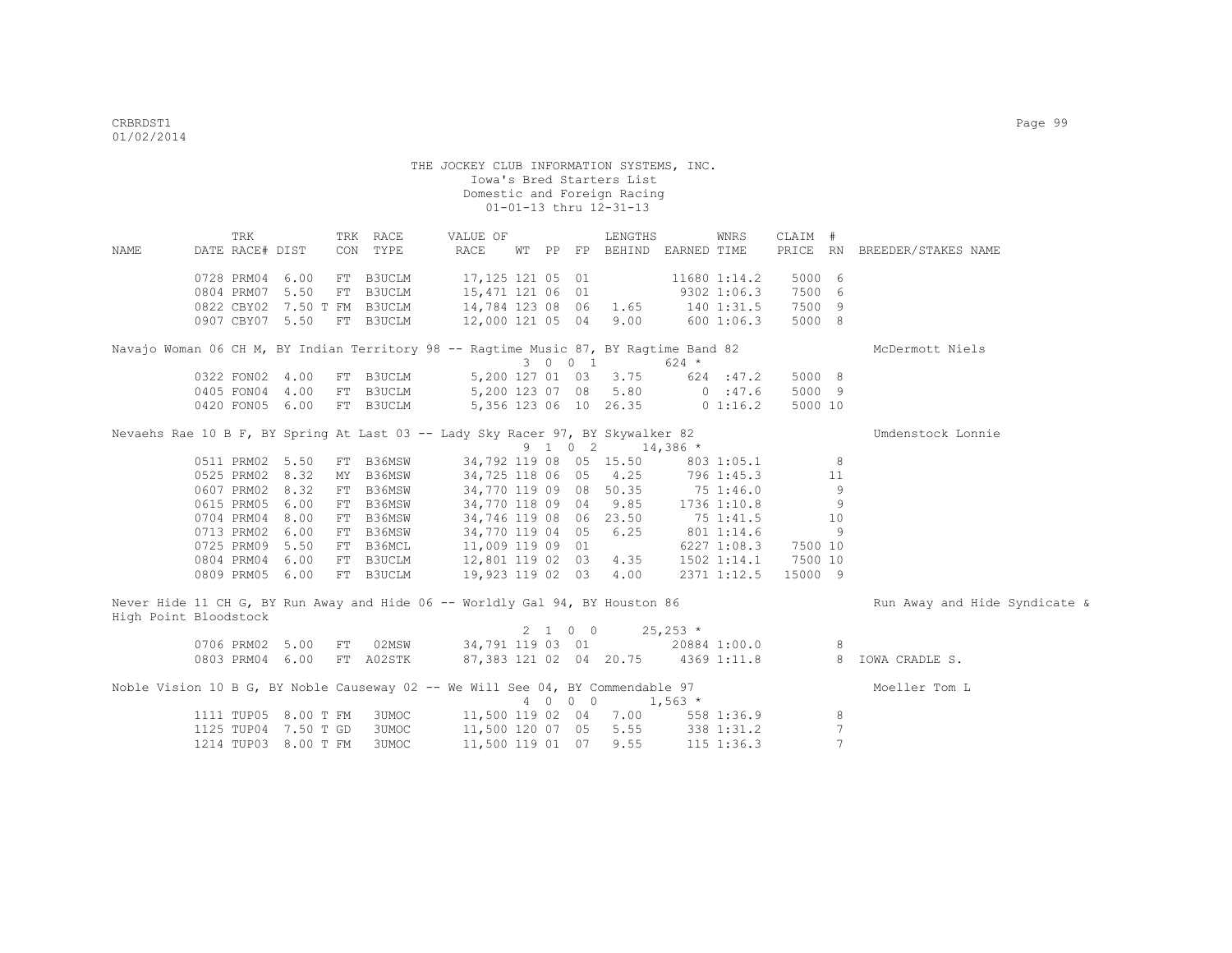|                       | TRK                         |  | TRK RACE                  | VALUE OF                                                                             |  |         | LENGTHS                                       |            | WNRS           | CLAIM # |                 |                                                     |
|-----------------------|-----------------------------|--|---------------------------|--------------------------------------------------------------------------------------|--|---------|-----------------------------------------------|------------|----------------|---------|-----------------|-----------------------------------------------------|
| NAME                  | DATE RACE# DIST             |  | CON TYPE                  | RACE                                                                                 |  |         | WT PP FP BEHIND EARNED TIME                   |            |                |         |                 | PRICE RN BREEDER/STAKES NAME                        |
|                       |                             |  |                           |                                                                                      |  |         |                                               |            |                |         |                 |                                                     |
|                       | 0728 PRM04 6.00             |  | FT B3UCLM                 | 17,125 121 05 01                                                                     |  |         | 11680 1:14.2                                  |            |                | 5000 6  |                 |                                                     |
|                       | 0804 PRM07 5.50             |  | FT B3UCLM                 | 15,471 121 06 01                                                                     |  |         | 9302 1:06.3                                   |            |                | 7500 6  |                 |                                                     |
|                       | 0822 CBY02 7.50 T FM B3UCLM |  |                           | 14,784 123 08 06                                                                     |  |         | $1.65$ $140$ $1:31.5$                         |            |                | 7500 9  |                 |                                                     |
|                       | 0907 CBY07 5.50 FT B3UCLM   |  |                           | 12,000 121 05 04 9.00                                                                |  |         |                                               | 6001:06.3  |                | 5000 8  |                 |                                                     |
|                       |                             |  |                           | Navajo Woman 06 CH M, BY Indian Territory 98 -- Ragtime Music 87, BY Ragtime Band 82 |  |         |                                               |            |                |         |                 | McDermott Niels                                     |
|                       |                             |  |                           |                                                                                      |  | 3 0 0 1 |                                               | $624$ *    |                |         |                 |                                                     |
|                       | 0322 FON02 4.00             |  |                           | FT B3UCLM 5,200 127 01 03 3.75                                                       |  |         |                                               | 624 : 47.2 |                | 5000 8  |                 |                                                     |
|                       | 0405 FON04 4.00             |  |                           | FT B3UCLM 5,200 123 07 08 5.80                                                       |  |         |                                               |            | 0:47.6         | 5000 9  |                 |                                                     |
|                       |                             |  | 0420 FON05 6.00 FT B3UCLM | 5,356 123 06 10 26.35 0 1:16.2                                                       |  |         |                                               |            |                | 5000 10 |                 |                                                     |
|                       |                             |  |                           |                                                                                      |  |         |                                               |            |                |         |                 |                                                     |
|                       |                             |  |                           | Nevaehs Rae 10 B F, BY Spring At Last 03 -- Lady Sky Racer 97, BY Skywalker 82       |  |         |                                               |            |                |         |                 | Umdenstock Lonnie                                   |
|                       |                             |  |                           |                                                                                      |  |         | $9 \quad 1 \quad 0 \quad 2 \quad 14,386 \neq$ |            |                |         |                 |                                                     |
|                       | 0511 PRM02 5.50             |  |                           | FT B36MSW 34,792 119 08 05 15.50                                                     |  |         |                                               |            | 803 1:05.1 8   |         |                 |                                                     |
|                       | 0525 PRM02 8.32             |  |                           | MY B36MSW 34,725 118 06 05 4.25 796 1:45.3 11                                        |  |         |                                               |            |                |         |                 |                                                     |
|                       | 0607 PRM02 8.32             |  | FT B36MSW                 | 34,770 119 09 08 50.35 75 1:46.0 9                                                   |  |         |                                               |            |                |         |                 |                                                     |
|                       | 0615 PRM05 6.00             |  | FT B36MSW                 | 34,770 118 09 04 9.85 1736 1:10.8 9                                                  |  |         |                                               |            |                |         |                 |                                                     |
|                       | 0704 PRM04 8.00             |  | FT B36MSW                 | 34,746 119 08 06 23.50                                                               |  |         |                                               |            | 75 1:41.5      | 10      |                 |                                                     |
|                       | 0713 PRM02 6.00             |  |                           | FT B36MSW 34,770 119 04 05 6.25                                                      |  |         |                                               |            | 801 1:14.6     |         | $\overline{9}$  |                                                     |
|                       | 0725 PRM09 5.50             |  |                           | FT B36MCL 11,009 119 09 01                                                           |  |         | 6227 1:08.3                                   |            |                | 7500 10 |                 |                                                     |
|                       | 0804 PRM04 6.00             |  |                           | FT B3UCLM 12,801 119 02 03 4.35 1502 1:14.1 7500 10                                  |  |         |                                               |            |                |         |                 |                                                     |
|                       | 0809 PRM05 6.00             |  | FT B3UCLM                 | 19,923 119 02 03 4.00 2371 1:12.5                                                    |  |         |                                               |            |                | 15000 9 |                 |                                                     |
| High Point Bloodstock |                             |  |                           | Never Hide 11 CH G, BY Run Away and Hide 06 -- Worldly Gal 94, BY Houston 86         |  |         |                                               |            |                |         |                 | Run Away and Hide Syndicate &                       |
|                       |                             |  |                           |                                                                                      |  |         | $2 \t1 \t0 \t0 \t25,253 \t*$                  |            |                |         |                 |                                                     |
|                       | 0706 PRM02 5.00             |  |                           | FT 02MSW 34,791 119 03 01 20884 1:00.0 8                                             |  |         |                                               |            |                |         |                 |                                                     |
|                       | 0803 PRM04 6.00 FT A02STK   |  |                           |                                                                                      |  |         |                                               |            |                |         |                 | 87,383 121 02 04 20.75 4369 1:11.8 8 IOWA CRADLE S. |
|                       |                             |  |                           |                                                                                      |  |         |                                               |            |                |         |                 |                                                     |
|                       |                             |  |                           | Noble Vision 10 B G, BY Noble Causeway 02 -- We Will See 04, BY Commendable 97       |  |         |                                               |            |                |         |                 | Moeller Tom L                                       |
|                       |                             |  |                           |                                                                                      |  | 4 0 0 0 | $1,563$ *                                     |            |                |         |                 |                                                     |
|                       | 1111 TUP05 8.00 T FM        |  |                           | 3UMOC 11,500 119 02 04 7.00 558 1:36.9                                               |  |         |                                               |            |                |         | 8               |                                                     |
|                       | 1125 TUP04 7.50 T GD        |  | 3UMOC                     | 11,500 120 07 05                                                                     |  |         | 5.55                                          |            | 338 1:31.2     |         | $7\phantom{.0}$ |                                                     |
|                       | 1214 TUP03 8.00 T FM        |  | 3UMOC                     | 11,500 119 01 07                                                                     |  |         | 9.55                                          |            | $115$ $1:36.3$ |         | $7\phantom{.0}$ |                                                     |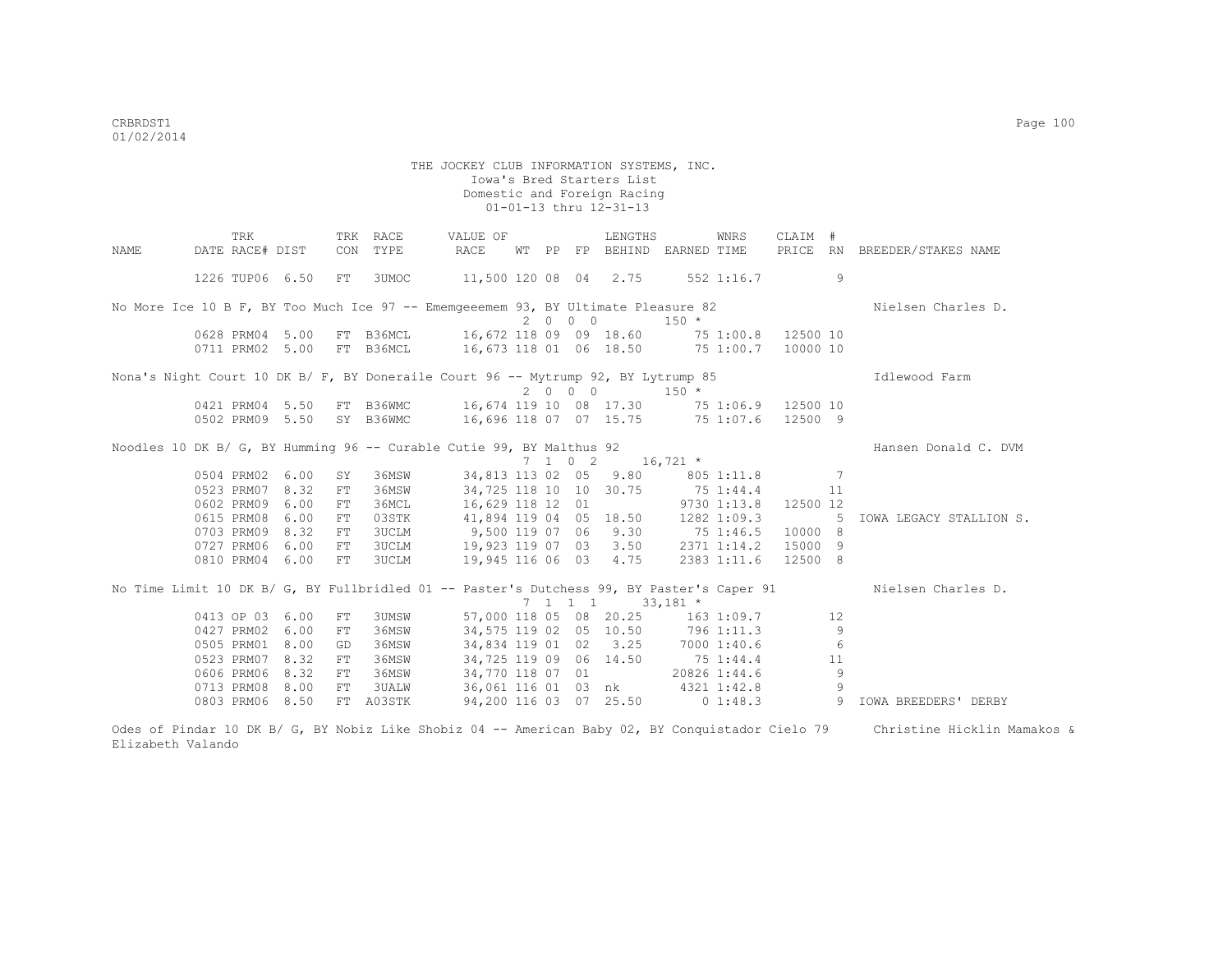|      | TRK                      |            | TRK RACE    | VALUE OF                                                                                  |  |                          | LENGTHS                               |            | WNRS | CLAIM #   |    |                              |
|------|--------------------------|------------|-------------|-------------------------------------------------------------------------------------------|--|--------------------------|---------------------------------------|------------|------|-----------|----|------------------------------|
| NAME | DATE RACE# DIST          |            | CON TYPE    | RACE                                                                                      |  |                          | WT PP FP BEHIND EARNED TIME           |            |      |           |    | PRICE RN BREEDER/STAKES NAME |
|      |                          |            |             |                                                                                           |  |                          |                                       |            |      |           |    |                              |
|      | 1226 TUP06 6.50 FT 3UMOC |            |             | 11,500 120 08 04 2.75 552 1:16.7                                                          |  |                          |                                       |            |      |           | 9  |                              |
|      |                          |            |             |                                                                                           |  |                          |                                       |            |      |           |    |                              |
|      |                          |            |             | No More Ice 10 B F, BY Too Much Ice 97 -- Ememgeeemem 93, BY Ultimate Pleasure 82         |  |                          |                                       |            |      |           |    | Nielsen Charles D.           |
|      |                          |            |             |                                                                                           |  | 2000                     |                                       | $150 *$    |      |           |    |                              |
|      | 0628 PRM04 5.00          |            |             | FT B36MCL 16,672 118 09 09 18.60 75 1:00.8 12500 10                                       |  |                          |                                       |            |      |           |    |                              |
|      | 0711 PRM02 5.00          |            |             |                                                                                           |  |                          |                                       |            |      |           |    |                              |
|      |                          |            |             |                                                                                           |  |                          |                                       |            |      |           |    |                              |
|      |                          |            |             | Nona's Night Court 10 DK B/ F, BY Doneraile Court 96 -- Mytrump 92, BY Lytrump 85         |  |                          |                                       |            |      |           |    | Idlewood Farm                |
|      |                          |            |             |                                                                                           |  |                          | $2000$ $150*$                         |            |      |           |    |                              |
|      |                          |            |             | 0421 PRM04 5.50 FT B36WMC 16,674 119 10 08 17.30 75 1:06.9 12500 10                       |  |                          |                                       |            |      |           |    |                              |
|      |                          |            |             | 0502 PRM09 5.50 SY B36WMC 16,696 118 07 07 15.75 75 1:07.6 12500 9                        |  |                          |                                       |            |      |           |    |                              |
|      |                          |            |             |                                                                                           |  |                          |                                       |            |      |           |    |                              |
|      |                          |            |             | Noodles 10 DK B/ G, BY Humming 96 -- Curable Cutie 99, BY Malthus 92                      |  |                          |                                       |            |      |           |    | Hansen Donald C. DVM         |
|      |                          |            |             |                                                                                           |  | $7\quad 1\quad 0\quad 2$ |                                       | $16,721$ * |      |           |    |                              |
|      | 0504 PRM02 6.00          | SY         | 36MSW       |                                                                                           |  |                          | 34,813 113 02 05 9.80 805 1:11.8      |            |      | $\sim$ 7  |    |                              |
|      | 0523 PRM07               | 8.32<br>FT | 36MSW       |                                                                                           |  |                          | 34,725 118 10 10 30.75 75 1:44.4      |            |      | $\sim$ 11 |    |                              |
|      | 0602 PRM09               | 6.00<br>FT | 36MCL       |                                                                                           |  |                          | 16,629 118 12 01 9730 1:13.8 12500 12 |            |      |           |    |                              |
|      | 0615 PRM08 6.00          | FT         |             | 03STK 41,894 119 04 05 18.50 1282 1:09.3 5                                                |  |                          |                                       |            |      |           |    | IOWA LEGACY STALLION S.      |
|      | 0703 PRM09 8.32          | FT         |             | 3UCLM 9,500 119 07 06 9.30 75 1:46.5 10000 8                                              |  |                          |                                       |            |      |           |    |                              |
|      | 0727 PRM06               | 6.00<br>FT |             | 3UCLM 19,923 119 07 03 3.50 2371 1:14.2                                                   |  |                          |                                       |            |      | 15000 9   |    |                              |
|      | 0810 PRM04 6.00          | FT         |             | 3UCLM 19,945 116 06 03 4.75 2383 1:11.6                                                   |  |                          |                                       |            |      | 12500 8   |    |                              |
|      |                          |            |             |                                                                                           |  |                          |                                       |            |      |           |    |                              |
|      |                          |            |             | No Time Limit 10 DK B/ G, BY Fullbridled 01 -- Paster's Dutchess 99, BY Paster's Caper 91 |  |                          |                                       |            |      |           |    | Nielsen Charles D.           |
|      |                          |            |             |                                                                                           |  |                          | 7 1 1 1 33,181 *                      |            |      |           |    |                              |
|      | 0413 OP 03 6.00          | FT         | 3UMSW       |                                                                                           |  |                          | 57,000 118 05 08 20.25 163 1:09.7     |            |      |           | 12 |                              |
|      | 0427 PRM02               | 6.00<br>FT | 36MSW       |                                                                                           |  |                          | 34,575 119 02 05 10.50 796 1:11.3     |            |      |           | 9  |                              |
|      | 0505 PRM01               | 8.00<br>GD | 36MSW       |                                                                                           |  |                          | 34,834 119 01 02 3.25 7000 1:40.6     |            |      |           | 6  |                              |
|      | 0523 PRM07               | 8.32<br>FT | 36MSW       |                                                                                           |  |                          | 34,725 119 09 06 14.50 75 1:44.4      |            |      |           | 11 |                              |
|      | 0606 PRM06               | 8.32<br>FT | 36MSW       |                                                                                           |  |                          | 34,770 118 07 01 20826 1:44.6         |            |      |           | 9  |                              |
|      | 0713 PRM08 8.00          |            | 3UALW<br>FT |                                                                                           |  |                          | 36,061 116 01 03 nk 4321 1:42.8       |            |      |           | -9 |                              |
|      | 0803 PRM06               | 8.50       | FT A03STK   |                                                                                           |  |                          | 94,200 116 03 07 25.50 0 1:48.3       |            |      |           | 9  | IOWA BREEDERS' DERBY         |
|      |                          |            |             |                                                                                           |  |                          |                                       |            |      |           |    |                              |

Odes of Pindar 10 DK B/ G, BY Nobiz Like Shobiz 04 -- American Baby 02, BY Conquistador Cielo 79 Christine Hicklin Mamakos & Elizabeth Valando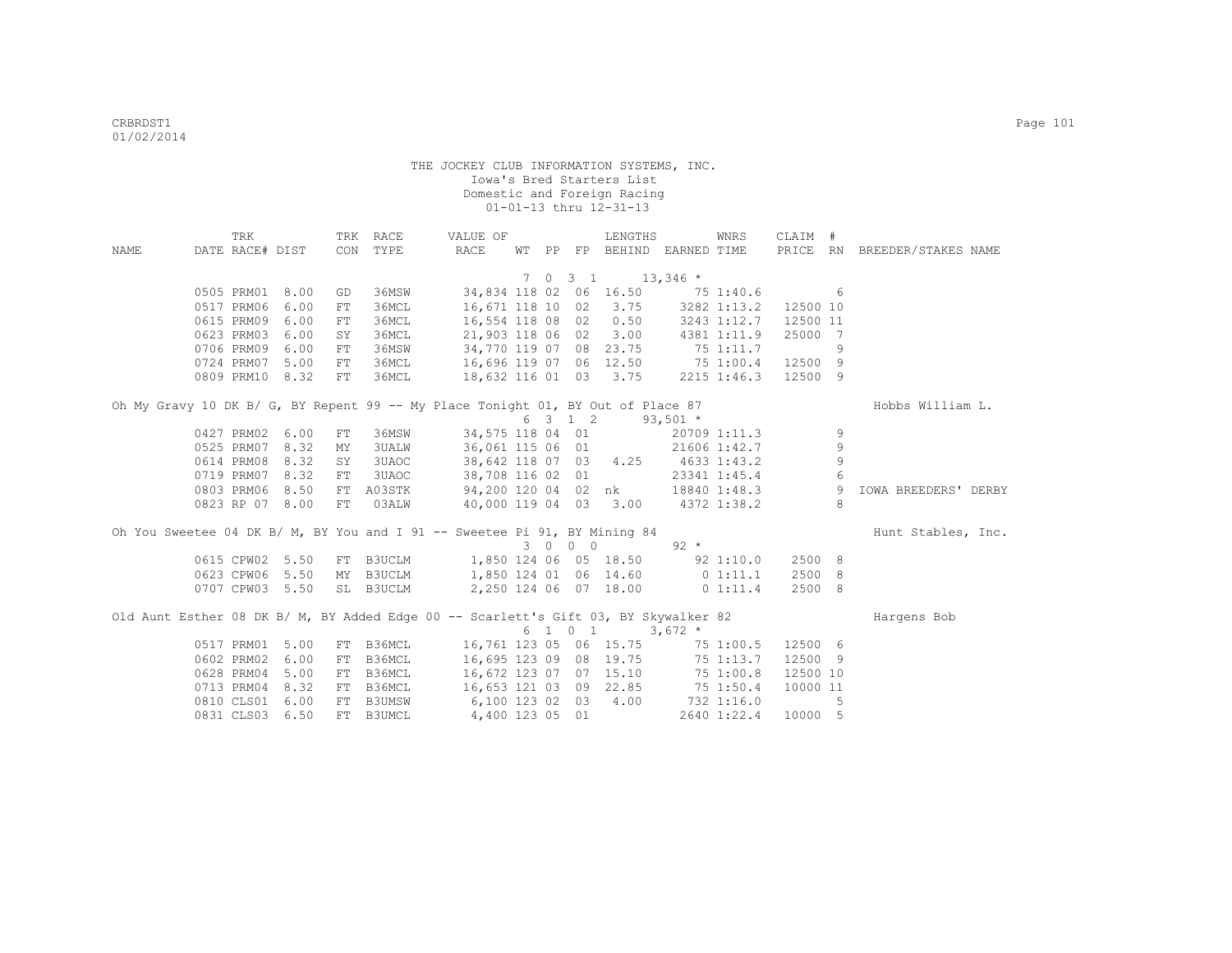|      | TRK             |                 |            | TRK RACE      | VALUE OF                                                                            |  |         | LENGTHS                                      |              | WNRS         | CLAIM #         |             |                              |
|------|-----------------|-----------------|------------|---------------|-------------------------------------------------------------------------------------|--|---------|----------------------------------------------|--------------|--------------|-----------------|-------------|------------------------------|
| NAME | DATE RACE# DIST |                 | CON        | TYPE          | RACE                                                                                |  |         | WT PP FP BEHIND EARNED TIME                  |              |              |                 |             | PRICE RN BREEDER/STAKES NAME |
|      |                 |                 |            |               |                                                                                     |  |         | 7 0 3 1 13,346 *                             |              |              |                 |             |                              |
|      |                 | 0505 PRM01 8.00 | GD         | 36MSW         | 34,834 118 02 06 16.50 75 1:40.6                                                    |  |         |                                              |              |              | $6\overline{6}$ |             |                              |
|      |                 | 0517 PRM06 6.00 | FT.        | 36MCL         |                                                                                     |  |         | 16,671 118 10 02 3.75 3282 1:13.2            |              |              | 12500 10        |             |                              |
|      | 0615 PRM09      | 6.00            | ${\rm FT}$ | 36MCL         |                                                                                     |  |         | 16,554 118 08 02 0.50                        |              | 3243 1:12.7  | 12500 11        |             |                              |
|      | 0623 PRM03      | 6.00            | SY         | 36MCL         | 21,903 118 06 02 3.00 4381 1:11.9                                                   |  |         |                                              |              |              | 25000 7         |             |                              |
|      |                 | 0706 PRM09 6.00 | FT         | 36MSW         | 34,770 119 07 08 23.75 75 1:11.7                                                    |  |         |                                              |              |              |                 | 9           |                              |
|      |                 | 0724 PRM07 5.00 | FT         | 36MCL         | 16,696 119 07 06 12.50 75 1:00.4                                                    |  |         |                                              |              |              | 12500 9         |             |                              |
|      |                 | 0809 PRM10 8.32 | FT         | 36MCL         | 18,632 116 01 03 3.75                                                               |  |         |                                              |              | 2215 1:46.3  | 12500 9         |             |                              |
|      |                 |                 |            |               |                                                                                     |  |         |                                              |              |              |                 |             |                              |
|      |                 |                 |            |               | Oh My Gravy 10 DK B/ G, BY Repent 99 -- My Place Tonight 01, BY Out of Place 87     |  |         |                                              |              |              |                 |             | Hobbs William L.             |
|      |                 |                 |            |               |                                                                                     |  | 6 3 1 2 |                                              | $93,501$ *   |              |                 |             |                              |
|      |                 | 0427 PRM02 6.00 | FT         | 36MSW         | 34,575 118 04 01                                                                    |  |         |                                              |              | 20709 1:11.3 |                 | 9           |                              |
|      |                 | 0525 PRM07 8.32 | MY         | 3UALW         | 36,061 115 06 01 21606 1:42.7                                                       |  |         |                                              |              |              |                 | 9           |                              |
|      |                 | 0614 PRM08 8.32 | SY         | 3UAOC         | 38,642 118 07 03 4.25 4633 1:43.2                                                   |  |         |                                              |              |              |                 | $\mathsf 9$ |                              |
|      |                 | 0719 PRM07 8.32 | FT         | 3UAOC         | 38,708 116 02 01                                                                    |  |         |                                              | 23341 1:45.4 |              |                 | 6           |                              |
|      |                 | 0803 PRM06 8.50 |            |               | FT A03STK 94,200 120 04 02 nk 18840 1:48.3                                          |  |         |                                              |              |              |                 | - 9         | <b>IOWA BREEDERS' DERBY</b>  |
|      |                 | 0823 RP 07 8.00 | FT         | 03ALW         | 40,000 119 04 03 3.00 4372 1:38.2                                                   |  |         |                                              |              |              |                 | 8           |                              |
|      |                 |                 |            |               | Oh You Sweetee 04 DK B/ M, BY You and I 91 -- Sweetee Pi 91, BY Mining 84           |  |         |                                              |              |              |                 |             | Hunt Stables, Inc.           |
|      |                 |                 |            |               |                                                                                     |  | 3 0 0 0 |                                              | $92 *$       |              |                 |             |                              |
|      |                 | 0615 CPW02 5.50 |            |               | FT B3UCLM 1,850 124 06 05 18.50 92 1:10.0                                           |  |         |                                              |              |              | 2500 8          |             |                              |
|      |                 | 0623 CPW06 5.50 |            |               | MY B3UCLM 1,850 124 01 06 14.60 0 1:11.1                                            |  |         |                                              |              |              | 2500 8          |             |                              |
|      |                 | 0707 CPW03 5.50 |            | SL B3UCLM     |                                                                                     |  |         | 2,250 124 06 07 18.00                        |              | $0\;1:11.4$  | 2500 8          |             |                              |
|      |                 |                 |            |               |                                                                                     |  |         |                                              |              |              |                 |             |                              |
|      |                 |                 |            |               | Old Aunt Esther 08 DK B/ M, BY Added Edge 00 -- Scarlett's Gift 03, BY Skywalker 82 |  |         |                                              |              |              |                 |             | Hargens Bob                  |
|      |                 |                 |            |               |                                                                                     |  |         | $6 \quad 1 \quad 0 \quad 1 \quad 3,672 \neq$ |              |              |                 |             |                              |
|      |                 | 0517 PRM01 5.00 |            | FT B36MCL     | 16,761 123 05 06 15.75 75 1:00.5                                                    |  |         |                                              |              |              | 12500 6         |             |                              |
|      | 0602 PRM02      | 6.00            | FT         | B36MCL        | 16,695 123 09 08 19.75                                                              |  |         |                                              | 75 1:13.7    |              | 12500 9         |             |                              |
|      | 0628 PRM04      | 5.00            | FT         | B36MCL        | 16,672 123 07 07 15.10 75 1:00.8                                                    |  |         |                                              |              |              | 12500 10        |             |                              |
|      | 0713 PRM04      | 8.32            | FT         | B36MCL        | 16,653 121 03 09 22.85 75 1:50.4                                                    |  |         |                                              |              |              | 10000 11        |             |                              |
|      |                 | 0810 CLS01 6.00 | FT         | <b>B3UMSW</b> | 6,100 123 02 03 4.00 732 1:16.0                                                     |  |         |                                              |              |              |                 | 5           |                              |
|      |                 | 0831 CLS03 6.50 |            | FT B3UMCL     | 4,400 123 05 01                                                                     |  |         |                                              |              | 2640 1:22.4  | 10000 5         |             |                              |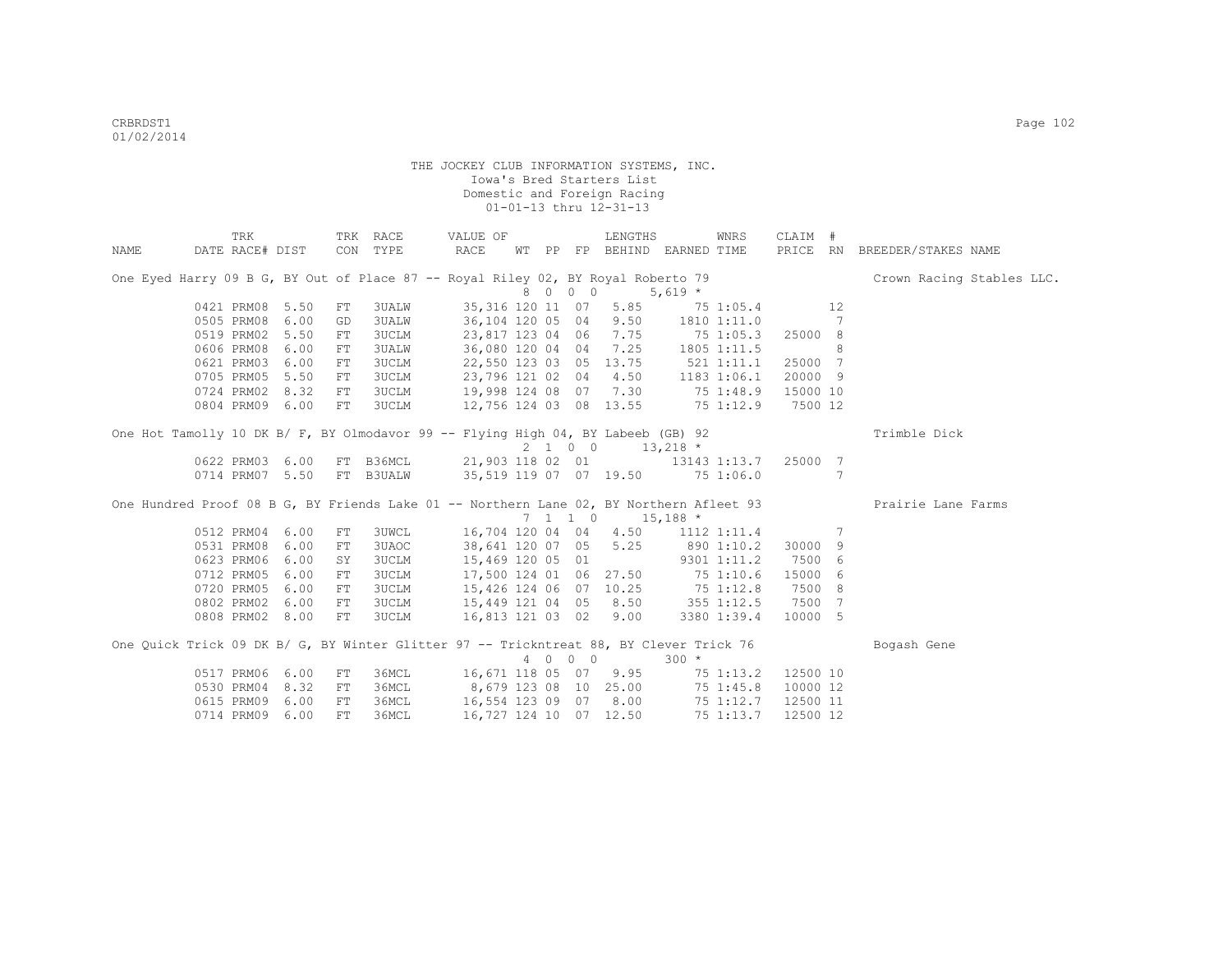|      | TRK                                                                                     |      |            | TRK RACE | VALUE OF                               |  |                  | LENGTHS                                        |                  | WNRS            | CLAIM #  |     |                              |  |
|------|-----------------------------------------------------------------------------------------|------|------------|----------|----------------------------------------|--|------------------|------------------------------------------------|------------------|-----------------|----------|-----|------------------------------|--|
| NAME | DATE RACE# DIST                                                                         |      |            | CON TYPE | RACE                                   |  |                  | WT PP FP BEHIND EARNED TIME                    |                  |                 |          |     | PRICE RN BREEDER/STAKES NAME |  |
|      | One Eyed Harry 09 B G, BY Out of Place 87 -- Royal Riley 02, BY Royal Roberto 79        |      |            |          |                                        |  |                  |                                                |                  |                 |          |     | Crown Racing Stables LLC.    |  |
|      |                                                                                         |      |            |          |                                        |  | 8 0 0 0          |                                                | $5,619$ *        |                 |          |     |                              |  |
|      | 0421 PRM08 5.50                                                                         |      | FT         | 3UALW    |                                        |  | 35,316 120 11 07 | 5.85                                           |                  | 75 1:05.4       | 12       |     |                              |  |
|      | 0505 PRM08                                                                              | 6.00 | GD         | 3UALW    |                                        |  |                  | 36,104 120 05 04 9.50 1810 1:11.0              |                  |                 |          | 7   |                              |  |
|      | 0519 PRM02                                                                              | 5.50 | FT         | 3UCLM    |                                        |  |                  | 23,817 123 04 06 7.75                          |                  | 75 1:05.3       | 25000 8  |     |                              |  |
|      | 0606 PRM08                                                                              | 6.00 | FT         | 3UALW    | 36,080 120 04 04                       |  |                  | 7.25 1805 1:11.5                               |                  |                 |          | 8   |                              |  |
|      | 0621 PRM03                                                                              | 6.00 | ${\rm FT}$ | 3UCLM    | 22,550 123 03 05                       |  |                  | $13.75$ $521$ $1:11.1$                         |                  |                 | 25000 7  |     |                              |  |
|      | 0705 PRM05                                                                              | 5.50 | FT         | 3UCLM    | 23,796 121 02 04                       |  |                  |                                                | 4.50 1183 1:06.1 |                 | 20000 9  |     |                              |  |
|      | 0724 PRM02                                                                              | 8.32 | FT         | 3UCLM    |                                        |  |                  | 19,998 124 08 07 7.30 75 1:48.9                |                  |                 | 15000 10 |     |                              |  |
|      | 0804 PRM09 6.00                                                                         |      | FT         |          | 3UCLM 12,756 124 03 08 13.55           |  |                  |                                                |                  | 75 1:12.9       | 7500 12  |     |                              |  |
|      | One Hot Tamolly 10 DK B/ F, BY Olmodavor 99 -- Flying High 04, BY Labeeb (GB) 92        |      |            |          |                                        |  |                  |                                                |                  |                 |          |     | Trimble Dick                 |  |
|      |                                                                                         |      |            |          |                                        |  | 2 1 0 0          |                                                | $13,218$ *       |                 |          |     |                              |  |
|      | 0622 PRM03 6.00 FT B36MCL 21,903 118 02 01 13143 1:13.7 25000 7                         |      |            |          |                                        |  |                  |                                                |                  |                 |          |     |                              |  |
|      | 0714 PRM07 5.50 FT B3UALW 35,519 119 07 07 19.50 75 1:06.0                              |      |            |          |                                        |  |                  |                                                |                  |                 |          | 7   |                              |  |
|      | One Hundred Proof 08 B G, BY Friends Lake 01 -- Northern Lane 02, BY Northern Afleet 93 |      |            |          |                                        |  |                  |                                                |                  |                 |          |     | Prairie Lane Farms           |  |
|      |                                                                                         |      |            |          |                                        |  |                  | $7 \quad 1 \quad 1 \quad 0 \quad 15,188 \star$ |                  |                 |          |     |                              |  |
|      | 0512 PRM04 6.00                                                                         |      | FT         | 3UWCL    |                                        |  |                  | 16,704 120 04 04 4.50 1112 1:11.4              |                  |                 |          | 7   |                              |  |
|      | 0531 PRM08                                                                              | 6.00 | FT         | 3UAOC    |                                        |  | 38,641 120 07 05 |                                                |                  | 5.25 890 1:10.2 | 30000 9  |     |                              |  |
|      | 0623 PRM06                                                                              | 6.00 | SY         | 3UCLM    | 15,469 120 05 01                       |  |                  | $9301$ 1:11.2                                  |                  |                 | 7500 6   |     |                              |  |
|      | 0712 PRM05                                                                              | 6.00 | ${\rm FT}$ | 3UCLM    |                                        |  |                  | 17,500 124 01 06 27.50 75 1:10.6               |                  |                 | 15000    | - 6 |                              |  |
|      | 0720 PRM05                                                                              | 6.00 | FT         |          | 3UCLM 15,426 124 06 07 10.25 75 1:12.8 |  |                  |                                                |                  |                 | 7500     | -8  |                              |  |
|      | 0802 PRM02                                                                              | 6.00 | FT         | 3UCLM    |                                        |  |                  | 15,449 121 04 05 8.50 355 1:12.5               |                  |                 | 7500 7   |     |                              |  |
|      | 0808 PRM02 8.00                                                                         |      | FT         | 3UCLM    | 16,813 121 03 02                       |  |                  | 9.00                                           |                  | 3380 1:39.4     | 10000 5  |     |                              |  |
|      | One Quick Trick 09 DK B/ G, BY Winter Glitter 97 -- Trickntreat 88, BY Clever Trick 76  |      |            |          |                                        |  |                  |                                                |                  |                 |          |     | Bogash Gene                  |  |
|      |                                                                                         |      |            |          |                                        |  | 4 0 0 0          |                                                | $300 *$          |                 |          |     |                              |  |
|      | 0517 PRM06 6.00                                                                         |      | FT         |          | 36MCL 16,671 118 05 07 9.95            |  |                  |                                                |                  | 75 1:13.2       | 12500 10 |     |                              |  |
|      | 0530 PRM04                                                                              | 8.32 | FT         |          | 36MCL 8,679 123 08 10 25.00            |  |                  |                                                |                  | 75 1:45.8       | 10000 12 |     |                              |  |
|      | 0615 PRM09                                                                              | 6.00 | FT         | 36MCL    |                                        |  |                  | 16,554 123 09 07 8.00                          |                  | 75 1:12.7       | 12500 11 |     |                              |  |
|      | 0714 PRM09 6.00                                                                         |      | FT         | 36MCL    |                                        |  |                  | 16,727 124 10 07 12.50                         |                  | 75 1:13.7       | 12500 12 |     |                              |  |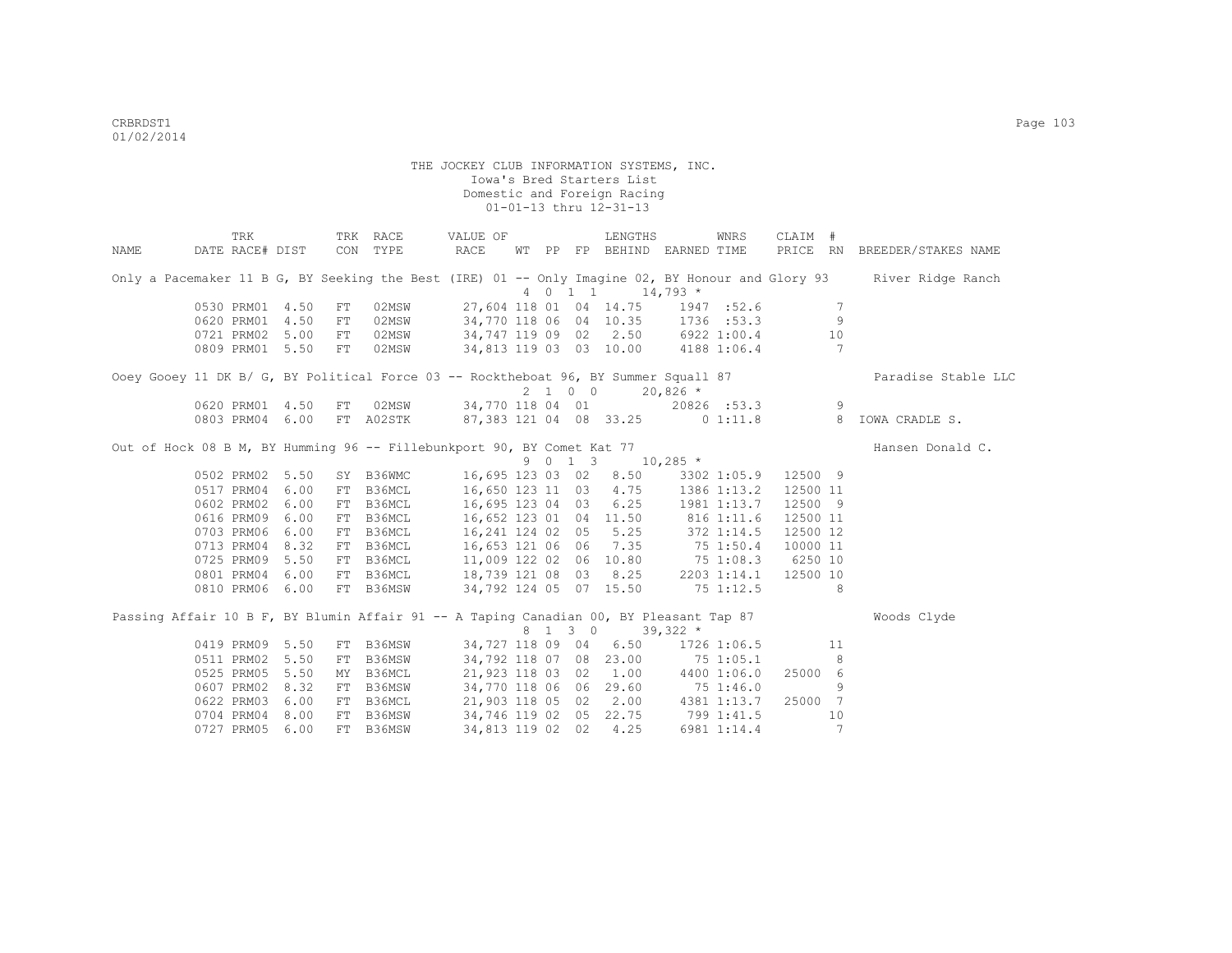|      | TRK                                                                                    |            | TRK RACE                                                      | VALUE OF                                                                                                   |  |         | LENGTHS                           |            | WNRS        | CLAIM #  |                 |                                                                                                                    |
|------|----------------------------------------------------------------------------------------|------------|---------------------------------------------------------------|------------------------------------------------------------------------------------------------------------|--|---------|-----------------------------------|------------|-------------|----------|-----------------|--------------------------------------------------------------------------------------------------------------------|
| NAME | DATE RACE# DIST CON TYPE                                                               |            |                                                               | RACE                                                                                                       |  |         | WT PP FP BEHIND EARNED TIME       |            |             |          |                 | PRICE RN BREEDER/STAKES NAME                                                                                       |
|      |                                                                                        |            |                                                               |                                                                                                            |  |         | 4 0 1 1 1 14,793 *                |            |             |          |                 | Only a Pacemaker 11 B G, BY Seeking the Best (IRE) 01 -- Only Imagine 02, BY Honour and Glory 93 River Ridge Ranch |
|      | 0530 PRM01 4.50                                                                        | FT         | 02MSW                                                         |                                                                                                            |  |         | 27,604 118 01 04 14.75 1947 :52.6 |            |             |          | 7               |                                                                                                                    |
|      | 0620 PRM01 4.50                                                                        | ${\rm FT}$ | 02MSW                                                         | 34,770 118 06 04 10.35 1736 :53.3                                                                          |  |         |                                   |            |             |          | 9               |                                                                                                                    |
|      | 0721 PRM02 5.00                                                                        | FT         | 02MSW                                                         | 34,747 119 09 02 2.50 6922 1:00.4                                                                          |  |         |                                   |            |             |          | 10              |                                                                                                                    |
|      | 0809 PRM01 5.50                                                                        | FT         | 02MSW                                                         | 34,813 119 03 03 10.00 4188 1:06.4                                                                         |  |         |                                   |            |             |          | $7\phantom{.0}$ |                                                                                                                    |
|      |                                                                                        |            |                                                               |                                                                                                            |  |         |                                   |            |             |          |                 |                                                                                                                    |
|      | Ooey Gooey 11 DK B/ G, BY Political Force 03 -- Rocktheboat 96, BY Summer Squall 87    |            |                                                               |                                                                                                            |  |         |                                   |            |             |          |                 | Paradise Stable LLC                                                                                                |
|      |                                                                                        |            |                                                               |                                                                                                            |  |         | 2 1 0 0                           | $20,826$ * |             |          |                 |                                                                                                                    |
|      | 0620 PRM01 4.50                                                                        | FT         | 02MSW 34,770 118 04 01 20826 :53.3                            |                                                                                                            |  |         |                                   |            |             |          | 9               |                                                                                                                    |
|      | 0803 PRM04 6.00                                                                        |            | FT A02STK 87,383 121 04 08 33.25 0 1:11.8                     |                                                                                                            |  |         |                                   |            |             |          | 8 <sup>8</sup>  | IOWA CRADLE S.                                                                                                     |
|      | Out of Hock 08 B M, BY Humming 96 -- Fillebunkport 90, BY Comet Kat 77                 |            |                                                               |                                                                                                            |  |         |                                   |            |             |          |                 | Hansen Donald C.                                                                                                   |
|      |                                                                                        |            |                                                               |                                                                                                            |  |         | 9 0 1 3 10,285 *                  |            |             |          |                 |                                                                                                                    |
|      | 0502 PRM02 5.50<br>0517 PRM04 6.00                                                     | FT         | SY B36WMC 16,695 123 03 02 8.50 3302 1:05.9 12500 9<br>B36MCL | 16,650 123 11 03 4.75 1386 1:13.2                                                                          |  |         |                                   |            |             | 12500 11 |                 |                                                                                                                    |
|      | 0602 PRM02 6.00                                                                        | FT         | B36MCL                                                        | 16,695 123 04 03 6.25 1981 1:13.7                                                                          |  |         |                                   |            |             | 12500 9  |                 |                                                                                                                    |
|      | 0616 PRM09 6.00                                                                        |            | FT B36MCL                                                     |                                                                                                            |  |         | 16,652 123 01 04 11.50 816 1:11.6 |            |             | 12500 11 |                 |                                                                                                                    |
|      | 0703 PRM06 6.00                                                                        |            | FT B36MCL                                                     | 16, 241 124 02 05 5.25 372 1:14.5                                                                          |  |         |                                   |            |             | 12500 12 |                 |                                                                                                                    |
|      | 0713 PRM04 8.32                                                                        |            | FT B36MCL                                                     |                                                                                                            |  |         |                                   |            |             | 10000 11 |                 |                                                                                                                    |
|      | 0725 PRM09 5.50                                                                        |            | FT B36MCL                                                     |                                                                                                            |  |         |                                   |            |             | 6250 10  |                 |                                                                                                                    |
|      | 0801 PRM04 6.00                                                                        |            | FT B36MCL                                                     | $16,653$ 121 06 06 7.35 75 1:50.4<br>11,009 122 02 06 10.80 75 1:08.3<br>18,739 121 08 03 8.25 2203 1:14.1 |  |         |                                   |            |             | 12500 10 |                 |                                                                                                                    |
|      | 0810 PRM06 6.00                                                                        |            | FT B36MSW                                                     | 34,792 124 05 07 15.50                                                                                     |  |         |                                   |            | 75 1:12.5   |          | 8 <sup>8</sup>  |                                                                                                                    |
|      |                                                                                        |            |                                                               |                                                                                                            |  |         |                                   |            |             |          |                 |                                                                                                                    |
|      | Passing Affair 10 B F, BY Blumin Affair 91 -- A Taping Canadian 00, BY Pleasant Tap 87 |            |                                                               |                                                                                                            |  |         |                                   |            |             |          |                 | Woods Clyde                                                                                                        |
|      |                                                                                        |            |                                                               |                                                                                                            |  | 8 1 3 0 |                                   | $39,322$ * |             |          |                 |                                                                                                                    |
|      | 0419 PRM09 5.50                                                                        |            | FT B36MSW                                                     |                                                                                                            |  |         | 34,727 118 09 04 6.50             |            | 1726 1:06.5 |          | 11              |                                                                                                                    |
|      | 0511 PRM02 5.50                                                                        | FT         | B36MSW                                                        |                                                                                                            |  |         | 34,792 118 07 08 23.00 75 1:05.1  |            |             |          | 8               |                                                                                                                    |
|      | 0525 PRM05 5.50                                                                        | MY         | B36MCL                                                        |                                                                                                            |  |         | 21,923 118 03 02 1.00 4400 1:06.0 |            |             | 25000 6  |                 |                                                                                                                    |
|      | 0607 PRM02 8.32                                                                        |            | FT B36MSW                                                     | 34,770 118 06 06 29.60 75 1:46.0                                                                           |  |         |                                   |            |             |          | 9               |                                                                                                                    |
|      | 0622 PRM03 6.00                                                                        |            | FT B36MCL                                                     | 21,903 118 05 02 2.00 4381 1:13.7 25000 7                                                                  |  |         |                                   |            |             |          |                 |                                                                                                                    |
|      | 0704 PRM04 8.00                                                                        |            | FT B36MSW                                                     | 34,746 119 02 05 22.75 799 1:41.5                                                                          |  |         |                                   |            |             |          | 10              |                                                                                                                    |
|      | 0727 PRM05 6.00                                                                        |            | FT B36MSW                                                     | 34,813 119 02 02 4.25                                                                                      |  |         |                                   |            | 6981 1:14.4 |          | $7\phantom{.0}$ |                                                                                                                    |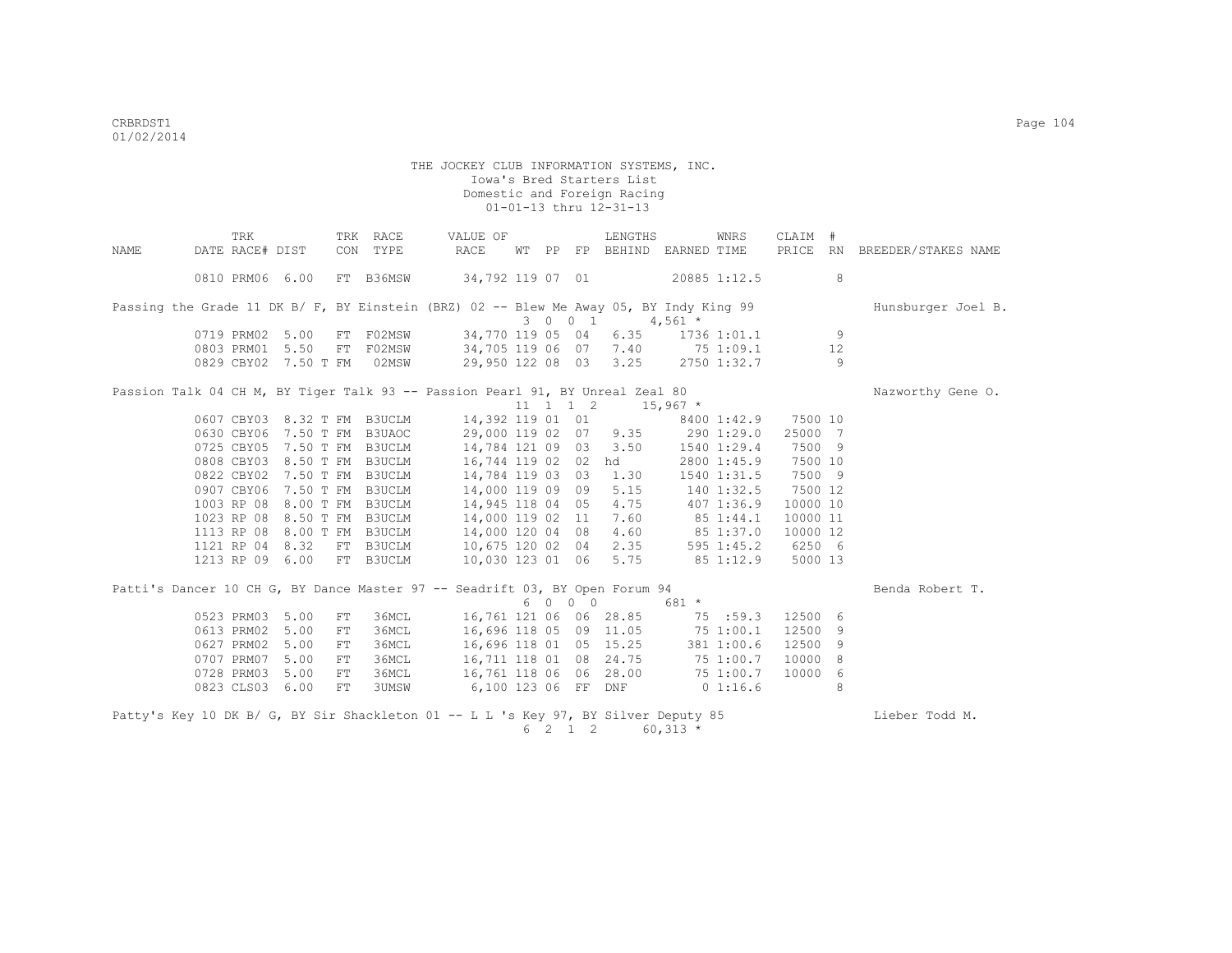|      | TRK                         |      | TRK RACE           | VALUE OF                                                                               |  |                              | LENGTHS                           |              | WNRS                   | CLAIM    | #              |                              |
|------|-----------------------------|------|--------------------|----------------------------------------------------------------------------------------|--|------------------------------|-----------------------------------|--------------|------------------------|----------|----------------|------------------------------|
| NAME | DATE RACE# DIST             |      | TYPE<br>CON        | RACE                                                                                   |  |                              | WT PP FP BEHIND EARNED TIME       |              |                        |          |                | PRICE RN BREEDER/STAKES NAME |
|      | 0810 PRM06 6.00             |      | FT B36MSW          | 34,792 119 07 01                                                                       |  |                              |                                   | 20885 1:12.5 |                        |          | 8              |                              |
|      |                             |      |                    | Passing the Grade 11 DK B/ F, BY Einstein (BRZ) 02 -- Blew Me Away 05, BY Indy King 99 |  |                              |                                   |              |                        |          |                | Hunsburger Joel B.           |
|      |                             |      |                    |                                                                                        |  | 3 0 0 1                      |                                   | $4,561$ *    |                        |          |                |                              |
|      | 0719 PRM02 5.00             |      | FT F02MSW          | 34,770 119 05 04                                                                       |  |                              |                                   |              | $6.35$ $1736$ $1:01.1$ |          | 9              |                              |
|      | 0803 PRM01 5.50             |      | FT                 | F02MSW 34,705 119 06 07 7.40                                                           |  |                              |                                   |              | 75 1:09.1              |          | 12             |                              |
|      | 0829 CBY02 7.50 T FM        |      | 02MSW              |                                                                                        |  |                              | 29,950 122 08 03 3.25 2750 1:32.7 |              |                        |          | $\overline{9}$ |                              |
|      |                             |      |                    | Passion Talk 04 CH M, BY Tiger Talk 93 -- Passion Pearl 91, BY Unreal Zeal 80          |  |                              |                                   |              |                        |          |                | Nazworthy Gene O.            |
|      |                             |      |                    |                                                                                        |  | $11 \quad 1 \quad 1 \quad 2$ | $15,967$ *                        |              |                        |          |                |                              |
|      | 0607 CBY03 8.32 T FM B3UCLM |      |                    | 14,392 119 01 01                                                                       |  |                              |                                   |              | 8400 1:42.9            | 7500 10  |                |                              |
|      | 0630 CBY06 7.50 T FM B3UAOC |      |                    | 29,000 119 02 07                                                                       |  |                              | 9.35                              |              | 290 1:29.0             | 25000 7  |                |                              |
|      | 0725 CBY05 7.50 T FM B3UCLM |      |                    | 14,784 121 09 03 3.50                                                                  |  |                              |                                   |              | 1540 1:29.4            | 7500 9   |                |                              |
|      | 0808 CBY03 8.50 T FM B3UCLM |      |                    | 16,744 119 02 02                                                                       |  |                              | hd                                |              | 2800 1:45.9            | 7500 10  |                |                              |
|      | 0822 CBY02 7.50 T FM B3UCLM |      |                    | 14,784 119 03 03                                                                       |  |                              | 1.30                              |              | 1540 1:31.5            | 7500 9   |                |                              |
|      | 0907 CBY06 7.50 T FM B3UCLM |      |                    | 14,000 119 09 09                                                                       |  |                              | 5.15                              |              | 140 1:32.5             | 7500 12  |                |                              |
|      | 1003 RP 08 8.00 T FM B3UCLM |      |                    | 14,945 118 04 05                                                                       |  |                              | 4.75                              |              | 407 1:36.9             | 10000 10 |                |                              |
|      | 1023 RP 08 8.50 T FM B3UCLM |      |                    | 14,000 119 02 11                                                                       |  |                              | 7.60                              |              | 851:44.1               | 10000 11 |                |                              |
|      | 1113 RP 08 8.00 T FM B3UCLM |      |                    | 14,000 120 04 08                                                                       |  |                              | 4.60                              |              | 85 1:37.0              | 10000 12 |                |                              |
|      | 1121 RP 04 8.32             |      | FT B3UCLM          | 10,675 120 02 04                                                                       |  |                              | 2.35                              |              | 595 1:45.2             | 6250 6   |                |                              |
|      | 1213 RP 09 6.00             |      | FT B3UCLM          | 10,030 123 01 06                                                                       |  |                              | 5.75                              |              | 851:12.9               | 5000 13  |                |                              |
|      |                             |      |                    | Patti's Dancer 10 CH G, BY Dance Master 97 -- Seadrift 03, BY Open Forum 94            |  |                              |                                   |              |                        |          |                | Benda Robert T.              |
|      |                             |      |                    |                                                                                        |  | 6 0 0 0                      |                                   | 681 *        |                        |          |                |                              |
|      | 0523 PRM03 5.00             |      | 36MCL<br>FT        |                                                                                        |  |                              | 16,761 121 06 06 28.85            |              | 75 :59.3               | 12500 6  |                |                              |
|      | 0613 PRM02                  | 5.00 | 36MCL<br>FT        | 16,696 118 05 09 11.05                                                                 |  |                              |                                   | 75 1:00.1    |                        | 12500 9  |                |                              |
|      | 0627 PRM02                  | 5.00 | 36MCL<br>FT        |                                                                                        |  |                              | 16,696 118 01 05 15.25            |              | 381 1:00.6             | 12500 9  |                |                              |
|      | 0707 PRM07                  | 5.00 | 36MCL<br>FT        | 16,711 118 01 08 24.75                                                                 |  |                              |                                   |              | 75 1:00.7              | 10000 8  |                |                              |
|      | 0728 PRM03                  | 5.00 | 36MCL<br>FT        | 16,761 118 06 06 28.00                                                                 |  |                              |                                   |              | 75 1:00.7              | 10000 6  |                |                              |
|      | 0823 CLS03 6.00             |      | <b>3UMSW</b><br>FT | 6,100 123 06 FF DNF 0 1:16.6                                                           |  |                              |                                   |              |                        |          | 8              |                              |
|      |                             |      |                    | Patty's Key 10 DK B/ G, BY Sir Shackleton 01 -- L L 's Key 97, BY Silver Deputy 85     |  | 6 2 1 2                      |                                   | 60,313 $*$   |                        |          |                | Lieber Todd M.               |
|      |                             |      |                    |                                                                                        |  |                              |                                   |              |                        |          |                |                              |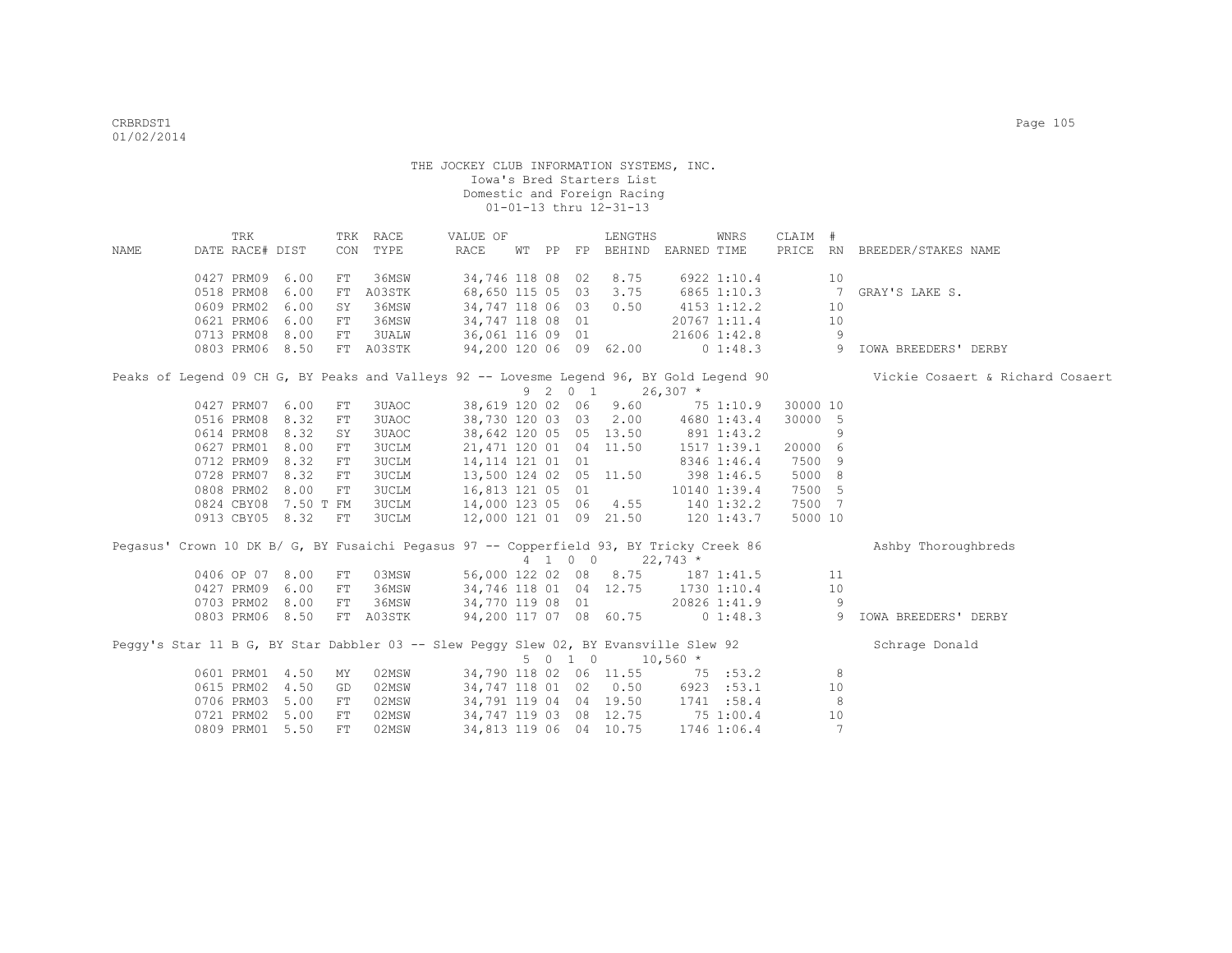|      | TRK                                |           |            | TRK RACE                                                                                | VALUE OF                                   |                        |         | LENGTHS                                    |             | WNRS                    | CLAIM #  |                |                                                                                                                           |
|------|------------------------------------|-----------|------------|-----------------------------------------------------------------------------------------|--------------------------------------------|------------------------|---------|--------------------------------------------|-------------|-------------------------|----------|----------------|---------------------------------------------------------------------------------------------------------------------------|
| NAME | DATE RACE# DIST                    |           |            | CON TYPE                                                                                | RACE                                       |                        |         | WT PP FP BEHIND EARNED TIME                |             |                         |          |                | PRICE RN BREEDER/STAKES NAME                                                                                              |
|      |                                    |           |            |                                                                                         |                                            |                        |         |                                            |             |                         |          |                |                                                                                                                           |
|      | 0427 PRM09 6.00                    |           | FT         | 36MSW                                                                                   | 34,746 118 08 02                           |                        |         | 8.75                                       |             | 6922 1:10.4             |          | 10             |                                                                                                                           |
|      | 0518 PRM08                         | 6.00      | FT         | A03STK                                                                                  | 68,650 115 05 03                           |                        |         | 3.75                                       |             | 6865 1:10.3             |          | $\overline{7}$ | GRAY'S LAKE S.                                                                                                            |
|      | 0609 PRM02                         | 6.00      | SY         | 36MSW                                                                                   | 34,747 118 06 03 0.50                      |                        |         |                                            |             | 4153 1:12.2             |          | 10             |                                                                                                                           |
|      | 0621 PRM06                         | 6.00      | FT         | 36MSW                                                                                   | 34,747 118 08 01                           |                        |         |                                            |             | 20767 1:11.4            |          | 10             |                                                                                                                           |
|      | 0713 PRM08                         | 8.00      | FT         | 3UALW                                                                                   | 36,061 116 09 01                           |                        |         |                                            |             | 21606 1:42.8            |          | -9             |                                                                                                                           |
|      | 0803 PRM06 8.50                    |           |            | FT A03STK                                                                               |                                            |                        |         | 94,200 120 06 09 62.00                     |             | $0\;1:48.3$             |          | 9              | <b>IOWA BREEDERS' DERBY</b>                                                                                               |
|      |                                    |           |            |                                                                                         |                                            |                        |         | $9 \quad 2 \quad 0 \quad 1 \quad 26,307$ * |             |                         |          |                | Peaks of Legend 09 CH G, BY Peaks and Valleys 92 -- Lovesme Legend 96, BY Gold Legend 90 Vickie Cosaert & Richard Cosaert |
|      | 0427 PRM07 6.00                    |           | FT         | 3UAOC                                                                                   |                                            |                        |         | 38,619 120 02 06 9.60 75 1:10.9            |             |                         | 30000 10 |                |                                                                                                                           |
|      | 0516 PRM08                         | 8.32      | ${\rm FT}$ | 3UAOC                                                                                   |                                            |                        |         | 38,730 120 03 03 2.00 4680 1:43.4          |             |                         | 30000 5  |                |                                                                                                                           |
|      | 0614 PRM08                         | 8.32      | SY         | 3UAOC                                                                                   | 38,642 120 05 05 13.50                     |                        |         |                                            | 891 1:43.2  |                         |          | 9              |                                                                                                                           |
|      | 0627 PRM01                         | 8.00      | FT         | <b>3UCLM</b>                                                                            | 21,471 120 01 04 11.50                     |                        |         |                                            |             | 1517 1:39.1             | 20000 6  |                |                                                                                                                           |
|      | 0712 PRM09                         | 8.32      | ${\rm FT}$ | <b>3UCLM</b>                                                                            | 14, 114 121 01 01                          |                        |         |                                            |             | 8346 1:46.4             | 7500 9   |                |                                                                                                                           |
|      | 0728 PRM07                         | 8.32      | ${\rm FT}$ | <b>3UCLM</b>                                                                            | 13,500 124 02 05 11.50                     |                        |         |                                            | 398 1:46.5  |                         | 5000 8   |                |                                                                                                                           |
|      | 0808 PRM02                         | 8.00      | FT         | 3UCLM                                                                                   | 16,813 121 05 01                           |                        |         |                                            |             | 10140 1:39.4            | 7500 5   |                |                                                                                                                           |
|      | 0824 CBY08                         | 7.50 T FM |            | <b>3UCLM</b>                                                                            | 14,000 123 05 06 4.55                      |                        |         |                                            | 140 1:32.2  |                         | 7500 7   |                |                                                                                                                           |
|      | 0913 CBY05 8.32                    |           | FT         | 3UCLM                                                                                   |                                            |                        |         | 12,000 121 01 09 21.50 120 1:43.7          |             |                         | 5000 10  |                |                                                                                                                           |
|      |                                    |           |            |                                                                                         |                                            |                        |         |                                            |             |                         |          |                |                                                                                                                           |
|      |                                    |           |            | Pegasus' Crown 10 DK B/ G, BY Fusaichi Pegasus 97 -- Copperfield 93, BY Tricky Creek 86 |                                            |                        |         |                                            |             |                         |          |                | Ashby Thoroughbreds                                                                                                       |
|      |                                    |           |            |                                                                                         |                                            |                        |         | 4 1 0 0 22,743 *                           |             |                         |          | 11             |                                                                                                                           |
|      | 0406 OP 07 8.00                    |           | FT         | 03MSW                                                                                   |                                            |                        |         | 56,000 122 02 08 8.75 187 1:41.5           |             |                         |          |                |                                                                                                                           |
|      | 0427 PRM09 6.00<br>0703 PRM02 8.00 |           | FT         | 36MSW<br>36MSW                                                                          | 34,746 118 01 04 12.75                     |                        |         |                                            | 1730 1:10.4 |                         |          | 10             |                                                                                                                           |
|      | 0803 PRM06 8.50                    |           | FT         | FT A03STK                                                                               | 34,770 119 08 01<br>94,200 117 07 08 60.75 |                        |         |                                            |             | 20826 1:41.9<br>01:48.3 |          | -9             | 9 IOWA BREEDERS' DERBY                                                                                                    |
|      |                                    |           |            |                                                                                         |                                            |                        |         |                                            |             |                         |          |                |                                                                                                                           |
|      |                                    |           |            | Peggy's Star 11 B G, BY Star Dabbler 03 -- Slew Peggy Slew 02, BY Evansville Slew 92    |                                            |                        | 5 0 1 0 |                                            | $10,560$ *  |                         |          |                | Schrage Donald                                                                                                            |
|      | 0601 PRM01 4.50                    |           | ΜY         | 02MSW                                                                                   |                                            |                        |         | 34,790 118 02 06 11.55                     |             | 75 : 53.2               |          | 8              |                                                                                                                           |
|      | 0615 PRM02 4.50                    |           | GD         | 02MSW                                                                                   |                                            |                        |         | 34,747 118 01 02 0.50 6923 :53.1           |             |                         |          | 10             |                                                                                                                           |
|      | 0706 PRM03                         | 5.00      | FT         | 02MSW                                                                                   |                                            |                        |         | 34,791 119 04 04 19.50                     |             | 1741 :58.4              |          | 8              |                                                                                                                           |
|      | 0721 PRM02 5.00                    |           | FT         | 02MSW                                                                                   | 34,747 119 03 08 12.75                     |                        |         |                                            | 75 1:00.4   |                         |          | 10             |                                                                                                                           |
|      |                                    |           |            |                                                                                         |                                            | 34,813 119 06 04 10.75 |         |                                            |             |                         |          |                |                                                                                                                           |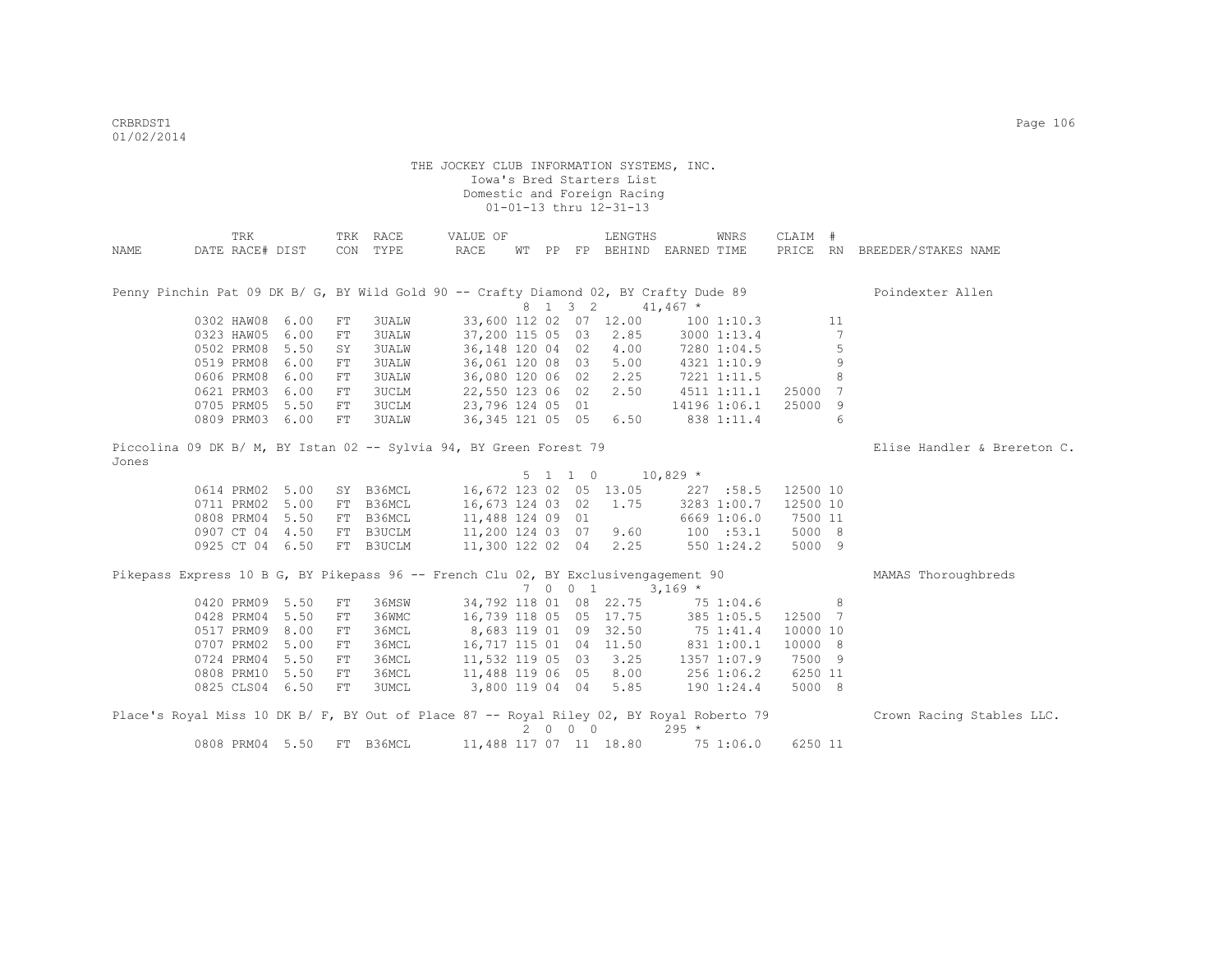| NAME  | TRK<br>DATE RACE# DIST                                                                   |      |            | TRK RACE<br>CON TYPE | VALUE OF<br>RACE       |  |                 | LENGTHS                | WT PP FP BEHIND EARNED TIME       | WNRS         | CLAIM #  |         | PRICE RN BREEDER/STAKES NAME |
|-------|------------------------------------------------------------------------------------------|------|------------|----------------------|------------------------|--|-----------------|------------------------|-----------------------------------|--------------|----------|---------|------------------------------|
|       | Penny Pinchin Pat 09 DK B/ G, BY Wild Gold 90 -- Crafty Diamond 02, BY Crafty Dude 89    |      |            |                      |                        |  |                 |                        |                                   |              |          |         | Poindexter Allen             |
|       |                                                                                          |      |            |                      |                        |  | 8 1 3 2         |                        | $41,467$ *                        |              |          |         |                              |
|       | 0302 HAW08 6.00                                                                          |      | FT         | 3UALW                |                        |  |                 | 33,600 112 02 07 12.00 |                                   | 100 1:10.3   |          | 11      |                              |
|       | 0323 HAW05 6.00                                                                          |      | ${\rm FT}$ | 3UALW                | 37,200 115 05 03       |  |                 | 2.85                   |                                   | 3000 1:13.4  |          | 7       |                              |
|       | 0502 PRM08 5.50                                                                          |      | SY         | 3UALW                | 36, 148 120 04 02 4.00 |  |                 |                        |                                   | 7280 1:04.5  |          | 5       |                              |
|       | 0519 PRM08                                                                               | 6.00 | FT         | 3UALW                | 36,061 120 08 03 5.00  |  |                 |                        |                                   | 4321 1:10.9  |          | 9       |                              |
|       | 0606 PRM08                                                                               | 6.00 | FT         | 3UALW                | 36,080 120 06 02 2.25  |  |                 |                        |                                   | 7221 1:11.5  |          | $\,8\,$ |                              |
|       | 0621 PRM03 6.00                                                                          |      | ${\rm FT}$ | 3UCLM                | 22,550 123 06 02 2.50  |  |                 |                        | 4511 1:11.1                       |              | 25000    | 7       |                              |
|       | 0705 PRM05 5.50                                                                          |      | FT         | 3UCLM                | 23,796 124 05 01       |  |                 |                        |                                   | 14196 1:06.1 | 25000    | 9       |                              |
|       | 0809 PRM03 6.00                                                                          |      | FT         | 3UALW                | 36, 345 121 05 05 6.50 |  |                 |                        |                                   | 838 1:11.4   |          | 6       |                              |
| Jones | Piccolina 09 DK B/ M, BY Istan 02 -- Sylvia 94, BY Green Forest 79                       |      |            |                      |                        |  |                 |                        |                                   |              |          |         | Elise Handler & Brereton C.  |
|       |                                                                                          |      |            |                      |                        |  | $5 \t1 \t1 \t0$ |                        | $10,829$ *                        |              |          |         |                              |
|       | 0614 PRM02 5.00                                                                          |      |            | SY B36MCL            |                        |  |                 |                        | 16,672 123 02 05 13.05 227 :58.5  |              | 12500 10 |         |                              |
|       | 0711 PRM02 5.00                                                                          |      |            | FT B36MCL            | 16,673 124 03 02       |  |                 | 1.75                   |                                   | 3283 1:00.7  | 12500 10 |         |                              |
|       | 0808 PRM04 5.50                                                                          |      |            | FT B36MCL            | 11,488 124 09 01       |  |                 |                        |                                   | 6669 1:06.0  | 7500 11  |         |                              |
|       | 0907 CT 04 4.50                                                                          |      |            | FT B3UCLM            | 11,200 124 03 07 9.60  |  |                 |                        |                                   | 100 : 53.1   | 5000 8   |         |                              |
|       | 0925 CT 04 6.50                                                                          |      |            | FT B3UCLM            | 11,300 122 02 04 2.25  |  |                 |                        |                                   | 550 1:24.2   | 5000 9   |         |                              |
|       | Pikepass Express 10 B G, BY Pikepass 96 -- French Clu 02, BY Exclusivengagement 90       |      |            |                      |                        |  |                 |                        |                                   |              |          |         | MAMAS Thoroughbreds          |
|       |                                                                                          |      |            |                      |                        |  | 7 0 0 1         |                        | $3,169$ *                         |              |          |         |                              |
|       | 0420 PRM09 5.50                                                                          |      | FT         | 36MSW                | 34,792 118 01 08 22.75 |  |                 |                        | 75 1:04.6                         |              |          | 8       |                              |
|       | 0428 PRM04 5.50                                                                          |      | FT         | 36WMC                | 16,739 118 05 05 17.75 |  |                 |                        |                                   | 385 1:05.5   | 12500 7  |         |                              |
|       | 0517 PRM09 8.00                                                                          |      | FT         | 36MCL                | 8,683 119 01 09 32.50  |  |                 |                        | 75 1:41.4                         |              | 10000 10 |         |                              |
|       | 0707 PRM02 5.00                                                                          |      | FT         | 36MCL                |                        |  |                 |                        | 16,717 115 01 04 11.50 831 1:00.1 |              | 10000 8  |         |                              |
|       | 0724 PRM04 5.50                                                                          |      | FT         | 36MCL                | 11,532 119 05 03 3.25  |  |                 |                        |                                   | 1357 1:07.9  | 7500 9   |         |                              |
|       | 0808 PRM10 5.50                                                                          |      | FT         | 36MCL                | 11,488 119 06 05 8.00  |  |                 |                        | 256 1:06.2                        |              | 6250 11  |         |                              |
|       | 0825 CLS04 6.50                                                                          |      | FT         | 3UMCL                | 3,800 119 04 04 5.85   |  |                 |                        |                                   | 190 1:24.4   | 5000 8   |         |                              |
|       |                                                                                          |      |            |                      |                        |  |                 |                        |                                   |              |          |         |                              |
|       | Place's Royal Miss 10 DK B/ F, BY Out of Place 87 -- Royal Riley 02, BY Royal Roberto 79 |      |            |                      |                        |  | 2000            |                        | $295 *$                           |              |          |         | Crown Racing Stables LLC.    |
|       | 0808 PRM04 5.50                                                                          |      |            | FT B36MCL            | 11,488 117 07 11 18.80 |  |                 |                        | 75 1:06.0                         |              | 6250 11  |         |                              |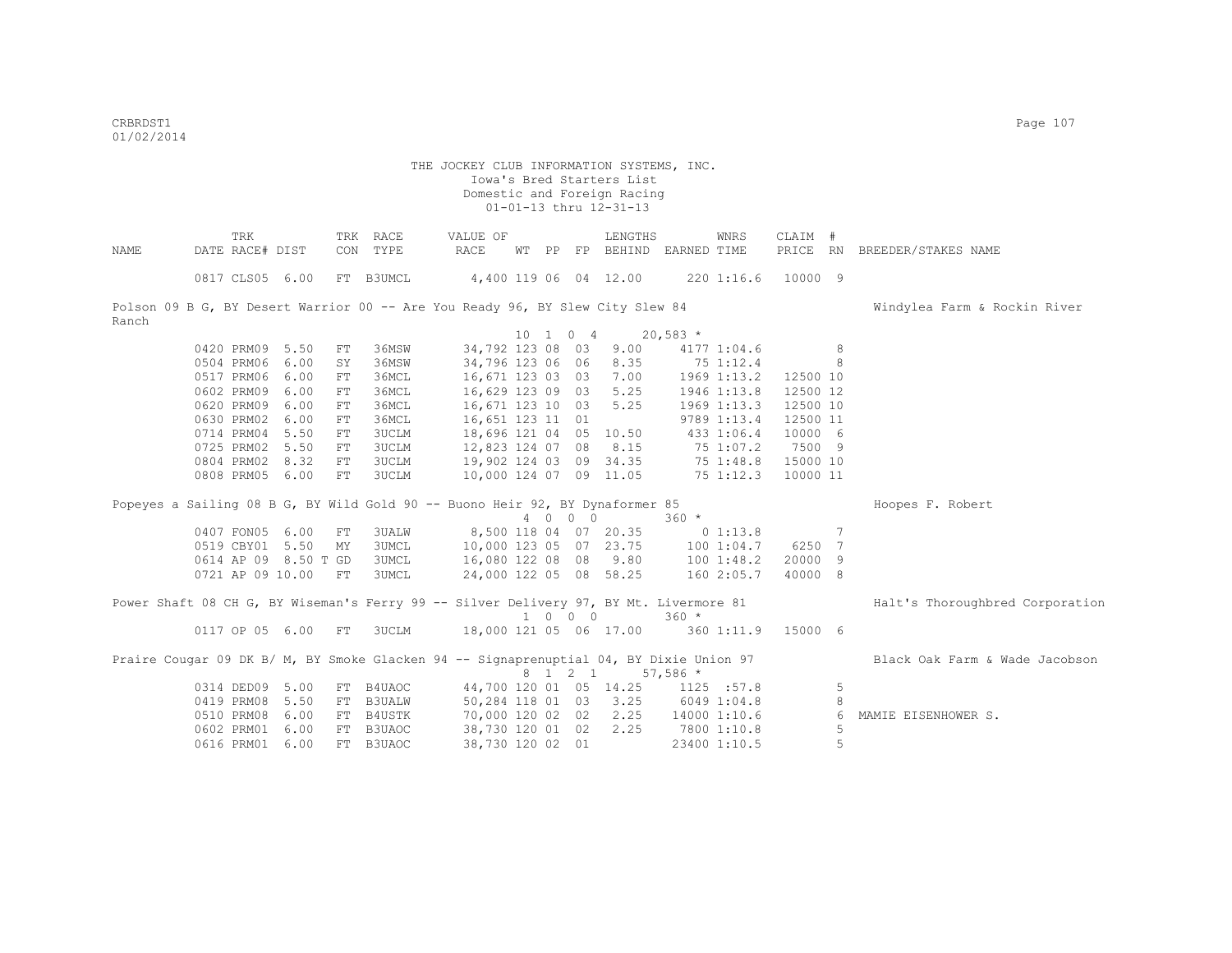| NAME  | TRK<br>DATE RACE# DIST |                      |    | TRK RACE<br>CON TYPE                                                                   | VALUE OF<br>RACE                          |  |          | LENGTHS<br>WT PP FP BEHIND EARNED TIME |                      | WNRS         | CLAIM #              |   | PRICE RN BREEDER/STAKES NAME    |
|-------|------------------------|----------------------|----|----------------------------------------------------------------------------------------|-------------------------------------------|--|----------|----------------------------------------|----------------------|--------------|----------------------|---|---------------------------------|
|       |                        |                      |    |                                                                                        |                                           |  |          |                                        |                      |              |                      |   |                                 |
|       | 0817 CLS05 6.00        |                      |    | FT B3UMCL                                                                              | 4,400 119 06 04 12.00 220 1:16.6 10000 9  |  |          |                                        |                      |              |                      |   |                                 |
|       |                        |                      |    | Polson 09 B G, BY Desert Warrior 00 -- Are You Ready 96, BY Slew City Slew 84          |                                           |  |          |                                        |                      |              |                      |   | Windylea Farm & Rockin River    |
| Ranch |                        |                      |    |                                                                                        |                                           |  |          |                                        |                      |              |                      |   |                                 |
|       |                        |                      |    |                                                                                        |                                           |  | 10 1 0 4 | $20,583$ *                             |                      |              |                      |   |                                 |
|       | 0420 PRM09 5.50        |                      | FT | 36MSW                                                                                  | 34,792 123 08 03                          |  |          | 9.00                                   |                      | 4177 1:04.6  | 8 <sup>1</sup>       |   |                                 |
|       | 0504 PRM06 6.00        |                      | SY | 36MSW                                                                                  | 34,796 123 06 06                          |  |          |                                        | 8.35 75 1:12.4       |              | $\sim$ 8             |   |                                 |
|       | 0517 PRM06 6.00        |                      | FT | 36MCL                                                                                  | 16,671 123 03 03                          |  |          | 7.00                                   | 1969 1:13.2 12500 10 |              |                      |   |                                 |
|       | 0602 PRM09 6.00        |                      | FT | 36MCL                                                                                  | 16,629 123 09 03                          |  |          | 5.25                                   |                      |              | 1946 1:13.8 12500 12 |   |                                 |
|       | 0620 PRM09 6.00        |                      | FT | 36MCL                                                                                  | 16,671 123 10 03 5.25                     |  |          |                                        |                      | 1969 1:13.3  | 12500 10             |   |                                 |
|       | 0630 PRM02 6.00        |                      | FT | 36MCL                                                                                  | 16,651 123 11 01                          |  |          |                                        |                      | 9789 1:13.4  | 12500 11             |   |                                 |
|       | 0714 PRM04 5.50        |                      | FT | <b>3UCLM</b>                                                                           | 18,696 121 04 05 10.50                    |  |          |                                        | 433 1:06.4           |              | 10000 6              |   |                                 |
|       | 0725 PRM02 5.50        |                      | FT | <b>3UCLM</b>                                                                           |                                           |  |          | 12,823 124 07 08 8.15                  |                      |              | 75 1:07.2 7500 9     |   |                                 |
|       | 0804 PRM02 8.32        |                      | FT | 3UCLM                                                                                  | 19,902 124 03 09 34.35                    |  |          |                                        |                      |              | 75 1:48.8 15000 10   |   |                                 |
|       | 0808 PRM05 6.00        |                      | FT | 3UCLM                                                                                  |                                           |  |          | 10,000 124 07 09 11.05                 |                      |              | 75 1:12.3 10000 11   |   |                                 |
|       |                        |                      |    | Popeyes a Sailing 08 B G, BY Wild Gold 90 -- Buono Heir 92, BY Dynaformer 85           |                                           |  |          |                                        |                      |              |                      |   | Hoopes F. Robert                |
|       |                        |                      |    |                                                                                        |                                           |  | 4 0 0 0  |                                        | $360 *$              |              |                      |   |                                 |
|       | 0407 FON05 6.00        |                      | FT | <b>3UALW</b>                                                                           | 8,500 118 04 07 20.35                     |  |          |                                        | $0\;1:13.8$          |              | $\sim$ 7             |   |                                 |
|       | 0519 CBY01 5.50        |                      | MY | <b>3UMCL</b>                                                                           | 10,000 123 05 07 23.75 100 1:04.7 6250 7  |  |          |                                        |                      |              |                      |   |                                 |
|       |                        | 0614 AP 09 8.50 T GD |    | <b>3UMCL</b>                                                                           | 16,080 122 08 08 9.80 100 1:48.2          |  |          |                                        |                      |              | 20000 9              |   |                                 |
|       |                        | 0721 AP 09 10.00 FT  |    | 3UMCL                                                                                  |                                           |  |          | 24,000 122 05 08 58.25 160 2:05.7      |                      |              | 40000 8              |   |                                 |
|       |                        |                      |    | Power Shaft 08 CH G, BY Wiseman's Ferry 99 -- Silver Delivery 97, BY Mt. Livermore 81  |                                           |  |          |                                        |                      |              |                      |   | Halt's Thoroughbred Corporation |
|       |                        |                      |    |                                                                                        |                                           |  | 1 0 0 0  |                                        | $360 *$              |              |                      |   |                                 |
|       |                        | 0117 OP 05 6.00      | FT | 3UCLM                                                                                  | 18,000 121 05 06 17.00 360 1:11.9 15000 6 |  |          |                                        |                      |              |                      |   |                                 |
|       |                        |                      |    | Praire Cougar 09 DK B/ M, BY Smoke Glacken 94 -- Signaprenuptial 04, BY Dixie Union 97 |                                           |  |          |                                        |                      |              |                      |   | Black Oak Farm & Wade Jacobson  |
|       |                        |                      |    |                                                                                        |                                           |  |          | 8 1 2 1 57,586 *                       |                      |              |                      |   |                                 |
|       | 0314 DED09 5.00        |                      |    | FT B4UAOC                                                                              | 44,700 120 01 05 14.25 1125 :57.8         |  |          |                                        |                      |              |                      | 5 |                                 |
|       | 0419 PRM08 5.50        |                      |    | FT B3UALW                                                                              |                                           |  |          | 50,284 118 01 03 3.25                  | 6049 1:04.8          |              |                      | 8 |                                 |
|       | 0510 PRM08 6.00        |                      |    | FT B4USTK                                                                              | 70,000 120 02 02 2.25                     |  |          |                                        |                      | 14000 1:10.6 |                      | 6 | MAMIE EISENHOWER S.             |
|       | 0602 PRM01 6.00        |                      |    | FT B3UAOC                                                                              | 38,730 120 01 02                          |  |          | 2.25                                   | 7800 1:10.8          |              |                      | 5 |                                 |
|       | 0616 PRM01 6.00        |                      |    | FT B3UAOC                                                                              | 38,730 120 02 01                          |  |          |                                        |                      | 23400 1:10.5 |                      | 5 |                                 |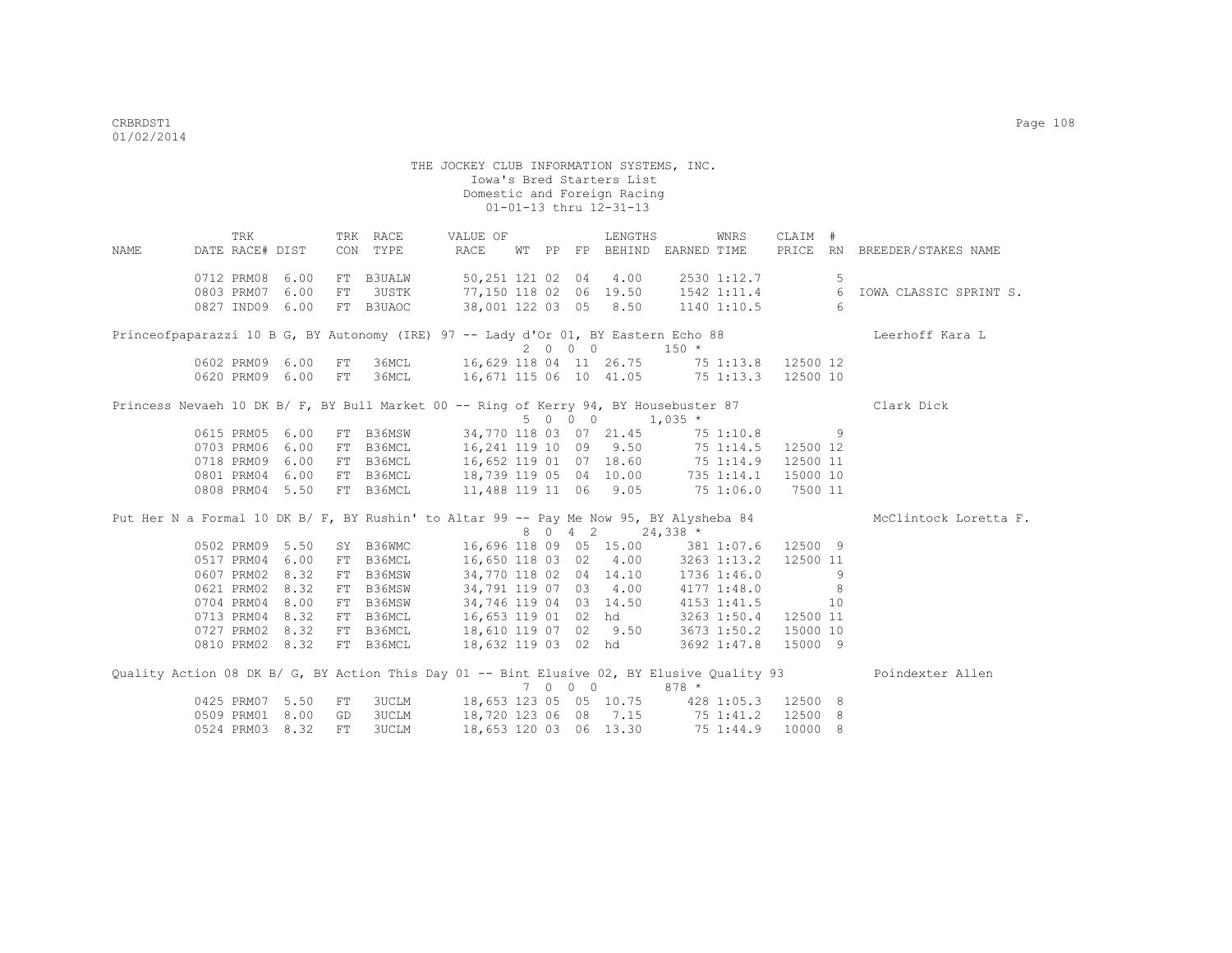|                                                                                            | TRK             |                 |     | TRK RACE                  | VALUE OF                                        |  |  | LENGTHS                         |                                         | WNRS        | CLAIM #                |    |                                                                                                              |
|--------------------------------------------------------------------------------------------|-----------------|-----------------|-----|---------------------------|-------------------------------------------------|--|--|---------------------------------|-----------------------------------------|-------------|------------------------|----|--------------------------------------------------------------------------------------------------------------|
| NAME                                                                                       |                 | DATE RACE# DIST |     |                           | CON TYPE RACE                                   |  |  |                                 | WT PP FP BEHIND EARNED TIME             |             |                        |    | PRICE RN BREEDER/STAKES NAME                                                                                 |
|                                                                                            | 0712 PRM08 6.00 |                 |     | FT B3UALW                 | 50,251 121 02 04 4.00                           |  |  |                                 |                                         | 2530 1:12.7 |                        | -5 |                                                                                                              |
|                                                                                            | 0803 PRM07 6.00 |                 | FT  | 3USTK                     |                                                 |  |  |                                 |                                         |             |                        |    |                                                                                                              |
|                                                                                            |                 | 0827 IND09 6.00 |     | FT B3UAOC                 | 38,001 122 03 05 8.50                           |  |  |                                 |                                         |             |                        |    | 77,150 118 02 06 19.50 1542 1:11.4 6 IOWA CLASSIC SPRINT S.<br>38,001 122 03 05 8.50 1140 1:10.5 6           |
| Princeofpaparazzi 10 B G, BY Autonomy (IRE) 97 -- Lady d'Or 01, BY Eastern Echo 88         |                 |                 |     |                           |                                                 |  |  |                                 |                                         |             |                        |    | Leerhoff Kara L                                                                                              |
|                                                                                            |                 |                 |     |                           |                                                 |  |  | 2000                            | $150 *$                                 |             |                        |    |                                                                                                              |
|                                                                                            |                 | 0602 PRM09 6.00 | FT  | 36MCL                     | 16,629 118 04 11 26.75 75 1:13.8 12500 12       |  |  |                                 |                                         |             |                        |    |                                                                                                              |
|                                                                                            |                 | 0620 PRM09 6.00 | FT  | 36MCL                     | 16,671 115 06 10 41.05 75 1:13.3 12500 10       |  |  |                                 |                                         |             |                        |    |                                                                                                              |
| Princess Nevaeh 10 DK B/ F, BY Bull Market 00 -- Ring of Kerry 94, BY Housebuster 87       |                 |                 |     |                           |                                                 |  |  |                                 |                                         |             |                        |    | Clark Dick                                                                                                   |
|                                                                                            |                 |                 |     |                           |                                                 |  |  | $5 \t 0 \t 0 \t 1.035 \t\times$ |                                         |             |                        |    |                                                                                                              |
|                                                                                            | 0615 PRM05 6.00 |                 |     |                           | FT B36MSW 34,770 118 03 07 21.45 75 1:10.8 9    |  |  |                                 |                                         |             |                        |    |                                                                                                              |
|                                                                                            | 0703 PRM06 6.00 |                 |     | FT B36MCL                 | 16,241 119 10 09 9.50 75 1:14.5 12500 12        |  |  |                                 |                                         |             |                        |    |                                                                                                              |
|                                                                                            | 0718 PRM09 6.00 |                 |     | FT B36MCL                 | 16,652 119 01 07 18.60 75 1:14.9 12500 11       |  |  |                                 |                                         |             |                        |    |                                                                                                              |
|                                                                                            | 0801 PRM04 6.00 |                 |     | FT B36MCL                 | 18,739 119 05 04 10.00 735 1:14.1 15000 10      |  |  |                                 |                                         |             |                        |    |                                                                                                              |
|                                                                                            |                 | 0808 PRM04 5.50 |     | FT B36MCL                 | 11,488 119 11 06 9.05 75 1:06.0 7500 11         |  |  |                                 |                                         |             |                        |    |                                                                                                              |
|                                                                                            |                 |                 |     |                           |                                                 |  |  |                                 |                                         |             |                        |    | Put Her N a Formal 10 DK B/ F, BY Rushin' to Altar 99 -- Pay Me Now 95, BY Alysheba 84 McClintock Loretta F. |
|                                                                                            |                 |                 |     |                           |                                                 |  |  | 8 0 4 2 24,338 *                |                                         |             |                        |    |                                                                                                              |
|                                                                                            | 0502 PRM09 5.50 |                 |     | SY B36WMC                 | 16,696 118 09 05 15.00 381 1:07.6 12500 9       |  |  |                                 |                                         |             |                        |    |                                                                                                              |
|                                                                                            | 0517 PRM04      | 6.00            |     | FT B36MCL                 | 16,650 118 03 02 4.00 3263 1:13.2               |  |  |                                 |                                         |             | 12500 11               |    |                                                                                                              |
|                                                                                            | 0607 PRM02 8.32 |                 |     | FT B36MSW                 | 34,770 118 02 04 14.10 1736 1:46.0              |  |  |                                 |                                         |             |                        | 9  |                                                                                                              |
|                                                                                            | 0621 PRM02 8.32 |                 |     | FT B36MSW                 | 34,791 119 07 03 4.00 4177 1:48.0               |  |  |                                 |                                         |             | $\sim$ $\sim$ $\sim$ 8 |    |                                                                                                              |
|                                                                                            | 0704 PRM04      | 8.00            |     | FT B36MSW                 | 34,746 119 04 03 14.50 4153 1:41.5 10           |  |  |                                 |                                         |             |                        |    |                                                                                                              |
|                                                                                            | 0713 PRM04 8.32 |                 |     | FT B36MCL                 | 16,653 119 01 02 hd 3263 1:50.4 12500 11        |  |  |                                 |                                         |             |                        |    |                                                                                                              |
|                                                                                            |                 | 0727 PRM02 8.32 |     | FT B36MCL                 | 18,610 119 07 02 9.50 3673 1:50.2 15000 10      |  |  |                                 |                                         |             |                        |    |                                                                                                              |
|                                                                                            |                 |                 |     | 0810 PRM02 8.32 FT B36MCL | 18,632 119 03 02 hd 3692 1:47.8 15000 9         |  |  |                                 |                                         |             |                        |    |                                                                                                              |
| Quality Action 08 DK B/ G, BY Action This Day 01 -- Bint Elusive 02, BY Elusive Quality 93 |                 |                 |     |                           |                                                 |  |  |                                 |                                         |             |                        |    | Poindexter Allen                                                                                             |
|                                                                                            |                 |                 |     |                           |                                                 |  |  | 7 0 0 0 878 *                   |                                         |             |                        |    |                                                                                                              |
|                                                                                            | 0425 PRM07 5.50 |                 | FT  |                           | 3UCLM 18,653 123 05 05 10.75 428 1:05.3 12500 8 |  |  |                                 |                                         |             |                        |    |                                                                                                              |
|                                                                                            | 0509 PRM01 8.00 |                 | GD  | 3UCLM                     |                                                 |  |  |                                 | 18,720 123 06 08 7.15 75 1:41.2 12500 8 |             |                        |    |                                                                                                              |
|                                                                                            | 0524 PRM03 8.32 |                 | FT. | 3UCLM                     |                                                 |  |  | 18,653 120 03 06 13.30          |                                         | 75 1:44.9   | 10000 8                |    |                                                                                                              |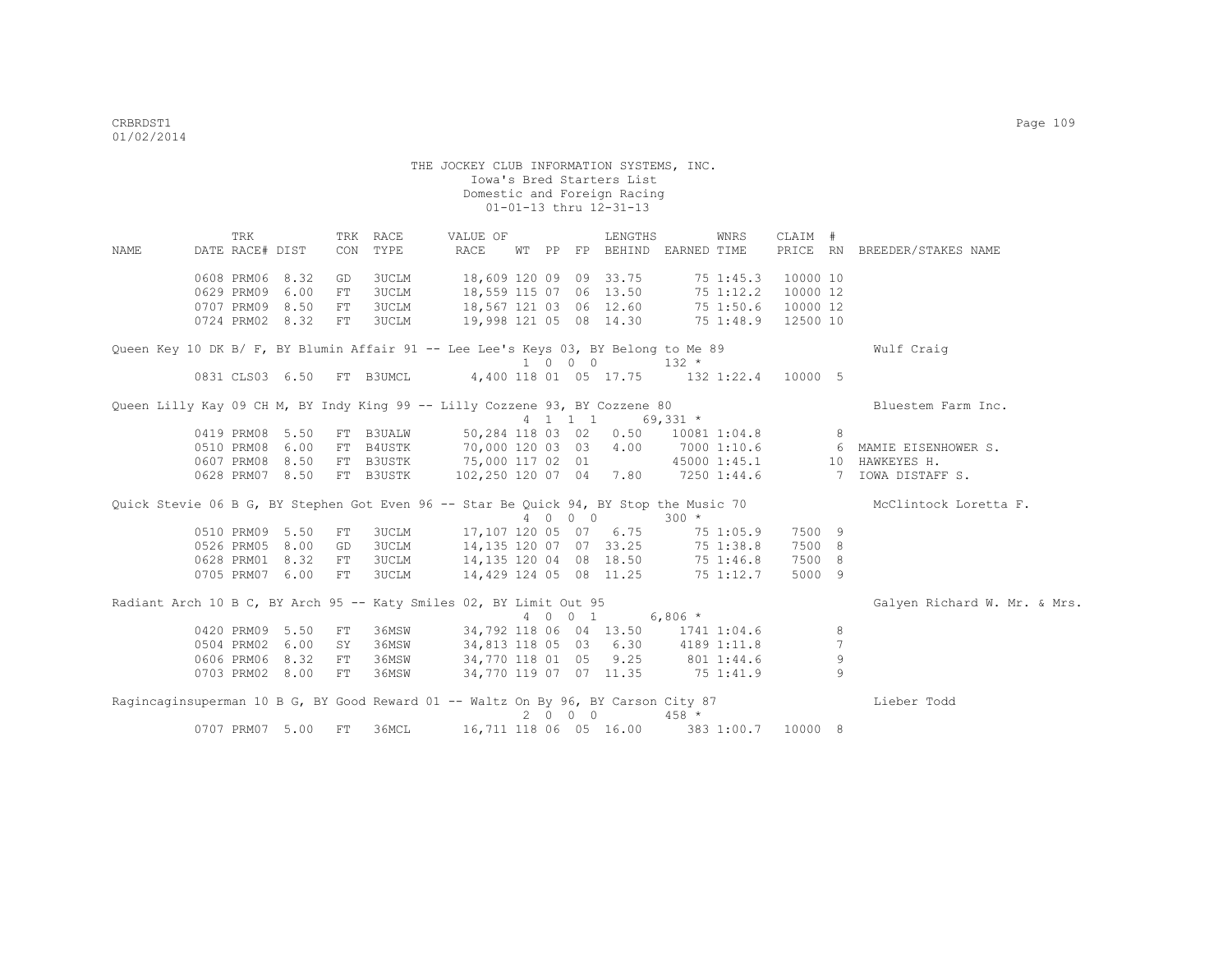TRK TRK RACE VALUE OF LENGTHS WNRS CLAIM # NAME DATE RACE# DIST CON TYPE RACE WT PP FP BEHIND EARNED TIME PRICE RN BREEDER/STAKES NAME 0608 PRM06 8.32 GD 3UCLM 18,609 120 09 09 33.75 75 1:45.3 10000 10<br>0629 PRM09 6.00 FT 3UCLM 18,559 115 07 06 13.50 75 1:12.2 10000 12 0629 PRM09 6.00 FT 3UCLM 18,559 115 07 06 13.50 75 1:12.2 10000 12 0707 PRM09 8.50 FT 3UCLM 18,567 121 03 06 12.60 75 1:50.6 10000 12 0724 PRM02 8.32 FT 3UCLM 19,998 121 05 08 14.30 75 1:48.9 12500 10 Queen Key 10 DK B/ F, BY Blumin Affair 91 -- Lee Lee's Keys 03, BY Belong to Me 89 Wulf Craig  $\begin{array}{ccccccccc} & & & & & 1 & 0 & 0 & 0 & & & 132 & * \\ 0831 & \text{CLS03} & 6.50 & \text{FT} & \text{B3UMCL} & & & & 4.400 & 118 & 01 & 05 & 17.75 & & & 132 & 1; \end{array}$ 4,400 118 01 05 17.75 132 1:22.4 10000 5 Queen Lilly Kay 09 CH M, BY Indy King 99 -- Lilly Cozzene 93, BY Cozzene 80 Bluestem Farm Inc.<br>  $4 \quad 1 \quad 1 \quad 69,331 \star$  4 1 1 1 69,331 \* 0419 PRM08 5.50 FT B3UALW 50,284 118 03 02 0.50 10081 1:04.8 8 0510 PRM08 6.00 FT B4USTK 70,000 120 03 03 4.00 7000 1:10.6 6 MAMIE EISENHOWER S. 0607 PRM08 8.50 FT B3USTK 75,000 117 02 01 45000 1:45.1 10 HAWKEYES H. 0628 PRM07 8.50 FT B3USTK 102,250 120 07 04 7.80 7250 1:44.6 7 IOWA DISTAFF S. Quick Stevie 06 B G, BY Stephen Got Even 96 -- Star Be Quick 94, BY Stop the Music 70 McClintock Loretta F. 4 0 0 0  $\overline{)}$  300 \*<br>0510 PRM09 5.50 FT 3UCLM 17,107 120 05 07 6.75 75 1 17,107 120 05 07 6.75 75 1:05.9 7500 9 0526 PRM05 8.00 GD 3UCLM 14,135 120 07 07 33.25 75 1:38.8 7500 8 0628 PRM01 8.32 FT 3UCLM 14,135 120 04 08 18.50 75 1:46.8 7500 8 0705 PRM07 6.00 FT 3UCLM 14,429 124 05 08 11.25 75 1:12.7 5000 9 Radiant Arch 10 B C, BY Arch 95 -- Katy Smiles 02, BY Limit Out 95 Galyen Richard W. Mr. & Mrs. & Mrs. 4 0 0 1 6,806 \* 0420 PRM09 5.50 FT 36MSW 34,792 118 06 04 13.50 1741 1:04.6 8 0504 PRM02 6.00 SY 36MSW 34,813 118 05 03 6.30 4189 1:11.8 7 0606 PRM06 8.32 FT 36MSW 34,770 118 01 05 9.25 801 1:44.6 9 0703 PRM02 8.00 FT 36MSW 34,770 119 07 07 11.35 75 1:41.9 9 Ragincaginsuperman 10 B G, BY Good Reward 01 -- Waltz On By 96, BY Carson City 87 Lieber Todd  $2 \t 0 \t 0 \t 0 \t 458 \t \star$ 0707 PRM07 5.00 FT 36MCL 16,711 118 06 05 16.00 383 1:00.7 10000 8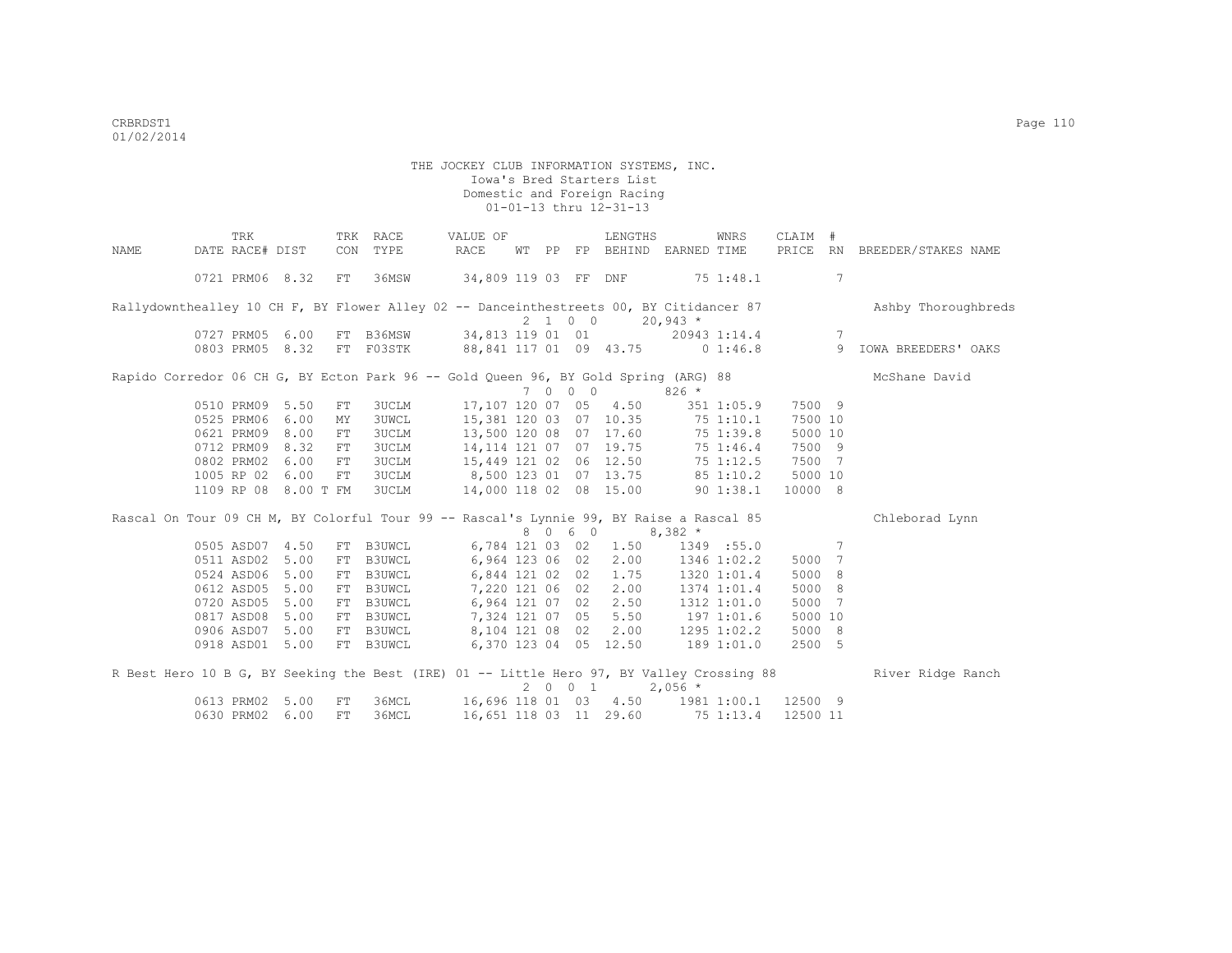|                                                                                           | TRK             |                      | TRK | RACE                                    | VALUE OF                                  |    |                 | LENGTHS                |                                  | WNRS        | CLAIM    | $+$             |                     |
|-------------------------------------------------------------------------------------------|-----------------|----------------------|-----|-----------------------------------------|-------------------------------------------|----|-----------------|------------------------|----------------------------------|-------------|----------|-----------------|---------------------|
| NAME                                                                                      | DATE RACE# DIST |                      | CON | TYPE                                    | RACE                                      | WТ |                 |                        | PP FP BEHIND EARNED TIME         |             | PRICE RN |                 | BREEDER/STAKES NAME |
|                                                                                           | 0721 PRM06 8.32 |                      | FT  | 36MSW                                   | 34,809 119 03 FF DNF                      |    |                 |                        | $75$ 1:48.1                      |             |          | 7               |                     |
| Rallydownthealley 10 CH F, BY Flower Alley 02 -- Danceinthestreets 00, BY Citidancer 87   |                 |                      |     |                                         |                                           |    | $2 \t1 \t0 \t0$ |                        | $20,943$ *                       |             |          |                 | Ashby Thoroughbreds |
|                                                                                           | 0727 PRM05 6.00 |                      |     | FT B36MSW 34,813 119 01 01 20943 1:14.4 |                                           |    |                 |                        |                                  |             |          | $7\phantom{.0}$ |                     |
|                                                                                           | 0803 PRM05 8.32 |                      |     | FT F03STK 88,841 117 01 09 43.75        |                                           |    |                 |                        |                                  | 01:46.8     |          | 9               | IOWA BREEDERS' OAKS |
| Rapido Corredor 06 CH G, BY Ecton Park 96 -- Gold Queen 96, BY Gold Spring (ARG) 88       |                 |                      |     |                                         |                                           |    |                 |                        |                                  |             |          |                 | McShane David       |
|                                                                                           |                 |                      |     |                                         |                                           |    | 7 0 0 0         |                        | $826 *$                          |             |          |                 |                     |
|                                                                                           | 0510 PRM09 5.50 |                      | FT  | <b>3UCLM</b>                            |                                           |    |                 | 17,107 120 07 05 4.50  |                                  | 351 1:05.9  | 7500 9   |                 |                     |
|                                                                                           | 0525 PRM06 6.00 |                      | MY  | <b>3UWCL</b>                            |                                           |    |                 | 15,381 120 03 07 10.35 |                                  | 75 1:10.1   | 7500 10  |                 |                     |
|                                                                                           | 0621 PRM09 8.00 |                      | FT  | 3UCLM                                   | 13,500 120 08 07 17.60                    |    |                 |                        |                                  | 75 1:39.8   | 5000 10  |                 |                     |
|                                                                                           | 0712 PRM09 8.32 |                      | FT  | <b>3UCLM</b>                            | 14, 114 121 07 07 19.75                   |    |                 |                        |                                  | 75 1:46.4   | 7500 9   |                 |                     |
|                                                                                           | 0802 PRM02 6.00 |                      | FT  | 3UCLM                                   | 15,449 121 02 06 12.50                    |    |                 |                        |                                  | 75 1:12.5   | 7500 7   |                 |                     |
|                                                                                           | 1005 RP 02      | 6.00                 | FT  | <b>3UCLM</b>                            | 8,500 123 01 07 13.75                     |    |                 |                        |                                  | 851:10.2    | 5000 10  |                 |                     |
|                                                                                           |                 | 1109 RP 08 8.00 T FM |     | 3UCLM                                   | 14,000 118 02 08 15.00                    |    |                 |                        |                                  | 901:38.1    | 10000 8  |                 |                     |
| Rascal On Tour 09 CH M, BY Colorful Tour 99 -- Rascal's Lynnie 99, BY Raise a Rascal 85   |                 |                      |     |                                         |                                           |    |                 |                        |                                  |             |          |                 | Chleborad Lynn      |
|                                                                                           |                 |                      |     |                                         |                                           |    | 8 0 6 0         |                        | $8,382$ *                        |             |          |                 |                     |
|                                                                                           | 0505 ASD07 4.50 |                      |     | FT B3UWCL                               |                                           |    |                 |                        | 6,784 121 03 02 1.50 1349 :55.0  |             |          | $7\phantom{.0}$ |                     |
|                                                                                           | 0511 ASD02 5.00 |                      | FT  | B3UWCL                                  |                                           |    |                 | 6,964 123 06 02 2.00   | 1346 1:02.2                      |             | 5000 7   |                 |                     |
|                                                                                           | 0524 ASD06 5.00 |                      | FT  | B3UWCL                                  |                                           |    |                 | 6,844 121 02 02 1.75   |                                  | 1320 1:01.4 | 5000     | -8              |                     |
|                                                                                           | 0612 ASD05 5.00 |                      | FT  | B3UWCL                                  | 7,220 121 06 02                           |    |                 | 2.00                   |                                  | 1374 1:01.4 | 5000 8   |                 |                     |
|                                                                                           | 0720 ASD05      | 5.00                 | FT  | B3UWCL                                  |                                           |    |                 | 6,964 121 07 02 2.50   |                                  | 1312 1:01.0 | 5000     | $\overline{7}$  |                     |
|                                                                                           | 0817 ASD08      | 5.00                 | FT  | B3UWCL                                  |                                           |    |                 |                        | 7,324 121 07 05 5.50 197 1:01.6  |             | 5000 10  |                 |                     |
|                                                                                           | 0906 ASD07 5.00 |                      | FT  | B3UWCL                                  |                                           |    |                 | 8,104 121 08 02 2.00   |                                  | 1295 1:02.2 | 5000 8   |                 |                     |
|                                                                                           | 0918 ASD01 5.00 |                      |     | FT B3UWCL                               |                                           |    |                 | 6,370 123 04 05 12.50  | 189 1:01.0                       |             | 2500 5   |                 |                     |
| R Best Hero 10 B G, BY Seeking the Best (IRE) 01 -- Little Hero 97, BY Valley Crossing 88 |                 |                      |     |                                         |                                           |    |                 |                        |                                  |             |          |                 | River Ridge Ranch   |
|                                                                                           |                 |                      |     |                                         |                                           |    | 2001            |                        | $2,056$ *                        |             |          |                 |                     |
|                                                                                           | 0613 PRM02 5.00 |                      | FT  | 36MCL                                   | 16,696 118 01 03 4.50 1981 1:00.1 12500 9 |    |                 |                        |                                  |             |          |                 |                     |
|                                                                                           | 0630 PRM02      | 6.00                 | FT  | 36MCL                                   |                                           |    |                 |                        | 16,651 118 03 11 29.60 75 1:13.4 |             | 12500 11 |                 |                     |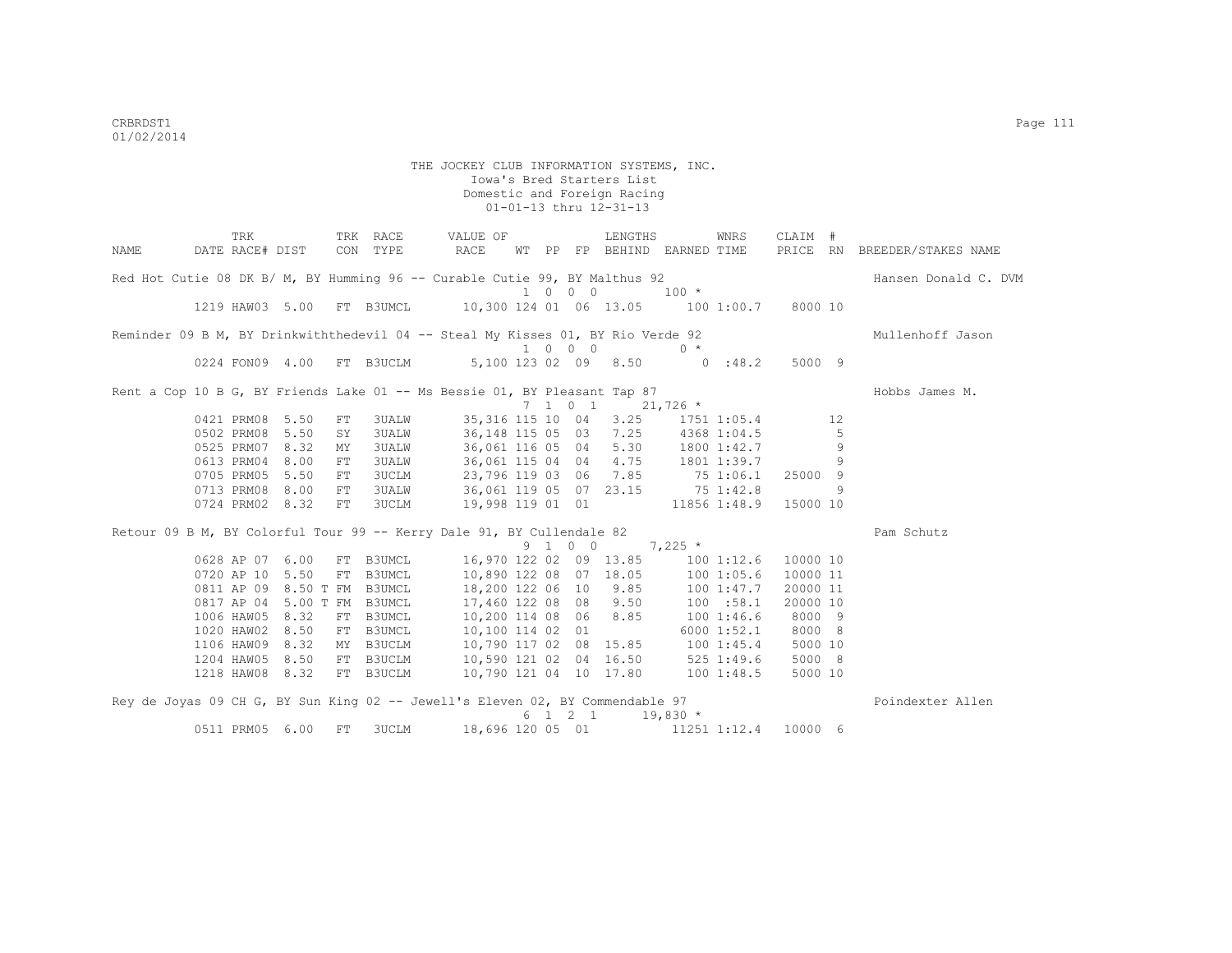| NAME | TRK<br>DATE RACE# DIST                                                          |            | TRK RACE<br>CON TYPE | VALUE OF<br>RACE                          |  |         | LENGTHS<br>WT PP FP BEHIND EARNED TIME         |            | WNRS                  | CLAIM #  |    | PRICE RN BREEDER/STAKES NAME |
|------|---------------------------------------------------------------------------------|------------|----------------------|-------------------------------------------|--|---------|------------------------------------------------|------------|-----------------------|----------|----|------------------------------|
|      | Red Hot Cutie 08 DK B/ M, BY Humming 96 -- Curable Cutie 99, BY Malthus 92      |            |                      |                                           |  |         |                                                |            |                       |          |    | Hansen Donald C. DVM         |
|      | 1219 HAW03 5.00 FT B3UMCL                                                       |            |                      | 10,300 124 01 06 13.05 100 1:00.7 8000 10 |  | 1 0 0 0 |                                                | $100$ *    |                       |          |    |                              |
|      | Reminder 09 B M, BY Drinkwiththedevil 04 -- Steal My Kisses 01, BY Rio Verde 92 |            |                      |                                           |  |         |                                                |            |                       |          |    | Mullenhoff Jason             |
|      |                                                                                 |            |                      |                                           |  | 1 0 0 0 |                                                | $0 *$      |                       |          |    |                              |
|      | 0224 FON09 4.00                                                                 |            | FT B3UCLM            |                                           |  |         | 5,100 123 02 09 8.50 0 :48.2                   |            |                       | 5000 9   |    |                              |
|      | Rent a Cop 10 B G, BY Friends Lake 01 -- Ms Bessie 01, BY Pleasant Tap 87       |            |                      |                                           |  |         |                                                |            |                       |          |    | Hobbs James M.               |
|      |                                                                                 |            |                      |                                           |  |         | 7 1 0 1                                        | $21,726$ * |                       |          |    |                              |
|      | 0421 PRM08 5.50                                                                 | FT         | <b>3UALW</b>         |                                           |  |         | 35, 316 115 10 04 3.25 1751 1:05.4             |            |                       |          | 12 |                              |
|      | 0502 PRM08 5.50                                                                 | SY         | <b>3UALW</b>         | 36,148 115 05 03 7.25 4368 1:04.5         |  |         |                                                |            |                       |          | 5  |                              |
|      | 0525 PRM07 8.32                                                                 | MY         | <b>3UALW</b>         | 36,061 116 05 04 5.30 1800 1:42.7         |  |         |                                                |            |                       |          | 9  |                              |
|      | 0613 PRM04 8.00                                                                 | ${\rm FT}$ | 3UALW                | 36,061 115 04 04 4.75 1801 1:39.7         |  |         |                                                |            |                       |          | 9  |                              |
|      | 0705 PRM05 5.50                                                                 | ${\rm FT}$ | 3UCLM                | 23,796 119 03 06 7.85 75 1:06.1           |  |         |                                                |            |                       | 25000 9  |    |                              |
|      | 0713 PRM08 8.00                                                                 | FT         | 3UALW                | 36,061 119 05 07 23.15 75 1:42.8          |  |         |                                                |            |                       |          | 9  |                              |
|      | 0724 PRM02 8.32                                                                 | FT         | 3UCLM                | 19,998 119 01 01                          |  |         |                                                |            | 11856 1:48.9 15000 10 |          |    |                              |
|      | Retour 09 B M, BY Colorful Tour 99 -- Kerry Dale 91, BY Cullendale 82           |            |                      |                                           |  |         |                                                |            |                       |          |    | Pam Schutz                   |
|      |                                                                                 |            |                      |                                           |  | 9 1 0 0 |                                                | $7,225$ *  |                       |          |    |                              |
|      | 0628 AP 07 6.00                                                                 |            | FT B3UMCL            | 16,970 122 02 09 13.85 100 1:12.6         |  |         |                                                |            |                       | 10000 10 |    |                              |
|      | 0720 AP 10 5.50                                                                 |            | FT B3UMCL            | 10,890 122 08 07 18.05 100 1:05.6         |  |         |                                                |            |                       | 10000 11 |    |                              |
|      | 0811 AP 09 8.50 T FM B3UMCL                                                     |            |                      | 18,200 122 06 10 9.85                     |  |         |                                                | 100 1:47.7 |                       | 20000 11 |    |                              |
|      | 0817 AP 04 5.00 T FM B3UMCL                                                     |            |                      | 17,460 122 08 08 9.50                     |  |         |                                                | 100 : 58.1 |                       | 20000 10 |    |                              |
|      | 1006 HAW05 8.32                                                                 |            | FT B3UMCL            | 10,200 114 08 06 8.85                     |  |         |                                                | 1001:46.6  |                       | 8000 9   |    |                              |
|      | 1020 HAW02 8.50                                                                 |            | FT B3UMCL            | 10,100 114 02 01                          |  |         |                                                |            | 6000 1:52.1           | 8000 8   |    |                              |
|      | 1106 HAW09 8.32                                                                 |            | MY B3UCLM            | 10,790 117 02 08 15.85 100 1:45.4         |  |         |                                                |            |                       | 5000 10  |    |                              |
|      | 1204 HAW05 8.50                                                                 |            | FT B3UCLM            | 10,590 121 02 04 16.50 525 1:49.6         |  |         |                                                |            |                       | 5000 8   |    |                              |
|      | 1218 HAW08 8.32 FT B3UCLM                                                       |            |                      | 10,790 121 04 10 17.80 100 1:48.5         |  |         |                                                |            |                       | 5000 10  |    |                              |
|      | Rey de Joyas 09 CH G, BY Sun King 02 -- Jewell's Eleven 02, BY Commendable 97   |            |                      |                                           |  |         |                                                |            |                       |          |    | Poindexter Allen             |
|      |                                                                                 |            |                      |                                           |  |         | $6 \quad 1 \quad 2 \quad 1 \quad 19,830 \star$ |            |                       |          |    |                              |
|      | 0511 PRM05 6.00                                                                 | FT         | 3UCLM                | 18,696 120 05 01                          |  |         |                                                |            | 11251 1:12.4          | 10000 6  |    |                              |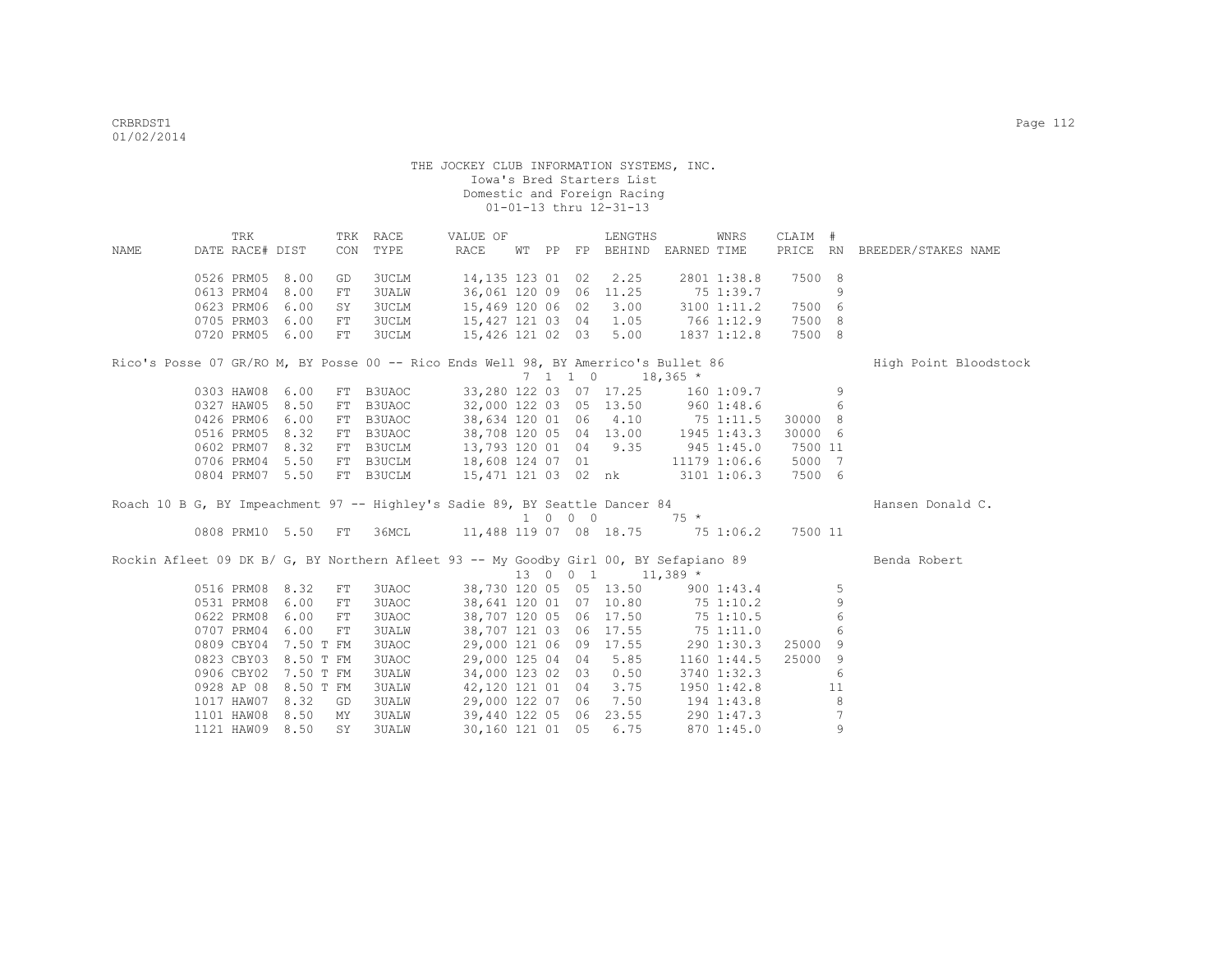| NAME                                                                                  | DATE RACE# DIST | TRK |                      |    | TRK RACE<br>CON TYPE                                              | VALUE OF<br>RACE                                                                                                                             |  | LENGTHS<br>WT PP FP BEHIND EARNED TIME         | WNRS                | CLAIM #         |                 | PRICE RN BREEDER/STAKES NAME |  |
|---------------------------------------------------------------------------------------|-----------------|-----|----------------------|----|-------------------------------------------------------------------|----------------------------------------------------------------------------------------------------------------------------------------------|--|------------------------------------------------|---------------------|-----------------|-----------------|------------------------------|--|
|                                                                                       | 0526 PRM05 8.00 |     |                      | GD | 3UCLM                                                             | 14,135 123 01 02 2.25                                                                                                                        |  |                                                | 2801 1:38.8         | 7500 8          |                 |                              |  |
|                                                                                       | 0613 PRM04 8.00 |     |                      | FT | 3UALW                                                             | 36,061 120 09 06 11.25                                                                                                                       |  |                                                | 75 1:39.7           |                 | 9               |                              |  |
|                                                                                       | 0623 PRM06      |     | 6.00                 | SY | 3UCLM                                                             | 15,469 120 06 02 3.00                                                                                                                        |  |                                                | 3100 1:11.2         | 7500 6          |                 |                              |  |
|                                                                                       | 0705 PRM03      |     | 6.00                 | FT | 3UCLM                                                             | 15,427 121 03 04 1.05 766 1:12.9                                                                                                             |  |                                                |                     | 7500 8          |                 |                              |  |
|                                                                                       |                 |     | 0720 PRM05 6.00      | FT | <b>3UCLM</b>                                                      | 15,426 121 02 03 5.00 1837 1:12.8                                                                                                            |  |                                                |                     | 7500 8          |                 |                              |  |
| Rico's Posse 07 GR/RO M, BY Posse 00 -- Rico Ends Well 98, BY Amerrico's Bullet 86    |                 |     |                      |    |                                                                   |                                                                                                                                              |  |                                                |                     |                 |                 | High Point Bloodstock        |  |
|                                                                                       |                 |     |                      |    |                                                                   |                                                                                                                                              |  | $7 \quad 1 \quad 1 \quad 0 \quad 18,365 \star$ |                     |                 |                 |                              |  |
|                                                                                       |                 |     | 0303 HAW08 6.00      |    | FT B3UAOC 33,280 122 03 07 17.25 160 1:09.7                       |                                                                                                                                              |  |                                                |                     |                 | 9               |                              |  |
|                                                                                       | 0327 HAW05 8.50 |     |                      | FT | B3UAOC                                                            | 32,000 122 03 05 13.50 960 1:48.6                                                                                                            |  |                                                |                     | $6\overline{6}$ |                 |                              |  |
|                                                                                       | 0426 PRM06 6.00 |     |                      | FT | B3UAOC                                                            | 38,634 120 01 06 4.10 75 1:11.5 30000 8                                                                                                      |  |                                                |                     |                 |                 |                              |  |
|                                                                                       | 0516 PRM05 8.32 |     |                      |    | FT B3UAOC                                                         | 38,708 120 05 04 13.00 1945 1:43.3                                                                                                           |  |                                                |                     | 30000 6         |                 |                              |  |
|                                                                                       | 0602 PRM07 8.32 |     |                      |    | FT B3UCLM                                                         |                                                                                                                                              |  |                                                |                     | 7500 11         |                 |                              |  |
|                                                                                       |                 |     | 0706 PRM04 5.50      |    | FT B3UCLM                                                         |                                                                                                                                              |  |                                                |                     | 5000 7          |                 |                              |  |
|                                                                                       |                 |     | 0804 PRM07 5.50      |    | FT B3UCLM                                                         | 13, 793 120 01 04 9.35 945 1:45.0<br>13, 793 120 01 04 9.35 945 1:45.0<br>18, 608 124 07 01 11179 1:06.6<br>15, 471 121 03 02 nk 3101 1:06.3 |  |                                                |                     | 7500 6          |                 |                              |  |
| Roach 10 B G, BY Impeachment 97 -- Highley's Sadie 89, BY Seattle Dancer 84           |                 |     |                      |    |                                                                   |                                                                                                                                              |  |                                                |                     |                 |                 | Hansen Donald C.             |  |
|                                                                                       |                 |     |                      |    |                                                                   |                                                                                                                                              |  | $1 \t0 \t0 \t0 \t75 *$                         |                     |                 |                 |                              |  |
|                                                                                       |                 |     |                      |    | 0808 PRM10 5.50 FT 36MCL 11,488 119 07 08 18.75 75 1:06.2 7500 11 |                                                                                                                                              |  |                                                |                     |                 |                 |                              |  |
| Rockin Afleet 09 DK B/ G, BY Northern Afleet 93 -- My Goodby Girl 00, BY Sefapiano 89 |                 |     |                      |    |                                                                   |                                                                                                                                              |  |                                                |                     |                 |                 | Benda Robert                 |  |
|                                                                                       |                 |     |                      |    |                                                                   |                                                                                                                                              |  | 13 0 0 1 11,389 *                              |                     |                 |                 |                              |  |
|                                                                                       |                 |     | 0516 PRM08 8.32      | FT | 3UAOC                                                             | 38,730 120 05 05 13.50 900 1:43.4                                                                                                            |  |                                                |                     |                 | 5               |                              |  |
|                                                                                       |                 |     | 0531 PRM08 6.00      | FT | 3UAOC                                                             | 38,641 120 01 07 10.80 75 1:10.2                                                                                                             |  |                                                |                     |                 | 9               |                              |  |
|                                                                                       |                 |     | 0622 PRM08 6.00      | FT | 3UAOC                                                             | 38,707 120 05 06 17.50 75 1:10.5                                                                                                             |  |                                                |                     |                 | $6\,$           |                              |  |
|                                                                                       |                 |     | 0707 PRM04 6.00      | FT | <b>3UALW</b>                                                      | 38,707 121 03 06 17.55 75 1:11.0                                                                                                             |  |                                                |                     |                 | 6               |                              |  |
|                                                                                       |                 |     | 0809 CBY04 7.50 T FM |    | 3UAOC                                                             | 29,000 121 06 09 17.55 290 1:30.3 25000 9                                                                                                    |  |                                                |                     |                 |                 |                              |  |
|                                                                                       |                 |     | 0823 CBY03 8.50 T FM |    | 3UAOC                                                             | 29,000 125 04 04 5.85                                                                                                                        |  |                                                | 1160 1:44.5 25000 9 |                 |                 |                              |  |
|                                                                                       |                 |     | 0906 CBY02 7.50 T FM |    | <b>3UALW</b>                                                      | 34,000 123 02 03 0.50                                                                                                                        |  |                                                | 3740 1:32.3         |                 | 6               |                              |  |
|                                                                                       |                 |     | 0928 AP 08 8.50 T FM |    | <b>3UALW</b>                                                      | 42,120 121 01 04 3.75                                                                                                                        |  |                                                | 1950 1:42.8         |                 | 11              |                              |  |
|                                                                                       |                 |     | 1017 HAW07 8.32 GD   |    | <b>3UALW</b>                                                      | 29,000 122 07 06 7.50 194 1:43.8                                                                                                             |  |                                                |                     |                 | 8               |                              |  |
|                                                                                       |                 |     | 1101 HAW08 8.50      | MY | <b>3UALW</b>                                                      | 39,440 122 05 06 23.55 290 1:47.3                                                                                                            |  |                                                |                     |                 | $7\phantom{.0}$ |                              |  |
|                                                                                       |                 |     | 1121 HAW09 8.50      | SY | 3UALW                                                             |                                                                                                                                              |  | 30,160 121 01 05 6.75                          | 870 1:45.0          |                 | $\overline{9}$  |                              |  |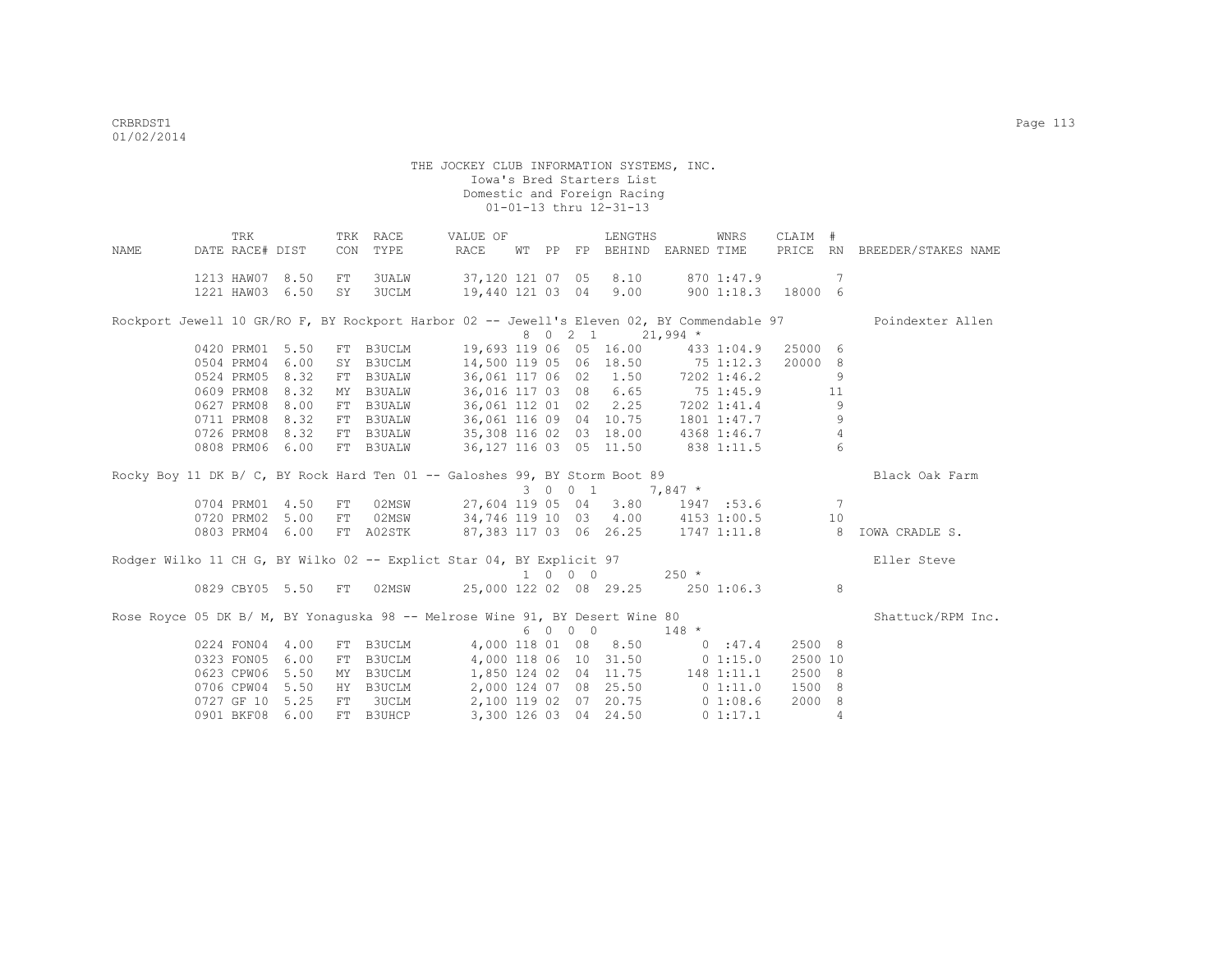|      | TRK             |                 | TRK | RACE          | VALUE OF                                                                                   |       |          |                             | LENGTHS                |                       | WNRS        | CLAIM #  |                |                     |
|------|-----------------|-----------------|-----|---------------|--------------------------------------------------------------------------------------------|-------|----------|-----------------------------|------------------------|-----------------------|-------------|----------|----------------|---------------------|
| NAME | DATE RACE# DIST |                 | CON | TYPE          | RACE                                                                                       | WT PP |          |                             |                        | FP BEHIND EARNED TIME |             | PRICE RN |                | BREEDER/STAKES NAME |
|      |                 | 1213 HAW07 8.50 | FT  | 3UALW         | 37,120 121 07 05                                                                           |       |          |                             | 8.10                   |                       | 870 1:47.9  |          | -7             |                     |
|      | 1221 HAW03      | 6.50            | SY  | 3UCLM         | 19,440 121 03 04                                                                           |       |          |                             | 9.00                   |                       | 9001:18.3   | 18000 6  |                |                     |
|      |                 |                 |     |               |                                                                                            |       |          |                             |                        |                       |             |          |                |                     |
|      |                 |                 |     |               | Rockport Jewell 10 GR/RO F, BY Rockport Harbor 02 -- Jewell's Eleven 02, BY Commendable 97 |       |          |                             |                        |                       |             |          |                | Poindexter Allen    |
|      |                 |                 |     |               |                                                                                            |       |          | 8 0 2 1                     |                        | $21,994$ *            |             |          |                |                     |
|      | 0420 PRM01      | 5.50            | FT  | B3UCLM        | 19,693 119 06 05 16.00                                                                     |       |          |                             |                        |                       | 433 1:04.9  | 25000 6  |                |                     |
|      |                 | 0504 PRM04 6.00 |     | SY B3UCLM     | 14,500 119 05 06 18.50                                                                     |       |          |                             |                        | 75 1:12.3             |             | 20000 8  |                |                     |
|      | 0524 PRM05      | 8.32            |     | FT B3UALW     | 36,061 117 06 02                                                                           |       |          |                             | 1.50                   |                       | 7202 1:46.2 |          | 9              |                     |
|      | 0609 PRM08      | 8.32            |     | MY B3UALW     | 36,016 117 03 08                                                                           |       |          |                             | 6.65                   |                       | 751:45.9    |          | 11             |                     |
|      | 0627 PRM08      | 8.00            |     | FT B3UALW     | 36,061 112 01 02                                                                           |       |          |                             | 2.25                   | 7202 1:41.4           |             |          | 9              |                     |
|      | 0711 PRM08      | 8.32            |     | FT B3UALW     |                                                                                            |       |          |                             | 36,061 116 09 04 10.75 |                       | 1801 1:47.7 |          | 9              |                     |
|      |                 | 0726 PRM08 8.32 |     | FT B3UALW     | 35,308 116 02 03 18.00 4368 1:46.7                                                         |       |          |                             |                        |                       |             |          | $\overline{4}$ |                     |
|      |                 | 0808 PRM06 6.00 |     | FT B3UALW     |                                                                                            |       |          |                             | 36,127 116 03 05 11.50 |                       | 838 1:11.5  |          | 6              |                     |
|      |                 |                 |     |               |                                                                                            |       |          |                             |                        |                       |             |          |                |                     |
|      |                 |                 |     |               | Rocky Boy 11 DK B/ C, BY Rock Hard Ten 01 -- Galoshes 99, BY Storm Boot 89                 |       |          |                             |                        |                       |             |          |                | Black Oak Farm      |
|      |                 |                 |     |               |                                                                                            |       |          | 3 0 0 1                     |                        | $7,847$ *             |             |          |                |                     |
|      | 0704 PRM01      | 4.50            | FT  | 02MSW         | 27,604 119 05 04                                                                           |       |          |                             | 3.80                   |                       | 1947 :53.6  |          | -7             |                     |
|      | 0720 PRM02      | 5.00            | FT  | 02MSW         | 34,746 119 10 03 4.00 4153 1:00.5                                                          |       |          |                             |                        |                       |             |          | 10             |                     |
|      | 0803 PRM04      | 6.00            |     | FT A02STK     | 87,383 117 03 06 26.25                                                                     |       |          |                             |                        |                       | 1747 1:11.8 |          | - 8            | IOWA CRADLE S.      |
|      |                 |                 |     |               |                                                                                            |       |          |                             |                        |                       |             |          |                |                     |
|      |                 |                 |     |               | Rodger Wilko 11 CH G, BY Wilko 02 -- Explict Star 04, BY Explicit 97                       |       |          |                             |                        |                       |             |          |                | Eller Steve         |
|      |                 |                 |     |               |                                                                                            |       |          | $1 \quad 0 \quad 0 \quad 0$ |                        | $250 *$               |             |          |                |                     |
|      |                 | 0829 CBY05 5.50 | FT  | 02MSW         | 25,000 122 02 08 29.25                                                                     |       |          |                             |                        |                       | 2501:06.3   |          | 8              |                     |
|      |                 |                 |     |               |                                                                                            |       |          |                             |                        |                       |             |          |                |                     |
|      |                 |                 |     |               | Rose Royce 05 DK B/ M, BY Yonaguska 98 -- Melrose Wine 91, BY Desert Wine 80               |       |          |                             |                        |                       |             |          |                | Shattuck/RPM Inc.   |
|      |                 |                 |     |               |                                                                                            | 6     | $\Omega$ | $0\quad 0$                  |                        | $148 *$               |             |          |                |                     |
|      |                 | 0224 FON04 4.00 |     | FT B3UCLM     | 4,000 118 01 08                                                                            |       |          |                             | 8.50                   |                       | 0:47.4      | 2500 8   |                |                     |
|      | 0323 FON05      | 6.00            | FT  | <b>B3UCLM</b> |                                                                                            |       |          |                             | 4,000 118 06 10 31.50  |                       | 01:15.0     | 2500 10  |                |                     |
|      | 0623 CPW06      | 5.50            | MY  | B3UCLM        |                                                                                            |       |          |                             | 1,850 124 02 04 11.75  |                       | 148 1:11.1  | 2500 8   |                |                     |
|      |                 | 0706 CPW04 5.50 |     | HY B3UCLM     |                                                                                            |       |          |                             | 2,000 124 07 08 25.50  |                       | 0 1:11.0    | 1500 8   |                |                     |
|      | 0727 GF 10      | 5.25            | FT  | 3UCLM         |                                                                                            |       |          |                             | 2,100 119 02 07 20.75  |                       | 01:08.6     | 2000     | - 8            |                     |
|      | 0901 BKF08      | 6.00            | FT. | <b>B3UHCP</b> |                                                                                            |       |          |                             | 3,300 126 03 04 24.50  |                       | 01:17.1     |          | $\overline{4}$ |                     |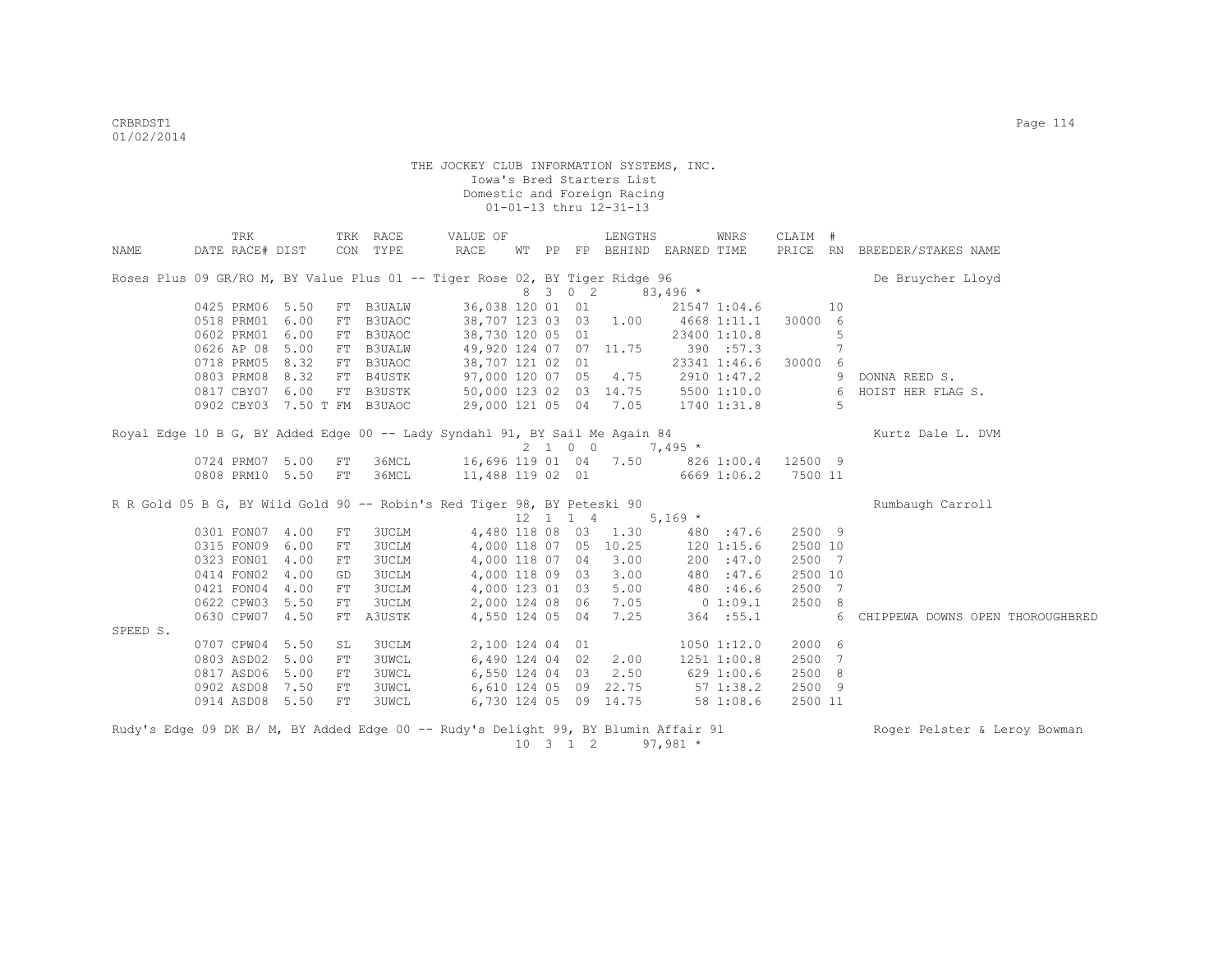|          | TRK                                                                                |            | TRK RACE      | VALUE OF                         |  |                 | LENGTHS                     |             | WNRS         | CLAIM # |    |                                  |
|----------|------------------------------------------------------------------------------------|------------|---------------|----------------------------------|--|-----------------|-----------------------------|-------------|--------------|---------|----|----------------------------------|
| NAME     | DATE RACE# DIST                                                                    |            | CON TYPE      | RACE                             |  |                 | WT PP FP BEHIND EARNED TIME |             |              |         |    | PRICE RN BREEDER/STAKES NAME     |
|          |                                                                                    |            |               |                                  |  |                 |                             |             |              |         |    |                                  |
|          | Roses Plus 09 GR/RO M, BY Value Plus 01 -- Tiger Rose 02, BY Tiger Ridge 96        |            |               |                                  |  |                 |                             |             |              |         |    | De Bruycher Lloyd                |
|          |                                                                                    |            |               |                                  |  | 8 3 0 2         |                             | $83,496*$   |              |         |    |                                  |
|          | 0425 PRM06 5.50                                                                    | FT         | <b>B3UALW</b> | 36,038 120 01 01                 |  |                 |                             |             | 21547 1:04.6 |         | 10 |                                  |
|          | 0518 PRM01                                                                         | 6.00<br>FT | B3UAOC        | 38,707 123 03 03 1.00            |  |                 |                             |             | 4668 1:11.1  | 30000 6 |    |                                  |
|          | 0602 PRM01 6.00                                                                    | FT         | B3UAOC        | 38,730 120 05 01                 |  |                 |                             |             | 23400 1:10.8 |         | 5  |                                  |
|          | 0626 AP 08 5.00                                                                    | FT         | <b>B3UALW</b> | 49,920 124 07 07 11.75           |  |                 |                             |             | 390 :57.3    |         | 7  |                                  |
|          | 0718 PRM05 8.32                                                                    |            | FT B3UAOC     | 38,707 121 02 01                 |  |                 |                             |             | 23341 1:46.6 | 30000 6 |    |                                  |
|          | 0803 PRM08 8.32                                                                    |            | FT B4USTK     | 97,000 120 07 05 4.75            |  |                 |                             |             | 2910 1:47.2  |         | 9  | DONNA REED S.                    |
|          | 0817 CBY07 6.00                                                                    |            | FT B3USTK     | 50,000 123 02 03 14.75           |  |                 |                             |             | 5500 1:10.0  |         | 6  | HOIST HER FLAG S.                |
|          | 0902 CBY03 7.50 T FM B3UAOC                                                        |            |               | 29,000 121 05 04 7.05            |  |                 |                             | 1740 1:31.8 |              |         | 5  |                                  |
|          |                                                                                    |            |               |                                  |  |                 |                             |             |              |         |    |                                  |
|          | Royal Edge 10 B G, BY Added Edge 00 -- Lady Syndahl 91, BY Sail Me Again 84        |            |               |                                  |  |                 |                             |             |              |         |    | Kurtz Dale L. DVM                |
|          |                                                                                    |            |               |                                  |  | $2 \t1 \t0 \t0$ |                             | $7,495*$    |              |         |    |                                  |
|          | 0724 PRM07 5.00                                                                    | FT         | 36MCL         | 16,696 119 01 04 7.50 826 1:00.4 |  |                 |                             |             |              | 12500 9 |    |                                  |
|          | 0808 PRM10 5.50                                                                    | FT         | 36MCL         | 11,488 119 02 01                 |  |                 |                             |             | 6669 1:06.2  | 7500 11 |    |                                  |
|          | R R Gold 05 B G, BY Wild Gold 90 -- Robin's Red Tiger 98, BY Peteski 90            |            |               |                                  |  |                 |                             |             |              |         |    | Rumbaugh Carroll                 |
|          |                                                                                    |            |               |                                  |  | 12 1 1 4        |                             | $5,169$ *   |              |         |    |                                  |
|          | 0301 FON07 4.00                                                                    | FT         | <b>3UCLM</b>  | 4,480 118 08 03                  |  |                 | 1.30                        |             | 480 :47.6    | 2500 9  |    |                                  |
|          | 0315 FON09 6.00                                                                    | FT         | <b>3UCLM</b>  |                                  |  |                 | 4,000 118 07 05 10.25       |             | 1201:15.6    | 2500 10 |    |                                  |
|          | 0323 FON01 4.00                                                                    | FT         | 3UCLM         | 4,000 118 07 04                  |  |                 | 3.00                        |             | 200 : 47.0   | 2500 7  |    |                                  |
|          | 0414 FON02 4.00                                                                    | GD         | <b>3UCLM</b>  | 4,000 118 09 03                  |  |                 | 3.00                        |             | 480 :47.6    | 2500 10 |    |                                  |
|          | 0421 FON04                                                                         | 4.00<br>FT | 3UCLM         | 4,000 123 01 03                  |  |                 | 5.00                        |             | 480 :46.6    | 2500 7  |    |                                  |
|          | 0622 CPW03                                                                         | 5.50<br>FT | 3UCLM         | 2,000 124 08 06                  |  |                 | 7.05                        |             | $0\;1:09.1$  | 2500 8  |    |                                  |
|          | 0630 CPW07                                                                         | 4.50<br>FT | A3USTK        | 4,550 124 05 04                  |  |                 | 7.25                        |             | 364 :55.1    |         | 6  | CHIPPEWA DOWNS OPEN THOROUGHBRED |
| SPEED S. |                                                                                    |            |               |                                  |  |                 |                             |             |              |         |    |                                  |
|          | 0707 CPW04 5.50                                                                    | SL         | <b>3UCLM</b>  | 2,100 124 04 01                  |  |                 |                             |             | 1050 1:12.0  | 2000 6  |    |                                  |
|          | 0803 ASD02 5.00                                                                    | FT         | <b>3UWCL</b>  | 6,490 124 04 02                  |  |                 | 2.00                        |             | 1251 1:00.8  | 2500 7  |    |                                  |
|          | 0817 ASD06 5.00                                                                    | FT         | <b>3UWCL</b>  | 6,550 124 04 03                  |  |                 | 2.50                        |             | 629 1:00.6   | 2500 8  |    |                                  |
|          | 0902 ASD08 7.50                                                                    | FT         | <b>3UWCL</b>  |                                  |  |                 | 6,610 124 05 09 22.75       |             | 571:38.2     | 2500 9  |    |                                  |
|          | 0914 ASD08 5.50                                                                    | ${\rm FT}$ | <b>3UWCL</b>  |                                  |  |                 | 6,730 124 05 09 14.75       |             | 58 1:08.6    | 2500 11 |    |                                  |
|          |                                                                                    |            |               |                                  |  |                 |                             |             |              |         |    |                                  |
|          | Rudy's Edge 09 DK B/ M, BY Added Edge 00 -- Rudy's Delight 99, BY Blumin Affair 91 |            |               |                                  |  |                 |                             |             |              |         |    | Roger Pelster & Leroy Bowman     |

 $10 \quad 3 \quad 1 \quad 2 \quad 97,981 \star$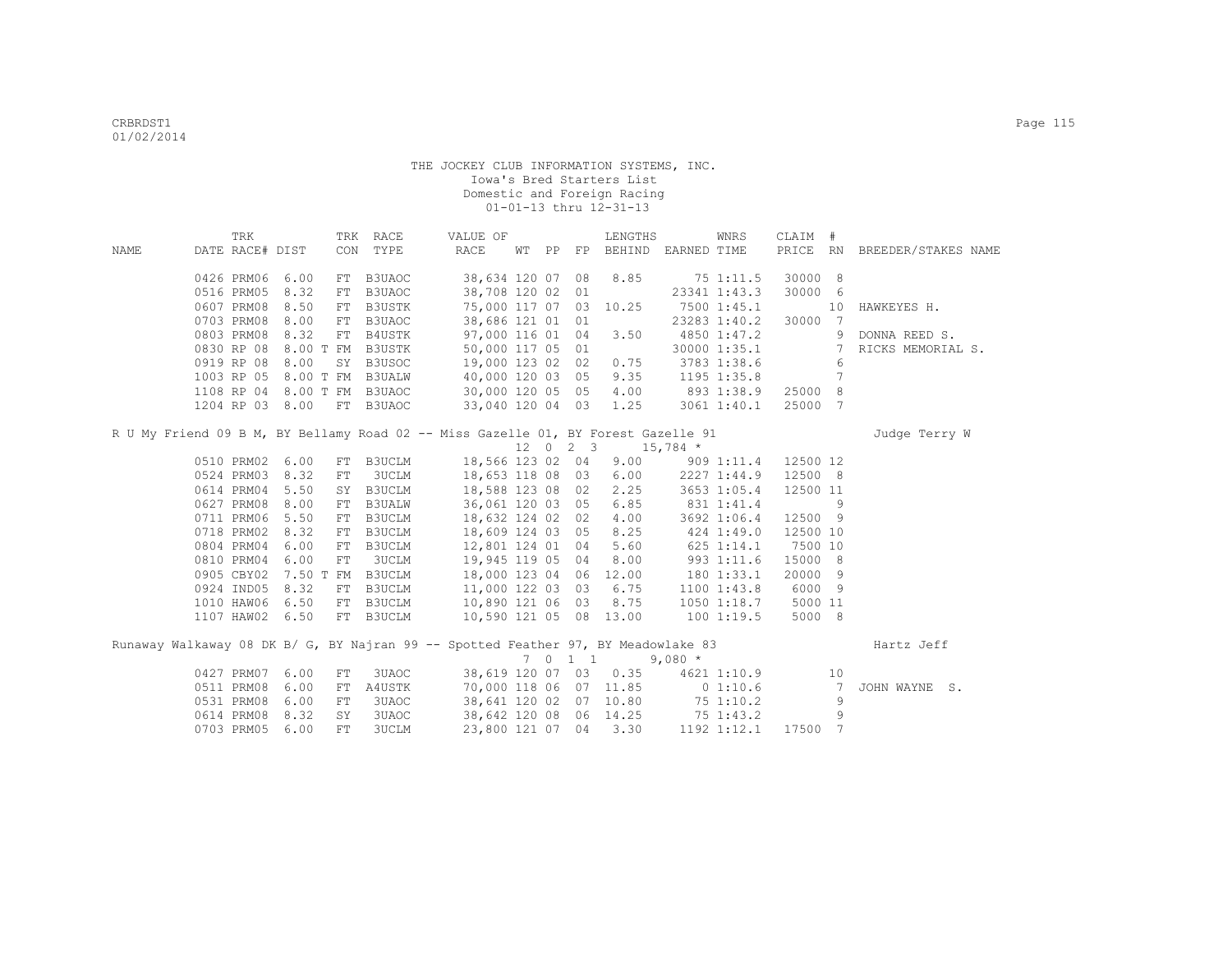|      | TRK                  |           |            | TRK RACE      | VALUE OF                                                                          |  |                     | LENGTHS                     |            | WNRS            | CLAIM #  |                 |                              |
|------|----------------------|-----------|------------|---------------|-----------------------------------------------------------------------------------|--|---------------------|-----------------------------|------------|-----------------|----------|-----------------|------------------------------|
| NAME | DATE RACE# DIST      |           |            | CON TYPE      | RACE                                                                              |  |                     | WT PP FP BEHIND EARNED TIME |            |                 |          |                 | PRICE RN BREEDER/STAKES NAME |
|      | 0426 PRM06           | 6.00      | FT         | B3UAOC        | 38,634 120 07                                                                     |  | 08                  | 8.85                        |            | 75 1:11.5       | 30000 8  |                 |                              |
|      | 0516 PRM05           | 8.32      | FT         | B3UAOC        | 38,708 120 02 01                                                                  |  |                     |                             |            | 23341 1:43.3    | 30000    | 6               |                              |
|      | 0607 PRM08           | 8.50      | FT         | B3USTK        | 75,000 117 07 03                                                                  |  |                     | 10.25                       |            | 7500 1:45.1     |          | 10              | HAWKEYES H.                  |
|      | 0703 PRM08           | 8.00      | FT         | B3UAOC        | 38,686 121 01 01                                                                  |  |                     |                             |            | 23283 1:40.2    | 30000    | $7\phantom{0}$  |                              |
|      | 0803 PRM08           | 8.32      | FT         | B4USTK        | 97,000 116 01 04                                                                  |  |                     | 3.50                        |            | 4850 1:47.2     |          | 9               | DONNA REED S.                |
|      | 0830 RP 08           | 8.00 T FM |            | B3USTK        | 50,000 117 05 01                                                                  |  |                     |                             |            | 30000 1:35.1    |          | $7\overline{ }$ | RICKS MEMORIAL S.            |
|      | 0919 RP 08           | 8.00      | SY         | B3USOC        | 19,000 123 02 02                                                                  |  |                     | 0.75                        |            | 3783 1:38.6     |          | 6               |                              |
|      | 1003 RP 05           | 8.00 T FM |            | <b>B3UALW</b> | 40,000 120 03 05                                                                  |  |                     | 9.35                        |            | 1195 1:35.8     |          | 7               |                              |
|      | 1108 RP 04 8.00 T FM |           |            | B3UAOC        | 30,000 120 05 05                                                                  |  |                     | 4.00                        |            | 893 1:38.9      | 25000    | 8               |                              |
|      | 1204 RP 03 8.00      |           | FT         | B3UAOC        | 33,040 120 04 03                                                                  |  |                     | 1.25                        |            | 3061 1:40.1     | 25000    | 7               |                              |
|      |                      |           |            |               | R U My Friend 09 B M, BY Bellamy Road 02 -- Miss Gazelle 01, BY Forest Gazelle 91 |  |                     |                             |            |                 |          |                 | Judge Terry W                |
|      |                      |           |            |               |                                                                                   |  | $12 \t 0 \t 2 \t 3$ |                             | $15,784$ * |                 |          |                 |                              |
|      | 0510 PRM02           | 6.00      | FT         | <b>B3UCLM</b> | 18,566 123 02 04                                                                  |  |                     | 9.00                        |            | 9091:11.4       | 12500 12 |                 |                              |
|      | 0524 PRM03 8.32      |           | FT         | 3UCLM         | 18,653 118 08 03                                                                  |  |                     | 6.00                        |            | 2227 1:44.9     | 12500 8  |                 |                              |
|      | 0614 PRM04           | 5.50      | SY         | B3UCLM        | 18,588 123 08 02                                                                  |  |                     | 2.25                        |            | 3653 1:05.4     | 12500 11 |                 |                              |
|      | 0627 PRM08           | 8.00      | FT         | <b>B3UALW</b> | 36,061 120 03 05                                                                  |  |                     | 6.85                        |            | 831 1:41.4      |          | 9               |                              |
|      | 0711 PRM06           | 5.50      | FT         | B3UCLM        | 18,632 124 02 02                                                                  |  |                     | 4.00                        |            | 3692 1:06.4     | 12500 9  |                 |                              |
|      | 0718 PRM02           | 8.32      | FT         | B3UCLM        | 18,609 124 03 05                                                                  |  |                     | 8.25                        |            | 424 1:49.0      | 12500 10 |                 |                              |
|      | 0804 PRM04           | 6.00      | FT         | B3UCLM        | 12,801 124 01 04                                                                  |  |                     | 5.60                        |            | 625 1:14.1      | 7500 10  |                 |                              |
|      | 0810 PRM04           | 6.00      | FT         | 3UCLM         | 19,945 119 05 04                                                                  |  |                     | 8.00                        |            | 993 1:11.6      | 15000 8  |                 |                              |
|      | 0905 CBY02           |           | 7.50 T FM  | <b>B3UCLM</b> | 18,000 123 04 06                                                                  |  |                     | 12.00                       |            | 1801:33.1       | 20000 9  |                 |                              |
|      | 0924 IND05           | 8.32      | FT         | B3UCLM        | 11,000 122 03 03                                                                  |  |                     | 6.75                        |            | $1100$ $1:43.8$ | 6000 9   |                 |                              |
|      | 1010 HAW06           | 6.50      | FT         | B3UCLM        | 10,890 121 06 03                                                                  |  |                     | 8.75                        |            | $1050$ $1:18.7$ | 5000 11  |                 |                              |
|      | 1107 HAW02 6.50      |           |            | FT B3UCLM     | 10,590 121 05 08 13.00                                                            |  |                     |                             |            | 1001:19.5       | 5000 8   |                 |                              |
|      |                      |           |            |               | Runaway Walkaway 08 DK B/ G, BY Najran 99 -- Spotted Feather 97, BY Meadowlake 83 |  |                     |                             |            |                 |          |                 | Hartz Jeff                   |
|      |                      |           |            |               |                                                                                   |  | 7 0 1 1             |                             | $9,080 *$  |                 |          |                 |                              |
|      | 0427 PRM07           | 6.00      | ${\rm FT}$ | 3UAOC         |                                                                                   |  |                     | 38,619 120 07 03 0.35       |            | 4621 1:10.9     |          | 10              |                              |
|      | 0511 PRM08           | 6.00      | ${\rm FT}$ | A4USTK        |                                                                                   |  |                     | 70,000 118 06 07 11.85      | 0 1:10.6   |                 |          | $7\phantom{.0}$ | JOHN WAYNE S.                |
|      | 0531 PRM08           | 6.00      | FT         | 3UAOC         |                                                                                   |  |                     | 38,641 120 02 07 10.80      |            | 75 1:10.2       |          | 9               |                              |
|      | 0614 PRM08           | 8.32      | SY         | 3UAOC         |                                                                                   |  |                     | 38,642 120 08 06 14.25      |            | 75 1:43.2       |          | 9               |                              |
|      | 0703 PRM05           | 6.00      | <b>FT</b>  | <b>3UCLM</b>  | 23,800 121 07 04                                                                  |  |                     | 3.30                        |            | 1192 1:12.1     | 17500    | 7               |                              |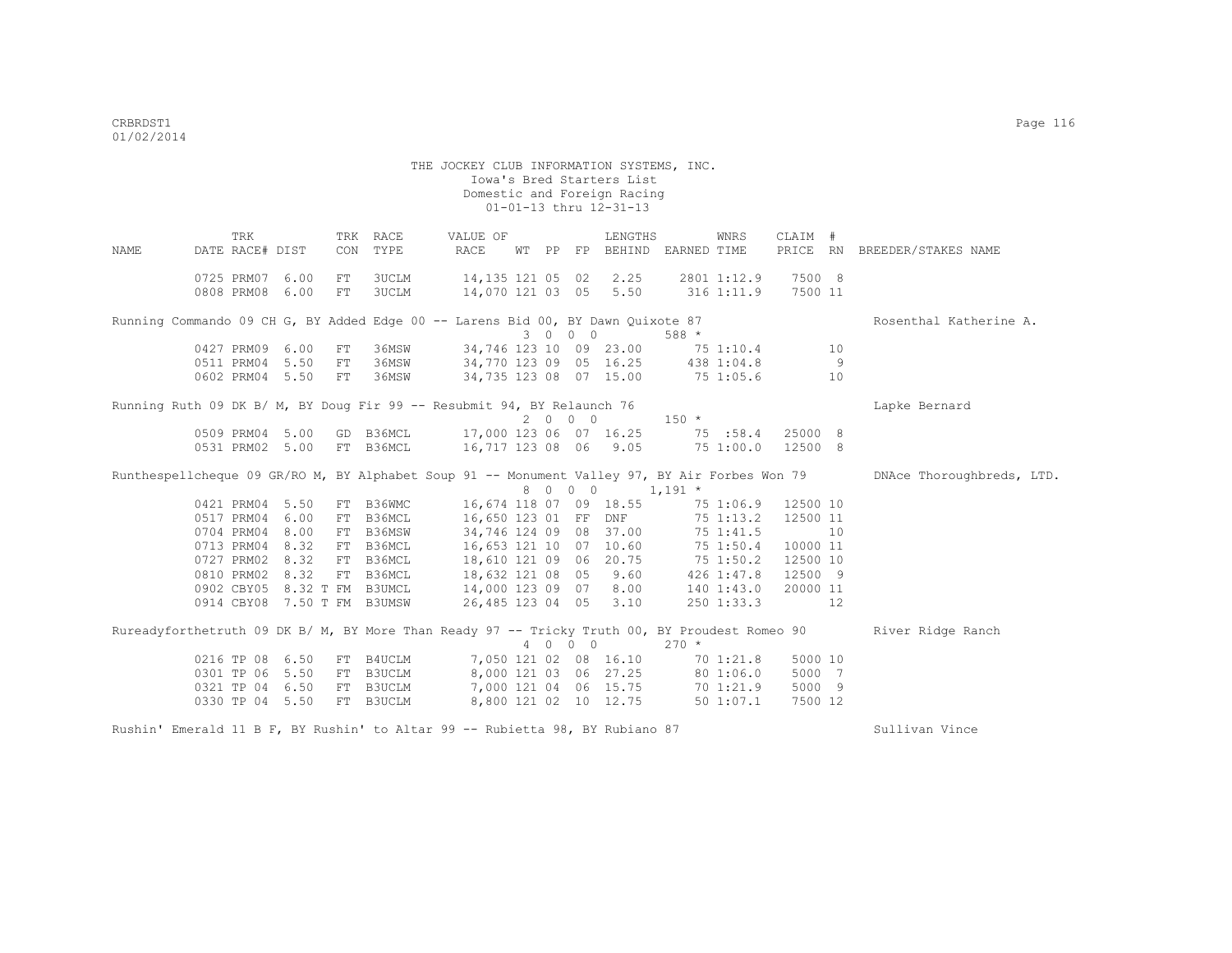THE JOCKEY CLUB INFORMATION SYSTEMS, INC. Iowa's Bred Starters List Domestic and Foreign Racing 01-01-13 thru 12-31-13 TRK TRK RACE VALUE OF LENGTHS WNRS CLAIM # NAME DATE RACE# DIST CON TYPE RACE WT PP FP BEHIND EARNED TIME PRICE RN BREEDER/STAKES NAME 0725 PRM07 6.00 FT 3UCLM 14,135 121 05 02 2.25 2801 1:12.9 7500 8 0808 PRM08 6.00 FT 3UCLM 14,070 121 03 05 5.50 316 1:11.9 7500 11 Running Commando 09 CH G, BY Added Edge 00 -- Larens Bid 00, BY Dawn Quixote 87 Rosenthal Katherine A.  $34,746$  123 10 09 23.00 75 1:10.4 0427 PRM09 6.00 FT 36MSW 34,746 123 10 09 23.00 75 1:10.4 10<br>0511 PRM04 5.50 FT 36MSW 34,770 123 09 05 16.25 438 1:04.8 9 0511 PRM04 5.50 FT 36MSW 34,770 123 09 05 16.25 438 1:04.8 9<br>0602 PRM04 5.50 FT 36MSW 34,735 123 08 07 15.00 75 1:05.6 10 34,735 123 08 07 15.00 75 1:05.6 Running Ruth 09 DK B/ M, BY Doug Fir 99 -- Resubmit 94, BY Relaunch 76  $\begin{array}{ccc} 2 & 0 & 0 & 0 \\ 2 & 0 & 0 & 0 \end{array}$  150 \* 2 0 0 0 0509 PRM04 5.00 GD B36MCL 17,000 123 06 07 16.25 75 :58.4 25000 8 0531 PRM02 5.00 FT B36MCL 16,717 123 08 06 9.05 75 1:00.0 12500 8 Runthespellcheque 09 GR/RO M, BY Alphabet Soup 91 -- Monument Valley 97, BY Air Forbes Won 79 DNAce Thoroughbreds, LTD. 8 0 0 0 1,191 \* 0421 PRM04 5.50 FT B36WMC 16,674 118 07 09 18.55 75 1:06.9 12500 10 0517 PRM04 6.00 FT B36MCL 16,650 123 01 FF DNF 75 1:13.2 12500 11<br>0704 PRM04 8.00 FT B36MSW 34,746 124 09 08 37.00 75 1:41.5 10 34,746 124 09 08 37.00 0713 PRM04 8.32 FT B36MCL 16,653 121 10 07 10.60 75 1:50.4 10000 11 0727 PRM02 8.32 FT B36MCL 18,610 121 09 06 20.75 75 1:50.2 12500 10 0810 PRM02 8.32 FT B36MCL 18,632 121 08 05 9.60 426 1:47.8 12500 9 0902 CBY05 8.32 T FM B3UMCL 14,000 123 09 07 8.00 140 1:43.0 20000 11 0914 CBY08 7.50 T FM B3UMSW 26,485 123 04 05 3.10 250 1:33.3 12 Rureadyforthetruth 09 DK B/ M, BY More Than Ready 97 -- Tricky Truth 00, BY Proudest Romeo 90 River Ridge Ranch  $4$  0 0 0 270  $*$ <br>7,050 121 02 08 16.10 70 0216 TP 08 6.50 FT B4UCLM 7,050 121 02 08 16.10 70 1:21.8 5000 10<br>0301 TP 06 5.50 FT B3UCLM 8,000 121 03 06 27.25 80 1:06.0 5000 7 0301 TP 06 5.50 FT B3UCLM 8,000 121 03 06 27.25 80 1:06.0 5000 7 0321 TP 04 6.50 FT B3UCLM 7,000 121 04 06 15.75 70 1:21.9 5000 9 0330 TP 04 5.50 FT B3UCLM 8,800 121 02 10 12.75 50 1:07.1 7500 12

Rushin' Emerald 11 B F, BY Rushin' to Altar 99 -- Rubietta 98, BY Rubiano 87 Sullivan Vince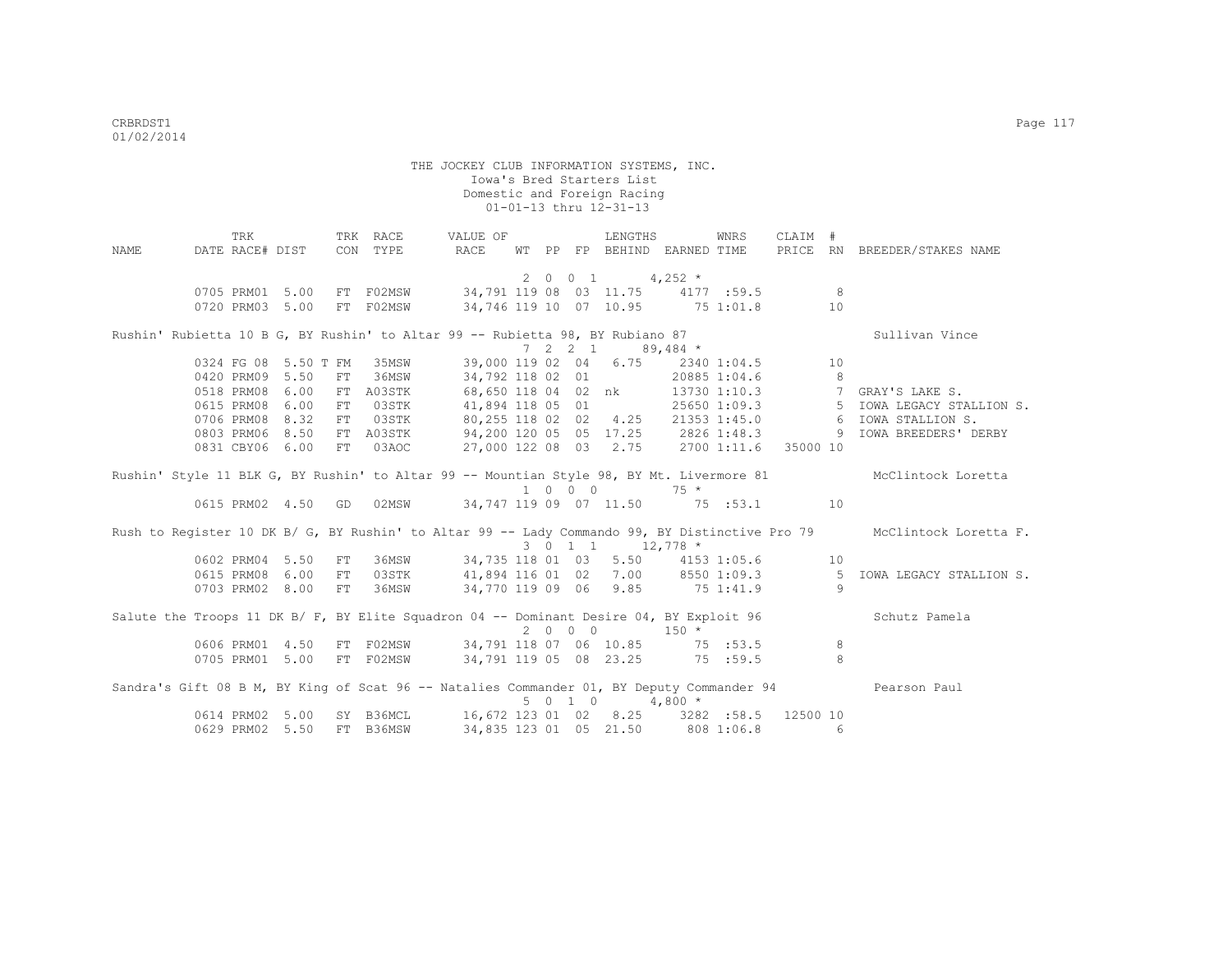|      | TRK                                                                                       |      |    | TRK RACE  | VALUE OF                                   |  |         | LENGTHS                                       |          | WNRS         | CLAIM #        |                |                                                                                                                      |
|------|-------------------------------------------------------------------------------------------|------|----|-----------|--------------------------------------------|--|---------|-----------------------------------------------|----------|--------------|----------------|----------------|----------------------------------------------------------------------------------------------------------------------|
| NAME | DATE RACE# DIST                                                                           |      |    | CON TYPE  | <b>RACE</b>                                |  |         | WT PP FP BEHIND EARNED TIME                   |          |              |                |                | PRICE RN BREEDER/STAKES NAME                                                                                         |
|      |                                                                                           |      |    |           |                                            |  |         |                                               |          |              |                |                |                                                                                                                      |
|      |                                                                                           |      |    |           |                                            |  |         | 2 0 0 1 4,252 $*$                             |          |              |                |                |                                                                                                                      |
|      | 0705 PRM01 5.00                                                                           |      |    | FT F02MSW | 34,791 119 08 03 11.75 4177 :59.5          |  |         |                                               |          |              | 8 <sup>1</sup> |                |                                                                                                                      |
|      | 0720 PRM03 5.00                                                                           |      |    | FT F02MSW |                                            |  |         | 34,746 119 10 07 10.95 75 1:01.8              |          |              |                | 10             |                                                                                                                      |
|      | Rushin' Rubietta 10 B G, BY Rushin' to Altar 99 -- Rubietta 98, BY Rubiano 87             |      |    |           |                                            |  |         |                                               |          |              |                |                | Sullivan Vince                                                                                                       |
|      |                                                                                           |      |    |           |                                            |  |         | $7 \quad 2 \quad 2 \quad 1 \quad 89,484 \; *$ |          |              |                |                |                                                                                                                      |
|      | 0324 FG 08 5.50 T FM                                                                      |      |    | 35MSW     |                                            |  |         | 39,000 119 02 04 6.75                         |          | 2340 1:04.5  |                | 10             |                                                                                                                      |
|      | 0420 PRM09 5.50                                                                           |      | FT | 36MSW     | 34,792 118 02 01                           |  |         |                                               |          | 20885 1:04.6 |                | 8 <sup>8</sup> |                                                                                                                      |
|      | 0518 PRM08                                                                                | 6.00 |    | FT A03STK |                                            |  |         | 68,650 118 04 02 nk                           |          |              |                |                | 13730 1:10.3 7 GRAY'S LAKE S.                                                                                        |
|      | 0615 PRM08                                                                                | 6.00 | FT | 03STK     | 41,894 118 05 01                           |  |         |                                               |          |              |                |                | 25650 1:09.3 5 IOWA LEGACY STALLION S.                                                                               |
|      | 0706 PRM08                                                                                | 8.32 | FT | 03STK     | 80,255 118 02 02 4.25                      |  |         |                                               |          |              |                |                | 21353 1:45.0 6 IOWA STALLION S.                                                                                      |
|      | 0803 PRM06 8.50                                                                           |      |    | FT A03STK | 94,200 120 05 05 17.25 2826 1:48.3         |  |         |                                               |          |              |                |                | 9 IOWA BREEDERS' DERBY                                                                                               |
|      | 0831 CBY06 6.00                                                                           |      | FT | 03AOC     | 27,000 122 08 03 2.75 2700 1:11.6 35000 10 |  |         |                                               |          |              |                |                |                                                                                                                      |
|      |                                                                                           |      |    |           |                                            |  |         |                                               |          |              |                |                |                                                                                                                      |
|      |                                                                                           |      |    |           |                                            |  | 1 0 0 0 |                                               | $75 *$   |              |                |                | Rushin' Style 11 BLK G, BY Rushin' to Altar 99 -- Mountian Style 98, BY Mt. Livermore 81 McClintock Loretta          |
|      | 0615 PRM02 4.50 GD                                                                        |      |    |           | 02MSW 34,747 119 09 07 11.50 75 :53.1 10   |  |         |                                               |          |              |                |                |                                                                                                                      |
|      |                                                                                           |      |    |           |                                            |  |         |                                               |          |              |                |                |                                                                                                                      |
|      |                                                                                           |      |    |           |                                            |  |         |                                               |          |              |                |                | Rush to Register 10 DK B/ G, BY Rushin' to Altar 99 -- Lady Commando 99, BY Distinctive Pro 79 McClintock Loretta F. |
|      |                                                                                           |      |    |           |                                            |  |         | 3 0 1 1 1 12,778 *                            |          |              |                |                |                                                                                                                      |
|      | 0602 PRM04 5.50                                                                           |      | FT | 36MSW     | 34,735 118 01 03 5.50                      |  |         |                                               |          | 4153 1:05.6  | 10             |                |                                                                                                                      |
|      | 0615 PRM08                                                                                | 6.00 | FT | 03STK     |                                            |  |         |                                               |          |              |                |                | 41,894 116 01 02 7.00 8550 1:09.3 5 IOWA LEGACY STALLION S.                                                          |
|      | 0703 PRM02 8.00                                                                           |      | FT | 36MSW     | 34,770 119 09 06 9.85 75 1:41.9            |  |         |                                               |          |              |                | 9              |                                                                                                                      |
|      | Salute the Troops 11 DK B/ F, BY Elite Squadron 04 -- Dominant Desire 04, BY Exploit 96   |      |    |           |                                            |  |         |                                               |          |              |                |                | Schutz Pamela                                                                                                        |
|      |                                                                                           |      |    |           |                                            |  | 2000    |                                               | $150 *$  |              |                |                |                                                                                                                      |
|      | 0606 PRM01 4.50                                                                           |      |    |           | FT F02MSW 34,791 118 07 06 10.85 75 :53.5  |  |         |                                               |          |              |                | 8              |                                                                                                                      |
|      | 0705 PRM01                                                                                | 5.00 |    | FT F02MSW | 34,791 119 05 08 23.25 75 :59.5            |  |         |                                               |          |              |                | 8              |                                                                                                                      |
|      | Sandra's Gift 08 B M, BY King of Scat 96 -- Natalies Commander 01, BY Deputy Commander 94 |      |    |           |                                            |  |         |                                               |          |              |                |                | Pearson Paul                                                                                                         |
|      |                                                                                           |      |    |           |                                            |  | 5 0 1 0 |                                               | $4,800*$ |              |                |                |                                                                                                                      |
|      | 0614 PRM02 5.00                                                                           |      |    | SY B36MCL | 16,672 123 01 02 8.25 3282 :58.5 12500 10  |  |         |                                               |          |              |                |                |                                                                                                                      |
|      | 0629 PRM02 5.50                                                                           |      |    | FT B36MSW |                                            |  |         | 34,835 123 01 05 21.50                        |          | 808 1:06.8   |                | 6              |                                                                                                                      |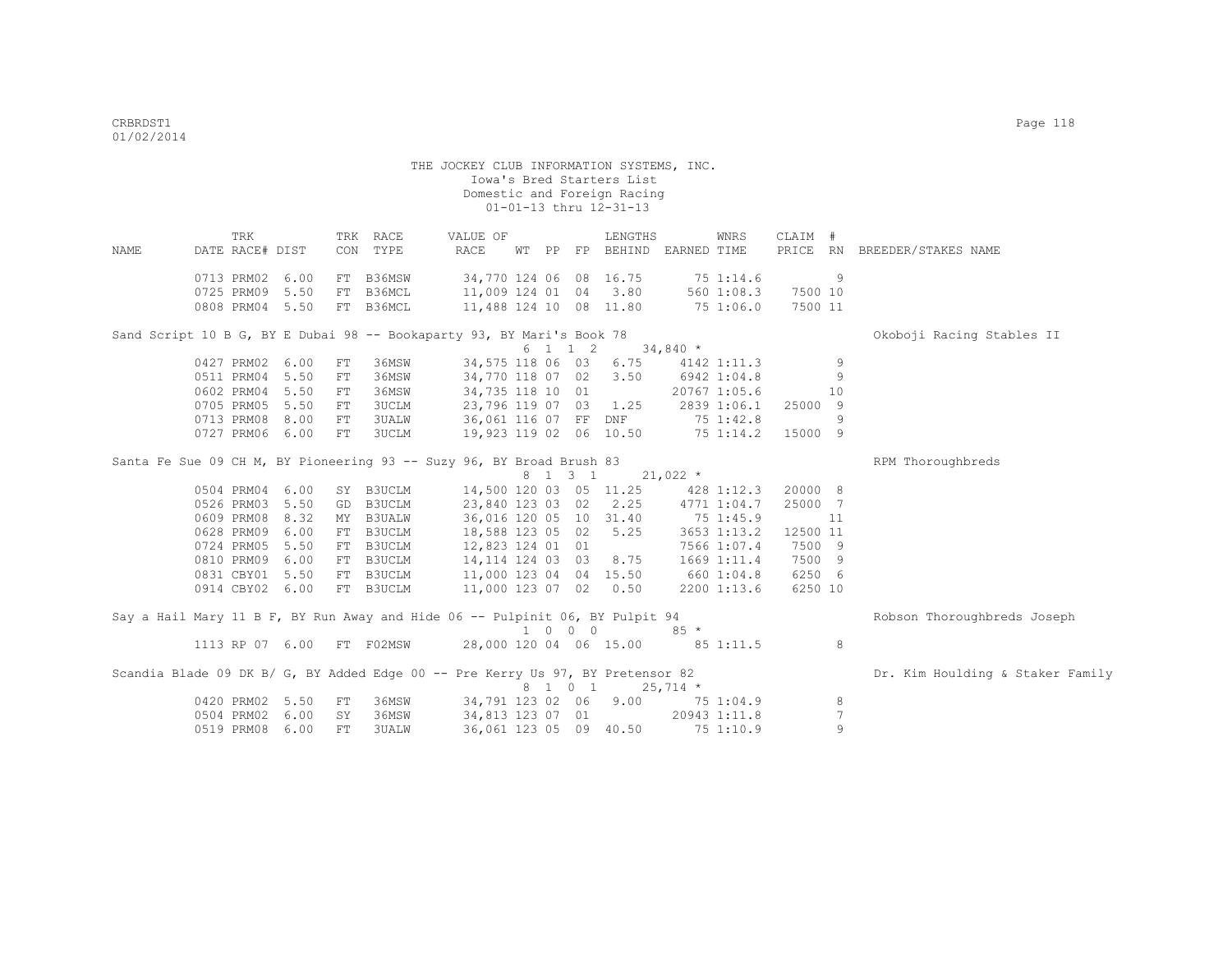THE JOCKEY CLUB INFORMATION SYSTEMS, INC. Iowa's Bred Starters List Domestic and Foreign Racing  $01-01-13$  thru  $12-31-13$  TRK TRK RACE VALUE OF LENGTHS WNRS CLAIM # NAME DATE RACE# DIST CON TYPE RACE WT PP FP BEHIND EARNED TIME PRICE RN BREEDER/STAKES NAME 0713 PRM02 6.00 FT B36MSW 34,770 124 06 08 16.75 75 1:14.6 9 0725 PRM09 5.50 FT B36MCL 11,009 124 01 04 3.80 560 1:08.3 7500 10 0808 PRM04 5.50 FT B36MCL 11,488 124 10 08 11.80 75 1:06.0 7500 11 Sand Script 10 B G, BY E Dubai 98 -- Bookaparty 93, BY Mari's Book 78 Conservation Chemical Conservation of  $\begin{array}{ccc} 6 & 1 & 1 & 2 & 34,840 \end{array}$  \*  $\begin{array}{cccc} 6 & 1 & 1 & 2 & 3 \\ 34.575 & 118 & 06 & 03 & 6.75 \end{array}$ 0427 PRM02 6.00 FT 36MSW 34,575 118 06 03 6.75 4142 1:11.3 9<br>0511 PRM04 5.50 FT 36MSW 34,770 118 07 02 3.50 6942 1:04.8 9 0511 PRM04 5.50 FT 36MSW 0602 PRM04 5.50 FT 36MSW 34,735 118 10 01 20767 1:05.6 10 0705 PRM05 5.50 FT 3UCLM 23,796 119 07 03 1.25 2839 1:06.1 25000 9 0713 PRM08 8.00 FT 3UALW 36,061 116 07 FF DNF 75 1:42.8 9 0727 PRM06 6.00 FT 3UCLM 19,923 119 02 06 10.50 75 1:14.2 15000 9 Santa Fe Sue 09 CH M, BY Pioneering 93 -- Suzy 96, BY Broad Brush 83  $8$  1 3 1  $21,022$  \*<br>14,500 120 03 05 11.25 428 1:12.3 0504 PRM04 6.00 SY B3UCLM 14,500 120 03 05 11.25 428 1:12.3 20000 8<br>0526 PRM03 5.50 GD B3UCLM 23.840 123 03 02 2.25 4771 1:04.7 25000 7 0526 PRM03 5.50 GD B3UCLM 23,840 123 03 02 2.25 4771 1:04.7 25000 7 0609 PRM08 8.32 MY B3UALW 36,016 120 05 10 31.40 75 1:45.9 11<br>0628 PRM09 6.00 FT B3UCLM 18,588 123 05 02 5.25 3653 1:13.2 12500 11 0628 PRM09 6.00 FT B3UCLM 0724 PRM05 5.50 FT B3UCLM 12,823 124 01 01 7566 1:07.4 7500 9 0810 PRM09 6.00 FT B3UCLM 14,114 124 03 03 8.75 1669 1:11.4 7500 9 0831 CBY01 5.50 FT B3UCLM 11,000 123 04 04 15.50 660 1:04.8 6250 6 0914 CBY02 6.00 FT B3UCLM 11,000 123 07 02 0.50 2200 1:13.6 6250 10 Say a Hail Mary 11 B F, BY Run Away and Hide 06 -- Pulpinit 06, BY Pulpit 94 Robson Thoroughbreds Joseph 1 0 0 0 85 \* 1113 RP 07 6.00 FT F02MSW 28,000 120 04 06 15.00 85 1:11.5 8 Scandia Blade 09 DK B/ G, BY Added Edge 00 -- Pre Kerry Us 97, BY Pretensor 82 Dr. Kim Houlding & Staker Family  $8 \quad 1 \quad 0 \quad 1 \quad 25.714 \quad ^{\star}$ 0420 PRM02 5.50 FT 36MSW 34,791 123 02 06 9.00 75 1:04.9 8

 0504 PRM02 6.00 SY 36MSW 34,813 123 07 01 20943 1:11.8 7 0519 PRM08 6.00 FT 3UALW 36,061 123 05 09 40.50 75 1:10.9 9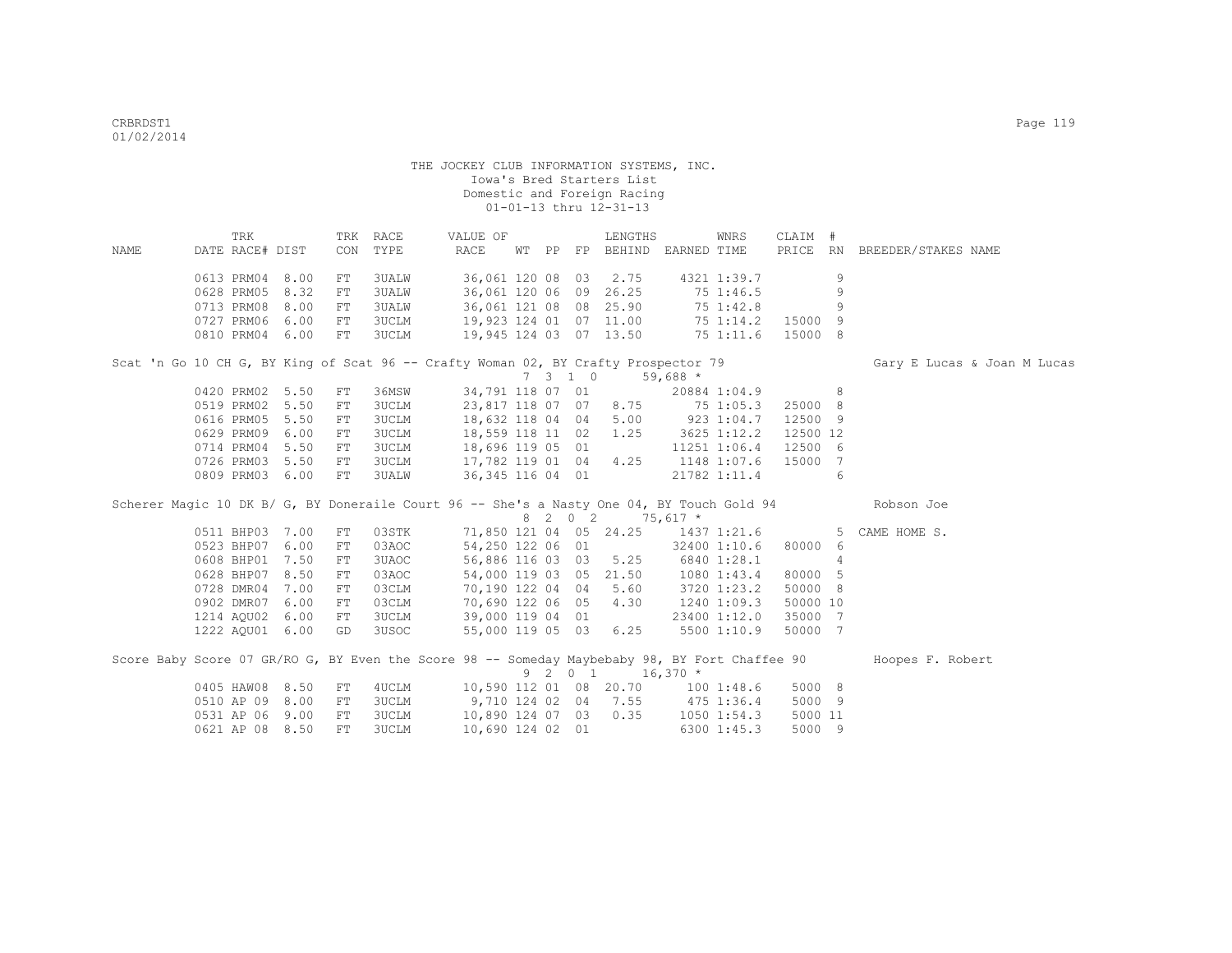| NAME | TRK<br>DATE RACE# DIST                                                                        |      |            | TRK RACE<br>CON TYPE | VALUE OF<br>RACE                  |  |         | LENGTHS<br>WT PP FP BEHIND EARNED TIME |            | WNRS            | CLAIM #        |   | PRICE RN BREEDER/STAKES NAME                                                                         |
|------|-----------------------------------------------------------------------------------------------|------|------------|----------------------|-----------------------------------|--|---------|----------------------------------------|------------|-----------------|----------------|---|------------------------------------------------------------------------------------------------------|
|      | 0613 PRM04                                                                                    | 8.00 | ${\rm FT}$ | 3UALW                |                                   |  |         | 36,061 120 08 03 2.75                  |            | 4321 1:39.7     |                | 9 |                                                                                                      |
|      | 0628 PRM05                                                                                    | 8.32 | ${\rm FT}$ | 3UALW                | 36,061 120 06 09 26.25            |  |         |                                        |            | 75 1:46.5       |                | 9 |                                                                                                      |
|      | 0713 PRM08                                                                                    | 8.00 | FT         | 3UALW                |                                   |  |         | 36,061 121 08 08 25.90                 |            | 75 1:42.8       |                | 9 |                                                                                                      |
|      | 0727 PRM06                                                                                    | 6.00 | FT         | 3UCLM                |                                   |  |         | 19,923 124 01 07 11.00                 |            | 75 1:14.2       | 15000 9        |   |                                                                                                      |
|      | 0810 PRM04 6.00                                                                               |      | FT         | <b>3UCLM</b>         |                                   |  |         | 19,945 124 03 07 13.50                 |            | 75 1:11.6       | 15000 8        |   |                                                                                                      |
|      | Scat 'n Go 10 CH G, BY King of Scat 96 -- Crafty Woman 02, BY Crafty Prospector 79            |      |            |                      |                                   |  |         |                                        |            |                 |                |   | Gary E Lucas & Joan M Lucas                                                                          |
|      |                                                                                               |      |            |                      |                                   |  | 7310    |                                        | $59,688$ * |                 |                |   |                                                                                                      |
|      | 0420 PRM02 5.50                                                                               |      | ${\rm FT}$ | 36MSW                |                                   |  |         | 34,791 118 07 01                       |            | 20884 1:04.9    | 8 <sup>1</sup> |   |                                                                                                      |
|      | 0519 PRM02 5.50                                                                               |      | FT         | <b>3UCLM</b>         | 23,817 118 07 07 8.75 75 1:05.3   |  |         |                                        |            |                 | 25000 8        |   |                                                                                                      |
|      | 0616 PRM05                                                                                    | 5.50 | FT         | <b>3UCLM</b>         |                                   |  |         | 18,632 118 04 04 5.00 923 1:04.7       |            |                 | 12500 9        |   |                                                                                                      |
|      | 0629 PRM09                                                                                    | 6.00 | ${\rm FT}$ | 3UCLM                | 18,559 118 11 02                  |  |         | 1.25                                   |            | 3625 1:12.2     | 12500 12       |   |                                                                                                      |
|      | 0714 PRM04                                                                                    | 5.50 | FT         | 3UCLM                | 18,696 119 05 01                  |  |         |                                        |            | 11251 1:06.4    | 12500 6        |   |                                                                                                      |
|      | 0726 PRM03 5.50                                                                               |      | FT         | 3UCLM                | 17,782 119 01 04 4.25             |  |         |                                        |            | 1148 1:07.6     | 15000 7        |   |                                                                                                      |
|      | 0809 PRM03 6.00                                                                               |      | FT         | 3UALW                | 36, 345 116 04 01                 |  |         |                                        |            | 21782 1:11.4    |                | 6 |                                                                                                      |
|      |                                                                                               |      |            |                      |                                   |  |         |                                        |            |                 |                |   | Scherer Magic 10 DK B/ G, BY Doneraile Court 96 -- She's a Nasty One 04, BY Touch Gold 94 Robson Joe |
|      |                                                                                               |      |            |                      |                                   |  |         | 8 2 0 2 75,617 *                       |            |                 |                |   |                                                                                                      |
|      | 0511 BHP03 7.00                                                                               |      | FT         | 03STK                |                                   |  |         | 71,850 121 04 05 24.25                 |            |                 |                |   | 1437 1:21.6 5 CAME HOME S.                                                                           |
|      | 0523 BHP07                                                                                    | 6.00 | ${\rm FT}$ | 03AOC                |                                   |  |         | 54,250 122 06 01                       |            | 32400 1:10.6    | 80000 6        |   |                                                                                                      |
|      | 0608 BHP01                                                                                    | 7.50 | FT         | 3UAOC                |                                   |  |         | 56,886 116 03 03 5.25                  |            | 6840 1:28.1     |                | 4 |                                                                                                      |
|      | 0628 BHP07                                                                                    | 8.50 | FT         | 03AOC                |                                   |  |         | 54,000 119 03 05 21.50                 |            | 1080 1:43.4     | 80000 5        |   |                                                                                                      |
|      | 0728 DMR04                                                                                    | 7.00 | FT         | 03CLM                | 70,190 122 04 04 5.60             |  |         |                                        |            | 3720 1:23.2     | 50000 8        |   |                                                                                                      |
|      | 0902 DMR07                                                                                    | 6.00 | FT         | 03CLM                | 70,690 122 06 05 4.30             |  |         |                                        |            | 1240 1:09.3     | 50000 10       |   |                                                                                                      |
|      | 1214 AOU02                                                                                    | 6.00 | FT         | 3UCLM                | 39,000 119 04 01                  |  |         |                                        |            | 23400 1:12.0    | 35000 7        |   |                                                                                                      |
|      | 1222 AQU01 6.00                                                                               |      | GD         | 3USOC                |                                   |  |         | 55,000 119 05 03 6.25                  |            | 5500 1:10.9     | 50000 7        |   |                                                                                                      |
|      | Score Baby Score 07 GR/RO G, BY Even the Score 98 -- Someday Maybebaby 98, BY Fort Chaffee 90 |      |            |                      |                                   |  | 9 2 0 1 |                                        | $16,370$ * |                 |                |   | Hoopes F. Robert                                                                                     |
|      | 0405 HAW08 8.50                                                                               |      | FT         | 4UCLM                | 10,590 112 01 08 20.70 100 1:48.6 |  |         |                                        |            |                 | 5000 8         |   |                                                                                                      |
|      | 0510 AP 09 8.00                                                                               |      | ${\rm FT}$ | 3UCLM                | 9,710 124 02 04 7.55 475 1:36.4   |  |         |                                        |            |                 | 5000 9         |   |                                                                                                      |
|      | 0531 AP 06 9.00                                                                               |      | FT         | 3UCLM                |                                   |  |         | 10,890 124 07 03 0.35                  |            | $1050$ $1:54.3$ | 5000 11        |   |                                                                                                      |
|      | 0621 AP 08 8.50                                                                               |      | FT         | 3UCLM                | 10,690 124 02 01                  |  |         |                                        |            | 6300 1:45.3     | 5000 9         |   |                                                                                                      |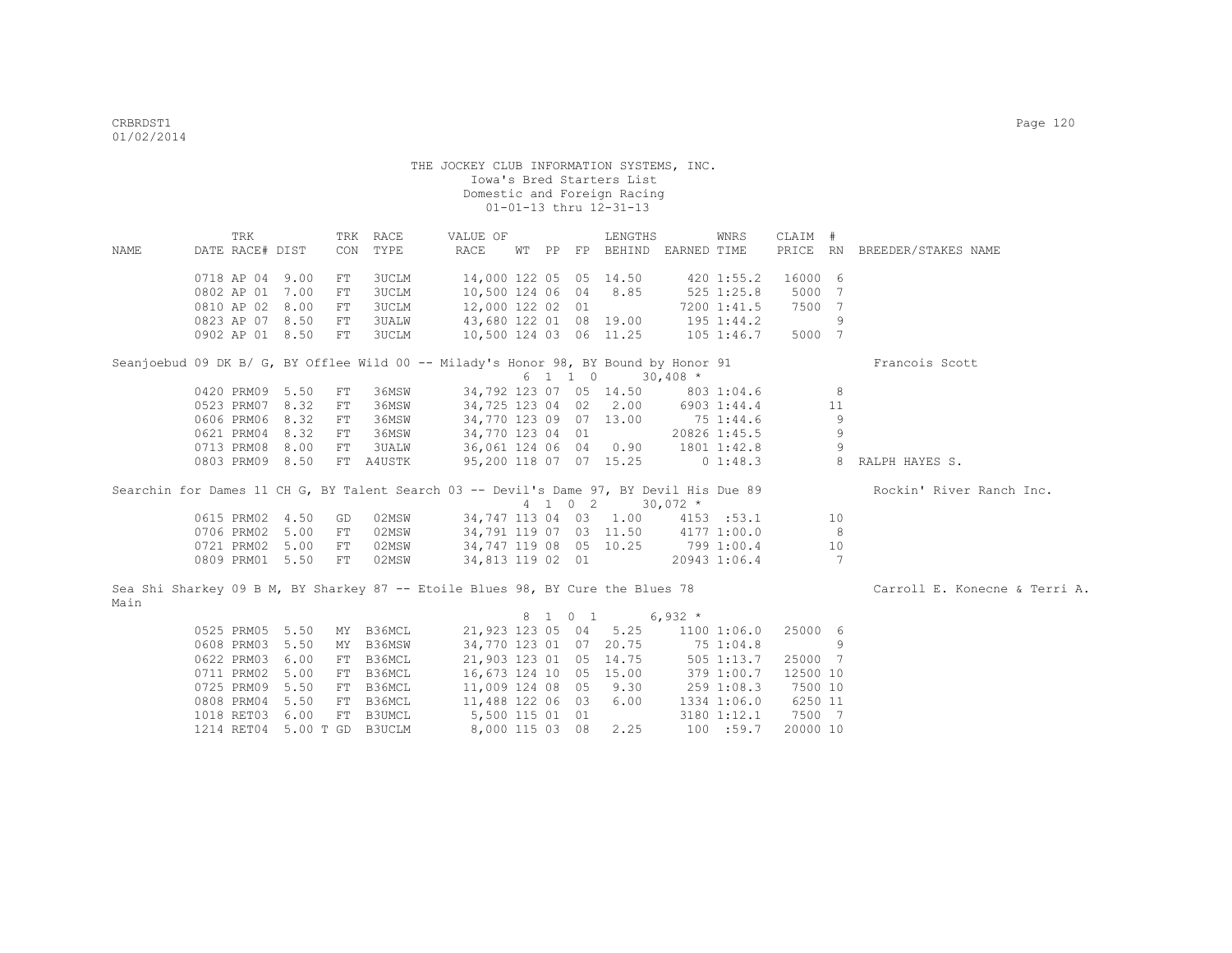|      | TRK             |            | TRK RACE                    | VALUE OF                                                                            |  |         | LENGTHS                           |              | WNRS           | CLAIM #  |                |                                                                                                                  |
|------|-----------------|------------|-----------------------------|-------------------------------------------------------------------------------------|--|---------|-----------------------------------|--------------|----------------|----------|----------------|------------------------------------------------------------------------------------------------------------------|
| NAME | DATE RACE# DIST | CON        | TYPE                        | RACE                                                                                |  |         | WT PP FP BEHIND EARNED TIME       |              |                |          |                | PRICE RN BREEDER/STAKES NAME                                                                                     |
|      |                 |            |                             |                                                                                     |  |         |                                   |              |                |          |                |                                                                                                                  |
|      | 0718 AP 04 9.00 | FT         | 3UCLM                       | 14,000 122 05 05 14.50                                                              |  |         |                                   |              | 420 1:55.2     | 16000 6  |                |                                                                                                                  |
|      | 0802 AP 01 7.00 | FT         | 3UCLM                       | 10,500 124 06 04 8.85                                                               |  |         |                                   | $525$ 1:25.8 |                | 5000     | 7              |                                                                                                                  |
|      | 0810 AP 02 8.00 | FT         | 3UCLM                       | 12,000 122 02 01                                                                    |  |         |                                   |              | 7200 1:41.5    | 7500 7   |                |                                                                                                                  |
|      | 0823 AP 07 8.50 | FT         | 3UALW                       | 43,680 122 01 08 19.00                                                              |  |         |                                   | 195 1:44.2   |                |          | 9              |                                                                                                                  |
|      | 0902 AP 01 8.50 | FT         | 3UCLM                       | 10,500 124 03 06 11.25                                                              |  |         |                                   | $105$ 1:46.7 |                | 5000 7   |                |                                                                                                                  |
|      |                 |            |                             | Seanjoebud 09 DK B/ G, BY Offlee Wild 00 -- Milady's Honor 98, BY Bound by Honor 91 |  |         |                                   |              |                |          |                | Francois Scott                                                                                                   |
|      |                 |            |                             |                                                                                     |  |         | 6 1 1 0 30,408 *                  |              |                |          |                |                                                                                                                  |
|      | 0420 PRM09 5.50 | ${\rm FT}$ | 36MSW                       |                                                                                     |  |         | 34,792 123 07 05 14.50 803 1:04.6 |              |                |          | 8              |                                                                                                                  |
|      | 0523 PRM07 8.32 | FT         | 36MSW                       |                                                                                     |  |         | 34,725 123 04 02 2.00 6903 1:44.4 |              |                |          | 11             |                                                                                                                  |
|      | 0606 PRM06 8.32 | FT         | 36MSW                       |                                                                                     |  |         | 34,770 123 09 07 13.00            | 75 1:44.6    |                |          | 9              |                                                                                                                  |
|      | 0621 PRM04 8.32 | FT         | 36MSW                       | 34,770 123 04 01                                                                    |  |         |                                   | 20826 1:45.5 |                |          | 9              |                                                                                                                  |
|      | 0713 PRM08 8.00 | FT         | 3UALW                       | 36,061 124 06 04 0.90 1801 1:42.8                                                   |  |         |                                   |              |                |          | 9              |                                                                                                                  |
|      | 0803 PRM09 8.50 |            | FT A4USTK                   | 95,200 118 07 07 15.25                                                              |  |         |                                   |              |                |          |                | 0 1:48.3 8 RALPH HAYES S.                                                                                        |
|      |                 |            |                             |                                                                                     |  |         |                                   |              |                |          |                | Searchin for Dames 11 CH G, BY Talent Search 03 -- Devil's Dame 97, BY Devil His Due 89 Rockin' River Ranch Inc. |
|      |                 |            |                             |                                                                                     |  |         | 4 1 0 2 30,072 *                  |              |                |          |                |                                                                                                                  |
|      | 0615 PRM02 4.50 | GD         | 02MSW                       |                                                                                     |  |         | 34,747 113 04 03 1.00 4153 :53.1  |              |                |          | 10             |                                                                                                                  |
|      | 0706 PRM02 5.00 | FT         | 02MSW                       | 34,791 119 07 03 11.50 4177 1:00.0                                                  |  |         |                                   |              |                |          | 8              |                                                                                                                  |
|      | 0721 PRM02 5.00 | FT         | 02MSW                       | 34,747 119 08 05 10.25                                                              |  |         |                                   | 799 1:00.4   |                |          | 10             |                                                                                                                  |
|      | 0809 PRM01 5.50 | FT         | 02MSW                       | 34,813 119 02 01                                                                    |  |         | 20943 1:06.4                      |              |                |          | $\overline{7}$ |                                                                                                                  |
|      |                 |            |                             | Sea Shi Sharkey 09 B M, BY Sharkey 87 -- Etoile Blues 98, BY Cure the Blues 78      |  |         |                                   |              |                |          |                | Carroll E. Konecne & Terri A.                                                                                    |
| Main |                 |            |                             |                                                                                     |  |         |                                   |              |                |          |                |                                                                                                                  |
|      |                 |            |                             |                                                                                     |  | 8 1 0 1 | $6,932$ *                         |              |                |          |                |                                                                                                                  |
|      | 0525 PRM05 5.50 |            | MY B36MCL                   | 21,923 123 05 04                                                                    |  |         | 5.25                              |              | 1100 1:06.0    | 25000 6  |                |                                                                                                                  |
|      | 0608 PRM03 5.50 |            | MY B36MSW                   | 34,770 123 01 07 20.75 75 1:04.8                                                    |  |         |                                   |              |                |          | 9              |                                                                                                                  |
|      | 0622 PRM03 6.00 |            | FT B36MCL                   | 21,903 123 01 05 14.75                                                              |  |         |                                   |              | $505$ $1:13.7$ | 25000 7  |                |                                                                                                                  |
|      | 0711 PRM02 5.00 |            | FT B36MCL                   | 16,673 124 10 05 15.00                                                              |  |         |                                   |              | 379 1:00.7     | 12500 10 |                |                                                                                                                  |
|      | 0725 PRM09 5.50 |            | FT B36MCL                   | 11,009 124 08 05 9.30                                                               |  |         |                                   | 259 1:08.3   |                | 7500 10  |                |                                                                                                                  |
|      | 0808 PRM04 5.50 |            | FT B36MCL                   | 11,488 122 06 03                                                                    |  |         | 6.00                              |              | 1334 1:06.0    | 6250 11  |                |                                                                                                                  |
|      | 1018 RET03 6.00 |            | FT B3UMCL                   | 5,500 115 01 01                                                                     |  |         |                                   |              | 3180 1:12.1    | 7500 7   |                |                                                                                                                  |
|      |                 |            | 1214 RET04 5.00 T GD B3UCLM | 8,000 115 03 08                                                                     |  |         | 2.25                              |              | 100 : 59.7     | 20000 10 |                |                                                                                                                  |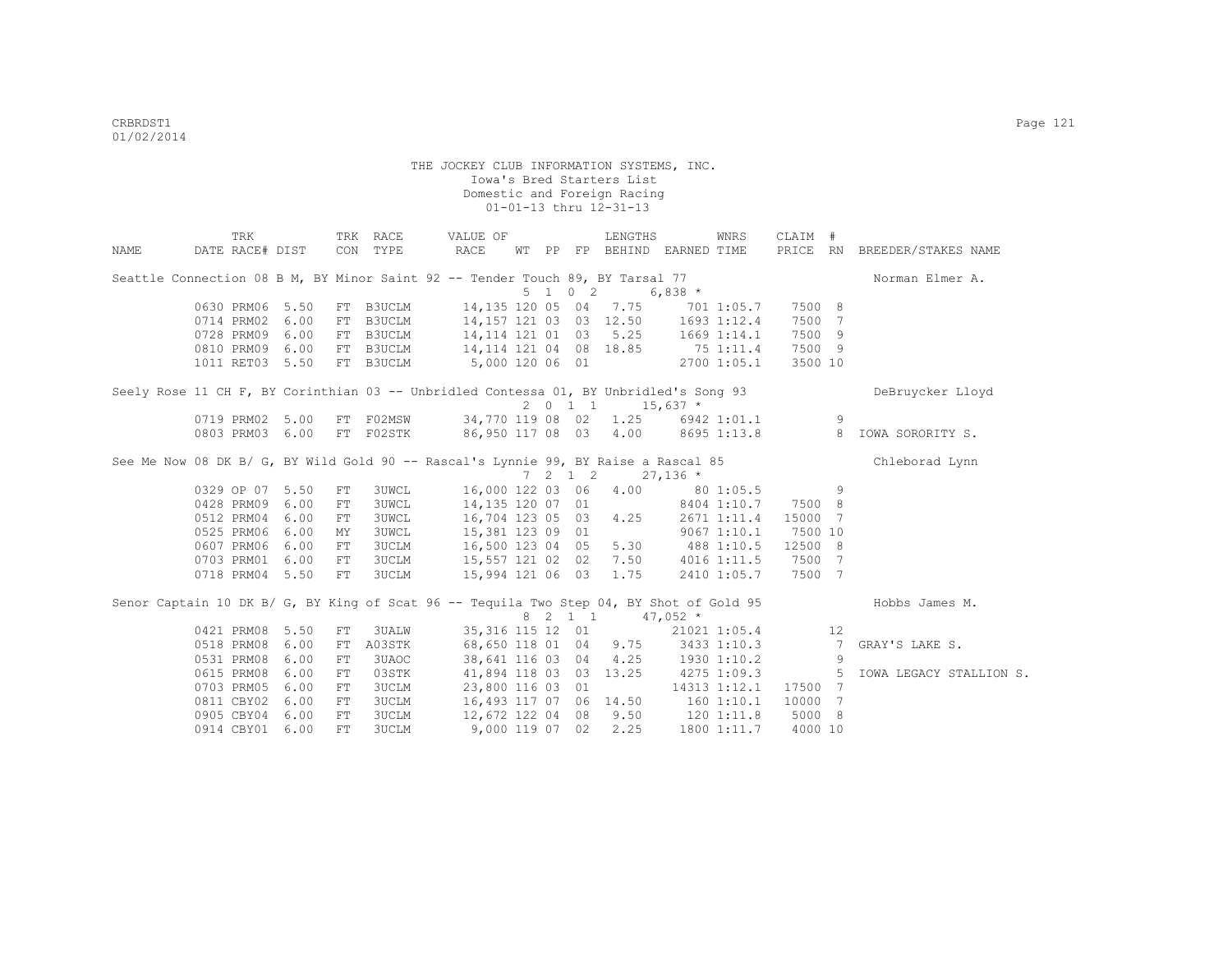|      | TRK                                                                                     |      |     | TRK RACE     |                         | VALUE OF |    |                 | LENGTHS                            |            | WNRS            | CLAIM # |                 |                              |
|------|-----------------------------------------------------------------------------------------|------|-----|--------------|-------------------------|----------|----|-----------------|------------------------------------|------------|-----------------|---------|-----------------|------------------------------|
| NAME | DATE RACE# DIST                                                                         |      |     | CON TYPE     | <b>RACE</b>             |          | WТ |                 | PP FP BEHIND EARNED TIME           |            |                 |         |                 | PRICE RN BREEDER/STAKES NAME |
|      | Seattle Connection 08 B M, BY Minor Saint 92 -- Tender Touch 89, BY Tarsal 77           |      |     |              |                         |          |    |                 |                                    |            |                 |         |                 | Norman Elmer A.              |
|      |                                                                                         |      |     |              |                         |          |    | 5 1 0 2         |                                    | $6,838$ *  |                 |         |                 |                              |
|      | 0630 PRM06                                                                              | 5.50 |     | FT B3UCLM    |                         |          |    |                 | 14,135 120 05 04 7.75              |            | 701 1:05.7      | 7500 8  |                 |                              |
|      | 0714 PRM02                                                                              | 6.00 | FT  | B3UCLM       |                         |          |    |                 | 14,157 121 03 03 12.50 1693 1:12.4 |            |                 | 7500    | 7               |                              |
|      | 0728 PRM09                                                                              | 6.00 | FT  | B3UCLM       |                         |          |    |                 | 14, 114 121 01 03 5.25             |            | $1669$ $1:14.1$ | 7500 9  |                 |                              |
|      | 0810 PRM09                                                                              | 6.00 |     | FT B3UCLM    | 14, 114 121 04 08 18.85 |          |    |                 |                                    | 75 1:11.4  |                 | 7500 9  |                 |                              |
|      | 1011 RET03 5.50                                                                         |      |     | FT B3UCLM    | 5,000 120 06 01         |          |    |                 |                                    |            | 2700 1:05.1     | 3500 10 |                 |                              |
|      | Seely Rose 11 CH F, BY Corinthian 03 -- Unbridled Contessa 01, BY Unbridled's Song 93   |      |     |              |                         |          |    |                 | 2 0 1 1                            | $15,637$ * |                 |         |                 | DeBruycker Lloyd             |
|      | 0719 PRM02 5.00                                                                         |      | FT  | F02MSW       |                         |          |    |                 | 34,770 119 08 02 1.25 6942 1:01.1  |            |                 |         | 9               |                              |
|      | 0803 PRM03                                                                              | 6.00 |     | FT F02STK    |                         |          |    |                 | 86,950 117 08 03 4.00 8695 1:13.8  |            |                 |         | 8               | IOWA SORORITY S.             |
|      | See Me Now 08 DK B/ G, BY Wild Gold 90 -- Rascal's Lynnie 99, BY Raise a Rascal 85      |      |     |              |                         |          |    |                 |                                    |            |                 |         |                 | Chleborad Lynn               |
|      |                                                                                         |      |     |              |                         |          |    | $7 \t2 \t1 \t2$ |                                    | $27,136$ * |                 |         |                 |                              |
|      | 0329 OP 07 5.50                                                                         |      | FT  | <b>3UWCL</b> | 16,000 122 03 06        |          |    |                 | 4.00                               |            | 80 1:05.5       |         | 9               |                              |
|      | 0428 PRM09                                                                              | 6.00 | FT  | <b>3UWCL</b> |                         |          |    |                 | 14,135 120 07 01                   |            | 8404 1:10.7     | 7500 8  |                 |                              |
|      | 0512 PRM04                                                                              | 6.00 | FT  | <b>3UWCL</b> | 16,704 123 05 03        |          |    |                 | 4.25                               |            | 2671 1:11.4     | 15000 7 |                 |                              |
|      | 0525 PRM06                                                                              | 6.00 | МY  | <b>3UWCL</b> |                         |          |    |                 | 15,381 123 09 01                   |            | 90671:10.1      | 7500 10 |                 |                              |
|      | 0607 PRM06                                                                              | 6.00 | FT  | <b>3UCLM</b> |                         |          |    |                 | 16,500 123 04 05 5.30              | 488 1:10.5 |                 | 12500 8 |                 |                              |
|      | 0703 PRM01                                                                              | 6.00 | FT  | <b>3UCLM</b> |                         |          |    |                 | 15,557 121 02 02 7.50              |            | 4016 1:11.5     | 7500    | 7               |                              |
|      | 0718 PRM04 5.50                                                                         |      | FT  | <b>3UCLM</b> |                         |          |    |                 | 15,994 121 06 03 1.75              |            | 2410 1:05.7     | 7500 7  |                 |                              |
|      | Senor Captain 10 DK B/ G, BY King of Scat 96 -- Tequila Two Step 04, BY Shot of Gold 95 |      |     |              |                         |          |    |                 | 8 2 1 1 47,052 *                   |            |                 |         |                 | Hobbs James M.               |
|      | 0421 PRM08                                                                              | 5.50 | FT  | 3UALW        |                         |          |    |                 | 35,316 115 12 01                   |            | 21021 1:05.4    |         | 12              |                              |
|      | 0518 PRM08                                                                              | 6.00 | FT  | A03STK       |                         |          |    |                 | 68,650 118 01 04 9.75              |            | 3433 1:10.3     |         | $7\phantom{.0}$ | GRAY'S LAKE S.               |
|      | 0531 PRM08                                                                              | 6.00 | FT  | 3UAOC        |                         |          |    |                 | 38,641 116 03 04 4.25              |            | 1930 1:10.2     |         | 9               |                              |
|      | 0615 PRM08                                                                              | 6.00 | FT. | 03STK        |                         |          |    |                 | 41,894 118 03 03 13.25             |            | 4275 1:09.3     |         | 5               | IOWA LEGACY STALLION S.      |
|      | 0703 PRM05                                                                              | 6.00 | FT. | <b>3UCLM</b> | 23,800 116 03 01        |          |    |                 |                                    |            | 14313 1:12.1    | 17500 7 |                 |                              |
|      | 0811 CBY02                                                                              | 6.00 | FT  | <b>3UCLM</b> |                         |          |    |                 | 16,493 117 07 06 14.50 160 1:10.1  |            |                 | 10000   | $7\phantom{.0}$ |                              |
|      | 0905 CBY04                                                                              | 6.00 | FT  | <b>3UCLM</b> |                         |          |    |                 | 12,672 122 04 08 9.50 120 1:11.8   |            |                 | 5000 8  |                 |                              |
|      | 0914 CBY01 6.00                                                                         |      | FT  | 3UCLM        |                         |          |    |                 | 9,000 119 07 02 2.25               |            | 1800 1:11.7     | 4000 10 |                 |                              |
|      |                                                                                         |      |     |              |                         |          |    |                 |                                    |            |                 |         |                 |                              |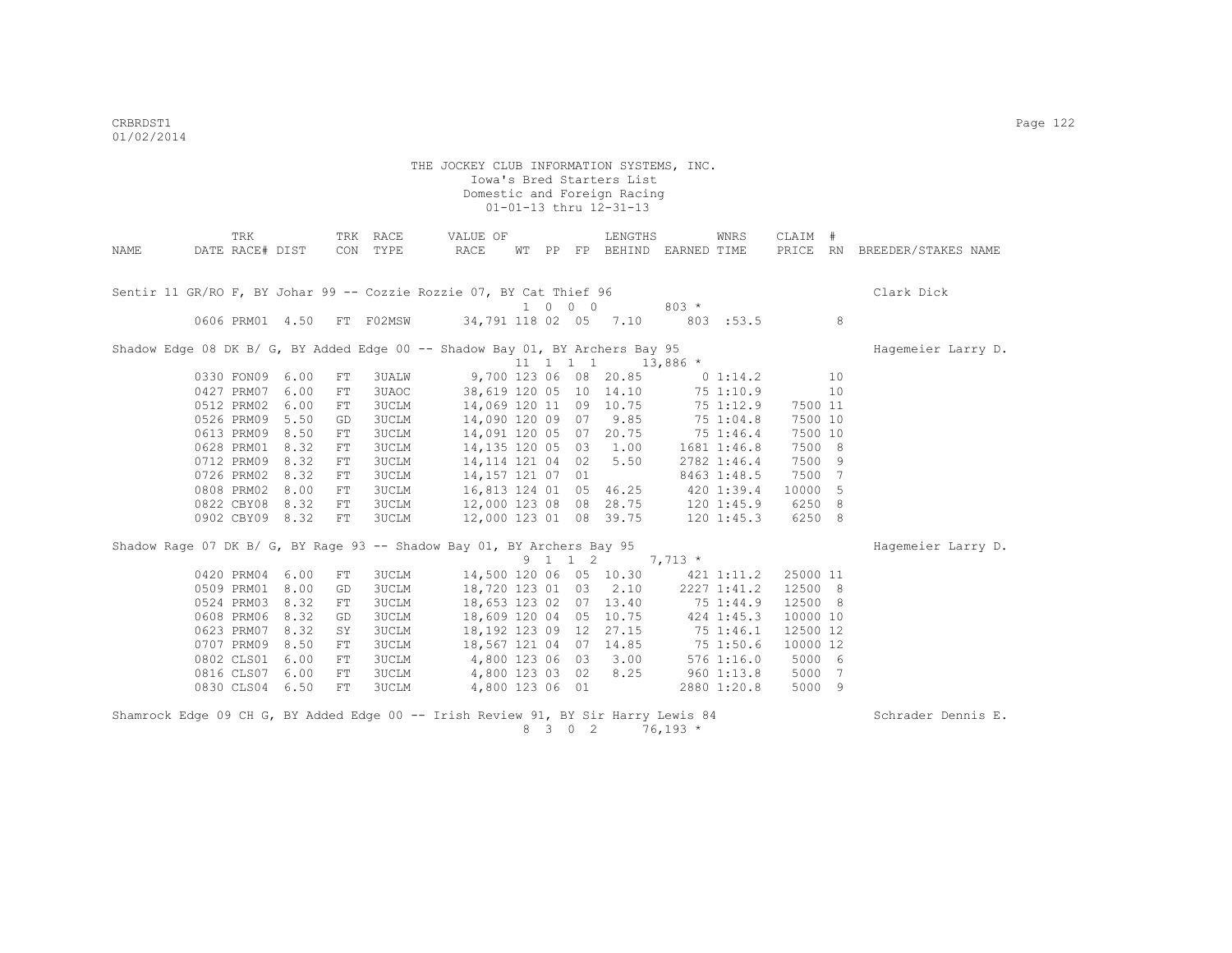|      | TRK             |      |            | TRK RACE     | VALUE OF                                                                          |   |                             | LENGTHS                           |             | WNRS        | CLAIM #  |    |                              |
|------|-----------------|------|------------|--------------|-----------------------------------------------------------------------------------|---|-----------------------------|-----------------------------------|-------------|-------------|----------|----|------------------------------|
| NAME | DATE RACE# DIST |      |            | CON TYPE     | RACE                                                                              |   |                             | WT PP FP BEHIND EARNED TIME       |             |             |          |    | PRICE RN BREEDER/STAKES NAME |
|      |                 |      |            |              |                                                                                   |   |                             |                                   |             |             |          |    |                              |
|      |                 |      |            |              |                                                                                   |   |                             |                                   |             |             |          |    |                              |
|      |                 |      |            |              | Sentir 11 GR/RO F, BY Johar 99 -- Cozzie Rozzie 07, BY Cat Thief 96               |   |                             |                                   |             |             |          |    | Clark Dick                   |
|      |                 |      |            |              |                                                                                   |   | $1 \quad 0 \quad 0 \quad 0$ |                                   | $803 *$     |             |          |    |                              |
|      | 0606 PRM01 4.50 |      |            | FT F02MSW    |                                                                                   |   |                             | 34,791 118 02 05 7.10             |             | 803 :53.5   |          | 8  |                              |
|      |                 |      |            |              | Shadow Edge 08 DK B/ G, BY Added Edge 00 -- Shadow Bay 01, BY Archers Bay 95      |   |                             |                                   |             |             |          |    | Hagemeier Larry D.           |
|      |                 |      |            |              |                                                                                   |   | $11$ 1 1 1                  |                                   | $13,886$ *  |             |          |    |                              |
|      | 0330 FON09 6.00 |      | FT.        | 3UALW        |                                                                                   |   |                             | 9,700 123 06 08 20.85             |             | $0\;1:14.2$ |          | 10 |                              |
|      | 0427 PRM07 6.00 |      | FT         | 3UAOC        |                                                                                   |   |                             | 38,619 120 05 10 14.10            |             | 75 1:10.9   |          | 10 |                              |
|      | 0512 PRM02 6.00 |      | ${\rm FT}$ | <b>3UCLM</b> |                                                                                   |   |                             | 14,069 120 11 09 10.75            |             | 75 1:12.9   | 7500 11  |    |                              |
|      | 0526 PRM09 5.50 |      | GD         | <b>3UCLM</b> | 14,090 120 09 07                                                                  |   |                             | 9.85                              |             | 75 1:04.8   | 7500 10  |    |                              |
|      | 0613 PRM09 8.50 |      | FT         | <b>3UCLM</b> | 14,091 120 05 07 20.75                                                            |   |                             |                                   | $75$ 1:46.4 |             | 7500 10  |    |                              |
|      | 0628 PRM01 8.32 |      | FT         | <b>3UCLM</b> | 14,135 120 05 03 1.00                                                             |   |                             |                                   |             | 1681 1:46.8 | 7500 8   |    |                              |
|      | 0712 PRM09 8.32 |      | FT         | <b>3UCLM</b> | 14, 114 121 04 02 5.50                                                            |   |                             |                                   |             | 2782 1:46.4 | 7500 9   |    |                              |
|      | 0726 PRM02 8.32 |      | FT         | <b>3UCLM</b> | 14,157 121 07 01                                                                  |   |                             |                                   |             | 8463 1:48.5 | 7500 7   |    |                              |
|      | 0808 PRM02 8.00 |      | FT         | <b>3UCLM</b> |                                                                                   |   |                             | 16,813 124 01 05 46.25 420 1:39.4 |             |             | 10000 5  |    |                              |
|      | 0822 CBY08 8.32 |      | FT         | 3UCLM        |                                                                                   |   |                             | 12,000 123 08 08 28.75 120 1:45.9 |             |             | 6250 8   |    |                              |
|      | 0902 CBY09 8.32 |      | FT         | 3UCLM        |                                                                                   |   |                             | 12,000 123 01 08 39.75 120 1:45.3 |             |             | 6250 8   |    |                              |
|      |                 |      |            |              |                                                                                   |   |                             |                                   |             |             |          |    |                              |
|      |                 |      |            |              | Shadow Raqe 07 DK B/ G, BY Raqe 93 -- Shadow Bay 01, BY Archers Bay 95            |   |                             |                                   |             |             |          |    | Hagemeier Larry D.           |
|      |                 |      |            |              |                                                                                   |   | 9 1 1 2                     |                                   | $7,713*$    |             |          |    |                              |
|      | 0420 PRM04 6.00 |      | FT         | 3UCLM        | 14,500 120 06 05 10.30                                                            |   |                             |                                   |             | 421 1:11.2  | 25000 11 |    |                              |
|      | 0509 PRM01      | 8.00 | GD         | 3UCLM        | 18,720 123 01 03 2.10                                                             |   |                             |                                   |             | 2227 1:41.2 | 12500 8  |    |                              |
|      | 0524 PRM03      | 8.32 | FT         | <b>3UCLM</b> |                                                                                   |   |                             | 18,653 123 02 07 13.40 75 1:44.9  |             |             | 12500 8  |    |                              |
|      | 0608 PRM06      | 8.32 | GD         | <b>3UCLM</b> |                                                                                   |   |                             | 18,609 120 04 05 10.75 424 1:45.3 |             |             | 10000 10 |    |                              |
|      | 0623 PRM07      | 8.32 | SY         | <b>3UCLM</b> |                                                                                   |   |                             | 18,192 123 09 12 27.15            |             | 75 1:46.1   | 12500 12 |    |                              |
|      | 0707 PRM09 8.50 |      | FT         | <b>3UCLM</b> |                                                                                   |   |                             | 18,567 121 04 07 14.85            |             | 75 1:50.6   | 10000 12 |    |                              |
|      | 0802 CLS01 6.00 |      | FT         | 3UCLM        | 4,800 123 06 03 3.00                                                              |   |                             |                                   |             | 5761:16.0   | 5000 6   |    |                              |
|      | 0816 CLS07 6.00 |      | ${\rm FT}$ | 3UCLM        | 4,800 123 03 02 8.25                                                              |   |                             |                                   |             | 960 1:13.8  | 5000 7   |    |                              |
|      | 0830 CLS04 6.50 |      | FT         | 3UCLM        |                                                                                   |   |                             | 4,800 123 06 01                   |             | 2880 1:20.8 | 5000 9   |    |                              |
|      |                 |      |            |              | Shamrock Edge 09 CH G, BY Added Edge 00 -- Irish Review 91, BY Sir Harry Lewis 84 |   |                             |                                   |             |             |          |    | Schrader Dennis E.           |
|      |                 |      |            |              |                                                                                   | 8 | 3 0 2                       |                                   | $76,193*$   |             |          |    |                              |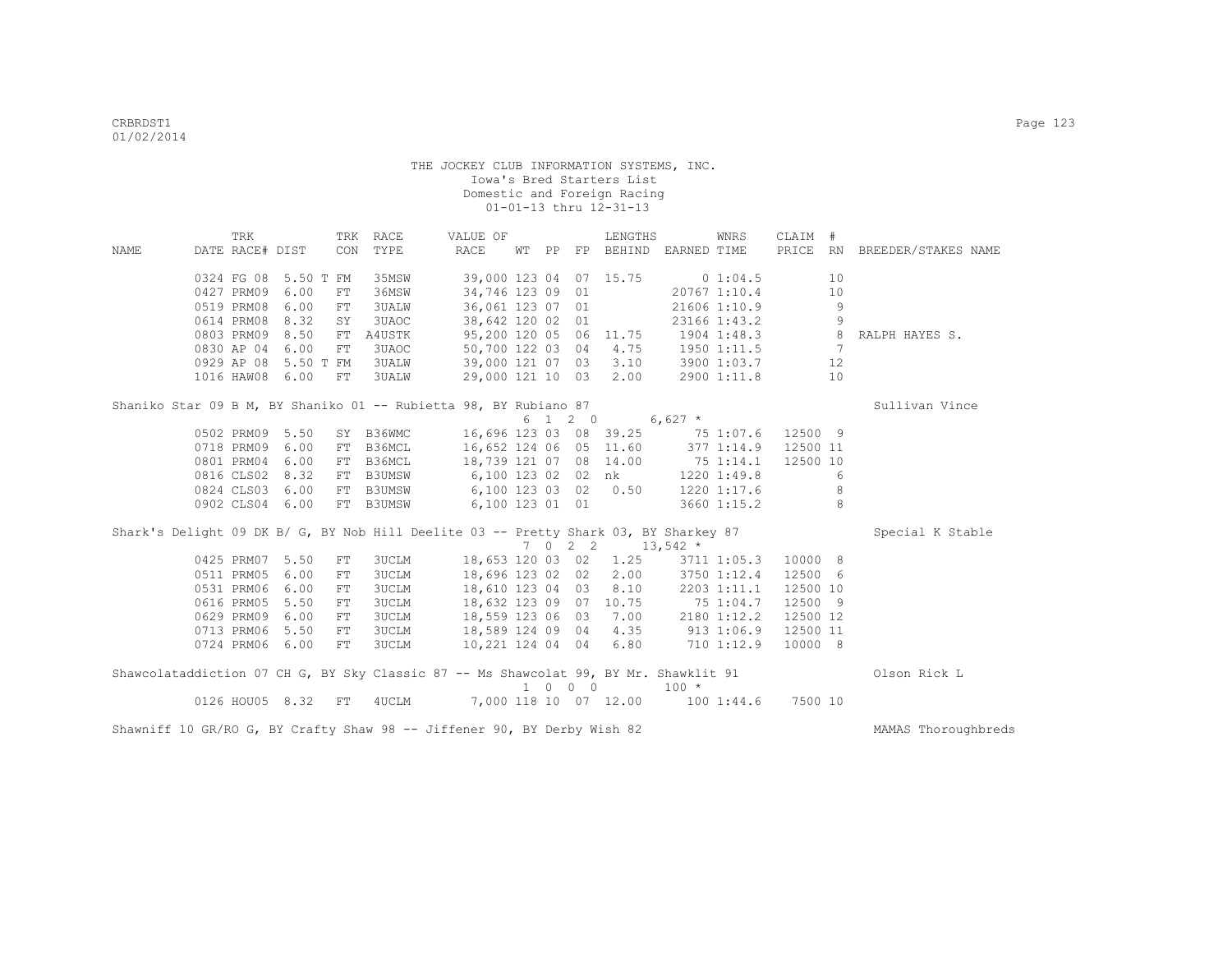|             | TRK             |                 |            | TRK RACE     | VALUE OF                                                                             |       |                             | LENGTHS                |                       | WNRS         | CLAIM #        |    |                        |
|-------------|-----------------|-----------------|------------|--------------|--------------------------------------------------------------------------------------|-------|-----------------------------|------------------------|-----------------------|--------------|----------------|----|------------------------|
| <b>NAME</b> | DATE RACE# DIST |                 | CON        | TYPE         | RACE                                                                                 | WT PP |                             |                        | FP BEHIND EARNED TIME |              | PRICE          |    | RN BREEDER/STAKES NAME |
|             | 0324 FG 08      | 5.50 T FM       |            | 35MSW        |                                                                                      |       |                             | 39,000 123 04 07 15.75 |                       | 01:04.5      |                | 10 |                        |
|             | 0427 PRM09      | 6.00            | FT         | 36MSW        | 34,746 123 09 01                                                                     |       |                             |                        |                       | 20767 1:10.4 |                | 10 |                        |
|             | 0519 PRM08      | 6.00            | FT         | 3UALW        | 36,061 123 07 01                                                                     |       |                             |                        |                       | 21606 1:10.9 |                | 9  |                        |
|             | 0614 PRM08      | 8.32            | SY         | 3UAOC        | 38,642 120 02 01                                                                     |       |                             |                        |                       | 23166 1:43.2 |                | 9  |                        |
|             | 0803 PRM09      | 8.50            | FT         | A4USTK       |                                                                                      |       |                             | 95,200 120 05 06 11.75 |                       | 1904 1:48.3  | 8 <sup>1</sup> |    | RALPH HAYES S.         |
|             | 0830 AP 04      | 6.00            | FT         | 3UAOC        | 50,700 122 03 04                                                                     |       |                             | 4.75                   | 1950 1:11.5           |              |                | 7  |                        |
|             | 0929 AP 08      | 5.50 T FM       |            | <b>3UALW</b> | 39,000 121 07 03                                                                     |       |                             | 3.10                   |                       | 3900 1:03.7  |                | 12 |                        |
|             |                 | 1016 HAW08 6.00 | FT         | 3UALW        |                                                                                      |       |                             | 29,000 121 10 03 2.00  |                       | 2900 1:11.8  |                | 10 |                        |
|             |                 |                 |            |              |                                                                                      |       |                             |                        |                       |              |                |    |                        |
|             |                 |                 |            |              | Shaniko Star 09 B M, BY Shaniko 01 -- Rubietta 98, BY Rubiano 87                     |       |                             |                        |                       |              |                |    | Sullivan Vince         |
|             |                 |                 |            |              |                                                                                      |       | 6 1 2 0                     |                        | $6,627$ *             |              |                |    |                        |
|             | 0502 PRM09      | 5.50            |            | SY B36WMC    |                                                                                      |       |                             | 16,696 123 03 08 39.25 | 75 1:07.6             |              | 12500 9        |    |                        |
|             | 0718 PRM09      | 6.00            | FT         | B36MCL       | 16,652 124 06 05 11.60                                                               |       |                             |                        |                       | 377 1:14.9   | 12500 11       |    |                        |
|             | 0801 PRM04      | 6.00            |            | FT B36MCL    | 18,739 121 07 08 14.00                                                               |       |                             |                        | 751:14.1              |              | 12500 10       |    |                        |
|             |                 | 0816 CLS02 8.32 |            | FT B3UMSW    | 6,100 123 02 02 nk                                                                   |       |                             |                        |                       | 1220 1:49.8  |                | 6  |                        |
|             |                 | 0824 CLS03 6.00 |            | FT B3UMSW    |                                                                                      |       |                             | 6,100 123 03 02 0.50   |                       | 1220 1:17.6  |                | 8  |                        |
|             | 0902 CLS04      | 6.00            |            | FT B3UMSW    | 6,100 123 01 01                                                                      |       |                             |                        |                       | 3660 1:15.2  |                | 8  |                        |
|             |                 |                 |            |              | Shark's Delight 09 DK B/ G, BY Nob Hill Deelite 03 -- Pretty Shark 03, BY Sharkey 87 |       |                             |                        |                       |              |                |    | Special K Stable       |
|             |                 |                 |            |              |                                                                                      |       |                             |                        | 7 0 2 2 13,542 $*$    |              |                |    |                        |
|             | 0425 PRM07      | 5.50            | ${\rm FT}$ | 3UCLM        | 18,653 120 03 02                                                                     |       |                             | 1.25                   |                       | 3711 1:05.3  | 10000 8        |    |                        |
|             | 0511 PRM05      | 6.00            | FT         | <b>3UCLM</b> | 18,696 123 02 02                                                                     |       |                             | 2.00                   |                       | 3750 1:12.4  | 12500 6        |    |                        |
|             | 0531 PRM06      | 6.00            | FT         | 3UCLM        | 18,610 123 04 03                                                                     |       |                             | 8.10                   |                       | 2203 1:11.1  | 12500 10       |    |                        |
|             | 0616 PRM05      | 5.50            | FT         | 3UCLM        | 18,632 123 09 07 10.75                                                               |       |                             |                        | 75 1:04.7             |              | 12500 9        |    |                        |
|             | 0629 PRM09      | 6.00            | FT         | 3UCLM        | 18,559 123 06 03                                                                     |       |                             | 7.00                   |                       | 2180 1:12.2  | 12500 12       |    |                        |
|             | 0713 PRM06      | 5.50            | FT         | <b>3UCLM</b> | 18,589 124 09 04                                                                     |       |                             | 4.35                   | 9131:06.9             |              | 12500 11       |    |                        |
|             |                 | 0724 PRM06 6.00 | FT         | <b>3UCLM</b> | 10,221 124 04 04                                                                     |       |                             | 6.80                   |                       | 710 1:12.9   | 10000 8        |    |                        |
|             |                 |                 |            |              |                                                                                      |       |                             |                        |                       |              |                |    |                        |
|             |                 |                 |            |              | Shawcolataddiction 07 CH G, BY Sky Classic 87 -- Ms Shawcolat 99, BY Mr. Shawklit 91 |       | $1 \quad 0 \quad 0 \quad 0$ |                        | $100 *$               |              |                |    | Olson Rick L           |
|             |                 | 0126 HOU05 8.32 | FT         | 4UCLM        |                                                                                      |       |                             | 7,000 118 10 07 12.00  |                       | 1001:34.6    | 7500 10        |    |                        |

Shawniff 10 GR/RO G, BY Crafty Shaw 98 -- Jiffener 90, BY Derby Wish 82 MAMAS Thoroughbreds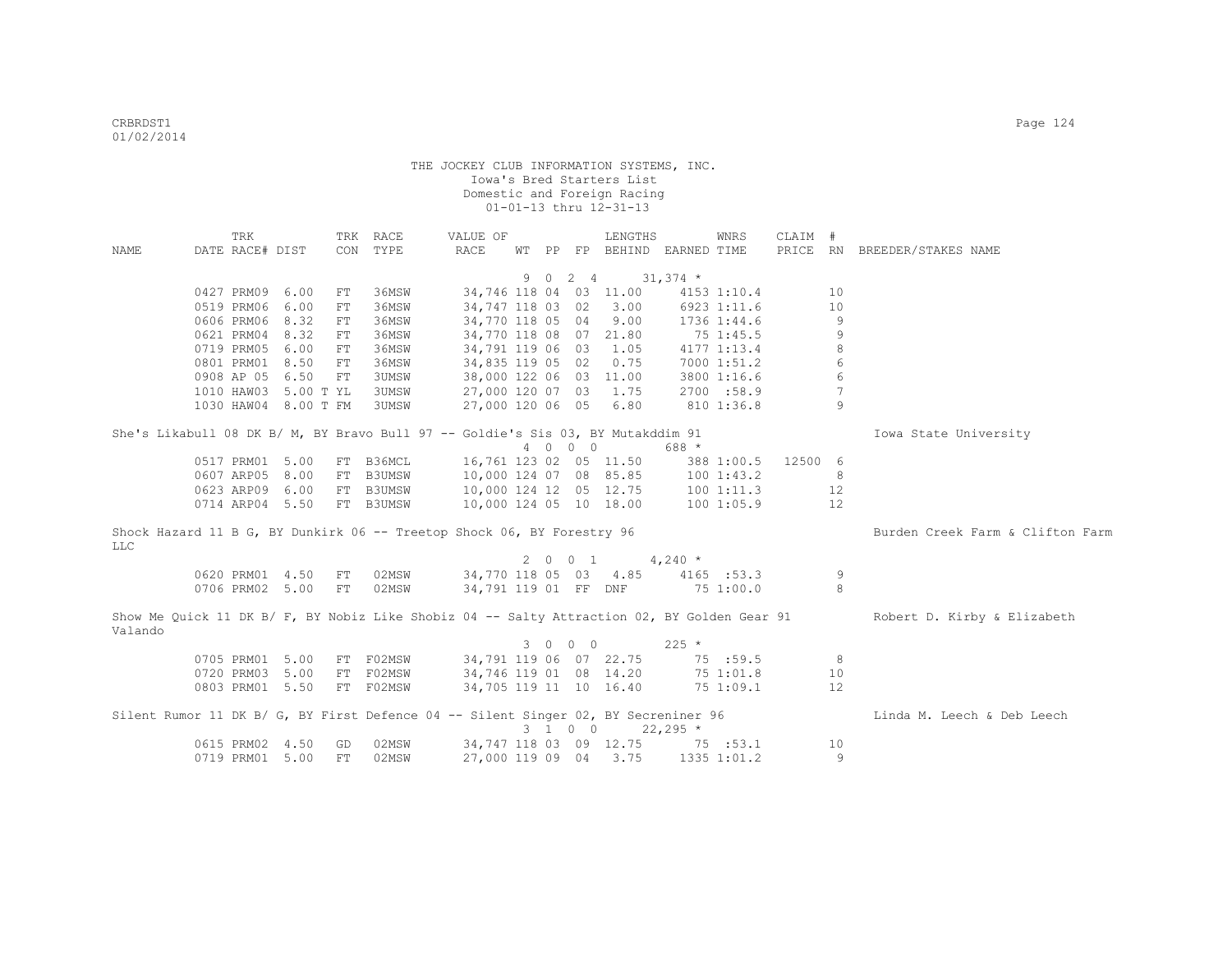|            | TRK             |                      |            | TRK RACE                                                                           | VALUE OF                |   |                     | LENGTHS                     |            | WNRS        | CLAIM # |    |                                                                                                                         |
|------------|-----------------|----------------------|------------|------------------------------------------------------------------------------------|-------------------------|---|---------------------|-----------------------------|------------|-------------|---------|----|-------------------------------------------------------------------------------------------------------------------------|
| NAME       | DATE RACE# DIST |                      |            | CON TYPE                                                                           | <b>RACE</b>             |   |                     | WT PP FP BEHIND EARNED TIME |            |             |         |    | PRICE RN BREEDER/STAKES NAME                                                                                            |
|            |                 |                      |            |                                                                                    |                         |   |                     |                             |            |             |         |    |                                                                                                                         |
|            |                 |                      |            |                                                                                    |                         | 9 | $0 \quad 2 \quad 4$ |                             | $31,374$ * |             |         |    |                                                                                                                         |
|            | 0427 PRM09      | 6.00                 | ${\rm FT}$ | 36MSW                                                                              | 34,746 118 04 03 11.00  |   |                     |                             |            | 4153 1:10.4 |         | 10 |                                                                                                                         |
|            | 0519 PRM06      | 6.00                 | ${\rm FT}$ | 36MSW                                                                              | 34,747 118 03 02        |   |                     | 3.00                        |            | 6923 1:11.6 |         | 10 |                                                                                                                         |
|            | 0606 PRM06      | 8.32                 | ${\rm FT}$ | 36MSW                                                                              | 34,770 118 05 04        |   |                     | 9.00                        |            | 1736 1:44.6 |         | 9  |                                                                                                                         |
|            | 0621 PRM04      | 8.32                 | ${\rm FT}$ | 36MSW                                                                              | 34,770 118 08 07        |   |                     | 21.80                       |            | 75 1:45.5   |         | 9  |                                                                                                                         |
|            | 0719 PRM05      | 6.00                 | FT         | 36MSW                                                                              | 34,791 119 06 03        |   |                     | 1.05                        |            | 4177 1:13.4 |         | 8  |                                                                                                                         |
|            | 0801 PRM01      | 8.50                 | FT         | 36MSW                                                                              | 34,835 119 05 02        |   |                     | 0.75                        |            | 7000 1:51.2 |         | 6  |                                                                                                                         |
|            | 0908 AP 05      | 6.50                 | FT         | 3UMSW                                                                              | 38,000 122 06 03 11.00  |   |                     |                             |            | 3800 1:16.6 |         | 6  |                                                                                                                         |
|            | 1010 HAW03      | 5.00 T YL            |            | 3UMSW                                                                              | 27,000 120 07 03        |   |                     | 1.75                        |            | 2700 :58.9  |         | 7  |                                                                                                                         |
|            |                 | 1030 HAW04 8.00 T FM |            | 3UMSW                                                                              | 27,000 120 06 05        |   |                     | 6.80                        |            | 810 1:36.8  |         | 9  |                                                                                                                         |
|            |                 |                      |            |                                                                                    |                         |   |                     |                             |            |             |         |    |                                                                                                                         |
|            |                 |                      |            | She's Likabull 08 DK B/ M, BY Bravo Bull 97 -- Goldie's Sis 03, BY Mutakddim 91    |                         |   |                     |                             |            |             |         |    | Iowa State University                                                                                                   |
|            |                 |                      |            |                                                                                    |                         |   | 4 0 0 0             |                             | 688 *      |             |         |    |                                                                                                                         |
|            | 0517 PRM01      | 5.00                 | FT         | B36MCL                                                                             | 16,761 123 02 05 11.50  |   |                     |                             |            | 388 1:00.5  | 12500 6 |    |                                                                                                                         |
|            | 0607 ARP05      | 8.00                 | FT         | <b>B3UMSW</b>                                                                      | 10,000 124 07 08 85.85  |   |                     |                             | 100 1:43.2 |             |         | 8  |                                                                                                                         |
|            | 0623 ARP09      | 6.00                 | FT         | <b>B3UMSW</b>                                                                      | 10,000 124 12 05 12.75  |   |                     |                             | 1001:11.3  |             |         | 12 |                                                                                                                         |
|            | 0714 ARP04 5.50 |                      |            | FT B3UMSW                                                                          | 10,000 124 05 10 18.00  |   |                     |                             |            | 100 1:05.9  |         | 12 |                                                                                                                         |
|            |                 |                      |            | Shock Hazard 11 B G, BY Dunkirk 06 -- Treetop Shock 06, BY Forestry 96             |                         |   |                     |                             |            |             |         |    | Burden Creek Farm & Clifton Farm                                                                                        |
| <b>LLC</b> |                 |                      |            |                                                                                    |                         |   |                     |                             |            |             |         |    |                                                                                                                         |
|            |                 |                      |            |                                                                                    |                         |   | 2 0 0 1             |                             | $4,240*$   |             |         |    |                                                                                                                         |
|            | 0620 PRM01 4.50 |                      | FT         | 02MSW                                                                              | 34,770 118 05 03 4.85   |   |                     |                             |            | 4165 : 53.3 |         | 9  |                                                                                                                         |
|            | 0706 PRM02 5.00 |                      | ${\rm FT}$ | 02MSW                                                                              | 34,791 119 01 FF DNF    |   |                     |                             |            | 75 1:00.0   |         | 8  |                                                                                                                         |
|            |                 |                      |            |                                                                                    |                         |   |                     |                             |            |             |         |    |                                                                                                                         |
|            |                 |                      |            |                                                                                    |                         |   |                     |                             |            |             |         |    | Show Me Quick 11 DK B/ F, BY Nobiz Like Shobiz 04 -- Salty Attraction 02, BY Golden Gear 91 Robert D. Kirby & Elizabeth |
| Valando    |                 |                      |            |                                                                                    |                         |   |                     |                             |            |             |         |    |                                                                                                                         |
|            |                 |                      |            |                                                                                    |                         |   | 3 0 0 0             |                             | $225 *$    |             |         |    |                                                                                                                         |
|            | 0705 PRM01      | 5.00                 | FT         | F02MSW                                                                             | 34,791 119 06 07 22.75  |   |                     |                             |            | 75 :59.5    |         | 8  |                                                                                                                         |
|            | 0720 PRM03      | 5.00                 | FT         | F02MSW                                                                             | 34,746 119 01 08 14.20  |   |                     |                             |            | 75 1:01.8   |         | 10 |                                                                                                                         |
|            | 0803 PRM01 5.50 |                      |            | FT F02MSW                                                                          | 34,705 119 11 10 16.40  |   |                     |                             |            | 751:09.1    |         | 12 |                                                                                                                         |
|            |                 |                      |            |                                                                                    |                         |   |                     |                             |            |             |         |    |                                                                                                                         |
|            |                 |                      |            | Silent Rumor 11 DK B/ G, BY First Defence 04 -- Silent Singer 02, BY Secreniner 96 |                         |   |                     |                             |            |             |         |    | Linda M. Leech & Deb Leech                                                                                              |
|            |                 |                      |            |                                                                                    |                         |   | 3 1 0 0             |                             | $22,295$ * |             |         |    |                                                                                                                         |
|            | 0615 PRM02      | 4.50                 | GD         | 02MSW                                                                              | 34, 747 118 03 09 12.75 |   |                     |                             |            | 75 : 53.1   |         | 10 |                                                                                                                         |
|            | 0719 PRM01 5.00 |                      | FT         | 02MSW                                                                              | 27,000 119 09 04        |   |                     | 3.75                        |            | 1335 1:01.2 |         | 9  |                                                                                                                         |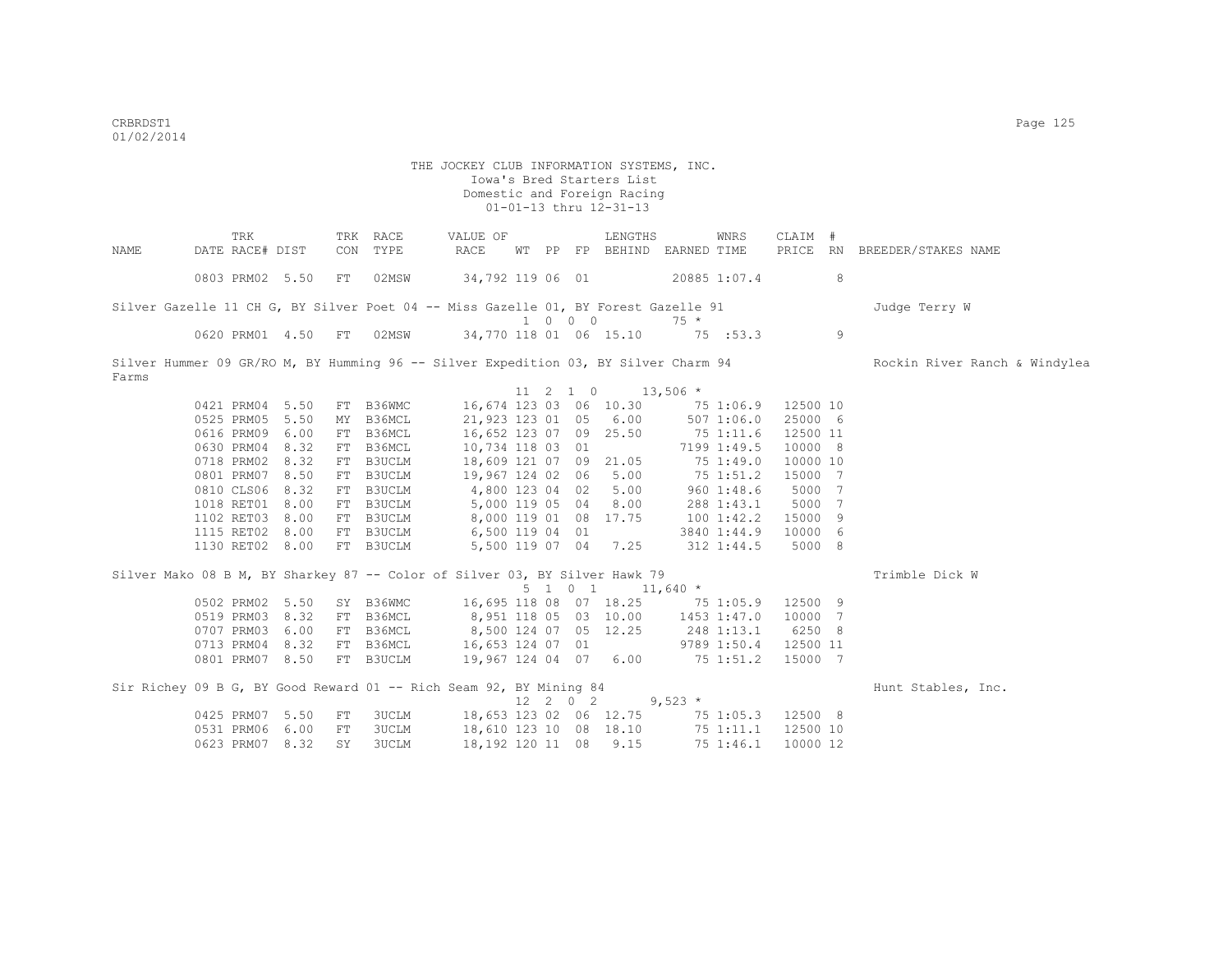| NAME  | TRK<br>DATE RACE# DIST                                                              |     | TRK RACE<br>CON TYPE | VALUE OF<br>RACE                           |  |                             | LENGTHS<br>WT PP FP BEHIND EARNED TIME     |             | WNRS        | CLAIM #  |   | PRICE RN BREEDER/STAKES NAME  |
|-------|-------------------------------------------------------------------------------------|-----|----------------------|--------------------------------------------|--|-----------------------------|--------------------------------------------|-------------|-------------|----------|---|-------------------------------|
|       | 0803 PRM02 5.50                                                                     | FT  | 02MSW                | 34,792 119 06 01                           |  |                             | 20885 1:07.4                               |             |             |          | 8 |                               |
|       | Silver Gazelle 11 CH G, BY Silver Poet 04 -- Miss Gazelle 01, BY Forest Gazelle 91  |     |                      |                                            |  |                             |                                            |             |             |          |   | Judge Terry W                 |
|       |                                                                                     |     |                      |                                            |  | $1 \quad 0 \quad 0 \quad 0$ |                                            | $75 *$      |             |          |   |                               |
|       | 0620 PRM01 4.50 FT 02MSW                                                            |     |                      | 34,770 118 01 06 15.10                     |  |                             |                                            | 75 : 53.3   |             |          | 9 |                               |
| Farms | Silver Hummer 09 GR/RO M, BY Humming 96 -- Silver Expedition 03, BY Silver Charm 94 |     |                      |                                            |  |                             |                                            |             |             |          |   | Rockin River Ranch & Windylea |
|       |                                                                                     |     |                      |                                            |  | 11 2 1 0                    | $13,506$ *                                 |             |             |          |   |                               |
|       | 0421 PRM04 5.50                                                                     |     | FT B36WMC            | 16,674 123 03 06 10.30 75 1:06.9           |  |                             |                                            |             |             | 12500 10 |   |                               |
|       | 0525 PRM05 5.50                                                                     |     | MY B36MCL            | 21,923 123 01 05 6.00                      |  |                             |                                            |             | 5071:06.0   | 25000 6  |   |                               |
|       | 0616 PRM09 6.00                                                                     |     | FT B36MCL            | 16,652 123 07 09 25.50                     |  |                             |                                            | 75 1:11.6   |             | 12500 11 |   |                               |
|       | 0630 PRM04 8.32                                                                     |     | FT B36MCL            | 10,734 118 03 01                           |  |                             |                                            |             | 7199 1:49.5 | 10000 8  |   |                               |
|       | 0718 PRM02 8.32                                                                     |     | FT B3UCLM            | 18,609 121 07 09 21.05                     |  |                             |                                            |             | 75 1:49.0   | 10000 10 |   |                               |
|       | 0801 PRM07 8.50                                                                     |     | FT B3UCLM            | 19,967 124 02 06                           |  |                             | 5.00                                       |             | 75 1:51.2   | 15000    | 7 |                               |
|       | 0810 CLS06 8.32                                                                     |     | FT B3UCLM            | 4,800 123 04 02                            |  |                             | 5.00                                       |             | 9601:38.6   | 5000 7   |   |                               |
|       | 1018 RET01 8.00                                                                     |     | FT B3UCLM            | 5,000 119 05 04                            |  |                             | 8.00                                       |             | 288 1:43.1  | 5000 7   |   |                               |
|       | 1102 RET03 8.00                                                                     |     | FT B3UCLM            | 8,000 119 01 08 17.75                      |  |                             |                                            | 1001:42.2   |             | 15000 9  |   |                               |
|       | 1115 RET02 8.00                                                                     |     | FT B3UCLM            | 6,500 119 04 01                            |  |                             |                                            |             | 3840 1:44.9 | 10000 6  |   |                               |
|       | 1130 RET02 8.00                                                                     |     | FT B3UCLM            |                                            |  |                             | 5,500 119 07 04 7.25                       |             | 312 1:44.5  | 5000 8   |   |                               |
|       | Silver Mako 08 B M, BY Sharkey 87 -- Color of Silver 03, BY Silver Hawk 79          |     |                      |                                            |  |                             |                                            |             |             |          |   | Trimble Dick W                |
|       |                                                                                     |     |                      |                                            |  | 5 1 0 1                     |                                            | $11,640$ *  |             |          |   |                               |
|       | 0502 PRM02 5.50                                                                     |     |                      | SY B36WMC 16,695 118 08 07 18.25 75 1:05.9 |  |                             |                                            |             |             | 12500 9  |   |                               |
|       | 0519 PRM03 8.32                                                                     |     | FT B36MCL            | 8,951 118 05 03 10.00                      |  |                             |                                            | 1453 1:47.0 |             | 10000 7  |   |                               |
|       | 0707 PRM03 6.00                                                                     |     | FT B36MCL            | 8,500 124 07 05 12.25                      |  |                             |                                            | 248 1:13.1  |             | 6250 8   |   |                               |
|       | 0713 PRM04 8.32                                                                     |     | FT B36MCL            | 16,653 124 07 01                           |  |                             |                                            |             | 9789 1:50.4 | 12500 11 |   |                               |
|       | 0801 PRM07 8.50                                                                     |     | FT B3UCLM            | 19,967 124 04 07 6.00 75 1:51.2            |  |                             |                                            |             |             | 15000 7  |   |                               |
|       | Sir Richey 09 B G, BY Good Reward 01 -- Rich Seam 92, BY Mining 84                  |     |                      |                                            |  |                             |                                            |             |             |          |   | Hunt Stables, Inc.            |
|       |                                                                                     |     |                      |                                            |  |                             | $12 \quad 2 \quad 0 \quad 2 \quad 9.523$ * |             |             |          |   |                               |
|       | 0425 PRM07 5.50                                                                     | FT  | 3UCLM                | 18,653 123 02 06 12.75 75 1:05.3 12500 8   |  |                             |                                            |             |             |          |   |                               |
|       | 0531 PRM06 6.00                                                                     | FT  | 3UCLM                | 18,610 123 10 08 18.10                     |  |                             |                                            |             | 75 1:11.1   | 12500 10 |   |                               |
|       | 0623 PRM07 8.32                                                                     | SY. | 3UCLM                | 18,192 120 11 08                           |  |                             | 9.15                                       |             | 75 1:46.1   | 10000 12 |   |                               |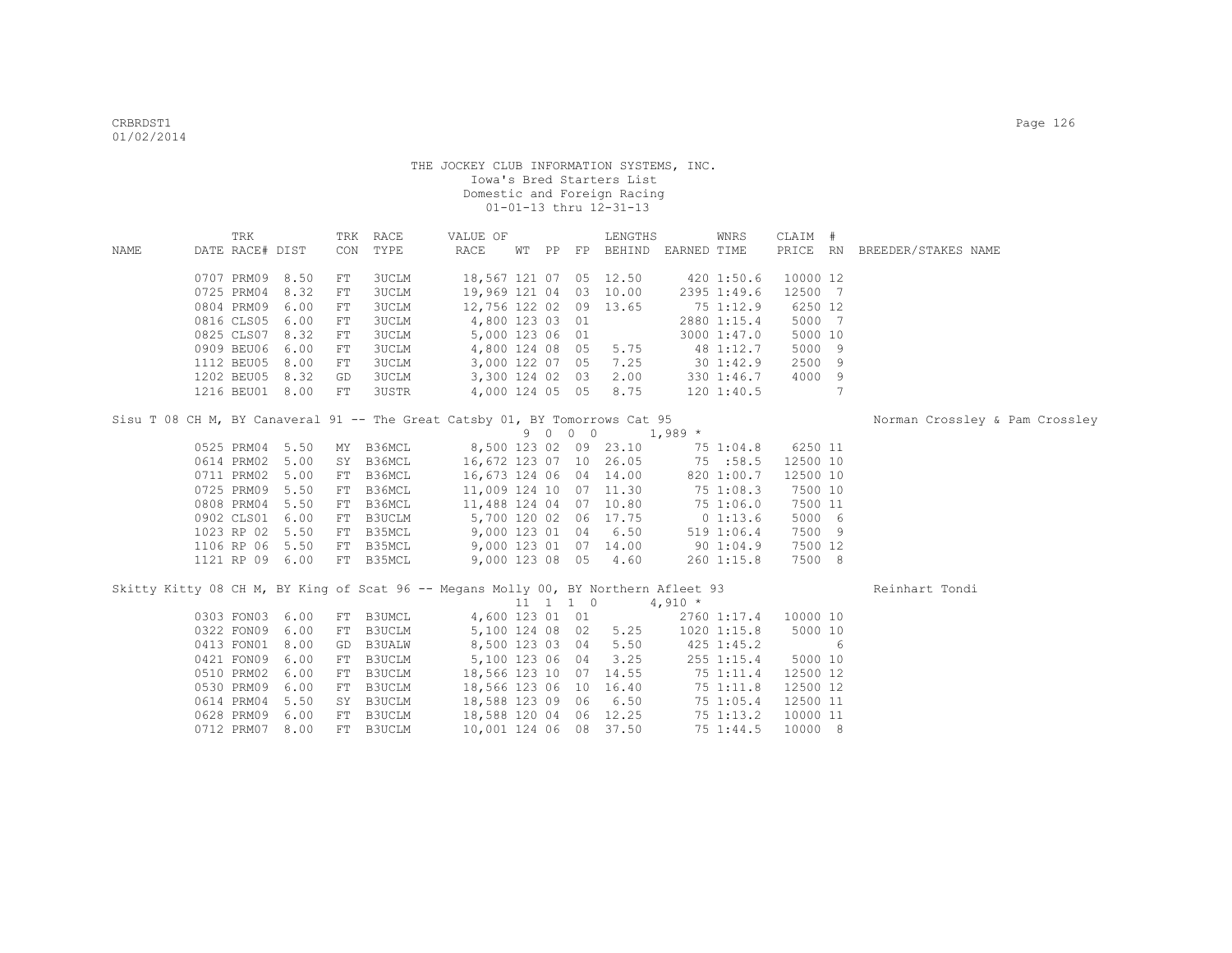|      | TRK             |      |            | TRK RACE                                                                           | VALUE OF                        |  |         | LENGTHS                     |            | WNRS           | CLAIM #  |     |                                |
|------|-----------------|------|------------|------------------------------------------------------------------------------------|---------------------------------|--|---------|-----------------------------|------------|----------------|----------|-----|--------------------------------|
| NAME | DATE RACE# DIST |      |            | CON TYPE                                                                           | RACE                            |  |         | WT PP FP BEHIND EARNED TIME |            |                |          |     | PRICE RN BREEDER/STAKES NAME   |
|      |                 |      |            |                                                                                    |                                 |  |         |                             |            |                |          |     |                                |
|      | 0707 PRM09 8.50 |      | FT         | 3UCLM                                                                              | 18,567 121 07 05 12.50          |  |         |                             | 420 1:50.6 |                | 10000 12 |     |                                |
|      | 0725 PRM04 8.32 |      | FT         | 3UCLM                                                                              | 19,969 121 04 03 10.00          |  |         |                             |            | 2395 1:49.6    | 12500 7  |     |                                |
|      | 0804 PRM09 6.00 |      | FT         | 3UCLM                                                                              | 12,756 122 02 09 13.65          |  |         |                             |            | 75 1:12.9      | 6250 12  |     |                                |
|      | 0816 CLS05 6.00 |      | FT         | 3UCLM                                                                              | 4,800 123 03 01                 |  |         |                             |            | 2880 1:15.4    | 5000 7   |     |                                |
|      | 0825 CLS07 8.32 |      | FT         | <b>3UCLM</b>                                                                       | 5,000 123 06 01                 |  |         |                             |            | 3000 1:47.0    | 5000 10  |     |                                |
|      | 0909 BEU06 6.00 |      | ${\rm FT}$ | <b>3UCLM</b>                                                                       | 4,800 124 08 05                 |  |         | 5.75                        | 48 1:12.7  |                | 5000 9   |     |                                |
|      | 1112 BEU05 8.00 |      | ${\rm FT}$ | <b>3UCLM</b>                                                                       | 3,000 122 07 05                 |  |         | 7.25                        |            | 30 1:42.9      | 2500 9   |     |                                |
|      | 1202 BEU05 8.32 |      | GD         | 3UCLM                                                                              | 3,300 124 02 03                 |  |         | 2.00                        |            | 330 1:46.7     | 4000 9   |     |                                |
|      | 1216 BEU01 8.00 |      | FT         | 3USTR                                                                              | 4,000 124 05 05                 |  |         | 8.75                        |            | 120 1:40.5     |          | 7   |                                |
|      |                 |      |            |                                                                                    |                                 |  |         |                             |            |                |          |     |                                |
|      |                 |      |            | Sisu T 08 CH M, BY Canaveral 91 -- The Great Catsby 01, BY Tomorrows Cat 95        |                                 |  |         |                             |            |                |          |     | Norman Crossley & Pam Crossley |
|      |                 |      |            |                                                                                    |                                 |  | 9 0 0 0 |                             | $1,989$ *  |                |          |     |                                |
|      | 0525 PRM04 5.50 |      |            | MY B36MCL                                                                          | 8,500 123 02 09 23.10           |  |         |                             |            | 75 1:04.8      | 6250 11  |     |                                |
|      | 0614 PRM02 5.00 |      |            | SY B36MCL                                                                          | 16,672 123 07 10 26.05 75 :58.5 |  |         |                             |            |                | 12500 10 |     |                                |
|      | 0711 PRM02 5.00 |      |            | FT B36MCL                                                                          | 16,673 124 06 04 14.00          |  |         |                             |            | 820 1:00.7     | 12500 10 |     |                                |
|      | 0725 PRM09 5.50 |      |            | FT B36MCL                                                                          | 11,009 124 10 07 11.30          |  |         |                             |            | 75 1:08.3      | 7500 10  |     |                                |
|      | 0808 PRM04 5.50 |      |            | FT B36MCL                                                                          | 11,488 124 04 07 10.80          |  |         |                             |            | 75 1:06.0      | 7500 11  |     |                                |
|      | 0902 CLS01 6.00 |      |            | FT B3UCLM                                                                          | 5,700 120 02 06 17.75           |  |         |                             | 0 1:13.6   |                | 5000 6   |     |                                |
|      | 1023 RP 02 5.50 |      |            | FT B35MCL                                                                          | 9,000 123 01 04 6.50            |  |         |                             |            | 519 1:06.4     | 7500 9   |     |                                |
|      | 1106 RP 06 5.50 |      |            | FT B35MCL                                                                          | 9,000 123 01 07 14.00           |  |         |                             |            | 90 1:04.9      | 7500 12  |     |                                |
|      | 1121 RP 09 6.00 |      |            | FT B35MCL                                                                          |                                 |  |         | 9,000 123 08 05 4.60        |            | $260$ 1:15.8   | 7500 8   |     |                                |
|      |                 |      |            | Skitty Kitty 08 CH M, BY King of Scat 96 -- Megans Molly 00, BY Northern Afleet 93 |                                 |  |         |                             |            |                |          |     | Reinhart Tondi                 |
|      |                 |      |            |                                                                                    |                                 |  |         | 11 1 1 0                    | $4,910 *$  |                |          |     |                                |
|      | 0303 FON03 6.00 |      |            | FT B3UMCL                                                                          | 4,600 123 01 01                 |  |         |                             |            | 2760 1:17.4    | 10000 10 |     |                                |
|      | 0322 FON09 6.00 |      |            | FT B3UCLM                                                                          | 5,100 124 08 02                 |  |         | 5.25                        |            | 1020 1:15.8    | 5000 10  |     |                                |
|      | 0413 FON01 8.00 |      |            | GD B3UALW                                                                          | 8,500 123 03 04                 |  |         | 5.50                        |            | $425$ 1:45.2   |          | - 6 |                                |
|      | 0421 FON09      | 6.00 |            | FT B3UCLM                                                                          | 5,100 123 06 04                 |  |         | 3.25                        |            | $255$ $1:15.4$ | 5000 10  |     |                                |
|      | 0510 PRM02 6.00 |      |            | FT B3UCLM                                                                          | 18,566 123 10 07 14.55          |  |         |                             |            | 75 1:11.4      | 12500 12 |     |                                |
|      | 0530 PRM09 6.00 |      |            | FT B3UCLM                                                                          | 18,566 123 06 10 16.40          |  |         |                             |            | 75 1:11.8      | 12500 12 |     |                                |
|      | 0614 PRM04 5.50 |      |            | SY B3UCLM                                                                          | 18,588 123 09 06 6.50           |  |         |                             |            | 751:05.4       | 12500 11 |     |                                |
|      | 0628 PRM09 6.00 |      |            | FT B3UCLM                                                                          | 18,588 120 04 06 12.25          |  |         |                             |            | 75 1:13.2      | 10000 11 |     |                                |
|      | 0712 PRM07 8.00 |      |            | FT B3UCLM                                                                          | 10,001 124 06 08 37.50          |  |         |                             |            | 75 1:44.5      | 10000 8  |     |                                |
|      |                 |      |            |                                                                                    |                                 |  |         |                             |            |                |          |     |                                |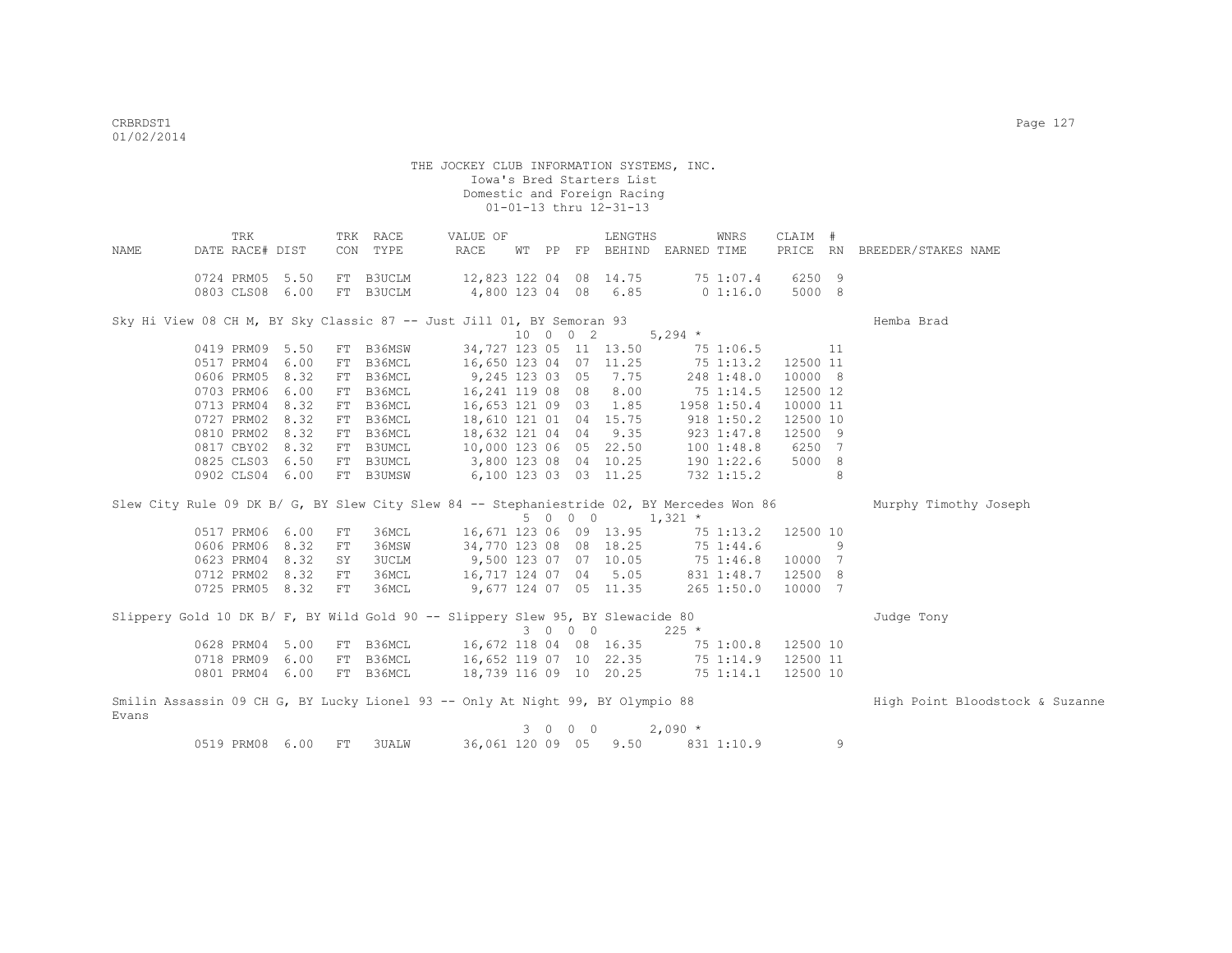| NAME  | TRK<br>DATE RACE# DIST |                 |            | TRK RACE<br>CON TYPE | VALUE OF<br>RACE                                                               |  |          | LENGTHS<br>WT PP FP BEHIND EARNED TIME |           | WNRS         | CLAIM #   |    | PRICE RN BREEDER/STAKES NAME                                                                                    |
|-------|------------------------|-----------------|------------|----------------------|--------------------------------------------------------------------------------|--|----------|----------------------------------------|-----------|--------------|-----------|----|-----------------------------------------------------------------------------------------------------------------|
|       |                        |                 |            |                      |                                                                                |  |          |                                        |           |              |           |    |                                                                                                                 |
|       | 0724 PRM05 5.50        |                 |            | FT B3UCLM            | 12,823 122 04 08 14.75                                                         |  |          |                                        |           | 75 1:07.4    | 6250 9    |    |                                                                                                                 |
|       |                        | 0803 CLS08 6.00 |            | FT B3UCLM            | 4,800 123 04 08 6.85                                                           |  |          |                                        |           | 0 1:16.0     | 5000 8    |    |                                                                                                                 |
|       |                        |                 |            |                      | Sky Hi View 08 CH M, BY Sky Classic 87 -- Just Jill 01, BY Semoran 93          |  |          |                                        |           |              |           |    | Hemba Brad                                                                                                      |
|       |                        |                 |            |                      |                                                                                |  | 10 0 0 2 |                                        | $5,294$ * |              |           |    |                                                                                                                 |
|       | 0419 PRM09 5.50        |                 |            | FT B36MSW            | 34,727 123 05 11 13.50                                                         |  |          |                                        |           | 75 1:06.5    | $\sim$ 11 |    |                                                                                                                 |
|       | 0517 PRM04 6.00        |                 |            | FT B36MCL            | 16,650 123 04 07 11.25                                                         |  |          |                                        |           | 751:13.2     | 12500 11  |    |                                                                                                                 |
|       | 0606 PRM05 8.32        |                 |            | FT B36MCL            | 9,245 123 03 05 7.75                                                           |  |          |                                        |           | 248 1:48.0   | 10000 8   |    |                                                                                                                 |
|       | 0703 PRM06 6.00        |                 |            | FT B36MCL            | 16,241 119 08 08 8.00                                                          |  |          |                                        |           | 751:14.5     | 12500 12  |    |                                                                                                                 |
|       | 0713 PRM04 8.32        |                 |            | FT B36MCL            | 16,653 121 09 03 1.85                                                          |  |          |                                        |           | 1958 1:50.4  | 10000 11  |    |                                                                                                                 |
|       | 0727 PRM02 8.32        |                 |            | FT B36MCL            | 18,610 121 01 04 15.75                                                         |  |          |                                        |           | 918 1:50.2   | 12500 10  |    |                                                                                                                 |
|       |                        | 0810 PRM02 8.32 |            | FT B36MCL            | 18,632 121 04 04                                                               |  |          | 9.35                                   |           | 9231:47.8    | 12500 9   |    |                                                                                                                 |
|       |                        | 0817 CBY02 8.32 |            | FT B3UMCL            | 10,000 123 06 05 22.50                                                         |  |          |                                        |           | 1001:48.8    | 6250 7    |    |                                                                                                                 |
|       |                        | 0825 CLS03 6.50 |            | FT B3UMCL            | 3,800 123 08 04 10.25                                                          |  |          |                                        |           | 190 1:22.6   | 5000 8    |    |                                                                                                                 |
|       |                        | 0902 CLS04 6.00 |            | FT B3UMSW            | 6,100 123 03 03 11.25                                                          |  |          |                                        |           | 732 1:15.2   |           | 8  |                                                                                                                 |
|       |                        |                 |            |                      |                                                                                |  |          |                                        |           |              |           |    | Slew City Rule 09 DK B/ G, BY Slew City Slew 84 -- Stephaniestride 02, BY Mercedes Won 86 Murphy Timothy Joseph |
|       |                        |                 |            |                      |                                                                                |  |          | $5 \t 0 \t 0 \t 1,321 \t\times$        |           |              |           |    |                                                                                                                 |
|       | 0517 PRM06 6.00        |                 | ${\rm FT}$ | 36MCL                | 16,671 123 06 09 13.95                                                         |  |          |                                        |           | 75 1:13.2    | 12500 10  |    |                                                                                                                 |
|       | 0606 PRM06 8.32        |                 | FT         | 36MSW                | 34,770 123 08 08 18.25                                                         |  |          |                                        |           | 75 1:44.6    |           | -9 |                                                                                                                 |
|       | 0623 PRM04 8.32        |                 | SY         | <b>3UCLM</b>         | 9,500 123 07 07 10.05 75 1:46.8                                                |  |          |                                        |           |              | 10000 7   |    |                                                                                                                 |
|       |                        | 0712 PRM02 8.32 | FT         | 36MCL                | 16,717 124 07 04 5.05                                                          |  |          |                                        |           | 831 1:48.7   | 12500 8   |    |                                                                                                                 |
|       |                        | 0725 PRM05 8.32 | FT         | 36MCL                | 9,677 124 07 05 11.35                                                          |  |          |                                        |           | $265$ 1:50.0 | 10000 7   |    |                                                                                                                 |
|       |                        |                 |            |                      | Slippery Gold 10 DK B/ F, BY Wild Gold 90 -- Slippery Slew 95, BY Slewacide 80 |  |          |                                        |           |              |           |    | Judge Tony                                                                                                      |
|       |                        |                 |            |                      |                                                                                |  | 3 0 0 0  |                                        | $225$ *   |              |           |    |                                                                                                                 |
|       |                        | 0628 PRM04 5.00 |            | FT B36MCL            | 16,672 118 04 08 16.35                                                         |  |          |                                        |           | 75 1:00.8    | 12500 10  |    |                                                                                                                 |
|       |                        | 0718 PRM09 6.00 |            | FT B36MCL            | 16,652 119 07 10 22.35 75 1:14.9                                               |  |          |                                        |           |              | 12500 11  |    |                                                                                                                 |
|       |                        | 0801 PRM04 6.00 |            | FT B36MCL            |                                                                                |  |          | 18,739 116 09 10 20.25 75 1:14.1       |           |              | 12500 10  |    |                                                                                                                 |
| Evans |                        |                 |            |                      | Smilin Assassin 09 CH G, BY Lucky Lionel 93 -- Only At Night 99, BY Olympio 88 |  |          |                                        |           |              |           |    | High Point Bloodstock & Suzanne                                                                                 |
|       |                        |                 |            |                      |                                                                                |  | 3 0 0 0  |                                        | $2,090*$  |              |           |    |                                                                                                                 |
|       | 0519 PRM08 6.00        |                 | FT         | <b>3UALW</b>         |                                                                                |  |          | 36,061 120 09 05 9.50                  |           | 831 1:10.9   |           | 9  |                                                                                                                 |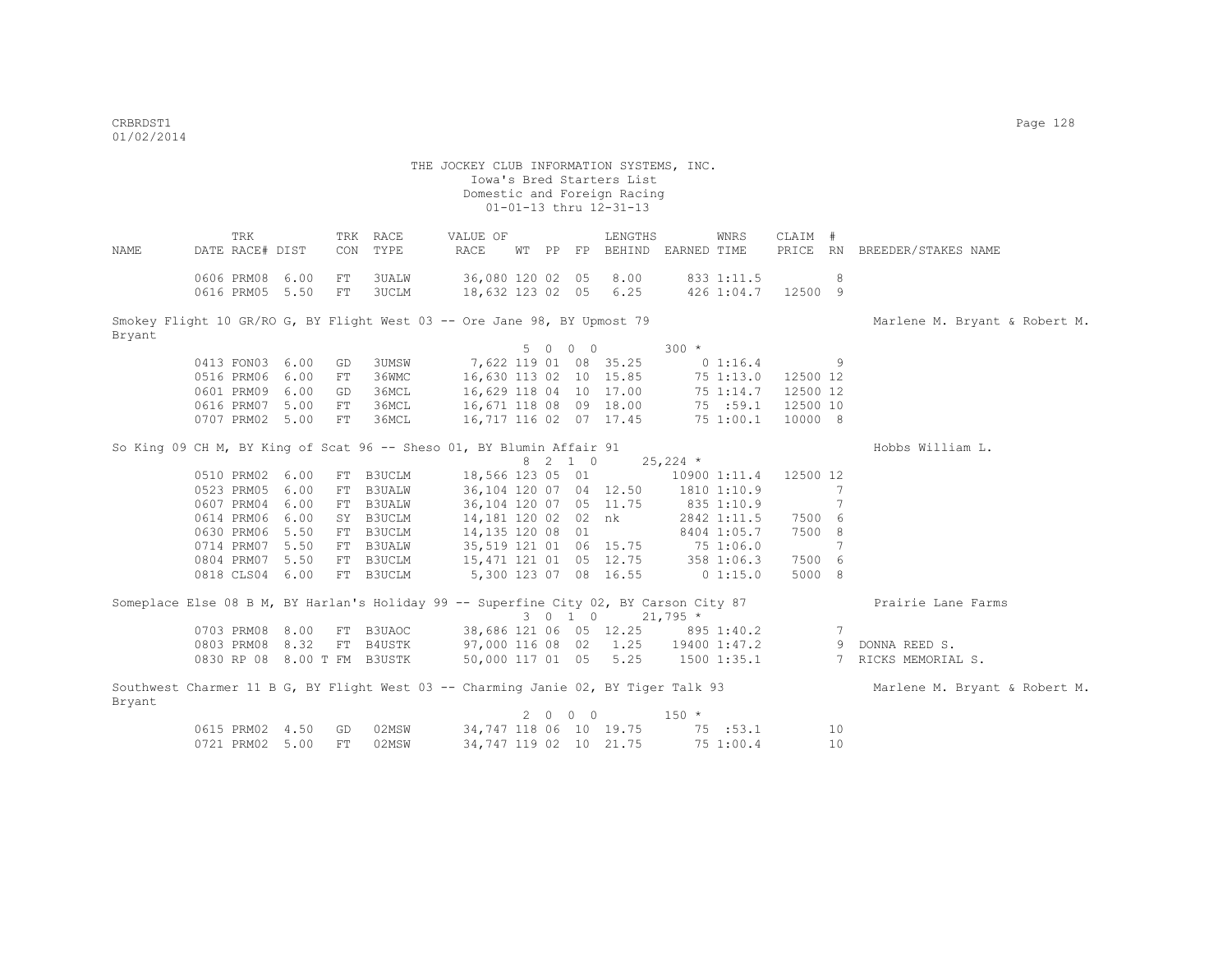THE JOCKEY CLUB INFORMATION SYSTEMS, INC. Iowa's Bred Starters List Domestic and Foreign Racing  $01-01-13$  thru  $12-31-13$  TRK TRK RACE VALUE OF LENGTHS WNRS CLAIM # NAME DATE RACE# DIST CON TYPE RACE WT PP FP BEHIND EARNED TIME PRICE RN BREEDER/STAKES NAME 0606 PRM08 6.00 FT 3UALW 36,080 120 02 05 8.00 833 1:11.5 8 0616 PRM05 5.50 FT 3UCLM 18,632 123 02 05 6.25 426 1:04.7 12500 9 Smokey Flight 10 GR/RO G, BY Flight West 03 -- Ore Jane 98, BY Upmost 79 Marlene M. Bryant & Robert M. Bryant  $5 \t 0 \t 0 \t 300 \t \star$ <br>7.622 119 01 08 35.25 0 0413 FON03 6.00 GD 3UMSW 7,622 119 01 08 35.25 0 1:16.4 9<br>0516 PRM06 6.00 FT 36WMC 16,630 113 02 10 15.85 75 1:13.0 12500 12 0516 PRM06 6.00 FT 36WMC 0601 PRM09 6.00 GD 36MCL 16,629 118 04 10 17.00 75 1:14.7 12500 12 0616 PRM07 5.00 FT 36MCL 16,671 118 08 09 18.00 75 :59.1 12500 10 0707 PRM02 5.00 FT 36MCL 16,717 116 02 07 17.45 75 1:00.1 10000 8 So King 09 CH M, BY King of Scat 96 -- Sheso 01, BY Blumin Affair 91 Hobbs William L.  $8$  2 1 0 25,224 \*<br>18,566 123 05 01 10900 0510 PRM02 6.00 FT B3UCLM 18,566 123 05 01 10900 1:11.4 12500 12<br>0523 PRM05 6.00 FT B3UALW 36,104 120 07 04 12.50 1810 1:10.9 7 0523 PRM05 6.00 FT B3UALW 36,104 120 07 04 12.50 1810 1:10.9 7<br>0607 PRM04 6.00 FT B3UALW 36,104 120 07 05 11.75 835 1:10.9 7 0607 PRM04 6.00 FT B3UALW 0614 PRM06 6.00 SY B3UCLM 14,181 120 02 02 nk 2842 1:11.5 7500 6<br>0630 PRM06 5.50 FT B3UCLM 14,135 120 08 01 8404 1:05.7 7500 8 0630 PRM06 5.50 FT B3UCLM 0714 PRM07 5.50 FT B3UALW 35,519 121 01 06 15.75 75 1:06.0 7 0804 PRM07 5.50 FT B3UCLM 15,471 121 01 05 12.75 358 1:06.3 7500 6 0818 CLS04 6.00 FT B3UCLM 5,300 123 07 08 16.55 0 1:15.0 5000 8 Someplace Else 08 B M, BY Harlan's Holiday 99 -- Superfine City 02, BY Carson City 87 Prairie Lane Farms 3 0 1 0 21,795 \* 0703 PRM08 8.00 FT B3UAOC 38,686 121 06 05 12.25 895 1:40.2 7 0803 PRM08 8.32 FT B4USTK 97,000 116 08 02 1.25 19400 1:47.2 9 DONNA REED S.<br>0830 RP 08 8.00 T FM B3USTK 50,000 117 01 05 5.25 1500 1:35.1 7 RICKS MEMORIAL S. 0830 RP 08 8.00 T FM B3USTK

Southwest Charmer 11 B G, BY Flight West 03 -- Charming Janie 02, BY Tiger Talk 93 Marlene M. Bryant & Robert M. Bryant 2 0 0 0 150 \*

| 0615 PRM02 4.50 GD 02MSW |  | 34,747 118 06 10 19.75 |  | 75 :53.1  |  |
|--------------------------|--|------------------------|--|-----------|--|
| 0721 PRM02 5.00 FT 02MSW |  | 34,747 119 02 10 21.75 |  | 75 1:00.4 |  |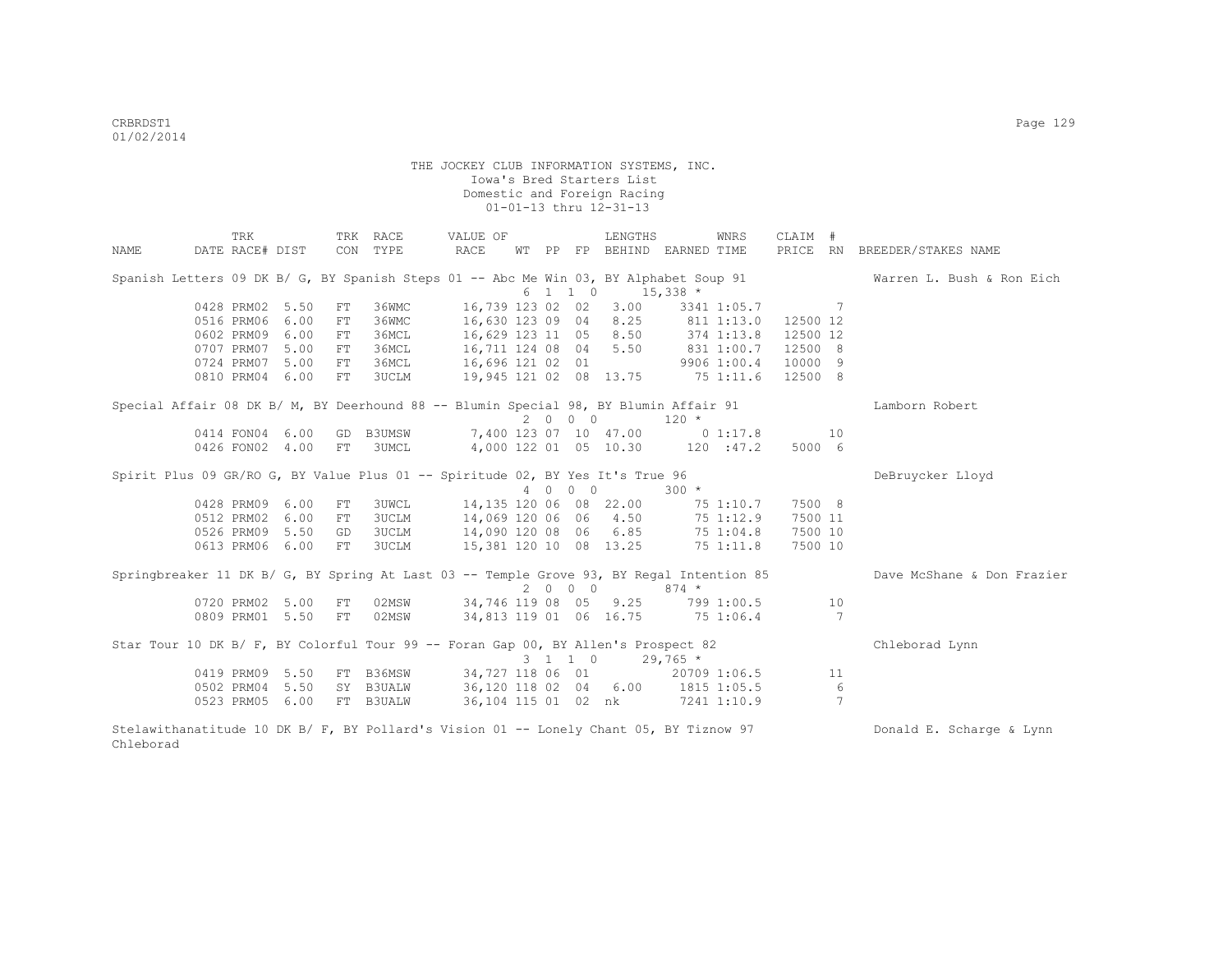Chleborad

|      | TRK                                                                                      |      |    | TRK RACE     | VALUE OF                                    |  |         | LENGTHS               |                                  | WNRS        | CLAIM #  |                 |                              |
|------|------------------------------------------------------------------------------------------|------|----|--------------|---------------------------------------------|--|---------|-----------------------|----------------------------------|-------------|----------|-----------------|------------------------------|
| NAME | DATE RACE# DIST                                                                          |      |    | CON TYPE     | RACE                                        |  |         |                       | WT PP FP BEHIND EARNED TIME      |             |          |                 | PRICE RN BREEDER/STAKES NAME |
|      | Spanish Letters 09 DK B/ G, BY Spanish Steps 01 -- Abc Me Win 03, BY Alphabet Soup 91    |      |    |              |                                             |  |         |                       |                                  |             |          |                 | Warren L. Bush & Ron Eich    |
|      |                                                                                          |      |    |              |                                             |  | 6 1 1 0 |                       | $15,338$ *                       |             |          |                 |                              |
|      | 0428 PRM02 5.50                                                                          |      | FT | 36WMC        |                                             |  |         | 16,739 123 02 02 3.00 |                                  | 3341 1:05.7 |          | - 7             |                              |
|      | 0516 PRM06                                                                               | 6.00 | FT | 36WMC        |                                             |  |         |                       | 16,630 123 09 04 8.25 811 1:13.0 |             | 12500 12 |                 |                              |
|      | 0602 PRM09                                                                               | 6.00 | FT | 36MCL        |                                             |  |         |                       | 16,629 123 11 05 8.50 374 1:13.8 |             | 12500 12 |                 |                              |
|      | 0707 PRM07                                                                               | 5.00 | FT | 36MCL        | 16,711 124 08 04 5.50 831 1:00.7 12500 8    |  |         |                       |                                  |             |          |                 |                              |
|      | 0724 PRM07                                                                               | 5.00 | FT | 36MCL        | 16,696 121 02 01 9906 1:00.4                |  |         |                       |                                  |             | 10000 9  |                 |                              |
|      | 0810 PRM04 6.00                                                                          |      | FT | 3UCLM        | 19,945 121 02 08 13.75 75 1:11.6            |  |         |                       |                                  |             | 12500 8  |                 |                              |
|      | Special Affair 08 DK B/ M, BY Deerhound 88 -- Blumin Special 98, BY Blumin Affair 91     |      |    |              |                                             |  |         |                       |                                  |             |          |                 | Lamborn Robert               |
|      |                                                                                          |      |    |              |                                             |  | 2000    |                       | $120 *$                          |             |          |                 |                              |
|      | 0414 FON04 6.00                                                                          |      |    | GD B3UMSW    |                                             |  |         |                       | 7,400 123 07 10 47.00 0 1:17.8   |             |          | 10              |                              |
|      | 0426 FON02 4.00                                                                          |      | FT | <b>3UMCL</b> |                                             |  |         |                       | 4,000 122 01 05 10.30 120 :47.2  |             | 5000 6   |                 |                              |
|      | Spirit Plus 09 GR/RO G, BY Value Plus 01 -- Spiritude 02, BY Yes It's True 96            |      |    |              |                                             |  |         |                       |                                  |             |          |                 | DeBruycker Lloyd             |
|      |                                                                                          |      |    |              |                                             |  | 4 0 0 0 |                       | $300 *$                          |             |          |                 |                              |
|      | 0428 PRM09 6.00                                                                          |      | FT | 3UWCL        |                                             |  |         |                       | 14,135 120 06 08 22.00 75 1:10.7 |             | 7500 8   |                 |                              |
|      | 0512 PRM02                                                                               | 6.00 | FT |              | 3UCLM 14,069 120 06 06 4.50 75 1:12.9       |  |         |                       |                                  |             | 7500 11  |                 |                              |
|      | 0526 PRM09 5.50                                                                          |      | GD |              | 3UCLM 14,090 120 08 06 6.85 75 1:04.8       |  |         |                       |                                  |             | 7500 10  |                 |                              |
|      | 0613 PRM06 6.00                                                                          |      | FT | 3UCLM        | 15,381 120 10 08 13.25 75 1:11.8            |  |         |                       |                                  |             | 7500 10  |                 |                              |
|      | Springbreaker 11 DK B/ G, BY Spring At Last 03 -- Temple Grove 93, BY Regal Intention 85 |      |    |              |                                             |  |         |                       |                                  |             |          |                 | Dave McShane & Don Frazier   |
|      |                                                                                          |      |    |              |                                             |  |         | 2 0 0 0               | $874 *$                          |             |          |                 |                              |
|      | 0720 PRM02 5.00                                                                          |      | FT |              | 02MSW 34,746 119 08 05 9.25 799 1:00.5      |  |         |                       |                                  |             |          | 10              |                              |
|      | 0809 PRM01 5.50                                                                          |      | FT | 02MSW        | 34,813 119 01 06 16.75 75 1:06.4            |  |         |                       |                                  |             |          | $\overline{7}$  |                              |
|      | Star Tour 10 DK B/ F, BY Colorful Tour 99 -- Foran Gap 00, BY Allen's Prospect 82        |      |    |              |                                             |  |         |                       |                                  |             |          |                 | Chleborad Lynn               |
|      |                                                                                          |      |    |              |                                             |  |         | 3 1 1 0               | $29,765$ *                       |             |          |                 |                              |
|      | 0419 PRM09 5.50                                                                          |      |    | FT B36MSW    |                                             |  |         |                       | 34,727 118 06 01 20709 1:06.5    |             |          | 11              |                              |
|      | 0502 PRM04 5.50                                                                          |      |    |              | SY B3UALW 36,120 118 02 04 6.00 1815 1:05.5 |  |         |                       |                                  |             |          | $6\overline{6}$ |                              |
|      | 0523 PRM05 6.00                                                                          |      |    | FT B3UALW    |                                             |  |         |                       | 36,104 115 01 02 nk 7241 1:10.9  |             |          | $7\phantom{.0}$ |                              |
|      | Stelawithanatitude 10 DK B/ F, BY Pollard's Vision 01 -- Lonely Chant 05, BY Tiznow 97   |      |    |              |                                             |  |         |                       |                                  |             |          |                 | Donald E. Scharge & Lynn     |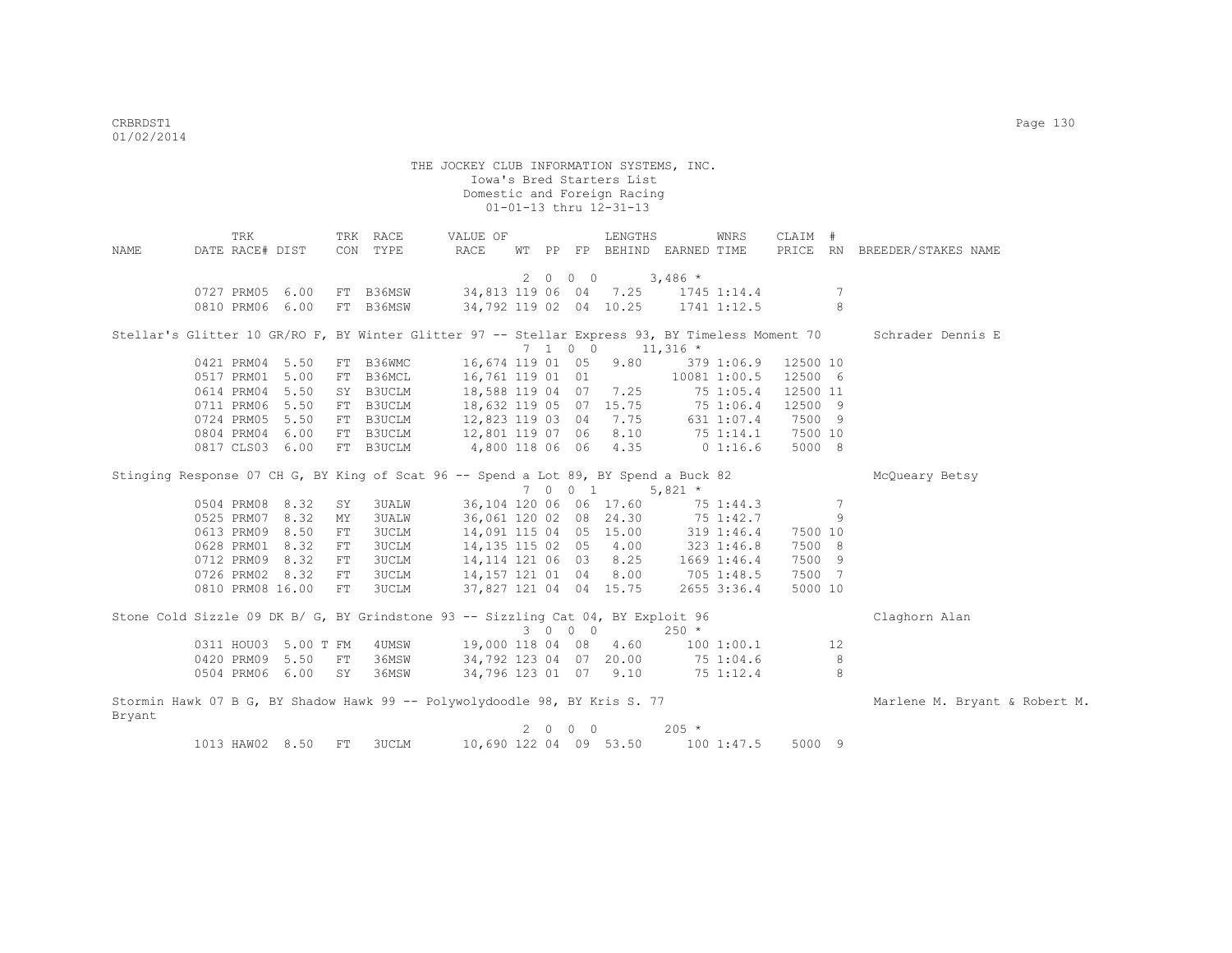| NAME   | DATE RACE# DIST  | TRK |                      | CON  | TRK RACE<br>TYPE                                                                                | VALUE OF<br>RACE       |  |         | LENGTHS                     |             | WNRS                       | CLAIM #  |                 | PRICE RN BREEDER/STAKES NAME  |
|--------|------------------|-----|----------------------|------|-------------------------------------------------------------------------------------------------|------------------------|--|---------|-----------------------------|-------------|----------------------------|----------|-----------------|-------------------------------|
|        |                  |     |                      |      |                                                                                                 |                        |  |         | WT PP FP BEHIND EARNED TIME |             |                            |          |                 |                               |
|        |                  |     |                      |      |                                                                                                 |                        |  | 2000    |                             | $3,486$ *   |                            |          |                 |                               |
|        | 0727 PRM05 6.00  |     |                      |      | FT B36MSW                                                                                       |                        |  |         | 34,813 119 06 04 7.25       |             | 1745 1:14.4                |          | 7               |                               |
|        | 0810 PRM06 6.00  |     |                      |      | FT B36MSW                                                                                       | 34,792 119 02 04 10.25 |  |         |                             |             | 1741 1:12.5                |          | 8               |                               |
|        |                  |     |                      |      |                                                                                                 |                        |  |         |                             |             |                            |          |                 |                               |
|        |                  |     |                      |      | Stellar's Glitter 10 GR/RO F, BY Winter Glitter 97 -- Stellar Express 93, BY Timeless Moment 70 |                        |  |         |                             |             |                            |          |                 | Schrader Dennis E             |
|        |                  |     |                      |      |                                                                                                 |                        |  | 7 1 0 0 |                             | $11,316$ *  |                            |          |                 |                               |
|        | 0421 PRM04 5.50  |     |                      |      | FT B36WMC                                                                                       | 16,674 119 01 05       |  |         | 9.80                        |             | 379 1:06.9                 | 12500 10 |                 |                               |
|        | 0517 PRM01 5.00  |     |                      |      | FT B36MCL                                                                                       | 16,761 119 01 01       |  |         |                             |             | 10081 1:00.5               | 12500 6  |                 |                               |
|        | 0614 PRM04 5.50  |     |                      |      | SY B3UCLM                                                                                       | 18,588 119 04 07       |  |         | 7.25                        |             | 751:05.4                   | 12500 11 |                 |                               |
|        | 0711 PRM06 5.50  |     |                      |      | FT B3UCLM                                                                                       | 18,632 119 05 07 15.75 |  |         |                             |             | 75 1:06.4                  | 12500 9  |                 |                               |
|        | 0724 PRM05 5.50  |     |                      |      | FT B3UCLM                                                                                       | 12,823 119 03 04       |  |         | 7.75                        |             | 631 1:07.4                 | 7500 9   |                 |                               |
|        | 0804 PRM04 6.00  |     |                      |      | FT B3UCLM                                                                                       | 12,801 119 07 06       |  |         | 8.10                        |             | $75$ 1:14.1                | 7500 10  |                 |                               |
|        | 0817 CLS03 6.00  |     |                      |      | FT B3UCLM                                                                                       | 4,800 118 06 06 4.35   |  |         |                             |             | 0 1:16.6                   | 5000 8   |                 |                               |
|        |                  |     |                      |      | Stinging Response 07 CH G, BY King of Scat 96 -- Spend a Lot 89, BY Spend a Buck 82             |                        |  |         |                             |             |                            |          |                 | McQueary Betsy                |
|        |                  |     |                      |      |                                                                                                 |                        |  | 7 0 0 1 |                             | 5,821 $*$   |                            |          |                 |                               |
|        | 0504 PRM08 8.32  |     |                      | SY   | <b>3UALW</b>                                                                                    |                        |  |         | 36,104 120 06 06 17.60      |             | 75 1:44.3                  |          | $7\phantom{.0}$ |                               |
|        | 0525 PRM07 8.32  |     |                      | MY   | <b>3UALW</b>                                                                                    | 36,061 120 02 08 24.30 |  |         |                             |             | 75 1:42.7                  |          | 9               |                               |
|        | 0613 PRM09 8.50  |     |                      | FT   | 3UCLM                                                                                           | 14,091 115 04 05 15.00 |  |         |                             |             | $319$ 1:46.4<br>323 1:46.8 | 7500 10  |                 |                               |
|        | 0628 PRM01 8.32  |     |                      | FT   | 3UCLM                                                                                           | 14, 135 115 02 05 4.00 |  |         |                             |             |                            | 7500 8   |                 |                               |
|        | 0712 PRM09 8.32  |     |                      | FT   | <b>3UCLM</b>                                                                                    | 14, 114 121 06 03 8.25 |  |         |                             | 1669 1:46.4 |                            | 7500 9   |                 |                               |
|        | 0726 PRM02 8.32  |     |                      | FT   | <b>3UCLM</b>                                                                                    | 14,157 121 01 04 8.00  |  |         |                             | 705 1:48.5  |                            | 7500 7   |                 |                               |
|        | 0810 PRM08 16.00 |     |                      | FT   | 3UCLM                                                                                           |                        |  |         | 37,827 121 04 04 15.75      |             | 2655 3:36.4                | 5000 10  |                 |                               |
|        |                  |     |                      |      |                                                                                                 |                        |  |         |                             |             |                            |          |                 |                               |
|        |                  |     |                      |      | Stone Cold Sizzle 09 DK B/ G, BY Grindstone 93 -- Sizzling Cat 04, BY Exploit 96                |                        |  |         |                             |             |                            |          |                 | Claghorn Alan                 |
|        |                  |     |                      |      |                                                                                                 |                        |  | 3 0 0 0 |                             | $250 *$     |                            |          |                 |                               |
|        |                  |     | 0311 HOU03 5.00 T FM |      | 4UMSW                                                                                           | 19,000 118 04 08 4.60  |  |         |                             |             | 100 1:00.1                 |          | 12              |                               |
|        | 0420 PRM09 5.50  |     |                      | FT   | 36MSW                                                                                           | 34,792 123 04 07 20.00 |  |         |                             | 75 1:04.6   |                            |          | 8               |                               |
|        | 0504 PRM06 6.00  |     |                      | SY   | 36MSW                                                                                           | 34,796 123 01 07 9.10  |  |         |                             |             | 75 1:12.4                  |          | 8               |                               |
|        |                  |     |                      |      | Stormin Hawk 07 B G, BY Shadow Hawk 99 -- Polywolydoodle 98, BY Kris S. 77                      |                        |  |         |                             |             |                            |          |                 | Marlene M. Bryant & Robert M. |
| Bryant |                  |     |                      |      |                                                                                                 |                        |  |         |                             |             |                            |          |                 |                               |
|        |                  |     |                      |      |                                                                                                 |                        |  | 2000    |                             | $205 *$     |                            |          |                 |                               |
|        | 1013 HAW02 8.50  |     |                      | $FT$ | 3UCLM                                                                                           | 10,690 122 04 09 53.50 |  |         |                             |             | 1001:47.5                  | 5000 9   |                 |                               |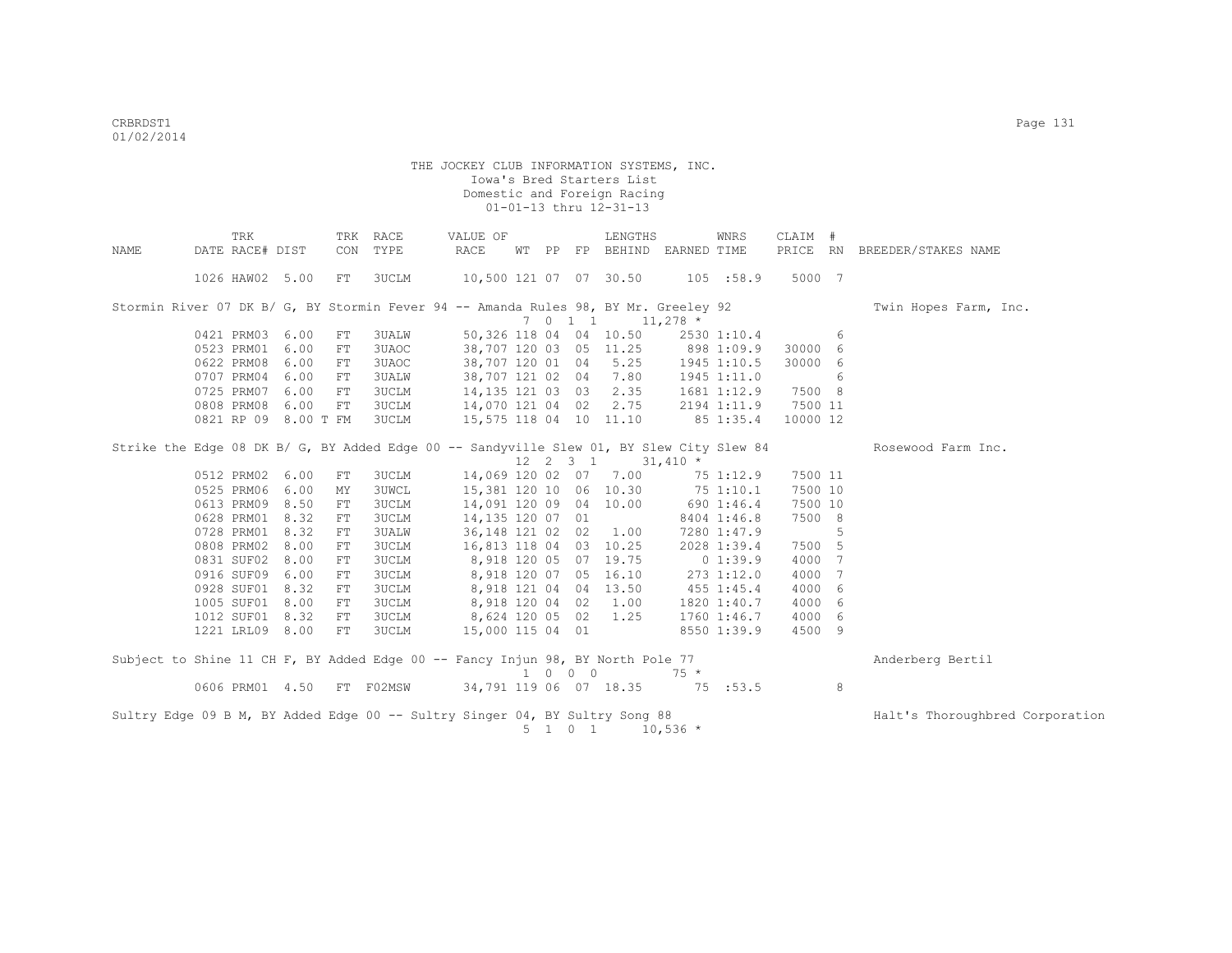|      | TRK                  |      | TRK        | RACE         | VALUE OF                                                                                 |    |         | LENGTHS                                                  |            | WNRS           | CLAIM #  |   |                                 |
|------|----------------------|------|------------|--------------|------------------------------------------------------------------------------------------|----|---------|----------------------------------------------------------|------------|----------------|----------|---|---------------------------------|
| NAME | DATE RACE# DIST      |      | CON        | TYPE         | RACE                                                                                     | WТ |         | PP FP BEHIND EARNED TIME                                 |            |                |          |   | PRICE RN BREEDER/STAKES NAME    |
|      | 1026 HAW02 5.00      |      | FT         | 3UCLM        | 10,500 121 07 07 30.50                                                                   |    |         |                                                          |            | 105 : 58.9     | 5000 7   |   |                                 |
|      |                      |      |            |              |                                                                                          |    |         |                                                          |            |                |          |   |                                 |
|      |                      |      |            |              | Stormin River 07 DK B/ G, BY Stormin Fever 94 -- Amanda Rules 98, BY Mr. Greeley 92      |    |         |                                                          |            |                |          |   | Twin Hopes Farm, Inc.           |
|      |                      |      |            |              |                                                                                          |    | 7011    |                                                          | $11,278$ * |                |          |   |                                 |
|      | 0421 PRM03 6.00      |      | FT         | 3UALW        |                                                                                          |    |         | 50,326 118 04 04 10.50                                   |            | 2530 1:10.4    |          | 6 |                                 |
|      | 0523 PRM01 6.00      |      | ${\rm FT}$ | 3UAOC        |                                                                                          |    |         | 38,707 120 03 05 11.25                                   | 898 1:09.9 |                | 30000 6  |   |                                 |
|      | 0622 PRM08 6.00      |      | FT         | 3UAOC        |                                                                                          |    |         | 38,707 120 01 04 5.25                                    |            | 1945 1:10.5    | 30000 6  |   |                                 |
|      | 0707 PRM04 6.00      |      | FT         | 3UALW        | 38,707 121 02 04                                                                         |    |         | 7.80                                                     |            | 1945 1:11.0    |          | 6 |                                 |
|      | 0725 PRM07 6.00      |      | FT         | 3UCLM        |                                                                                          |    |         | 14, 135 121 03 03 2.35                                   |            | 1681 1:12.9    | 7500 8   |   |                                 |
|      | 0808 PRM08           | 6.00 | FT         | 3UCLM        | 14,070 121 04 02 2.75                                                                    |    |         |                                                          |            | 2194 1:11.9    | 7500 11  |   |                                 |
|      | 0821 RP 09 8.00 T FM |      |            | <b>3UCLM</b> |                                                                                          |    |         | 15,575 118 04 10 11.10                                   |            | 85 1:35.4      | 10000 12 |   |                                 |
|      |                      |      |            |              | Strike the Edge 08 DK B/ G, BY Added Edge 00 -- Sandyville Slew 01, BY Slew City Slew 84 |    |         |                                                          |            |                |          |   | Rosewood Farm Inc.              |
|      |                      |      |            |              |                                                                                          |    |         | $12 \quad 2 \quad 3 \quad 1 \quad 31,410 \quad ^{\star}$ |            |                |          |   |                                 |
|      | 0512 PRM02 6.00      |      | FT         | 3UCLM        |                                                                                          |    |         | 14,069 120 02 07 7.00                                    |            | 75 1:12.9      | 7500 11  |   |                                 |
|      | 0525 PRM06 6.00      |      | MΥ         | 3UWCL        |                                                                                          |    |         | 15,381 120 10 06 10.30                                   |            | 75 1:10.1      | 7500 10  |   |                                 |
|      | 0613 PRM09 8.50      |      | FT         | <b>3UCLM</b> |                                                                                          |    |         | 14,091 120 09 04 10.00                                   |            | 690 1:46.4     | 7500 10  |   |                                 |
|      | 0628 PRM01 8.32      |      | FT         | <b>3UCLM</b> | 14,135 120 07 01                                                                         |    |         |                                                          |            | 8404 1:46.8    | 7500 8   |   |                                 |
|      | 0728 PRM01 8.32      |      | FT         | 3UALW        |                                                                                          |    |         | 36, 148 121 02 02 1.00                                   |            | 7280 1:47.9    |          | 5 |                                 |
|      | 0808 PRM02 8.00      |      | FT         | <b>3UCLM</b> |                                                                                          |    |         | 16,813 118 04 03 10.25                                   |            | 2028 1:39.4    | 7500 5   |   |                                 |
|      | 0831 SUF02 8.00      |      | FT         | <b>3UCLM</b> |                                                                                          |    |         | 8,918 120 05 07 19.75                                    |            | 0 1:39.9       | 4000 7   |   |                                 |
|      | 0916 SUF09           | 6.00 | FT         | <b>3UCLM</b> |                                                                                          |    |         | 8,918 120 07 05 16.10                                    |            | 273 1:12.0     | 4000     | 7 |                                 |
|      | 0928 SUF01           | 8.32 | ${\rm FT}$ | <b>3UCLM</b> |                                                                                          |    |         | 8,918 121 04 04 13.50                                    |            | $455$ $1:45.4$ | 4000     | 6 |                                 |
|      | 1005 SUF01           | 8.00 | FT         | <b>3UCLM</b> | 8,918 120 04 02                                                                          |    |         | 1.00                                                     |            | 1820 1:40.7    | 4000     | 6 |                                 |
|      | 1012 SUF01           | 8.32 | FT         | 3UCLM        |                                                                                          |    |         | 8,624 120 05 02 1.25                                     |            | 1760 1:46.7    | 4000     | 6 |                                 |
|      | 1221 LRL09 8.00      |      | FT         | <b>3UCLM</b> | 15,000 115 04 01                                                                         |    |         |                                                          |            | 8550 1:39.9    | 4500 9   |   |                                 |
|      |                      |      |            |              | Subject to Shine 11 CH F, BY Added Edge 00 -- Fancy Injun 98, BY North Pole 77           |    |         |                                                          |            |                |          |   | Anderberg Bertil                |
|      |                      |      |            |              |                                                                                          |    | 1 0 0 0 |                                                          | $75 *$     |                |          |   |                                 |
|      | 0606 PRM01 4.50      |      |            | FT F02MSW    |                                                                                          |    |         | 34,791 119 06 07 18.35                                   |            | 75 :53.5       |          | 8 |                                 |
|      |                      |      |            |              | Sultry Edge 09 B M, BY Added Edge 00 -- Sultry Singer 04, BY Sultry Song 88              |    |         |                                                          |            |                |          |   | Halt's Thoroughbred Corporation |
|      |                      |      |            |              |                                                                                          |    | 5 1 0 1 |                                                          | $10,536$ * |                |          |   |                                 |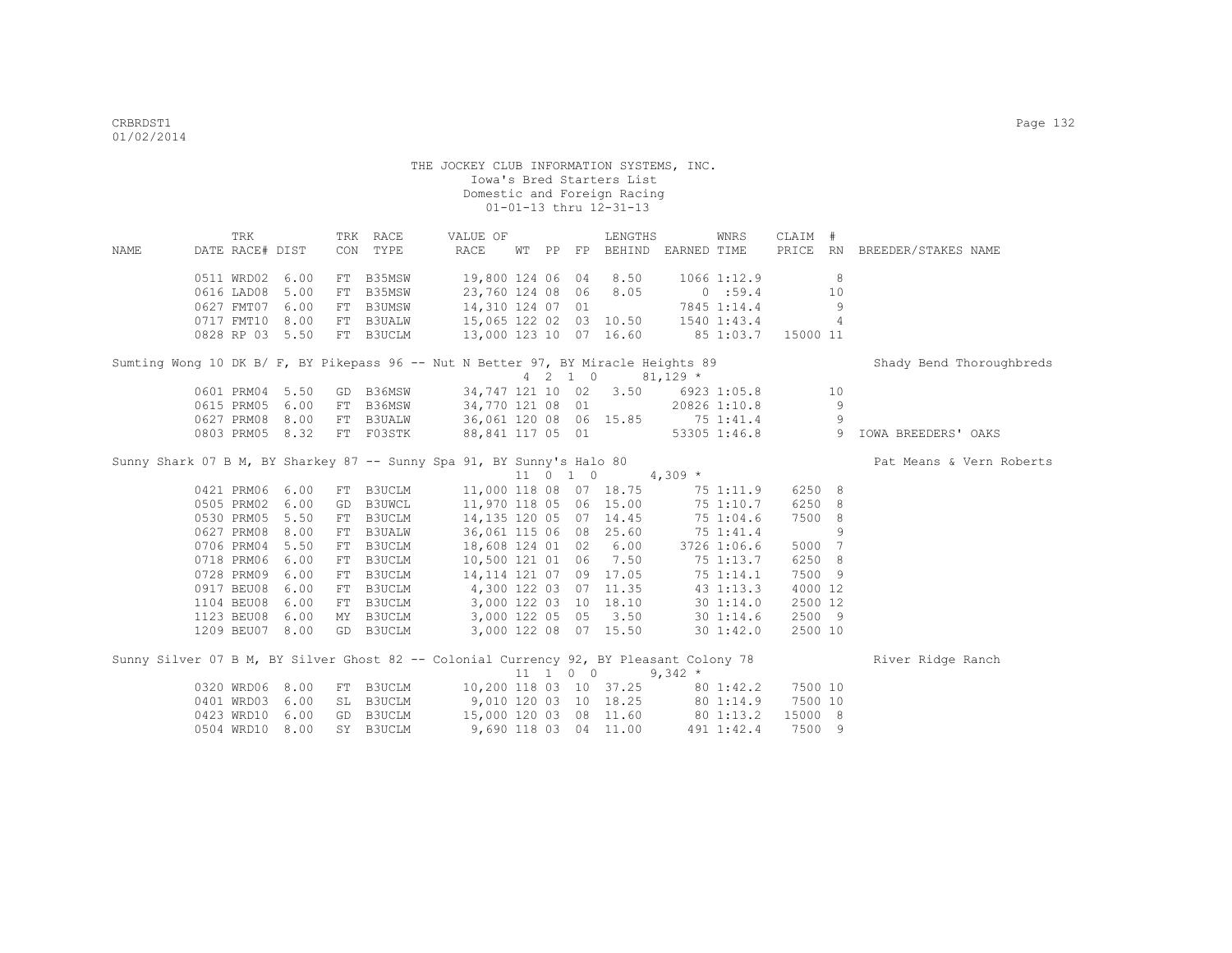|                                                                                        | TRK             |                 | TRK RACE                                            | VALUE OF              |  |                              | LENGTHS                                        |           | WNRS            | CLAIM # |    |                              |
|----------------------------------------------------------------------------------------|-----------------|-----------------|-----------------------------------------------------|-----------------------|--|------------------------------|------------------------------------------------|-----------|-----------------|---------|----|------------------------------|
| NAME                                                                                   | DATE RACE# DIST |                 | CON TYPE                                            | RACE                  |  |                              | WT PP FP BEHIND EARNED TIME                    |           |                 |         |    | PRICE RN BREEDER/STAKES NAME |
|                                                                                        |                 |                 |                                                     |                       |  |                              |                                                |           |                 |         |    |                              |
|                                                                                        | 0511 WRD02 6.00 |                 | FT B35MSW                                           | 19,800 124 06 04      |  |                              | 8.50                                           |           | $1066$ $1:12.9$ |         | 8  |                              |
|                                                                                        | 0616 LAD08      | 5.00            | FT B35MSW                                           |                       |  |                              | 23,760 124 08 06 8.05                          |           | 0:59.4          |         | 10 |                              |
|                                                                                        | 0627 FMT07      | 6.00            | FT B3UMSW                                           | 14,310 124 07 01      |  |                              |                                                |           | 7845 1:14.4     |         | 9  |                              |
|                                                                                        |                 | 0717 FMT10 8.00 | FT B3UALW 15,065 122 02 03 10.50 1540 1:43.4        |                       |  |                              |                                                |           |                 |         | 4  |                              |
|                                                                                        | 0828 RP 03 5.50 |                 | FT B3UCLM 13,000 123 10 07 16.60 85 1:03.7 15000 11 |                       |  |                              |                                                |           |                 |         |    |                              |
|                                                                                        |                 |                 |                                                     |                       |  |                              |                                                |           |                 |         |    |                              |
| Sumting Wong 10 DK B/ F, BY Pikepass 96 -- Nut N Better 97, BY Miracle Heights 89      |                 |                 |                                                     |                       |  |                              |                                                |           |                 |         |    | Shady Bend Thoroughbreds     |
|                                                                                        |                 |                 |                                                     |                       |  |                              | $4 \quad 2 \quad 1 \quad 0 \quad 81,129 \star$ |           |                 |         |    |                              |
|                                                                                        | 0601 PRM04 5.50 |                 | GD B36MSW                                           |                       |  |                              | 34,747 121 10 02 3.50 6923 1:05.8              |           |                 |         | 10 |                              |
|                                                                                        | 0615 PRM05 6.00 |                 | FT B36MSW                                           |                       |  |                              | 34,770 121 08 01                               |           | 20826 1:10.8    |         | 9  |                              |
|                                                                                        | 0627 PRM08 8.00 |                 | FT B3UALW                                           |                       |  |                              | 36,061 120 08 06 15.85 75 1:41.4               |           |                 |         | 9  |                              |
|                                                                                        | 0803 PRM05 8.32 |                 | FT F03STK                                           | 88,841 117 05 01      |  |                              | 53305 1:46.8                                   |           |                 |         | 9  | IOWA BREEDERS' OAKS          |
| Sunny Shark 07 B M, BY Sharkey 87 -- Sunny Spa 91, BY Sunny's Halo 80                  |                 |                 |                                                     |                       |  |                              |                                                |           |                 |         |    | Pat Means & Vern Roberts     |
|                                                                                        |                 |                 |                                                     |                       |  | 11 0 1 0                     | $4,309$ *                                      |           |                 |         |    |                              |
|                                                                                        | 0421 PRM06 6.00 |                 | FT B3UCLM                                           |                       |  |                              | 11,000 118 08 07 18.75 75 1:11.9               |           |                 | 6250 8  |    |                              |
|                                                                                        | 0505 PRM02      | 6.00            | GD B3UWCL                                           |                       |  |                              | 11,970 118 05 06 15.00                         |           | 75 1:10.7       | 6250 8  |    |                              |
|                                                                                        | 0530 PRM05 5.50 |                 | FT B3UCLM                                           |                       |  |                              | 14,135 120 05 07 14.45                         |           | 75 1:04.6       | 7500 8  |    |                              |
|                                                                                        | 0627 PRM08 8.00 |                 | FT B3UALW                                           |                       |  |                              | 36,061 115 06 08 25.60                         |           | 75 1:41.4       |         | 9  |                              |
|                                                                                        | 0706 PRM04 5.50 |                 | FT B3UCLM                                           |                       |  |                              | 18,608 124 01 02 6.00                          |           | 3726 1:06.6     | 5000 7  |    |                              |
|                                                                                        | 0718 PRM06 6.00 |                 | FT B3UCLM                                           |                       |  |                              | 10,500 121 01 06 7.50                          |           | 75 1:13.7       | 6250 8  |    |                              |
|                                                                                        | 0728 PRM09 6.00 |                 | FT B3UCLM                                           |                       |  |                              | 14, 114 121 07 09 17.05                        |           | 751:14.1        | 7500 9  |    |                              |
|                                                                                        | 0917 BEU08 6.00 |                 | FT B3UCLM                                           | 4,300 122 03 07 11.35 |  |                              |                                                |           | 43 1:13.3       | 4000 12 |    |                              |
|                                                                                        | 1104 BEU08 6.00 |                 | FT B3UCLM 3,000 122 03 10 18.10                     |                       |  |                              |                                                |           | 30 1:14.0       | 2500 12 |    |                              |
|                                                                                        | 1123 BEU08 6.00 |                 | MY B3UCLM 3,000 122 05 05 3.50                      |                       |  |                              |                                                |           | 301:14.6        | 2500 9  |    |                              |
|                                                                                        | 1209 BEU07 8.00 |                 | GD B3UCLM 3,000 122 08 07 15.50                     |                       |  |                              |                                                |           | $30 \t1:42.0$   | 2500 10 |    |                              |
|                                                                                        |                 |                 |                                                     |                       |  |                              |                                                |           |                 |         |    |                              |
| Sunny Silver 07 B M, BY Silver Ghost 82 -- Colonial Currency 92, BY Pleasant Colony 78 |                 |                 |                                                     |                       |  |                              |                                                |           |                 |         |    | River Ridge Ranch            |
|                                                                                        |                 |                 |                                                     |                       |  | $11 \quad 1 \quad 0 \quad 0$ |                                                | $9,342$ * |                 |         |    |                              |
|                                                                                        |                 | 0320 WRD06 8.00 | FT B3UCLM 10,200 118 03 10 37.25                    |                       |  |                              |                                                |           | 80 1:42.2       | 7500 10 |    |                              |
|                                                                                        |                 | 0401 WRD03 6.00 | SL B3UCLM 9,010 120 03 10 18.25                     |                       |  |                              |                                                |           | 80 1:14.9       | 7500 10 |    |                              |
|                                                                                        |                 |                 |                                                     |                       |  |                              |                                                |           |                 |         |    |                              |
|                                                                                        | 0423 WRD10 6.00 |                 | GD B3UCLM                                           |                       |  |                              | 15,000 120 03 08 11.60 80 1:13.2               |           |                 | 15000 8 |    |                              |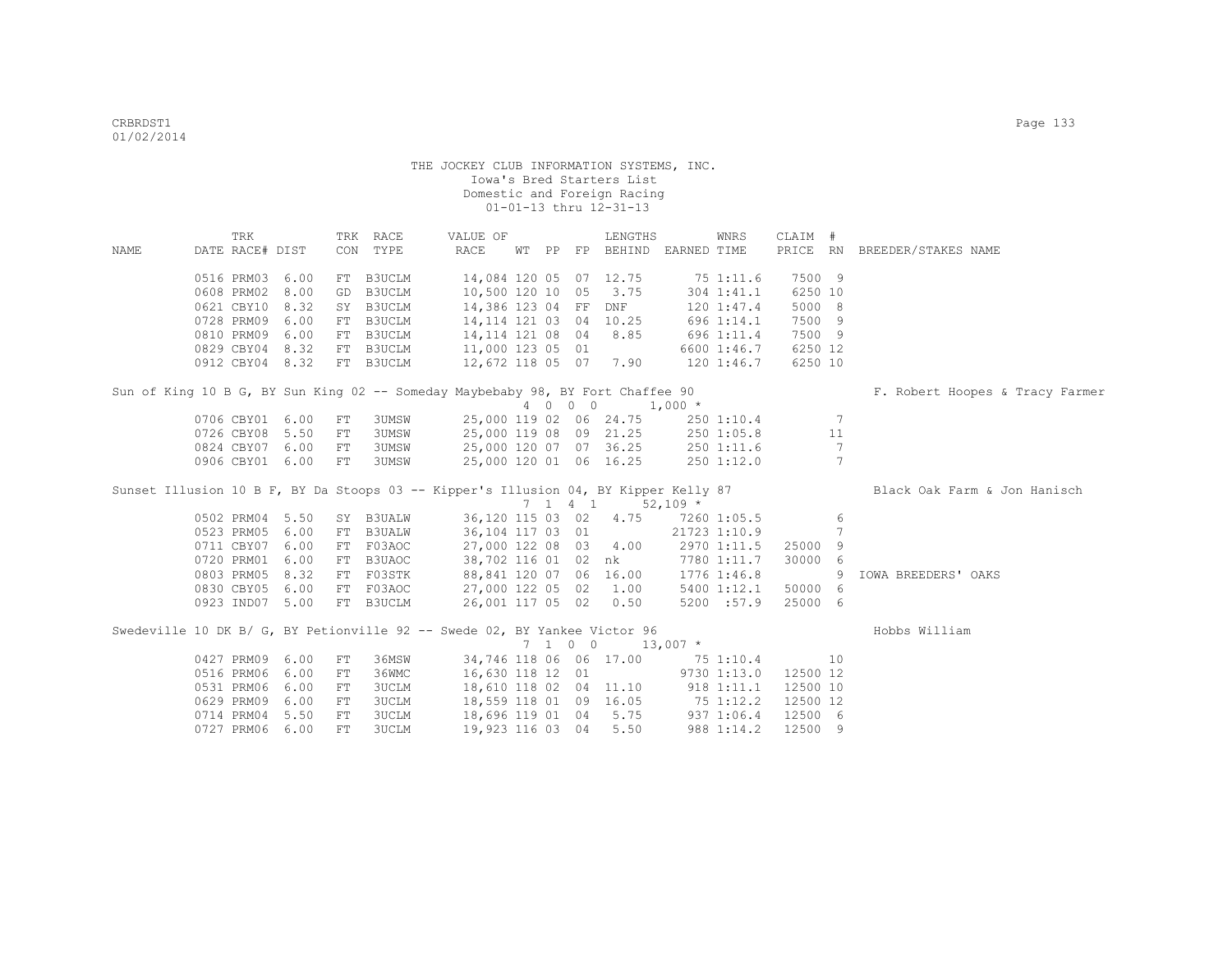|             |                 | TRK |      |    | TRK RACE                                                                            | VALUE OF                |  |                          | LENGTHS                          |            | WNRS         | CLAIM #  |                |                                 |
|-------------|-----------------|-----|------|----|-------------------------------------------------------------------------------------|-------------------------|--|--------------------------|----------------------------------|------------|--------------|----------|----------------|---------------------------------|
| <b>NAME</b> | DATE RACE# DIST |     |      |    | CON TYPE                                                                            | RACE                    |  |                          | WT PP FP BEHIND EARNED TIME      |            |              |          |                | PRICE RN BREEDER/STAKES NAME    |
|             | 0516 PRM03 6.00 |     |      |    | FT B3UCLM                                                                           | 14,084 120 05 07 12.75  |  |                          |                                  |            | 751:11.6     | 7500 9   |                |                                 |
|             | 0608 PRM02      |     | 8.00 | GD | B3UCLM                                                                              | 10,500 120 10           |  | 05                       | 3.75                             |            | 304 1:41.1   | 6250 10  |                |                                 |
|             | 0621 CBY10 8.32 |     |      |    | SY B3UCLM                                                                           | 14,386 123 04 FF DNF    |  |                          |                                  |            | 120 1:47.4   | 5000 8   |                |                                 |
|             | 0728 PRM09      |     | 6.00 |    | FT B3UCLM                                                                           | 14, 114 121 03 04 10.25 |  |                          |                                  |            | 696 1:14.1   | 7500 9   |                |                                 |
|             | 0810 PRM09 6.00 |     |      |    | FT B3UCLM                                                                           | 14, 114 121 08 04 8.85  |  |                          |                                  |            | 696 1:11.4   | 7500 9   |                |                                 |
|             | 0829 CBY04 8.32 |     |      |    | FT B3UCLM                                                                           | 11,000 123 05 01        |  |                          |                                  |            | 6600 1:46.7  | 6250 12  |                |                                 |
|             | 0912 CBY04 8.32 |     |      |    | FT B3UCLM                                                                           | 12,672 118 05 07 7.90   |  |                          |                                  |            | 120 1:46.7   | 6250 10  |                |                                 |
|             |                 |     |      |    | Sun of King 10 B G, BY Sun King 02 -- Someday Maybebaby 98, BY Fort Chaffee 90      |                         |  |                          |                                  |            |              |          |                | F. Robert Hoopes & Tracy Farmer |
|             |                 |     |      |    |                                                                                     |                         |  | 4 0 0 0                  | $1,000$ *                        |            |              |          |                |                                 |
|             | 0706 CBY01 6.00 |     |      | FT | 3UMSW                                                                               |                         |  |                          | 25,000 119 02 06 24.75           |            | 250 1:10.4   |          | - 7            |                                 |
|             | 0726 CBY08 5.50 |     |      | FT | 3UMSW                                                                               | 25,000 119 08 09 21.25  |  |                          |                                  |            | 250 1:05.8   |          | 11             |                                 |
|             | 0824 CBY07 6.00 |     |      | FT | 3UMSW                                                                               | 25,000 120 07 07 36.25  |  |                          |                                  |            | 2501:11.6    |          | $\overline{7}$ |                                 |
|             | 0906 CBY01 6.00 |     |      | FT | 3UMSW                                                                               |                         |  |                          | 25,000 120 01 06 16.25           |            | 250 1:12.0   |          | $\overline{7}$ |                                 |
|             |                 |     |      |    | Sunset Illusion 10 B F, BY Da Stoops 03 -- Kipper's Illusion 04, BY Kipper Kelly 87 |                         |  |                          |                                  |            |              |          |                | Black Oak Farm & Jon Hanisch    |
|             |                 |     |      |    |                                                                                     |                         |  |                          | 7 1 4 1                          | $52,109$ * |              |          |                |                                 |
|             | 0502 PRM04 5.50 |     |      |    | SY B3UALW                                                                           | 36,120 115 03 02 4.75   |  |                          |                                  |            | 7260 1:05.5  |          | 6              |                                 |
|             | 0523 PRM05 6.00 |     |      |    | FT B3UALW                                                                           | 36,104 117 03 01        |  |                          |                                  |            | 21723 1:10.9 |          | 7              |                                 |
|             | 0711 CBY07 6.00 |     |      |    | FT F03AOC                                                                           | 27,000 122 08 03 4.00   |  |                          |                                  |            | 2970 1:11.5  | 25000 9  |                |                                 |
|             | 0720 PRM01 6.00 |     |      |    | FT B3UAOC                                                                           | 38,702 116 01 02 nk     |  |                          |                                  |            | 7780 1:11.7  | 30000 6  |                |                                 |
|             | 0803 PRM05      |     | 8.32 |    | FT F03STK                                                                           | 88,841 120 07 06 16.00  |  |                          |                                  |            | 1776 1:46.8  |          | 9              | IOWA BREEDERS' OAKS             |
|             | 0830 CBY05 6.00 |     |      |    | FT F03AOC                                                                           | 27,000 122 05 02 1.00   |  |                          |                                  |            | 5400 1:12.1  | 50000 6  |                |                                 |
|             | 0923 IND07 5.00 |     |      |    | FT B3UCLM                                                                           | 26,001 117 05 02        |  |                          | 0.50                             |            | 5200 :57.9   | 25000 6  |                |                                 |
|             |                 |     |      |    | Swedeville 10 DK B/ G, BY Petionville 92 -- Swede 02, BY Yankee Victor 96           |                         |  |                          |                                  |            |              |          |                | Hobbs William                   |
|             |                 |     |      |    |                                                                                     |                         |  | $7\quad 1\quad 0\quad 0$ |                                  | $13,007$ * |              |          |                |                                 |
|             | 0427 PRM09 6.00 |     |      | FT | 36MSW                                                                               |                         |  |                          | 34,746 118 06 06 17.00           |            | 75 1:10.4    |          | 10             |                                 |
|             | 0516 PRM06      |     | 6.00 | FT | 36WMC                                                                               | 16,630 118 12 01        |  |                          |                                  |            | 9730 1:13.0  | 12500 12 |                |                                 |
|             | 0531 PRM06      |     | 6.00 | FT | 3UCLM                                                                               | 18,610 118 02 04 11.10  |  |                          |                                  |            | 918 1:11.1   | 12500 10 |                |                                 |
|             | 0629 PRM09 6.00 |     |      | FT | 3UCLM                                                                               |                         |  |                          | 18,559 118 01 09 16.05 75 1:12.2 |            |              | 12500 12 |                |                                 |
|             | 0714 PRM04      |     | 5.50 | FT | 3UCLM                                                                               |                         |  |                          | 18,696 119 01 04 5.75            |            | 9371:06.4    | 12500 6  |                |                                 |
|             | 0727 PRM06 6.00 |     |      | FT | 3UCLM                                                                               | 19,923 116 03 04 5.50   |  |                          |                                  |            | 988 1:14.2   | 12500 9  |                |                                 |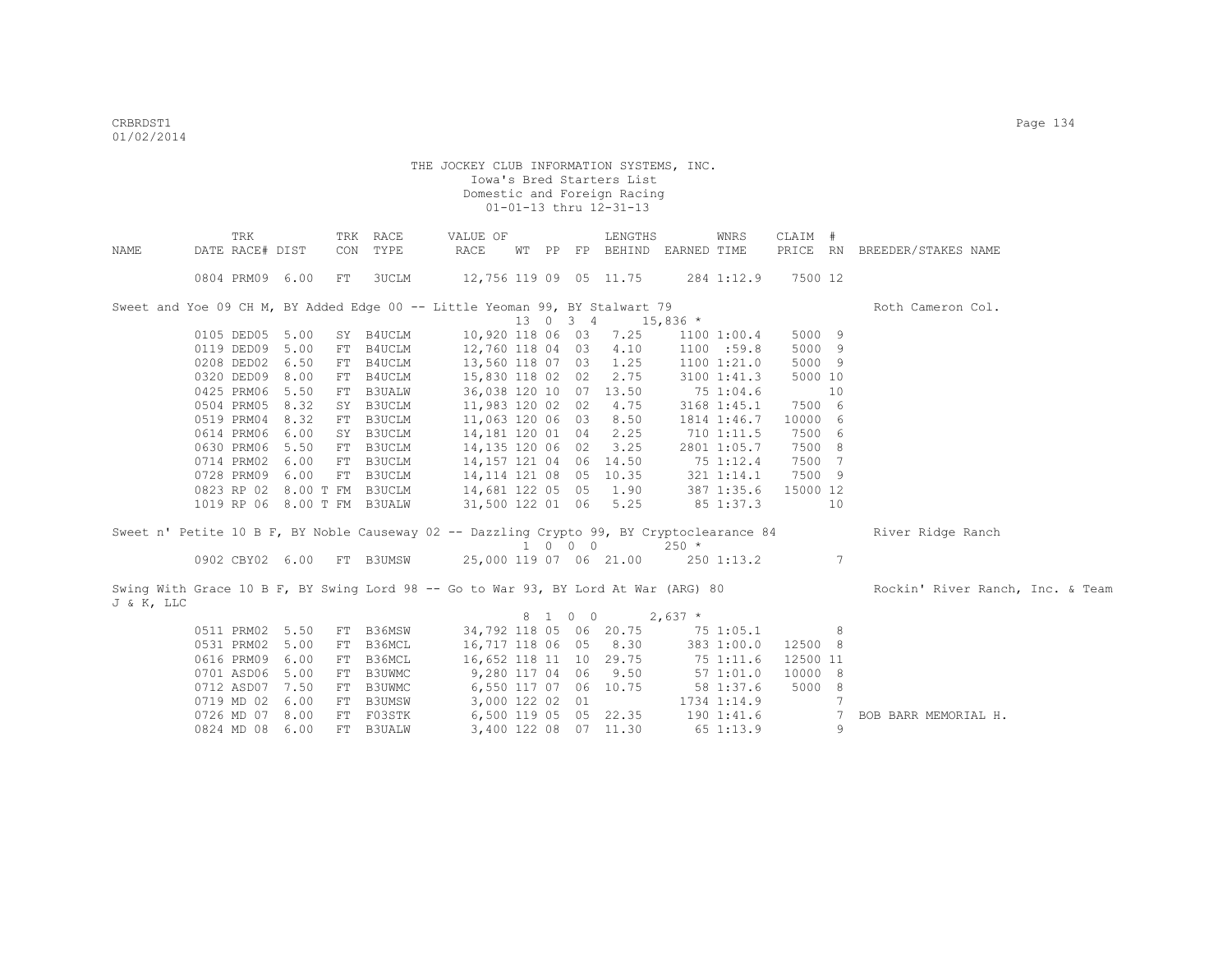|            | TRK                         |      |     | TRK RACE      | VALUE OF                                                                                  |  |                             | LENGTHS                           |            | WNRS            | CLAIM #  |                |                                  |
|------------|-----------------------------|------|-----|---------------|-------------------------------------------------------------------------------------------|--|-----------------------------|-----------------------------------|------------|-----------------|----------|----------------|----------------------------------|
| NAME       | DATE RACE# DIST             |      | CON | TYPE          | RACE                                                                                      |  |                             | WT PP FP BEHIND EARNED TIME       |            |                 |          |                | PRICE RN BREEDER/STAKES NAME     |
|            |                             |      |     |               |                                                                                           |  |                             |                                   |            |                 |          |                |                                  |
|            | 0804 PRM09 6.00             |      | FT  | 3UCLM         |                                                                                           |  |                             | 12,756 119 09 05 11.75 284 1:12.9 |            |                 | 7500 12  |                |                                  |
|            |                             |      |     |               | Sweet and Yoe 09 CH M, BY Added Edge 00 -- Little Yeoman 99, BY Stalwart 79               |  |                             |                                   |            |                 |          |                | Roth Cameron Col.                |
|            |                             |      |     |               |                                                                                           |  | 13 0 3 4                    |                                   | $15,836$ * |                 |          |                |                                  |
|            | 0105 DED05 5.00             |      |     | SY B4UCLM     | 10,920 118 06 03                                                                          |  |                             | 7.25                              |            | 1100 1:00.4     | 5000 9   |                |                                  |
|            | 0119 DED09 5.00             |      | FT  | B4UCLM        | 12,760 118 04 03                                                                          |  |                             | 4.10                              |            | 1100 :59.8      | 5000 9   |                |                                  |
|            | 0208 DED02                  | 6.50 | FT  | B4UCLM        | 13,560 118 07 03                                                                          |  |                             | 1.25                              |            | 1100 1:21.0     | 5000 9   |                |                                  |
|            | 0320 DED09                  | 8.00 | FT  | B4UCLM        | 15,830 118 02 02                                                                          |  |                             | 2.75                              |            | $3100$ $1:41.3$ | 5000 10  |                |                                  |
|            | 0425 PRM06                  | 5.50 | FT  | <b>B3UALW</b> | 36,038 120 10 07 13.50                                                                    |  |                             |                                   |            | 75 1:04.6       | 10       |                |                                  |
|            | 0504 PRM05                  | 8.32 | SY  | B3UCLM        | 11,983 120 02 02                                                                          |  |                             | 4.75                              |            | $3168$ $1:45.1$ | 7500 6   |                |                                  |
|            | 0519 PRM04                  | 8.32 | FT  | B3UCLM        | 11,063 120 06 03 8.50                                                                     |  |                             |                                   |            | 1814 1:46.7     | 10000 6  |                |                                  |
|            | 0614 PRM06                  | 6.00 | SY  | B3UCLM        | 14,181 120 01 04                                                                          |  |                             | 2.25                              |            | 710 1:11.5      | 7500 6   |                |                                  |
|            | 0630 PRM06                  | 5.50 | FT  | B3UCLM        | 14,135 120 06 02                                                                          |  |                             | 3.25                              |            | 2801 1:05.7     | 7500 8   |                |                                  |
|            | 0714 PRM02                  | 6.00 | FT  | B3UCLM        | 14, 157 121 04 06 14.50                                                                   |  |                             |                                   |            | 75 1:12.4       | 7500 7   |                |                                  |
|            | 0728 PRM09 6.00             |      | FT  | B3UCLM        | 14, 114 121 08 05 10.35                                                                   |  |                             |                                   |            | $321$ $1:14.1$  | 7500 9   |                |                                  |
|            | 0823 RP 02 8.00 T FM B3UCLM |      |     |               | 14,681 122 05 05 1.90                                                                     |  |                             |                                   | 387 1:35.6 |                 | 15000 12 |                |                                  |
|            | 1019 RP 06 8.00 T FM B3UALW |      |     |               | 31,500 122 01 06 5.25                                                                     |  |                             |                                   |            | 85 1:37.3       |          | 10             |                                  |
|            |                             |      |     |               |                                                                                           |  |                             |                                   |            |                 |          |                |                                  |
|            |                             |      |     |               | Sweet n' Petite 10 B F, BY Noble Causeway 02 -- Dazzling Crypto 99, BY Cryptoclearance 84 |  | $1 \quad 0 \quad 0 \quad 0$ |                                   | $250 *$    |                 |          |                | River Ridge Ranch                |
|            | 0902 CBY02 6.00 FT B3UMSW   |      |     |               |                                                                                           |  |                             | 25,000 119 07 06 21.00 250 1:13.2 |            |                 |          | 7              |                                  |
|            |                             |      |     |               |                                                                                           |  |                             |                                   |            |                 |          |                |                                  |
|            |                             |      |     |               | Swing With Grace 10 B F, BY Swing Lord 98 -- Go to War 93, BY Lord At War (ARG) 80        |  |                             |                                   |            |                 |          |                | Rockin' River Ranch, Inc. & Team |
| J & K, LLC |                             |      |     |               |                                                                                           |  |                             |                                   |            |                 |          |                |                                  |
|            |                             |      |     |               |                                                                                           |  | 8 1 0 0                     |                                   | $2,637$ *  |                 |          |                |                                  |
|            | 0511 PRM02 5.50             |      | FT  | B36MSW        |                                                                                           |  |                             | 34,792 118 05 06 20.75            |            | 75 1:05.1       |          | 8              |                                  |
|            | 0531 PRM02                  | 5.00 | FT  | B36MCL        |                                                                                           |  |                             | 16,717 118 06 05 8.30             |            | 383 1:00.0      | 12500 8  |                |                                  |
|            | 0616 PRM09                  | 6.00 | FT  | B36MCL        | 16,652 118 11 10 29.75                                                                    |  |                             |                                   |            | 75 1:11.6       | 12500 11 |                |                                  |
|            | 0701 ASD06                  | 5.00 | FT  | B3UWMC        | 9,280 117 04 06 9.50                                                                      |  |                             |                                   |            | 571:01.0        | 10000 8  |                |                                  |
|            | 0712 ASD07 7.50             |      | FT  | B3UWMC        | 6,550 117 07 06 10.75                                                                     |  |                             |                                   |            | 58 1:37.6       | 5000 8   |                |                                  |
|            | 0719 MD 02                  | 6.00 | FT  | <b>B3UMSW</b> | 3,000 122 02 01                                                                           |  |                             |                                   |            | 1734 1:14.9     |          | $\overline{7}$ |                                  |
|            | 0726 MD 07 8.00             |      |     | FT F03STK     | 6,500 119 05 05 22.35                                                                     |  |                             |                                   |            | 190 1:41.6      |          | 7              | BOB BARR MEMORIAL H.             |
|            | 0824 MD 08 6.00             |      |     | FT B3UALW     |                                                                                           |  |                             | 3,400 122 08 07 11.30             |            | 65 1:13.9       |          | 9              |                                  |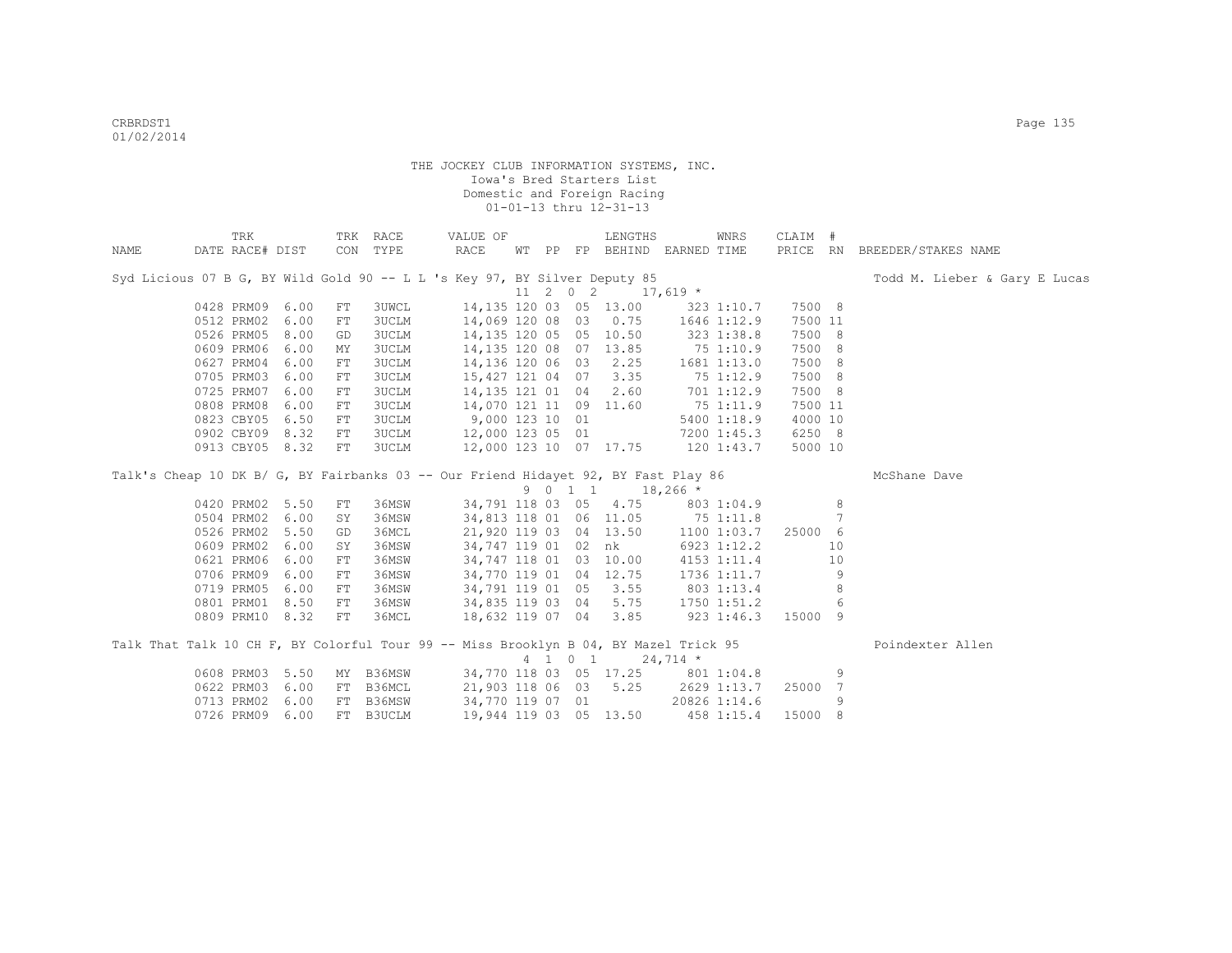|      | TRK             |      |            | TRK RACE     | VALUE OF                                                                             |  |                  | LENGTHS                         |             | WNRS                | CLAIM # |    |                               |
|------|-----------------|------|------------|--------------|--------------------------------------------------------------------------------------|--|------------------|---------------------------------|-------------|---------------------|---------|----|-------------------------------|
| NAME | DATE RACE# DIST |      |            | CON TYPE     | RACE                                                                                 |  |                  | WT PP FP BEHIND EARNED TIME     |             |                     |         |    | PRICE RN BREEDER/STAKES NAME  |
|      |                 |      |            |              | Syd Licious 07 B G, BY Wild Gold 90 -- L L 's Key 97, BY Silver Deputy 85            |  |                  |                                 |             |                     |         |    | Todd M. Lieber & Gary E Lucas |
|      |                 |      |            |              |                                                                                      |  | $11 \t2 \t0 \t2$ |                                 | $17,619$ *  |                     |         |    |                               |
|      | 0428 PRM09 6.00 |      | FT         | 3UWCL        |                                                                                      |  |                  | 14,135 120 03 05 13.00          |             | 323 1:10.7          | 7500 8  |    |                               |
|      | 0512 PRM02 6.00 |      | FT         | 3UCLM        | 14,069 120 08 03 0.75                                                                |  |                  |                                 |             | 1646 1:12.9         | 7500 11 |    |                               |
|      | 0526 PRM05 8.00 |      | GD         | <b>3UCLM</b> | 14,135 120 05 05 10.50                                                               |  |                  |                                 | 323 1:38.8  |                     | 7500 8  |    |                               |
|      | 0609 PRM06 6.00 |      | МY         | <b>3UCLM</b> | 14, 135 120 08 07 13.85                                                              |  |                  |                                 |             | 75 1:10.9           | 7500 8  |    |                               |
|      | 0627 PRM04 6.00 |      | FT         | <b>3UCLM</b> | 14, 136 120 06 03 2.25                                                               |  |                  |                                 | 1681 1:13.0 |                     | 7500 8  |    |                               |
|      | 0705 PRM03 6.00 |      | FT         | <b>3UCLM</b> | 15,427 121 04 07 3.35                                                                |  |                  |                                 |             | 75 1:12.9           | 7500 8  |    |                               |
|      | 0725 PRM07 6.00 |      | FT         | <b>3UCLM</b> | 14,135 121 01 04 2.60                                                                |  |                  |                                 |             | 701 1:12.9          | 7500 8  |    |                               |
|      | 0808 PRM08 6.00 |      | FT         | <b>3UCLM</b> | 14,070 121 11 09 11.60                                                               |  |                  |                                 |             | 75 1:11.9           | 7500 11 |    |                               |
|      | 0823 CBY05 6.50 |      | FT         | <b>3UCLM</b> | $9,000$ 123 10 01                                                                    |  |                  |                                 |             | 5400 1:18.9         | 4000 10 |    |                               |
|      | 0902 CBY09 8.32 |      | FT         | <b>3UCLM</b> | 12,000 123 05 01                                                                     |  |                  |                                 |             | 7200 1:45.3         | 6250 8  |    |                               |
|      | 0913 CBY05 8.32 |      | FT         | <b>3UCLM</b> | 12,000 123 10 07 17.75 120 1:43.7                                                    |  |                  |                                 |             |                     | 5000 10 |    |                               |
|      |                 |      |            |              | Talk's Cheap 10 DK B/ G, BY Fairbanks 03 -- Our Friend Hidayet 92, BY Fast Play 86   |  |                  |                                 |             |                     |         |    | McShane Dave                  |
|      |                 |      |            |              |                                                                                      |  | 9 0 1 1          |                                 | $18,266$ *  |                     |         |    |                               |
|      | 0420 PRM02 5.50 |      | FT         |              | 36MSW 34,791 118 03 05 4.75 803 1:04.9                                               |  |                  |                                 |             |                     |         | 8  |                               |
|      | 0504 PRM02 6.00 |      | SY         | 36MSW        | 34,813 118 01 06 11.05                                                               |  |                  |                                 |             | 75 1:11.8           |         | 7  |                               |
|      | 0526 PRM02 5.50 |      | GD         | 36MCL        | 21,920 119 03 04 13.50                                                               |  |                  |                                 |             | 1100 1:03.7 25000 6 |         |    |                               |
|      | 0609 PRM02 6.00 |      | SY         | 36MSW        |                                                                                      |  |                  | 34,747 119 01 02 nk 6923 1:12.2 |             |                     |         | 10 |                               |
|      | 0621 PRM06 6.00 |      | FT         | 36MSW        | 34,747 118 01 03 10.00                                                               |  |                  |                                 |             | 4153 1:11.4         |         | 10 |                               |
|      | 0706 PRM09 6.00 |      | ${\rm FT}$ | 36MSW        | 34,770 119 01 04 12.75                                                               |  |                  |                                 |             | 1736 1:11.7         |         | 9  |                               |
|      | 0719 PRM05 6.00 |      | FT         | 36MSW        | 34,791 119 01 05 3.55                                                                |  |                  |                                 |             | 803 1:13.4          |         | 8  |                               |
|      | 0801 PRM01 8.50 |      | FT         | 36MSW        | 34,835 119 03 04 5.75                                                                |  |                  |                                 |             | 1750 1:51.2         |         | 6  |                               |
|      | 0809 PRM10 8.32 |      | ${\rm FT}$ | 36MCL        | 18,632 119 07 04 3.85                                                                |  |                  |                                 |             | 923 1:46.3 15000 9  |         |    |                               |
|      |                 |      |            |              |                                                                                      |  |                  |                                 |             |                     |         |    |                               |
|      |                 |      |            |              | Talk That Talk 10 CH F, BY Colorful Tour 99 -- Miss Brooklyn B 04, BY Mazel Trick 95 |  |                  |                                 |             |                     |         |    | Poindexter Allen              |
|      |                 |      |            |              |                                                                                      |  |                  | 4 1 0 1                         | $24,714$ *  |                     |         |    |                               |
|      | 0608 PRM03 5.50 |      | MY         |              | B36MSW 34,770 118 03 05 17.25 801 1:04.8                                             |  |                  |                                 |             |                     |         | 9  |                               |
|      | 0622 PRM03 6.00 |      | FT         | B36MCL       | 21,903 118 06 03 5.25                                                                |  |                  |                                 |             | 2629 1:13.7         | 25000 7 |    |                               |
|      | 0713 PRM02      | 6.00 | FT         | B36MSW       | 34,770 119 07 01                                                                     |  |                  | 20826 1:14.6                    |             |                     |         | 9  |                               |
|      | 0726 PRM09 6.00 |      |            | FT B3UCLM    | 19,944 119 03 05 13.50                                                               |  |                  |                                 |             | 458 1:15.4          | 15000 8 |    |                               |
|      |                 |      |            |              |                                                                                      |  |                  |                                 |             |                     |         |    |                               |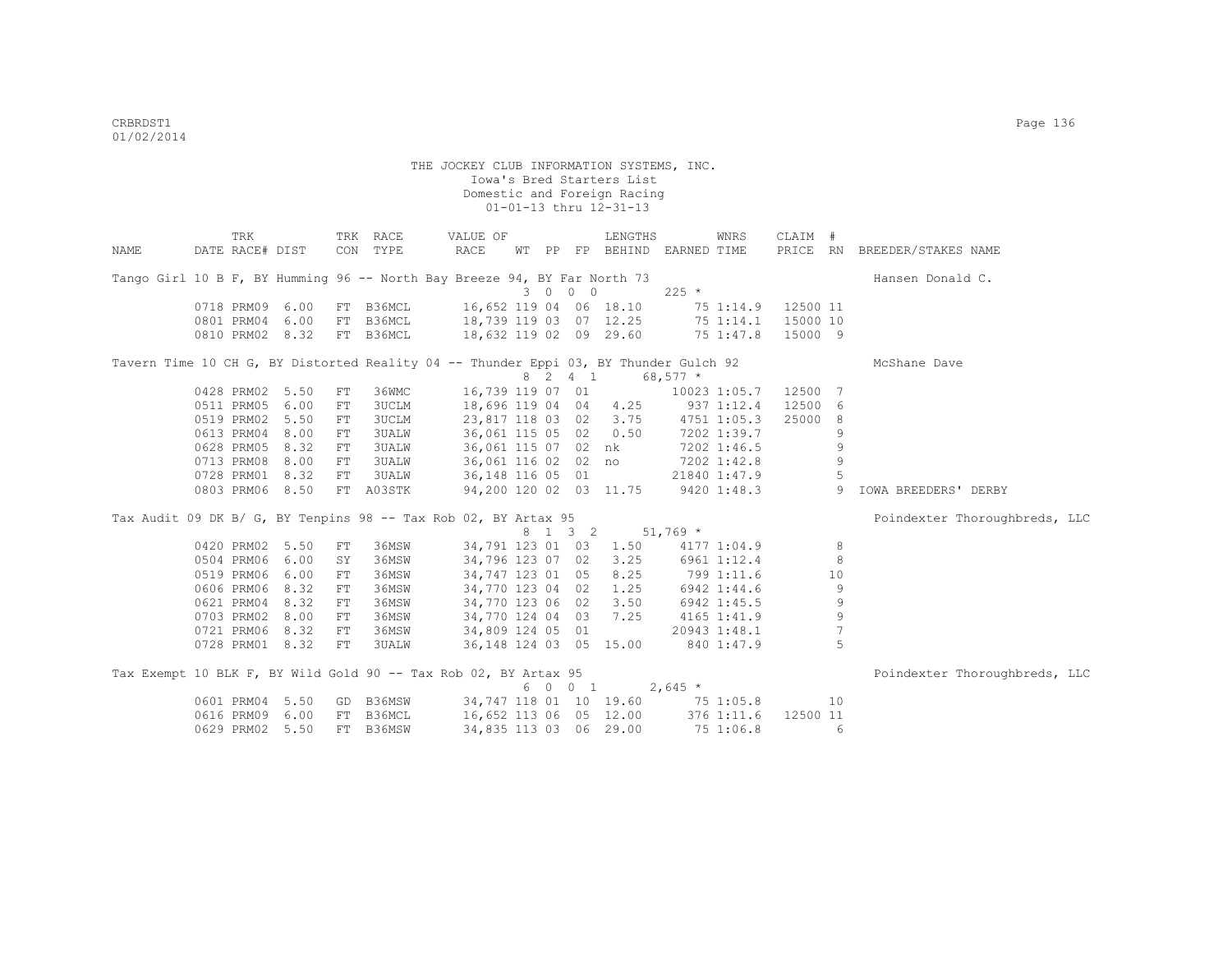|                                                                                      | TRK             |      |            | TRK RACE     | VALUE OF               |  |         | LENGTHS                            |            | WNRS         | CLAIM #  |                 |                               |
|--------------------------------------------------------------------------------------|-----------------|------|------------|--------------|------------------------|--|---------|------------------------------------|------------|--------------|----------|-----------------|-------------------------------|
| NAME                                                                                 | DATE RACE# DIST |      |            | CON TYPE     | RACE                   |  |         | WT PP FP BEHIND EARNED TIME        |            |              |          |                 | PRICE RN BREEDER/STAKES NAME  |
| Tango Girl 10 B F, BY Humming 96 -- North Bay Breeze 94, BY Far North 73             |                 |      |            |              |                        |  |         |                                    |            |              |          |                 | Hansen Donald C.              |
|                                                                                      |                 |      |            |              |                        |  | 3 0 0 0 |                                    | $225 *$    |              |          |                 |                               |
|                                                                                      | 0718 PRM09 6.00 |      |            | FT B36MCL    | 16,652 119 04 06 18.10 |  |         |                                    |            | 75 1:14.9    | 12500 11 |                 |                               |
|                                                                                      | 0801 PRM04 6.00 |      | FT         | B36MCL       | 18,739 119 03 07 12.25 |  |         |                                    |            | 75 1:14.1    | 15000 10 |                 |                               |
|                                                                                      | 0810 PRM02 8.32 |      |            | FT B36MCL    | 18,632 119 02 09 29.60 |  |         |                                    |            | 75 1:47.8    | 15000 9  |                 |                               |
| Tavern Time 10 CH G, BY Distorted Reality 04 -- Thunder Eppi 03, BY Thunder Gulch 92 |                 |      |            |              |                        |  |         |                                    |            |              |          |                 | McShane Dave                  |
|                                                                                      |                 |      |            |              |                        |  |         | 8 2 4 1 68,577 *                   |            |              |          |                 |                               |
|                                                                                      | 0428 PRM02 5.50 |      | FT         | 36WMC        |                        |  |         | 16,739 119 07 01 10023 1:05.7      |            |              | 12500 7  |                 |                               |
|                                                                                      | 0511 PRM05 6.00 |      | FT         | 3UCLM        |                        |  |         | 18,696 119 04 04 4.25 937 1:12.4   |            |              | 12500 6  |                 |                               |
|                                                                                      | 0519 PRM02 5.50 |      | FT         | 3UCLM        | 23,817 118 03 02 3.75  |  |         |                                    |            | 4751 1:05.3  | 25000    | -8              |                               |
|                                                                                      | 0613 PRM04 8.00 |      | ${\rm FT}$ | 3UALW        | 36,061 115 05 02 0.50  |  |         |                                    |            | 7202 1:39.7  |          | 9               |                               |
|                                                                                      | 0628 PRM05 8.32 |      | FT         | 3UALW        |                        |  |         | 36,061 115 07 02 nk 7202 1:46.5    |            |              |          | 9               |                               |
|                                                                                      | 0713 PRM08      | 8.00 | FT         | 3UALW        |                        |  |         | 36,061 116 02 02 no 7202 1:42.8    |            |              |          | 9               |                               |
|                                                                                      | 0728 PRM01 8.32 |      | FT         | <b>3UALW</b> | 36,148 116 05 01       |  |         |                                    |            | 21840 1:47.9 |          | 5               |                               |
|                                                                                      | 0803 PRM06 8.50 |      |            | FT A03STK    |                        |  |         | 94,200 120 02 03 11.75 9420 1:48.3 |            |              |          | 9               | <b>IOWA BREEDERS' DERBY</b>   |
| Tax Audit 09 DK B/ G, BY Tenpins 98 -- Tax Rob 02, BY Artax 95                       |                 |      |            |              |                        |  |         |                                    |            |              |          |                 | Poindexter Thoroughbreds, LLC |
|                                                                                      |                 |      |            |              |                        |  | 8 1 3 2 | $51,769$ *                         |            |              |          |                 |                               |
|                                                                                      | 0420 PRM02 5.50 |      | FT         | 36MSW        |                        |  |         | 34,791 123 01 03 1.50 4177 1:04.9  |            |              |          | 8               |                               |
|                                                                                      | 0504 PRM06 6.00 |      | SY         | 36MSW        | 34,796 123 07 02       |  |         | 3.25                               |            | 6961 1:12.4  |          | 8               |                               |
|                                                                                      | 0519 PRM06 6.00 |      | FT         | 36MSW        | 34,747 123 01 05       |  |         | 8.25                               |            | 799 1:11.6   |          | 10              |                               |
|                                                                                      | 0606 PRM06 8.32 |      | FT         | 36MSW        | 34,770 123 04 02       |  |         | 1.25                               |            | 6942 1:44.6  |          | 9               |                               |
|                                                                                      | 0621 PRM04 8.32 |      | FT         | 36MSW        | 34,770 123 06 02       |  |         | 3.50                               |            | 6942 1:45.5  |          | $\mathsf 9$     |                               |
|                                                                                      | 0703 PRM02 8.00 |      | FT         | 36MSW        | 34,770 124 04 03       |  |         | 7.25                               |            | 4165 1:41.9  |          | 9               |                               |
|                                                                                      | 0721 PRM06 8.32 |      | FT         | 36MSW        | 34,809 124 05 01       |  |         |                                    |            | 20943 1:48.1 |          | $7\phantom{.0}$ |                               |
|                                                                                      | 0728 PRM01 8.32 |      | ${\rm FT}$ | 3UALW        |                        |  |         | 36,148 124 03 05 15.00             | 840 1:47.9 |              |          | 5               |                               |
| Tax Exempt 10 BLK F, BY Wild Gold 90 -- Tax Rob 02, BY Artax 95                      |                 |      |            |              |                        |  |         |                                    |            |              |          |                 | Poindexter Thoroughbreds, LLC |
|                                                                                      |                 |      |            |              |                        |  | 6 0 0 1 |                                    | $2,645*$   |              |          |                 |                               |
|                                                                                      | 0601 PRM04 5.50 |      |            | GD B36MSW    |                        |  |         | 34,747 118 01 10 19.60 75 1:05.8   |            |              |          | 10              |                               |
|                                                                                      | 0616 PRM09 6.00 |      |            | FT B36MCL    | 16,652 113 06 05 12.00 |  |         |                                    |            | 376 1:11.6   | 12500 11 |                 |                               |
|                                                                                      | 0629 PRM02 5.50 |      |            | FT B36MSW    | 34,835 113 03 06 29.00 |  |         |                                    | 75 1:06.8  |              |          | 6               |                               |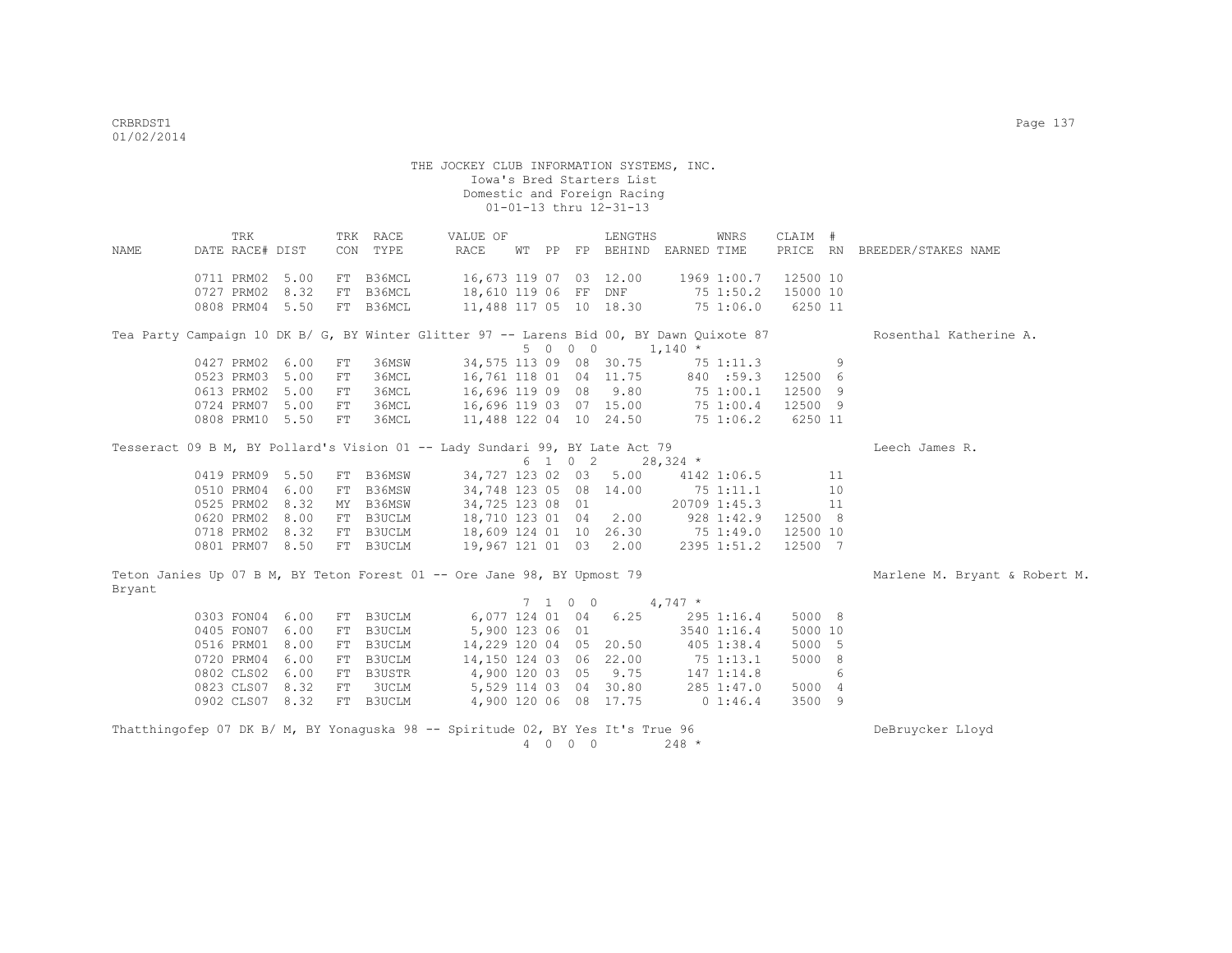THE JOCKEY CLUB INFORMATION SYSTEMS, INC. Iowa's Bred Starters List Domestic and Foreign Racing  $01-01-13$  thru  $12-31-13$  TRK TRK RACE VALUE OF LENGTHS WNRS CLAIM # NAME DATE RACE# DIST CON TYPE RACE WT PP FP BEHIND EARNED TIME PRICE RN BREEDER/STAKES NAME 0711 PRM02 5.00 FT B36MCL 16,673 119 07 03 12.00 1969 1:00.7 12500 10 0727 PRM02 8.32 FT B36MCL 18,610 119 06 FF DNF 75 1:50.2 15000 10 0808 PRM04 5.50 FT B36MCL 11,488 117 05 10 18.30 75 1:06.0 6250 11 Tea Party Campaign 10 DK B/ G, BY Winter Glitter 97 -- Larens Bid 00, BY Dawn Ouixote 87 Rosenthal Katherine A.  $5 \t 0 \t 0 \t 0 \t 1,140 \t \star$ <br>34.575 113 09 08 30.75 75 0427 PRM02 6.00 FT 36MSW 34,575 113 09 08 30.75 75 1:11.3 9<br>0523 PRM03 5.00 FT 36MCL 16,761 118 01 04 11.75 840 :59.3 12500 6 0523 PRM03 5.00 FT 36MCL 16,761 118 01 04 11.75 840 :59.3 12500 6 0613 PRM02 5.00 FT 36MCL 16,696 119 09 08 9.80 75 1:00.1 12500 9 0724 PRM07 5.00 FT 36MCL 16,696 119 03 07 15.00 75 1:00.4 12500 9 0808 PRM10 5.50 FT 36MCL 11,488 122 04 10 24.50 75 1:06.2 6250 11 Tesseract 09 B M, BY Pollard's Vision 01 -- Lady Sundari 99, BY Late Act 79 The Chames R.  $6$  1 0 2 28,324  $*$ <br>34,727 123 02 03 5.00 4142 0419 PRM09 5.50 FT B36MSW 34,727 123 02 03 5.00 4142 1:06.5 11<br>0510 PRM04 6.00 FT B36MSW 34,748 123 05 08 14.00 75 1:11.1 10 0510 PRM04 6.00 FT B36MSW 34,748 123 05 08 14.00 75 1:11.1 10 10<br>0525 PRM02 8.32 MY B36MSW 34,725 123 08 01 20709 1:45.3 11 0525 PRM02 8.32 MY B36MSW 0620 PRM02 8.00 FT B3UCLM 18,710 123 01 04 2.00 928 1:42.9 12500 8 0718 PRM02 8.32 FT B3UCLM 0801 PRM07 8.50 FT B3UCLM 19,967 121 01 03 2.00 2395 1:51.2 12500 7 Teton Janies Up 07 B M, BY Teton Forest 01 -- Ore Jane 98, BY Upmost 79 Mariene M. Bryant & Robert M. Bryant 7 1 0 0 4,747 \* 0303 FON04 6.00 FT B3UCLM 6,077 124 01 04 6.25 295 1:16.4 5000 8 0405 FON07 6.00 FT B3UCLM 5,900 123 06 01 3540 1:16.4 5000 10 0516 PRM01 8.00 FT B3UCLM 14,229 120 04 05 20.50 405 1:38.4 5000 5<br>0720 PRM04 6.00 FT B3UCLM 14,150 124 03 06 22.00 75 1:13.1 5000 8 0720 PRM04 6.00 FT B3UCLM 14,150 124 03 06 22.00 75 1:13.1<br>0802 CLS02 6.00 FT B3USTR 4.900 120 03 05 9.75 147 1:14.8 0802 CLS02 6.00 FT B3USTR 4,900 120 03 05 9.75 147 1:14.8 6 0823 CLS07 8.32 FT 3UCLM 5,529 114 03 04 30.80 285 1:47.0 5000 4 0902 CLS07 8.32 FT B3UCLM 4,900 120 06 08 17.75 0 1:46.4 3500 9

| Thatthingofep 07 DK B/ M, BY Yonaguska 98 -- Spiritude 02, BY Yes It's True 96 |      |         | DeBruycker Lloyd |
|--------------------------------------------------------------------------------|------|---------|------------------|
|                                                                                | 4000 | $248 *$ |                  |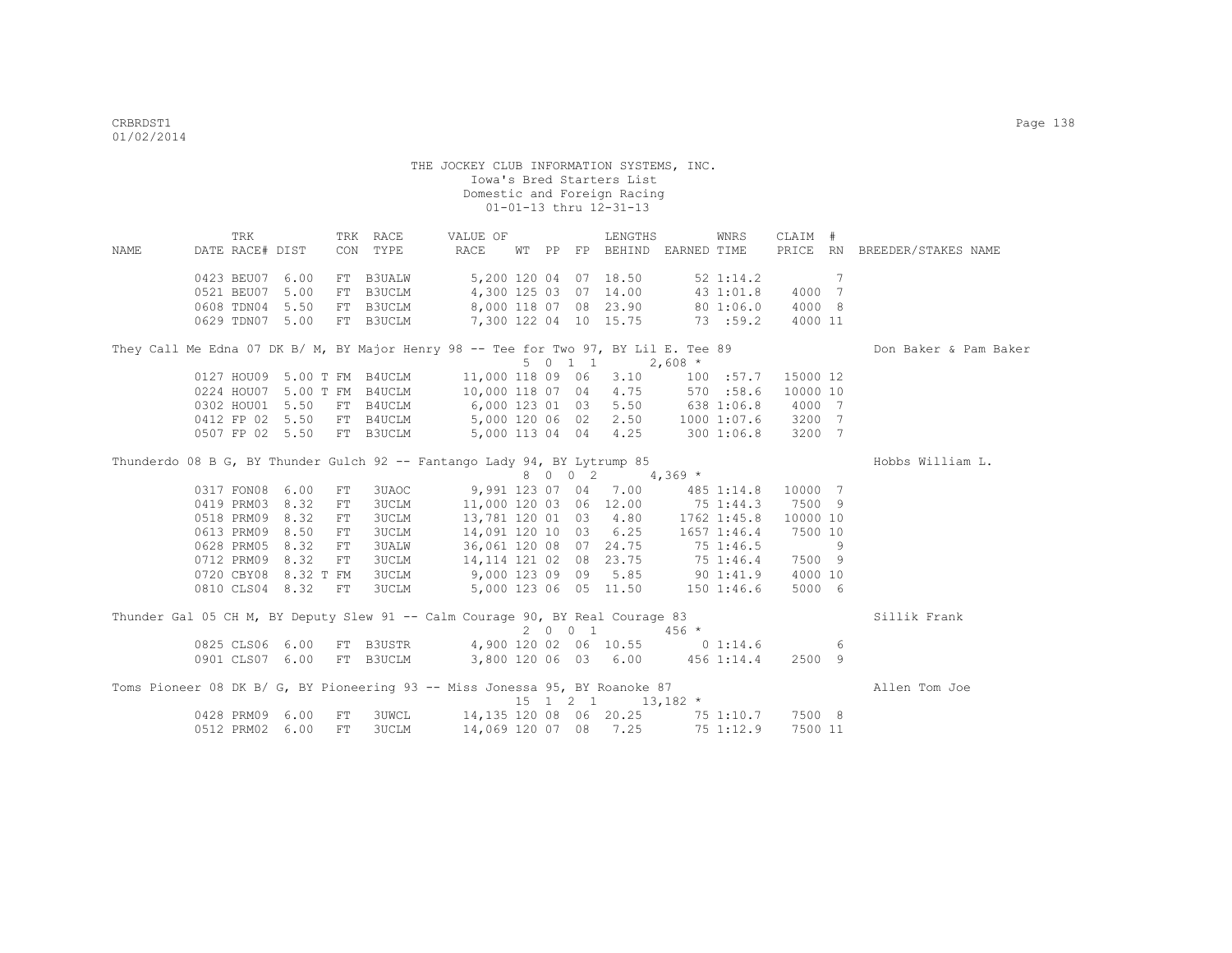|                                                                                     | TRK             |                      |            | TRK RACE                                        | VALUE OF                                 |  |         | LENGTHS                                           |            | WNRS            | CLAIM #  |   |                              |
|-------------------------------------------------------------------------------------|-----------------|----------------------|------------|-------------------------------------------------|------------------------------------------|--|---------|---------------------------------------------------|------------|-----------------|----------|---|------------------------------|
| NAME                                                                                | DATE RACE# DIST |                      |            | CON TYPE                                        | <b>RACE</b>                              |  |         | WT PP FP BEHIND EARNED TIME                       |            |                 |          |   | PRICE RN BREEDER/STAKES NAME |
|                                                                                     | 0423 BEU07      | 6.00                 |            | FT B3UALW                                       |                                          |  |         | 5,200 120 04 07 18.50                             |            | $52 \; 1:14.2$  |          | 7 |                              |
|                                                                                     | 0521 BEU07      | 5.00                 |            | FT B3UCLM                                       | 4,300 125 03 07 14.00 43 1:01.8          |  |         |                                                   |            |                 | 4000 7   |   |                              |
|                                                                                     | 0608 TDN04      | 5.50                 |            | FT B3UCLM                                       | 8,000 118 07 08 23.90 80 1:06.0          |  |         |                                                   |            |                 | 4000 8   |   |                              |
|                                                                                     | 0629 TDN07 5.00 |                      |            | FT B3UCLM                                       | 7,300 122 04 10 15.75 73 :59.2           |  |         |                                                   |            |                 | 4000 11  |   |                              |
| They Call Me Edna 07 DK B/ M, BY Major Henry 98 -- Tee for Two 97, BY Lil E. Tee 89 |                 |                      |            |                                                 |                                          |  |         |                                                   |            |                 |          |   | Don Baker & Pam Baker        |
|                                                                                     |                 |                      |            |                                                 |                                          |  | 5 0 1 1 |                                                   | $2,608$ *  |                 |          |   |                              |
|                                                                                     |                 |                      |            | 0127 HOU09 5.00 T FM B4UCLM<br>5.00 T FM B4UCLM | 11,000 118 09 06 3.10 100 :57.7          |  |         |                                                   |            |                 | 15000 12 |   |                              |
|                                                                                     | 0224 HOU07      |                      |            |                                                 | 10,000 118 07 04 4.75 570 :58.6          |  |         |                                                   |            |                 | 10000 10 |   |                              |
|                                                                                     | 0302 HOU01 5.50 |                      |            | FT B4UCLM                                       | 6,000 123 01 03 5.50 638 1:06.8          |  |         |                                                   |            |                 | 4000 7   |   |                              |
|                                                                                     | 0412 FP 02 5.50 |                      |            | FT B4UCLM                                       |                                          |  |         | 5,000 120 06 02 2.50 1000 1:07.6                  |            |                 | 3200 7   |   |                              |
|                                                                                     | 0507 FP 02 5.50 |                      |            | FT B3UCLM                                       | 5,000 113 04 04 4.25                     |  |         |                                                   | 300 1:06.8 |                 | 3200 7   |   |                              |
| Thunderdo 08 B G, BY Thunder Gulch 92 -- Fantango Lady 94, BY Lytrump 85            |                 |                      |            |                                                 |                                          |  |         |                                                   |            |                 |          |   | Hobbs William L.             |
|                                                                                     |                 |                      |            |                                                 |                                          |  |         | 8 0 0 2 4,369 *                                   |            |                 |          |   |                              |
|                                                                                     | 0317 FON08      | 6.00                 | FT         | 3UAOC                                           | 9,991 123 07 04 7.00                     |  |         |                                                   | 485 1:14.8 |                 | 10000 7  |   |                              |
|                                                                                     | 0419 PRM03      | 8.32                 | FT         | <b>3UCLM</b>                                    | 11,000 120 03 06 12.00 75 1:44.3         |  |         |                                                   |            |                 | 7500 9   |   |                              |
|                                                                                     | 0518 PRM09      | 8.32                 | FT         | <b>3UCLM</b>                                    |                                          |  |         | 13,781 120 01 03 4.80                             |            | 1762 1:45.8     | 10000 10 |   |                              |
|                                                                                     | 0613 PRM09      | 8.50                 | FT         | <b>3UCLM</b>                                    |                                          |  |         | 14,091 120 10 03 6.25                             |            | $1657$ $1:46.4$ | 7500 10  |   |                              |
|                                                                                     | 0628 PRM05      | 8.32                 | FT         | <b>3UALW</b>                                    |                                          |  |         | 36,061 120 08 07 24.75                            | 75 1:46.5  |                 |          | 9 |                              |
|                                                                                     | 0712 PRM09      | 8.32                 | FT         | <b>3UCLM</b>                                    |                                          |  |         | 14,114 121 02 08 23.75                            | 75 1:46.4  |                 | 7500 9   |   |                              |
|                                                                                     |                 | 0720 CBY08 8.32 T FM |            | <b>3UCLM</b>                                    |                                          |  |         | 9,000 123 09 09 5.85                              | 90 1:41.9  |                 | 4000 10  |   |                              |
|                                                                                     |                 | 0810 CLS04 8.32 FT   |            | <b>3UCLM</b>                                    | 5,000 123 06 05 11.50                    |  |         |                                                   | 1501:46.6  |                 | 5000 6   |   |                              |
| Thunder Gal 05 CH M, BY Deputy Slew 91 -- Calm Courage 90, BY Real Courage 83       |                 |                      |            |                                                 |                                          |  |         |                                                   |            |                 |          |   | Sillik Frank                 |
|                                                                                     |                 |                      |            |                                                 |                                          |  | 2001    |                                                   | $456 *$    |                 |          |   |                              |
|                                                                                     | 0825 CLS06 6.00 |                      |            |                                                 | FT B3USTR 4,900 120 02 06 10.55 0 1:14.6 |  |         |                                                   |            |                 |          | 6 |                              |
|                                                                                     | 0901 CLS07 6.00 |                      |            | FT B3UCLM                                       | 3,800 120 06 03 6.00 456 1:14.4          |  |         |                                                   |            |                 | 2500 9   |   |                              |
| Toms Pioneer 08 DK B/ G, BY Pioneering 93 -- Miss Jonessa 95, BY Roanoke 87         |                 |                      |            |                                                 |                                          |  |         | $15 \quad 1 \quad 2 \quad 1 \quad 13,182 \quad *$ |            |                 |          |   | Allen Tom Joe                |
|                                                                                     | 0428 PRM09      | 6.00                 | ${\rm FT}$ | <b>3UWCL</b>                                    | 14,135 120 08 06 20.25 75 1:10.7 7500 8  |  |         |                                                   |            |                 |          |   |                              |
|                                                                                     | 0512 PRM02      | 6.00                 | FT         | <b>3UCLM</b>                                    |                                          |  |         | 14,069 120 07 08 7.25                             |            | 75 1:12.9       | 7500 11  |   |                              |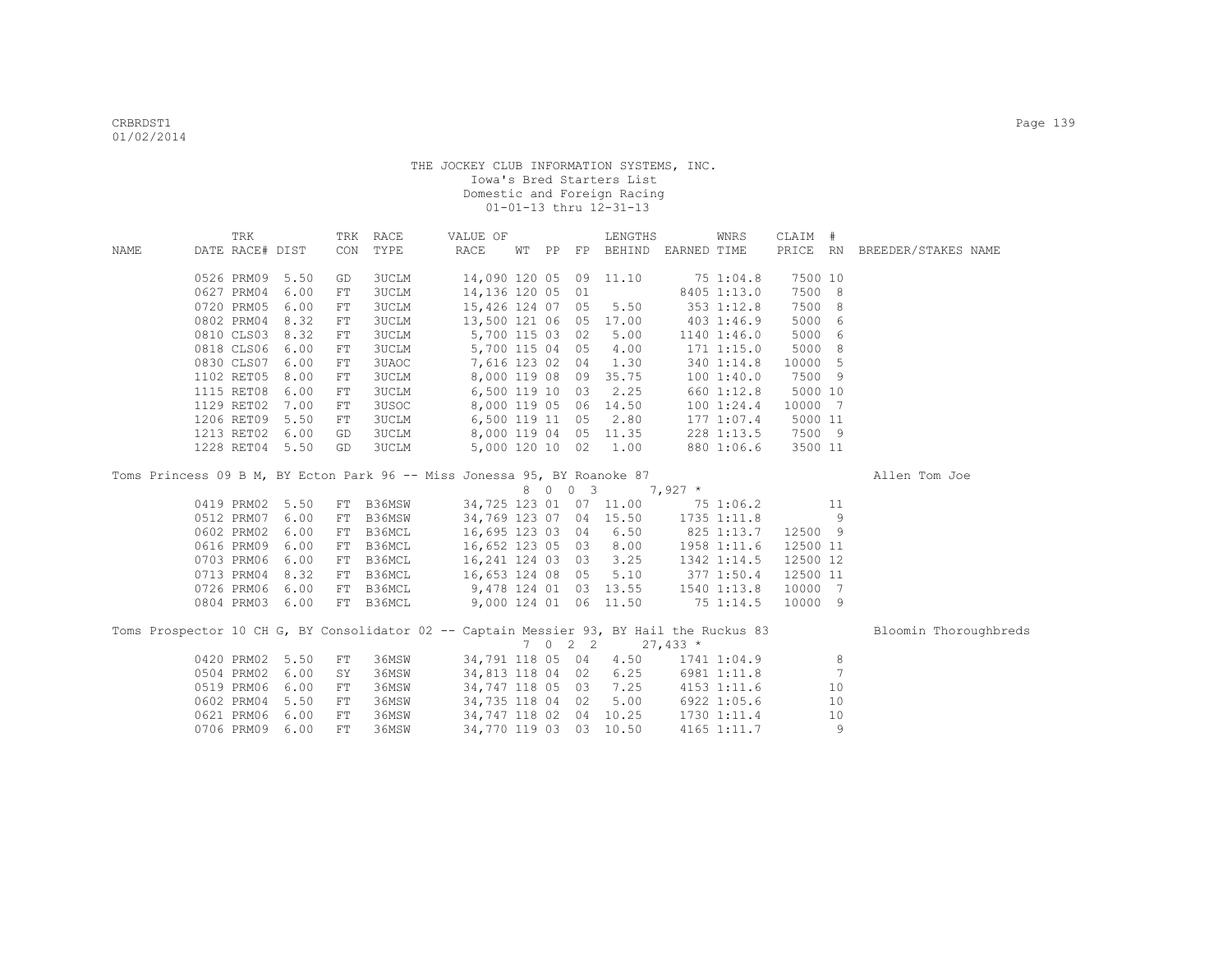|      | TRK             |                 |     | TRK RACE     | VALUE OF                                                                                 |  |         | LENGTHS                     |                    | WNRS                 | CLAIM #  |     |                              |  |
|------|-----------------|-----------------|-----|--------------|------------------------------------------------------------------------------------------|--|---------|-----------------------------|--------------------|----------------------|----------|-----|------------------------------|--|
| NAME | DATE RACE# DIST |                 |     | CON TYPE     | RACE                                                                                     |  |         | WT PP FP BEHIND EARNED TIME |                    |                      |          |     | PRICE RN BREEDER/STAKES NAME |  |
|      |                 | 0526 PRM09 5.50 | GD  | 3UCLM        | 14,090 120 05 09 11.10                                                                   |  |         |                             |                    | 75 1:04.8            | 7500 10  |     |                              |  |
|      | 0627 PRM04      | 6.00            | FT  | 3UCLM        | 14,136 120 05 01                                                                         |  |         |                             |                    | 8405 1:13.0          | 7500 8   |     |                              |  |
|      | 0720 PRM05      | 6.00            | FT  | 3UCLM        | 15,426 124 07 05                                                                         |  |         | 5.50                        |                    | 353 1:12.8           | 7500     | - 8 |                              |  |
|      | 0802 PRM04      | 8.32            | FT  | 3UCLM        | 13,500 121 06 05 17.00                                                                   |  |         |                             |                    | 403 1:46.9           | 5000     | - 6 |                              |  |
|      |                 | 0810 CLS03 8.32 | FT  | <b>3UCLM</b> |                                                                                          |  |         | 5,700 115 03 02 5.00        |                    | 1140 1:46.0          | 5000 6   |     |                              |  |
|      | 0818 CLS06      | 6.00            | FT  | <b>3UCLM</b> |                                                                                          |  |         | 5,700 115 04 05 4.00        |                    | 171 1:15.0           | 5000 8   |     |                              |  |
|      | 0830 CLS07      | 6.00            | FT  | 3UAOC        | 7,616 123 02 04 1.30                                                                     |  |         |                             |                    | 340 1:14.8           | 10000 5  |     |                              |  |
|      | 1102 RET05      | 8.00            | FT  | <b>3UCLM</b> |                                                                                          |  |         | 8,000 119 08 09 35.75       | 100 1:40.0         |                      | 7500 9   |     |                              |  |
|      | 1115 RET08      | 6.00            | FT  | <b>3UCLM</b> | 6,500 119 10 03 2.25                                                                     |  |         |                             |                    | 660 1:12.8           | 5000 10  |     |                              |  |
|      | 1129 RET02      | 7.00            | FT  | 3USOC        | 8,000 119 05 06 14.50                                                                    |  |         |                             |                    | 100 1:24.4           | 10000 7  |     |                              |  |
|      | 1206 RET09      | 5.50            | FT  | <b>3UCLM</b> | 6,500 119 11                                                                             |  |         | 05 2.80                     |                    | 1771:07.4            | 5000 11  |     |                              |  |
|      | 1213 RET02      | 6.00            | GD  | <b>3UCLM</b> | 8,000 119 04 05 11.35                                                                    |  |         |                             |                    | 228 1:13.5           | 7500 9   |     |                              |  |
|      |                 | 1228 RET04 5.50 | GD  | <b>3UCLM</b> |                                                                                          |  |         | 5,000 120 10 02 1.00        |                    | 880 1:06.6           | 3500 11  |     |                              |  |
|      |                 |                 |     |              | Toms Princess 09 B M, BY Ecton Park 96 -- Miss Jonessa 95, BY Roanoke 87                 |  |         |                             |                    |                      |          |     | Allen Tom Joe                |  |
|      |                 |                 |     |              |                                                                                          |  |         | 8 0 0 3 7,927 *             |                    |                      |          |     |                              |  |
|      |                 | 0419 PRM02 5.50 | FT  | B36MSW       | 34,725 123 01 07 11.00 75 1:06.2                                                         |  |         |                             |                    |                      |          | 11  |                              |  |
|      | 0512 PRM07      | 6.00            | FT  | B36MSW       | 34,769 123 07 04 15.50 1735 1:11.8                                                       |  |         |                             |                    |                      |          | 9   |                              |  |
|      | 0602 PRM02      | 6.00            | FT  | B36MCL       | 16,695 123 03 04 6.50                                                                    |  |         |                             | 825 1:13.7 12500 9 |                      |          |     |                              |  |
|      | 0616 PRM09      | 6.00            | FT  | B36MCL       | 16,652 123 05 03 8.00                                                                    |  |         |                             |                    | 1958 1:11.6 12500 11 |          |     |                              |  |
|      | 0703 PRM06      | 6.00            | FT  | B36MCL       | $16,241$ 124 03 03 3.25                                                                  |  |         |                             |                    | 1342 1:14.5          | 12500 12 |     |                              |  |
|      | 0713 PRM04      | 8.32            | FT  | B36MCL       | 16,653 124 08 05 5.10                                                                    |  |         |                             | 377 1:50.4         |                      | 12500 11 |     |                              |  |
|      | 0726 PRM06      | 6.00            | FT  | B36MCL       | 9,478 124 01 03 13.55 1540 1:13.8                                                        |  |         |                             |                    |                      | 10000 7  |     |                              |  |
|      | 0804 PRM03      | 6.00            |     | FT B36MCL    | 9,000 124 01 06 11.50                                                                    |  |         |                             | 75 1:14.5          |                      | 10000 9  |     |                              |  |
|      |                 |                 |     |              | Toms Prospector 10 CH G, BY Consolidator 02 -- Captain Messier 93, BY Hail the Ruckus 83 |  |         |                             |                    |                      |          |     | Bloomin Thoroughbreds        |  |
|      |                 |                 |     |              |                                                                                          |  | 7 0 2 2 |                             | $27,433*$          |                      |          |     |                              |  |
|      |                 | 0420 PRM02 5.50 | FT. | 36MSW        | 34,791 118 05 04 4.50                                                                    |  |         |                             |                    | 1741 1:04.9          |          | 8   |                              |  |
|      | 0504 PRM02      | 6.00            | SY  | 36MSW        | 34,813 118 04 02 6.25 6981 1:11.8                                                        |  |         |                             |                    |                      |          | 7   |                              |  |
|      | 0519 PRM06      | 6.00            | FT  | 36MSW        | 34,747 118 05 03 7.25 4153 1:11.6                                                        |  |         |                             |                    |                      |          | 10  |                              |  |
|      | 0602 PRM04      | 5.50            | FT  | 36MSW        | 34,735 118 04 02                                                                         |  |         |                             | 5.00 6922 1:05.6   |                      |          | 10  |                              |  |
|      | 0621 PRM06      | 6.00            | FT  | 36MSW        | 34,747 118 02 04 10.25                                                                   |  |         |                             |                    | 1730 1:11.4          |          | 10  |                              |  |
|      |                 | 0706 PRM09 6.00 | FТ  | 36MSW        | 34,770 119 03 03 10.50                                                                   |  |         |                             |                    | 4165 1:11.7          |          | 9   |                              |  |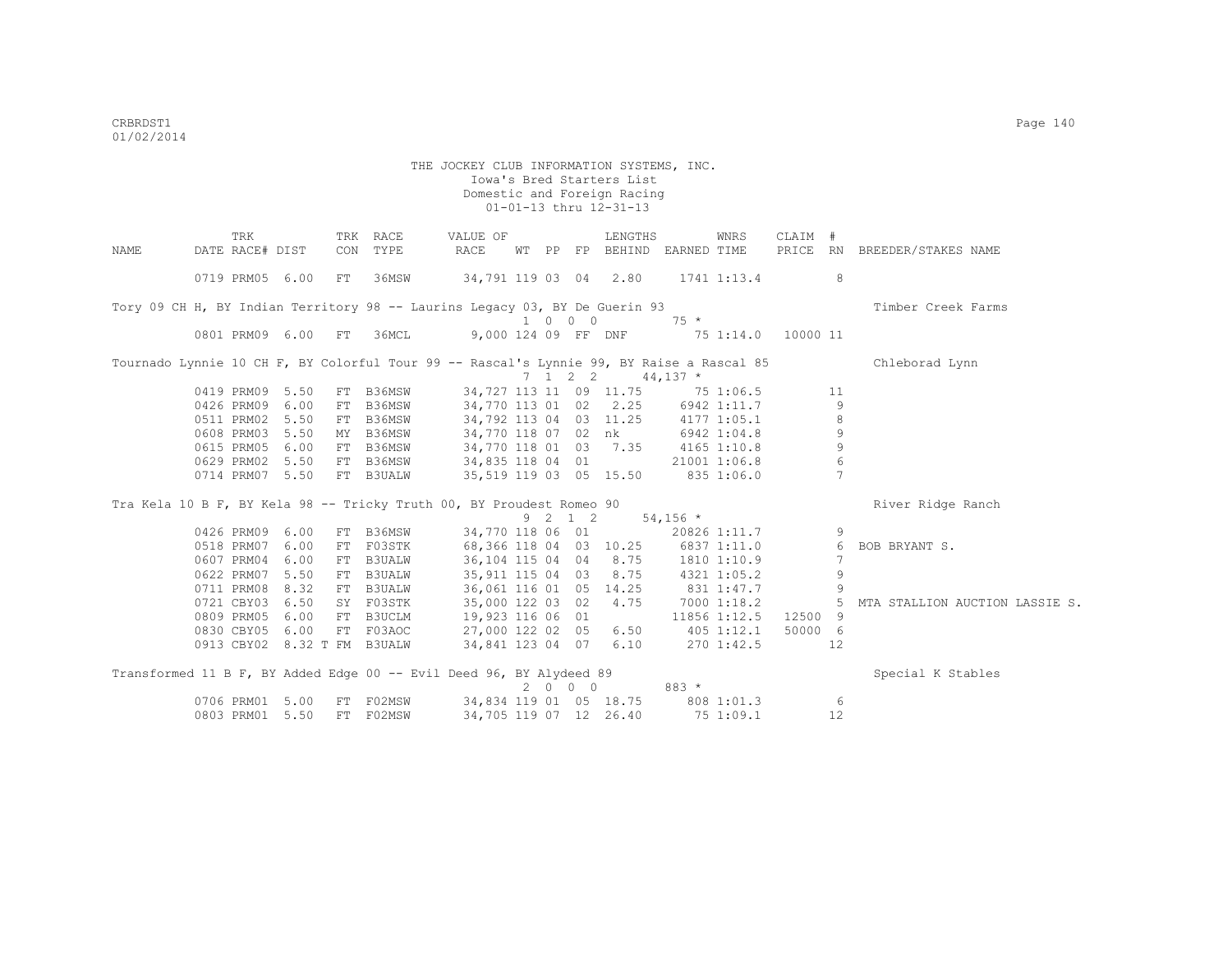|      | TRK                                                                                      |      |     | TRK RACE      | VALUE OF                          |  |         | LENGTHS                           |            | WNRS         | CLAIM #  |                 |                                |
|------|------------------------------------------------------------------------------------------|------|-----|---------------|-----------------------------------|--|---------|-----------------------------------|------------|--------------|----------|-----------------|--------------------------------|
| NAME | DATE RACE# DIST                                                                          |      | CON | TYPE          | RACE                              |  |         | WT PP FP BEHIND EARNED TIME       |            |              |          |                 | PRICE RN BREEDER/STAKES NAME   |
|      | 0719 PRM05 6.00                                                                          |      | FT  | 36MSW         | 34,791 119 03 04 2.80             |  |         |                                   |            | 1741 1:13.4  |          | 8               |                                |
|      |                                                                                          |      |     |               |                                   |  |         |                                   |            |              |          |                 |                                |
|      | Tory 09 CH H, BY Indian Territory 98 -- Laurins Legacy 03, BY De Guerin 93               |      |     |               |                                   |  | 1 0 0 0 |                                   | $75 *$     |              |          |                 | Timber Creek Farms             |
|      | 0801 PRM09 6.00                                                                          |      | FT  | 36MCL         | 9,000 124 09 FF DNF               |  |         |                                   |            | 75 1:14.0    | 10000 11 |                 |                                |
|      |                                                                                          |      |     |               |                                   |  |         |                                   |            |              |          |                 |                                |
|      | Tournado Lynnie 10 CH F, BY Colorful Tour 99 -- Rascal's Lynnie 99, BY Raise a Rascal 85 |      |     |               |                                   |  |         |                                   |            |              |          |                 | Chleborad Lynn                 |
|      |                                                                                          |      |     |               |                                   |  |         | 7 1 2 2                           | $44,137$ * |              |          |                 |                                |
|      | 0419 PRM09 5.50                                                                          |      |     | FT B36MSW     |                                   |  |         | 34,727 113 11 09 11.75 75 1:06.5  |            |              |          | 11              |                                |
|      | 0426 PRM09 6.00                                                                          |      |     | FT B36MSW     |                                   |  |         | 34,770 113 01 02 2.25             |            | 6942 1:11.7  |          | 9               |                                |
|      | 0511 PRM02 5.50                                                                          |      |     | FT B36MSW     | 34,792 113 04 03 11.25            |  |         |                                   |            | 4177 1:05.1  |          | $\,8\,$         |                                |
|      | 0608 PRM03 5.50                                                                          |      |     | MY B36MSW     | 34,770 118 07 02 nk               |  |         |                                   |            | 6942 1:04.8  |          | 9               |                                |
|      | 0615 PRM05                                                                               | 6.00 |     | FT B36MSW     | 34,770 118 01 03 7.35             |  |         |                                   |            | 4165 1:10.8  |          | $\overline{9}$  |                                |
|      | 0629 PRM02 5.50                                                                          |      |     | FT B36MSW     | 34,835 118 04 01                  |  |         |                                   |            | 21001 1:06.8 |          | $6\,$           |                                |
|      | 0714 PRM07 5.50                                                                          |      |     | FT B3UALW     | 35,519 119 03 05 15.50 835 1:06.0 |  |         |                                   |            |              |          | $7\phantom{.0}$ |                                |
|      | Tra Kela 10 B F, BY Kela 98 -- Tricky Truth 00, BY Proudest Romeo 90                     |      |     |               |                                   |  |         |                                   |            |              |          |                 | River Ridge Ranch              |
|      |                                                                                          |      |     |               |                                   |  | 9 2 1 2 |                                   | $54,156$ * |              |          |                 |                                |
|      | 0426 PRM09 6.00                                                                          |      |     | FT B36MSW     |                                   |  |         | 34,770 118 06 01                  |            | 20826 1:11.7 |          | 9               |                                |
|      | 0518 PRM07 6.00                                                                          |      |     | FT F03STK     | 68,366 118 04 03 10.25            |  |         |                                   |            | 6837 1:11.0  |          | 6               | BOB BRYANT S.                  |
|      | 0607 PRM04 6.00                                                                          |      |     | FT B3UALW     | 36, 104 115 04 04 8.75            |  |         |                                   |            | 1810 1:10.9  |          | 7               |                                |
|      | 0622 PRM07                                                                               | 5.50 |     | FT B3UALW     | 35, 911 115 04 03 8.75            |  |         |                                   |            | 4321 1:05.2  |          | 9               |                                |
|      | 0711 PRM08                                                                               | 8.32 | FT  | <b>B3UALW</b> | 36,061 116 01 05 14.25            |  |         |                                   | 831 1:47.7 |              |          | 9               |                                |
|      | 0721 CBY03 6.50                                                                          |      | SY  | F03STK        | 35,000 122 03 02 4.75             |  |         |                                   |            | 7000 1:18.2  |          | 5               | MTA STALLION AUCTION LASSIE S. |
|      | 0809 PRM05 6.00                                                                          |      |     | FT B3UCLM     | 19,923 116 06 01                  |  |         |                                   |            | 11856 1:12.5 | 12500 9  |                 |                                |
|      | 0830 CBY05 6.00                                                                          |      |     | FT F03AOC     | 27,000 122 02 05 6.50             |  |         |                                   |            | $405$ 1:12.1 | 50000 6  |                 |                                |
|      | 0913 CBY02 8.32 T FM B3UALW                                                              |      |     |               | 34,841 123 04 07 6.10             |  |         |                                   |            | 270 1:42.5   |          | 12              |                                |
|      | Transformed 11 B F, BY Added Edge 00 -- Evil Deed 96, BY Alydeed 89                      |      |     |               |                                   |  |         |                                   |            |              |          |                 | Special K Stables              |
|      |                                                                                          |      |     |               |                                   |  | 2000    |                                   | $883 *$    |              |          |                 |                                |
|      | 0706 PRM01 5.00                                                                          |      |     | FT F02MSW     |                                   |  |         | 34,834 119 01 05 18.75 808 1:01.3 |            |              |          | 6               |                                |
|      | 0803 PRM01 5.50                                                                          |      |     | FT F02MSW     | 34,705 119 07 12 26.40            |  |         |                                   | 751:09.1   |              |          | 12              |                                |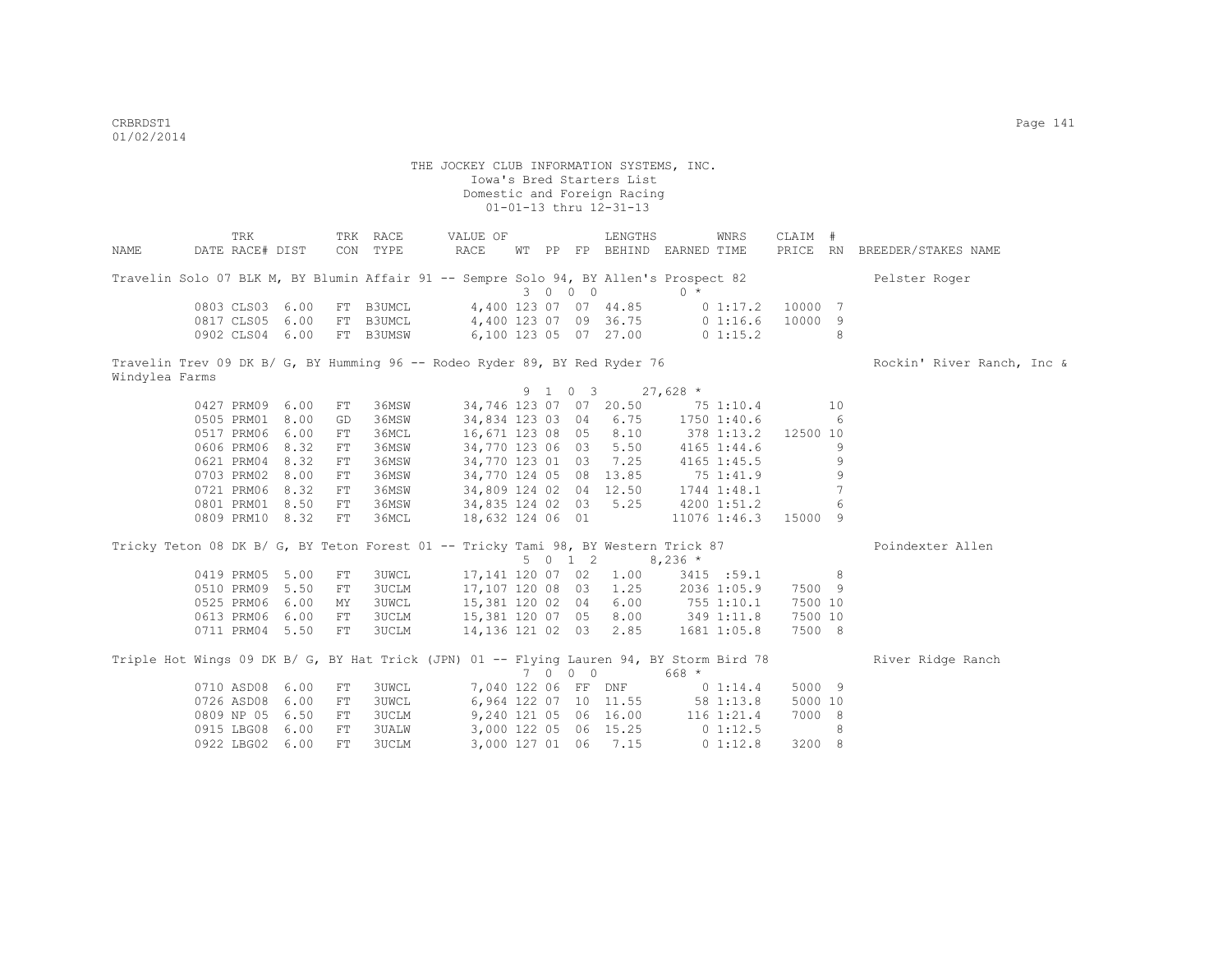|                | TRK                                                                                      |      |            | TRK RACE     | VALUE OF              |                     |         | LENGTHS                          |            | WNRS         | CLAIM #  |     |                              |
|----------------|------------------------------------------------------------------------------------------|------|------------|--------------|-----------------------|---------------------|---------|----------------------------------|------------|--------------|----------|-----|------------------------------|
| NAME           | DATE RACE# DIST                                                                          |      |            | CON TYPE     | RACE                  |                     |         | WT PP FP BEHIND EARNED TIME      |            |              |          |     | PRICE RN BREEDER/STAKES NAME |
|                | Travelin Solo 07 BLK M, BY Blumin Affair 91 -- Sempre Solo 94, BY Allen's Prospect 82    |      |            |              |                       |                     |         |                                  |            |              |          |     | Pelster Roger                |
|                |                                                                                          |      |            |              |                       |                     | 3 0 0 0 |                                  | $0 *$      |              |          |     |                              |
|                | 0803 CLS03 6.00                                                                          |      |            | FT B3UMCL    |                       |                     |         | 4,400 123 07 07 44.85            |            | $0\;1:17.2$  | 10000 7  |     |                              |
|                | 0817 CLS05                                                                               | 6.00 |            | FT B3UMCL    |                       |                     |         | 4,400 123 07 09 36.75            |            | 01:16.6      | 10000 9  |     |                              |
|                | 0902 CLS04 6.00                                                                          |      |            | FT B3UMSW    |                       |                     |         | 6,100 123 05 07 27.00            |            | 0 1:15.2     |          | 8   |                              |
|                | Travelin Trev 09 DK B/ G, BY Humming 96 -- Rodeo Ryder 89, BY Red Ryder 76               |      |            |              |                       |                     |         |                                  |            |              |          |     | Rockin' River Ranch, Inc &   |
| Windylea Farms |                                                                                          |      |            |              |                       |                     |         |                                  |            |              |          |     |                              |
|                |                                                                                          |      |            |              |                       |                     | 9 1 0 3 |                                  | $27,628$ * |              |          |     |                              |
|                | 0427 PRM09                                                                               | 6.00 | FT         | 36MSW        |                       |                     |         | 34,746 123 07 07 20.50           |            | 75 1:10.4    |          | 10  |                              |
|                | 0505 PRM01                                                                               | 8.00 | GD         | 36MSW        |                       |                     |         | 34,834 123 03 04 6.75            |            | 1750 1:40.6  |          | 6   |                              |
|                | 0517 PRM06                                                                               | 6.00 | FT         | 36MCL        |                       |                     |         | 16,671 123 08 05 8.10            | 378 1:13.2 |              | 12500 10 |     |                              |
|                | 0606 PRM06                                                                               | 8.32 | FT         | 36MSW        |                       |                     |         | 34,770 123 06 03 5.50            |            | 4165 1:44.6  |          | 9   |                              |
|                | 0621 PRM04                                                                               | 8.32 | FT         | 36MSW        |                       |                     |         | 34,770 123 01 03 7.25            |            | 4165 1:45.5  |          | 9   |                              |
|                | 0703 PRM02                                                                               | 8.00 | FT         | 36MSW        |                       |                     |         | 34,770 124 05 08 13.85           |            | 75 1:41.9    |          | 9   |                              |
|                | 0721 PRM06                                                                               | 8.32 | FT         | 36MSW        |                       |                     |         | 34,809 124 02 04 12.50           |            | 1744 1:48.1  |          | 7   |                              |
|                | 0801 PRM01 8.50                                                                          |      | FT         | 36MSW        |                       |                     |         | 34,835 124 02 03 5.25            |            | 4200 1:51.2  |          | 6   |                              |
|                | 0809 PRM10 8.32                                                                          |      | FT         | 36MCL        |                       |                     |         | 18,632 124 06 01                 |            | 11076 1:46.3 | 15000 9  |     |                              |
|                | Tricky Teton 08 DK B/ G, BY Teton Forest 01 -- Tricky Tami 98, BY Western Trick 87       |      |            |              |                       |                     |         |                                  |            |              |          |     | Poindexter Allen             |
|                |                                                                                          |      |            |              |                       |                     | 5012    |                                  | $8,236$ *  |              |          |     |                              |
|                | 0419 PRM05                                                                               | 5.00 | FT         | <b>3UWCL</b> |                       |                     |         | 17,141 120 07 02 1.00            |            | 3415 :59.1   |          | - 8 |                              |
|                | 0510 PRM09                                                                               | 5.50 | FT         | 3UCLM        | 17,107 120 08 03 1.25 |                     |         |                                  |            | 2036 1:05.9  | 7500 9   |     |                              |
|                | 0525 PRM06                                                                               | 6.00 | MY         | 3UWCL        | 15,381 120 02 04 6.00 |                     |         |                                  | 755 1:10.1 |              | 7500 10  |     |                              |
|                | 0613 PRM06                                                                               | 6.00 | FT         | 3UCLM        | 15,381 120 07 05 8.00 |                     |         |                                  | 349 1:11.8 |              | 7500 10  |     |                              |
|                | 0711 PRM04 5.50                                                                          |      | FT         | 3UCLM        |                       |                     |         | 14,136 121 02 03 2.85            |            | 1681 1:05.8  | 7500 8   |     |                              |
|                | Triple Hot Wings 09 DK B/ G, BY Hat Trick (JPN) 01 -- Flying Lauren 94, BY Storm Bird 78 |      |            |              |                       |                     |         |                                  |            |              |          |     | River Ridge Ranch            |
|                |                                                                                          |      |            |              |                       |                     | 7 0 0 0 |                                  | $668 *$    |              |          |     |                              |
|                | 0710 ASD08                                                                               | 6.00 | FT         | <b>3UWCL</b> |                       | 7,040 122 06 FF DNF |         |                                  |            | 0 1:14.4     | 5000 9   |     |                              |
|                | 0726 ASD08                                                                               | 6.00 | ${\rm FT}$ | 3UWCL        |                       |                     |         | 6,964 122 07 10 11.55            |            | 58 1:13.8    | 5000 10  |     |                              |
|                | 0809 NP 05                                                                               | 6.50 | FT         | 3UCLM        |                       |                     |         | 9,240 121 05 06 16.00 116 1:21.4 |            |              | 7000 8   |     |                              |
|                | 0915 LBG08                                                                               | 6.00 | ${\rm FT}$ | 3UALW        |                       |                     |         | 3,000 122 05 06 15.25            |            | 01:12.5      |          | 8   |                              |
|                | 0922 LBG02                                                                               | 6.00 | FT         | <b>3UCLM</b> |                       |                     |         | 3,000 127 01 06 7.15             |            | 0 1:12.8     | 3200 8   |     |                              |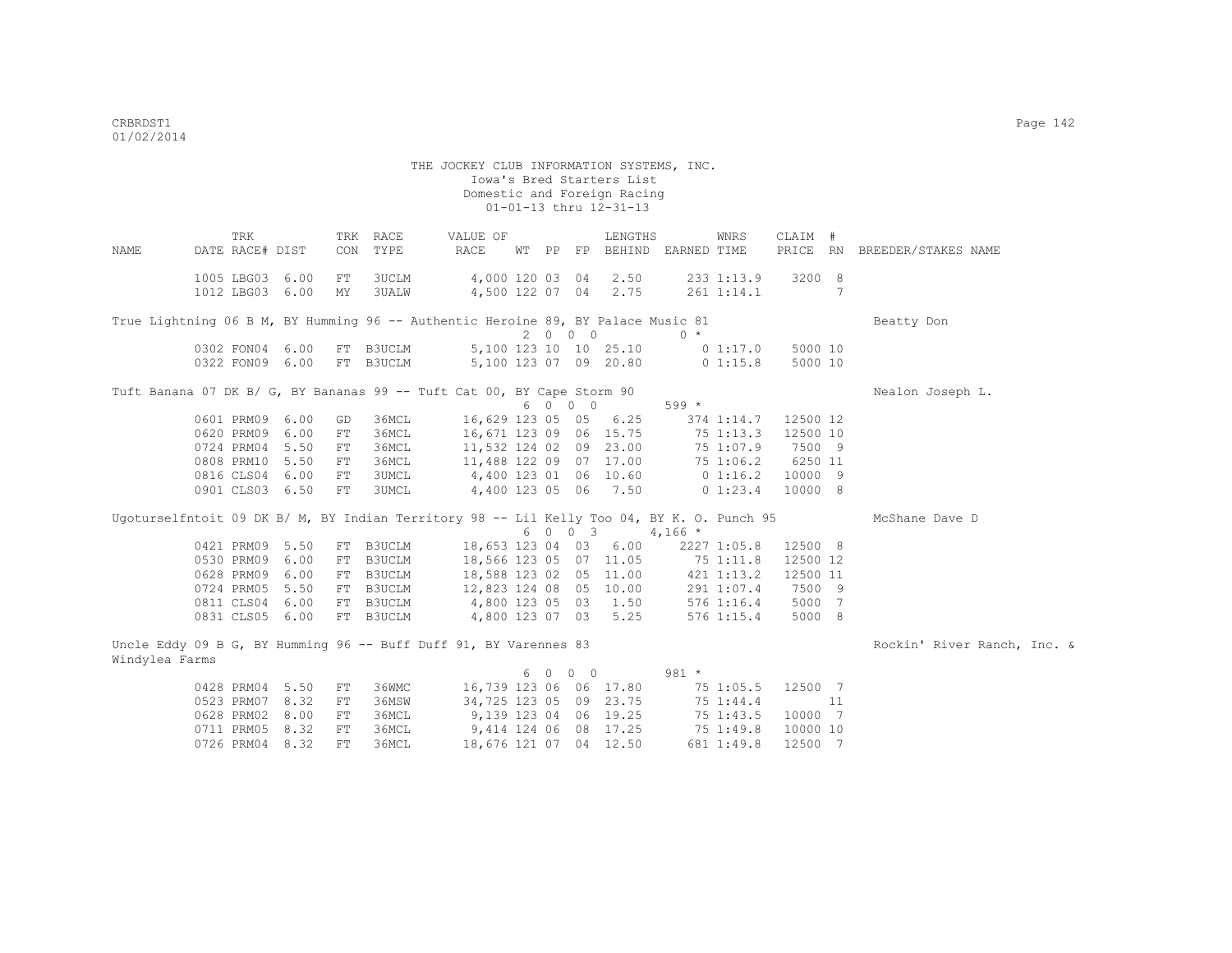0711 PRM05 8.32 FT 36MCL

 THE JOCKEY CLUB INFORMATION SYSTEMS, INC. Iowa's Bred Starters List Domestic and Foreign Racing 01-01-13 thru 12-31-13 TRK TRK RACE VALUE OF LENGTHS WNRS CLAIM # NAME DATE RACE# DIST CON TYPE RACE WT PP FP BEHIND EARNED TIME PRICE RN BREEDER/STAKES NAME 1005 LBG03 6.00 FT 3UCLM 4,000 120 03 04 2.50 233 1:13.9 3200 8 1012 LBG03 6.00 MY 3UALW 4,500 122 07 04 2.75 261 1:14.1 7 True Lightning 06 B M, BY Humming 96 -- Authentic Heroine 89, BY Palace Music 81 Beatty Don  $\begin{array}{ccccccccc} &&2&0&0&0&0&0&*\\ 5,100&123&10&10&25.10&0&1:17.0\\ 5,100&123&07&09&20.80&0&1:15.8 \end{array}$ 0302 FON04 6.00 FT B3UCLM 5,100 123 10 10 25.10 0 1:17.0 5000 10<br>0322 FON09 6.00 FT B3UCLM 5.100 123 07 09 20.80 0 1:15.8 5000 10 0322 FON09 6.00 FT B3UCLM 5,100 123 07 09 20.80 0 1:15.8 5000 10 Tuft Banana 07 DK B/ G, BY Bananas 99 -- Tuft Cat 00, BY Cape Storm 90 Nealon Joseph L.  $6 \t 0 \t 0 \t 599 \t \star$ <br>16,629 123 05 05 6.25 374 1:14.7 12500 12 0601 PRM09 6.00 GD 36MCL 0620 PRM09 6.00 FT 36MCL 16,671 123 09 06 15.75 75 1:13.3 12500 10 0724 PRM04 5.50 FT 36MCL 11,532 124 02 09 23.00 75 1:07.9 7500 9 0808 PRM10 5.50 FT 36MCL 11,488 122 09 07 17.00 75 1:06.2 6250 11<br>0816 CLS04 6.00 FT 3UMCL 4,400 123 01 06 10.60 0 1:16.2 10000 9<br>0901 CLS03 6.50 FT 3UMCL 4,400 123 05 06 7.50 0 1:23.4 10000 8 0816 CLS04 6.00 FT 3UMCL 4,400 123 01 06 10.60 0 1:16.2 10000 9 0901 CLS03 6.50 FT 3UMCL 4,400 123 05 06 7.50 0 1:23.4 10000 8 Ugoturselfntoit 09 DK B/ M, BY Indian Territory 98 -- Lil Kelly Too 04, BY K. O. Punch 95 McShane Dave D  $6 \t0 \t0 \t3 \t4.166 \t*$  0421 PRM09 5.50 FT B3UCLM 18,653 123 04 03 6.00 2227 1:05.8 12500 8 0530 PRM09 6.00 FT B3UCLM 18,566 123 05 07 11.05 75 1:11.8 12500 12 0628 PRM09 6.00 FT B3UCLM 18,588 123 02 05 11.00 421 1:13.2 12500 11<br>0724 PRM05 5.50 FT B3UCLM 12,823 124 08 05 10.00 291 1:07.4 7500 9 0724 PRM05 5.50 FT B3UCLM 12,823 124 08 05 10.00 291 1:07.4 7500 9 0811 CLS04 6.00 FT B3UCLM 4,800 123 05 03 1.50 576 1:16.4 5000 7 0831 CLS05 6.00 FT B3UCLM 4,800 123 07 03 5.25 576 1:15.4 5000 8 Uncle Eddy 09 B G, BY Humming 96 -- Buff Duff 91, BY Varennes 83 Rockin' River Ranch, Inc. & Windylea Farms 6 0 0 0 981 \* 0428 PRM04 5.50 FT 36WMC 16,739 123 06 06 17.80 75 1:05.5 12500 7<br>0523 PRM07 8.32 FT 36MSW 34,725 123 05 09 23.75 75 1:44.4 11 0523 PRM07 8.32 FT 36MSW 34,725 123 05 09 23.75 75 1:44.4 11<br>0628 PRM02 8.00 FT 36MCL 9,139 123 04 06 19.25 75 1:43.5 10000 7<br>0711 PRM05 8.32 FT 36MCL 9,414 124 06 08 17.25 75 1:49.8 10000 10 0628 PRM02 8.00 FT 36MCL 9,139 123 04 06 19.25 75 1:43.5 10000 7<br>0711 PRM05 8.32 FT 36MCL 9,414 124 06 08 17.25 75 1:49.8 10000 10

0726 PRM04 8.32 FT 36MCL 18,676 121 07 04 12.50 681 1:49.8 12500 7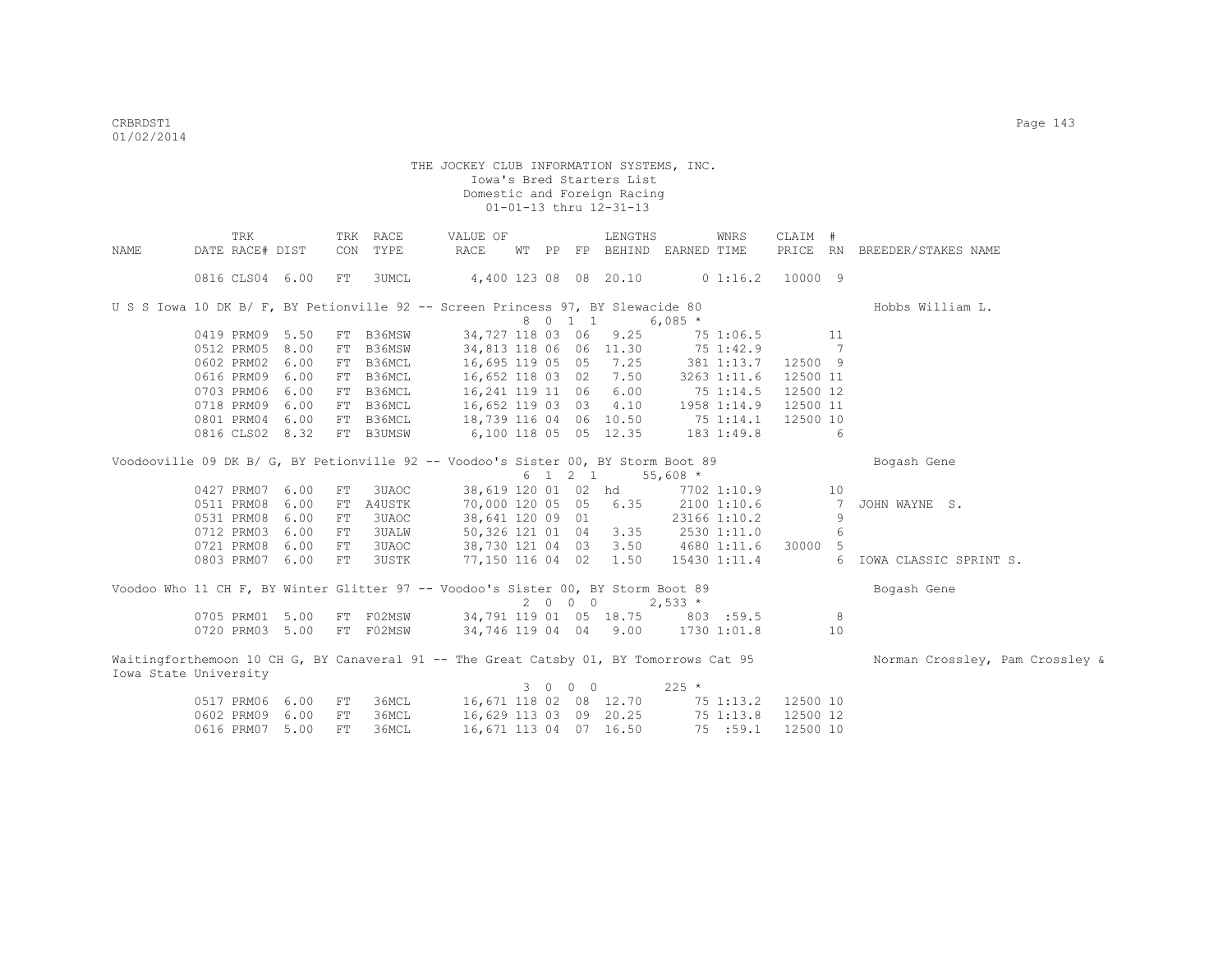|      | TRK                                                                                    |            | TRK RACE     | VALUE OF               |         | LENGTHS | WNRS                              | CLAIM #         |                                 |
|------|----------------------------------------------------------------------------------------|------------|--------------|------------------------|---------|---------|-----------------------------------|-----------------|---------------------------------|
| NAME | DATE RACE# DIST                                                                        |            | CON TYPE     | RACE<br>WТ             |         |         | PP FP BEHIND EARNED TIME          | PRICE RN        | BREEDER/STAKES NAME             |
|      |                                                                                        |            |              |                        |         |         |                                   |                 |                                 |
|      | 0816 CLS04 6.00                                                                        | FT         | 3UMCL        | 4,400 123 08 08 20.10  |         |         | 01:16.2                           | 10000 9         |                                 |
|      |                                                                                        |            |              |                        |         |         |                                   |                 |                                 |
|      | U S S Iowa 10 DK B/ F, BY Petionville 92 -- Screen Princess 97, BY Slewacide 80        |            |              |                        |         |         |                                   |                 | Hobbs William L.                |
|      |                                                                                        |            |              |                        | 8 0 1 1 |         | 6,085 $*$                         |                 |                                 |
|      | 0419 PRM09 5.50                                                                        |            | FT B36MSW    | 34,727 118 03 06       |         | 9.25    | 75 1:06.5                         | 11              |                                 |
|      | 8.00<br>0512 PRM05                                                                     | FT         | B36MSW       | 34,813 118 06 06 11.30 |         |         | 75 1:42.9                         | $\overline{7}$  |                                 |
|      | 0602 PRM02 6.00                                                                        |            | FT B36MCL    | 16,695 119 05 05 7.25  |         |         | 381 1:13.7                        | 12500 9         |                                 |
|      | 0616 PRM09<br>6.00                                                                     |            | FT B36MCL    | 16,652 118 03 02 7.50  |         |         | 3263 1:11.6                       | 12500 11        |                                 |
|      | 0703 PRM06<br>6.00                                                                     |            | FT B36MCL    | 16,241 119 11 06 6.00  |         |         | 751:14.5                          | 12500 12        |                                 |
|      | 0718 PRM09<br>6.00                                                                     |            | FT B36MCL    | 16,652 119 03 03 4.10  |         |         | 1958 1:14.9                       | 12500 11        |                                 |
|      | 0801 PRM04<br>6.00                                                                     | FT         | B36MCL       | 18,739 116 04 06 10.50 |         |         | 751:14.1                          | 12500 10        |                                 |
|      | 0816 CLS02 8.32                                                                        |            | FT B3UMSW    | 6,100 118 05 05 12.35  |         |         | 183 1:49.8                        | -6              |                                 |
|      |                                                                                        |            |              |                        |         |         |                                   |                 |                                 |
|      | Voodooville 09 DK B/ G, BY Petionville 92 -- Voodoo's Sister 00, BY Storm Boot 89      |            |              |                        |         |         |                                   |                 | Bogash Gene                     |
|      |                                                                                        |            |              |                        |         | 6 1 2 1 | $55,608$ *                        |                 |                                 |
|      | 0427 PRM07 6.00                                                                        | FT         | 3UAOC        |                        |         |         | 38,619 120 01 02 hd 7702 1:10.9   | 10              |                                 |
|      | 0511 PRM08<br>6.00                                                                     | FT         | A4USTK       | 70,000 120 05 05 6.35  |         |         | 2100 1:10.6                       | 7               | JOHN WAYNE S.                   |
|      | 0531 PRM08<br>6.00                                                                     | FT         | 3UAOC        | 38,641 120 09 01       |         |         | 23166 1:10.2                      | 9               |                                 |
|      | 0712 PRM03<br>6.00                                                                     | ${\rm FT}$ | <b>3UALW</b> | 50,326 121 01 04 3.35  |         |         | 2530 1:11.0                       | 6               |                                 |
|      | 0721 PRM08<br>6.00                                                                     | FT         | 3UAOC        |                        |         |         | 38,730 121 04 03 3.50 4680 1:11.6 | 30000 5         |                                 |
|      | 0803 PRM07 6.00                                                                        | FT         | <b>3USTK</b> | 77,150 116 04 02 1.50  |         |         | 15430 1:11.4                      | $6\overline{6}$ | IOWA CLASSIC SPRINT S.          |
|      |                                                                                        |            |              |                        |         |         |                                   |                 |                                 |
|      | Voodoo Who 11 CH F, BY Winter Glitter 97 -- Voodoo's Sister 00, BY Storm Boot 89       |            |              |                        |         |         |                                   |                 | Bogash Gene                     |
|      |                                                                                        |            |              |                        | 2000    |         | $2,533*$                          |                 |                                 |
|      | 0705 PRM01 5.00                                                                        |            | FT F02MSW    |                        |         |         | 34,791 119 01 05 18.75 803 :59.5  | 8               |                                 |
|      | 0720 PRM03 5.00                                                                        |            | FT F02MSW    |                        |         |         | 34,746 119 04 04 9.00 1730 1:01.8 | 10              |                                 |
|      |                                                                                        |            |              |                        |         |         |                                   |                 |                                 |
|      | Waitingforthemoon 10 CH G, BY Canaveral 91 -- The Great Catsby 01, BY Tomorrows Cat 95 |            |              |                        |         |         |                                   |                 | Norman Crossley, Pam Crossley & |
|      | Iowa State University                                                                  |            |              |                        |         |         |                                   |                 |                                 |
|      |                                                                                        |            |              |                        | 3 0 0 0 |         | $225 *$                           |                 |                                 |
|      | 0517 PRM06<br>6.00                                                                     | FT         | 36MCL        | 16,671 118 02 08 12.70 |         |         | 75 1:13.2                         | 12500 10        |                                 |
|      | 0602 PRM09<br>6.00                                                                     | ${\rm FT}$ | 36MCL        | 16,629 113 03 09 20.25 |         |         | 75 1:13.8                         | 12500 12        |                                 |
|      | 0616 PRM07<br>5.00                                                                     | FT         | 36MCL        | 16,671 113 04 07 16.50 |         |         | 75 : 59.1                         | 12500 10        |                                 |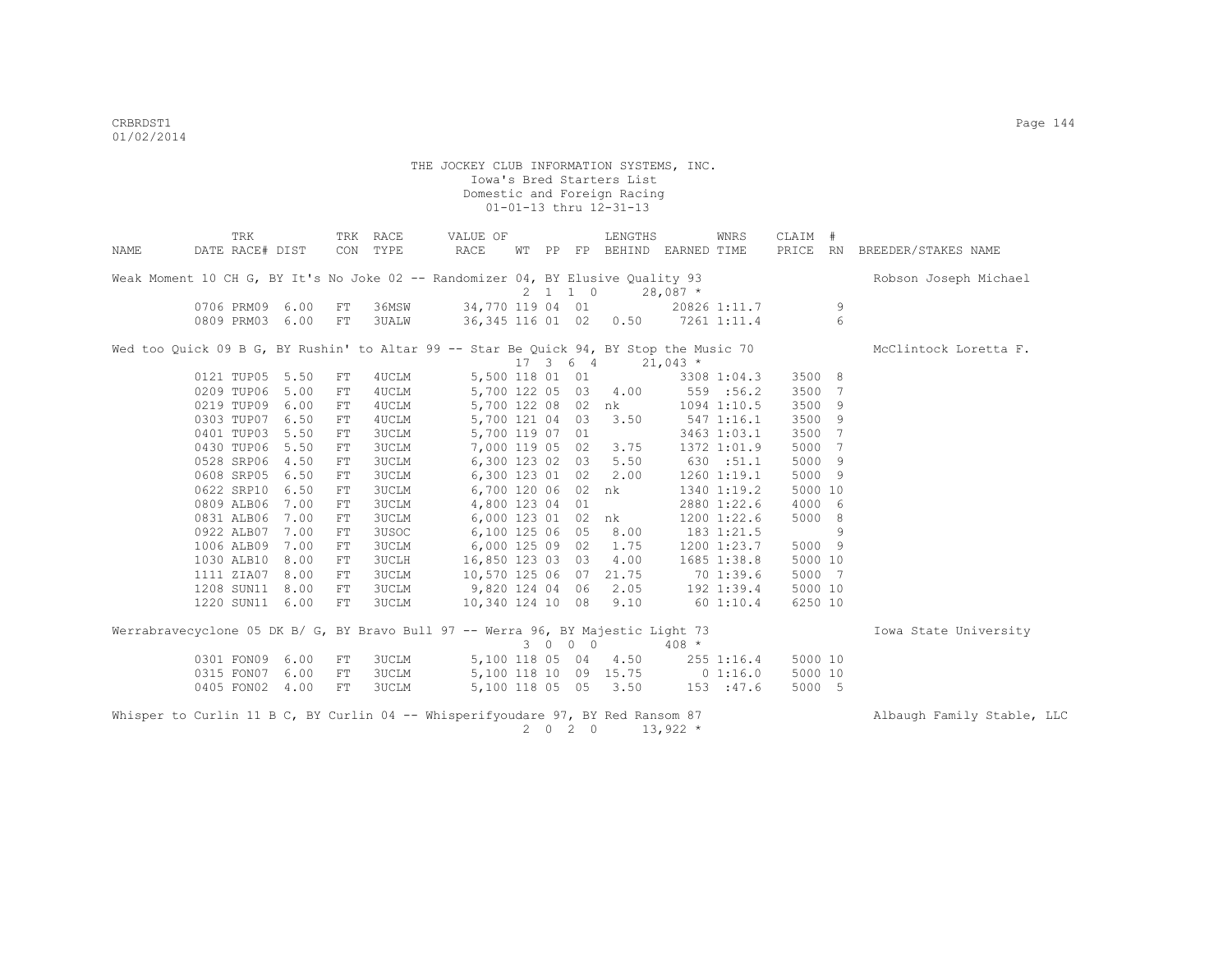|      | TRK                                                                                    |      |            | TRK RACE     | VALUE OF              |  |                              | LENGTHS              |                                    | WNRS            | CLAIM # |   |                              |
|------|----------------------------------------------------------------------------------------|------|------------|--------------|-----------------------|--|------------------------------|----------------------|------------------------------------|-----------------|---------|---|------------------------------|
| NAME | DATE RACE# DIST                                                                        |      |            | CON TYPE     | RACE                  |  |                              |                      | WT PP FP BEHIND EARNED TIME        |                 |         |   | PRICE RN BREEDER/STAKES NAME |
|      | Weak Moment 10 CH G, BY It's No Joke 02 -- Randomizer 04, BY Elusive Quality 93        |      |            |              |                       |  |                              |                      |                                    |                 |         |   | Robson Joseph Michael        |
|      |                                                                                        |      |            |              |                       |  | $2 \t1 \t1 \t0$              |                      | $28,087$ *                         |                 |         |   |                              |
|      | 0706 PRM09 6.00                                                                        |      | FT         | 36MSW        |                       |  |                              | 34,770 119 04 01     |                                    | 20826 1:11.7    |         | 9 |                              |
|      | 0809 PRM03 6.00                                                                        |      | FT         | 3UALW        |                       |  |                              |                      | 36, 345 116 01 02 0.50 7261 1:11.4 |                 |         | 6 |                              |
|      | Wed too Quick 09 B G, BY Rushin' to Altar 99 -- Star Be Quick 94, BY Stop the Music 70 |      |            |              |                       |  |                              |                      |                                    |                 |         |   | McClintock Loretta F.        |
|      |                                                                                        |      |            |              |                       |  | $17 \quad 3 \quad 6 \quad 4$ |                      | $21,043$ *                         |                 |         |   |                              |
|      | 0121 TUP05 5.50                                                                        |      | FT         | 4UCLM        | 5,500 118 01 01       |  |                              |                      |                                    | 3308 1:04.3     | 3500 8  |   |                              |
|      | 0209 TUP06                                                                             | 5.00 | FT         | 4UCLM        |                       |  |                              | 5,700 122 05 03 4.00 |                                    | 559 :56.2       | 3500 7  |   |                              |
|      | 0219 TUP09                                                                             | 6.00 | FT         | 4UCLM        |                       |  |                              | 5,700 122 08 02 nk   |                                    | 1094 1:10.5     | 3500 9  |   |                              |
|      | 0303 TUP07                                                                             | 6.50 | ${\rm FT}$ | 4UCLM        | 5,700 121 04 03       |  |                              | 3.50                 |                                    | 5471:16.1       | 3500 9  |   |                              |
|      | 0401 TUP03 5.50                                                                        |      | ${\rm FT}$ | <b>3UCLM</b> | 5,700 119 07 01       |  |                              |                      |                                    | 3463 1:03.1     | 3500 7  |   |                              |
|      | 0430 TUP06 5.50                                                                        |      | FT         | <b>3UCLM</b> | 7,000 119 05 02       |  |                              | 3.75                 |                                    | 1372 1:01.9     | 5000 7  |   |                              |
|      | 0528 SRP06                                                                             | 4.50 | ${\rm FT}$ | <b>3UCLM</b> | 6,300 123 02 03       |  |                              | 5.50                 |                                    | 630 :51.1       | 5000 9  |   |                              |
|      | 0608 SRP05                                                                             | 6.50 | ${\rm FT}$ | 3UCLM        | 6,300 123 01 02       |  |                              | 2.00                 |                                    | $1260$ $1:19.1$ | 5000 9  |   |                              |
|      | 0622 SRP10                                                                             | 6.50 | FT         | 3UCLM        | 6,700 120 06 02       |  |                              | nk                   |                                    | 1340 1:19.2     | 5000 10 |   |                              |
|      | 0809 ALB06                                                                             | 7.00 | FT         | 3UCLM        | 4,800 123 04 01       |  |                              |                      |                                    | 2880 1:22.6     | 4000 6  |   |                              |
|      | 0831 ALB06                                                                             | 7.00 | FT         | 3UCLM        | 6,000 123 01 02 nk    |  |                              |                      |                                    | 1200 1:22.6     | 5000 8  |   |                              |
|      | 0922 ALB07                                                                             | 7.00 | FT         | 3USOC        | 6,100 125 06 05       |  |                              | 8.00                 |                                    | 183 1:21.5      |         | 9 |                              |
|      | 1006 ALB09                                                                             | 7.00 | FT         | 3UCLM        | 6,000 125 09 02       |  |                              | 1.75                 |                                    | 1200 1:23.7     | 5000 9  |   |                              |
|      | 1030 ALB10                                                                             | 8.00 | FT         | 3UCLH        | 16,850 123 03 03      |  |                              | 4.00                 |                                    | 1685 1:38.8     | 5000 10 |   |                              |
|      | 1111 ZIA07                                                                             | 8.00 | FT         | 3UCLM        | 10,570 125 06 07      |  |                              | 21.75                | 70 1:39.6                          |                 | 5000 7  |   |                              |
|      | 1208 SUN11                                                                             | 8.00 | ${\rm FT}$ | <b>3UCLM</b> | 9,820 124 04 06       |  |                              | 2.05                 | 192 1:39.4                         |                 | 5000 10 |   |                              |
|      | 1220 SUN11 6.00                                                                        |      | FT         | 3UCLM        | 10,340 124 10 08 9.10 |  |                              |                      | 60 1:10.4                          |                 | 6250 10 |   |                              |
|      | Werrabravecyclone 05 DK B/ G, BY Bravo Bull 97 -- Werra 96, BY Majestic Light 73       |      |            |              |                       |  |                              |                      |                                    |                 |         |   | Iowa State University        |
|      |                                                                                        |      |            |              |                       |  | 3 0 0 0                      |                      | $408 *$                            |                 |         |   |                              |
|      | 0301 FON09                                                                             | 6.00 | FT         | 3UCLM        |                       |  |                              | 5,100 118 05 04 4.50 |                                    | 255 1:16.4      | 5000 10 |   |                              |
|      | 0315 FON07 6.00                                                                        |      | FT         | 3UCLM        |                       |  |                              |                      | 5,100 118 10 09 15.75 0 1:16.0     |                 | 5000 10 |   |                              |
|      | 0405 FON02 4.00                                                                        |      | FT         | 3UCLM        |                       |  |                              | 5,100 118 05 05 3.50 |                                    | 153 : 47.6      | 5000 5  |   |                              |
|      | Whisper to Curlin 11 B C, BY Curlin 04 -- Whisperifyoudare 97, BY Red Ransom 87        |      |            |              |                       |  |                              |                      |                                    |                 |         |   | Albaugh Family Stable, LLC   |
|      |                                                                                        |      |            |              |                       |  | $2 \t 0 \t 2 \t 0$           |                      | $13,922$ *                         |                 |         |   |                              |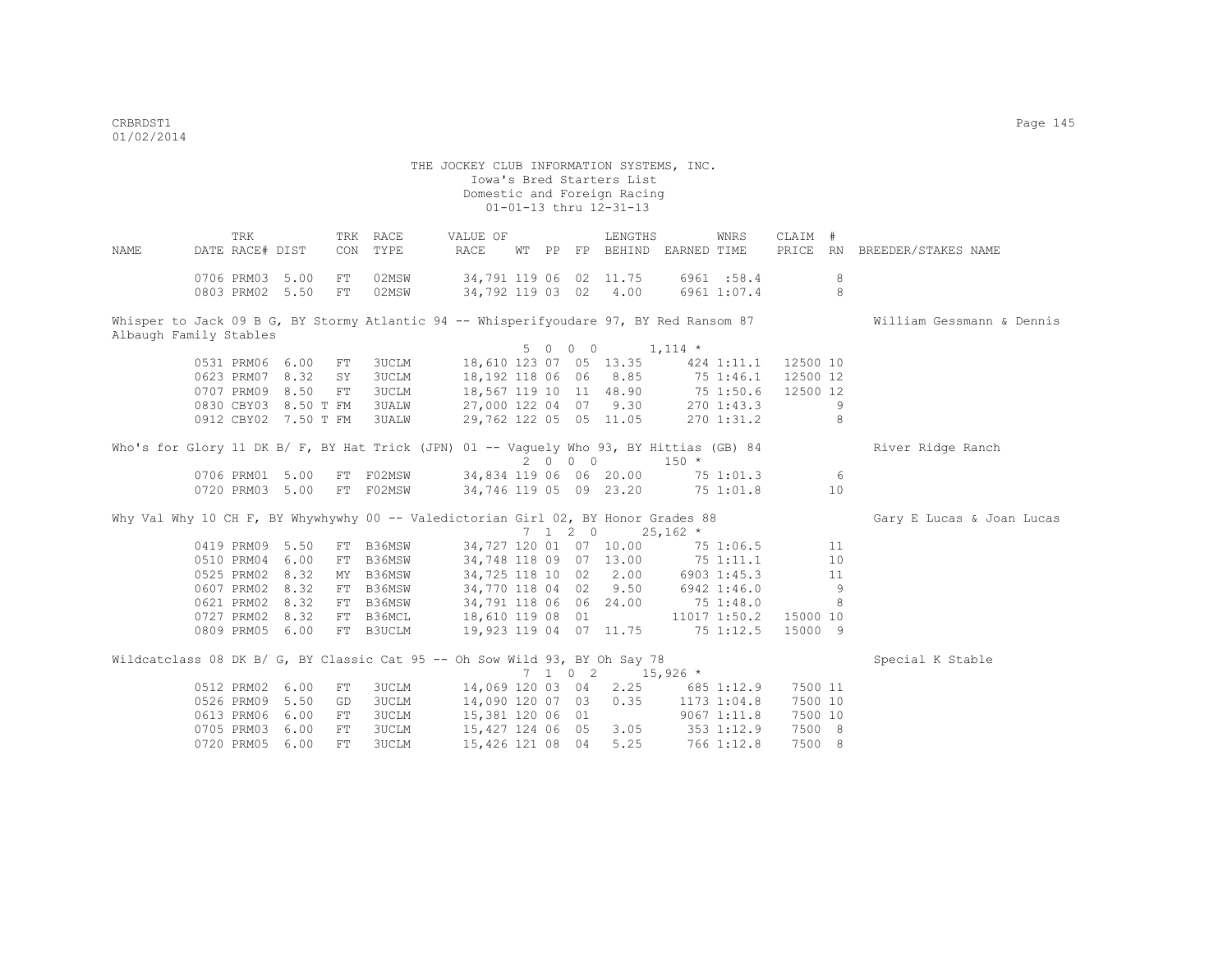THE JOCKEY CLUB INFORMATION SYSTEMS, INC. Iowa's Bred Starters List Domestic and Foreign Racing  $01-01-13$  thru  $12-31-13$  TRK TRK RACE VALUE OF LENGTHS WNRS CLAIM # NAME DATE RACE# DIST CON TYPE RACE WT PP FP BEHIND EARNED TIME PRICE RN BREEDER/STAKES NAME 0706 PRM03 5.00 FT 02MSW 34,791 119 06 02 11.75 6961 :58.4 8 0803 PRM02 5.50 FT 02MSW 34,792 119 03 02 4.00 6961 1:07.4 8 Whisper to Jack 09 B G, BY Stormy Atlantic 94 -- Whisperifyoudare 97, BY Red Ransom 87 William Gessmann & Dennis Albaugh Family Stables  $5 \t 0 \t 0 \t 1,114 \t \star$ <br>18.610 123 07 05 13.35 424 1:11.1 12500 10 0531 PRM06 6.00 FT 3UCLM 18,610 123 07 05 13.35 424 1:11.1 12500 10<br>0623 PRM07 8.32 SY 3UCLM 18,192 118 06 06 8.85 75 1:46.1 12500 12 0623 PRM07 8.32 SY 3UCLM 0707 PRM09 8.50 FT 3UCLM 18,567 119 10 11 48.90 75 1:50.6 12500 12 0830 CBY03 8.50 T FM 3UALW 27,000 122 04 07 9.30 270 1:43.3 9 0912 CBY02 7.50 T FM 3UALW 29,762 122 05 05 11.05 270 1:31.2 8 Who's for Glory 11 DK B/ F, BY Hat Trick (JPN) 01 -- Vaguely Who 93, BY Hittias (GB) 84 River Ridge Ranch  $2 \t 0 \t 0 \t 150 \t \star$ <br>34,834 119 06 06 20.00 75 0706 PRM01 5.00 FT F02MSW 34,834 119 06 06 20.00 75 1:01.3 6<br>0720 PRM03 5.00 FT F02MSW 34,746 119 05 09 23.20 75 1:01.8 10 0720 PRM03 5.00 FT F02MSW Why Val Why 10 CH F, BY Whywhywhy 00 -- Valedictorian Girl 02, BY Honor Grades 88 Gary E Lucas & Joan Lucas  $7$  1 2 0 25,162 \*<br>34,727 120 01 07 10.00 75 0419 PRM09 5.50 FT B36MSW 34,727 120 01 07 10.00 75 1:06.5 11 0510 PRM04 6.00 FT B36MSW 34,748 118 09 07 13.00 75 1:11.1 10 0525 PRM02 8.32 MY B36MSW 34,725 118 10 02 2.00 6903 1:45.3 11 0607 PRM02 8.32 FT B36MSW 34,770 118 04 02 9.50 6942 1:46.0 9<br>0621 PRM02 8.32 FT B36MSW 34,791 118 06 06 24.00 75 1:48.0 8 0621 PRM02 8.32 FT B36MSW 34,791 118 06 06 24.00 75 1:48.0 8 0727 PRM02 8.32 FT B36MCL 18,610 119 08 01 11017 1:50.2 15000 10 0809 PRM05 6.00 FT B3UCLM 19,923 119 04 07 11.75 75 1:12.5 15000 9 Wildcatclass 08 DK B/ G, BY Classic Cat 95 -- Oh Sow Wild 93, BY Oh Say 78 Special K Stable  $7$  1 0 2 15,926 \*<br>14,069 120 03 04 2.25 685 0512 PRM02 6.00 FT 3UCLM 14,069 120 03 04 2.25 685 1:12.9 7500 11<br>0526 PRM09 5.50 GD 3UCLM 14,090 120 07 03 0.35 1173 1:04.8 7500 10 0526 PRM09 5.50 GD 3UCLM 14,090 120 07 03 0.35 0613 PRM06 6.00 FT 3UCLM 15,381 120 06 01 9067 1:11.8 7500 10 0705 PRM03 6.00 FT 3UCLM 15,427 124 06 05 3.05 353 1:12.9 7500 8

0720 PRM05 6.00 FT 3UCLM 15,426 121 08 04 5.25 766 1:12.8 7500 8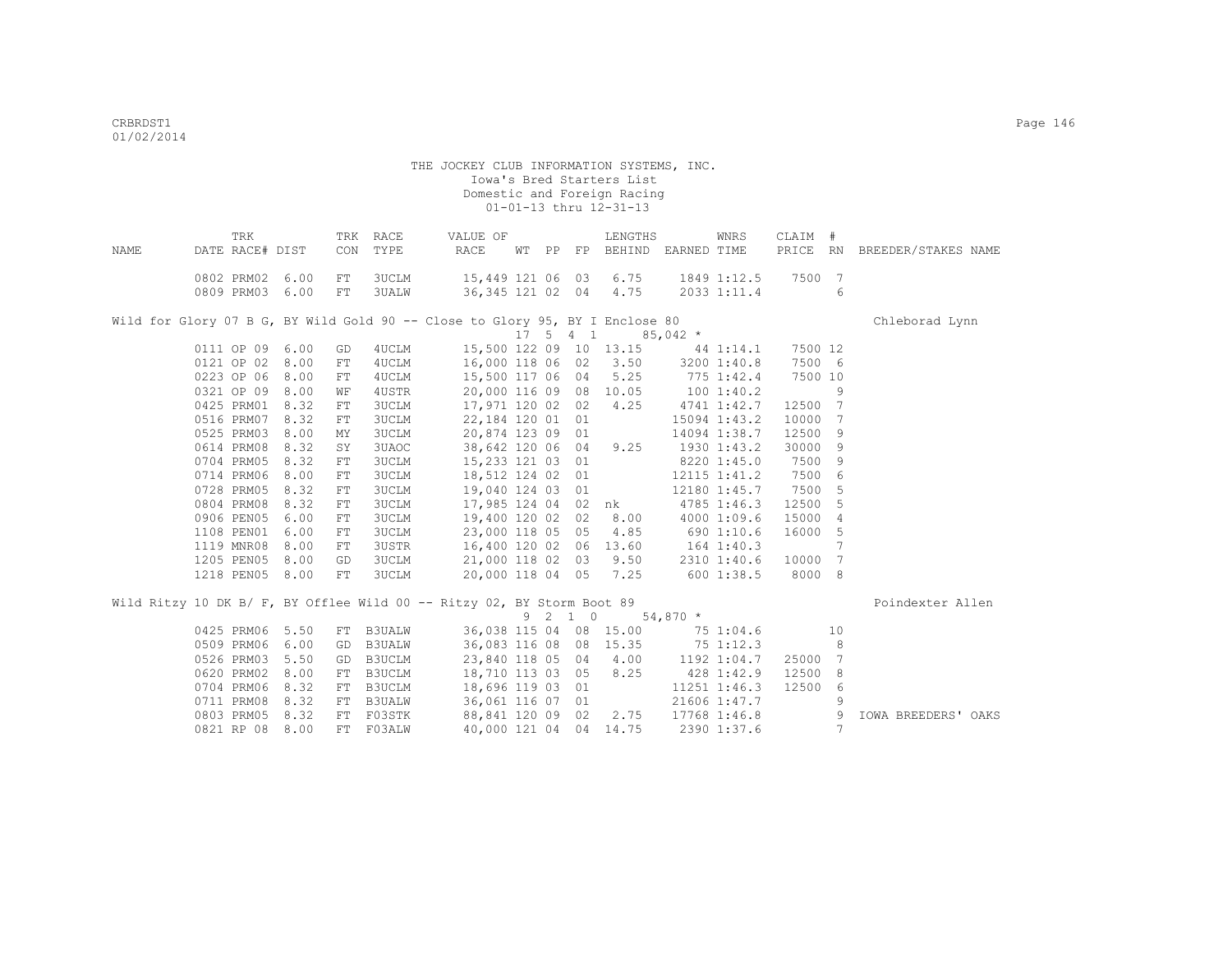|      |            | TRK             |      |            | TRK RACE      | VALUE OF                                                                     |  |         | LENGTHS                                                  |                                | WNRS             | CLAIM # |                 |                              |
|------|------------|-----------------|------|------------|---------------|------------------------------------------------------------------------------|--|---------|----------------------------------------------------------|--------------------------------|------------------|---------|-----------------|------------------------------|
| NAME |            | DATE RACE# DIST |      | CON        | TYPE          | RACE                                                                         |  |         | WT PP FP BEHIND EARNED TIME                              |                                |                  |         |                 | PRICE RN BREEDER/STAKES NAME |
|      |            | 0802 PRM02 6.00 |      | FT         | 3UCLM         | 15,449 121 06 03                                                             |  |         | 6.75                                                     |                                | 1849 1:12.5      | 7500 7  |                 |                              |
|      |            | 0809 PRM03      | 6.00 | FT         | <b>3UALW</b>  | 36,345 121 02 04                                                             |  |         | 4.75                                                     |                                | 2033 1:11.4      |         | 6               |                              |
|      |            |                 |      |            |               |                                                                              |  |         |                                                          |                                |                  |         |                 |                              |
|      |            |                 |      |            |               | Wild for Glory 07 B G, BY Wild Gold 90 -- Close to Glory 95, BY I Enclose 80 |  |         | $17 \quad 5 \quad 4 \quad 1 \quad 85,042 \quad ^{\star}$ |                                |                  |         |                 | Chleborad Lynn               |
|      |            | 0111 OP 09 6.00 |      | GD         | 4UCLM         |                                                                              |  |         | 15,500 122 09 10 13.15 44 1:14.1                         |                                |                  | 7500 12 |                 |                              |
|      | 0121 OP 02 |                 | 8.00 |            | 4UCLM         | 16,000 118 06 02                                                             |  |         | 3.50                                                     |                                | 3200 1:40.8      | 7500 6  |                 |                              |
|      |            |                 |      | FT         |               | 15,500 117 06 04                                                             |  |         | 5.25                                                     |                                |                  | 7500 10 |                 |                              |
|      | 0223 OP 06 |                 | 8.00 | ${\rm FT}$ | 4UCLM         |                                                                              |  |         |                                                          |                                | 775 1:42.4       |         | 9               |                              |
|      | 0321 OP 09 |                 | 8.00 | WF         | 4USTR         | 20,000 116 09 08 10.05                                                       |  |         | 4.25                                                     |                                | 1001:40.2        | 12500 7 |                 |                              |
|      | 0425 PRM01 |                 | 8.32 | FT         | 3UCLM         | 17,971 120 02 02                                                             |  |         |                                                          | 4741 1:42.7                    |                  |         |                 |                              |
|      | 0516 PRM07 |                 | 8.32 | FT         | <b>3UCLM</b>  | 22,184 120 01 01                                                             |  |         |                                                          |                                | 15094 1:43.2     | 10000 7 |                 |                              |
|      | 0525 PRM03 |                 | 8.00 | ΜY         | <b>3UCLM</b>  | 20,874 123 09 01                                                             |  |         |                                                          |                                | 14094 1:38.7     | 12500 9 |                 |                              |
|      |            | 0614 PRM08      | 8.32 | SY         | 3UAOC         | 38,642 120 06 04                                                             |  |         | 9.25                                                     | 1930 1:43.2                    |                  | 30000 9 |                 |                              |
|      |            | 0704 PRM05      | 8.32 | FT         | <b>3UCLM</b>  | 15,233 121 03 01                                                             |  |         |                                                          | $8220$ 1:45.0                  |                  | 7500 9  |                 |                              |
|      |            | 0714 PRM06      | 8.00 | FT         | 3UCLM         | 18,512 124 02 01                                                             |  |         | 12115 1:41.2                                             |                                |                  | 7500 6  |                 |                              |
|      |            | 0728 PRM05      | 8.32 | FT         | <b>3UCLM</b>  | 19,040 124 03 01                                                             |  |         |                                                          |                                | 12180 1:45.7     | 7500 5  |                 |                              |
|      | 0804 PRM08 |                 | 8.32 | ${\rm FT}$ | <b>3UCLM</b>  |                                                                              |  |         | 17,985 124 04 02 nk                                      | 4785 1:46.3                    |                  | 12500 5 |                 |                              |
|      | 0906 PEN05 |                 | 6.00 | ${\rm FT}$ | <b>3UCLM</b>  | 19,400 120 02 02                                                             |  |         | 8.00                                                     |                                | 4000 1:09.6      | 15000 4 |                 |                              |
|      |            | 1108 PEN01      | 6.00 | FT         | <b>3UCLM</b>  | 23,000 118 05 05                                                             |  |         | 4.85                                                     | 690 1:10.6                     |                  | 16000 5 |                 |                              |
|      | 1119 MNR08 |                 | 8.00 | FT         | 3USTR         |                                                                              |  |         | 16,400 120 02 06 13.60                                   | $164$ $1:40.3$ $2310$ $1:40.6$ |                  |         | $7\phantom{.0}$ |                              |
|      |            | 1205 PEN05      | 8.00 | GD         | <b>3UCLM</b>  |                                                                              |  |         | 21,000 118 02 03 9.50                                    |                                |                  | 10000 7 |                 |                              |
|      |            | 1218 PEN05 8.00 |      | FT         | <b>3UCLM</b>  |                                                                              |  |         | 20,000 118 04 05 7.25                                    | 600 1:38.5                     |                  | 8000 8  |                 |                              |
|      |            |                 |      |            |               | Wild Ritzy 10 DK B/ F, BY Offlee Wild 00 -- Ritzy 02, BY Storm Boot 89       |  |         |                                                          |                                |                  |         |                 | Poindexter Allen             |
|      |            |                 |      |            |               |                                                                              |  | 9 2 1 0 |                                                          | $54,870$ *                     |                  |         |                 |                              |
|      |            | 0425 PRM06      | 5.50 |            | FT B3UALW     |                                                                              |  |         | 36,038 115 04 08 15.00                                   | 75 1:04.6                      |                  |         | 10              |                              |
|      | 0509 PRM06 |                 | 6.00 | GD         | <b>B3UALW</b> | 36,083 116 08 08 15.35                                                       |  |         |                                                          | 75 1:12.3                      |                  |         | 8               |                              |
|      | 0526 PRM03 |                 | 5.50 | GD         | B3UCLM        | 23,840 118 05 04                                                             |  |         | 4.00                                                     | 1192 1:04.7                    |                  | 25000 7 |                 |                              |
|      | 0620 PRM02 |                 | 8.00 | FT         | B3UCLM        | 18,710 113 03 05                                                             |  |         | 8.25                                                     | 428 1:42.9                     |                  | 12500 8 |                 |                              |
|      | 0704 PRM06 |                 | 8.32 | FT         | B3UCLM        | 18,696 119 03 01                                                             |  |         |                                                          |                                | $11251$ $1:46.3$ | 12500 6 |                 |                              |
|      | 0711 PRM08 |                 | 8.32 | FT         | <b>B3UALW</b> | 36,061 116 07 01                                                             |  |         |                                                          |                                | 21606 1:47.7     |         | 9               |                              |
|      | 0803 PRM05 |                 | 8.32 |            | FT F03STK     | 88,841 120 09 02                                                             |  |         | 2.75                                                     | 17768 1:46.8                   |                  |         | 9               | <b>IOWA BREEDERS' OAKS</b>   |
|      |            | 0821 RP 08 8.00 |      |            | FT FO3ALW     |                                                                              |  |         | 40,000 121 04 04 14.75                                   |                                | 2390 1:37.6      |         | $7\phantom{.0}$ |                              |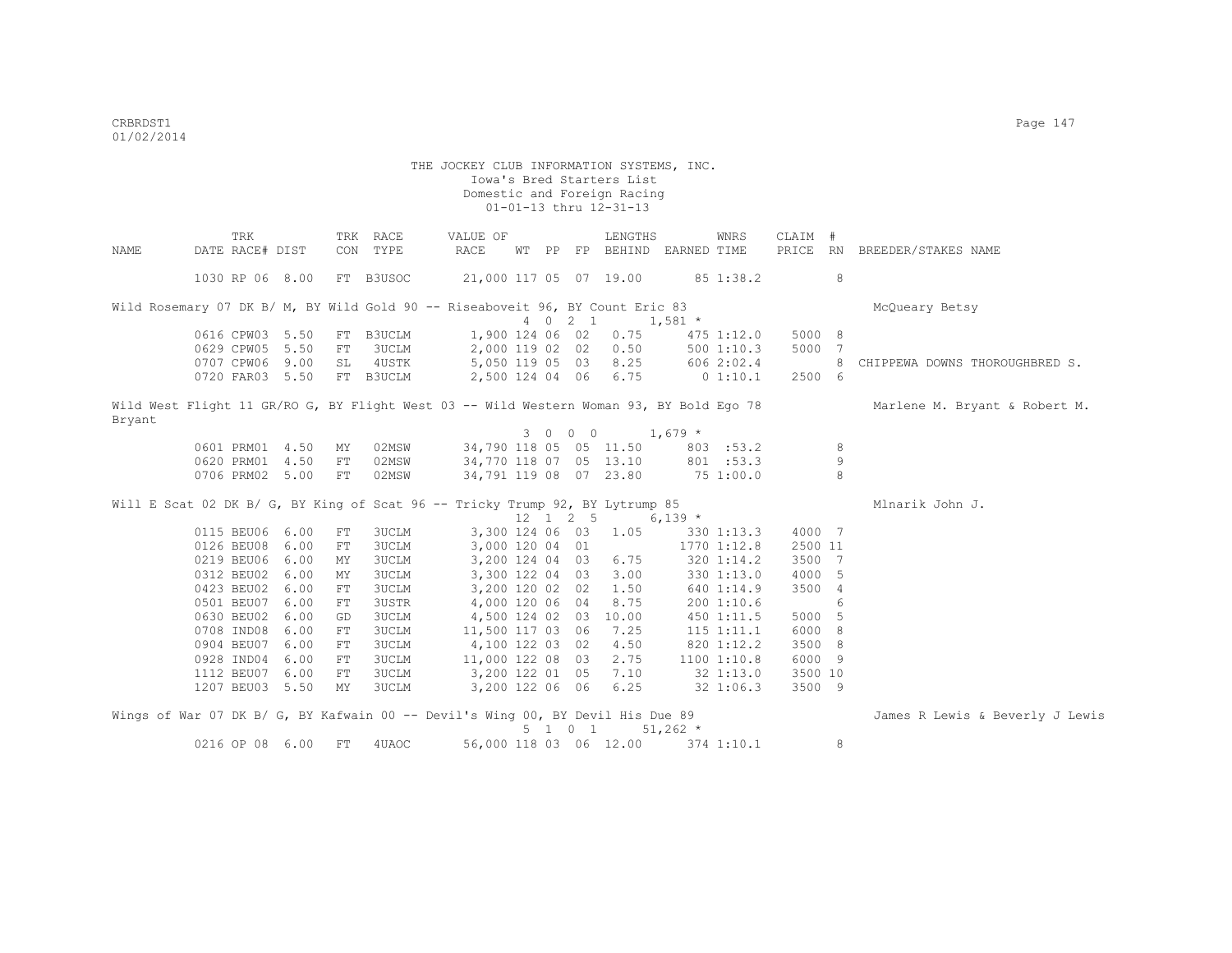|        | TRK                                                                                     | TRK              | RACE                  | VALUE OF                           |    |    |                              | LENGTHS                |             | WNRS           | CLAIM #           |   |                                 |
|--------|-----------------------------------------------------------------------------------------|------------------|-----------------------|------------------------------------|----|----|------------------------------|------------------------|-------------|----------------|-------------------|---|---------------------------------|
| NAME   | DATE RACE# DIST                                                                         | CON              | TYPE                  | RACE                               | WТ | PP |                              | FP BEHIND EARNED TIME  |             |                |                   |   | PRICE RN BREEDER/STAKES NAME    |
|        | 1030 RP 06 8.00                                                                         |                  | FT B3USOC             | 21,000 117 05 07 19.00             |    |    |                              |                        |             | 85 1:38.2      |                   | 8 |                                 |
|        | Wild Rosemary 07 DK B/ M, BY Wild Gold 90 -- Riseaboveit 96, BY Count Eric 83           |                  |                       |                                    |    |    |                              |                        |             |                |                   |   | McQueary Betsy                  |
|        |                                                                                         |                  |                       |                                    |    |    | 4 0 2 1                      |                        | $1,581$ *   |                |                   |   |                                 |
|        | 0616 CPW03 5.50                                                                         | FT               | B3UCLM                | 1,900 124 06 02                    |    |    |                              | 0.75                   |             | 475 1:12.0     | 5000 8            |   |                                 |
|        | 0629 CPW05 5.50                                                                         | ${\rm FT}$       | 3UCLM                 | 2,000 119 02 02                    |    |    |                              | 0.50                   |             | 5001:10.3      | 5000 7            |   |                                 |
|        | 0707 CPW06 9.00                                                                         | SL               | 4USTK                 | 5,050 119 05 03                    |    |    |                              | 8.25                   |             | 606 2:02.4     |                   | 8 | CHIPPEWA DOWNS THOROUGHBRED S.  |
|        | 0720 FAR03 5.50                                                                         |                  | FT B3UCLM             | 2,500 124 04 06 6.75               |    |    |                              |                        | $0\;1:10.1$ |                | 2500 6            |   |                                 |
| Bryant | Wild West Flight 11 GR/RO G, BY Flight West 03 -- Wild Western Woman 93, BY Bold Ego 78 |                  |                       |                                    |    |    |                              |                        |             |                |                   |   | Marlene M. Bryant & Robert M.   |
|        |                                                                                         |                  |                       |                                    |    |    | 3 0 0 0                      |                        | $1,679$ *   |                |                   |   |                                 |
|        | 0601 PRM01 4.50                                                                         | MY               | 02MSW                 |                                    |    |    |                              | 34,790 118 05 05 11.50 |             | 803 : 53.2     |                   | 8 |                                 |
|        | 0620 PRM01 4.50                                                                         | FT               | 02MSW                 | 34,770 118 07 05 13.10             |    |    |                              |                        |             | 801 : 53.3     |                   | 9 |                                 |
|        | 0706 PRM02 5.00                                                                         | FT               | 02MSW                 | 34,791 119 08 07 23.80             |    |    |                              |                        | 751:00.0    |                |                   | 8 |                                 |
|        | Will E Scat 02 DK B/ G, BY King of Scat 96 -- Tricky Trump 92, BY Lytrump 85            |                  |                       |                                    |    |    |                              |                        |             |                |                   |   | Mlnarik John J.                 |
|        |                                                                                         |                  |                       |                                    |    |    | $12 \quad 1 \quad 2 \quad 5$ |                        | $6,139$ *   |                |                   |   |                                 |
|        | 0115 BEU06 6.00<br>0126 BEU08 6.00                                                      | FT               | 3UCLM<br><b>3UCLM</b> |                                    |    |    |                              | 3,300 124 06 03 1.05   |             | 330 1:13.3     | 4000 7            |   |                                 |
|        | 0219 BEU06 6.00                                                                         | FT               | <b>3UCLM</b>          | 3,000 120 04 01                    |    |    |                              | 6.75                   |             | 1770 1:12.8    | 2500 11<br>3500 7 |   |                                 |
|        |                                                                                         | ΜY               |                       | 3,200 124 04 03                    |    |    |                              |                        |             | 320 1:14.2     |                   |   |                                 |
|        | 0312 BEU02 6.00<br>0423 BEU02 6.00                                                      | ΜY               | 3UCLM                 | 3,300 122 04 03<br>3,200 120 02 02 |    |    |                              | 3.00<br>1.50           |             | 3301:13.0      | 4000 5            |   |                                 |
|        | 0501 BEU07 6.00                                                                         | FT               | <b>3UCLM</b><br>3USTR |                                    |    |    |                              | 8.75                   |             | 640 1:14.9     | 3500 4            | 6 |                                 |
|        | 0630 BEU02 6.00                                                                         | FT               | <b>3UCLM</b>          | 4,000 120 06 04                    |    |    |                              | 4,500 124 02 03 10.00  |             | 200 1:10.6     | 5000 5            |   |                                 |
|        | 0708 IND08 6.00                                                                         | GD               |                       | 11,500 117 03 06 7.25              |    |    |                              |                        |             | 450 1:11.5     | 6000 8            |   |                                 |
|        | 0904 BEU07 6.00                                                                         | FT<br>${\rm FT}$ | 3UCLM                 |                                    |    |    |                              |                        |             | $115$ $1:11.1$ |                   |   |                                 |
|        |                                                                                         |                  | 3UCLM                 | 4,100 122 03 02                    |    |    |                              | 4.50<br>2.75           |             | 820 1:12.2     | 3500 8            |   |                                 |
|        | 0928 IND04 6.00                                                                         | FT               | <b>3UCLM</b>          | 11,000 122 08 03                   |    |    |                              |                        |             | 11001:10.8     | 6000 9            |   |                                 |
|        | 1112 BEU07 6.00                                                                         | FT               | <b>3UCLM</b>          | 3,200 122 01 05                    |    |    |                              | 7.10                   |             | 32 1:13.0      | 3500 10           |   |                                 |
|        | 1207 BEU03 5.50                                                                         | MΥ               | 3UCLM                 | 3,200 122 06 06                    |    |    |                              | 6.25                   |             | 32 1:06.3      | 3500 9            |   |                                 |
|        | Wings of War 07 DK B/ G, BY Kafwain 00 -- Devil's Wing 00, BY Devil His Due 89          |                  |                       |                                    |    |    |                              |                        |             |                |                   |   | James R Lewis & Beverly J Lewis |
|        |                                                                                         |                  |                       |                                    |    |    |                              | 5 1 0 1                | $51,262$ *  |                |                   |   |                                 |
|        | 0216 OP 08 6.00                                                                         | FT               | 4UAOC                 | 56,000 118 03 06 12.00             |    |    |                              |                        |             | 374 1:10.1     |                   | 8 |                                 |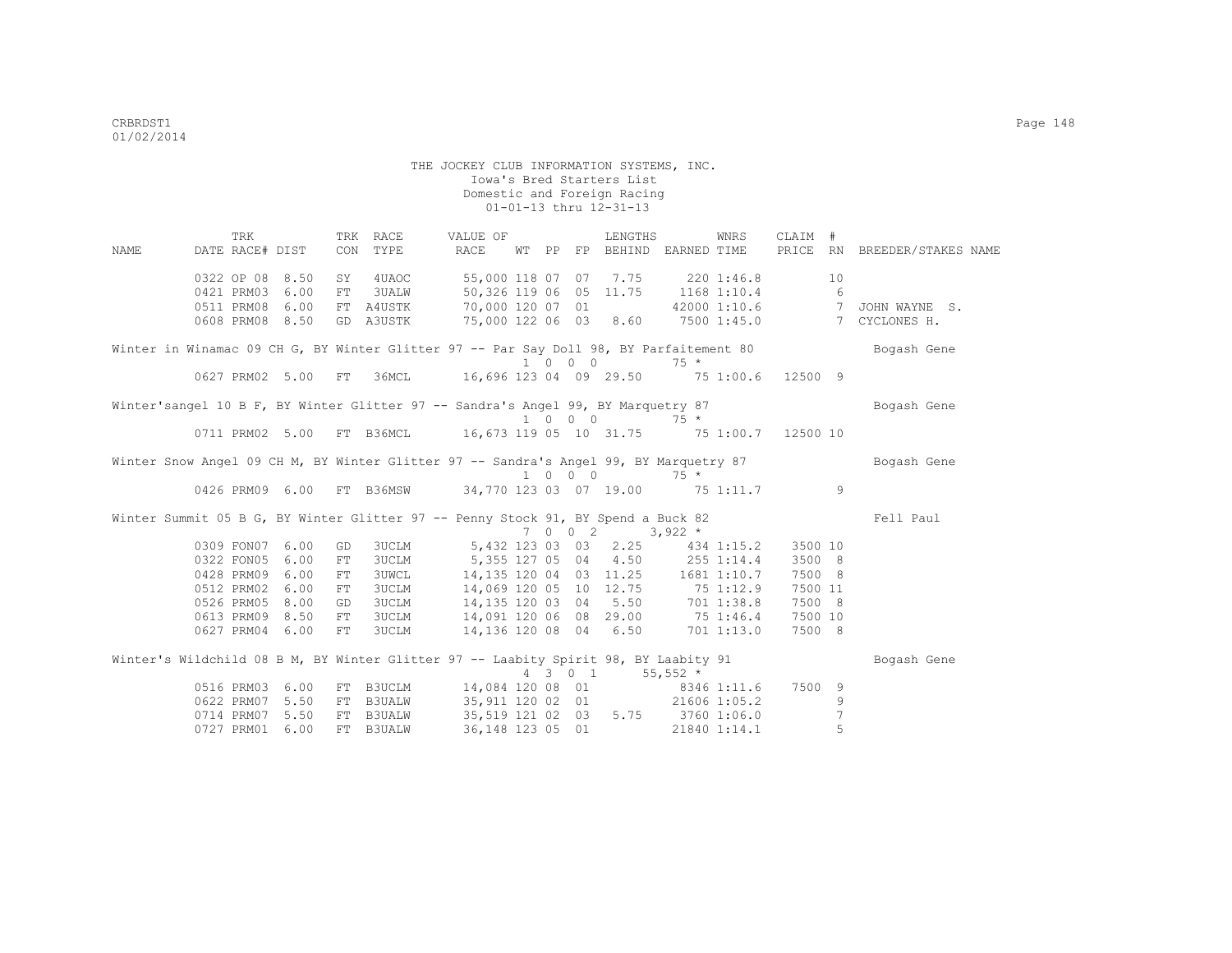|      | TRK                                                                                   |      |     | TRK RACE       | VALUE OF                                                            |    |    | LENGTHS                              |             | WNRS         | CLAIM #        |    |                                                                                                    |
|------|---------------------------------------------------------------------------------------|------|-----|----------------|---------------------------------------------------------------------|----|----|--------------------------------------|-------------|--------------|----------------|----|----------------------------------------------------------------------------------------------------|
| NAME | DATE RACE# DIST                                                                       |      | CON | TYPE           | RACE                                                                | WТ | PP | FP BEHIND EARNED TIME                |             |              |                |    | PRICE RN BREEDER/STAKES NAME                                                                       |
|      | 0322 OP 08 8.50                                                                       |      | SY  | 4UAOC          |                                                                     |    |    | 55,000 118 07 07 7.75 220 1:46.8     |             |              |                | 10 |                                                                                                    |
|      | 0421 PRM03                                                                            | 6.00 |     | FT 3UALW       | 50,326 119 06 05 11.75                                              |    |    |                                      | 1168 1:10.4 |              | $\overline{6}$ |    |                                                                                                    |
|      | 0511 PRM08                                                                            | 6.00 |     |                | FT A4USTK 70,000 120 07 01                                          |    |    |                                      |             |              |                |    | 42000 1:10.6 7 JOHN WAYNE S.                                                                       |
|      | 0608 PRM08 8.50                                                                       |      |     |                |                                                                     |    |    |                                      |             |              |                |    | GD A3USTK 75,000 122 06 03 8.60 7500 1:45.0 7 CYCLONES H.                                          |
|      |                                                                                       |      |     |                |                                                                     |    |    |                                      |             |              |                |    | Winter in Winamac 09 CH G, BY Winter Glitter 97 -- Par Say Doll 98, BY Parfaitement 80 Bogash Gene |
|      |                                                                                       |      |     |                |                                                                     |    |    | $1 \t 0 \t 0 \t 75 \star$            |             |              |                |    |                                                                                                    |
|      | 0627 PRM02 5.00 FT 36MCL                                                              |      |     |                | 16,696 123 04 09 29.50 75 1:00.6 12500 9                            |    |    |                                      |             |              |                |    |                                                                                                    |
|      | Winter'sangel 10 B F, BY Winter Glitter 97 -- Sandra's Angel 99, BY Marquetry 87      |      |     |                |                                                                     |    |    |                                      |             |              |                |    | Bogash Gene                                                                                        |
|      |                                                                                       |      |     |                |                                                                     |    |    | $1 \t 0 \t 0 \t 75 \star$            |             |              |                |    |                                                                                                    |
|      |                                                                                       |      |     |                | 0711 PRM02 5.00 FT B36MCL 16,673 119 05 10 31.75 75 1:00.7 12500 10 |    |    |                                      |             |              |                |    |                                                                                                    |
|      | Winter Snow Angel 09 CH M, BY Winter Glitter 97 -- Sandra's Angel 99, BY Marquetry 87 |      |     |                |                                                                     |    |    |                                      |             |              |                |    | Bogash Gene                                                                                        |
|      |                                                                                       |      |     |                |                                                                     |    |    |                                      |             |              |                |    |                                                                                                    |
|      | 0426 PRM09 6.00                                                                       |      |     |                | FT B36MSW 34,770 123 03 07 19.00 75 1:11.7 9                        |    |    |                                      |             |              |                |    |                                                                                                    |
|      | Winter Summit 05 B G, BY Winter Glitter 97 -- Penny Stock 91, BY Spend a Buck 82      |      |     |                |                                                                     |    |    |                                      |             |              |                |    | Fell Paul                                                                                          |
|      |                                                                                       |      |     |                |                                                                     |    |    | $7 \t0 \t0 \t2 \t3,922 \t*$          |             |              |                |    |                                                                                                    |
|      | 0309 FON07 6.00                                                                       |      | GD  |                | 3UCLM 5,432 123 03 03 2.25 434 1:15.2                               |    |    |                                      |             |              | 3500 10        |    |                                                                                                    |
|      | 0322 FON05 6.00                                                                       |      | FT  |                | 3UCLM 5,355 127 05 04 4.50 255 1:14.4                               |    |    |                                      |             |              | 3500 8         |    |                                                                                                    |
|      | 0428 PRM09 6.00                                                                       |      | FT  | 3UWCL<br>3UCLM |                                                                     |    |    | $14,135$ 120 04 03 11.25 1681 1:10.7 |             |              | 7500 8         |    |                                                                                                    |
|      | 0512 PRM02 6.00                                                                       |      | FT  |                |                                                                     |    |    | 14,069 120 05 10 12.75 75 1:12.9     |             |              | 7500 11        |    |                                                                                                    |
|      | 0526 PRM05 8.00                                                                       |      | GD  | 3UCLM          |                                                                     |    |    | 14, 135 120 03 04 5.50 701 1:38.8    |             |              | 7500 8         |    |                                                                                                    |
|      | 0613 PRM09 8.50                                                                       |      | FT  |                | 3UCLM 14,091 120 06 08 29.00 75 1:46.4                              |    |    |                                      |             |              | 7500 10        |    |                                                                                                    |
|      | 0627 PRM04 6.00                                                                       |      | FT  | 3UCLM          | 14,136 120 08 04 6.50 701 1:13.0                                    |    |    |                                      |             |              | 7500 8         |    |                                                                                                    |
|      | Winter's Wildchild 08 B M, BY Winter Glitter 97 -- Laabity Spirit 98, BY Laabity 91   |      |     |                |                                                                     |    |    |                                      |             |              |                |    | Bogash Gene                                                                                        |
|      |                                                                                       |      |     |                |                                                                     |    |    | 4 3 0 1 55,552 *                     |             |              |                |    |                                                                                                    |
|      | 0516 PRM03 6.00                                                                       |      |     |                | FT B3UCLM 14,084 120 08 01 8346 1:11.6 7500 9                       |    |    |                                      |             |              |                |    |                                                                                                    |
|      | 0622 PRM07 5.50                                                                       |      |     |                | FT B3UALW 35,911 120 02 01 21606 1:05.2                             |    |    |                                      |             |              |                | 9  |                                                                                                    |
|      | 0714 PRM07                                                                            | 5.50 |     |                | FT B3UALW 35,519 121 02 03 5.75 3760 1:06.0                         |    |    |                                      |             |              |                | 7  |                                                                                                    |
|      | 0727 PRM01 6.00                                                                       |      |     | FT B3UALW      | 36,148 123 05 01                                                    |    |    |                                      |             | 21840 1:14.1 |                | 5  |                                                                                                    |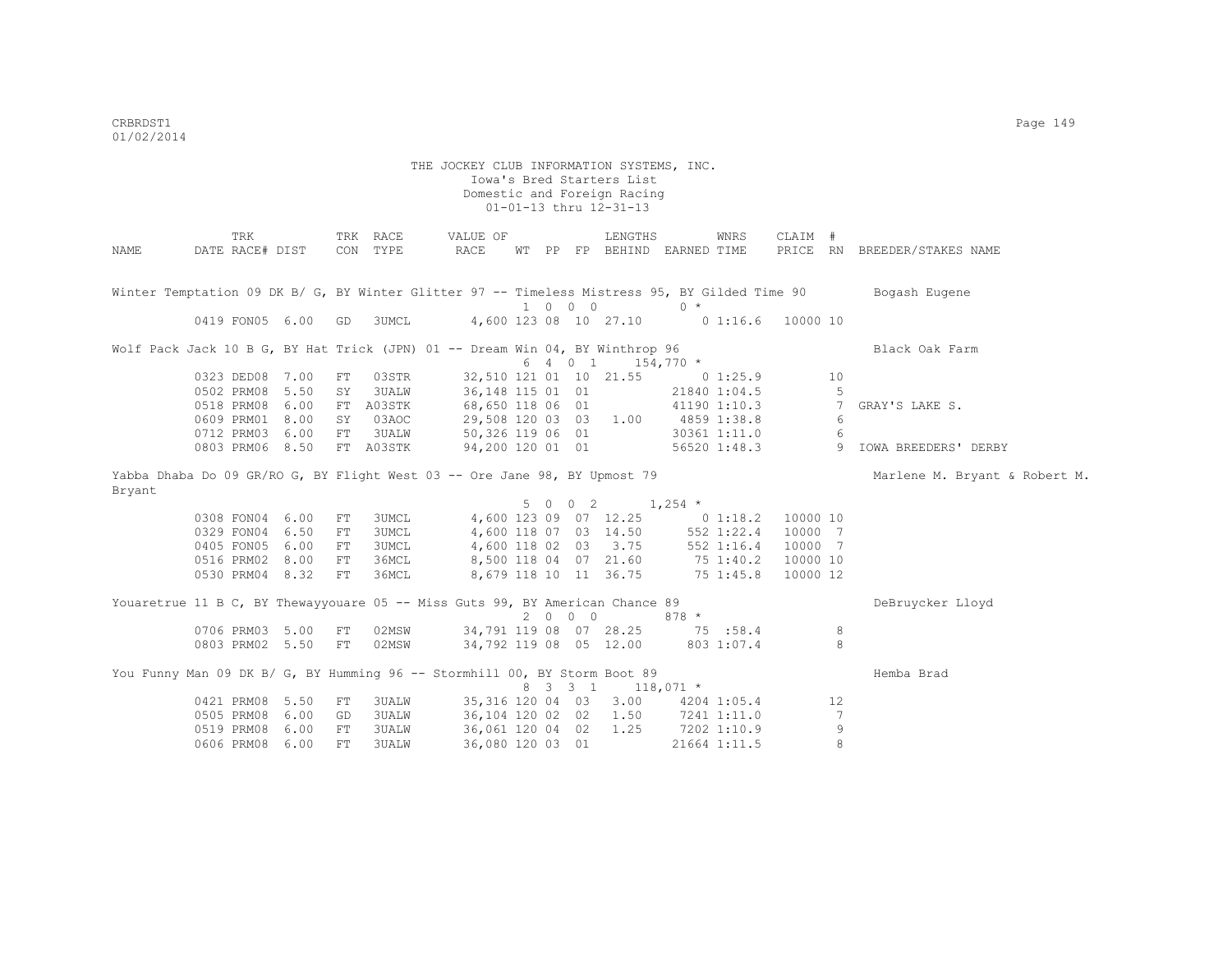|        |                      | TRK             |      |            | TRK RACE                                                                                      | VALUE OF          |    |    |                             | LENGTHS                |             | WNRS          | CLAIM #  |    |                               |
|--------|----------------------|-----------------|------|------------|-----------------------------------------------------------------------------------------------|-------------------|----|----|-----------------------------|------------------------|-------------|---------------|----------|----|-------------------------------|
| NAME   |                      | DATE RACE# DIST |      | CON        | TYPE                                                                                          | RACE              | WT | PP |                             | FP BEHIND EARNED TIME  |             |               |          |    | PRICE RN BREEDER/STAKES NAME  |
|        |                      |                 |      |            |                                                                                               |                   |    |    |                             |                        |             |               |          |    |                               |
|        |                      |                 |      |            | Winter Temptation 09 DK B/ G, BY Winter Glitter 97 -- Timeless Mistress 95, BY Gilded Time 90 |                   |    |    |                             |                        |             |               |          |    | Bogash Eugene                 |
|        |                      |                 |      |            |                                                                                               |                   |    |    | $1 \quad 0 \quad 0 \quad 0$ |                        | $0 *$       |               |          |    |                               |
|        |                      | 0419 FON05 6.00 |      | GD         | 3UMCL                                                                                         |                   |    |    |                             | 4,600 123 08 10 27.10  | $0\;1:16.6$ |               | 10000 10 |    |                               |
|        |                      |                 |      |            |                                                                                               |                   |    |    |                             |                        |             |               |          |    |                               |
|        |                      |                 |      |            | Wolf Pack Jack 10 B G, BY Hat Trick (JPN) 01 -- Dream Win 04, BY Winthrop 96                  |                   |    |    |                             |                        |             |               |          |    | Black Oak Farm                |
|        |                      |                 |      |            |                                                                                               |                   |    |    | 6 4 0 1                     |                        | $154,770$ * |               |          |    |                               |
|        |                      | 0323 DED08 7.00 |      | FT         | 03STR                                                                                         |                   |    |    |                             | 32,510 121 01 10 21.55 |             | 0 1:25.9      |          | 10 |                               |
|        |                      | 0502 PRM08 5.50 |      | SY         | 3UALW                                                                                         | 36, 148 115 01 01 |    |    |                             |                        |             | 21840 1:04.5  |          | 5  |                               |
|        |                      | 0518 PRM08 6.00 |      | FT         | A03STK                                                                                        | 68,650 118 06 01  |    |    |                             |                        |             | 41190 1:10.3  |          | 7  | GRAY'S LAKE S.                |
|        |                      | 0609 PRM01 8.00 |      | SY         | 03AOC                                                                                         | 29,508 120 03 03  |    |    |                             | 1.00                   |             | 4859 1:38.8   |          | 6  |                               |
|        |                      | 0712 PRM03 6.00 |      | FT         | 3UALW                                                                                         | 50,326 119 06 01  |    |    |                             |                        |             | 30361 1:11.0  |          | 6  |                               |
|        |                      | 0803 PRM06 8.50 |      |            | FT A03STK                                                                                     | 94,200 120 01 01  |    |    |                             |                        |             | 56520 1:48.3  |          | 9  | IOWA BREEDERS' DERBY          |
|        |                      |                 |      |            | Yabba Dhaba Do 09 GR/RO G, BY Flight West 03 -- Ore Jane 98, BY Upmost 79                     |                   |    |    |                             |                        |             |               |          |    | Marlene M. Bryant & Robert M. |
| Bryant |                      |                 |      |            |                                                                                               |                   |    |    |                             |                        |             |               |          |    |                               |
|        | 5 0 0 2<br>$1,254$ * |                 |      |            |                                                                                               |                   |    |    |                             |                        |             |               |          |    |                               |
|        |                      | 0308 FON04 6.00 |      | FT         | 3UMCL                                                                                         |                   |    |    |                             | 4,600 123 09 07 12.25  |             | 0 1:18.2      | 10000 10 |    |                               |
|        |                      | 0329 FON04 6.50 |      | FT         | 3UMCL                                                                                         |                   |    |    |                             | 4,600 118 07 03 14.50  |             | 552 1:22.4    | 10000 7  |    |                               |
|        |                      | 0405 FON05 6.00 |      | FT         | 3UMCL                                                                                         |                   |    |    |                             | 4,600 118 02 03 3.75   |             | 552 1:16.4    | 10000 7  |    |                               |
|        |                      | 0516 PRM02 8.00 |      | FT         | 36MCL                                                                                         |                   |    |    |                             | 8,500 118 04 07 21.60  |             | 75 1:40.2     | 10000 10 |    |                               |
|        |                      | 0530 PRM04 8.32 |      | FT         | 36MCL                                                                                         |                   |    |    |                             | 8,679 118 10 11 36.75  |             | $75 \t1:45.8$ | 10000 12 |    |                               |
|        |                      |                 |      |            |                                                                                               |                   |    |    |                             |                        |             |               |          |    |                               |
|        |                      |                 |      |            | Youaretrue 11 B C, BY Thewayyouare 05 -- Miss Guts 99, BY American Chance 89                  |                   |    |    |                             |                        |             |               |          |    | DeBruycker Lloyd              |
|        |                      |                 |      |            |                                                                                               |                   |    |    | 2000                        |                        | $878 *$     |               |          |    |                               |
|        |                      | 0706 PRM03 5.00 |      | ${\rm FT}$ | 02MSW                                                                                         |                   |    |    |                             | 34,791 119 08 07 28.25 | 75 :58.4    |               |          | 8  |                               |
|        |                      | 0803 PRM02 5.50 |      | FT         | 02MSW                                                                                         |                   |    |    |                             | 34,792 119 08 05 12.00 |             | 803 1:07.4    |          | 8  |                               |
|        |                      |                 |      |            | You Funny Man 09 DK B/ G, BY Humming 96 -- Stormhill 00, BY Storm Boot 89                     |                   |    |    |                             |                        |             |               |          |    | Hemba Brad                    |
|        |                      |                 |      |            |                                                                                               |                   | 8  |    | $3 \t3 \t1$                 | $118,071$ *            |             |               |          |    |                               |
|        |                      | 0421 PRM08 5.50 |      | FT         | 3UALW                                                                                         | 35, 316 120 04 03 |    |    |                             | 3.00                   |             | 4204 1:05.4   |          | 12 |                               |
|        |                      | 0505 PRM08 6.00 |      | GD         | 3UALW                                                                                         | 36,104 120 02 02  |    |    |                             | 1.50                   |             | 7241 1:11.0   |          | 7  |                               |
|        |                      | 0519 PRM08 6.00 |      | ${\rm FT}$ | 3UALW                                                                                         | 36,061 120 04 02  |    |    |                             | 1.25                   |             | 7202 1:10.9   |          | 9  |                               |
|        |                      | 0606 PRM08      | 6.00 | FT         | 3UALW                                                                                         | 36,080 120 03 01  |    |    |                             |                        |             | 21664 1:11.5  |          | 8  |                               |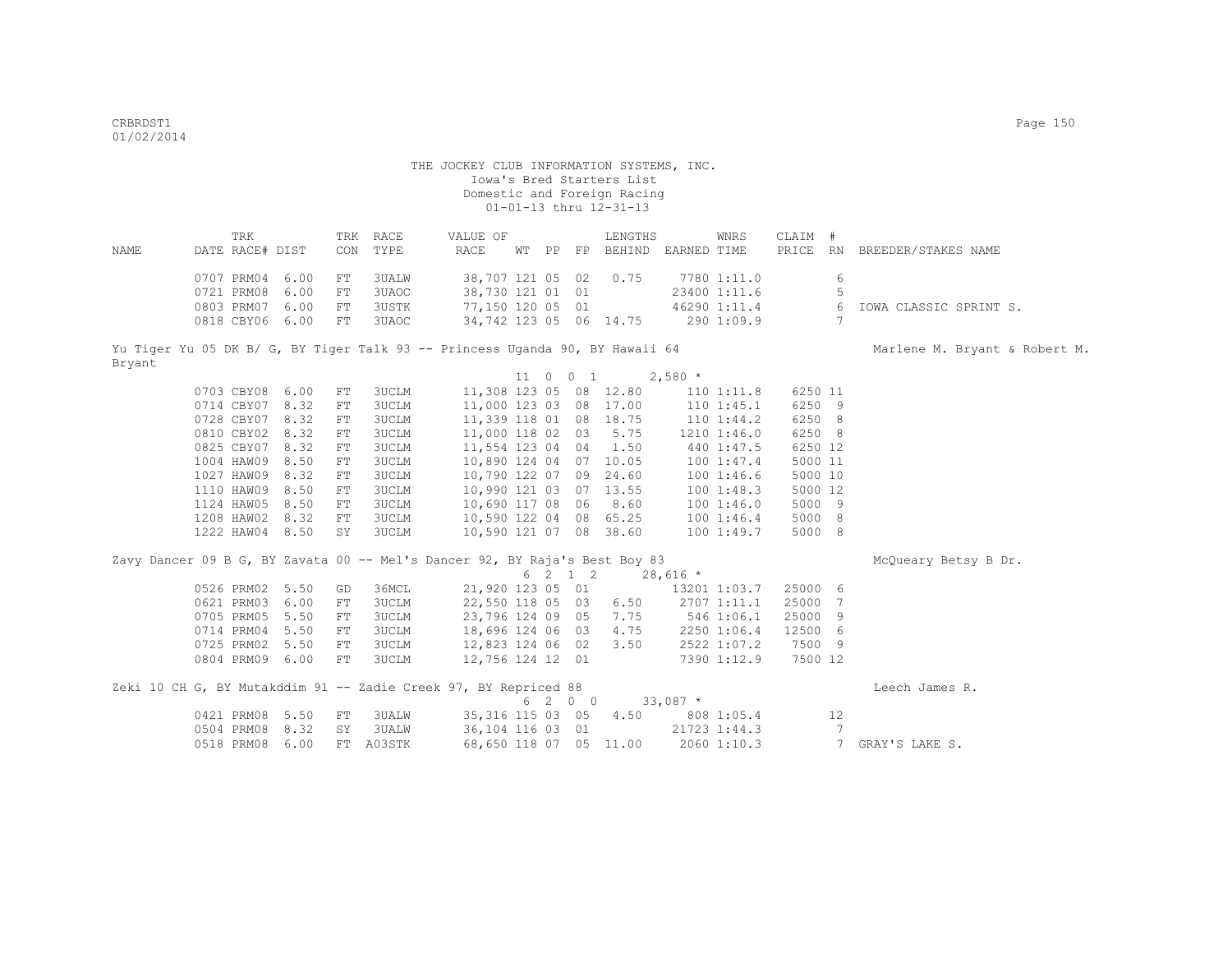|        | TRK             |      | TRK | RACE   | VALUE OF                                                                     |    |    |          | LENGTHS  |             | WNRS           | CLAIM # |           |                               |
|--------|-----------------|------|-----|--------|------------------------------------------------------------------------------|----|----|----------|----------|-------------|----------------|---------|-----------|-------------------------------|
| NAME   | DATE RACE# DIST |      | CON | TYPE   | RACE                                                                         | WТ | PP | FP       | BEHIND   | EARNED TIME |                | PRICE   | <b>RN</b> | BREEDER/STAKES NAME           |
|        |                 |      |     |        |                                                                              |    |    |          |          |             |                |         |           |                               |
|        | 0707 PRM04      | 6.00 | FT. | 3UALW  | 38,707 121 05 02                                                             |    |    |          | 0.75     |             | 7780 1:11.0    |         | 6         |                               |
|        | 0721 PRM08      | 6.00 | FT. | 3UAOC  | 38,730 121 01 01                                                             |    |    |          |          |             | 23400 1:11.6   |         |           |                               |
|        | 0803 PRM07      | 6.00 | FT  | 3USTK  | 77,150 120 05 01                                                             |    |    |          |          |             | 46290 1:11.4   |         | 6         | IOWA CLASSIC SPRINT S.        |
|        | 0818 CBY06      | 6.00 | FT  | 3UAOC. | 34,742 123 05 06 14.75                                                       |    |    |          |          |             | 2901:09.9      |         |           |                               |
|        |                 |      |     |        |                                                                              |    |    |          |          |             |                |         |           |                               |
|        |                 |      |     |        | Yu Tiger Yu 05 DK B/ G, BY Tiger Talk 93 -- Princess Uganda 90, BY Hawaii 64 |    |    |          |          |             |                |         |           | Marlene M. Bryant & Robert M. |
| Bryant |                 |      |     |        |                                                                              |    |    |          |          |             |                |         |           |                               |
|        |                 |      |     |        |                                                                              |    |    | 11 0 0 1 |          | $2,580*$    |                |         |           |                               |
|        | 0703 CBY08      | 6.00 | FT. | 3UCLM  | 11,308 123 05                                                                |    |    |          | 08 12.80 |             | 110 1:11.8     | 6250 11 |           |                               |
|        | 0714 CBY07      | 8.32 | FT  | 3UCLM  | 11,000 123 03                                                                |    |    | 08       | 17.00    |             | $110$ $1:45.1$ | 6250 9  |           |                               |
|        | 0728 CBY07      | 8.32 | FT. | 3UCLM  | 11,339 118 01                                                                |    |    | 08       | 18.75    |             | $110$ $1:44.2$ | 6250 8  |           |                               |
|        | 0810 CBY02 8.32 |      | FT  | 3UCLM  | 11,000 118 02 03                                                             |    |    |          | 5.75     |             | 1210 1:46.0    | 6250 8  |           |                               |
|        | 0825 CBY07      | 8.32 | FT  | 3UCLM  | 11,554 123 04                                                                |    |    | 04       | 1.50     |             | 440 1:47.5     | 6250 12 |           |                               |
|        | 1004 HAW09      | 8.50 | FT  | 3UCLM  | 10,890 124 04                                                                |    |    | 07       | 10.05    |             | 1001:47.4      | 5000 11 |           |                               |
|        | 1027 HAW09      | 8.32 | FT  | 3UCLM  | 10,790 122 07                                                                |    |    | 09       | 24.60    |             | 1001:46.6      | 5000 10 |           |                               |
|        | 1110 HAW09      | 8.50 | FT  | 3UCLM  | 10,990 121 03                                                                |    |    | 07       | 13.55    |             | 1001:48.3      | 5000 12 |           |                               |

10,590 121 07 08 38.60 100 1:49.7 5000 8

| Zavy Dancer 09 B G, BY Zavata 00 -- Mel's Dancer 92, BY Raja's Best Boy 83 |     |        |                  |  |         |                        |            |              |         |     | McQueary Betsy B Dr. |
|----------------------------------------------------------------------------|-----|--------|------------------|--|---------|------------------------|------------|--------------|---------|-----|----------------------|
|                                                                            |     |        |                  |  | 6 2 1 2 |                        | $28,616$ * |              |         |     |                      |
| 0526 PRM02 5.50                                                            | GD  | 36MCL  | 21,920 123 05 01 |  |         |                        |            | 13201 1:03.7 | 25000 6 |     |                      |
| 0621 PRM03 6.00                                                            | FT  | 3UCLM  | 22,550 118 05 03 |  |         | 6.50                   |            | 2707 1:11.1  | 25000 7 |     |                      |
| 0705 PRM05 5.50                                                            | FT. | 3UCLM  | 23,796 124 09 05 |  |         | 7.75                   |            | 546 1:06.1   | 25000 9 |     |                      |
| 0714 PRM04 5.50                                                            | FT. | 3UCLM  | 18,696 124 06 03 |  |         | 4.75                   |            | 2250 1:06.4  | 12500 6 |     |                      |
| 0725 PRM02 5.50                                                            | FT  | 3UCLM  | 12,823 124 06 02 |  |         | 3.50                   |            | 2522 1:07.2  | 7500 9  |     |                      |
| 0804 PRM09 6.00                                                            | FT. | 3UCLM  | 12,756 124 12 01 |  |         |                        |            | 7390 1:12.9  | 7500 12 |     |                      |
| Zeki 10 CH G, BY Mutakddim 91 -- Zadie Creek 97, BY Repriced 88            |     |        |                  |  |         |                        |            |              |         |     | Leech James R.       |
|                                                                            |     |        |                  |  | 6 2 0 0 |                        | $33,087$ * |              |         |     |                      |
| 0421 PRM08 5.50                                                            | FT. | 3UALW  |                  |  |         | 35, 316 115 03 05 4.50 |            | 808 1:05.4   |         | 12. |                      |
| 0504 PRM08 8.32                                                            | SY  | 3UALW  | 36,104 116 03 01 |  |         |                        |            | 21723 1:44.3 |         |     |                      |
| 0518 PRM08 6.00                                                            | FT  | A03STK |                  |  |         | 68,650 118 07 05 11.00 |            | 2060 1:10.3  |         |     | GRAY'S LAKE S.       |

1124 HAW05 8.50 FT 3UCLM 10,690 117 08 06 8.60 100 1:46.0 5000 9

1208 HAW02 8.32 FT 3UCLM 10,590 122 04 08 65.25 100 1:46.4 5000 8